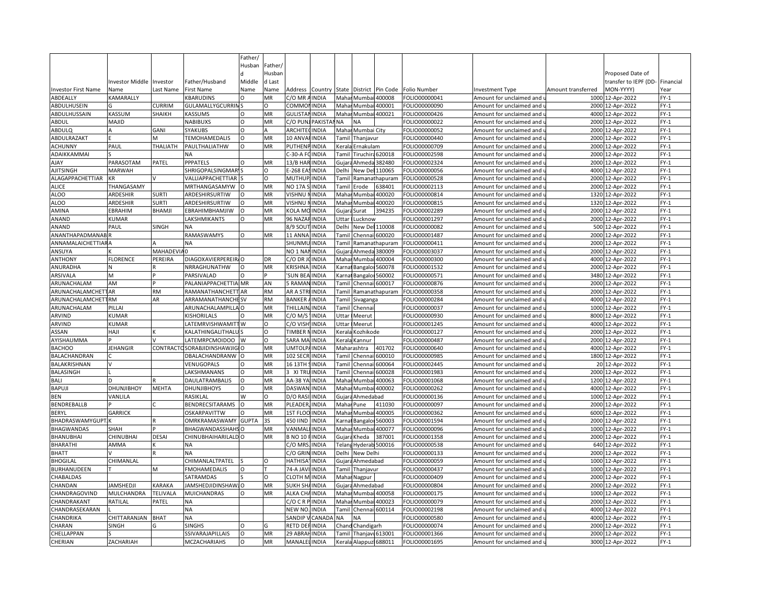|                            |                         |                |                         | Father/      |           |                      |                |              |                        |                   |               |                            |                    |                                |        |
|----------------------------|-------------------------|----------------|-------------------------|--------------|-----------|----------------------|----------------|--------------|------------------------|-------------------|---------------|----------------------------|--------------------|--------------------------------|--------|
|                            |                         |                |                         | Husban       | Father    |                      |                |              |                        |                   |               |                            |                    |                                |        |
|                            |                         |                |                         |              | Husban    |                      |                |              |                        |                   |               |                            |                    | Proposed Date of               |        |
|                            | nvestor Middle Investor |                | Father/Husband          | Middle       | d Last    |                      |                |              |                        |                   |               |                            |                    | transfer to IEPF (DD-Financial |        |
| <b>Investor First Name</b> | Name                    | Last Name      | <b>First Name</b>       | Name         | Name      | Address              | Country        | State        |                        | District Pin Code | Folio Number  | Investment Type            | Amount transferred | MON-YYYY)                      | Year   |
| ABDEALLY                   | KAMARALLY               |                | <b>KBARUDINS</b>        |              | MR        | C/O MR AINDIA        |                | Maha         |                        | Mumbai 400008     | FOLIO00000041 | Amount for unclaimed and   | 1000               | 12-Apr-2022                    | $FY-1$ |
| ABDULHUSEIN                |                         | CURRIM         | GULAMALLYGCURRIN        |              | Ω         | COMMOI               | <b>INDIA</b>   | Mahar        | Mumbai                 | 400001            | FOLIO00000090 | Amount for unclaimed and   |                    | 2000 12-Apr-2022               | $FY-1$ |
| ABDULHUSSAIN               | KASSUM                  | SHAIKH         | KASSUMS                 |              | MR        | <b>GULISTAN</b>      | <b>INDIA</b>   | Mahar        |                        | Mumbai 400021     | FOLIO00000426 | Amount for unclaimed and   |                    | 4000 12-Apr-2022               | $FY-1$ |
| ABDUL                      | MAJID                   |                | <b>NABIBUXS</b>         | $\Omega$     | MR        | C/O PUN              | <b>PAKISTA</b> | <b>NA</b>    | <b>NA</b>              |                   | FOLIO00000022 | Amount for unclaimed and   |                    | 2000 12-Apr-2022               | $FY-1$ |
| ABDULQ                     |                         | GANI           | <b>SYAKUBS</b>          | $\Omega$     |           | <b>ARCHITE</b>       | <b>INDIA</b>   | Maha         | Mumbai City            |                   | FOLIO00000052 | Amount for unclaimed and   |                    | 2000 12-Apr-2022               | $FY-1$ |
| ABDULRAZAKT                |                         |                | <b>TEMOHAMEDALIS</b>    | $\Omega$     | MR        | 10 ANVAHINDIA        |                |              | Tamil Thanjavur        |                   | OLIO00000440  | Amount for unclaimed and   |                    | 2000 12-Apr-2022               | $FY-1$ |
| <b>ACHUNNY</b>             | PAUL                    | THALIATH       | PAULTHALIATHW           | $\Omega$     | MR        | <b>PUTHENPINDIA</b>  |                |              | Kerala Ernakulam       |                   | FOLIO00000709 | Amount for unclaimed and   |                    | 2000 12-Apr-2022               | $FY-1$ |
| ADAIKKAMMAI                |                         |                | NA                      |              |           | C-30-A FOINDIA       |                |              | Tamil Tiruchira 620018 |                   | FOLIO00002598 | Amount for unclaimed and u |                    | 2000 12-Apr-2022               | $FY-1$ |
| <b>AJAY</b>                | PARASOTAM               | PATEL          | <b>PPPATELS</b>         | $\Omega$     | MR        | <b>13/B HAI</b>      | INDIA          | Gujara       | Ahmeda                 | 382480            | FOLIO00002324 | Amount for unclaimed and   |                    | 2000 12-Apr-2022               | $FY-1$ |
| <b>AJITSINGH</b>           | <b>MARWAH</b>           |                | <b>SHRIGOPALSINGMAR</b> |              | $\Omega$  | E-268 EASINDIA       |                | Delhi        |                        | New Del 110065    | FOLIO00000056 | Amount for unclaimed and   |                    | 4000 12-Apr-2022               | $FY-1$ |
| ALAGAPPACHETTIAR           | <b>KR</b>               |                | VALLIAPPACHETTIAR       |              | O         | MUTHUP.              | <b>INDIA</b>   | Tamil        |                        | Ramanathapuram    | FOLIO00000528 | Amount for unclaimed and   |                    | 2000 12-Apr-2022               | $FY-1$ |
| <b>ALICE</b>               | THANGASAMY              |                | MRTHANGASAMYW           |              | MR        | NO 17A 9             | <b>INDIA</b>   | Tamil        | Erode                  | 538401            | FOLIO00002113 | Amount for unclaimed and   |                    | 2000 12-Apr-2022               | $FY-1$ |
| ALOO                       | ARDESHIR                | <b>SURTI</b>   | ARDESHIRSURTIW          | O            | MR        | VISHNU               | <b>INDIA</b>   | Maha         | Mumbai                 | 400020            | FOLIO00000814 | Amount for unclaimed and   |                    | 1320 12-Apr-2022               | $FY-1$ |
| <b>ALOO</b>                | ARDESHIR                | <b>SURTI</b>   | ARDESHIRSURTIW          |              | MR        | VISHNU               | <b>INDIA</b>   | Maha         | Mumb                   | 400020            | FOLIO00000815 | Amount for unclaimed and   | 1320               | 12-Apr-2022                    | $FY-1$ |
| AMINA                      | EBRAHIM                 | BHAMJI         | EBRAHIMBHAMJIW          | O            | MR        | KOLA MC              | <b>INDIA</b>   | Gujara       | <b>Surat</b>           | 394235            | FOLIO00002289 | Amount for unclaimed and   |                    | 2000 12-Apr-2022               | $FY-1$ |
| ANAND                      | KUMAR                   |                | LAKSHMIKANTS            | $\Omega$     | MR        | 96 NAZA              | <b>INDIA</b>   | Uttar        | Lucknow                |                   | FOLIO00001297 | Amount for unclaimed and   |                    | 2000 12-Apr-2022               | $FY-1$ |
| ANAND                      | PAUL                    | SINGH          | NA                      |              |           | 8/9 SOUT             | <b>INDIA</b>   | Delhi        | New Del 110008         |                   | FOLIO00000082 | Amount for unclaimed and เ |                    | 500 12-Apr-2022                | $FY-1$ |
| ANANTHAPADMANAB            |                         |                | RAMASWAMYS              | $\Omega$     | MR        | 11 ANNA              | <b>INDIA</b>   | Tami         |                        | Chennai 600020    | FOLIO00001487 | Amount for unclaimed and   |                    | 2000 12-Apr-2022               | $FY-1$ |
| <b>ANNAMALAICHETTIARA</b>  |                         |                | <b>NA</b>               |              |           | SHUNML               | <b>INDIA</b>   | Tamil        |                        | Ramanathapuram    | FOLIO00000411 | Amount for unclaimed and   |                    | 2000 12-Apr-2022               | $FY-1$ |
| ANSUYA                     |                         | <b>MAHADEV</b> |                         |              |           | NO <sub>1</sub> NA   | <b>INDIA</b>   | Gujar        | Ahmeda                 | 380009            | FOLIO00003037 | Amount for unclaimed and   |                    | 2000 12-Apr-2022               | $FY-1$ |
| <b>ANTHONY</b>             | <b>FLORENCE</b>         | PEREIRA        | DIAGOXAVIERPEREIR       |              | DR        | C/O DR J             | <b>INDIA</b>   | Maha         | Mumbai                 | 400004            | FOLIO00000300 | Amount for unclaimed and   |                    | 4000 12-Apr-2022               | $FY-1$ |
| ANURADHA                   |                         |                | NRRAGHUNATHW            | $\Omega$     | MR        | KRISHNA              | <b>INDIA</b>   | Karna        | Bangalor               | 560078            | FOLIO00001532 | Amount for unclaimed and   |                    | 2000 12-Apr-2022               | $FY-1$ |
| ARSIVALA                   |                         |                | PARSIVALAD              |              |           | <b>SUN BEA</b>       | <b>INDIA</b>   | .<br>arna    | Bangalor               | 60002             | OLIO00000571  | Amount for unclaimed and   | 3480               | 12-Apr-2022                    | $FY-1$ |
| ARUNACHALAM                | AM                      |                | PALANIAPPACHETTIA MR    |              | AN        | 5 RAMAN INDIA        |                | Гаmіl        | Chennai 600017         |                   | FOLIO00000876 | Amount for unclaimed and   |                    | 2000 12-Apr-2022               | $FY-1$ |
| ARUNACHALAMCHET            | 1AR                     | <b>RM</b>      | RAMANATHANCHETT         | AR           | <b>RM</b> | AR A STR             | <b>INDIA</b>   | <b>Tami</b>  |                        | Ramanathapuram    | FOLIO00000358 | Amount for unclaimed and   |                    | 2000 12-Apr-2022               | $FY-1$ |
| ARUNACHALAMCHET            | <b>TRM</b>              | AR             | ARRAMANATHANCHE SV      |              | <b>RM</b> | BANKER               | <b>AINDIA</b>  | <b>Tamil</b> | Sivaganga              |                   | FOLIO00000284 | Amount for unclaimed and i |                    | 4000 12-Apr-2022               | $FY-1$ |
| ARUNACHALAM                | PILLAI                  |                | ARUNACHALAMPILLA O      |              | MR        | THILLAIN             | <b>INDIA</b>   | Tami         | Chenna                 |                   | FOLIO00000037 | Amount for unclaimed and   |                    | 1000 12-Apr-2022               | $FY-1$ |
| ARVIND                     | <b>CUMAR</b>            |                | <b>KISHORILALS</b>      |              | MR        | C/O M/S              | <b>INDIA</b>   | Uttar        | Meerut                 |                   | FOLIO00000930 | Amount for unclaimed and   |                    | 8000 12-Apr-2022               | $FY-1$ |
| ARVIND                     | KUMAR                   |                | LATEMRVISHWAMITTW       |              | O         | C/O VISH             | <b>INDIA</b>   | Uttar        | Meerut                 |                   | FOLIO00001245 | Amount for unclaimed and   |                    | 4000 12-Apr-2022               | $FY-1$ |
| ASSAN                      | HAJI                    |                | KALATHINGALITHALL       |              | O         | TIMBER               | <b>INDIA</b>   | Kerala       | Kozhikode              |                   | FOLIO00000127 | Amount for unclaimed and   |                    | 2000 12-Apr-2022               | $FY-1$ |
| AYISHAUMMA                 |                         |                | LATEMRPCMOIDOO          | W            | O         | SARA MA              | <b>INDIA</b>   | Kerala       | Kannur                 |                   | FOLIO00000487 | Amount for unclaimed and   |                    | 2000 12-Apr-2022               | $FY-1$ |
| <b>BACHOO</b>              | <b>JEHANGIR</b>         | CONTRACT       | SORABJIDINSHAWJIG       |              | MR        | UMTOLF               | <b>INDIA</b>   |              | Maharashtra            | 401702            | FOLIO00000640 | Amount for unclaimed and   | 4000               | 12-Apr-2022                    | $FY-1$ |
| BALACHANDRAN               |                         |                | DBALACHANDRANW          | ∩            | MR        | <b>102 SECR</b>      | <b>INDIA</b>   | Tamil        | Chenna                 | 600010            | FOLIO00000985 | Amount for unclaimed and   |                    | 1800 12-Apr-2022               | $FY-1$ |
| BALAKRISHNAN               |                         |                | VENUGOPALS              |              | MR        | 16 13TH              | <b>INDIA</b>   | `ami         | Chenna                 | 600064            | OLIO00002445  | Amount for unclaimed and   |                    | 20 12-Apr-2022                 | $FY-1$ |
| <b>BALASINGH</b>           |                         |                | LAKSHMANANS             | $\Omega$     | MR        | 3 XI TRI             | <b>INDIA</b>   | Tamil        | Chennai 600028         |                   | OLIO00001983  | Amount for unclaimed and i |                    | 2000 12-Apr-2022               | $FY-1$ |
| <b>BALI</b>                | D                       |                | DAULATRAMBALIS          | $\Omega$     | MR        | AA-38 YA!INDIA       |                | Maha         | Mumba                  | 400063            | FOLIO00001068 | Amount for unclaimed and   |                    | 1200 12-Apr-2022               | $FY-1$ |
| BAPUJI                     | <b>DHUNJIBHOY</b>       | <b>MEHTA</b>   | <b>DHUNJIBHOYS</b>      | $\Omega$     | MR        | <b>DASWAN</b>        | <b>INDIA</b>   |              | Mahar Mumbai 400002    |                   | FOLIO00000262 | Amount for unclaimed and i |                    | 4000 12-Apr-2022               | $FY-1$ |
| BEN                        | VANLILA                 |                | RASIKLAL                | W            | O         | D/O RASI             | <b>INDIA</b>   |              | Gujara Ahmedabad       |                   | FOLIO00000136 | Amount for unclaimed and   |                    | 1000 12-Apr-2022               | $FY-1$ |
| BENDREBALLB                |                         |                | <b>BENDRECSITARAMS</b>  | $\Omega$     | MR        | PLEADER, INDIA       |                | Mahar        | Pune                   | 411030            | FOLIO00000097 | Amount for unclaimed and   |                    | 2000 12-Apr-2022               | $FY-1$ |
| BERYL                      | <b>GARRICK</b>          |                | OSKARPAVITTW            | $\Omega$     | MR        | <b>1ST FLOO</b>      | <b>INDIA</b>   | Mahar        | Mumbai                 | 400005            | FOLIO00000362 | Amount for unclaimed and   |                    | 6000 12-Apr-2022               | $FY-1$ |
| BHADRASWAMYGUPT            |                         |                | OMRKRAMASWAMY           | <b>GUPTA</b> | 3S        | 450 IIND             | <b>INDIA</b>   | arna)        | Bangalor               | 560003            | OLIO00001594  | Amount for unclaimed and   |                    | 2000 12-Apr-2022               | $FY-1$ |
| <b>BHAGWANDAS</b>          | <b>SHAH</b>             |                | BHAGWANDASSHAH:         |              | MR        | VANMAL               | <b>INDIA</b>   | Mahar        | Mumbai                 | 400077            | FOLIO00000096 | Amount for unclaimed and   |                    | 1000 12-Apr-2022               | $FY-1$ |
| BHANUBHAI                  | CHINUBHAI               | <b>DESAI</b>   | CHINUBHAIHARILALD       |              | <b>MR</b> | <b>B NO 10</b>       | <b>INDIA</b>   |              | Gujara Kheda           | 387001            | FOLIO00001358 | Amount for unclaimed and   |                    | 2000 12-Apr-2022               | $FY-1$ |
| BHARATHI                   | AMMA                    |                | NA                      |              |           | C/O MRS              | <b>INDIA</b>   |              | Telang Hyderab 500016  |                   | OLIO00000538  | Amount for unclaimed and i |                    | 640 12-Apr-2022                | $FY-1$ |
| BHATT                      |                         |                | <b>NA</b>               |              |           | C/O GRIN             | <b>INDIA</b>   | Delhi        | New Delhi              |                   | FOLIO00000133 | Amount for unclaimed and   |                    | 2000 12-Apr-2022               | $FY-1$ |
| BHOGILAL                   | CHIMANLAL               |                | CHIMANLALTPATEL         |              | $\Omega$  | <b>HATHISA</b>       | <b>INDIA</b>   |              | Gujara Ahmedabad       |                   | FOLIO00000059 | Amount for unclaimed and i |                    | 1000 12-Apr-2022               | $FY-1$ |
| <b>BURHANUDEEN</b>         |                         | M              | <b>FMOHAMEDALIS</b>     | O            |           | 74-A JAV             | <b>INDIA</b>   | Tamil        | Thanjavur              |                   | FOLIO00000437 | Amount for unclaimed and   |                    | 1000 12-Apr-2022               | $FY-1$ |
| CHABALDAS                  |                         |                | SATRAMDAS               |              | $\Omega$  | <b>CLOTH MINDIA</b>  |                |              | Mahar Nagpur           |                   | FOLIO00000409 | Amount for unclaimed and   |                    | 2000 12-Apr-2022               | $FY-1$ |
| CHANDAN                    | <b>JAMSHEDJI</b>        | KARAKA         | JAMSHEDJIDINSHAWJO      |              | MR        | SUKH SH              | <b>INDIA</b>   | Gujara       | Ahmedabad              |                   | FOLIO00000804 | Amount for unclaimed and   |                    | 2000 12-Apr-2022               | $FY-1$ |
| CHANDRAGOVIND              | <b>MULCHANDRA</b>       | TELIVALA       | MUICHANDRAS             |              | MR        | ALKA CHAINDIA        |                | Maha         |                        | Mumbai 400058     | FOLIO00000175 | Amount for unclaimed and   | 1000               | 12-Apr-2022                    | $FY-1$ |
| CHANDRAKANT                | RATILAL                 | PATEL          | NA                      |              |           | C/O C R P INDIA      |                | Maha         | Mumbai 400023          |                   | FOLIO00000079 | Amount for unclaimed and   |                    | 2000 12-Apr-2022               | $FY-1$ |
| CHANDRASEKARAN             |                         |                | <b>NA</b>               |              |           | NEW NO               | <b>INDIA</b>   | <b>Tami</b>  | Chenna                 | 600114            | FOLIO00002198 | Amount for unclaimed and   |                    | 4000 12-Apr-2022               | $FY-1$ |
| CHANDRIKA                  | CHITTARANJAN BHAT       |                | <b>NA</b>               |              |           | <b>SANDIP</b> \      | CANADA         | <b>NA</b>    | <b>NA</b>              |                   | FOLIO00000580 | Amount for unclaimed and   |                    | 4000 12-Apr-2022               | $FY-1$ |
| CHARAN                     | <b>SINGH</b>            |                | <b>SINGHS</b>           |              |           | RETD DE              | <b>INDIA</b>   | Chan         | Chandigarh             |                   | FOLIO00000074 | Amount for unclaimed and   | 2000               | 12-Apr-2022                    | $FY-1$ |
| CHELLAPPAN                 |                         |                | SSIVARAJAPILLAIS        | $\Omega$     | MR        | 29 ABRAHINDIA        |                |              | Tamil Thanjavi 613001  |                   | FOLIO00001366 | Amount for unclaimed and   |                    | 2000 12-Apr-2022               | $FY-1$ |
| CHERIAN                    | ZACHARIAH               |                | <b>MCZACHARIAHS</b>     | O            | <b>MR</b> | <b>MANALEL INDIA</b> |                |              | Kerala Alappuzi 688011 |                   | FOLIO00001695 | Amount for unclaimed and i |                    | 3000 12-Apr-2022               | $FY-1$ |
|                            |                         |                |                         |              |           |                      |                |              |                        |                   |               |                            |                    |                                |        |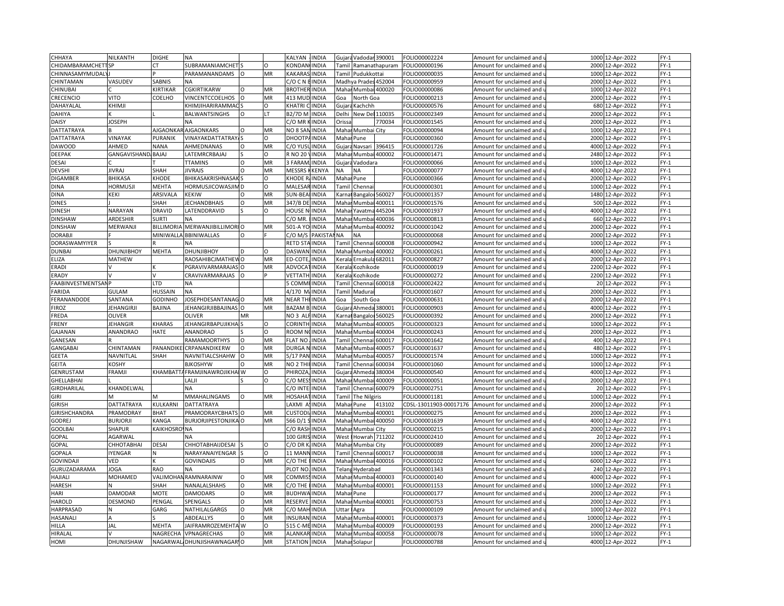| CHHAYA                  | NILKANTH            | <b>DIGHE</b>        | <b>NA</b>                     |          |          | KALYAN               | <b>INDIA</b> |                                                                                                                                                                  | Gujara Vadodar 390001 |                      | FOLIO00002224          | Amount for unclaimed and | 1000 12-Apr-2022    | $FY-1$ |
|-------------------------|---------------------|---------------------|-------------------------------|----------|----------|----------------------|--------------|------------------------------------------------------------------------------------------------------------------------------------------------------------------|-----------------------|----------------------|------------------------|--------------------------|---------------------|--------|
| CHIDAMBARAMCHETTSP      |                     | <b>CT</b>           | SUBRAMANIAMCHET               |          | $\Omega$ | <b>CONDANCINDIA</b>  |              |                                                                                                                                                                  |                       | Tamil Ramanathapuram | FOLIO00000196          | Amount for unclaimed and | 2000 12-Apr-2022    | $FY-1$ |
| <b>CHINNASAMYMUDALY</b> |                     |                     | <b>PARAMANANDAMS</b>          | O        | MR       | KAKARA:              | <b>INDIA</b> |                                                                                                                                                                  | Tamil Pudukkottai     |                      | FOLIO00000035          | Amount for unclaimed and | 1000 12-Apr-2022    | $FY-1$ |
| CHINTAMAN               | VASUDEV             | SABNIS              | <b>NA</b>                     |          |          | C/O C N BINDIA       |              |                                                                                                                                                                  | Madhya Prades 452004  |                      | FOLIO00000959          | Amount for unclaimed and | 2000 12-Apr-2022    | $FY-1$ |
| CHINUBAI                |                     | KIRTIKAR            | <b>CGKIRTIKARW</b>            | O        | MR       | <b>BROTHER INDIA</b> |              |                                                                                                                                                                  | Mahar Mumbai 400020   |                      | FOLIO00000086          | Amount for unclaimed and | 1000 12-Apr-2022    | $FY-1$ |
| CRECENCIO               | <b>VITO</b>         | COELHO              | VINCENTCCOELHOS               | $\Omega$ | MR       | 413 MUD              | <b>INDIA</b> | Goa                                                                                                                                                              | North Goa             |                      | FOLIO00000213          | Amount for unclaimed and | 2000<br>12-Apr-2022 | $FY-1$ |
| DAHAYALAL               | KHIMJI              |                     | KHIMJIHARIRAMMAC              |          | O        | KHATRI               | <b>INDIA</b> | Gujara                                                                                                                                                           | Kachchh               |                      | FOLIO00000576          | Amount for unclaimed and | 680 12-Apr-2022     | $FY-1$ |
|                         |                     |                     |                               | $\Omega$ | LT       | 32/7D M              |              |                                                                                                                                                                  | New Del 110035        |                      |                        |                          | 2000<br>12-Apr-2022 | $FY-1$ |
| DAHIYA                  |                     |                     | BALWANTSINGHS                 |          |          |                      | <b>INDIA</b> | Delhi                                                                                                                                                            |                       |                      | OLIO00002349           | Amount for unclaimed and |                     |        |
| <b>DAISY</b>            | <b>JOSEPH</b>       |                     | NA                            | $\Omega$ |          | C/O MR               | <b>INDIA</b> | Orissa                                                                                                                                                           |                       | 770034               | FOLIO00001545          | Amount for unclaimed and | 2000 12-Apr-2022    | $FY-1$ |
| DATTATRAYA              |                     | AJGAONKA            | <b>AJGAONKARS</b>             |          | MR       | NO 8 SAI             | <b>INDIA</b> |                                                                                                                                                                  | Mahar Mumbai City     |                      | FOLIO00000094          | Amount for unclaimed and | 1000 12-Apr-2022    | $FY-1$ |
| DATTATRAYA              | VINAYAK             | PURANIK             | <b>VINAYAKDATTATRAY</b>       |          | O        | DHOOTP,              | <b>INDIA</b> |                                                                                                                                                                  | Mahar Pune            |                      | OLIO00000360           | Amount for unclaimed and | 2000 12-Apr-2022    | $FY-1$ |
| <b>DAWOOD</b>           | AHMED               | <b>NANA</b>         | AHMEDNANAS                    | $\circ$  | MR       | C/O YUS              | <b>INDIA</b> |                                                                                                                                                                  | Gujara Navsari        | 396415               | FOLIO00001726          | Amount for unclaimed and | 4000 12-Apr-2022    | $FY-1$ |
| DEEPAK                  | GANGAVISHAND, BAJAJ |                     | LATEMRCRBAJAJ                 |          | O        | R NO 20              | <b>INDIA</b> |                                                                                                                                                                  | Mahar Mumbai 400002   |                      | OLIO00001471           | Amount for unclaimed and | 2480 12-Apr-2022    | $FY-1$ |
| DESAI                   |                     |                     | <b>TTAMINS</b>                | O        | MR       | 3 FARAN              | INDIA        | Gujara                                                                                                                                                           | Vadodara              |                      | FOLIO00000066          | Amount for unclaimed and | 1000 12-Apr-2022    | $FY-1$ |
| <b>DEVSHI</b>           | <b>JIVRAJ</b>       | SHAH                | <b>JIVRAJS</b>                | $\Omega$ | MR       | MESSRS               | <b>CENYA</b> | ΝA                                                                                                                                                               | <b>NA</b>             |                      | FOLIO00000077          | Amount for unclaimed and | 4000 12-Apr-2022    | $FY-1$ |
| <b>DIGAMBER</b>         | <b>BHIKASA</b>      | KHODE               | <b>BHIKASAKRISHNASAKS</b>     |          | O        | KHODE F              | <b>INDIA</b> |                                                                                                                                                                  | Mahar Pune            |                      | FOLIO00000366          | Amount for unclaimed and | 2000 12-Apr-2022    | $FY-1$ |
| <b>DINA</b>             | <b>HORMUSJI</b>     | MEHTA               | <b>HORMUSJICOWASJIM D</b>     |          | $\Omega$ | MALESA               | <b>INDIA</b> | Tamil                                                                                                                                                            | Chenna                |                      | FOLIO00000301          | Amount for unclaimed and | 1000 12-Apr-2022    | $FY-1$ |
| <b>DINA</b>             | KEKI                | ARSIVALA            | <b>KEKIW</b>                  | O        | MR       | SUN-BEA              | <b>INDIA</b> | <b>Carna</b>                                                                                                                                                     | Bangalor 560027       |                      | FOLIO00001357          | Amount for unclaimed and | 1480 12-Apr-2022    | $FY-1$ |
| <b>DINES</b>            |                     | SHAH                | <b>JECHANDBHAIS</b>           | $\Omega$ | MR       | 347/BD               | <b>INDIA</b> | Maha                                                                                                                                                             | Mumba                 | 400011               | OLIO00001576           | Amount for unclaimed and | 500<br>12-Apr-2022  | $FY-1$ |
| <b>DINESH</b>           | NARAYAN             | DRAVID              | LATENDDRAVID                  |          | O        | HOUSE N              | <b>INDIA</b> | Mahar                                                                                                                                                            | Yavatma               | 445204               | OLIO00001937           | Amount for unclaimed and | 4000 12-Apr-2022    | $FY-1$ |
| <b>DINSHAW</b>          | ARDESHIR            | <b>SURTI</b>        | <b>NA</b>                     |          |          | C/O MR               | <b>INDIA</b> | Maha                                                                                                                                                             | Mumba                 | 400036               | FOLIO00000813          | Amount for unclaimed and | 660 12-Apr-2022     | $FY-1$ |
| <b>DINSHAW</b>          | MERWANJI            | <b>BILLIMORIA</b>   | MERWANJIBILLIMORI O           |          | MR       | 501-A YO INDIA       |              |                                                                                                                                                                  | Mahar Mumbai 400092   |                      | FOLIO00001042          | Amount for unclaimed and | 2000 12-Apr-2022    | $FY-1$ |
| <b>DORABJI</b>          |                     | MINIWALLA           | <b>BBINIWALLAS</b>            | O        |          | C/O M/S              | PAKIST/      | <b>NA</b>                                                                                                                                                        | <b>NA</b>             |                      | FOLIO00000068          | Amount for unclaimed and | 2000 12-Apr-2022    | $FY-1$ |
| DORASWAMYIYER           |                     |                     | <b>NA</b>                     |          |          | RETD STA             | <b>INDIA</b> | <b>Tamil</b>                                                                                                                                                     | Chennai 600008        |                      | OLIO00000942           | Amount for unclaimed and | 1000 12-Apr-2022    | $FY-1$ |
| <b>DUNBAI</b>           | <b>DHUNJIBHOY</b>   | <b>MEHTA</b>        | <b>DHUNJIBHOY</b>             | D        | $\Omega$ | DASWAN               | <b>INDIA</b> |                                                                                                                                                                  | Mahar Mumbai          | 400002               | FOLIO00000261          | Amount for unclaimed and | 4000 12-Apr-2022    | $FY-1$ |
| ELIZA                   | <b>MATHEW</b>       |                     | RAOSAHIBCJMATHEW              | O        | MR       | ED-COTE,             | <b>INDIA</b> | cerala                                                                                                                                                           |                       | Ernakula 682011      | OLIO00000827           | Amount for unclaimed and | 2000 12-Apr-2022    | $FY-1$ |
| ERADI                   |                     |                     | PGRAVIVARMARAJAS              | $\circ$  | MR       | <b>ADVOCA</b>        | <b>INDIA</b> | Kerala                                                                                                                                                           | Kozhikode             |                      | FOLIO00000019          | Amount for unclaimed and | 2200 12-Apr-2022    | $FY-1$ |
| ERADY                   |                     |                     | CRAVIVARMARAJAS               |          |          | VETTATI              | <b>INDIA</b> | <eral< td=""><td><b>Kozhikode</b></td><td></td><td>OLIO00000272</td><td>Amount for unclaimed and</td><td>2200 12-Apr-2022</td><td><math>FY-1</math></td></eral<> | <b>Kozhikode</b>      |                      | OLIO00000272           | Amount for unclaimed and | 2200 12-Apr-2022    | $FY-1$ |
| FAABINVESTMENTSANP      |                     | LTD                 | NA                            |          |          | <b>COMMEINDIA</b>    |              | Tamil                                                                                                                                                            | Chennai 600018        |                      | FOLIO00002422          | Amount for unclaimed and | 20 12-Apr-2022      | $FY-1$ |
| FARIDA                  | <b>GULAM</b>        | HUSSAIN             | <b>NA</b>                     |          |          | 4/170 M              | <b>INDIA</b> | Tamil                                                                                                                                                            | Madura                |                      | FOLIO00001607          | Amount for unclaimed and | 2000 12-Apr-2022    | $FY-1$ |
| FERANANDODE             | SANTANA             | GODINHO             | JOSEPHDESANTANAGO             |          | MR       | NEAR THI INDIA       |              | Goa                                                                                                                                                              | South Goa             |                      | FOLIO00000631          | Amount for unclaimed and | 2000 12-Apr-2022    | $FY-1$ |
| FIROZ                   | <b>JEHANGIRJI</b>   | BAJINA              | JEHANGIRJIBBAJINAS O          |          | MR       | BAZAM                | <b>INDIA</b> | Gujar                                                                                                                                                            | Ahmeda:               | 380001               | FOLIO00000903          | Amount for unclaimed and | 4000 12-Apr-2022    | $FY-1$ |
| FREDA                   | OLIVER              |                     | <b>OLIVER</b>                 | MR       |          | NO <sub>3</sub> ALF  | <b>INDIA</b> | <b>Karna</b>                                                                                                                                                     | Bangalor              | 560025               | FOLIO00000392          | Amount for unclaimed and | 2000 12-Apr-2022    | $FY-1$ |
| FRENY                   | <b>JEHANGIR</b>     | KHARAS              | JEHANGIRBAPUJIKHA             |          | O        | <b>CORINTI</b>       | <b>INDIA</b> | Mahar                                                                                                                                                            | Mumbai                | 400005               | FOLIO00000323          |                          | 1000 12-Apr-2022    | $FY-1$ |
|                         | ANANDRAO            | <b>HATE</b>         | ANANDRAO                      |          | O        | ROOM N               | <b>INDIA</b> | Maha                                                                                                                                                             |                       | 100004               | FOLIO00000243          | Amount for unclaimed and | 2000 12-Apr-2022    | $FY-1$ |
| <b>GAJANAN</b>          |                     |                     |                               | O        |          |                      |              |                                                                                                                                                                  | Mumbai                |                      |                        | Amount for unclaimed and |                     | $FY-1$ |
| GANESAN                 |                     |                     | <b>RAMAMOORTHYS</b>           |          | MR       | <b>FLAT NO</b>       | <b>INDIA</b> | Tamil                                                                                                                                                            | Chenna                | 600017               | FOLIO00001642          | Amount for unclaimed and | 400 12-Apr-2022     |        |
| GANGABAI                | CHINTAMAN           | PANANDIK            | CRPANANDIKERW                 |          | MR       | DURGA                | <b>INDIA</b> | Maha                                                                                                                                                             | Mumba                 | 100057               | OLIO00001637           | Amount for unclaimed and | 480<br>12-Apr-2022  | $FY-1$ |
| <b>GEETA</b>            | NAVNITLAL           | SHAH                | NAVNITIALCSHAHW               | $\Omega$ | MR       | 5/17 PAN             | <b>INDIA</b> |                                                                                                                                                                  | Mahar Mumbai          | 400057               | FOLIO00001574          | Amount for unclaimed and | 1000 12-Apr-2022    | $FY-1$ |
| <b>GEITA</b>            | KOSHY               |                     | <b>BJKOSHYW</b>               | $\Omega$ | MR       | NO <sub>2</sub> TH   | <b>INDIA</b> | Tamil                                                                                                                                                            | Chennai               | 600034               | OLIO00001060           | Amount for unclaimed and | 1000 12-Apr-2022    | $FY-1$ |
| <b>GENRUSTAM</b>        | FRAMJI              |                     | KHAMBATTA FRAMJINAWROJIKHAI W |          | O        | PHIROZA              | <b>INDIA</b> |                                                                                                                                                                  | Gujara Ahmeda         | 380004               | OLIO00000540           | Amount for unclaimed and | 4000 12-Apr-2022    | $FY-1$ |
| GHELLABHAI              |                     |                     | LALJI                         |          | $\Omega$ | C/O MES              | <b>INDIA</b> |                                                                                                                                                                  | Mahar Mumba           | 400009               | FOLIO00000051          | Amount for unclaimed and | 2000 12-Apr-2022    | $FY-1$ |
| GIRDHARILAL             | KHANDELWAL          |                     | <b>NA</b>                     |          |          | C/O INTE             | <b>INDIA</b> |                                                                                                                                                                  | Tamil Chennai 600079  |                      | OLIO00002751           | Amount for unclaimed and | 20 12-Apr-2022      | $FY-1$ |
| <b>GIRI</b>             | M                   | м                   | MMAHALINGAMS                  | $\Omega$ | MR       | <b>HOSAHA</b>        | <b>INDIA</b> | Tamil                                                                                                                                                            | The Nilgiris          |                      | FOLIO00001181          | Amount for unclaimed and | 1000 12-Apr-2022    | $FY-1$ |
| <b>GIRISH</b>           | <b>DATTATRAYA</b>   | KULKARNI            | <b>DATTATRAYA</b>             |          |          | LAXMI A              | <b>INDIA</b> | Mahar                                                                                                                                                            | Pune                  | 413102               | CDSL-13011903-00017176 | Amount for unclaimed and | 2000 12-Apr-2022    | $FY-1$ |
| GIRISHCHANDRA           | PRAMODRAY           | <b>BHAT</b>         | PRAMODRAYCBHATS O             |          | MR       | CUSTOD               | <b>INDIA</b> | Mahar                                                                                                                                                            | Mumba                 | 400001               | FOLIO00000275          | Amount for unclaimed and | 2000 12-Apr-2022    | $FY-1$ |
| <b>GODREJ</b>           | <b>BURJORJI</b>     | KANGA               | <b>BURJORJIPESTONJIKA O</b>   |          | MR       | 566 D/1              | <b>INDIA</b> | Mahai                                                                                                                                                            | Mumbai                | 400050               | FOLIO00001639          | Amount for unclaimed and | 4000 12-Apr-2022    | $FY-1$ |
| <b>GOOLBAI</b>          | SHAPUR              | <b>KAIKHOSROVNA</b> |                               |          |          | C/O RASH             | <b>INDIA</b> | Mahar                                                                                                                                                            | Mumbai City           |                      | FOLIO00000215          | Amount for unclaimed and | 2000 12-Apr-2022    | $FY-1$ |
| GOPAL                   | AGARWAL             |                     | <b>NA</b>                     |          |          | 100 GIRI             | <b>INDIA</b> | West                                                                                                                                                             | Howrah 711202         |                      | OLIO00002410           | Amount for unclaimed and | 20 12-Apr-2022      | $FY-1$ |
| GOPAL                   | <b>СННОТАВНАІ</b>   | <b>DESAI</b>        | CHHOTABHAIJDESAI              |          | O        | $C/O$ DR             | <b>INDIA</b> |                                                                                                                                                                  | Mahar Mumbai City     |                      | OLIO00000089           | Amount for unclaimed and | 2000 12-Apr-2022    | $FY-1$ |
| GOPALA                  | <b>IYENGAR</b>      | N                   | NARAYANAIYENGAR               |          | $\Omega$ | 11 MANI              | <b>INDIA</b> | Tamil                                                                                                                                                            | Chennai 600017        |                      | FOLIO00000038          | Amount for unclaimed and | 1000 12-Apr-2022    | $FY-1$ |
| <b>GOVINDAJI</b>        | VED                 |                     | <b>GOVINDAJIS</b>             | O        | MR       | C/O THE              | <b>INDIA</b> | Mahai                                                                                                                                                            |                       | Mumbai 400016        | OLIO00000102           | Amount for unclaimed and | 6000 12-Apr-2022    | $FY-1$ |
| GURUZADARAMA            | <b>JOGA</b>         | <b>RAO</b>          | <b>NA</b>                     |          |          | PLOT NO              | <b>INDIA</b> | Telang                                                                                                                                                           | Hyderabad             |                      | FOLIO00001343          | Amount for unclaimed and | 240 12-Apr-2022     | $FY-1$ |
| HAJIALI                 | MOHAMED             |                     | VALIMOHAN RAMNARAINW          | $\Omega$ | MR       | COMMIS               | <b>INDIA</b> | Mahai                                                                                                                                                            |                       | Mumbai 400003        | FOLIO00000140          | Amount for unclaimed and | 4000 12-Apr-2022    | $FY-1$ |
| <b>HARESH</b>           |                     | SHAH                | NANALALSHAHS                  | $\circ$  | MR       | C/O THE              | <b>INDIA</b> | Mahar                                                                                                                                                            | Mumbai                | 400001               | FOLIO00001153          | Amount for unclaimed and | 1000 12-Apr-2022    | $FY-1$ |
| HARI                    | DAMODAR             | <b>MOTE</b>         | <b>DAMODARS</b>               | O        | MR       | <b>BUDHW</b>         | <b>INDIA</b> | Maha                                                                                                                                                             | Pune                  |                      | OLIO00000177           | Amount for unclaimed and | 2000<br>12-Apr-2022 | $FY-1$ |
| <b>HAROLD</b>           | <b>DESMOND</b>      | PENGAI              | SPENGALS                      | O        | MR       | RESERVE              | <b>INDIA</b> |                                                                                                                                                                  | Mahar Mumbai          | 400001               | FOLIO00000753          | Amount for unclaimed and | 2000 12-Apr-2022    | $FY-1$ |
| <b>HARPRASAD</b>        |                     | GARG                | NATHILALGARGS                 | $\Omega$ | MR       | C/O MAI              | <b>INDIA</b> | Jttar                                                                                                                                                            |                       |                      | OLIO00000109           |                          | 1000 12-Apr-2022    | $FY-1$ |
|                         |                     |                     |                               | $\Omega$ | MR       | <b>INSURAN</b>       |              |                                                                                                                                                                  | Agra                  |                      |                        | Amount for unclaimed and |                     |        |
| HASANALI                |                     |                     | ABDEALLYS                     |          | $\Omega$ |                      | <b>INDIA</b> |                                                                                                                                                                  | Mahar Mumbai 400001   |                      | OLIO00000373           | Amount for unclaimed and | 10000 12-Apr-2022   | $FY-1$ |
| HILLA                   | JAL                 | MEHTA               | JAIFRAMROZEMEHTA W            |          |          | 515 C-M              | <b>INDIA</b> | Maha                                                                                                                                                             | Mumba                 | 400009               | OLIO00000193           | Amount for unclaimed and | 12-Apr-2022<br>2000 | $FY-1$ |
| HIRALAL                 |                     | NAGRECHA            | VPNAGRECHAS                   | $\Omega$ | MR       | <b>ALANKAR INDIA</b> |              |                                                                                                                                                                  | Mahar Mumbai          | 400058               | FOLIO00000078          | Amount for unclaimed and | 1000 12-Apr-2022    | $FY-1$ |
| HOMI                    | <b>DHUNJISHAW</b>   |                     | NAGARWALI DHUNJISHAWNAGAR'O   |          | MR       | <b>STATION INDIA</b> |              |                                                                                                                                                                  | Mahar Solapur         |                      | FOLIO00000788          | Amount for unclaimed and | 4000 12-Apr-2022    | $FY-1$ |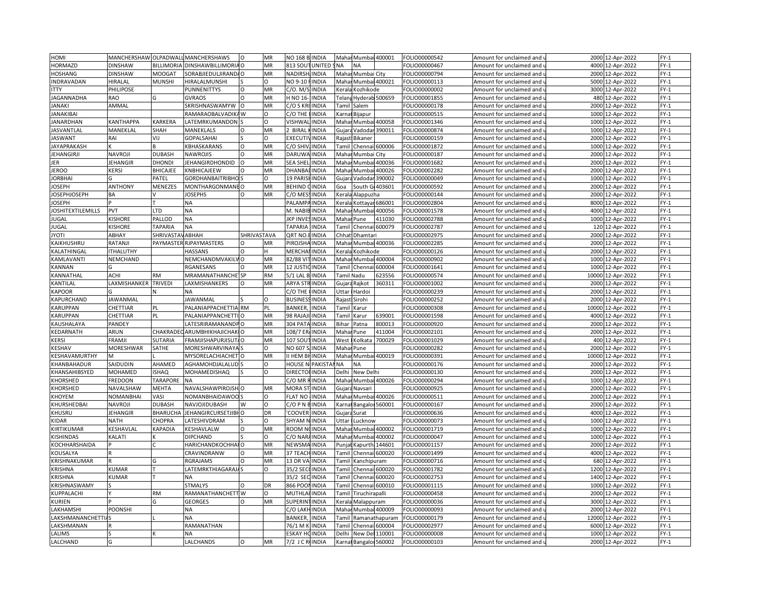| HOMI                     | MANCHERSHAW OLPADWALI |                       | <b>MANCHERSHAWS</b>       | $\circ$     | MR        | NO 168 B INDIA                    |              | Mahar Mumbai 400001    |                      | FOLIO00000542 | Amount for unclaimed and                          | 2000  | 12-Apr-2022       | $FY-1$ |
|--------------------------|-----------------------|-----------------------|---------------------------|-------------|-----------|-----------------------------------|--------------|------------------------|----------------------|---------------|---------------------------------------------------|-------|-------------------|--------|
| <b>HORMAZD</b>           | DINSHAW               | BILLIMORIA            | DINSHAWBILLIMORIA O       |             | MR        | <b>UNITED</b><br>813 SOUT         | <b>NA</b>    | <b>NA</b>              |                      | OLIO00000467  | Amount for unclaimed and u                        |       | 4000 12-Apr-2022  | $FY-1$ |
| <b>HOSHANG</b>           | <b>DINSHAW</b>        | <b>MOOGAT</b>         | SORABJIEDULJIRANDA O      |             | MR        | <b>NADIRSH</b><br><b>INDIA</b>    |              | Mahar Mumbai City      |                      | FOLIO00000794 | Amount for unclaimed and i                        |       | 2000 12-Apr-2022  | $FY-1$ |
| INDRAVADAN               | HIRALAL               | <b>MUNSHI</b>         | HIRALALMUNSHI             |             | O         | NO 9-10 F<br><b>INDIA</b>         | Mahar        | Mumbai 400021          |                      | FOLIO00000113 | Amount for unclaimed and u                        | 5000  | 12-Apr-2022       | $FY-1$ |
| <b>ITTY</b>              | PHILIPOSE             |                       | PUNNENITTYS               | $\circ$     | MR        | C/O. M/S<br><b>INDIA</b>          | Kerala       | Kozhikode              |                      | FOLIO00000002 | Amount for unclaimed and                          | 3000  | 12-Apr-2022       | $FY-1$ |
| JAGANNADHA               | RAO                   |                       | <b>GVRAOS</b>             | $\Omega$    | MR        | H NO 16-<br><b>INDIA</b>          | Telan        |                        | Hyderab 500659       | FOLIO00001855 | Amount for unclaimed and                          | 480   | 12-Apr-2022       | $FY-1$ |
| JANAKI                   | AMMAL                 |                       | SKRISHNASWAMYW            | $\circ$     | MR        | C/O S KRI<br><b>INDIA</b>         | Tamil        | Salem                  |                      | FOLIO00000178 | Amount for unclaimed and                          |       | 2000 12-Apr-2022  | $FY-1$ |
| <b>JANAKIBAI</b>         |                       |                       | RAMARAOBALVADIK           | W           | $\Omega$  | C/O THE<br><b>INDIA</b>           | Karna        | Bijapur                |                      | FOLIO00000515 | Amount for unclaimed and                          | 1000  | 12-Apr-2022       | $FY-1$ |
| JANARDHAN                | <b>CANTHAPPA</b>      | <b><i>KARKERA</i></b> | ATEMRKUMANDON             |             | O         | <b>VISHWA</b><br><b>INDIA</b>     |              | Mahar Mumbai           | 400058               | OLIO00001346  | Amount for unclaimed and $\overline{\phantom{a}}$ | 1000  | 12-Apr-2022       | $FY-1$ |
| <b>JASVANTLAL</b>        | MANEKLAL              | SHAH                  | MANEKLALS                 | $\Omega$    | MR        | 2 BIRAI<br><b>INDIA</b>           | Gujara       | Vadodar                | 390011               | FOLIO00000874 | Amount for unclaimed and                          | 1000  | 12-Apr-2022       | $FY-1$ |
| <b>JASWANT</b>           | RAI                   | VIJ                   | <b>GOPALSAHAI</b>         |             | O         | <b>EXECUTI</b><br><b>INDIA</b>    |              | Rajast Bikaner         |                      | OLIO00000159  |                                                   | 2000  | 12-Apr-2022       | $FY-1$ |
|                          |                       |                       |                           |             | MR        | C/O SHI<br><b>INDIA</b>           |              |                        |                      |               | Amount for unclaimed and u                        |       |                   |        |
| <b>JAYAPRAKASH</b>       |                       |                       | <b>CBHASKARANS</b>        | O           |           |                                   | Tamil        | Chennai 600006         |                      | FOLIO00001872 | Amount for unclaimed and                          | 1000  | 12-Apr-2022       | $FY-1$ |
| <b>JEHANGIRJI</b>        | NAVROJI               | DUBASH                | <b>VAWROJIS</b>           | $\Omega$    | MR        | <b>DARUWA</b><br><b>INDIA</b>     |              | Mahar Mumbai City      |                      | OLIO00000187  | Amount for unclaimed and u                        | 2000  | 12-Apr-2022       | $FY-1$ |
| JER                      | <b>JEHANGIR</b>       | DHONDI                | <b>IEHANGIRDHONDID</b>    | $\Omega$    | MR        | <b>SEA SHE</b><br>INDIA           | Maha         | Mumbai                 | 400036               | FOLIO00001682 | Amount for unclaimed and                          | 2000  | 12-Apr-2022       | $FY-1$ |
| <b>JEROO</b>             | KERSI                 | BHICAJEE              | <b>KNBHICAJEEW</b>        |             | MR        | <b>DHANBA</b><br><b>INDIA</b>     | Maha         | Mumbai                 | 400026               | FOLIO00002282 | Amount for unclaimed and i                        |       | 2000 12-Apr-2022  | $FY-1$ |
| <b>JORBHAI</b>           |                       | PATEL                 | <b>GORDHANBAITRIBHO</b>   |             | $\Omega$  | 19 PARIS<br><b>INDIA</b>          | Gujara       | Vadodar                | 390002               | FOLIO00000049 | Amount for unclaimed and                          |       | 1000 12-Apr-2022  | $FY-1$ |
| <b>JOSEPH</b>            | <b>ANTHONY</b>        | MENEZES               | <b>MONTHARGONMANEO</b>    |             | MR        | <b>BEHIND</b><br>INDIA            | Goa          | South Gr               | 403601               | OLIO00000592  | Amount for unclaimed and                          | 2000  | 12-Apr-2022       | $FY-1$ |
| <b>JOSEPHJOSEPH</b>      | ΒA                    |                       | <b>IOSEPHS</b>            | O           | MR        | C/O ME<br>INDIA                   | Kerala       | Alappuzha              |                      | OLIO00000144  | Amount for unclaimed and $\,$                     |       | 2000 12-Apr-2022  | $FY-1$ |
| <b>JOSEPH</b>            |                       |                       | NA                        |             |           | PALAMI<br>INDIA                   | Keral        |                        | Kottayar 686001      | OLIO00002804  | Amount for unclaimed and                          | 8000  | 12-Apr-2022       | $FY-1$ |
| <b>JOSHITEXTILEMILLS</b> | PVT                   | LTD                   | <b>ΝA</b>                 |             |           | M. NABIBINDIA                     |              | Mahar Mumbai           | 400056               | OLIO00001578  | Amount for unclaimed and u                        |       | 4000 12-Apr-2022  | $FY-1$ |
| <b>JUGAL</b>             | <b>KISHORE</b>        | PALLOD                | ΝA                        |             |           | <b>INDIA</b><br><b>JKP INVE</b>   |              | Mahar Pune             | 411030               | FOLIO00002788 | Amount for unclaimed and                          | 1000  | 12-Apr-2022       | $FY-1$ |
| <b>JUGAL</b>             | <b>KISHORE</b>        | <b>TAPARIA</b>        | NА                        |             |           | <b>TAPARIA</b><br>INDIA           | Tamil        |                        | Chennai 600079       | OLIO00002787  | Amount for unclaimed and i                        |       | 120 12-Apr-2022   | $FY-1$ |
| <b>JYOTI</b>             | ABHAY                 | <b>SHRIVASTA</b>      | ABHAH                     | SHRIVASTAVA |           | QRT NO<br><b>INDIA</b>            | Chhat        | Dhamtar                |                      | FOLIO00002975 | Amount for unclaimed and                          | 2000  | 12-Apr-2022       | $FY-1$ |
| KAIKHUSHRU               | RATANJI               | PAYMASTE              | RJPAYMASTERS              |             | MR        | PIROJSH<br><b>INDIA</b>           | Mahai        |                        | Mumbai 400036        | OLIO00002285  | Amount for unclaimed and                          |       | 2000 12-Apr-2022  | $FY-1$ |
| KALATHINGAI              | <b>THALUTHY</b>       |                       | <b>HASSANS</b>            | $\Omega$    | н         | <b>MERCHA</b><br><b>INDIA</b>     | Kerala       | Kozhikode              |                      | OLIO00000126  | Amount for unclaimed and                          |       | 2000 12-Apr-2022  | $FY-1$ |
| KAMLAVANTI               | NEMCHAND              |                       | <b>NEMCHANDMVAKIL</b>     |             | MR        | 32/88 VI<br>INDIA                 | Mahar        |                        | Mumbai 400004        | OLIO00000902  | Amount for unclaimed and                          | 1000  | 12-Apr-2022       | $FY-1$ |
| KANNAN                   |                       |                       | <b>RGANESANS</b>          | $\Omega$    | MR        | 12 JUSTI<br><b>INDIA</b>          |              | Tamil Chennai 600004   |                      | OLIO00001641  | Amount for unclaimed and $\,$                     |       | 1000 12-Apr-2022  | $FY-1$ |
| KANNATHAL                | <b>ACHI</b>           | <b>RM</b>             | <b>VIRAMANATHANCHE</b> SP |             | <b>RM</b> | $5/1$ LAL<br><b>INDIA</b>         |              | Tamil Nadu             | 623556               | OLIO00000574  | Amount for unclaimed and                          | 10000 | 12-Apr-2022       | $FY-1$ |
| KANTILAL                 | LAXMISHANKER          | <b>TRIVEDI</b>        | <b>AXMISHANKERS</b>       | $\mathsf O$ | MR        | <b>ARYA STF</b><br><b>INDIA</b>   |              | Gujara Rajkot          | 360311               | OLIO00001002  | Amount for unclaimed and u                        |       | 2000 12-Apr-2022  | $FY-1$ |
| <b>KAPOOR</b>            |                       |                       | <b>NA</b>                 |             |           | C/O THE<br><b>INDIA</b>           | Uttar        | Hardoi                 |                      | FOLIO00000239 | Amount for unclaimed and                          | 2000  | 12-Apr-2022       | $FY-1$ |
| KAPURCHAND               | JAWANMAL              |                       | <b>JAWANMAL</b>           |             | $\circ$   | <b>BUSINES</b><br><b>INDIA</b>    |              | Rajast Sirohi          |                      | FOLIO00000252 | Amount for unclaimed and i                        |       | 2000 12-Apr-2022  | $FY-1$ |
| KARUPPAN                 | CHETTIAR              | PL                    | PALANIAPPACHETTIA RM      |             | PL        | <b>BANKER</b><br><b>INDIA</b>     | Tamil        | Karur                  |                      | FOLIO00000308 | Amount for unclaimed and                          | 10000 | 12-Apr-2022       | $FY-1$ |
| KARUPPAN                 | CHETTIAR              | PL                    | PALANIAPPANCHETTI         |             | MR        | 98 RAJAJI<br><b>INDIA</b>         | Tamil        | Karur                  | 639001               | FOLIO00001598 | Amount for unclaimed and                          | 4000  | 12-Apr-2022       | $FY-1$ |
| KAUSHALAYA               | PANDEY                |                       | LATESRIRAMANANDPO         |             | MR        | 304 PAT/<br><b>INDIA</b>          | Bihar        | Patna                  | 300013               | FOLIO00000920 | Amount for unclaimed and                          |       | 2000 12-Apr-2022  | $FY-1$ |
| KEDARNATH                | ARUN                  | CHAKRADI              | ARUMBHIKHAJICHAKIO        |             | <b>MR</b> | 108/7 EF<br><b>INDIA</b>          | Maha         | Pune                   | 111004               | OLIO00002101  | Amount for unclaimed and                          |       | 2000 12-Apr-2022  | $FY-1$ |
| <b>KERSI</b>             | FRAMJI                | <b>SUTARIA</b>        | FRAMJISHAPURJISUT/O       |             | MR        | 107 SOU<br><b>INDIA</b>           | West         | Kolkata                | 700029               | OLIO00001029  | Amount for unclaimed and $\overline{\phantom{a}}$ |       | 400 12-Apr-2022   | $FY-1$ |
| KESHAV                   | <b>MORESHWAR</b>      | SATHE                 | <b>MORESHWARVINAY</b>     |             | $\Omega$  | INDIA<br>NO 607                   | Maha         | Pune                   |                      | OLIO00000282  | Amount for unclaimed and                          | 2000  | 12-Apr-2022       | $FY-1$ |
| KESHAVAMURTHY            | <b>M</b>              |                       | <b>MYSORELACHIACHET</b>   |             | MR        | II HEM BI<br><b>INDIA</b>         |              | Mahar Mumbai 400019    |                      | OLIO00000391  |                                                   |       | 10000 12-Apr-2022 | $FY-1$ |
| KHANBAHADUR              | SAIDUDIN              | AHAMED                | AGHAMOHDJALALUD           |             | $\circ$   | <b>HOUSE</b><br>PAKIST/           | <b>NA</b>    | <b>NA</b>              |                      |               | Amount for unclaimed and u                        | 2000  | 12-Apr-2022       | $FY-1$ |
| KHANSAHIBSYED            |                       | SHAQ                  | MOHAMEDISHAQ              |             | $\Omega$  | <b>DIRECTORINDIA</b>              |              |                        |                      | OLIO00000176  | Amount for unclaimed and                          |       |                   |        |
|                          | MOHAMED               |                       |                           |             |           |                                   |              | Delhi New Delhi        |                      | FOLIO00000130 | Amount for unclaimed and u                        |       | 2000 12-Apr-2022  | $FY-1$ |
| KHORSHED                 | <b>FREDOON</b>        | TARAPORE              | NA                        |             |           | C/O MR<br>INDIA                   | Mahar        | Mumbai                 | 400026               | FOLIO00000294 | Amount for unclaimed and                          | 1000  | 12-Apr-2022       | $FY-1$ |
| KHORSHED                 | NAVALSHAW             | MEHTA                 | <b>NAVALSHAWPIROJSH</b>   |             | MR        | <b>MORA ST</b><br><b>INDIA</b>    | Gujar        | Navsari                |                      | OLIO00000925  | Amount for unclaimed and u                        | 2000  | 12-Apr-2022       | $FY-1$ |
| KHOYEM                   | NOMANBHAI             | VASI                  | NOMANBHAIDAWOO            |             | $\circ$   | <b>FLAT NO</b><br><b>INDIA</b>    | Mahar        | Mumbai                 | 400026               | FOLIO00000511 | Amount for unclaimed and i                        | 2000  | 12-Apr-2022       | $FY-1$ |
| KHURSHEDBAI              | NAVROJI               | <b>DUBASH</b>         | NAVJOJIDUBASH             | W           | $\circ$   | C/O P N<br><b>INDIA</b>           | Karna        | Bangalor               | 560001               | OLIO00000167  | Amount for unclaimed and                          | 2000  | 12-Apr-2022       | $FY-1$ |
| KHUSRU                   | <b>IEHANGIR</b>       | <b>BHARUCH</b>        | JEHANGIRCURSETJIBH O      |             | DR        | 'COOVEF<br>INDIA                  | Gujara       | Surat                  |                      | OLIO00000636  | Amount for unclaimed and $\,$                     |       | 4000 12-Apr-2022  | $FY-1$ |
| KIDAR                    | NATH                  | CHOPRA                | ATESHIVDRAM               |             | $\Omega$  | SHYAM<br><b>INDIA</b>             | Uttar        | Lucknow                |                      | FOLIO00000073 | Amount for unclaimed and                          | 1000  | 12-Apr-2022       | $FY-1$ |
| KIRTIKUMAR               | KESHAVLAL             | <b><i>APADIA</i></b>  | <b><i>CESHAVLALW</i></b>  | $\circ$     | MR        | ROOM <sub>N</sub><br><b>INDIA</b> |              | Mahai Mumbai 400002    |                      | OLIO00001719  | Amount for unclaimed and $\iota$                  |       | 1000 12-Apr-2022  | $FY-1$ |
| <b>KISHINDAS</b>         | KALATI                |                       | <b>DIPCHAND</b>           |             | O         | C/O NAR<br><b>INDIA</b>           |              | Mahar Mumbai           | 400002               | OLIO00000047  | Amount for unclaimed and                          | 1000  | 12-Apr-2022       | $FY-1$ |
| KOCHHARSHAIDA            |                       |                       | <b>HARICHANDKOCHHAIO</b>  |             | MR        | <b>NEWSMA</b><br><b>INDIA</b>     | Punjal       | Kapurth                | 144601               | OLIO00001157  | Amount for unclaimed and u                        |       | 2000 12-Apr-2022  | $FY-1$ |
| KOUSALYA                 |                       |                       | CRAVINDRANW               | $\circ$     | MR        | 37 TEAC<br><b>INDIA</b>           | Tamil        | Chennai 600020         |                      | OLIO00001499  | Amount for unclaimed and                          | 4000  | 12-Apr-2022       | $FY-1$ |
| KRISHNAKUMAR             |                       |                       | <b>GRAJAMS</b>            |             | MR        | 13 DR VA<br><b>INDIA</b>          | <b>Tamil</b> | Kanchipuram            |                      | OLIO00000716  | Amount for unclaimed and u                        | 680   | 12-Apr-2022       | $FY-1$ |
| <b>KRISHNA</b>           | <b>KUMAR</b>          |                       | ATEMRKTHIAGARAJ.          |             | O         | 35/2 SEC<br><b>INDIA</b>          | Tamil        | Chennai                | 600020               | FOLIO00001782 | Amount for unclaimed and i                        | 1200  | 12-Apr-2022       | $FY-1$ |
| <b>KRISHNA</b>           | <b>KUMAR</b>          |                       | NA                        |             |           | 35/2 SE<br>INDIA                  | Tamil        | Chennai                | 600020               | FOLIO00002753 | Amount for unclaimed and i                        |       | 1400 12-Apr-2022  | $FY-1$ |
| KRISHNASWAMY             |                       |                       | <b>STMALYS</b>            | $\Omega$    | DR        | 866 POO<br>INDIA                  | Tami         |                        | Chennai 600010       | OLIO00001115  | Amount for unclaimed and                          | 1000  | 12-Apr-2022       | $FY-1$ |
| KUPPALACHI               |                       | <b>RM</b>             | RAMANATHANCHETT W         |             | $\Omega$  | <b>MUTHLA</b><br>INDIA            | Tami         | <b>Firuchirapalli</b>  |                      | OLIO00000458  | Amount for unclaimed and                          | 2000  | 12-Apr-2022       | $FY-1$ |
| <b>KURIEN</b>            |                       |                       | GEORGES                   | O           | MR        | <b>SUPERIN</b><br><b>INDIA</b>    | Kerala       | Malappuram             |                      | OLIO00000036  | Amount for unclaimed and $\,$                     |       | 3000 12-Apr-2022  | $FY-1$ |
| LAKHAMSHI                | POONSHI               |                       | NA                        |             |           | C/O LAK<br><b>INDIA</b>           | Maha         |                        | Mumbai 400009        | FOLIO00000093 | Amount for unclaimed and                          | 2000  | 12-Apr-2022       | $FY-1$ |
| LAKSHMANANCHETTI/        |                       |                       | NA                        |             |           | <b>BANKER</b><br><b>INDIA</b>     |              |                        | Tamil Ramanathapuram | OLIO00000179  | Amount for unclaimed and i                        |       | 12000 12-Apr-2022 | $FY-1$ |
| LAKSHMANAN               |                       |                       | RAMANATHAN                |             |           | 76/1 M<br>INDIA                   | Tami         | Chennai                | 600004               | OLIO00002977  | Amount for unclaimed and                          | 6000  | 12-Apr-2022       | $FY-1$ |
| LALIMS                   |                       |                       | NД                        |             |           | <b>ESKAY HOINDIA</b>              | Delhi        | New Del                | 110001               | OLIO00000008  | Amount for unclaimed and u                        |       | 1000 12-Apr-2022  | $FY-1$ |
| LALCHAND                 | G                     |                       | LALCHANDS                 | O           | MR        | 7/2 J C RUNDIA                    |              | Karnal Bangalor 560002 |                      | FOLIO00000103 | Amount for unclaimed and (                        |       | 2000 12-Apr-2022  | $FY-1$ |
|                          |                       |                       |                           |             |           |                                   |              |                        |                      |               |                                                   |       |                   |        |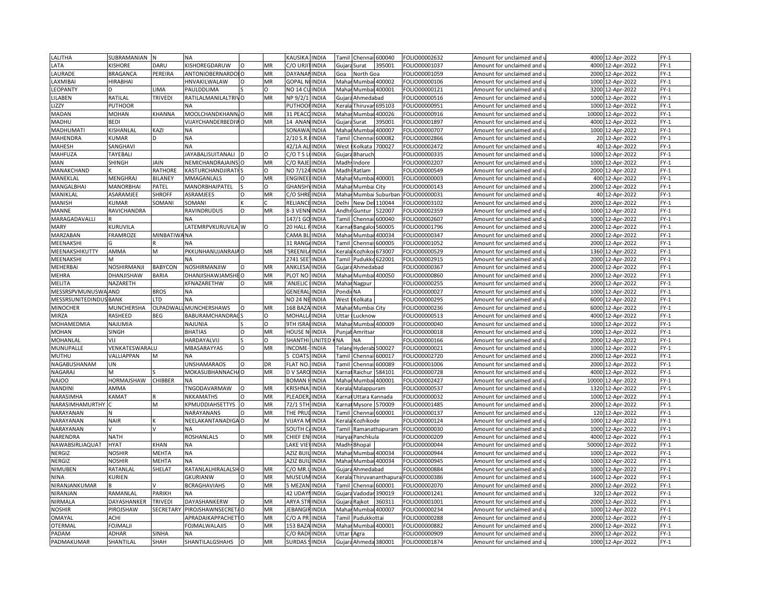| LALITHA                       | SUBRAMANIAN     | <b>N</b>           | <b>NA</b>              |           |    | KAUSIKA               | <b>INDIA</b>  | Tami                                                                                                                                                                          | Chennai 600040             |                   | FOLIO00002632 | Amount for unclaimed and   | 4000  | 12-Apr-2022       | $FY-1$ |
|-------------------------------|-----------------|--------------------|------------------------|-----------|----|-----------------------|---------------|-------------------------------------------------------------------------------------------------------------------------------------------------------------------------------|----------------------------|-------------------|---------------|----------------------------|-------|-------------------|--------|
| LATA                          | <b>ISHORE</b>   | DARU               | KISHOREGDARUW          | $\Omega$  | MR | c/o urji              | <b>INDIA</b>  |                                                                                                                                                                               | Gujara Surat               | 395001            | FOLIO00001037 | Amount for unclaimed and u |       | 4000 12-Apr-2022  | $FY-1$ |
| LAURADE                       | BRAGANCA        | PEREIRA            | ANTONIOBERNARDOI O     |           | MR | <b>DAYANAM</b>        | <b>INDIA</b>  | Goa                                                                                                                                                                           | North Goa                  |                   | FOLIO00001059 | Amount for unclaimed and   |       | 2000 12-Apr-2022  | $FY-1$ |
| LAXMIBAI                      | HIRABHAI        |                    | HNVAKILWALAW           | $\Omega$  | MR | <b>GOPAL NI INDIA</b> |               | Mahar                                                                                                                                                                         | Mumbai 400002              |                   | FOLIO00000106 | Amount for unclaimed and u | 1000  | 12-Apr-2022       | $FY-1$ |
| LEOPANTY                      |                 | LIMA               | PAULDDLIMA             |           | O  | NO 14 CL              | <b>INDIA</b>  | Mahar                                                                                                                                                                         | Mumbai 400001              |                   | FOLIO00000121 | Amount for unclaimed and   | 3200  | 12-Apr-2022       | $FY-1$ |
| LILABEN                       | RATILAL         | TRIVEDI            | RATILALMANILALTRIVO    |           | MR | NP 9/2/1              | <b>INDIA</b>  | Gujar                                                                                                                                                                         | Ahmedabad                  |                   | FOLIO00000516 | Amount for unclaimed and   | 1000  | 12-Apr-2022       | $FY-1$ |
| LIZZY                         | <b>PUTHOOR</b>  |                    | NA                     |           |    | PUTHOO                | <b>INDIA</b>  | Kerala                                                                                                                                                                        | Thiruvar <sub>695103</sub> |                   | FOLIO00000951 | Amount for unclaimed and   |       | 1000 12-Apr-2022  | $FY-1$ |
|                               | <b>MOHAN</b>    | KHANNA             | MOOLCHANDKHANN, O      |           | MR | 31 PEAC               |               |                                                                                                                                                                               |                            | 400026            |               |                            |       |                   | $FY-1$ |
| MADAN                         |                 |                    |                        |           |    |                       | <b>INDIA</b>  | Maha                                                                                                                                                                          | Mumb                       |                   | FOLIO00000916 | Amount for unclaimed and   | 10000 | 12-Apr-2022       |        |
| MADHU                         | <b>BEDI</b>     |                    | VIJAYCHANDERBEDIVO     |           | MR | 14 ANAN INDIA         |               | Gujara                                                                                                                                                                        | Surat                      | 395001            | FOLIO00001897 | Amount for unclaimed and   |       | 4000 12-Apr-2022  | $FY-1$ |
| MADHUMATI                     | KISHANLAL       | KAZI               | <b>NA</b>              |           |    | SONAW/                | <b>INDIA</b>  | Maha                                                                                                                                                                          | Mumb                       | 400007            | FOLIO00000707 | Amount for unclaimed and   | 1000  | 12-Apr-2022       | $FY-1$ |
| MAHENDRA                      | <b>UMAR</b>     | D                  | <b>NA</b>              |           |    | 2/10 S.R              | <b>INDIA</b>  | Tamil                                                                                                                                                                         | Chenna                     | 500082            | FOLIO00002866 | Amount for unclaimed and u |       | 20 12-Apr-2022    | $FY-1$ |
| <b>MAHESH</b>                 | SANGHAVI        |                    | <b>NA</b>              |           |    | 42/1A AI              | <b>INDIA</b>  | West                                                                                                                                                                          | Kolkata                    | 700027            | FOLIO00002472 | Amount for unclaimed and   |       | 40 12-Apr-2022    | $FY-1$ |
| MAHFUZA                       | TAYEBALI        |                    | AYABALISUITANALI       |           | O  | $2/0$ T S L           | <b>INDIA</b>  |                                                                                                                                                                               | Gujara Bharuch             |                   | FOLIO00000335 | Amount for unclaimed and u |       | 1000 12-Apr-2022  | $FY-1$ |
| <b>MAN</b>                    | SHINGH          | <b>JAIN</b>        | NEMICHANDRAJAINS O     |           | MR | C/O RAJ               | <b>INDIA</b>  | Madh                                                                                                                                                                          | Indore                     |                   | FOLIO00002207 | Amount for unclaimed and   | 1000  | 12-Apr-2022       | $FY-1$ |
| MANAKCHAND                    |                 | RATHORE            | KASTURCHANDJIRATI      |           | Ω  | NO 7/12               | <b>INDIA</b>  | Madh                                                                                                                                                                          | Ratlam                     |                   | FOLIO00000549 | Amount for unclaimed and   |       | 2000 12-Apr-2022  | $FY-1$ |
| MANEKLAL                      | MENGHRAJ        | BILANEY            | MMAGANLALS             | $\Omega$  | MR | <b>ENGINEE</b>        | <b>INDIA</b>  | Mahar                                                                                                                                                                         | Mumbai 400001              |                   | FOLIO00000003 | Amount for unclaimed and   |       | 400 12-Apr-2022   | $FY-1$ |
| MANGALBHAI                    | MANORBHAI       | PATEL              | MANORBHAIPATEL         |           | O  | <b>GHANSH</b>         | <b>INDIA</b>  | Mahar                                                                                                                                                                         | Mumbai City                |                   | FOLIO00000143 | Amount for unclaimed and   |       | 2000 12-Apr-2022  | $FY-1$ |
| MANIKLAL                      | ASARAMJEE       | <b>SHROFF</b>      | ASRAMJEES              | $\circ$   | MR | C/O SHRE              | <b>INDIA</b>  | Mahar                                                                                                                                                                         |                            | Mumbai Suburban   | FOLIO00000031 | Amount for unclaimed and   |       | 40 12-Apr-2022    | $FY-1$ |
| <b>MANISH</b>                 | <b>CUMAR</b>    | SOMANI             | SOMANI                 |           |    | RELIAN                | <b>INDIA</b>  | Delhi                                                                                                                                                                         | New Del:                   | 110044            | FOLIO00003102 | Amount for unclaimed and   | 2000  | 12-Apr-2022       | $FY-1$ |
| MANNE                         | RAVICHANDRA     |                    | RAVINDRUDUS            | $\circ$   | MR | 8-3 VENN INDIA        |               |                                                                                                                                                                               | Andhr Guntur               | 522007            | FOLIO00002359 | Amount for unclaimed and u |       | 1000 12-Apr-2022  | $FY-1$ |
| MARAGADAVALLI                 |                 |                    | <b>NA</b>              |           |    | 147/1 GC              | <b>INDIA</b>  | Tamil                                                                                                                                                                         | Chenna                     | 600040            | FOLIO00002607 | Amount for unclaimed and   | 1000  | 12-Apr-2022       | $FY-1$ |
| <b>MARY</b>                   | <b>CURUVILA</b> |                    | LATEMRPVKURUVILA W     |           | O  | 20 HALL I             | <b>INDIA</b>  |                                                                                                                                                                               | Karnal Bangaloi 560005     |                   | FOLIO00001796 | Amount for unclaimed and u |       | 2000 12-Apr-2022  | $FY-1$ |
| <b>MARZABAN</b>               | <b>FRAMROZE</b> | <b>MINBATIWANA</b> |                        |           |    | CAMA BI               | <b>INDIA</b>  |                                                                                                                                                                               | Mahar Mumbai 400034        |                   | FOLIO00000347 | Amount for unclaimed and   |       | 2000 12-Apr-2022  | $FY-1$ |
| MEENAKSHI                     |                 |                    | <b>NA</b>              |           |    | 31 RANG               | <b>INDIA</b>  | Tamil                                                                                                                                                                         | Chennai                    | 500005            | FOLIO00001052 | Amount for unclaimed and   |       | 2000 12-Apr-2022  | $FY-1$ |
|                               |                 | M                  |                        |           |    |                       |               |                                                                                                                                                                               |                            |                   |               |                            |       |                   |        |
| MEENAKSHIKUTTY                | AMMA            |                    | PKKUNHANUJANRAJA O     |           | MR | SREENIL               | <b>INDIA</b>  | Kerala                                                                                                                                                                        | Kozhiko 673007             |                   | FOLIO00000529 | Amount for unclaimed and   |       | 1360 12-Apr-2022  | $FY-1$ |
| MEENAKSHI                     |                 |                    |                        |           |    | 2741 SEE              | <b>INDIA</b>  | <b>Tamil</b>                                                                                                                                                                  | Pudukko 622001             |                   | FOLIO00002915 | Amount for unclaimed and   |       | 2000 12-Apr-2022  | $FY-1$ |
| MEHERBAI                      | NOSHIRMANJI     | <b>BABYCON</b>     | NOSHIRMANJIW           | $\circ$   | MR | ANKLESA               | <b>INDIA</b>  | Gujara                                                                                                                                                                        | Ahmedabad                  |                   | FOLIO00000367 | Amount for unclaimed and u |       | 2000 12-Apr-2022  | $FY-1$ |
| MEHRA                         | DHANJISHAW      | BARIA              | DHANJISHAWJAMSHEO      |           | MR | PLOT NO               | <b>INDIA</b>  | Maha                                                                                                                                                                          | Mumbai 400050              |                   | FOLIO00000860 | Amount for unclaimed and   | 2000  | 12-Apr-2022       | $FY-1$ |
| MELITA                        | NAZARETH        |                    | KFNAZARETHW            | $\Omega$  | MR | ANJELIC               | <b>INDIA</b>  |                                                                                                                                                                               | Mahar Nagpur               |                   | FOLIO00000255 | Amount for unclaimed and u |       | 2000 12-Apr-2022  | $FY-1$ |
| MESSRSPVMUNUSWA AND           |                 | <b>BROS</b>        | <b>NA</b>              |           |    | GENERA                | <b>INDIA</b>  | Pondi                                                                                                                                                                         | <b>NA</b>                  |                   | FOLIO00000027 | Amount for unclaimed and   | 1000  | 12-Apr-2022       | $FY-1$ |
| <b>MESSRSUNITEDINDUS BANK</b> |                 | TD.                | <b>NA</b>              |           |    | NO 24 NEINDIA         |               | West                                                                                                                                                                          | Kolkata                    |                   | FOLIO00000295 | Amount for unclaimed and u |       | 6000 12-Apr-2022  | $FY-1$ |
| <b>MINOCHER</b>               | MUNCHERSHA      | OLPADWA            | <b>MUNCHERSHAWS</b>    | $\Omega$  | MR | 168 BAZ               | <b>INDIA</b>  | Maha                                                                                                                                                                          | Mumbai City                |                   | FOLIO00000236 | Amount for unclaimed and   | 6000  | 12-Apr-2022       | $FY-1$ |
| <b>MIRZA</b>                  | RASHEED         | BEG                | BABURAMCHANDRAC        |           | O  | MOHALL                | <b>INDIA</b>  | Uttar                                                                                                                                                                         | Lucknow                    |                   | FOLIO00000513 | Amount for unclaimed and u | 4000  | 12-Apr-2022       | $FY-1$ |
| MOHAMEDMIA                    | NAJUMIA         |                    | <b>NAJUNIA</b>         |           | O  | 9TH ISRA              | <b>INDIA</b>  | Maha                                                                                                                                                                          |                            | Mumbai 400009     | FOLIO00000040 | Amount for unclaimed and   | 1000  | 12-Apr-2022       | $FY-1$ |
| MOHAN                         | <b>SINGH</b>    |                    | <b>BHATIAS</b>         | $\Omega$  | MR | HOUSE N               | <b>INDIA</b>  | Punja                                                                                                                                                                         | Amritsar                   |                   | FOLIO00000018 | Amount for unclaimed and   |       | 1000 12-Apr-2022  | $FY-1$ |
| MOHANLAL                      | VIJ             |                    | HARDAYALVIJ            |           | O  | SHANTHI               | <b>UNITED</b> | NA                                                                                                                                                                            | NA                         |                   | FOLIO00000166 | Amount for unclaimed and   |       | 2000 12-Apr-2022  | $FY-1$ |
| MUNUPALLE                     | VENKATESWARALU  |                    | <b>MBASARAYYAS</b>     | $\Omega$  | MR | <b>NCOME</b>          | INDIA         | Telan                                                                                                                                                                         | Hyderab 500027             |                   | FOLIO00000021 | Amount for unclaimed and   | 1000  | 12-Apr-2022       | $FY-1$ |
| MUTHU                         | VALLIAPPAN      | M                  | NΑ                     |           |    | COATS                 | <b>INDIA</b>  | Tamil                                                                                                                                                                         | Chennai                    | 600017            | FOLIO00002720 | Amount for unclaimed and   |       | 2000 12-Apr-2022  | $FY-1$ |
| NAGABUSHANAM                  | UΝ              |                    | UNSHAMARAOS            | $\Omega$  | DR | <b>LAT NO</b>         | <b>INDIA</b>  | Гаmі                                                                                                                                                                          | Chenna                     | 500089            | FOLIO00001006 | Amount for unclaimed and   | 2000  | 12-Apr-2022       | $FY-1$ |
| NAGARAJ                       | N               |                    | MOKASUBHANNACHA O      |           | MR | D V SARC              | <b>INDIA</b>  |                                                                                                                                                                               | Karnal Raichur             | 584101            | OLIO00000728  | Amount for unclaimed and u | 4000  | 12-Apr-2022       | $FY-1$ |
| <b>NAJOO</b>                  | HORMAJSHAW      | <b>CHIBBER</b>     | <b>NA</b>              |           |    | <b>BOMAN</b>          | <b>INDIA</b>  | Mahar                                                                                                                                                                         | Mumbai 400001              |                   | FOLIO00002427 | Amount for unclaimed and   | 10000 | 12-Apr-2022       | $FY-1$ |
| <b>NANDINI</b>                | AMMA            |                    | TNGODAVARMAW           | $\Omega$  | MR | KRISHNA               | <b>INDIA</b>  | Kerala                                                                                                                                                                        | Malappuram                 |                   | FOLIO00000537 | Amount for unclaimed and   |       | 1320 12-Apr-2022  | $FY-1$ |
| NARASIMHA                     | KAMAT           |                    | NKKAMATHS              | $\Omega$  | MR | PLEADER               | <b>INDIA</b>  | Karna                                                                                                                                                                         | Uttara Kannada             |                   | FOLIO00000032 |                            | 1000  | 12-Apr-2022       | $FY-1$ |
|                               |                 |                    |                        | O         |    |                       |               |                                                                                                                                                                               |                            |                   |               | Amount for unclaimed and   |       |                   | $FY-1$ |
| NARASIMHAMURTHY               |                 | M                  | KPMUDDIAHSETTYS        |           | MR | 72/1 5TH              | <b>INDIA</b>  | arna                                                                                                                                                                          | Mysore                     | 570009            | FOLIO00001485 | Amount for unclaimed and u |       | 2000 12-Apr-2022  |        |
| NARAYANAN                     |                 |                    | NARAYANANS             | $\circ$   | MR | THE PRL               | <b>INDIA</b>  | Tamil                                                                                                                                                                         | Chennai 600001             |                   | FOLIO00000137 | Amount for unclaimed and   |       | 120 12-Apr-2022   | $FY-1$ |
| NARAYANAN                     | <b>NAIR</b>     |                    | NEELAKANTANADIGA O     |           |    | VIJAYA N              | <b>INDIA</b>  | Cerala                                                                                                                                                                        | <b>Cozhikode</b>           |                   | OLIO00000124  | Amount for unclaimed and   | 1000  | 12-Apr-2022       | $FY-1$ |
| NARAYANAN                     |                 |                    | <b>NA</b>              |           |    | SOUTH CA              | <b>INDIA</b>  | <b>Tamil</b>                                                                                                                                                                  |                            | Ramanathapuram    | FOLIO0000003C | Amount for unclaimed and   |       | 1000 12-Apr-2022  | $FY-1$ |
| NARENDRA                      | <b>NATH</b>     |                    | <b>ROSHANLALS</b>      | $\Omega$  | MR | CHIEF EN              | <b>INDIA</b>  | Harya                                                                                                                                                                         | Panchkula                  |                   | FOLIO00000209 | Amount for unclaimed and   | 4000  | 12-Apr-2022       | $FY-1$ |
| NAWABSIRLIAQUAT               | <b>HYAT</b>     | KHAN               | NA                     |           |    | LAKE VIEN             | <b>INDIA</b>  |                                                                                                                                                                               | Madh Bhopal                |                   | FOLIO00000044 | Amount for unclaimed and u |       | 50000 12-Apr-2022 | $FY-1$ |
| NERGIZ                        | <b>NOSHIR</b>   | <b>MEHTA</b>       | <b>NA</b>              |           |    | AZIZ BU               | <b>INDIA</b>  | Maha                                                                                                                                                                          | Mumbai 400034              |                   | FOLIO00000944 | Amount for unclaimed and   | 1000  | 12-Apr-2022       | $FY-1$ |
| NERGIZ                        | <b>NOSHIR</b>   | MEHTA              | <b>NA</b>              |           |    | AZIZ BUIL             | <b>INDIA</b>  |                                                                                                                                                                               | Mahar Mumbai 400034        |                   | FOLIO00000945 | Amount for unclaimed and   |       | 1000 12-Apr-2022  | $FY-1$ |
| NIMUBEN                       | RATANLAL        | SHELAT             | RATANLALHIRALALSH O    |           | MR | C/O MR.               | <b>INDIA</b>  |                                                                                                                                                                               | Gujara Ahmedabad           |                   | FOLIO00000884 | Amount for unclaimed and   |       | 1000 12-Apr-2022  | $FY-1$ |
| <b>NINA</b>                   | KURIEN          |                    | GKURIANW               | $\Omega$  | MR | MUSEUN                | <b>INDIA</b>  | <erala< td=""><td></td><td>Thiruvananthapura</td><td>FOLIO00000386</td><td>Amount for unclaimed and</td><td></td><td>1600 12-Apr-2022</td><td><math>FY-1</math></td></erala<> |                            | Thiruvananthapura | FOLIO00000386 | Amount for unclaimed and   |       | 1600 12-Apr-2022  | $FY-1$ |
| NIRANJANKUMAR                 |                 |                    | <b>BCRAGHAVIAHS</b>    | $\circ$   | MR | <b>MEZAN</b>          | <b>INDIA</b>  | Tamil                                                                                                                                                                         | Chennai 600001             |                   | FOLIO00002070 | Amount for unclaimed and   |       | 2000 12-Apr-2022  | $FY-1$ |
| NIRANJAN                      | RAMANLAL        | PARIKH             |                        |           |    | 42 UDAY               | <b>INDIA</b>  | Gujar                                                                                                                                                                         | Vadodar                    | 390019            | OLIO00001241  | Amount for unclaimed and   | 320   | 12-Apr-2022       | $FY-1$ |
| NIRMALA                       | DAYASHANKER     | <b>TRIVEDI</b>     | DAYASHANKERW           | $\circ$   | MR | <b>ARYA STR</b>       | <b>INDIA</b>  | Gujara                                                                                                                                                                        | Rajkot                     | 360311            | FOLIO00001001 | Amount for unclaimed and   |       | 2000 12-Apr-2022  | $FY-1$ |
| <b>NOSHIR</b>                 | PIROJSHAW       | <b>SECRETARY</b>   | PIROJSHAWNSECRETA O    |           | MR | <b>JEBANG</b>         | <b>INDIA</b>  | Maha                                                                                                                                                                          | Mumbai 400007              |                   | FOLIO00000234 | Amount for unclaimed and   |       | 1000 12-Apr-2022  | $FY-1$ |
| OMAYAL                        | ACHI            |                    | APRADAIKAPPACHET10     |           | MR | $C/O$ A PR            | <b>INDIA</b>  | Tamil                                                                                                                                                                         | Pudukkottai                |                   | FOLIO00000288 | Amount for unclaimed and u |       | 2000 12-Apr-2022  | $FY-1$ |
| <b>OTERMAI</b>                | FOJMALJ         |                    | <b>FOJMALWALAJIS</b>   | $\Omega$  | MR | 153 BAZ               | <b>INDIA</b>  | Maha                                                                                                                                                                          | Mumbai 400001              |                   | FOLIO00000882 | Amount for unclaimed and   | 2000  | 12-Apr-2022       | $FY-1$ |
| PADAM                         | ADHAR           | SINHA              | <b>NA</b>              |           |    | C/O RADHINDIA         |               | Uttar                                                                                                                                                                         | Agra                       |                   | FOLIO00000909 | Amount for unclaimed and u |       | 2000 12-Apr-2022  | $FY-1$ |
| PADMAKUMAR                    | SHANTILAL       | SHAH               | <b>SHANTILALGSHAHS</b> | <b>IO</b> | MR | <b>SURDAS</b>         | SINDIA        |                                                                                                                                                                               | Gujara Ahmeda 380001       |                   | FOLIO00001874 | Amount for unclaimed and u |       | 1000 12-Apr-2022  | $FY-1$ |
|                               |                 |                    |                        |           |    |                       |               |                                                                                                                                                                               |                            |                   |               |                            |       |                   |        |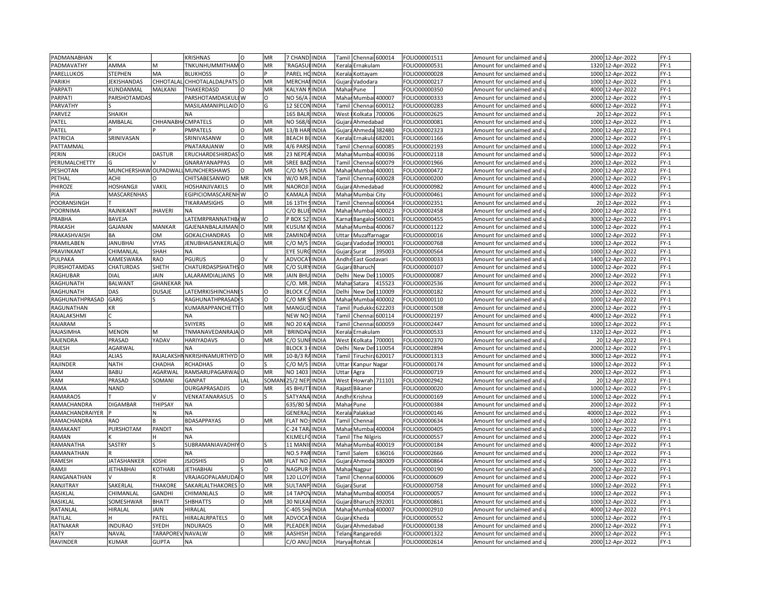| PADMANABHAN     |                      |                   | KRISHNAS                        |          | MR        | 7 CHAND INDIA         |               | Tamil         |                                                                                                                                                            | Chennai 600014   | FOLIO00001511 | Amount for unclaimed and                          | 2000  | 12-Apr-2022      | $FY-1$           |
|-----------------|----------------------|-------------------|---------------------------------|----------|-----------|-----------------------|---------------|---------------|------------------------------------------------------------------------------------------------------------------------------------------------------------|------------------|---------------|---------------------------------------------------|-------|------------------|------------------|
| PADMAVATHY      | AMMA                 |                   | TNKUNHUMMITHAM O                |          | MR        | <b>RAGASULINDIA</b>   |               | Kerala        | Ernakulam                                                                                                                                                  |                  | FOLIO00000531 | Amount for unclaimed and $\,$                     |       | 1320 12-Apr-2022 | $FY-1$           |
| PARELLUKOS      | <b>STEPHEN</b>       | MA                | <b>BLUKHOSS</b>                 | $\Omega$ |           | PAREL HOINDIA         |               | Kerala        | Kottayam                                                                                                                                                   |                  | FOLIO00000028 | Amount for unclaimed and                          | 1000  | 12-Apr-2022      | $FY-1$           |
| PARIKH          | <b>JEKISHANDAS</b>   |                   | CHHOTALAL CHHOTALALDALPATS      | $\Omega$ | MR        | <b>MERCHAI INDIA</b>  |               |               | Gujara Vadodara                                                                                                                                            |                  | FOLIO00000217 | Amount for unclaimed and u                        | 1000  | 12-Apr-2022      | $FY-1$           |
| PARPATI         | KUNDANMAL            | MALKANI           | THAKERDASD                      | $\Omega$ | MR        | KALYAN                | <b>INDIA</b>  | Maha          | Pune                                                                                                                                                       |                  | FOLIO00000350 | Amount for unclaimed and                          | 4000  | 12-Apr-2022      | $FY-1$           |
| PARPAT          | <b>PARSHOTAMDAS</b>  |                   | PARSHOTAMDASKULI W              |          | Ω         | NO 56/A               | <b>INDIA</b>  | Maha          |                                                                                                                                                            | Mumbai 400007    | FOLIO00000333 | Amount for unclaimed and $\iota$                  | 2000  | 12-Apr-2022      | $FY-1$           |
| PARVATHY        |                      |                   | MASILAMANIPILLAID O             |          | G         | 12 SECON              | <b>INDIA</b>  | Tami          | Chenna                                                                                                                                                     | 600012           | FOLIO00000283 | Amount for unclaimed and                          | 6000  | 12-Apr-2022      | $FY-1$           |
| PARVEZ          | SHAIKH               |                   |                                 |          |           | <b>165 BALR INDIA</b> |               | West          | <olkata< td=""><td>700006</td><td>FOLIO00002625</td><td>Amount for unclaimed and i</td><td>20</td><td>12-Apr-2022</td><td><math>FY-1</math></td></olkata<> | 700006           | FOLIO00002625 | Amount for unclaimed and i                        | 20    | 12-Apr-2022      | $FY-1$           |
|                 | AMBALAL              |                   |                                 | $\Omega$ |           |                       |               |               |                                                                                                                                                            |                  |               |                                                   | 1000  |                  |                  |
| PATEL           |                      | CHHANABHACMPATELS |                                 | $\Omega$ | MR        | NO 568/6 INDIA        |               |               | Gujara Ahmedabad                                                                                                                                           |                  | FOLIO00000081 | Amount for unclaimed and                          |       | 12-Apr-2022      | $FY-1$           |
| PATEL           |                      |                   | PMPATELS                        |          | MR        | 13/B HAR INDIA        |               | Gujar         |                                                                                                                                                            | Ahmeda 382480    | FOLIO00002323 | Amount for unclaimed and                          | 2000  | 12-Apr-2022      | $FY-1$           |
| PATRICIA        | SRINIVASAN           |                   | SRINIVASANW                     | O        | MR        | <b>BEACH BUINDIA</b>  |               |               | Kerala Ernakula                                                                                                                                            | 682001           | FOLIO00001166 | Amount for unclaimed and $\mathfrak u$            | 2000  | 12-Apr-2022      | $FY-1$           |
| PATTAMMAL       |                      |                   | PNATARAJANW                     | $\circ$  | MR        | 4/6 PARSHNDIA         |               | Tamil         | Chenn                                                                                                                                                      | 600085           | FOLIO00002193 | Amount for unclaimed and                          | 1000  | 12-Apr-2022      | $FY-1$           |
| PERIN           | <b>ERUCH</b>         | DASTUR            | ERUCHARDESHIRDAS <sup>1</sup> O |          | MR        | 23 NEPEA INDIA        |               |               | Mahar Mumbai 400036                                                                                                                                        |                  | FOLIO00002118 | Amount for unclaimed and <b>u</b>                 | 5000  | 12-Apr-2022      | $FY-1$           |
| PERUMALCHETTY   |                      |                   | <b>GNARAYANAPPAS</b>            | $\circ$  | <b>MR</b> | SREE BAI              | <b>INDIA</b>  | Tami          | Chenna                                                                                                                                                     | 500079           | FOLIO00001966 | Amount for unclaimed and                          | 2000  | 12-Apr-2022      | $FY-1$           |
| PESHOTAN        | MUNCHERSHAW OLPADWAI |                   | MUNCHERSHAWS                    | $\Omega$ | MR        | C/O M/S               | <b>INDIA</b>  | Mahar         |                                                                                                                                                            | Mumbai 400001    | FOLIO00000472 | Amount for unclaimed and u                        | 2000  | 12-Apr-2022      | $FY-1$           |
| PETHAL          | ACHI                 |                   | CHITSABESANWO                   | MR       | KN        | W/O MR                | <b>INDIA</b>  | Tamil         |                                                                                                                                                            | Chennai 600028   | FOLIO00000200 | Amount for unclaimed and                          |       | 2000 12-Apr-2022 | $FY-1$           |
| PHIROZE         | <b>HOSHANGJI</b>     | VAKIL             | HOSHANJIVAKILS                  |          | MR        | NAOROJI               | <b>INDIA</b>  | Gujara        | Ahmedabad                                                                                                                                                  |                  | FOLIO00000982 | Amount for unclaimed and u                        | 4000  | 12-Apr-2022      | $FY-1$           |
| PIA             | MASCARENHAS          |                   | EGIPICIOMASCARENHW              |          | O         | KAMALA                | <b>INDIA</b>  | Mahar         | Mumbai City                                                                                                                                                |                  | FOLIO00000461 | Amount for unclaimed and                          | 1000  | 12-Apr-2022      | $FY-1$           |
| POORANSINGH     |                      |                   | TIKARAMSIGHS                    |          | <b>MR</b> | 16 13TH               | <b>INDIA</b>  | <b>Tami</b>   |                                                                                                                                                            | Chennai 600064   | FOLIO00002351 | Amount for unclaimed and                          | 20    | 12-Apr-2022      | $FY-1$           |
| POORNIMA        | RAJNIKANT            | <b>JHAVERI</b>    | <b>NA</b>                       |          |           | C/O BLUE INDIA        |               |               | Mahar Mumbai 400023                                                                                                                                        |                  | FOLIO00002458 | Amount for unclaimed and u                        |       | 2000 12-Apr-2022 | $FY-1$           |
| PRABHA          | <b>BAVEJA</b>        |                   | LATEMRPRANNATHB/W               |          | $\circ$   | BOX 52                | INDIA         | Karna         | Bangalor 560001                                                                                                                                            |                  | FOLIO00000455 | Amount for unclaimed and                          | 3000  | 12-Apr-2022      | $FY-1$           |
| PRAKASH         | GAJANAN              | MANKAR            | GAJENANBALAJIMAN O              |          | MR        | KUSUM                 | <b>INDIA</b>  | Mahar         | Mumbai 400067                                                                                                                                              |                  | FOLIO00001122 | Amount for unclaimed and u                        | 1000  | 12-Apr-2022      | $FY-1$           |
| PRAKASHVAISH    | <b>BA</b>            | <b>OM</b>         | <b>GOKALCHANDRAS</b>            | $\Omega$ | <b>MR</b> | ZAMIND                | <b>INDIA</b>  | Uttar         | Muzaffarnagar                                                                                                                                              |                  | FOLIO00000016 | Amount for unclaimed and                          | 1000  | 12-Apr-2022      | $FY-1$           |
| PRAMILABEN      | <b>JANUBHAI</b>      | <b>VYAS</b>       | JENUBHAISANKERLAL O             |          | MR        | C/O M/S               | <b>INDIA</b>  | Gujara        |                                                                                                                                                            | Vadodar 390001   | FOLIO00000768 | Amount for unclaimed and u                        | 1000  | 12-Apr-2022      | $FY-1$           |
| PRAVINKANT      | CHIMANLAL            | SHAH              | <b>NA</b>                       |          |           | EYE SUR               | <b>INDIA</b>  | Gujar         | Surat                                                                                                                                                      | 395003           | FOLIO00000564 | Amount for unclaimed and                          | 1000  | 12-Apr-2022      | $FY-1$           |
| PULPAKA         | KAMESWARA            | RAO               | PGURUS                          |          |           | ADVOCA                | <b>INDIA</b>  | Andhi         | East Godavari                                                                                                                                              |                  | FOLIO00000033 | Amount for unclaimed and <b>u</b>                 | 1400  | 12-Apr-2022      | $FY-1$           |
| PURSHOTAMDAS    | CHATURDAS            | SHETH             | CHATURDASPSHATHS O              |          | MR        | C/O SURY              | <b>INDIA</b>  |               | Gujara Bharuch                                                                                                                                             |                  | FOLIO00000107 | Amount for unclaimed and                          | 1000  | 12-Apr-2022      | $FY-1$           |
| RAGHUBAR        | DIAL                 | JAIN              | LALARAMDIALJAINS                |          | MR        | JAIN BHL              | <b>INDIA</b>  | Delhi         | New Del                                                                                                                                                    | 110005           | FOLIO00000087 | Amount for unclaimed and                          | 2000  | 12-Apr-2022      | $FY-1$           |
| RAGHUNATH       | <b>BALWANT</b>       | GHANEKAR          | <b>NA</b>                       |          |           | C/O. MR.              | <b>INDIA</b>  |               |                                                                                                                                                            | 115523           | FOLIO00002536 |                                                   |       | 12-Apr-2022      | $FY-1$           |
|                 | DAS                  |                   |                                 |          | $\circ$   | <b>BLOCK C</b>        | <b>INDIA</b>  | Maha<br>Delhi | Satara                                                                                                                                                     | 110009           |               | Amount for unclaimed and u                        | 2000  |                  |                  |
| RAGHUNATH       | GARG                 | <b>DUSAJE</b>     | LATEMRKISHINCHAN                |          | O         | C/O MR                |               | Mahar         | New De                                                                                                                                                     |                  | FOLIO00000182 | Amount for unclaimed and                          | 2000  | 12-Apr-2022      | $FY-1$<br>$FY-1$ |
| RAGHUNATHPRASAD |                      |                   | <b>RAGHUNATHPRASAD</b>          |          |           |                       | <b>INDIA</b>  |               | Mumbai                                                                                                                                                     | 400002           | FOLIO00000110 | Amount for unclaimed and u                        | 1000  | 12-Apr-2022      |                  |
| RAGUNATHAN      | KR                   |                   | KUMARAPPANCHETTIO               |          | MR        | MANGU                 | <b>INDIA</b>  | Tami          | Pudukko                                                                                                                                                    | 522203           | FOLIO00001508 | Amount for unclaimed and                          | 2000  | 12-Apr-2022      | $FY-1$           |
| RAJALAKSHMI     |                      |                   | <b>NA</b>                       |          |           | NEW NO                | <b>INDIA</b>  | Tamil         | Chennai                                                                                                                                                    | 600114           | FOLIO00002197 | Amount for unclaimed and u                        | 4000  | 12-Apr-2022      | $FY-1$           |
| RAJARAM         |                      |                   | <b>SVIYERS</b>                  | $\Omega$ | MR        | NO 20 KA INDIA        |               | Tami          | Chennai                                                                                                                                                    | 600059           | FOLIO00002447 | Amount for unclaimed and                          | 1000  | 12-Apr-2022      | $FY-1$           |
| RAJASIMHA       | <b>MENON</b>         | M                 | TNMANAVEDANRAJA                 | O        | MR        | <b>BRINDAY</b>        | <b>INDIA</b>  | Kerala        | Ernakulam                                                                                                                                                  |                  | FOLIO00000533 | Amount for unclaimed and                          |       | 1320 12-Apr-2022 | $FY-1$           |
| RAJENDRA        | PRASAD               | YADAV             | <b>HARIYADAVS</b>               | O        | MR        | C/O SUNFINDIA         |               | West          | Kolkata                                                                                                                                                    | 700001           | FOLIO00002370 | Amount for unclaimed and                          |       | 20 12-Apr-2022   | $FY-1$           |
| RAJESH          | AGARWAI              |                   | <b>NA</b>                       |          |           | <b>BLOCK 3</b>        | <b>INDIA</b>  | Delhi         | <b>New Del</b>                                                                                                                                             | 110054           | FOLIO00002894 | Amount for unclaimed and                          | 2000  | 12-Apr-2022      | $FY-1$           |
| RAJI            | <b>ALIAS</b>         | RAJALAKSH         | <b>NKRISHNAMURTHYD O</b>        |          | MR        | 10-B/3 RAINDIA        |               | Tamil         |                                                                                                                                                            | Tiruchira 620017 | FOLIO00001313 | Amount for unclaimed and $\overline{\phantom{a}}$ |       | 3000 12-Apr-2022 | $FY-1$           |
| RAJINDER        | <b>NATH</b>          | CHADHA            | <b>RCHADHAS</b>                 |          |           | C/O M/S               | <b>INDIA</b>  | Uttar         | Kanpur Nagar                                                                                                                                               |                  | FOLIO00000174 | Amount for unclaimed and                          | 1000  | 12-Apr-2022      | $FY-1$           |
| RAM             | BABU                 | AGARWAL           | RAMSARUPAGARWAI O               |          | MR        | NO 1403               | <b>INDIA</b>  | <b>Jttar</b>  | Agra                                                                                                                                                       |                  | FOLIO00000719 | Amount for unclaimed and u                        |       | 2000 12-Apr-2022 | $FY-1$           |
| RAM             | PRASAD               | SOMANI            | <b>GANPAT</b>                   | LAL      | SOMAI     | <b>25/2 NEF</b>       | <b>INDIA</b>  | West          | Howrah                                                                                                                                                     | 711101           | FOLIO00002942 | Amount for unclaimed and                          |       | 20 12-Apr-2022   | $FY-1$           |
| RAMA            | <b>NAND</b>          |                   | DURGAPRASADJIS                  | $\Omega$ | MR        | 45 BHUT               | <b>INDIA</b>  | Rajast        | Bikaner                                                                                                                                                    |                  | FOLIO00000020 | Amount for unclaimed and u                        | 1000  | 12-Apr-2022      | $FY-1$           |
| <b>RAMARAOS</b> |                      |                   | VENKATANARASUS                  | $\Omega$ |           | <b>SATYAN</b>         | <b>INDIA</b>  | Andh          | Krishna                                                                                                                                                    |                  | FOLIO00000169 | Amount for unclaimed and                          | 1000  | 12-Apr-2022      | $FY-1$           |
| RAMACHANDRA     | <b>DIGAMBAR</b>      | THIPSAY           | <b>NA</b>                       |          |           | 635/80                | <b>INDIA</b>  | Maha          | Pune                                                                                                                                                       |                  | FOLIO00000384 | Amount for unclaimed and u                        | 2000  | 12-Apr-2022      | $FY-1$           |
| RAMACHANDRAIYER |                      |                   | <b>NA</b>                       |          |           | GENERAL               | <b>INDIA</b>  | Kerala        | Palakkad                                                                                                                                                   |                  | FOLIO00000146 | Amount for unclaimed and                          | 40000 | 12-Apr-2022      | $FY-1$           |
| RAMACHANDRA     | <b>RAO</b>           |                   | BDASAPPAYAS                     |          | MR        | <b>FLAT NO</b>        | <b>INDIA</b>  | Гаmі          | Chenna                                                                                                                                                     |                  | FOLIO00000634 | Amount for unclaimed and                          | 1000  | 12-Apr-2022      | $FY-1$           |
| RAMAKANT        | PURSHOTAM            | PANDIT            | <b>NA</b>                       |          |           | -24 TAR/INDIA         |               | Maha          |                                                                                                                                                            | Mumbai 400004    | FOLIO00000405 | Amount for unclaimed and $\overline{\phantom{a}}$ |       | 1000 12-Apr-2022 | $FY-1$           |
| RAMAN           |                      |                   | <b>NA</b>                       |          |           | <b>ILMELF</b>         | CINDIA        | Tami          | The Nilgiris                                                                                                                                               |                  | FOLIO00000557 | Amount for unclaimed and                          | 2000  | 12-Apr-2022      | $FY-1$           |
| RAMANATHA       | SASTRY               |                   | SUBRAMANIAVADHIYO               |          |           | 11 MANI               | <b>EINDIA</b> | Mahar         |                                                                                                                                                            | Mumbai 400019    | FOLIO00000184 | Amount for unclaimed and u                        | 4000  | 12-Apr-2022      | $FY-1$           |
| RAMANATHAN      |                      |                   | <b>NA</b>                       |          |           | NO.5 PAR              | <b>INDIA</b>  | Tamil         | Salem                                                                                                                                                      | 636016           | FOLIO00002666 | Amount for unclaimed and                          | 2000  | 12-Apr-2022      | $FY-1$           |
| RAMESH          | <b>JATASHANKER</b>   | JOSHI             | <b>JSJOSHIS</b>                 | $\Omega$ | MR        | <b>FLAT NO</b>        | <b>INDIA</b>  | Gujar         | Ahmeda                                                                                                                                                     | 380009           | FOLIO00000864 | Amount for unclaimed and <b>u</b>                 | 500   | 12-Apr-2022      | $FY-1$           |
| RAMJI           | <b>JETHABHAI</b>     | KOTHARI           | <b>JETHABHAI</b>                |          | O         | NAGPUR                | <b>INDIA</b>  | Mahar         | Nagpur                                                                                                                                                     |                  | FOLIO00000190 | Amount for unclaimed and                          | 2000  | 12-Apr-2022      | $FY-1$           |
| RANGANATHAN     |                      |                   | VRAJAGOPALAMUDA                 |          | MR        | <b>120 LLOY</b>       | <b>INDIA</b>  | Tami          |                                                                                                                                                            | Chennai 600006   | FOLIO00000609 | Amount for unclaimed and u                        | 2000  | 12-Apr-2022      | $FY-1$           |
|                 |                      | <b>THAKORE</b>    |                                 | $\Omega$ | MR        |                       |               |               |                                                                                                                                                            |                  |               |                                                   | 1000  |                  | $FY-1$           |
| RANJITRAY       | SAKERLAL             |                   | SAKARLALTHAKORES                |          |           | <b>SULTANP INDIA</b>  |               | Gujara        | Surat                                                                                                                                                      |                  | FOLIO00000758 | Amount for unclaimed and                          |       | 12-Apr-2022      |                  |
| RASIKLAI        | CHIMANLAL            | <b>GANDHI</b>     | CHIMANLALS                      |          | MR        | 14 TAPO               | <b>INDIA</b>  | Maha          | Mumba                                                                                                                                                      | 400054           | OLIO00000057  | Amount for unclaimed and                          | 1000  | 12-Apr-2022      | $FY-1$           |
| RASIKLAL        | SOMESHWAR            | BHATT             | <b>SHBHATTS</b>                 | Ω        | MR        | 30 NILKAI INDIA       |               |               | Gujara Bharuch 392001                                                                                                                                      |                  | FOLIO00000861 | Amount for unclaimed and                          |       | 1000 12-Apr-2022 | $FY-1$           |
| RATANLAL        | HIRALAL              | JAIN              | HIRALAL                         |          |           | -405 SHAINDIA         |               | Maha          | Mumba                                                                                                                                                      | 400007           | FOLIO0000291C | Amount for unclaimed and                          | 4000  | 12-Apr-2022      | $FY-1$           |
| RATILAL         | H                    | PATEL             | HIRALALRPATELS                  | $\Omega$ | MR        | <b>ADVOCATINDIA</b>   |               |               | Gujara Kheda                                                                                                                                               |                  | FOLIO00000552 | Amount for unclaimed and u                        | 1000  | 12-Apr-2022      | $FY-1$           |
| RATNAKAR        | <b>INDURAO</b>       | SYEDH             | <b>INDURAOS</b>                 | $\Omega$ | MR        | PLEADER               | <b>INDIA</b>  |               | Gujara Ahmedabad                                                                                                                                           |                  | FOLIO00000138 | Amount for unclaimed and                          | 2000  | 12-Apr-2022      | $FY-1$           |
| RATY            | NAVAL                | <b>TARAPORE</b>   | <b>NAVALW</b>                   | $\Omega$ | MR        | AASHISH               | <b>INDIA</b>  |               | Telang Rangareddi                                                                                                                                          |                  | FOLIO00001322 | Amount for unclaimed and <b>u</b>                 | 2000  | 12-Apr-2022      | $FY-1$           |
| RAVINDER        | <b>KUMAR</b>         | <b>GUPTA</b>      | <b>NA</b>                       |          |           | C/O ANU INDIA         |               |               | Haryal Rohtak                                                                                                                                              |                  | FOLIO00002614 | Amount for unclaimed and u                        |       | 2000 12-Apr-2022 | $FY-1$           |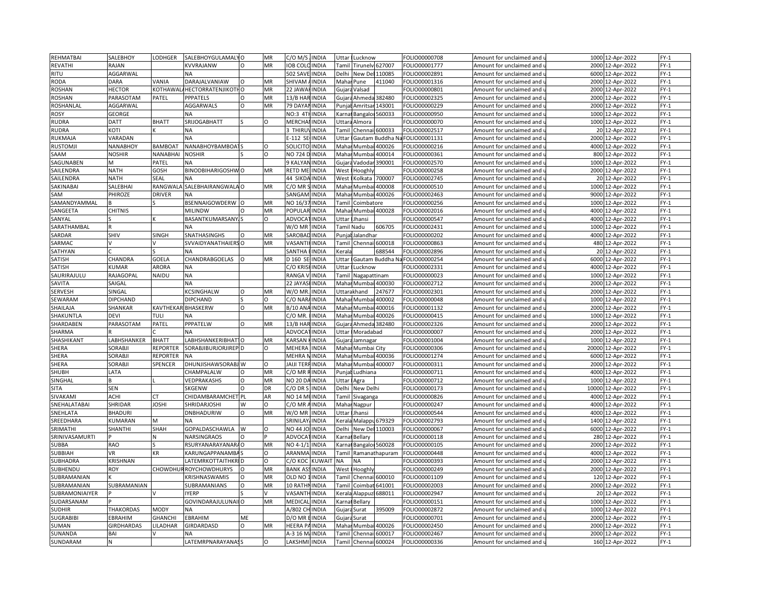| REHMATBAI        | SALEBHOY          | LODHGER         | SALEBHOYGULAMALYO                  |           | MR        | C/O M/S              | <b>INDIA</b>  | Uttar        | Lucknow               |                  | FOLIO00000708 | Amount for unclaimed and                          | 1000  | 12-Apr-2022      | $FY-1$ |
|------------------|-------------------|-----------------|------------------------------------|-----------|-----------|----------------------|---------------|--------------|-----------------------|------------------|---------------|---------------------------------------------------|-------|------------------|--------|
| REVATHI          | RAJAN             |                 | KVVRAJANW                          | $\Omega$  | <b>MR</b> | <b>OB COL</b>        | <b>INDIA</b>  |              | Tamil Tirunelv 627007 |                  | FOLIO00001777 | Amount for unclaimed and <b>u</b>                 | 2000  | 12-Apr-2022      | $FY-1$ |
| RITU             | AGGARWAL          |                 | <b>NA</b>                          |           |           | 502 SAVE INDIA       |               | Delhi        | New Del               | 110085           | FOLIO00002891 | Amount for unclaimed and i                        | 6000  | 12-Apr-2022      | $FY-1$ |
| <b>RODA</b>      | <b>DARA</b>       | VANIA           | DARAJALVANIAW                      |           | MR        | SHIVAM               | <b>INDIA</b>  | Mahar        | Pune                  | 411040           | FOLIO00001316 | Amount for unclaimed and <b>u</b>                 | 2000  | 12-Apr-2022      | $FY-1$ |
| <b>ROSHAN</b>    | <b>HECTOR</b>     | KOTHAWAL        | <b><i>AHECTORRATENJIKOTI O</i></b> |           | MR        | 22 JAWA              | <b>INDIA</b>  | Gujara       | Valsad                |                  | FOLIO00000801 | Amount for unclaimed and i                        | 2000  | 12-Apr-2022      | $FY-1$ |
| <b>ROSHAN</b>    | PARASOTAM         | PATEL           | PPPATELS                           | $\Omega$  | MR        | 13/B HAR             | <b>INDIA</b>  | Gujar        | Ahmeda                | 382480           | FOLIO00002325 | Amount for unclaimed and i                        | 2000  | 12-Apr-2022      | $FY-1$ |
| ROSHANLAL        | AGGARWAL          |                 | <b>AGGARWALS</b>                   | O         | MR        | 79 DAYAM             | <b>INDIA</b>  | Punjał       | Amritsar              | 143001           | FOLIO00000229 | Amount for unclaimed and                          |       | 2000 12-Apr-2022 | $FY-1$ |
| <b>ROSY</b>      |                   |                 | NA                                 |           |           | NO:3 4T              | <b>INDIA</b>  |              |                       |                  |               |                                                   |       | 12-Apr-2022      | $FY-1$ |
|                  | GEORGE            |                 |                                    |           |           |                      |               | Karna        | Bangalor.             | 560033           | FOLIO00000950 | Amount for unclaimed and                          | 1000  |                  |        |
| RUDRA            | <b>DATT</b>       | <b>BHATT</b>    | SRIJOGABHATT                       |           | Ω         | <b>MERCHAI INDIA</b> |               |              | Uttara Almora         |                  | FOLIO00000070 | Amount for unclaimed and $\overline{\phantom{a}}$ |       | 1000 12-Apr-2022 | $FY-1$ |
| RUDRA            | KOTI              |                 | <b>NA</b>                          |           |           | 3 THIRL              | <b>INDIA</b>  | Tami         |                       | Chennai 600033   | FOLIO00002517 | Amount for unclaimed and                          | 20    | 12-Apr-2022      | $FY-1$ |
| RUKMAJA          | VARADAN           |                 | <b>NA</b>                          |           |           | $-112$ SE            | <b>INDIA</b>  | Uttar        |                       | Gautam Buddha N  | FOLIO00001131 | Amount for unclaimed and u                        | 2000  | 12-Apr-2022      | $FY-1$ |
| <b>RUSTOMJI</b>  | NANABHOY          | <b>BAMBOAT</b>  | NANABHOYBAMBOA                     |           | O         | SOLICITO             | <b>INDIA</b>  | Maha         | Mumba                 | 400026           | FOLIO00000216 | Amount for unclaimed and                          | 4000  | 12-Apr-2022      | $FY-1$ |
| SAAM             | <b>NOSHIR</b>     | <b>NANABHAI</b> | <b>NOSHIR</b>                      |           | $\Omega$  | NO 724 D             | <b>INDIA</b>  | Maha         | Mumbai                | 400014           | FOLIO00000361 | Amount for unclaimed and <b>u</b>                 |       | 800 12-Apr-2022  | $FY-1$ |
| SAGUNABEN        | M                 | PATEL           | <b>NA</b>                          |           |           | 9 KALYA              | <b>INDIA</b>  | Gujar        | <b>Jadoda</b>         | 390001           | FOLIO00002570 | Amount for unclaimed and                          | 1000  | 12-Apr-2022      | $FY-1$ |
| SAILENDRA        | <b>NATH</b>       | GOSH            | BINODBIHARIGOSHW                   |           | MR        | RETD ME              | <b>INDIA</b>  | West         | looghly               |                  | FOLIO00000258 | Amount for unclaimed and u                        | 2000  | 12-Apr-2022      | $FY-1$ |
| SAILENDRA        | <b>NATH</b>       | SEAL            | NA                                 |           |           | 44 SIKDA             | <b>INDIA</b>  | West         | Kolkata               | 700007           | FOLIO00002745 | Amount for unclaimed and                          |       | 20 12-Apr-2022   | $FY-1$ |
| SAKINABAI        | SALEBHAI          | RANGWAL         | SALEBHAIRANGWALA                   |           | MR        | C/O MR               | <b>INDIA</b>  | Maha         | Mumba                 | 400008           | FOLIO00000510 | Amount for unclaimed and                          | 1000  | 12-Apr-2022      | $FY-1$ |
| SAM              | PHIROZE           | <b>DRIVER</b>   | <b>NA</b>                          |           |           | SANGAM               | <b>INDIA</b>  | Maha         |                       | Mumbai 400026    | FOLIO00002463 | Amount for unclaimed and $\overline{\phantom{a}}$ |       | 9000 12-Apr-2022 | $FY-1$ |
| SAMANDYAMMAL     |                   |                 | BSENNAIGOWDERW                     |           | MR        | NO 16/3              | <b>INDIA</b>  | Tami         | Coimbatore            |                  | FOLIO00000256 | Amount for unclaimed and                          | 1000  | 12-Apr-2022      | $FY-1$ |
| SANGEETA         | <b>CHITNIS</b>    |                 | <b>MILINDW</b>                     |           | <b>MR</b> | POPULAR INDIA        |               |              | Mahar Mumbai 400028   |                  | FOLIO00002016 | Amount for unclaimed and u                        | 4000  | 12-Apr-2022      | $FY-1$ |
| SANYAL           |                   |                 | <b>BASANTKUMARSANY</b>             |           | O         | ADVOCA               | <b>INDIA</b>  | Uttar        | Jhansi                |                  | FOLIO00000547 | Amount for unclaimed and                          | 4000  | 12-Apr-2022      | $FY-1$ |
| SARATHAMBAL      |                   |                 | NΑ                                 |           |           | W/O MR               | <b>INDIA</b>  |              | Tamil Nadu            | 606705           | FOLIO00002431 | Amount for unclaimed and <b>u</b>                 | 1000  | 12-Apr-2022      | $FY-1$ |
| SARDAR           | SHIV              | SINGH           | SNATHASINGHS                       | $\Omega$  | MR        | SAROBA               | <b>INDIA</b>  | Punjał       | Jalandhar             |                  | FOLIO00000202 | Amount for unclaimed and                          | 4000  | 12-Apr-2022      | $FY-1$ |
| SARMAC           |                   |                 | SVVAIDYANATHAIERS                  |           | MR        | VASANT               | <b>INDIA</b>  | Tamil        |                       | Chennai 600018   | OLIO00000863  | Amount for unclaimed and i                        | 480   | 12-Apr-2022      | $FY-1$ |
| SATHYAN          |                   |                 | <b>NA</b>                          |           |           | SANTHA               | <b>INDIA</b>  | Keral        |                       | 688544           | FOLIO00002896 | Amount for unclaimed and                          |       | 20 12-Apr-2022   | $FY-1$ |
| SATISH           | CHANDRA           | GOELA           | CHANDRABGOELAS                     |           | MR        | D 160 SE             | <b>INDIA</b>  | <b>Jttar</b> |                       | Gautam Buddha Na | FOLIO00000254 | Amount for unclaimed and                          | 6000  | 12-Apr-2022      | $FY-1$ |
| SATISH           | KUMAR             | ARORA           | ΝA                                 |           |           | C/O KRIS             | <b>INDIA</b>  | Uttar        | Lucknow               |                  | FOLIO00002331 | Amount for unclaimed and $\,$                     | 4000  | 12-Apr-2022      | FY-1   |
| SAURIRAJULU      | RAJAGOPAL         | NAIDU           | <b>NA</b>                          |           |           | RANGA                | <b>INDIA</b>  | Tami         | Nagapattinam          |                  | FOLIO00000023 | Amount for unclaimed and                          | 1000  | 12-Apr-2022      | $FY-1$ |
| SAVITA           | SAIGAL            |                 | <b>NA</b>                          |           |           | 22 JAYAS             | <b>INDIA</b>  |              | Mahar Mumbai 400030   |                  | FOLIO00002712 | Amount for unclaimed and <b>u</b>                 |       | 2000 12-Apr-2022 | $FY-1$ |
| SERVESH          | SINGAL            |                 | KCSINGHALW                         | $\Omega$  | MR        | W/O MR               | <b>INDIA</b>  |              | Uttarakhand           | 247677           | FOLIO00002301 | Amount for unclaimed and                          | 2000  | 12-Apr-2022      | $FY-1$ |
| SEWARAM          | DIPCHAND          |                 | <b>DIPCHAND</b>                    |           | $\Omega$  | C/O NAR              | <b>INDIA</b>  | Mahar        | Mumbai                | 400002           | FOLIO00000048 | Amount for unclaimed and u                        | 1000  | 12-Apr-2022      | $FY-1$ |
| SHAILAJA         | SHANKAR           | KAVTHEKAI       | <b>BHASKERW</b>                    | O         | MR        | B/10 AN              | <b>INDIA</b>  | Mahar        | Mumbai                | 400016           | FOLIO00001132 | Amount for unclaimed and                          | 2000  | 12-Apr-2022      | FY-1   |
| SHAKUNTLA        | <b>DEVI</b>       | TULI            | ΝA                                 |           |           | $2/0$ MR             | <b>INDIA</b>  | Mahar        | Mumbai                | 400026           | FOLIO00000415 | Amount for unclaimed and u                        | 1000  | 12-Apr-2022      | $FY-1$ |
|                  |                   |                 |                                    | $\Omega$  | MR        | 13/B HAR INDIA       |               |              |                       |                  |               |                                                   | 2000  |                  |        |
| SHARDABEN        | PARASOTAM         | PATEL           | PPPATELW<br><b>NA</b>              |           |           | ADVOCA               |               | Gujara       |                       | Ahmeda 382480    | FOLIO00002326 | Amount for unclaimed and                          |       | 12-Apr-2022      | $FY-1$ |
| SHARMA           |                   |                 |                                    |           |           |                      | <b>INDIA</b>  | Uttar        | Moradabad             |                  | FOLIO00000007 | Amount for unclaimed and                          | 2000  | 12-Apr-2022      | $FY-1$ |
| SHASHIKANT       | LABHSHANKER       | <b>BHATT</b>    | LABHSHANKERIBHAT1                  |           | MR        | KARSAN               | <b>INDIA</b>  |              | Gujara Jamnagar       |                  | OLIO00001004  | Amount for unclaimed and u                        | 1000  | 12-Apr-2022      | $FY-1$ |
| SHERA            | SORABJI           | <b>REPORTER</b> | SORABJIBURJORJIREP D               |           | $\Omega$  | MEHERA               | <b>INDIA</b>  | Maha         | Mumbai City           |                  | FOLIO00000306 | Amount for unclaimed and                          | 20000 | 12-Apr-2022      | $FY-1$ |
| SHERA            | SORABJI           | REPORTER        | <b>NA</b>                          |           |           | <b>MEHRA NINDIA</b>  |               |              | Mahar Mumbai 400036   |                  | FOLIO00001274 | Amount for unclaimed and <b>u</b>                 |       | 6000 12-Apr-2022 | $FY-1$ |
| SHERA            | SORABJI           | SPENCER         | DHUNJISHAWSORABJ W                 |           | $\Omega$  | JAIJI TERFINDIA      |               | Maha         |                       | Mumbai 400007    | FOLIO00000311 | Amount for unclaimed and                          | 2000  | 12-Apr-2022      | $FY-1$ |
| <b>SHUBH</b>     | LATA              |                 | CHAMPALALW                         | $\Omega$  | MR        | C/O MR I             | RINDIA        | Punial       | Ludhiana              |                  | FOLIO00000711 | Amount for unclaimed and u                        | 4000  | 12-Apr-2022      | $FY-1$ |
| SINGHAL          | B                 |                 | VEDPRAKASHS                        | O         | MR        | NO 20 DA INDIA       |               | Uttar        | Agra                  |                  | FOLIO00000712 | Amount for unclaimed and i                        | 1000  | 12-Apr-2022      | $FY-1$ |
| SITA             | <b>SEN</b>        |                 | SKGENW                             |           | DR        | C/O DR 9             | <b>INDIA</b>  | Delhi        | New Delhi             |                  | FOLIO00000173 | Amount for unclaimed and u                        | 10000 | 12-Apr-2022      | $FY-1$ |
| SIVAKAMI         | ACHI              |                 | CHIDAMBARAMCHET PL                 |           | AR        | NO 14 MI             | <b>INDIA</b>  | Tamil        | Sivaganga             |                  | FOLIO00000826 | Amount for unclaimed and                          | 4000  | 12-Apr-2022      | FY-1   |
| SNEHALATABAI     | SHRIDAR           | <b>JOSHI</b>    | SHRIDARJOSHI                       | W         | $\Omega$  | C/O MR               | <b>INDIA</b>  | Maha         | Nagpur                |                  | FOLIO00000247 | Amount for unclaimed and                          | 4000  | 12-Apr-2022      | $FY-1$ |
| SNEHLATA         | <b>BHADURI</b>    |                 | <b>DNBHADURIW</b>                  | $\Omega$  | MR        | W/O MR               | <b>INDIA</b>  | Uttar        | Jhansi                |                  | FOLIO00000544 | Amount for unclaimed and u                        | 4000  | 12-Apr-2022      | $FY-1$ |
| SREEDHARA        | <b>KUMARAN</b>    | M               | NΔ                                 |           |           | <b>SRINILA</b> Y     | <b>INDIA</b>  | Kerala       |                       | Malappu 679329   | FOLIO00002793 | Amount for unclaimed and                          | 1400  | 12-Apr-2022      | $FY-1$ |
| SRIMATHI         | SHANTHI           | SHAH            | GOPALDASCHAWLA                     | W         | $\Omega$  | NO 44 JOHNDIA        |               | Delhi        |                       | New Del 110003   | FOLIO00000067 | Amount for unclaimed and u                        |       | 6000 12-Apr-2022 | $FY-1$ |
| SRINIVASAMURTI   |                   | N               | NARSINGRAOS                        | $\Omega$  |           | ADVOCA               | <b>TINDIA</b> | Karna        | Bellary               |                  | FOLIO00000118 | Amount for unclaimed and (                        |       | 280 12-Apr-2022  | $FY-1$ |
| <b>SUBBA</b>     | <b>RAO</b>        |                 | RSURYANARAYANARA O                 |           | MR        | NO 4-1/1             | <b>INDIA</b>  | <b>Karna</b> |                       | Bangaloi 560028  | FOLIO00000105 | Amount for unclaimed and <b>u</b>                 | 2000  | 12-Apr-2022      | $FY-1$ |
| <b>SUBBIAH</b>   | <b>VR</b>         | KR              | KARUNGAPPANAMBA                    |           | O         | ARANMA               | <b>INDIA</b>  | Tami         |                       | Ramanathapuram   | FOLIO00000448 | Amount for unclaimed and i                        | 4000  | 12-Apr-2022      | $FY-1$ |
| SUBHADRA         | KRISHNAN          |                 | LATEMRKOTTAITHKRID                 |           | O         | С/О КОС              | <b>KUWAI</b>  | NΑ           | ΝA                    |                  | OLIO00000393  | Amount for unclaimed and u                        | 2000  | 12-Apr-2022      | $FY-1$ |
| SUBHENDU         | <b>ROY</b>        |                 | <b>CHOWDHURROYCHOWDHURYS</b>       | O         | MR        | <b>BANK ASSINDIA</b> |               | West         | Hooghly               |                  | FOLIO00000249 | Amount for unclaimed and $\,$                     |       | 2000 12-Apr-2022 | FY-1   |
| SUBRAMANIAN      |                   |                 | KRISHNASWAMIS                      |           | MR        | OLD NO               | <b>INDIA</b>  | <b>Tami</b>  | Chennai               | 500010           | FOLIO00001109 | Amount for unclaimed and                          | 120   | 12-Apr-2022      | $FY-1$ |
| SUBRAMANIAN      | SUBRAMANIAN       |                 | SUBRAMANIANS                       | $\Omega$  | MR        | <b>10 RATHNINDIA</b> |               | Tamil        | Coimbat               | 541001           | FOLIO00002003 | Amount for unclaimed and $\overline{\phantom{a}}$ | 2000  | 12-Apr-2022      | $FY-1$ |
| SUBRAMONIAIYER   |                   |                 | <b>IYERP</b>                       |           |           | VASANT               | <b>INDIA</b>  | <b>Keral</b> | Alappu:               | 688011           | FOLIO00002947 | Amount for unclaimed and                          | 20    | 12-Apr-2022      | $FY-1$ |
| SUDARSANAM       |                   |                 | GOVINDARAJULUNAII O                |           | MR        | MEDICA               | <b>INDIA</b>  |              | Karnat Bellary        |                  | FOLIO00000151 | Amount for unclaimed and u                        | 1000  | 12-Apr-2022      | $FY-1$ |
|                  |                   |                 |                                    |           |           | A/802 CH             |               |              |                       |                  |               |                                                   |       |                  | $FY-1$ |
| SUDHIR           | <b>THAKORDAS</b>  | <b>MODY</b>     | <b>NA</b>                          |           |           |                      | <b>INDIA</b>  | Gujara       | Surat                 | 395009           | FOLIO00002872 | Amount for unclaimed and                          | 1000  | 12-Apr-2022      |        |
| <b>SUGRABIBI</b> | EBRAHIM           | <b>GHANCHI</b>  | EBRAHIM                            | <b>ME</b> |           | D/O MR               | <b>INDIA</b>  | Gujara       | Surat                 |                  | FOLIO00000701 | Amount for unclaimed and <b>u</b>                 | 2000  | 12-Apr-2022      | $FY-1$ |
| SUMAN            | <b>GIRDHARDAS</b> | LILADHAR        | <b>GIRDARDASD</b>                  | $\Omega$  | MR        | <b>HEERAP</b>        | <b>INDIA</b>  | Maha         | Mumba                 | 400026           | FOLIO00002450 | Amount for unclaimed and                          | 2000  | 12-Apr-2022      | $FY-1$ |
| SUNANDA          | BAI               |                 | NA                                 |           |           | 4-3 16 M/INDIA       |               | Tami         | Chennai               | 500017           | FOLIO00002467 | Amount for unclaimed and u                        | 2000  | 12-Apr-2022      | $FY-1$ |
| SUNDARAM         | N                 |                 | LATEMRPNARAYANASS                  |           | $\Omega$  | LAKSHMI INDIA        |               | Tamil        | Chenna                | 600024           | FOLIO00000336 | Amount for unclaimed and                          |       | 160 12-Apr-2022  | $FY-1$ |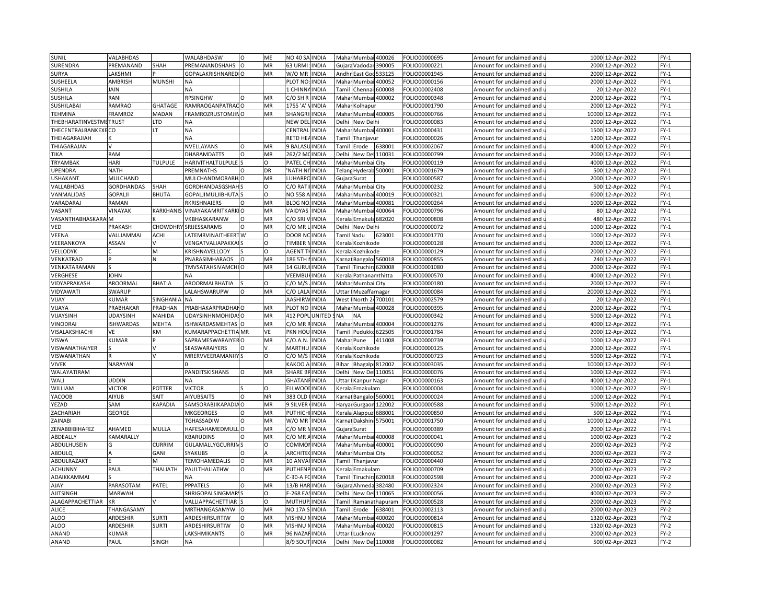| SUNIL                      | VALABHDAS        |                  | WALABHDASW                              | $\Omega$ | ME                 | <b>NO 40 SA</b><br><b>INDIA</b>                   | Mahai     | Mumbai<br>400026         | FOLIO00000695                  | Amount for unclaimed and | 1000 12-Apr-2022     | $FY-1$           |
|----------------------------|------------------|------------------|-----------------------------------------|----------|--------------------|---------------------------------------------------|-----------|--------------------------|--------------------------------|--------------------------|----------------------|------------------|
| SURENDRA                   | <b>PREMANAND</b> | SHAH             | PREMANANDSHAHS                          | $\circ$  | MR                 | 63 URMI<br><b>INDIA</b>                           | Gujara    | Vadodar<br>390005        | FOLIO00000221                  | Amount for unclaimed and | 2000 12-Apr-2022     | $FY-1$           |
| SURYA                      | <b>AKSHMI</b>    |                  | <b>GOPALAKRISHNAREDIO</b>               |          | MR                 | W/O MR<br><b>INDIA</b>                            | Andhr     | East Goo<br>533125       | FOLIO00001945                  | Amount for unclaimed and | 2000 12-Apr-2022     | $FY-1$           |
| <b>SUSHEELA</b>            | AMBRISH          | <b>MUNSHI</b>    | <b>NA</b>                               |          |                    | PLOT NO:<br><b>INDIA</b>                          | Mahar     | Mumbai<br>400052         | FOLIO00000156                  | Amount for unclaimed and | 2000 12-Apr-2022     | $FY-1$           |
| <b>SUSHILA</b>             | <b>AIAL</b>      |                  | <b>NA</b>                               |          |                    | 1 CHINN<br>INDIA                                  | Tami      | Chennai<br>600008        | FOLIO00002408                  | Amount for unclaimed and | 20 12-Apr-2022       | $FY-1$           |
| SUSHILA                    | RANI             |                  | RPSINGHW                                | $\Omega$ | MR                 | C/O SH F<br><b>INDIA</b>                          | Maha      | 400002<br>Mumbai         | FOLIO00000348                  | Amount for unclaimed and | 2000<br>12-Apr-2022  | $FY-1$           |
| SUSHILABAI                 | RAMRAO           | GHATAGE          | RAMRAOGANPATRACO                        |          | MR                 | 1755 'A<br>INDIA                                  | Maha      | Kolhapur                 | FOLIO00001790                  | Amount for unclaimed and | 2000 12-Apr-2022     | $FY-1$           |
| <b>TEHMINA</b>             | <b>FRAMROZ</b>   | MADAN            | FRAMROZRUSTOMJINO                       |          | MR                 | <b>SHANGF</b><br>INDIA                            | Maha      | Mumbai 400005            |                                |                          | 10000                | $FY-1$           |
|                            |                  |                  |                                         |          |                    |                                                   |           |                          | FOLIO00000766                  | Amount for unclaimed and | 12-Apr-2022          |                  |
| THEBHARATINVESTMETRUST     |                  | LTD<br>LT        | ΝA                                      |          |                    | NEW DEI<br><b>INDIA</b>                           | Delhi     | New Delhi                | FOLIO00000083                  | Amount for unclaimed and | 2000 12-Apr-2022     | $FY-1$           |
| THECENTRALBANKEXE          | CO               |                  | <b>NA</b>                               |          |                    | CENTRA<br>INDIA                                   | Maha      | Mumbai 400001            | FOLIO00000431                  | Amount for unclaimed and | 1500 12-Apr-2022     | $FY-1$           |
| THEIAGARAJIAH              |                  |                  | NA                                      |          |                    | RETD HE.<br><b>INDIA</b>                          | Tamil     | Thanjavur                | FOLIO00000026                  | Amount for unclaimed and | 1200 12-Apr-2022     | $FY-1$           |
| THIAGARAJAN                |                  |                  | NVELLAYANS                              | $\circ$  | MR                 | 9 BALAS<br><b>INDIA</b>                           | Tamil     | Erode<br>638001          | FOLIO00002067                  | Amount for unclaimed and | 4000 12-Apr-2022     | $FY-1$           |
| TIKA                       | RAM              |                  | <b>DHARAMDATTS</b>                      | $\Omega$ | MR                 | 262/2 M<br><b>INDIA</b>                           | Delhi     | New Del 110031           | FOLIO00000799                  | Amount for unclaimed and | 2000 12-Apr-2022     | $FY-1$           |
| TRYAMBAK                   | HARI             | <b>TULPULE</b>   | HARIVITHALTULPULE                       |          | O                  | PATEL C<br>INDIA                                  | Maha      | Mumbai City              | FOLIO00000119                  | Amount for unclaimed and | 4000 12-Apr-2022     | $FY-1$           |
| UPENDRA                    | <b>NATH</b>      |                  | PREMNATHS                               |          | DR                 | 'NATH N<br>INDIA                                  | Telan     | Hyderab 500001           | FOLIO00001679                  | Amount for unclaimed and | 500<br>12-Apr-2022   | $FY-1$           |
| <b>USHAKANT</b>            | MULCHAND         |                  | MULCHANDMORABH O                        |          | MR                 | LUHARPC<br><b>INDIA</b>                           | Gujara    | Surat                    | FOLIO00000587                  | Amount for unclaimed and | 2000 12-Apr-2022     | $FY-1$           |
| VALLABHDAS                 | GORDHANDAS       | SHAH             | GORDHANDASGSHAI                         |          | $\Omega$           | C/O RAT<br>INDIA                                  | Maha      | Mumbai City              | FOLIO00000232                  | Amount for unclaimed and | 500 12-Apr-2022      | $FY-1$           |
| VANMALIDAS                 | GOPALJI          | <b>BHUTA</b>     | GOPALJIMULJIBHUTA                       |          | O                  | <b>NO 558</b><br><b>INDIA</b>                     | Mahar     | Mumbai 400019            | FOLIO00000321                  | Amount for unclaimed and | 6000 12-Apr-2022     | $FY-1$           |
| VARADARAJ                  | RAMAN            |                  | RKRISHNAIERS                            |          | MR                 | <b>BLDG NC</b><br><b>INDIA</b>                    | Maha      | 400081<br>Mumba          | FOLIO00000264                  | Amount for unclaimed and | 1000 12-Apr-2022     | $FY-1$           |
| VASANT                     | VINAYAK          | KARKHANI         | <b>VINAYAKAMRITKARKIO</b>               |          | MR                 | VAIDYAS<br><b>INDIA</b>                           | Mahar     | Mumbai<br>400064         | FOLIO00000796                  | Amount for unclaimed and | 80 12-Apr-2022       | $FY-1$           |
| VASANTHABHASKARA           | <b>M</b>         |                  | VKBHASKARANW                            | $\Omega$ | <b>MR</b>          | C/O SRI<br><b>INDIA</b>                           | Kerala    | Ernakula 682020          | FOLIO00000808                  | Amount for unclaimed and | 480 12-Apr-2022      | $FY-1$           |
| VED                        | PRAKASH          |                  | CHOWDHRY SRIJESSARAMS                   | $\Omega$ | MR                 | <b>INDIA</b><br>$C/O$ MR                          | Delhi     | New Delhi                | FOLIO00000072                  | Amount for unclaimed and | 1000 12-Apr-2022     | $FY-1$           |
| VEENA                      | VALLIAMMAI       | <b>ACHI</b>      | LATEMRVINAITHEERTW                      |          | O                  | DOOR N<br><b>INDIA</b>                            |           | Tamil Nadu<br>623001     | FOLIO00001770                  | Amount for unclaimed and | 1000 12-Apr-2022     | $FY-1$           |
| VEERANKOYA                 | ASSAN            |                  | VENGATVALIAPAKKA                        |          | $\Omega$           | <b>TIMBER</b><br><b>INDIA</b>                     | Kerala    | Kozhikode                | OLIO00000128                   | Amount for unclaimed and | 2000 12-Apr-2022     | $FY-1$           |
| VELLODYK                   |                  | M                | KRISHNAVELLODY                          |          | $\Omega$           | <b>AGENT</b><br><b>INDIA</b>                      | Kerala    | Kozhikode                | FOLIO00000129                  | Amount for unclaimed and | 2000 12-Apr-2022     | $FY-1$           |
| VENKATRAO                  |                  |                  | PNARASIMHARAOS                          |          | <b>MR</b>          | 186 5TH<br><b>INDIA</b>                           | (arnai    | Bangaloi 560018          | FOLIO00000855                  | Amount for unclaimed and | 240 12-Apr-2022      | $FY-1$           |
| VENKATARAMAN               |                  |                  | TMVSATAHSIVAMCHI O                      |          | MR                 | 14 GURU<br><b>INDIA</b>                           | Tamil     | Tiruchira 620008         | FOLIO00001080                  | Amount for unclaimed and | 2000 12-Apr-2022     | $FY-1$           |
| VERGHESE                   | <b>JOHN</b>      |                  |                                         |          |                    | VEEMBL<br><b>INDIA</b>                            | Kerala    | Pathanamthitta           | FOLIO00000570                  | Amount for unclaimed and | 4000<br>12-Apr-2022  | $FY-1$           |
| VIDYAPRAKASH               | AROORMAL         | BHATIA           | AROORMALBHATIA                          |          | $\Omega$           | C/O M/S<br><b>INDIA</b>                           | Mahar     | Mumbai City              | FOLIO00000180                  | Amount for unclaimed and | 2000 12-Apr-2022     | $FY-1$           |
| VIDYAWATI                  | SWARUP           |                  | LALAHSWARUPW                            | $\circ$  | MR                 | C/O LALA<br><b>INDIA</b>                          | Uttar     | Muzaffarnagar            | FOLIO00000084                  | Amount for unclaimed and | 20000 12-Apr-2022    | $FY-1$           |
| VIJAY                      | <b>UMAR</b>      | <b>SINGHANIA</b> | <b>NA</b>                               |          |                    | <b>AASHIRWINDIA</b>                               | West      | North 24700101           | FOLIO00002579                  | Amount for unclaimed and | 20 12-Apr-2022       | $FY-1$           |
| VIJAYA                     | PRABHAKAR        | PRADHAN          | PRABHAKARPRADHANO                       |          | MR                 | PLOT NO<br><b>INDIA</b>                           | Mahar     | Mumbai 400028            | FOLIO00000395                  | Amount for unclaimed and | 2000 12-Apr-2022     | $FY-1$           |
| VIJAYSINH                  | UDAYSINH         | MAHIDA           | <b>JDAYSINHNMOHIDA</b>                  |          | MR                 | 412 POP<br><b>UNITED</b>                          | <b>NA</b> | NΑ                       | OLIO00000342                   | Amount for unclaimed and | 5000 12-Apr-2022     | $FY-1$           |
|                            |                  |                  |                                         |          | MR                 |                                                   |           | Mumbai                   |                                |                          | 4000 12-Apr-2022     |                  |
| VINODRAI<br>VISALAKSHIACHI | <b>ISHWARDAS</b> | MEHTA<br>KM      | SHWARDASMEHTAS O<br>KUMARAPPACHETTIA MR |          | VE                 | C/O MR<br><b>INDIA</b><br>PKN HOL<br><b>INDIA</b> | Mahar     | 400004<br>Pudukko 622505 | FOLIO00001276<br>FOLIO00001784 | Amount for unclaimed and |                      | $FY-1$<br>$FY-1$ |
|                            | VE               |                  |                                         |          |                    |                                                   | Tamil     |                          |                                | Amount for unclaimed and | 2000 12-Apr-2022     |                  |
| <b>VISWA</b>               | KUMAR            |                  | SAPRAMESWARAIYER O                      |          | MR<br>$\mathsf{V}$ | C/O.A.N.<br><b>INDIA</b>                          | Mahar     | 411008<br>Pune           | FOLIO00000739                  | Amount for unclaimed and | 1000 12-Apr-2022     | $FY-1$           |
| VISWANATHAIYER             |                  |                  | SEASWARAIYERS                           |          |                    | INDIA<br>MARTHI                                   | Kerala    | Kozhikode                | FOLIO00000125                  | Amount for unclaimed and | 12-Apr-2022<br>2000  | $FY-1$           |
| VISWANATHAN                |                  |                  | MRERVVEERAMANIIY                        |          | O                  | $C/O$ M/S<br><b>INDIA</b>                         | Kerala    | Kozhikode                | FOLIO00000723                  | Amount for unclaimed and | 5000 12-Apr-2022     | $FY-1$           |
| <b>VIVEK</b>               | NARAYAN          |                  |                                         |          |                    | KAKOO A<br><b>INDIA</b>                           | Bihar     | Bhagalpi 812002          | FOLIO00003035                  | Amount for unclaimed and | 10000 12-Apr-2022    | $FY-1$           |
| <b>WALAYATIRAM</b>         |                  |                  | PANDITSKISHANS                          | $\Omega$ | MR                 | SHARE B<br><b>INDIA</b>                           | Delhi     | New Del 110051           | FOLIO00000076                  | Amount for unclaimed and | 1000 12-Apr-2022     | $FY-1$           |
| WALI                       | UDDIN            |                  | <b>NA</b>                               |          |                    | <b>GHATAN</b><br><b>INDIA</b>                     | Uttar     | Kanpur Nagar             | FOLIO00000163                  | Amount for unclaimed and | 4000 12-Apr-2022     | $FY-1$           |
| WILLIAM                    | <b>VICTOR</b>    | POTTER           | <b>VICTOR</b>                           |          | $\Omega$           | ELLWOO<br><b>INDIA</b>                            | Kerala    | Ernakulam                | FOLIO00000004                  | Amount for unclaimed and | 1000 12-Apr-2022     | $FY-1$           |
| YACOOB                     | AIYUB            | SAIT             | <b>AIYUBSAITS</b>                       | $\Omega$ | <b>NR</b>          | 383 OLD<br>INDIA                                  | Karna     | Bangaloi 560001          | FOLIO00000024                  | Amount for unclaimed and | 1000 12-Apr-2022     | $FY-1$           |
| YEZAD                      | SAM              | KAPADIA          | SAMSORABJIKAPADIA                       | $\Omega$ | MR                 | 9 SILVER<br>INDIA                                 | Harya     | 122002<br>Gurgaon        | FOLIO00000588                  | Amount for unclaimed and | 5000<br>12-Apr-2022  | $FY-1$           |
| ZACHARIAH                  | GEORGE           |                  | MKGEORGES                               |          | MR                 | <b>PUTHICH</b><br>INDIA                           | Kerala    | Alappuz<br>688001        | FOLIO00000850                  | Amount for unclaimed and | 500 12-Apr-2022      | $FY-1$           |
| ZAINABI                    |                  |                  | TGHASSADIW                              |          | MR                 | W/O MF<br>INDIA                                   | Karna     | Dakshi<br>575001         | FOLIO00001750                  | Amount for unclaimed and | 10000<br>12-Apr-2022 | $FY-1$           |
| ZENABBIBIHAFEZ             | AHAMED           | MULLA            | HAFESAHAMEDMULLO                        |          | MR                 | <b>INDIA</b><br>$C/O$ MR                          | Gujara    | Surat                    | FOLIO00000389                  | Amount for unclaimed and | 2000 12-Apr-2022     | $FY-1$           |
| ABDEALLY                   | <b>KAMARALLY</b> |                  | KBARUDINS                               | $\Omega$ | MR                 | $C/O$ MR<br>INDIA                                 | Maha      | Mumbai<br>400008         | FOLIO00000041                  | Amount for unclaimed and | 1000 02-Apr-2023     | $FY-2$           |
| ABDULHUSEIN                |                  | <b>CURRIM</b>    | GULAMALLYGCURRIN                        |          | $\Omega$           | COMMO<br><b>INDIA</b>                             | Mahai     | Mumbai 400001            | FOLIO00000090                  | Amount for unclaimed and | 2000 02-Apr-2023     | $FY-2$           |
| ABDULQ                     |                  | GANI             | <b>SYAKUBS</b>                          | $\Omega$ | А                  | <b>ARCHITE</b><br>INDIA                           | Maha      | Mumbai City              | FOLIO00000052                  | Amount for unclaimed and | 2000 02-Apr-2023     | $FY-2$           |
| ABDULRAZAKT                |                  | м                | <b>TEMOHAMEDALIS</b>                    | $\circ$  | MR                 | 10 ANVA<br><b>INDIA</b>                           | Tamil     | Thanjavur                | FOLIO00000440                  | Amount for unclaimed and | 2000 02-Apr-2023     | $FY-2$           |
| <b>ACHUNNY</b>             | PAUL             | <b>THALIATH</b>  | PAULTHALIATHW                           | O        | MR                 | <b>PUTHEN</b><br><b>INDIA</b>                     | Kerala    | Ernakulam                | FOLIO00000709                  | Amount for unclaimed and | 2000 02-Apr-2023     | $FY-2$           |
| ADAIKKAMMAI                |                  |                  |                                         |          |                    | C-30-A F<br><b>INDIA</b>                          | Tamil     | Tiruchira 620018         | FOLIO00002598                  | Amount for unclaimed and | 2000 02-Apr-2023     | $FY-2$           |
| AJAY                       | PARASOTAM        | PATEL            | PPPATELS                                | $\Omega$ | MR                 | 13/B HAF<br>INDIA                                 | Gujara    | 382480<br>Ahmeda         | FOLIO00002324                  | Amount for unclaimed and | 2000 02-Apr-2023     | $FY-2$           |
| <b>AJITSINGH</b>           | MARWAH           |                  | SHRIGOPALSINGMAF                        |          | $\Omega$           | $-268E/$<br><b>INDIA</b>                          | Delh      | 110065<br>New Del        | OLIO00000056                   | Amount for unclaimed and | 4000<br>02-Apr-2023  | $FY-2$           |
| ALAGAPPACHETTIAR           | ΚR               |                  | VALLIAPPACHETTIAR                       |          | O                  | <b>MUTHUP</b><br><b>INDIA</b>                     | Tamil     | Ramanathapuram           | FOLIO00000528                  | Amount for unclaimed and | 2000 02-Apr-2023     | $FY-2$           |
| <b>ALICE</b>               | THANGASAMY       |                  | MRTHANGASAMYW                           | $\Omega$ | MR                 | <b>NO 17A</b><br><b>INDIA</b>                     | Tami      | 638401<br>Erode          | FOLIO00002113                  | Amount for unclaimed and | 2000 02-Apr-2023     | $FY-2$           |
| <b>ALOO</b>                | ARDESHIR         | <b>SURTI</b>     | ARDESHIRSURTIW                          | $\circ$  | MR                 | <b>VISHNU</b><br><b>INDIA</b>                     | Mahar     | 400020<br>Mumbai         | FOLIO00000814                  | Amount for unclaimed and | 1320 02-Apr-2023     | $FY-2$           |
| <b>ALOO</b>                | ARDESHIR         | <b>SURTI</b>     | ARDESHIRSURTIW                          | $\Omega$ | MR                 | <b>VISHNU</b><br>INDIA                            | Maha      | 400020<br>Mumba          | FOLIO00000815                  | Amount for unclaimed and | 1320 02-Apr-2023     | $FY-2$           |
| ANAND                      | <b>UMAR</b>      |                  | LAKSHMIKANTS                            |          | MR                 | 96 NAZA<br><b>INDIA</b>                           | Uttar     | Lucknow                  | FOLIO00001297                  | Amount for unclaimed and | 2000 02-Apr-2023     | $FY-2$           |
| ANAND                      | PAUL             | SINGH            | <b>NA</b>                               |          |                    | 8/9 SOUT<br><b>INDIA</b>                          | Delhi     | New Del 110008           | FOLIO00000082                  | Amount for unclaimed and | 500 02-Apr-2023      | $FY-2$           |
|                            |                  |                  |                                         |          |                    |                                                   |           |                          |                                |                          |                      |                  |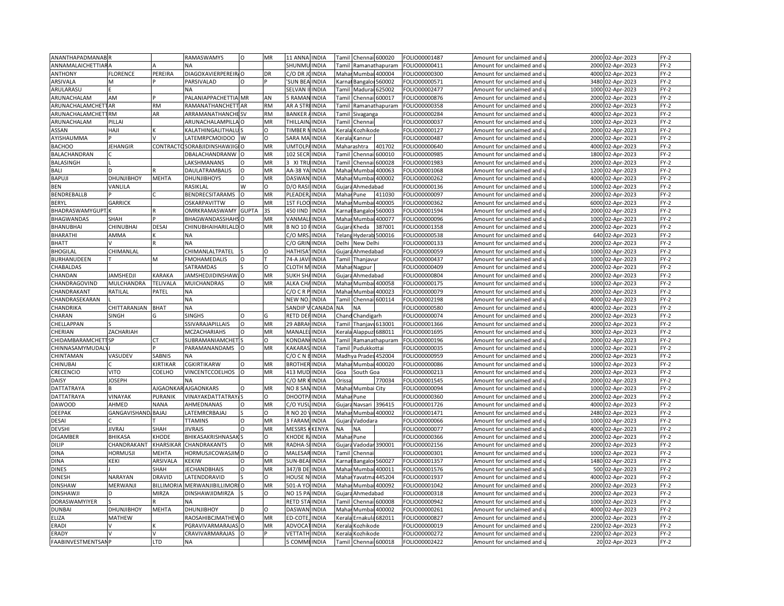| ANANTHAPADMANAB           |                     |                  | RAMASWAMYS                |              | MR        | 11 ANNA<br><b>INDIA</b>                          | Tamil                                                                                                                                                                     |              | Chennai 600020            | OLIO00001487  | Amount for unclaimed and             | 2000         | 02-Apr-2023      | $FY-2$           |
|---------------------------|---------------------|------------------|---------------------------|--------------|-----------|--------------------------------------------------|---------------------------------------------------------------------------------------------------------------------------------------------------------------------------|--------------|---------------------------|---------------|--------------------------------------|--------------|------------------|------------------|
| <b>ANNAMALAICHETTIARA</b> |                     |                  | ΝA                        |              |           | <b>INDIA</b><br>SHUNML                           | Tamil                                                                                                                                                                     |              | Ramanathapuram            | OLIO00000411  | Amount for unclaimed and             |              | 2000 02-Apr-2023 | $FY-2$           |
| <b>ANTHONY</b>            | FLORENCE            | PEREIRA          | DIAGOXAVIERPEREIR/O       |              | DR        | C/O DR<br><b>INDIA</b>                           |                                                                                                                                                                           |              | Mahar Mumbai 400004       | OLIO00000300  | Amount for unclaimed and             | 4000         | 02-Apr-2023      | FY-2             |
| ARSIVALA                  | M                   |                  | PARSIVALAD                | $\Omega$     |           | <b>SUN BEA</b><br><b>INDIA</b>                   |                                                                                                                                                                           |              | Karnal Bangaloi 560002    | OLIO00000571  | Amount for unclaimed and u           | 3480         | 02-Apr-2023      | $FY-2$           |
| ARULARASU                 |                     |                  | <b>NA</b>                 |              |           | SELVAN<br><b>INDIA</b>                           | Tamil                                                                                                                                                                     |              | Madura<br>625002          | OLIO00002477  | Amount for unclaimed and             | 1000         | 02-Apr-2023      | $FY-2$           |
| ARUNACHALAM               | AM                  |                  | PALANIAPPACHETTIA MR      |              | AN        | <b>RAMA</b><br><b>INDIA</b>                      | Tami                                                                                                                                                                      |              | Chennai 600017            | OLIO00000876  | Amount for unclaimed and $\mathsf I$ | 2000         | 02-Apr-2023      | $FY-2$           |
| <b>ARUNACHALAMCHETTAR</b> |                     | <b>RM</b>        | RAMANATHANCHETT AR        |              | <b>RM</b> | AR A STI<br><b>INDIA</b>                         | Tamil                                                                                                                                                                     |              | Ramanathapuram            | OLIO00000358  | Amount for unclaimed and             | 2000         | 02-Apr-2023      | FY-2             |
| ARUNACHALAMCHETTRM        |                     | AR               | <b>ARRAMANATHANCHE SV</b> |              | <b>RM</b> | <b>BANKER</b><br>INDIA                           | Tamil                                                                                                                                                                     |              | Sivaganga                 | OLIO00000284  | Amount for unclaimed and $\iota$     | 4000         | 02-Apr-2023      | $FY-2$           |
|                           | PILLAI              |                  | ARUNACHALAMPILLA O        |              | MR        | THILLAIN<br><b>INDIA</b>                         |                                                                                                                                                                           |              |                           |               |                                      | 1000         |                  | $FY-2$           |
| ARUNACHALAM               | HAJI                |                  |                           |              |           | TIMBER                                           | Tamil                                                                                                                                                                     |              | Chennai                   | FOLIO00000037 | Amount for unclaimed and             |              | 02-Apr-2023      |                  |
| ASSAN                     |                     |                  | KALATHINGALITHALI         |              | O         | <b>INDIA</b>                                     | Kerala                                                                                                                                                                    |              | Kozhikode                 | FOLIO00000127 | Amount for unclaimed and             | 2000         | 02-Apr-2023      | $FY-2$           |
| AYISHAUMMA                |                     |                  | LATEMRPCMOIDOO            | W            | O         | SARA MA INDIA                                    |                                                                                                                                                                           |              | Kerala Kannur             | OLIO00000487  | Amount for unclaimed and i           | 2000         | 02-Apr-2023      | $FY-2$           |
| <b>BACHOO</b>             | <b>JEHANGIR</b>     | CONTRACT         | SORABJIDINSHAWJIGIO       |              | MR        | <b>UMTOLP</b><br><b>INDIA</b>                    |                                                                                                                                                                           | Maharashtra  | 401702                    | FOLIO00000640 | Amount for unclaimed and             | 4000         | 02-Apr-2023      | $FY-2$           |
| BALACHANDRAN              |                     |                  | DBALACHANDRANW O          |              | MR        | 102 SECR<br><b>INDIA</b>                         |                                                                                                                                                                           |              | Tamil Chennai 600010      | OLIO00000985  | Amount for unclaimed and u           | 1800         | 02-Apr-2023      | $FY-2$           |
| BALASINGH                 |                     |                  | LAKSHMANANS               | $\circ$      | MR        | <b>INDIA</b><br>3 XI TRI                         | Tamil                                                                                                                                                                     |              | Chenna<br>600028          | OLIO00001983  | Amount for unclaimed and             | 2000         | 02-Apr-2023      | $FY-2$           |
| BALI                      |                     |                  | DAULATRAMBALIS            | $\Omega$     | MR        | AA-38 YA<br><b>INDIA</b>                         | Mahai                                                                                                                                                                     |              | Mumbai<br>400063          | OLIO00001068  | Amount for unclaimed and u           | 1200         | 02-Apr-2023      | FY-2             |
| BAPUJI                    | DHUNJIBHOY          | MEHTA            | <b>DHUNJIBHOYS</b>        | $\circ$      | MR        | <b>INDIA</b><br><b>DASWAN</b>                    | Mahar                                                                                                                                                                     |              | Mumbai 400002             | OLIO00000262  | Amount for unclaimed and             | 4000         | 02-Apr-2023      | FY-2             |
| BEN                       | VANLILA             |                  | RASIKLAL                  | W            | $\Omega$  | D/O RAS<br>INDIA                                 | Gujar                                                                                                                                                                     |              | Ahmedabad                 | OLIO00000136  | Amount for unclaimed and $\iota$     | 1000         | 02-Apr-2023      | FY-2             |
| BENDREBALLB               |                     |                  | <b>BENDRECSITARAMS</b>    | $\circ$      | MR        | PLEADER<br><b>INDIA</b>                          | Mahar                                                                                                                                                                     |              | 411030<br>Pune            | FOLIO00000097 | Amount for unclaimed and             | 2000         | 02-Apr-2023      | FY-2             |
| BERYL                     | <b>GARRICK</b>      |                  | OSKARPAVITTW              |              | <b>MR</b> | INDIA<br><b>1ST FLO</b>                          | Maha                                                                                                                                                                      |              | Mumba<br>400005           | OLIO00000362  | Amount for unclaimed and             | 6000         | 02-Apr-2023      | $FY-2$           |
| BHADRASWAMYGUPT.          |                     |                  | OMRKRAMASWAMY             | <b>GUPTA</b> | <b>3S</b> | 450 IIND<br><b>INDIA</b>                         |                                                                                                                                                                           |              | 560003<br>Karnat Bangalor | OLIO00001594  | Amount for unclaimed and u           | 2000         | 02-Apr-2023      | $FY-2$           |
| <b>BHAGWANDAS</b>         | SHAH                |                  | BHAGWANDASSHAHS O         |              | MR        | VANMA<br><b>INDIA</b>                            |                                                                                                                                                                           |              | Mahar Mumbai<br>400077    | OLIO00000096  | Amount for unclaimed and             | 1000         | 02-Apr-2023      | $FY-2$           |
| <b>BHANUBHAI</b>          | CHINUBHAI           | <b>DESAI</b>     | CHINUBHAIHARILALD O       |              | MR        | <b>B NO 10</b><br><b>INDIA</b>                   |                                                                                                                                                                           | Gujara Kheda | 387001                    | OLIO00001358  | Amount for unclaimed and u           | 2000         | 02-Apr-2023      | FY-2             |
| <b>BHARATHI</b>           | AMMA                |                  | <b>NA</b>                 |              |           | C/O MR:<br>INDIA                                 |                                                                                                                                                                           |              | Telang Hyderab 500016     | FOLIO00000538 | Amount for unclaimed and             | 640          | 02-Apr-2023      | $FY-2$           |
| <b>BHATT</b>              |                     |                  | <b>NA</b>                 |              |           | C/O GRIN<br><b>INDIA</b>                         | Delhi                                                                                                                                                                     |              | New Delhi                 | OLIO00000133  | Amount for unclaimed and u           | 2000         | 02-Apr-2023      | $FY-2$           |
| <b>BHOGILAL</b>           | CHIMANLAL           |                  | CHIMANLALTPATEL           |              | $\Omega$  | HATHISA<br><b>INDIA</b>                          |                                                                                                                                                                           |              | Gujara Ahmedabad          | FOLIO00000059 | Amount for unclaimed and             | 1000         | 02-Apr-2023      | FY-2             |
| BURHANUDEEN               |                     | M                | FMOHAMEDALIS              | $\circ$      |           | 74-A JAV<br><b>INDIA</b>                         | Tamil                                                                                                                                                                     |              | Thanjavur                 | FOLIO00000437 | Amount for unclaimed and <b>u</b>    | 1000         | 02-Apr-2023      | $FY-2$           |
| CHABALDAS                 |                     |                  | SATRAMDAS                 |              | O         | <b>CLOTH M</b><br><b>INDIA</b>                   |                                                                                                                                                                           |              | Mahar Nagpur              | FOLIO00000409 | Amount for unclaimed and             | 2000         | 02-Apr-2023      | FY-2             |
| CHANDAN                   | <b>JAMSHEDJI</b>    | KARAKA           | JAMSHEDJIDINSHAWJO        |              | MR        | <b>INDIA</b><br>SUKH SH                          | Gujar                                                                                                                                                                     |              | Ahmedabad                 | OLIO00000804  | Amount for unclaimed and             | 2000         | 02-Apr-2023      | $FY-2$           |
|                           | MULCHANDRA          |                  |                           | $\Omega$     | MR        | ALKA CH                                          |                                                                                                                                                                           |              |                           |               |                                      |              |                  |                  |
| CHANDRAGOVIND             |                     | TELIVALA         | <b>MUICHANDRAS</b>        |              |           | <b>INDIA</b>                                     |                                                                                                                                                                           |              | Mahar Mumbai 400058       | OLIO00000175  | Amount for unclaimed and i           | 1000         | 02-Apr-2023      | $FY-2$           |
| CHANDRAKANT               | RATILAL             | PATEL            | <b>NA</b><br><b>NA</b>    |              |           | C/OCR<br><b>INDIA</b><br>NEW NO.<br><b>INDIA</b> | Tamil                                                                                                                                                                     |              | Mahar Mumbai 400023       | OLIO00000079  | Amount for unclaimed and             | 2000<br>4000 | 02-Apr-2023      | $FY-2$<br>$FY-2$ |
| CHANDRASEKARAN            |                     |                  |                           |              |           |                                                  |                                                                                                                                                                           |              | Chennai 600114            | OLIO00002198  | Amount for unclaimed and u           |              | 02-Apr-2023      |                  |
| CHANDRIKA                 | CHITTARANJAN        | <b>BHAT</b>      | <b>NA</b>                 |              |           | SANDIP<br>CANAD/                                 | <b>NA</b>                                                                                                                                                                 | <b>NA</b>    |                           | FOLIO00000580 | Amount for unclaimed and             | 4000         | 02-Apr-2023      | $FY-2$           |
| CHARAN                    | SINGH               | G                | <b>SINGHS</b>             | O            | G         | RETD DEI<br><b>INDIA</b>                         |                                                                                                                                                                           |              | Chand Chandigarh          | OLIO00000074  | Amount for unclaimed and u           | 2000         | 02-Apr-2023      | $FY-2$           |
| CHELLAPPAN                |                     |                  | SSIVARAJAPILLAIS          | $\Omega$     | MR        | 29 ABRA<br><b>INDIA</b>                          | Tamil                                                                                                                                                                     |              | Thanjavi 613001           | FOLIO00001366 | Amount for unclaimed and             | 2000         | 02-Apr-2023      | $FY-2$           |
| CHERIAN                   | ZACHARIAH           |                  | MCZACHARIAHS              | $\Omega$     | MR        | MANALE<br><b>INDIA</b>                           | <erala< td=""><td></td><td>Alappuz 688011</td><td>FOLIO00001695</td><td>Amount for unclaimed and</td><td>3000</td><td>02-Apr-2023</td><td><math>FY-2</math></td></erala<> |              | Alappuz 688011            | FOLIO00001695 | Amount for unclaimed and             | 3000         | 02-Apr-2023      | $FY-2$           |
| CHIDAMBARAMCHETTSP        |                     | CТ               | SUBRAMANIAMCHET           |              | O         | KONDAN<br><b>INDIA</b>                           | Tamil                                                                                                                                                                     |              | Ramanathapuram            | OLIO00000196  | Amount for unclaimed and             | 2000         | 02-Apr-2023      | $FY-2$           |
| CHINNASAMYMUDAL           |                     |                  | PARAMANANDAMS             |              | MR        | <b>KAKARA</b><br><b>INDIA</b>                    | Tamil                                                                                                                                                                     |              | Pudukkottai               | OLIO00000035  | Amount for unclaimed and             | 1000         | 02-Apr-2023      | $FY-2$           |
| CHINTAMAN                 | VASUDEV             | SABNIS           | NA                        |              |           | C/O C N BINDIA                                   |                                                                                                                                                                           |              | Madhya Prades 452004      | OLIO00000959  | Amount for unclaimed and             | 2000         | 02-Apr-2023      | $FY-2$           |
| CHINUBAI                  |                     | KIRTIKAR         | CGKIRTIKARW               | $\Omega$     | MR        | <b>BROTHE</b><br><b>INDIA</b>                    |                                                                                                                                                                           |              | Mahar Mumbai 400020       | OLIO00000086  | Amount for unclaimed and             | 1000         | 02-Apr-2023      | $FY-2$           |
| CRECENCIO                 | <b>JITO</b>         | COELHO           | VINCENTCCOELHOS           | $\circ$      | MR        | 413 MUD<br><b>INDIA</b>                          | Goa                                                                                                                                                                       |              | South Goa                 | OLIO00000213  | Amount for unclaimed and u           | 2000         | 02-Apr-2023      | $FY-2$           |
| DAISY                     | <b>JOSEPH</b>       |                  | <b>NA</b>                 |              |           | C/O MR<br><b>INDIA</b>                           | Orissa                                                                                                                                                                    |              | 770034                    | FOLIO00001545 | Amount for unclaimed and             | 2000         | 02-Apr-2023      | $FY-2$           |
| DATTATRAYA                |                     | AJGAONK/         | <b>AJGAONKARS</b>         |              | MR        | <b>INDIA</b><br>NO 8 SAI                         | Mahar                                                                                                                                                                     |              | Mumbai City               | OLIO00000094  | Amount for unclaimed and $\iota$     | 1000         | 02-Apr-2023      | $FY-2$           |
| <b>DATTATRAYA</b>         | VINAYAK             | PURANIK          | <b>VINAYAKDATTATRAY</b>   |              | $\Omega$  | DHOOTF<br><b>INDIA</b>                           |                                                                                                                                                                           | Mahar Pune   |                           | FOLIO00000360 | Amount for unclaimed and             | 2000         | 02-Apr-2023      | $FY-2$           |
| <b>DAWOOD</b>             | AHMED               | <b>NANA</b>      | AHMEDNANAS                | $\Omega$     | MR        | C/O YUS<br>INDIA                                 | Gujara                                                                                                                                                                    |              | 396415<br>Navsari         | FOLIO00001726 | Amount for unclaimed and $\iota$     | 4000         | 02-Apr-2023      | $FY-2$           |
| <b>DEEPAK</b>             | GANGAVISHAND, BAJAJ |                  | LATEMRCRBAJAJ             |              | O         | R NO 20<br>INDIA                                 | Mahar                                                                                                                                                                     |              | Mumbai 400002             | FOLIO00001471 | Amount for unclaimed and             | 2480         | 02-Apr-2023      | FY-2             |
| DESAI                     |                     |                  | <b>TTAMINS</b>            |              | MR        | 3 FARAI<br><b>INDIA</b>                          | Gujara                                                                                                                                                                    |              | Vadodara                  | OLIO00000066  | Amount for unclaimed and             | 1000         | 02-Apr-2023      | $FY-2$           |
| <b>DEVSHI</b>             | <b>JIVRAJ</b>       | SHAH             | <b>JIVRAJS</b>            | $\Omega$     | MR        | <b>MESSRS</b><br>KENYA                           | NA                                                                                                                                                                        | <b>NA</b>    |                           | OLIO00000077  | Amount for unclaimed and             | 4000         | 02-Apr-2023      | $FY-2$           |
| <b>DIGAMBER</b>           | BHIKASA             | KHODE            | BHIKASAKRISHNASAK         |              | O         | KHODE<br><b>INDIA</b>                            |                                                                                                                                                                           | Mahar Pune   |                           | FOLIO00000366 | Amount for unclaimed and             | 2000         | 02-Apr-2023      | FY-2             |
| DILIP                     | CHANDRAKANT         | KHARSIKAR        | <b>CHANDRAKANTS</b>       | $\Omega$     | MR        | RADHA-<br><b>INDIA</b>                           |                                                                                                                                                                           |              | Gujara Vadodar 390001     | OLIO00002156  | Amount for unclaimed and u           | 2000         | 02-Apr-2023      | $FY-2$           |
| <b>DINA</b>               | HORMUSJI            | MEHTA            | HORMUSJICOWASJIM D        |              | O         | MALESA<br><b>INDIA</b>                           | Tamil                                                                                                                                                                     |              | Chenna                    | FOLIO00000301 | Amount for unclaimed and             | 1000         | 02-Apr-2023      | $FY-2$           |
| <b>DINA</b>               | <b>CEKI</b>         | ARSIVALA         | <b>KEKIW</b>              | $\Omega$     | MR        | <b>INDIA</b><br>SUN-BEA                          |                                                                                                                                                                           |              | 560027<br>Carnat Bangalor | OLIO00001357  | Amount for unclaimed and $\iota$     |              | 1480 02-Apr-2023 | $FY-2$           |
| <b>DINES</b>              |                     | SHAH             | <b>JECHANDBHAIS</b>       | O            | MR        | 347/B DE<br><b>INDIA</b>                         |                                                                                                                                                                           |              | Mahar Mumbai<br>400011    | FOLIO00001576 | Amount for unclaimed and             |              | 500 02-Apr-2023  | $FY-2$           |
|                           |                     | DRAVID           |                           |              | $\circ$   | <b>HOUSE N</b>                                   | Mahai                                                                                                                                                                     |              |                           |               |                                      | 4000         |                  | FY-2             |
| <b>DINESH</b>             | NARAYAN             |                  | LATENDDRAVID              |              | MR        | <b>INDIA</b>                                     |                                                                                                                                                                           |              | Yavatma<br>445204         | FOLIO00001937 | Amount for unclaimed and <b>u</b>    | 2000         | 02-Apr-2023      |                  |
| <b>DINSHAW</b>            | MERWANJI            | <b>BILLIMORI</b> | MERWANJIBILLIMORI O       |              |           | 501-A YO<br><b>INDIA</b>                         |                                                                                                                                                                           |              | Mahar Mumbai 400092       | OLIO00001042  | Amount for unclaimed and             |              | 02-Apr-2023      | $FY-2$           |
| <b>DINSHAWJ</b>           |                     | MIRZA            | DINSHAWJIDMIRZA           |              | $\Omega$  | NO 15 P/<br>INDIA                                | Gujar                                                                                                                                                                     |              | Ahmedabad                 | OLIO00000318  | Amount for unclaimed and             | 2000         | 02-Apr-2023      | $FY-2$           |
| DORASWAMYIYER             |                     |                  | NA                        |              |           | <b>INDIA</b><br><b>RETD STA</b>                  | Tamil                                                                                                                                                                     |              | Chennai 600008            | OLIO00000942  | Amount for unclaimed and             | 1000         | 02-Apr-2023      | $FY-2$           |
| <b>DUNBAI</b>             | DHUNJIBHOY          | <b>MEHTA</b>     | DHUNJIBHOY                |              | $\Omega$  | <b>DASWA</b><br>INDIA                            | Maha                                                                                                                                                                      |              | 400002<br>Mumba           | OLIO00000261  | Amount for unclaimed and             | 4000         | 02-Apr-2023      | $FY-2$           |
| ELIZA                     | MATHEW              |                  | RAOSAHIBCJMATHEW O        |              | MR        | ED-COTE<br><b>INDIA</b>                          |                                                                                                                                                                           |              | Kerala Ernakula 682011    | OLIO00000827  | Amount for unclaimed and u           | 2000         | 02-Apr-2023      | FY-2             |
| <b>ERADI</b>              |                     |                  | PGRAVIVARMARAJAS O        |              | MR        | ADVOCA<br><b>INDIA</b>                           | Kerala                                                                                                                                                                    |              | Kozhikode                 | OLIO00000019  | Amount for unclaimed and             | 2200         | 02-Apr-2023      | $FY-2$           |
| ERADY                     |                     |                  | CRAVIVARMARAJAS           |              |           | VETTATH<br><b>INDIA</b>                          | <erala< td=""><td></td><td>Kozhikode</td><td>OLIO00000272</td><td>Amount for unclaimed and u</td><td></td><td>2200 02-Apr-2023</td><td>FY-2</td></erala<>                 |              | Kozhikode                 | OLIO00000272  | Amount for unclaimed and u           |              | 2200 02-Apr-2023 | FY-2             |
| <b>FAABINVESTMENTSANP</b> |                     | <b>LTD</b>       | <b>NA</b>                 |              |           | 5 COMMEINDIA                                     | Tamil                                                                                                                                                                     |              | Chennai 600018            | FOLIO00002422 | Amount for unclaimed and u           |              | 20 02-Apr-2023   | $FY-2$           |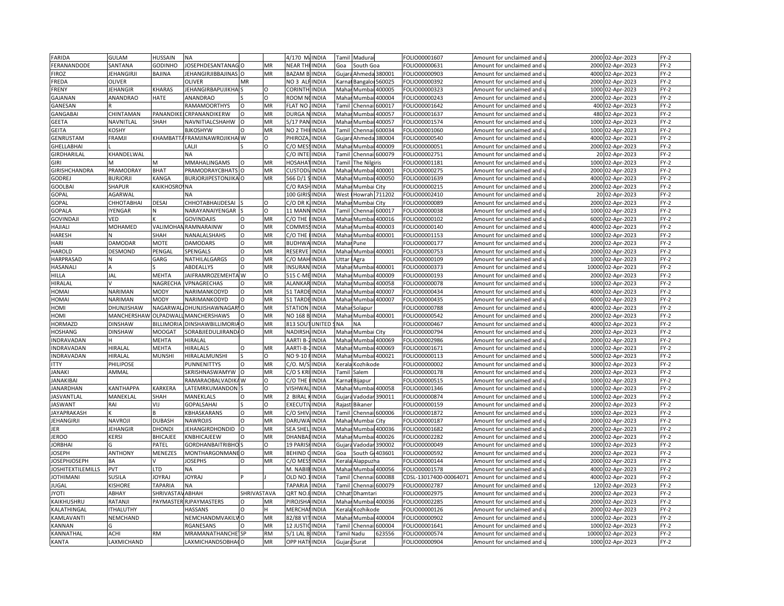| FARIDA                   | <b>GULAM</b>      | HUSSAIN               | <b>NA</b>                   |             |           | 4/170 M/INDIA        |                 | Tamil                                                                                         | Madurai                |                | FOLIO00001607          | Amount for unclaimed and                          | 2000  | 02-Apr-2023      | $FY-2$ |
|--------------------------|-------------------|-----------------------|-----------------------------|-------------|-----------|----------------------|-----------------|-----------------------------------------------------------------------------------------------|------------------------|----------------|------------------------|---------------------------------------------------|-------|------------------|--------|
| FERANANDODE              | SANTANA           | GODINHO               | JOSEPHDESANTANAG            |             | MR        | NEAR THEINDIA        |                 | Goa                                                                                           | South Goa              |                | OLIO00000631           | Amount for unclaimed and $\overline{\phantom{a}}$ | 2000  | 02-Apr-2023      | $FY-2$ |
| <b>FIROZ</b>             | <b>JEHANGIRJI</b> | BAJINA                | JEHANGIRJIBBAJINAS          | $\Omega$    | MR        | <b>BAZAM BUNDIA</b>  |                 |                                                                                               | Gujara Ahmeda 380001   |                | FOLIO00000903          | Amount for unclaimed and                          | 4000  | 02-Apr-2023      | FY-2   |
| FREDA                    | <b>OLIVER</b>     |                       | <b>OLIVER</b>               | <b>MR</b>   |           | NO 3 ALFINDIA        |                 |                                                                                               | Karnai Bangaloi 560025 |                | FOLIO00000392          | Amount for unclaimed and u                        | 2000  | 02-Apr-2023      | $FY-2$ |
| FRENY                    | <b>JEHANGIR</b>   | <b>KHARAS</b>         | <b>JEHANGIRBAPUJIKHA</b>    |             | O         | <b>CORINTH</b>       | <b>INDIA</b>    |                                                                                               | Mahar Mumba            | 400005         | FOLIO00000323          | Amount for unclaimed and                          | 1000  | 02-Apr-2023      | $FY-2$ |
| GAJANAN                  | ANANDRAO          | HATE                  | ANANDRAO                    |             | Ω         | ROOM N               | <b>CINDIA</b>   | Maha                                                                                          | Mumbai                 | 400004         | FOLIO00000243          | Amount for unclaimed and $\iota$                  | 2000  | 02-Apr-2023      | FY-2   |
| GANESAN                  |                   |                       | RAMAMOORTHYS                | $\Omega$    | MR        | <b>FLAT NO</b>       | <b>INDIA</b>    | Tami                                                                                          | Chenn                  | 500017         | FOLIO00001642          | Amount for unclaimed and                          | 400   | 02-Apr-2023      | FY-2   |
|                          |                   | PANANDIH              |                             |             | MR        |                      | <b>INDIA</b>    | Maha                                                                                          |                        |                |                        |                                                   | 480   |                  | $FY-2$ |
| <b>GANGABAI</b>          | CHINTAMAN         |                       | CRPANANDIKERW               |             |           | DURGA N              |                 |                                                                                               | Mumb                   | 100057         | OLIO00001637           | Amount for unclaimed and u                        |       | 02-Apr-2023      |        |
| <b>GEETA</b>             | NAVNITLAL         | SHAH                  | NAVNITIALCSHAHW             | $\Omega$    | MR        | 5/17 PAN             | <b>INDIA</b>    | Mahar                                                                                         | Mumba                  | 400057         | FOLIO00001574          | Amount for unclaimed and                          | 1000  | 02-Apr-2023      | $FY-2$ |
| <b>GEITA</b>             | KOSHY             |                       | <b>BJKOSHYW</b>             |             | MR        | NO <sub>2</sub> TH   | <b>INDIA</b>    | Tami                                                                                          | Chenn                  | 500034         | FOLIO00001060          | Amount for unclaimed and                          | 1000  | 02-Apr-2023      | $FY-2$ |
| GENRUSTAM                | FRAMJI            | KHAMBATT              | <b>AFRAMJINAWROJIKHAI W</b> |             | Ω         | PHIROZA              | <b>INDIA</b>    |                                                                                               | Gujara Ahmeda          | 380004         | OLIO00000540           | Amount for unclaimed and u                        | 4000  | 02-Apr-2023      | $FY-2$ |
| <b>GHELLABHAI</b>        |                   |                       | LALJI                       |             | $\Omega$  | C/O MES              | <b>INDIA</b>    |                                                                                               | Mahar Mumbai 400009    |                | FOLIO00000051          | Amount for unclaimed and                          | 2000  | 02-Apr-2023      | $FY-2$ |
| GIRDHARILAL              | KHANDELWAL        |                       | <b>NA</b>                   |             |           | C/O INTEI            | <b>INDIA</b>    |                                                                                               | Tamil Chennai 600079   |                | FOLIO00002751          | Amount for unclaimed and u                        |       | 20 02-Apr-2023   | FY-2   |
| <b>GIRI</b>              | <b>M</b>          | M                     | MMAHALINGAMS                | $\Omega$    | MR        | HOSAHA               | <b>INDIA</b>    | Tamil                                                                                         | The Nilgiris           |                | FOLIO00001181          | Amount for unclaimed and                          | 1000  | 02-Apr-2023      | $FY-2$ |
| GIRISHCHANDRA            | PRAMODRAY         | <b>BHAT</b>           | <b>PRAMODRAYCBHATS</b>      |             | MR        | <b>CUSTODI</b>       | <b>INDIA</b>    | Mahar                                                                                         |                        | Mumbai 400001  | FOLIO00000275          | Amount for unclaimed and $\mathfrak t$            | 2000  | 02-Apr-2023      | $FY-2$ |
| <b>GODREJ</b>            | <b>BURJORJI</b>   | KANGA                 | <b>BURJORJIPESTONJIKA O</b> |             | MR        | 566 D/1              | <b>INDIA</b>    | Mahar                                                                                         |                        | Mumbai 400050  | FOLIO00001639          | Amount for unclaimed and                          | 4000  | 02-Apr-2023      | FY-2   |
| <b>GOOLBAI</b>           | SHAPUR            | KAIKHOSROVNA          |                             |             |           | C/O RASH             | <b>INDIA</b>    | Mahar                                                                                         | Mumbai City            |                | FOLIO00000215          | Amount for unclaimed and u                        | 2000  | 02-Apr-2023      | $FY-2$ |
| GOPAL                    | AGARWAI           |                       | <b>NA</b>                   |             |           | 100 GIRIS            | <b>INDIA</b>    | West                                                                                          |                        | Howrah 711202  | FOLIO00002410          | Amount for unclaimed and                          |       | 20 02-Apr-2023   | $FY-2$ |
| GOPAL                    | СННОТАВНАІ        | <b>DESAI</b>          | CHHOTABHAIJDESAI            |             | $\Omega$  | C/ODR                | <b>INDIA</b>    | Maha                                                                                          | Mumbai City            |                | FOLIO00000089          | Amount for unclaimed and                          | 2000  | 02-Apr-2023      | $FY-2$ |
| GOPALA                   | <b>IYENGAR</b>    | Ν                     | NARAYANAIYENGAR             |             | $\Omega$  | 11 MANN INDIA        |                 |                                                                                               | Tamil Chennai 600017   |                | FOLIO00000038          | Amount for unclaimed and u                        | 1000  | 02-Apr-2023      | $FY-2$ |
| <b>GOVINDAJ</b>          | VED               |                       | <b>GOVINDAJIS</b>           | $\Omega$    | MR        | C/O THE              | <b>INDIA</b>    | Maha                                                                                          | Mumba                  | 400016         | FOLIO00000102          | Amount for unclaimed and                          | 6000  | 02-Apr-2023      | $FY-2$ |
| HAJIALI                  | MOHAMED           |                       | <b>VALIMOHAN RAMNARAINW</b> | $\Omega$    | MR        | COMMISS              | <b>INDIA</b>    | Mahar                                                                                         | Mumbai                 | 400003         | FOLIO00000140          | Amount for unclaimed and u                        | 4000  | 02-Apr-2023      | $FY-2$ |
| <b>HARESH</b>            |                   | SHAH                  | NANALALSHAHS                | $\circ$     | MR        | C/O THE              | <b>INDIA</b>    | Maha                                                                                          | Mumb                   | 400001         | FOLIO00001153          | Amount for unclaimed and                          | 1000  | 02-Apr-2023      | $FY-2$ |
| HARI                     | DAMODAR           | <b>MOTE</b>           | <b>DAMODARS</b>             | $\Omega$    | MR        | <b>BUDHWA</b>        | <b>INDIA</b>    | Maha                                                                                          | Pune                   |                | FOLIO00000177          | Amount for unclaimed and u                        | 2000  | 02-Apr-2023      | $FY-2$ |
| <b>HAROLD</b>            | <b>DESMOND</b>    | PENGAI                | SPENGALS                    | O           | MR        | RESERVE              | <b>INDIA</b>    |                                                                                               | Mahar Mumbai 400001    |                | FOLIO00000753          | Amount for unclaimed and                          | 2000  | 02-Apr-2023      | $FY-2$ |
| HARPRASAD                |                   | GARG                  | NATHILALGARGS               | $\Omega$    | MR        | C/O MAH              | <b>INDIA</b>    | <b>Jttar</b>                                                                                  | Agra                   |                | OLIO00000109           | Amount for unclaimed and u                        | 1000  | 02-Apr-2023      | $FY-2$ |
| HASANALI                 | A                 |                       | ABDEALLYS                   | O           | MR        | <b>INSURAN INDIA</b> |                 |                                                                                               | Mahar Mumbai           | 400001         | FOLIO00000373          | Amount for unclaimed and                          | 10000 | 02-Apr-2023      | $FY-2$ |
|                          | JAL               | <b>MEHTA</b>          |                             |             | $\Omega$  |                      | <b>INDIA</b>    | Maha                                                                                          |                        | 400009         |                        |                                                   | 2000  |                  | $FY-2$ |
| HILLA                    |                   |                       | JAIFRAMROZEMEHTA W          |             |           | 515 C-M              |                 |                                                                                               | Mumb                   |                | FOLIO00000193          | Amount for unclaimed and                          |       | 02-Apr-2023      |        |
| HIRALAL                  |                   | NAGRECHA              | VPNAGRECHAS                 | $\Omega$    | MR        | ALANKAR INDIA        |                 |                                                                                               | Mahar Mumbai           | 400058         | FOLIO00000078          | Amount for unclaimed and $\mathfrak u$            | 1000  | 02-Apr-2023      | $FY-2$ |
| HOMAI                    | <b>NARIMAN</b>    | <b>MODY</b>           | NARIMANKODYD                | $\circ$     | MR        | 51 TARDE INDIA       |                 | Maha                                                                                          | Mumba                  | 400007         | FOLIO00000434          | Amount for unclaimed and                          | 4000  | 02-Apr-2023      | $FY-2$ |
| HOMAI                    | <b>NARIMAN</b>    | MODY                  | NARIMANKODYD                | $\circ$     | MR        | 51 TARDE INDIA       |                 | Maha                                                                                          |                        | Mumbai 400007  | FOLIO00000435          | Amount for unclaimed and u                        | 6000  | 02-Apr-2023      | $FY-2$ |
| HOMI                     | DHUNJISHAW        | NAGARWA               | DHUNJISHAWNAGARIO           |             | MR        | <b>STATION</b>       | <b>INDIA</b>    | Maha                                                                                          | Solapur                |                | FOLIO00000788          | Amount for unclaimed and                          | 4000  | 02-Apr-2023      | $FY-2$ |
| HOMI                     | MANCHERSHAW       | <b>OLPADWA</b>        | <b>MANCHERSHAWS</b>         |             | MR        | NO 168 B             | <b>INDIA</b>    | Mahar                                                                                         |                        | Mumbai 400001  | FOLIO00000542          | Amount for unclaimed and u                        | 2000  | 02-Apr-2023      | FY-2   |
| HORMAZD                  | <b>DINSHAW</b>    | <b>BILLIMORI</b>      | DINSHAWBILLIMORIA O         |             | MR        |                      | 813 SOUT UNITED | NΑ                                                                                            | <b>NA</b>              |                | FOLIO00000467          | Amount for unclaimed and                          | 4000  | 02-Apr-2023      | FY-2   |
| <b>HOSHANG</b>           | <b>DINSHAW</b>    | MOOGA1                | SORABJIEDULJIRANDA O        |             | MR        | NADIRSHI INDIA       |                 | Maha                                                                                          | Mumbai City            |                | FOLIO00000794          | Amount for unclaimed and                          | 2000  | 02-Apr-2023      | FY-2   |
| INDRAVADAN               | H                 | <b>MEHTA</b>          | HIRALAL                     |             |           | AARTI B-             | <b>INDIA</b>    | Mahar                                                                                         | Mumbai 400069          |                | FOLIO00002986          | Amount for unclaimed and                          | 2000  | 02-Apr-2023      | $FY-2$ |
| INDRAVADAN               | <b>HIRALAL</b>    | <b>MEHTA</b>          | <b>HIRALALS</b>             | $\Omega$    | MR        | AARTI-B-             | <b>INDIA</b>    | Maha                                                                                          |                        | Mumbai 400069  | FOLIO00001671          | Amount for unclaimed and                          | 1000  | 02-Apr-2023      | $FY-2$ |
| INDRAVADAN               | <b>HIRALAL</b>    | <b>MUNSHI</b>         | HIRALALMUNSHI               |             | Ω         | NO 9-10 FINDIA       |                 | Mahar                                                                                         |                        | Mumbai 400021  | FOLIO00000113          | Amount for unclaimed and u                        | 5000  | 02-Apr-2023      | $FY-2$ |
| <b>ITTY</b>              | PHILIPOSE         |                       | <b>PUNNENITTYS</b>          | $\Omega$    | MR        | C/O. M/S INDIA       |                 | Kerala                                                                                        | Kozhikode              |                | FOLIO00000002          | Amount for unclaimed and                          | 3000  | 02-Apr-2023      | $FY-2$ |
| <b>JANAKI</b>            | AMMAL             |                       | SKRISHNASWAMYW              | $\circ$     | MR        | C/O S KRI INDIA      |                 | <b>Tamil</b>                                                                                  | Salem                  |                | FOLIO00000178          | Amount for unclaimed and <b>u</b>                 | 2000  | 02-Apr-2023      | $FY-2$ |
| <b>JANAKIBAI</b>         |                   |                       | RAMARAOBALVADIKA            | W           | O         | C/O THE              | <b>INDIA</b>    | Karna                                                                                         | Bijapur                |                | FOLIO00000515          | Amount for unclaimed and                          | 1000  | 02-Apr-2023      | $FY-2$ |
| <b>JANARDHAN</b>         | KANTHAPPA         | KARKERA               | LATEMRKUMANDON              |             | $\Omega$  | VISHWAI              | <b>INDIA</b>    | Maha                                                                                          | Mumbai                 | 400058         | FOLIO00001346          | Amount for unclaimed and u                        | 1000  | 02-Apr-2023      | $FY-2$ |
| JASVANTLAL               | MANEKLAL          | SHAH                  | MANEKLALS                   | $\Omega$    | MR        | ! BIRAL              | <b>INDIA</b>    | Gujar                                                                                         | Vadodar                | 390011         | FOLIO00000874          | Amount for unclaimed and                          | 1000  | 02-Apr-2023      | FY-2   |
| <b>JASWANT</b>           | RAI               | VIJ                   | GOPALSAHAI                  |             | O         | EXECUTIV             | <b>INDIA</b>    | Rajast                                                                                        | Bikaner                |                | FOLIO00000159          | Amount for unclaimed and                          | 2000  | 02-Apr-2023      | FY-2   |
| JAYAPRAKASH              |                   |                       | KBHASKARANS                 | O           | MR        | C/O SHIV/INDIA       |                 | Tamil                                                                                         | Chennai 600006         |                | FOLIO00001872          | Amount for unclaimed and $\overline{\phantom{a}}$ | 1000  | 02-Apr-2023      | $FY-2$ |
| JEHANGIRJI               | NAVROJI           | <b>DUBASH</b>         | <b>NAWROJIS</b>             | $\Omega$    | MR        | DARUWA INDIA         |                 | Maha                                                                                          | Mumbai City            |                | FOLIO00000187          | Amount for unclaimed and                          | 2000  | 02-Apr-2023      | $FY-2$ |
| JER                      | <b>JEHANGIR</b>   | DHONDI                | <b>JEHANGIRDHONDID</b>      | $\circ$     | MR        | <b>SEA SHEL</b>      | <b>INDIA</b>    |                                                                                               | Mahar Mumbai 400036    |                | FOLIO00001682          | Amount for unclaimed and $\mathfrak u$            | 2000  | 02-Apr-2023      | $FY-2$ |
| JEROO                    | <b>KERSI</b>      | <b>BHICAJEE</b>       | KNBHICAJEEW                 | $\Omega$    | MR        | DHANBA               | <b>INDIA</b>    | Maha                                                                                          | Mumbai                 | 400026         | FOLIO00002282          | Amount for unclaimed and                          | 2000  | 02-Apr-2023      | $FY-2$ |
| <b>JORBHAI</b>           |                   | PATEL                 | <b>GORDHANBAITRIBHO</b>     |             | O         | 19 PARIS             | <b>INDIA</b>    | Gujara                                                                                        | Vadodar                | 390002         | FOLIO00000049          | Amount for unclaimed and <b>u</b>                 | 1000  | 02-Apr-2023      | FY-2   |
| JOSEPH                   | <b>ANTHONY</b>    | <b>MENEZES</b>        | MONTHARGONMANE O            |             | MR        | <b>BEHIND</b>        | <b>INDIA</b>    | Goa                                                                                           |                        | South Gr403601 | FOLIO00000592          | Amount for unclaimed and                          | 2000  | 02-Apr-2023      | $FY-2$ |
| <b>JOSEPHJOSEPH</b>      |                   |                       | <b>JOSEPHS</b>              |             | MR        | C/O MES              | <b>INDIA</b>    |                                                                                               |                        |                | FOLIO00000144          | Amount for unclaimed and u                        | 2000  | 02-Apr-2023      | FY-2   |
|                          | BA                |                       |                             |             |           |                      |                 | <eral< td=""><td>Alappuzha</td><td></td><td></td><td></td><td></td><td></td><td></td></eral<> | Alappuzha              |                |                        |                                                   |       |                  |        |
| <b>JOSHITEXTILEMILLS</b> | PVT               | <b>LTD</b>            | <b>NA</b>                   |             |           | M. NABIB INDIA       |                 | Mahar                                                                                         |                        | Mumbai 400056  | FOLIO00001578          | Amount for unclaimed and                          | 4000  | 02-Apr-2023      | FY-2   |
| <b>JOTHIMANI</b>         | <b>SUSILA</b>     | <b>OYRAJ</b>          | <b>JOYRAJ</b>               |             |           | OLD NO               | <b>INDIA</b>    | `ami                                                                                          | Chennai                | 500088         | CDSL-13017400-00064071 | Amount for unclaimed and                          | 4000  | 02-Apr-2023      | $FY-2$ |
| JUGAL                    | <b>KISHORE</b>    | <b><i>TAPARIA</i></b> | <b>NA</b>                   |             |           | <b>TAPARIA</b>       | <b>INDIA</b>    | Гаmіl                                                                                         |                        | Chennai 600079 | FOLIO00002787          | Amount for unclaimed and $\overline{\phantom{a}}$ | 120   | 02-Apr-2023      | FY-2   |
| <b>ITOYL</b>             | ABHAY             | SHRIVAST/             | ABHAH                       | SHRIVASTAVA |           | QRT NO               | <b>INDIA</b>    | Chhat                                                                                         | Dhamtari               |                | FOLIO00002975          | Amount for unclaimed and                          | 2000  | 02-Apr-2023      | $FY-2$ |
| KAIKHUSHRU               | RATANJI           |                       | PAYMASTER RJPAYMASTERS      | $\Omega$    | MR        | PIROJSHA INDIA       |                 | Mahar                                                                                         |                        | Mumbai 400036  | FOLIO00002285          | Amount for unclaimed and u                        | 2000  | 02-Apr-2023      | $FY-2$ |
| KALATHINGAL              | <b>ITHALUTHY</b>  |                       | <b>HASSANS</b>              | O           | н         | MERCHA               | <b>INDIA</b>    | Keral                                                                                         | Kozhikode              |                | FOLIO00000126          | Amount for unclaimed and                          | 2000  | 02-Apr-2023      | $FY-2$ |
| KAMLAVANTI               | NEMCHAND          |                       | NEMCHANDMVAKILV             | $\circ$     | MR        | 82/88 VIT            | <b>INDIA</b>    | Mahar                                                                                         |                        | Mumbai 400004  | FOLIO00000902          | Amount for unclaimed and <b>u</b>                 | 1000  | 02-Apr-2023      | $FY-2$ |
| KANNAN                   |                   |                       | RGANESANS                   | $\Omega$    | MR        | 12 JUSTI             | <b>INDIA</b>    | <b>Tamil</b>                                                                                  | Chenna                 | 500004         | FOLIO00001641          | Amount for unclaimed and                          | 1000  | 02-Apr-2023      | $FY-2$ |
| KANNATHAL                | <b>ACHI</b>       | <b>RM</b>             | MRAMANATHANCHE <sup>®</sup> | <b>SP</b>   | <b>RM</b> | 5/1 LAL B. INDIA     |                 |                                                                                               | <b>Famil Nadu</b>      | 523556         | FOLIO00000574          | Amount for unclaimed and i                        | 10000 | 02-Apr-2023      | $FY-2$ |
| <b>KANTA</b>             | LAXMICHAND        |                       | LAXMICHANDSOBHACO           |             | MR        | <b>OPP HATHINDIA</b> |                 |                                                                                               | Gujara Surat           |                | FOLIO00000904          | Amount for unclaimed and                          |       | 1000 02-Apr-2023 | $FY-2$ |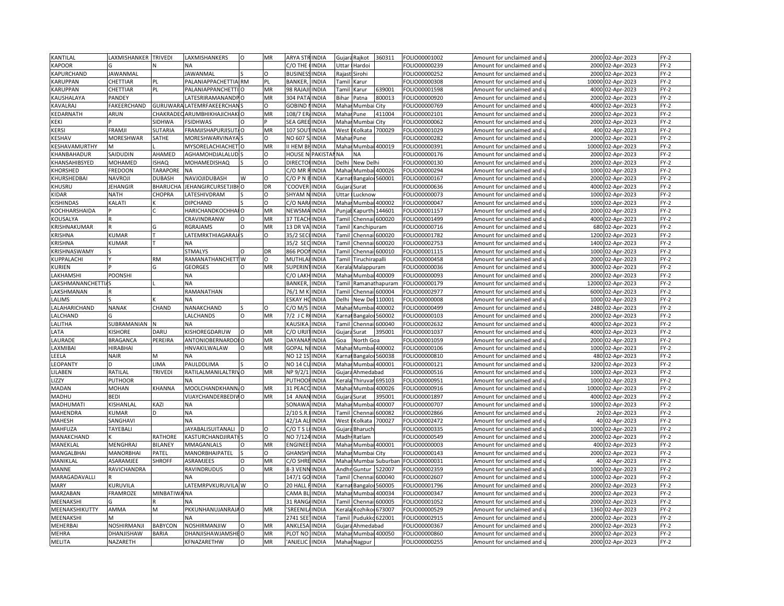| KANTILAL           | AXMISHANKER TRIVEDI |                 | LAXMISHANKERS            | $\circ$  | MR       | <b>ARYA STI</b>   | <b>INDIA</b>    | Gujara | Rajkot          | 360311          | FOLIO00001002 | Amount for unclaimed and | 2000 02-Apr-2023    | $FY-2$ |
|--------------------|---------------------|-----------------|--------------------------|----------|----------|-------------------|-----------------|--------|-----------------|-----------------|---------------|--------------------------|---------------------|--------|
| <b>KAPOOR</b>      |                     |                 | NA                       |          |          | C/O THE           | <b>INDIA</b>    | Uttar  | Hardoi          |                 | FOLIO00000239 | Amount for unclaimed and | 2000 02-Apr-2023    | $FY-2$ |
| KAPURCHAND         | JAWANMAL            |                 | <b>JAWANMAL</b>          |          | $\Omega$ | <b>BUSINES</b>    | <b>INDIA</b>    | Rajast | Sirohi          |                 | FOLIO00000252 | Amount for unclaimed and | 2000 02-Apr-2023    | $FY-2$ |
| <b>KARUPPAN</b>    | CHETTIAR            | PL              | PALANIAPPACHETTIAI RM    |          | PL.      | <b>BANKER</b>     | <b>INDIA</b>    |        | Tamil Karur     |                 | FOLIO00000308 | Amount for unclaimed and | 10000 02-Apr-2023   | $FY-2$ |
| KARUPPAN           | CHETTIAR            | PL              | PALANIAPPANCHETTI        |          | MR       | 98 RAJA           | INDIA           | Tamil  | Karur           | 639001          | FOLIO00001598 | Amount for unclaimed and | 4000 02-Apr-2023    | $FY-2$ |
| KAUSHALAYA         | PANDEY              |                 | ATESRIRAMANANDP          |          | MR       | 304 PAT           | <b>INDIA</b>    | Bihar  | Patna           | 800013          | FOLIO00000920 | Amount for unclaimed and | 2000 02-Apr-2023    | $FY-2$ |
| KAVALRAJ           | FAKEERCHAND         | <b>GURUWAF</b>  | LATEMRFAKEERCHAN         |          | $\Omega$ | <b>GOBIND</b>     | <b>INDIA</b>    | Mahar  | Mumbai          | City            | FOLIO00000769 |                          | 4000 02-Apr-2023    | $FY-2$ |
|                    |                     |                 |                          |          | MR       |                   |                 |        |                 | 411004          |               | Amount for unclaimed and |                     | $FY-2$ |
| KEDARNATH          | ARUN                | CHAKRADI        | ARUMBHIKHAJICHAK         |          |          | 108/7 EF          | <b>INDIA</b>    | Mahai  | Pune            |                 | FOLIO00002101 | Amount for unclaimed and | 2000 02-Apr-2023    |        |
| KEKI               |                     | SIDHWA          | <b>FSIDHWAS</b>          |          |          | <b>SEA GREI</b>   | <b>INDIA</b>    | Mahar  | Mumbai City     |                 | FOLIO00000062 | Amount for unclaimed and | 2000 02-Apr-2023    | $FY-2$ |
| <b>KERSI</b>       | FRAMJI              | <b>SUTARIA</b>  | FRAMJISHAPURJISUT        |          | MR       | 107 SOL           | INDIA           | West   | Kolkata         | 700029          | FOLIO00001029 | Amount for unclaimed and | 400<br>02-Apr-2023  | $FY-2$ |
| KESHAV             | MORESHWAR           | SATHE           | MORESHWARVINAYA          |          | O        | NO 607            | <b>INDIA</b>    | Mahar  | Pune            |                 | FOLIO00000282 | Amount for unclaimed and | 2000 02-Apr-2023    | $FY-2$ |
| KESHAVAMURTHY      | M                   |                 | MYSORELACHIACHET O       |          | MR       | II HEM B          | <b>INDIA</b>    | Maha   | Mumbai          | 400019          | FOLIO00000391 | Amount for unclaimed and | 10000 02-Apr-2023   | $FY-2$ |
| KHANBAHADUR        | SAIDUDIN            | AHAMED          | AGHAMOHDJALALUD          |          | $\Omega$ | <b>HOUSE N</b>    | <b>PAKISTAI</b> | NA     | <b>NA</b>       |                 | FOLIO00000176 | Amount for unclaimed and | 2000 02-Apr-2023    | $FY-2$ |
| KHANSAHIBSYED      | MOHAMED             | <b>ISHAQ</b>    | <b>MOHAMEDISHAQ</b>      |          | $\Omega$ | <b>DIRECTO</b>    | <b>INDIA</b>    | Delhi  | New Delhi       |                 | FOLIO00000130 | Amount for unclaimed and | 2000 02-Apr-2023    | $FY-2$ |
| KHORSHED           | FREDOON             | <b>TARAPORE</b> | <b>NA</b>                |          |          | C/O MR            | <b>INDIA</b>    | Mahai  |                 | Mumbai 400026   | FOLIO00000294 | Amount for unclaimed and | 1000 02-Apr-2023    | $FY-2$ |
| KHURSHEDBAI        | NAVROJI             | DUBASH          | NAVJOJIDUBASH            | W        | $\circ$  | C/O P N           | INDIA           | Karna  |                 | Bangaloi 560001 | FOLIO00000167 | Amount for unclaimed and | 2000 02-Apr-2023    | $FY-2$ |
| KHUSRU             | JEHANGIR            | <b>BHARUCHA</b> | JEHANGIRCURSETJIBHO      |          | DR       | COOVER            | <b>INDIA</b>    | Gujara | Surat           |                 | FOLIO00000636 | Amount for unclaimed and | 4000 02-Apr-2023    | $FY-2$ |
| <b>KIDAR</b>       | <b>NATH</b>         | CHOPRA          | LATESHIVDRAM             |          | $\Omega$ | SHYAM             | <b>INDIA</b>    | Uttar  | Lucknow         |                 | FOLIO00000073 | Amount for unclaimed and | 1000 02-Apr-2023    | $FY-2$ |
| <b>ISHINDAS</b>    | KALATI              |                 | <b>DIPCHAND</b>          |          | $\Omega$ | C/O NAR           | <b>INDIA</b>    | Maha   | Mumbai 400002   |                 | FOLIO00000047 | Amount for unclaimed and | 1000<br>02-Apr-2023 | $FY-2$ |
| KOCHHARSHAIDA      |                     |                 | HARICHANDKOCHHAIO        |          | MR       | NEWSMA            | <b>INDIA</b>    | Punjal | Kapurth         | 144601          | FOLIO00001157 | Amount for unclaimed and | 2000 02-Apr-2023    | $FY-2$ |
| KOUSALYA           |                     |                 | CRAVINDRANW              | $\circ$  | MR       | 37 TEAC           | <b>INDIA</b>    | Tamil  |                 | Chennai 600020  | FOLIO00001499 | Amount for unclaimed and | 4000 02-Apr-2023    | $FY-2$ |
| KRISHNAKUMAR       |                     |                 | RGRAJAMS                 | $\circ$  | MR       | 13 DR VA          | <b>INDIA</b>    | Tamil  | Kanchipuram     |                 | FOLIO00000716 | Amount for unclaimed and | 680 02-Apr-2023     | $FY-2$ |
| <b>KRISHNA</b>     | KUMAR               |                 | LATEMRKTHIAGARAJAS       |          | O        | 35/2 SEC          | <b>INDIA</b>    | Tami   | Chennai         | 600020          | FOLIO00001782 | Amount for unclaimed and | 1200 02-Apr-2023    | $FY-2$ |
| <b>KRISHNA</b>     | KUMAR               |                 | <b>NA</b>                |          |          | 35/2 SEC          | <b>INDIA</b>    | Tamil  | Chennai         | 600020          | FOLIO00002753 | Amount for unclaimed and | 1400 02-Apr-2023    | $FY-2$ |
| KRISHNASWAMY       |                     |                 | <b>STMALYS</b>           | $\Omega$ | DR       | 866 POO           | <b>INDIA</b>    | Tamil  | Chennai         | 600010          | FOLIO00001115 | Amount for unclaimed and | 1000 02-Apr-2023    | $FY-2$ |
|                    |                     | <b>RM</b>       |                          |          | $\Omega$ |                   |                 |        |                 |                 |               |                          | 2000 02-Apr-2023    | $FY-2$ |
| KUPPALACHI         |                     |                 | RAMANATHANCHETT W        |          |          | MUTHLA            | <b>INDIA</b>    | Tamil  | Tiruchirapalli  |                 | OLIO00000458  | Amount for unclaimed and |                     |        |
| <b>KURIEN</b>      |                     | G               | <b>GEORGES</b>           | O        | MR       | <b>SUPERIN</b>    | <b>INDIA</b>    | Kerala | Malappuram      |                 | FOLIO00000036 | Amount for unclaimed and | 3000 02-Apr-2023    | $FY-2$ |
| LAKHAMSHI          | POONSHI             |                 | NΑ                       |          |          | C/O LAK           | <b>INDIA</b>    | Maha   |                 | Mumbai 400009   | FOLIO00000093 | Amount for unclaimed and | 2000<br>02-Apr-2023 | $FY-2$ |
| LAKSHMANANCHETTI/S |                     |                 | <b>NA</b>                |          |          | <b>BANKER</b>     | <b>INDIA</b>    | Tamil  |                 | Ramanathapuram  | FOLIO00000179 | Amount for unclaimed and | 12000 02-Apr-2023   | $FY-2$ |
| LAKSHMANAN         |                     |                 | RAMANATHAN               |          |          | 76/1 M            | INDIA           | Tami   | Chenna          | 600004          | FOLIO00002977 | Amount for unclaimed and | 6000 02-Apr-2023    | $FY-2$ |
| LALIMS             |                     |                 | <b>NA</b>                |          |          | <b>ESKAY H</b>    | <b>INDIA</b>    | Delhi  |                 | New Del 110001  | FOLIO00000008 | Amount for unclaimed and | 1000 02-Apr-2023    | $FY-2$ |
| LALAHARICHAND      | <b>NANAK</b>        | CHAND           | NANAKCHAND               |          | O        | C/O M/S           | INDIA           | Maha   | Mumba           | 400002          | FOLIO00000499 | Amount for unclaimed and | 2480 02-Apr-2023    | $FY-2$ |
| LALCHAND           |                     |                 | LALCHANDS                | O        | MR       | $7/2$ JCR         | <b>INDIA</b>    | Karna  | Bangalor        | 560002          | FOLIO00000103 | Amount for unclaimed and | 2000 02-Apr-2023    | $FY-2$ |
| LALITHA            | SUBRAMANIAN         | N               | <b>NA</b>                |          |          | <b>KAUSIKA</b>    | INDIA           | Tami   | Chenna          | 600040          | FOLIO00002632 | Amount for unclaimed and | 4000 02-Apr-2023    | $FY-2$ |
| LATA               | <b>KISHORE</b>      | DARU            | KISHOREGDARUW            | O        | MR       | C/O URJI          | <b>INDIA</b>    | Gujara | Surat           | 395001          | FOLIO00001037 | Amount for unclaimed and | 4000 02-Apr-2023    | $FY-2$ |
| LAURADE            | <b>BRAGANCA</b>     | PEREIRA         | ANTONIOBERNARDOI O       |          | MR       | DAYANA            | INDIA           | Goa    | North Goa       |                 | FOLIO00001059 | Amount for unclaimed and | 2000 02-Apr-2023    | $FY-2$ |
| LAXMIBAI           | HIRABHAI            |                 | HNVAKILWALAW             |          | MR       | <b>GOPAL N</b>    | <b>INDIA</b>    | Maha   | Mumbai 400002   |                 | FOLIO00000106 | Amount for unclaimed and | 02-Apr-2023<br>1000 | $FY-2$ |
| LEELA              | <b>NAIR</b>         | M               | ΝA                       |          |          | NO 12 1S          | <b>INDIA</b>    | Karna  | Bangalor 560038 |                 | FOLIO00000810 | Amount for unclaimed and | 480 02-Apr-2023     | $FY-2$ |
| LEOPANTY           |                     | LIMA            | PAULDDLIMA               |          | $\Omega$ | <b>NO 14 CI</b>   | <b>INDIA</b>    | Maha   | Mumbai 400001   |                 | FOLIO00000121 | Amount for unclaimed and | 3200 02-Apr-2023    | $FY-2$ |
| LILABEN            | RATILAL             | <b>TRIVEDI</b>  | RATILALMANILALTRIVO      |          | MR       | NP 9/2/1          | <b>INDIA</b>    | Gujara | Ahmedabad       |                 | FOLIO00000516 | Amount for unclaimed and | 1000 02-Apr-2023    | $FY-2$ |
| LIZZY              | PUTHOOR             |                 | <b>NA</b>                |          |          | <b>PUTHOO</b>     | <b>INDIA</b>    | Kerala | Thiruva         | 695103          | FOLIO00000951 | Amount for unclaimed and | 1000 02-Apr-2023    | $FY-2$ |
| MADAN              | MOHAN               | KHANNA          | MOOLCHANDKHANN, O        |          | MR       | 31 PEAC           | <b>INDIA</b>    | Mahar  | Mumba           | 400026          | FOLIO00000916 | Amount for unclaimed and | 10000 02-Apr-2023   | $FY-2$ |
| MADHU              | <b>BEDI</b>         |                 | VIJAYCHANDERBEDIVIO      |          | MR       | 14 ANA            | <b>INDIA</b>    | Gujara | Surat           | 395001          | FOLIO00001897 | Amount for unclaimed and | 4000 02-Apr-2023    | $FY-2$ |
| MADHUMAT           | KISHANLAI           | KAZI            | <b>NA</b>                |          |          | SONAW/            | INDIA           | Maha   | Mumba           | 100007          | FOLIO00000707 | Amount for unclaimed and | 1000 02-Apr-2023    | $FY-2$ |
| MAHENDRA           | KUMAR               |                 | <b>NA</b>                |          |          | 2/10 S.R.         | INDIA           | Tamil  | Chennai         | 600082          | FOLIO00002866 | Amount for unclaimed and | 20 02-Apr-2023      | $FY-2$ |
| MAHESH             | SANGHAVI            |                 | <b>NA</b>                |          |          | 42/1A A           | <b>INDIA</b>    | West   | <b>Colkata</b>  | 700027          | FOLIO00002472 | Amount for unclaimed and | 40 02-Apr-2023      | $FY-2$ |
| MAHFUZA            | TAYEBALI            |                 | <b>JAYABALISUITANALI</b> |          | Ω        | $C/O$ T S         | <b>INDIA</b>    | Gujara | Bharuch         |                 | FOLIO00000335 | Amount for unclaimed and | 1000 02-Apr-2023    | $FY-2$ |
| MANAKCHAND         |                     | RATHORE         | KASTURCHANDJIRATI        |          | $\circ$  | NO 7/12           | <b>INDIA</b>    | Madh   | Ratlam          |                 | FOLIO00000549 | Amount for unclaimed and | 2000 02-Apr-2023    | $FY-2$ |
|                    |                     | BILANEY         |                          | $\Omega$ | MR       |                   |                 | Mahar  |                 |                 |               |                          |                     | $FY-2$ |
| MANEKLAL           | MENGHRAJ            |                 | MMAGANLALS               |          |          | <b>ENGINEE</b>    | <b>INDIA</b>    |        |                 | Mumbai 400001   | FOLIO00000003 | Amount for unclaimed and | 400 02-Apr-2023     |        |
| MANGALBHAI         | MANORBHAI           | PATEL           | MANORBHAIPATEL           |          | $\circ$  | <b>GHANSI</b>     | <b>INDIA</b>    | Maha   | Mumbai City     |                 | FOLIO00000143 | Amount for unclaimed and | 2000 02-Apr-2023    | $FY-2$ |
| MANIKLAL           | ASARAMJEE           | <b>SHROFF</b>   | ASRAMJEES                | O        | MR       | C/O SHRI          | <b>INDIA</b>    | Mahai  |                 | Mumbai Suburban | FOLIO00000031 | Amount for unclaimed and | 40 02-Apr-2023      | $FY-2$ |
| MANNE              | RAVICHANDRA         |                 | RAVINDRUDUS              | O        | MR       | 8-3 VEN           | <b>INDIA</b>    | Andh   | Guntur          | 522007          | FOLIO00002359 | Amount for unclaimed and | 1000 02-Apr-2023    | $FY-2$ |
| MARAGADAVALLI      |                     |                 |                          |          |          | 147/1 GO          | <b>INDIA</b>    | Tamil  | Chennai         | 600040          | FOLIO00002607 | Amount for unclaimed and | 1000 02-Apr-2023    | $FY-2$ |
| <b>MARY</b>        | KURUVILA            |                 | LATEMRPVKURUVILA W       |          | $\Omega$ | 20 HALL           | <b>INDIA</b>    | arna)  | Bangalor        | 560005          | FOLIO00001796 | Amount for unclaimed and | 2000 02-Apr-2023    | $FY-2$ |
| <b>MARZABAN</b>    | FRAMROZE            | MINBATIW        | <b>NA</b>                |          |          | CAMA <sub>B</sub> | INDIA           | Maha   | Mumba           | 400034          | OLIO00000347  | Amount for unclaimed and | 2000<br>02-Apr-2023 | $FY-2$ |
| MEENAKSHI          |                     |                 | NA                       |          |          | 31 RANG           | <b>INDIA</b>    | Tamil  | Chennai         | 600005          | FOLIO00001052 | Amount for unclaimed and | 2000 02-Apr-2023    | $FY-2$ |
| MEENAKSHIKUTTY     | AMMA                | M               | PKKUNHANUJANRAJA O       |          | MR       | 'SREENI           | <b>INDIA</b>    | Keral  | Kozhiko         | 673007          | FOLIO00000529 | Amount for unclaimed and | 1360 02-Apr-2023    | $FY-2$ |
| MEENAKSHI          | VI                  |                 | NΑ                       |          |          | 2741 SEE          | <b>INDIA</b>    | Tamil  | Pudukko 622001  |                 | FOLIO00002915 | Amount for unclaimed and | 2000 02-Apr-2023    | $FY-2$ |
| MEHERBAI           | NOSHIRMANJI         | <b>BABYCON</b>  | NOSHIRMANJIW             | $\circ$  | MR       | <b>ANKLES</b>     | <b>INDIA</b>    | Gujara | Ahmedabad       |                 | FOLIO00000367 | Amount for unclaimed and | 2000 02-Apr-2023    | $FY-2$ |
| <b>MEHRA</b>       | DHANJISHAW          | <b>BARIA</b>    | DHANJISHAWJAMSHEO        |          | MR       | PLOT NO           | <b>INDIA</b>    | Mahar  |                 | Mumbai 400050   | FOLIO00000860 | Amount for unclaimed and | 2000 02-Apr-2023    | $FY-2$ |
| <b>MELITA</b>      | NAZARETH            |                 | KFNAZARETHW              | O        | MR       | 'ANJELIC          | <b>INDIA</b>    |        | Mahar Nagpur    |                 | FOLIO00000255 | Amount for unclaimed and | 2000 02-Apr-2023    | $FY-2$ |
|                    |                     |                 |                          |          |          |                   |                 |        |                 |                 |               |                          |                     |        |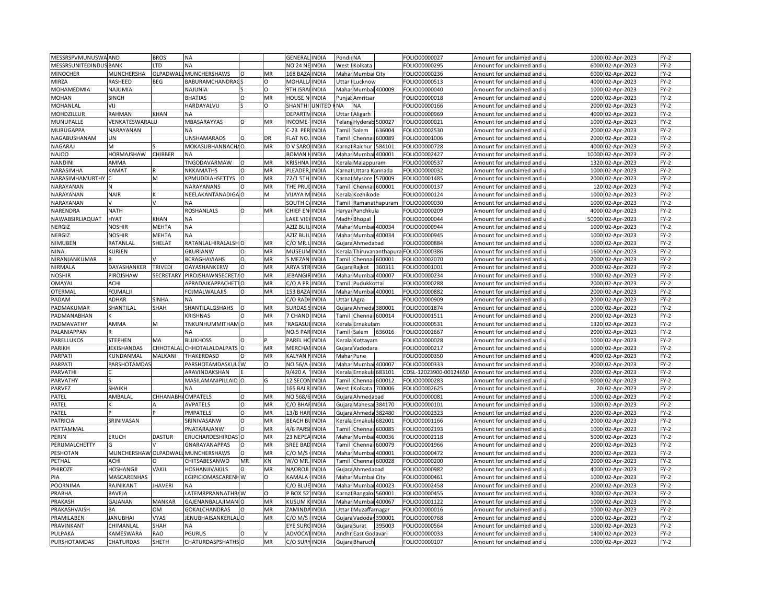| MESSRSPVMUNUSWA AND      |                              | <b>BROS</b>    | <b>NA</b>                       |          |           | <b>GENERAL INDIA</b> |                       | Pondic NA                                                                                                                                                                |                       |                   | FOLIO00000027          | Amount for unclaimed and                          | 1000  | 02-Apr-2023      | $FY-2$           |
|--------------------------|------------------------------|----------------|---------------------------------|----------|-----------|----------------------|-----------------------|--------------------------------------------------------------------------------------------------------------------------------------------------------------------------|-----------------------|-------------------|------------------------|---------------------------------------------------|-------|------------------|------------------|
| MESSRSUNITEDINDUSBANK    |                              | <b>LTD</b>     | <b>NA</b>                       |          |           | NO 24 NEINDIA        |                       | West                                                                                                                                                                     | Kolkata               |                   | FOLIO00000295          | Amount for unclaimed and u                        | 6000  | 02-Apr-2023      | $FY-2$           |
| <b>MINOCHER</b>          | <b>MUNCHERSHA</b>            | OLPADWAL       | <b>MUNCHERSHAWS</b>             | $\Omega$ | <b>MR</b> | 168 BAZA INDIA       |                       |                                                                                                                                                                          | Mahar Mumbai City     |                   | FOLIO00000236          | Amount for unclaimed and i                        | 6000  | 02-Apr-2023      | $FY-2$           |
| MIRZA                    | RASHEED                      | <b>BEG</b>     | BABURAMCHANDRAC                 |          | O         | <b>MOHALLA</b>       | <b>INDIA</b>          | Uttar                                                                                                                                                                    | Lucknow               |                   | FOLIO00000513          | Amount for unclaimed and <b>u</b>                 | 4000  | 02-Apr-2023      | $FY-2$           |
| MOHAMEDMIA               | NAJUMIA                      |                | <b>NAJUNIA</b>                  |          | O         | 9TH ISRA             | <b>INDIA</b>          |                                                                                                                                                                          | Mahar Mumbai 400009   |                   | FOLIO00000040          | Amount for unclaimed and                          | 1000  | 02-Apr-2023      | $FY-2$           |
| <b>MOHAN</b>             | SINGH                        |                | <b>BHATIAS</b>                  | O        | MR        | HOUSE N              | <b>INDIA</b>          | Punia                                                                                                                                                                    | Amritsar              |                   | FOLIO00000018          | Amount for unclaimed and                          | 1000  | 02-Apr-2023      | $FY-2$           |
| MOHANLAL                 | VIJ                          |                | HARDAYALVIJ                     |          | O         | SHANTHI              | <b>UNITED</b>         | NA                                                                                                                                                                       | NA                    |                   | FOLIO00000166          | Amount for unclaimed and                          | 2000  | 02-Apr-2023      | $FY-2$           |
| MOHDZILLUR               | <b>RAHMAN</b>                | KHAN           |                                 |          |           | DEPARTM              |                       |                                                                                                                                                                          |                       |                   |                        |                                                   |       |                  | $FY-2$           |
|                          |                              |                | ΝA                              |          |           |                      | <b>INDIA</b>          | <b>Jttar</b>                                                                                                                                                             | Aligarh               |                   | FOLIO00000969          | Amount for unclaimed and                          | 4000  | 02-Apr-2023      |                  |
| MUNUPALLE                | VENKATESWARALU               |                | MBASARAYYAS<br><b>NA</b>        | O        | MR        | INCOME-              | <b>INDIA</b>          |                                                                                                                                                                          | Felang Hyderab 500027 |                   | FOLIO00000021          | Amount for unclaimed and $\overline{\phantom{a}}$ | 1000  | 02-Apr-2023      | FY-2             |
| MURUGAPPA                | NARAYANAN                    |                |                                 |          |           | C-23 PEF             | <b>INDIA</b>          | Tami                                                                                                                                                                     | Salem                 | 536004            | FOLIO00002530          | Amount for unclaimed and                          | 2000  | 02-Apr-2023      | FY-2             |
| NAGABUSHANAM             | UN                           |                | <b>UNSHAMARAOS</b>              | $\Omega$ | DR        | FLAT NO.             | <b>INDIA</b>          | <b>Tamil</b>                                                                                                                                                             | Chennai               | 500089            | FOLIO00001006          | Amount for unclaimed and u                        | 2000  | 02-Apr-2023      | $FY-2$           |
| NAGARAJ                  | M                            |                | MOKASUBHANNACHAO                |          | MR        | D V SARO             | <b>INDIA</b>          | Karna                                                                                                                                                                    | Raichur               | 584101            | FOLIO00000728          | Amount for unclaimed and                          | 4000  | 02-Apr-2023      | $FY-2$           |
| <b>NAJOO</b>             | HORMAJSHAW                   | CHIBBER        | <b>NA</b>                       |          |           | BOMAN                | <b>INDIA</b>          | Mahar                                                                                                                                                                    |                       | Mumbai 400001     | FOLIO00002427          | Amount for unclaimed and u                        | 10000 | 02-Apr-2023      | $FY-2$           |
| NANDINI                  | AMMA                         |                | TNGODAVARMAW                    | $\Omega$ | MR        | <b>KRISHNA</b>       | <b>INDIA</b>          | Kerala                                                                                                                                                                   | Malappuram            |                   | FOLIO00000537          | Amount for unclaimed and                          | 1320  | 02-Apr-2023      | $FY-2$           |
| NARASIMHA                | KAMAT                        |                | NKKAMATHS                       |          | MR        | PLEADER              | <b>INDIA</b>          | <b>Carna</b>                                                                                                                                                             | Uttara Kannada        |                   | FOLIO00000032          | Amount for unclaimed and <b>u</b>                 | 1000  | 02-Apr-2023      | $FY-2$           |
| NARASIMHAMURTHY          |                              | M              | KPMUDDIAHSETTYS                 | $\circ$  | MR        | 72/1 5TH             | <b>INDIA</b>          | Karna                                                                                                                                                                    | Mysore 570009         |                   | FOLIO00001485          | Amount for unclaimed and                          | 2000  | 02-Apr-2023      | FY-2             |
| NARAYANAN                |                              |                | NARAYANANS                      | $\Omega$ | <b>MR</b> | THE PRU              | <b>INDIA</b>          | <b>Tamil</b>                                                                                                                                                             |                       | Chennai 600001    | OLIO00000137           | Amount for unclaimed and                          | 120   | 02-Apr-2023      | $FY-2$           |
| NARAYANAN                | <b>NAIR</b>                  |                | NEELAKANTANADIGA O              |          | M         | VIJAYA MINDIA        |                       | Kerala                                                                                                                                                                   | Kozhikode             |                   | FOLIO00000124          | Amount for unclaimed and                          | 1000  | 02-Apr-2023      | $FY-2$           |
| NARAYANAN                |                              |                | NA                              |          |           | SOUTH                | <b>INDIA</b>          | Tami                                                                                                                                                                     |                       | Ramanathapuram    | FOLIO00000030          | Amount for unclaimed and                          | 1000  | 02-Apr-2023      | $FY-2$           |
| NARENDRA                 | <b>NATH</b>                  |                | <b>ROSHANLALS</b>               | $\Omega$ | MR        | CHIEF EN INDIA       |                       |                                                                                                                                                                          | Haryai Panchkula      |                   | FOLIO00000209          | Amount for unclaimed and u                        | 4000  | 02-Apr-2023      | $FY-2$           |
| NAWABSIRLIAQUAT          | <b>HYAT</b>                  | KHAN           | <b>NA</b>                       |          |           | LAKE VIE             | <b>INDIA</b>          |                                                                                                                                                                          | Madh Bhopal           |                   | FOLIO00000044          | Amount for unclaimed and                          | 50000 | 02-Apr-2023      | $FY-2$           |
| NERGIZ                   | <b>NOSHIR</b>                | <b>MEHTA</b>   | <b>NA</b>                       |          |           | AZIZ BUILINDIA       |                       |                                                                                                                                                                          | Mahar Mumbai 400034   |                   | FOLIO00000944          | Amount for unclaimed and u                        | 1000  | 02-Apr-2023      | FY-2             |
| NERGIZ                   | <b>NOSHIR</b>                | <b>MEHTA</b>   | <b>NA</b>                       |          |           | AZIZ BU              | <b>INDIA</b>          |                                                                                                                                                                          | Mahar Mumbai 400034   |                   | FOLIO00000945          | Amount for unclaimed and (                        | 1000  | 02-Apr-2023      | $FY-2$           |
| NIMUBEN                  | RATANLAL                     | SHELAT         | RATANLALHIRALALSH               |          | MR        | C/O MR.              | <b>INDIA</b>          | Gujara                                                                                                                                                                   | Ahmedabad             |                   | OLIO00000884           | Amount for unclaimed and u                        | 1000  | 02-Apr-2023      | $FY-2$           |
| <b>NINA</b>              | KURIEN                       |                | <b>GKURIANW</b>                 | $\Omega$ | MR        | <b>MUSEUM INDIA</b>  |                       | Kerala                                                                                                                                                                   |                       | Thiruvananthapura | FOLIO00000386          | Amount for unclaimed and                          | 1600  | 02-Apr-2023      | FY-2             |
| NIRANJANKUMAR            |                              |                | <b>BCRAGHAVIAHS</b>             | $\Omega$ | MR        | 5 MEZAN              | <b>INDIA</b>          | <b>Tamil</b>                                                                                                                                                             | Chennai 600001        |                   | FOLIO00002070          | Amount for unclaimed and u                        | 2000  | 02-Apr-2023      | FY-2             |
| NIRMALA                  | DAYASHANKER                  | TRIVEDI        | DAYASHANKERW                    | O        | MR        | <b>ARYA STRINDIA</b> |                       | Gujara                                                                                                                                                                   | Rajkot                | 360311            | FOLIO00001001          | Amount for unclaimed and                          | 2000  | 02-Apr-2023      | $FY-2$           |
| <b>NOSHIR</b>            | <b>PIROJSHAW</b>             | SECRETARY      | PIROJSHAWNSECRET                |          | MR        | <b>JEBANGI</b>       | <b>INDIA</b>          | Maha                                                                                                                                                                     |                       | Mumbai 400007     | FOLIO00000234          | Amount for unclaimed and                          | 1000  | 02-Apr-2023      | $FY-2$           |
| OMAYAL                   | <b>ACHI</b>                  |                | <b>APRADAIKAPPACHET1</b>        | $\Omega$ | MR        | C/O A PR             | <b>INDIA</b>          |                                                                                                                                                                          | Tamil Pudukkottai     |                   | FOLIO00000288          | Amount for unclaimed and u                        | 2000  | 02-Apr-2023      | $FY-2$           |
| OTERMAL                  | <b>FOJMALJI</b>              |                | <b>FOJMALWALAJIS</b>            | $\Omega$ | MR        | 153 BAZA INDIA       |                       |                                                                                                                                                                          | Mahar Mumbai 400001   |                   | FOLIO00000882          | Amount for unclaimed and                          | 2000  | 02-Apr-2023      | $FY-2$           |
| PADAM                    | <b>ADHAR</b>                 | <b>SINHA</b>   | <b>NA</b>                       |          |           | C/O RADHINDIA        |                       | Uttar                                                                                                                                                                    | Agra                  |                   | FOLIO00000909          | Amount for unclaimed and u                        | 2000  | 02-Apr-2023      | $FY-2$           |
| PADMAKUMAR               | SHANTILAL                    | SHAH           | SHANTILALGSHAHS                 | O        | <b>MR</b> | SURDAS               | <b>INDIA</b>          |                                                                                                                                                                          | Gujara Ahmeda 380001  |                   | FOLIO00001874          | Amount for unclaimed and                          | 1000  | 02-Apr-2023      | $FY-2$           |
| PADMANABHAN              |                              |                | <b>KRISHNAS</b>                 |          | MR        | <b>7 CHAND INDIA</b> |                       | Tamil                                                                                                                                                                    |                       | Chennai 600014    | FOLIO00001511          | Amount for unclaimed and u                        | 2000  | 02-Apr-2023      | $FY-2$           |
| PADMAVATHY               | AMMA                         | м              | TNKUNHUMMITHAM O                |          | MR        | <b>RAGASL</b>        | <b>INDIA</b>          | Kerala                                                                                                                                                                   | Ernakulam             |                   | FOLIO00000531          |                                                   | 1320  | 02-Apr-2023      | $FY-2$           |
| PALANIAPPAN              |                              |                | <b>NA</b>                       |          |           | NO.5 PARINDIA        |                       | Tamil                                                                                                                                                                    |                       | 636016            |                        | Amount for unclaimed and                          | 2000  |                  | $FY-2$           |
| PARELLUKOS               |                              |                | <b>BLUKHOSS</b>                 |          |           |                      |                       |                                                                                                                                                                          | Salem                 |                   | FOLIO00002667          | Amount for unclaimed and i                        |       | 02-Apr-2023      | $FY-2$           |
|                          | <b>STEPHEN</b>               | MA             |                                 | O        |           | PAREL HOINDIA        |                       | Kerala                                                                                                                                                                   | Kottayam              |                   | FOLIO00000028          | Amount for unclaimed and                          | 1000  | 02-Apr-2023      |                  |
| PARIKH                   | JEKISHANDAS                  | CHHOTALA       | CHHOTALALDALPATS                |          | MR        | MERCHA               | <b>INDIA</b>          | Gujara                                                                                                                                                                   | Vadodara              |                   | FOLIO00000217          | Amount for unclaimed and                          | 1000  | 02-Apr-2023      | $FY-2$           |
| PARPAT                   | KUNDANMAL                    | MALKANI        | THAKERDASD                      | Ω        | MR        | KALYAN NINDIA        |                       |                                                                                                                                                                          | Mahar Pune            |                   | FOLIO00000350          | Amount for unclaimed and                          | 4000  | 02-Apr-2023      | $FY-2$           |
| PARPATI                  | PARSHOTAMDA                  |                | PARSHOTAMDASKUL                 | (W       | $\Omega$  | NO 56/A              | <b>INDIA</b>          | Maha                                                                                                                                                                     | Mumbai 400007         |                   | FOLIO00000333          | Amount for unclaimed and                          | 2000  | 02-Apr-2023      | $FY-2$           |
| PARVATHI                 |                              |                | ARAVINDAKSHAN                   |          |           | 9/420 A              | <b>INDIA</b>          | Kerala                                                                                                                                                                   | Ernakula <sup>(</sup> | 683101            | CDSL-12023900-00124650 | Amount for unclaimed and u                        | 2000  | 02-Apr-2023      | FY-2             |
| PARVATHY                 |                              |                | MASILAMANIPILLAID O             |          | G         | 12 SECON INDIA       |                       | Tamil                                                                                                                                                                    | Chenna                | 600012            | FOLIO00000283          | Amount for unclaimed and                          | 6000  | 02-Apr-2023      | $FY-2$           |
| PARVEZ                   | SHAIKH                       |                | <b>NA</b>                       |          |           | 165 BALR INDIA       |                       | West                                                                                                                                                                     | Kolkata               | 700006            | FOLIO00002625          | Amount for unclaimed and u                        |       | 20 02-Apr-2023   | $FY-2$           |
| PATEL                    | AMBALAL                      | CHHANABH       | <b>CMPATELS</b>                 | $\Omega$ | MR        | NO 568/              | <b>INDIA</b>          |                                                                                                                                                                          | Gujara Ahmedabad      |                   | FOLIO00000081          | Amount for unclaimed and                          | 1000  | 02-Apr-2023      | $FY-2$           |
| PATEL                    |                              |                | <b>AVPATELS</b>                 | $\Omega$ | MR        | C/O BHAFINDIA        |                       | Gujara                                                                                                                                                                   | Mahesar               | 384170            | FOLIO00000101          | Amount for unclaimed and <b>u</b>                 | 1000  | 02-Apr-2023      | FY-2             |
| PATEL                    |                              |                | PMPATELS                        | O        | MR        | 13/B HAR INDIA       |                       | Gujar                                                                                                                                                                    | Ahmeda                | 382480            | FOLIO00002323          | Amount for unclaimed and                          | 2000  | 02-Apr-2023      | $FY-2$           |
| PATRICIA                 | SRINIVASAN                   |                | SRINIVASANW                     | O        | MR        | <b>BEACH BU</b>      | <b>INDIA</b>          | <erala< td=""><td>Ernakula</td><td>582001</td><td>OLIO00001166</td><td>Amount for unclaimed and</td><td>2000</td><td>02-Apr-2023</td><td><math>FY-2</math></td></erala<> | Ernakula              | 582001            | OLIO00001166           | Amount for unclaimed and                          | 2000  | 02-Apr-2023      | $FY-2$           |
| PATTAMMAL                |                              |                | PNATARAJANW                     | $\Omega$ | MR        | 4/6 PARSI INDIA      |                       | Tamil                                                                                                                                                                    | Chennai               | 600085            | FOLIO00002193          | Amount for unclaimed and                          |       | 1000 02-Apr-2023 | $FY-2$           |
| PERIN                    | <b>ERUCH</b>                 | <b>DASTUR</b>  | <b>ERUCHARDESHIRDAS</b>         | $\circ$  | MR        | 23 NEPEA INDIA       |                       | Maha                                                                                                                                                                     | Mumb                  | 400036            | OLIO00002118           | Amount for unclaimed and                          | 5000  | 02-Apr-2023      | $FY-2$           |
| PERUMALCHETTY            |                              |                | GNARAYANAPPAS                   | $\Omega$ | MR        | SREE BAD INDIA       |                       | Tamil                                                                                                                                                                    | Chennai               | 600079            | FOLIO00001966          | Amount for unclaimed and u                        | 2000  | 02-Apr-2023      | $FY-2$           |
| PESHOTAN                 | MUNCHERSHAW OLPADWAI         |                | MUNCHERSHAWS                    | $\Omega$ | <b>MR</b> | C/O M/S              | <b>INDIA</b>          | Maha                                                                                                                                                                     | Mumbai 400001         |                   | FOLIO00000472          | Amount for unclaimed and                          | 2000  | 02-Apr-2023      | $FY-2$           |
| PETHAL                   | <b>ACHI</b>                  |                | CHITSABESANWO                   | MR       | KN        | W/O MR.              | <b>INDIA</b>          | <b>Tamil</b>                                                                                                                                                             | Chennai 600028        |                   | FOLIO00000200          | Amount for unclaimed and u                        | 2000  | 02-Apr-2023      | $FY-2$           |
| PHIROZE                  | <b>HOSHANGJI</b>             | VAKIL          | HOSHANJIVAKILS                  | $\circ$  | MR        | <b>NAOROJI</b>       | <b>INDIA</b>          |                                                                                                                                                                          | Gujara Ahmedabad      |                   | FOLIO00000982          | Amount for unclaimed and                          | 4000  | 02-Apr-2023      | $FY-2$           |
| PIA                      | MASCARENHAS                  |                | EGIPICIOMASCARENHW              |          | $\Omega$  | KAMALA               | <b>INDIA</b>          | Mahar                                                                                                                                                                    | Mumbai City           |                   | FOLIO00000461          | Amount for unclaimed and u                        | 1000  | 02-Apr-2023      | FY-2             |
| POORNIMA                 | RAJNIKANT                    | <b>JHAVERI</b> | <b>NA</b>                       |          |           | C/O BLUE INDIA       |                       | Mahar                                                                                                                                                                    |                       | Mumbai 400023     | FOLIO00002458          | Amount for unclaimed and $\overline{\phantom{a}}$ | 2000  | 02-Apr-2023      | $FY-2$           |
| PRABHA                   | <b>BAVEJA</b>                |                | LATEMRPRANNATHB                 |          | $\Omega$  | BOX 5                | <b>INDIA</b>          | arna)                                                                                                                                                                    | <b>Bangalor!</b>      | 560001            | FOLIO00000455          | Amount for unclaimed and i                        | 3000  | 02-Apr-2023      | $FY-2$           |
| PRAKASH                  | GAJANAN                      | MANKAR         | GAJENANBALAJIMAN O              |          | MR        | KUSUM KINDIA         |                       |                                                                                                                                                                          | Mahar Mumbai 400067   |                   | FOLIO00001122          | Amount for unclaimed and                          |       | 1000 02-Apr-2023 | $FY-2$           |
| PRAKASHVAISH             | <b>BA</b>                    | <b>OM</b>      | GOKALCHANDRAS                   |          | MR        | ZAMIND               | <b>INDIA</b>          | Uttar                                                                                                                                                                    | Muzaffarnagar         |                   | FOLIO00000016          | Amount for unclaimed and                          | 1000  | 02-Apr-2023      | $FY-2$           |
|                          |                              | <b>VYAS</b>    |                                 |          | MR        |                      |                       |                                                                                                                                                                          |                       |                   |                        |                                                   | 1000  |                  |                  |
| PRAMILABEN<br>PRAVINKANT | <b>JANUBHAI</b><br>CHIMANLAL | SHAH           | JENUBHAISANKERLALO<br><b>NA</b> |          |           | C/O M/S<br>EYE SUR   | <b>INDIA</b><br>INDIA |                                                                                                                                                                          | Gujara Vadodar 390001 | 395003            | FOLIO00000768          | Amount for unclaimed and $\,$                     |       | 02-Apr-2023      | $FY-2$<br>$FY-2$ |
|                          |                              |                |                                 | $\Omega$ |           |                      |                       | Gujar                                                                                                                                                                    | Surat                 |                   | FOLIO00000564          | Amount for unclaimed and                          | 1000  | 02-Apr-2023      |                  |
| PULPAKA                  | KAMESWARA                    | <b>RAO</b>     | <b>PGURUS</b>                   |          |           | <b>ADVOCATINDIA</b>  |                       |                                                                                                                                                                          | Andhr East Godavari   |                   | FOLIO00000033          | Amount for unclaimed and u                        |       | 1400 02-Apr-2023 | $FY-2$           |
| <b>PURSHOTAMDAS</b>      | <b>CHATURDAS</b>             | <b>SHETH</b>   | CHATURDASPSHATHS O              |          | <b>MR</b> | C/O SURY INDIA       |                       |                                                                                                                                                                          | Gujara Bharuch        |                   | FOLIO00000107          | Amount for unclaimed and u                        |       | 1000 02-Apr-2023 | $FY-2$           |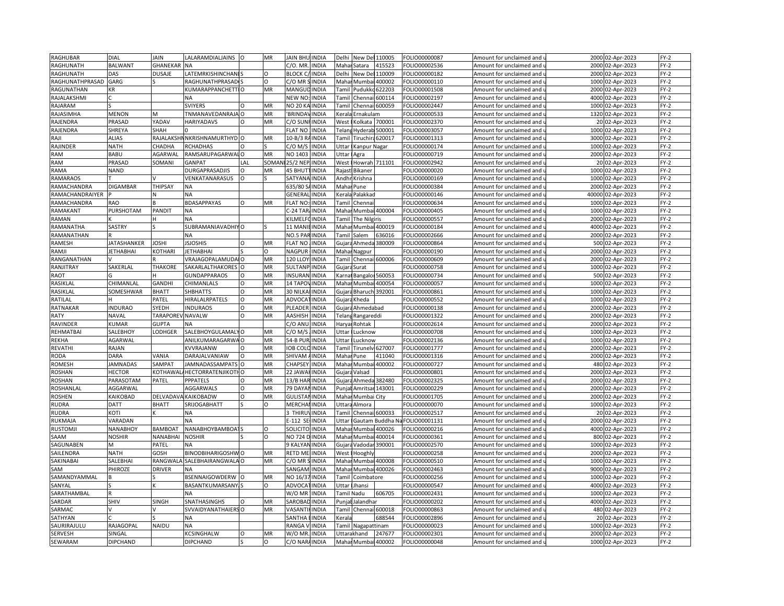| RAGHUBAR         | DIAL            | <b>JAIN</b>     | LALARAMDIALJAINS          | $\circ$  | MR       | <b>JAIN BHI</b> | INDIA        | Delhi             | New De           | 110005 | FOLIO00000087 | Amount for unclaimed and | 2000 02-Apr-2023    | $FY-2$ |
|------------------|-----------------|-----------------|---------------------------|----------|----------|-----------------|--------------|-------------------|------------------|--------|---------------|--------------------------|---------------------|--------|
| <b>RAGHUNATH</b> | <b>BALWANT</b>  | GHANEKAR        | <b>NA</b>                 |          |          | C/O. MR         | <b>INDIA</b> | Mahar             | Satara           | 415523 | FOLIO00002536 | Amount for unclaimed and | 2000 02-Apr-2023    | $FY-2$ |
| RAGHUNATH        | DAS             | DUSAJE          | <b>LATEMRKISHINCHANIS</b> |          | $\Omega$ | <b>BLOCK C</b>  | <b>INDIA</b> | Delhi             | New De           | 110009 | FOLIO00000182 | Amount for unclaimed and | 2000 02-Apr-2023    | $FY-2$ |
| RAGHUNATHPRASAD  | GARG            |                 | <b>RAGHUNATHPRASAD</b>    |          | $\Omega$ | C/O MR          | <b>INDIA</b> | Mahar             | Mumbai           | 400002 | FOLIO00000110 | Amount for unclaimed and | 1000 02-Apr-2023    | $FY-2$ |
| RAGUNATHAN       | KR              |                 | KUMARAPPANCHETTIO         |          | MR       | MANGU           | INDIA        | Tami              | Pudukko          | 622203 | FOLIO00001508 | Amount for unclaimed and | 2000<br>02-Apr-2023 | $FY-2$ |
| RAJALAKSHMI      |                 |                 | NΑ                        |          |          | NEW NC          | INDIA        | Tami              | Chennai          | 600114 | FOLIO00002197 | Amount for unclaimed and | 4000<br>02-Apr-2023 | $FY-2$ |
| RAJARAM          |                 |                 | <b>SVIYERS</b>            | Ω        | MR       | NO 20 K.        | INDIA        | Tamil             | Chennai          | 600059 | FOLIO00002447 | Amount for unclaimed and | 1000 02-Apr-2023    | $FY-2$ |
| RAJASIMHA        | <b>MENON</b>    | M               | TNMANAVEDANRAJA O         |          | MR       | <b>BRINDA</b>   | <b>INDIA</b> |                   |                  |        |               |                          |                     | $FY-2$ |
|                  |                 |                 |                           |          |          |                 |              | Kerala            | Ernakulam        |        | FOLIO00000533 | Amount for unclaimed and | 1320 02-Apr-2023    |        |
| RAJENDRA         | PRASAD          | YADAV           | <b>HARIYADAVS</b>         | $\Omega$ | MR       | C/O SUN         | INDIA        | West              | Kolkata          | 700001 | FOLIO00002370 | Amount for unclaimed and | 20 02-Apr-2023      | $FY-2$ |
| RAJENDRA         | SHREYA          | <b>SHAH</b>     |                           |          |          | <b>FLAT NC</b>  | <b>INDIA</b> | Telan             | Hyderab          | 500001 | FOLIO00003057 | Amount for unclaimed and | 1000 02-Apr-2023    | $FY-2$ |
| RAJI             | <b>ALIAS</b>    | RAJALAKSI       | <b>NKRISHNAMURTHYD</b> O  |          | MR       | $10 - B/3$ F    | <b>NDIA</b>  | <b>Tamil</b>      | Tiruchira 620017 |        | FOLIO00001313 | Amount for unclaimed and | 3000 02-Apr-2023    | $FY-2$ |
| RAJINDER         | <b>NATH</b>     | СНАДНА          | <b>RCHADHAS</b>           | O        |          | C/O M/          | <b>NDIA</b>  | <b>Jttar</b>      | Kanpur Nagar     |        | FOLIO00000174 | Amount for unclaimed and | 1000 02-Apr-2023    | $FY-2$ |
| <b>RAM</b>       | BABU            | AGARWAL         | RAMSARUPAGARWALO          |          | MR       | NO 1403         | <b>INDIA</b> | <b>Jttar</b>      | Agra             |        | FOLIO00000719 | Amount for unclaimed and | 2000 02-Apr-2023    | $FY-2$ |
| RAM              | PRASAD          | SOMANI          | GANPAT                    | LAL      | SOMAI    | 25/2 NEI        | <b>INDIA</b> | West              | Howrah           | 711101 | FOLIO00002942 | Amount for unclaimed and | 20 02-Apr-2023      | $FY-2$ |
| RAMA             | <b>NAND</b>     |                 | DURGAPRASADJIS            | $\Omega$ | MR       | 45 BHUT         | <b>NDIA</b>  | Rajast            | Bikaner          |        | FOLIO00000020 | Amount for unclaimed and | 1000 02-Apr-2023    | $FY-2$ |
| <b>RAMARAOS</b>  |                 |                 | VENKATANARASUS            | $\circ$  |          | SATYAN          | <b>INDIA</b> | Andh              | Krishna          |        | FOLIO00000169 | Amount for unclaimed and | 1000 02-Apr-2023    | $FY-2$ |
| RAMACHANDRA      | DIGAMBAR        | THIPSAY         | <b>NA</b>                 |          |          | 635/80          | <b>INDIA</b> | Maha              | Pune             |        | FOLIO00000384 | Amount for unclaimed and | 2000<br>02-Apr-2023 | $FY-2$ |
| RAMACHANDRAIYER  |                 |                 | <b>NA</b>                 |          |          | GENERA          | INDIA        | Kerala            | Palakkad         |        | FOLIO00000146 | Amount for unclaimed and | 40000 02-Apr-2023   | $FY-2$ |
| RAMACHANDRA      | RAO             |                 | <b>BDASAPPAYAS</b>        | $\circ$  | MR       | <b>FLAT NO</b>  | <b>INDIA</b> | Tami              | Chennai          |        | FOLIO00000634 | Amount for unclaimed and | 1000 02-Apr-2023    | $FY-2$ |
| RAMAKANT         | PURSHOTAM       | PANDIT          | <b>NA</b>                 |          |          | $C-24$ TAF      | <b>INDIA</b> | Mahar             | Mumbai 400004    |        | FOLIO00000405 | Amount for unclaimed and | 1000 02-Apr-2023    | $FY-2$ |
| RAMAN            |                 |                 | <b>NA</b>                 |          |          | KILMELI         | <b>NDIA</b>  | Tamil             | The Nilgiris     |        | FOLIO00000557 | Amount for unclaimed and | 2000 02-Apr-2023    | $FY-2$ |
| RAMANATHA        | SASTRY          |                 | SUBRAMANIAVADHIYO         |          |          | 11 MAN          | <b>INDIA</b> | Maha              | Mumbai           | 400019 | FOLIO00000184 | Amount for unclaimed and | 4000 02-Apr-2023    | $FY-2$ |
| RAMANATHAN       |                 |                 | <b>NA</b>                 |          |          | NO.5 PA         | <b>INDIA</b> | Tami              | Salem            | 636016 | FOLIO00002666 | Amount for unclaimed and | 2000 02-Apr-2023    | $FY-2$ |
| RAMESH           | JATASHANKER     | <b>JOSHI</b>    | <b>JSJOSHIS</b>           | $\Omega$ | MR       | <b>FLAT NC</b>  | <b>NDIA</b>  | Gujar             | Ahmeda           | 380009 | FOLIO00000864 | Amount for unclaimed and | 500<br>02-Apr-2023  | $FY-2$ |
| RAMJI            | <b>ETHABHAI</b> | KOTHARI         | <b>JETHABHAI</b>          |          | O        | NAGPUF          | INDIA        | Maha              | Nagpur           |        | FOLIO0000019C | Amount for unclaimed and | 2000 02-Apr-2023    | $FY-2$ |
| RANGANATHAN      |                 |                 | VRAJAGOPALAMUDA           | $\circ$  | MR       | 120 LLOY        | INDIA        | Tamil             | Chennai          | 600006 | FOLIO00000609 | Amount for unclaimed and | 2000 02-Apr-2023    | $FY-2$ |
| RANJITRAY        | SAKERLAL        | <b>THAKORE</b>  | SAKARLALTHAKORES          | $\circ$  | MR       | SULTANI         | INDIA        | Gujara            | Surat            |        | FOLIO00000758 | Amount for unclaimed and | 1000 02-Apr-2023    | $FY-2$ |
| RAOT             |                 |                 | <b>GUNDAPPARAOS</b>       | $\circ$  | MR       | <b>INSURA</b>   | <b>INDIA</b> | Karna             | Bangalo          | 560053 | FOLIO00000734 | Amount for unclaimed and | 500 02-Apr-2023     | $FY-2$ |
| RASIKLAL         | CHIMANLAL       | GANDHI          | CHIMANLALS                | $\Omega$ | MR       | 14 TAPO         | <b>INDIA</b> | Maha              | Mumbai           | 400054 | FOLIO00000057 | Amount for unclaimed and | 1000 02-Apr-2023    | $FY-2$ |
| RASIKLAL         | SOMESHWAR       | <b>BHATT</b>    | <b>SHBHATTS</b>           | $\Omega$ | MR       | 30 NILK         | INDIA        | Gujar             | Bharuch 392001   |        | FOLIO00000861 | Amount for unclaimed and | 1000 02-Apr-2023    | $FY-2$ |
| RATILAL          |                 | PATEL           | HIRALALRPATELS            | $\Omega$ | MR       | ADVOC/          | <b>INDIA</b> | Gujara            | Kheda            |        | FOLIO00000552 | Amount for unclaimed and | 1000 02-Apr-2023    | $FY-2$ |
| RATNAKAR         | <b>INDURAO</b>  | SYEDH           | INDURAOS                  | O        | MR       | PLEADEI         | <b>INDIA</b> | Gujara            | Ahmedabad        |        | FOLIO00000138 | Amount for unclaimed and | 2000 02-Apr-2023    | $FY-2$ |
| RATY             | NAVAL           | <b>TARAPORE</b> | <b>NAVALW</b>             | $\Omega$ | MR       | AASHISH         | <b>INDIA</b> | Telan             |                  |        | FOLIO00001322 | Amount for unclaimed and | 2000 02-Apr-2023    | $FY-2$ |
|                  | KUMAR           | <b>GUPTA</b>    |                           |          |          | C/O ANI         |              |                   | Rangareddi       |        | FOLIO00002614 |                          |                     | $FY-2$ |
| RAVINDER         |                 |                 | <b>NA</b>                 |          | MR       |                 | INDIA        | Harya             | Rohtak           |        |               | Amount for unclaimed and | 2000 02-Apr-2023    |        |
| REHMATBAI        | SALEBHOY        | ODHGER          | SALEBHOYGULAMALYO         |          |          | C/O M/          | INDIA        | Uttar             | Lucknow          |        | FOLIO00000708 | Amount for unclaimed and | 1000 02-Apr-2023    | $FY-2$ |
| <b>REKHA</b>     | AGARWAL         |                 | ANILKUMARAGARWA O         |          | MR       | 54-B PUI        | INDIA        | <b>Jttar</b>      | Lucknow          |        | FOLIO00002136 | Amount for unclaimed and | 1000 02-Apr-2023    | $FY-2$ |
| REVATHI          | RAJAN           |                 | <b>KVVRAJANW</b>          | $\Omega$ | MR       | <b>IOB COI</b>  | <b>NDIA</b>  | Tamil             | Tirunelv 627007  |        | FOLIO00001777 | Amount for unclaimed and | 2000 02-Apr-2023    | $FY-2$ |
| <b>RODA</b>      | DARA            | VANIA           | DARAJALVANIAW             | $\Omega$ | MR       | SHIVAM          | INDIA        | Maha              | Pune             | 411040 | FOLIO00001316 | Amount for unclaimed and | 2000 02-Apr-2023    | $FY-2$ |
| ROMESH           | <b>JAMNADAS</b> | SAMPAT          | JAMNADASSAMPATS O         |          | MR       | CHAPSE          | <b>INDIA</b> | Maha              | Mumba            | 400002 | FOLIO00000727 | Amount for unclaimed and | 480 02-Apr-2023     | $FY-2$ |
| <b>ROSHAN</b>    | <b>HECTOR</b>   | KOTHAWAI        | <b>AHECTORRATENJIKOTH</b> | ł٥       | MR       | 22 JAWA         | <b>INDIA</b> | Gujara            | Valsad           |        | FOLIO00000801 | Amount for unclaimed and | 2000 02-Apr-2023    | $FY-2$ |
| <b>ROSHAN</b>    | PARASOTAM       | PATEL           | <b>PPPATELS</b>           | $\circ$  | MR       | 13/B HA         | INDIA        | Gujara            | Ahmeda 382480    |        | FOLIO00002325 | Amount for unclaimed and | 2000 02-Apr-2023    | $FY-2$ |
| ROSHANLAL        | AGGARWAL        |                 | AGGARWALS                 | $\Omega$ | MR       | 79 DAYA         | <b>INDIA</b> | Punjal            | Amritsa          | 143001 | FOLIO00000229 | Amount for unclaimed and | 2000 02-Apr-2023    | $FY-2$ |
| <b>ROSHEN</b>    | KAIKOBAD        | <b>DELVADA\</b> | <b>KAIKOBADW</b>          | $\circ$  | MR       | GULIST/         | INDIA        | Maha              | Mumbai City      |        | FOLIO00001705 | Amount for unclaimed and | 2000 02-Apr-2023    | $FY-2$ |
| <b>RUDRA</b>     | DATT            | <b>BHATT</b>    | SRIJOGABHATT              |          | O        | <b>MERCHA</b>   | INDIA        | Uttar             | Almora           |        | FOLIO0000007C | Amount for unclaimed and | 1000 02-Apr-2023    | $FY-2$ |
| <b>RUDRA</b>     | KOTI            |                 | ΝA                        |          |          | 3 THIRU         | INDIA        | Tamil             | Chennai 600033   |        | FOLIO00002517 | Amount for unclaimed and | 20 02-Apr-2023      | $FY-2$ |
| RUKMAJA          | VARADAN         |                 | <b>NA</b>                 |          |          | $E-112 S$       | INDIA        | Uttai             | Gautam Buddha N  |        | FOLIO00001131 | Amount for unclaimed and | 2000 02-Apr-2023    | $FY-2$ |
| <b>RUSTOMJI</b>  | NANABHOY        | <b>BAMBOAT</b>  | NANABHOYBAMBOAT           |          | O        | SOLICITC        | INDIA        | Maha              | Mumbai 400026    |        | FOLIO00000216 | Amount for unclaimed and | 4000 02-Apr-2023    | $FY-2$ |
| SAAM             | <b>NOSHIR</b>   | <b>NANABHAI</b> | <b>NOSHIR</b>             |          | $\Omega$ | <b>NO 7241</b>  | INDIA        | Maha              | Mumbai           | 400014 | FOLIO00000361 | Amount for unclaimed and | 800 02-Apr-2023     | $FY-2$ |
| SAGUNABEN        | M               | PATEL           | <b>NA</b>                 |          |          | 9 KALYA         | <b>INDIA</b> | Gujara            | Vadodar 390001   |        | FOLIO00002570 | Amount for unclaimed and | 1000 02-Apr-2023    | $FY-2$ |
| SAILENDRA        | <b>NATH</b>     | GOSH            | BINODBIHARIGOSHWO         |          | MR       | RETD MI         | INDIA        | West              | Hooghly          |        | FOLIO00000258 | Amount for unclaimed and | 2000 02-Apr-2023    | $FY-2$ |
| SAKINABAI        | SALEBHAI        | RANGWAL         | SALEBHAIRANGWALA O        |          | MR       | C/O MR          | <b>INDIA</b> | Maha              | Mumbai           | 400008 | FOLIO00000510 | Amount for unclaimed and | 1000 02-Apr-2023    | $FY-2$ |
| SAM              | PHIROZE         | DRIVER          | <b>NA</b>                 |          |          | SANGAN          | INDIA        | Mahar             | Mumbai 400026    |        | FOLIO00002463 | Amount for unclaimed and | 9000 02-Apr-2023    | $FY-2$ |
| SAMANDYAMMAL     |                 |                 | BSENNAIGOWDERW            |          | MR       | NO 16/3         | <b>INDIA</b> | <b>Tamil</b>      | Coimbatore       |        | FOLIO00000256 | Amount for unclaimed and | 1000<br>02-Apr-2023 | $FY-2$ |
| SANYAL           |                 |                 | BASANTKUMARSANY, S        |          | O        | ADVOCA          | <b>INDIA</b> | <b>Jttar</b>      | Jhansi           |        | FOLIO00000547 | Amount for unclaimed and | 4000 02-Apr-2023    | $FY-2$ |
| SARATHAMBAL      |                 |                 | <b>NA</b>                 |          |          | W/O MF          | INDIA        | <b>Tamil Nadu</b> |                  | 606705 | FOLIO00002431 | Amount for unclaimed and | 1000<br>02-Apr-2023 | $FY-2$ |
| SARDAR           | SHIV            | SINGH           | SNATHASINGHS              |          | MR       | SAROBA          | <b>NDIA</b>  |                   |                  |        | FOLIO00000202 |                          |                     | $FY-2$ |
| SARMAC           |                 |                 | SVVAIDYANATHAIERS O       |          | MR       | VASANT          | <b>NDIA</b>  | Punjal Jalandhar  |                  |        |               | Amount for unclaimed and | 4000 02-Apr-2023    | $FY-2$ |
|                  |                 |                 |                           |          |          |                 |              | Tamil             | Chennai 600018   |        | FOLIO00000863 | Amount for unclaimed and | 480 02-Apr-2023     |        |
| SATHYAN          |                 |                 | <b>NA</b>                 |          |          | SANTHA          | <b>INDIA</b> | Kerala            |                  | 688544 | FOLIO00002896 | Amount for unclaimed and | 20 02-Apr-2023      | $FY-2$ |
| SAURIRAJULU      | RAJAGOPAL       | NAIDU           | <b>NA</b>                 |          |          | RANGA           | <b>NDIA</b>  | <b>Tamil</b>      | Nagapattinam     |        | FOLIO00000023 | Amount for unclaimed and | 1000<br>02-Apr-2023 | $FY-2$ |
| SERVESH          | SINGAL          |                 | KCSINGHALW                | $\circ$  | MR       | W/O MR          | <b>NDIA</b>  | Uttarakhand       |                  | 247677 | FOLIO00002301 | Amount for unclaimed and | 2000 02-Apr-2023    | $FY-2$ |
| SEWARAM          | DIPCHAND        |                 | <b>DIPCHAND</b>           |          | O        | C/O NAR         | INDIA        | Mahar Mumbai      |                  | 400002 | FOLIO00000048 | Amount for unclaimed and | 1000 02-Apr-2023    | $FY-2$ |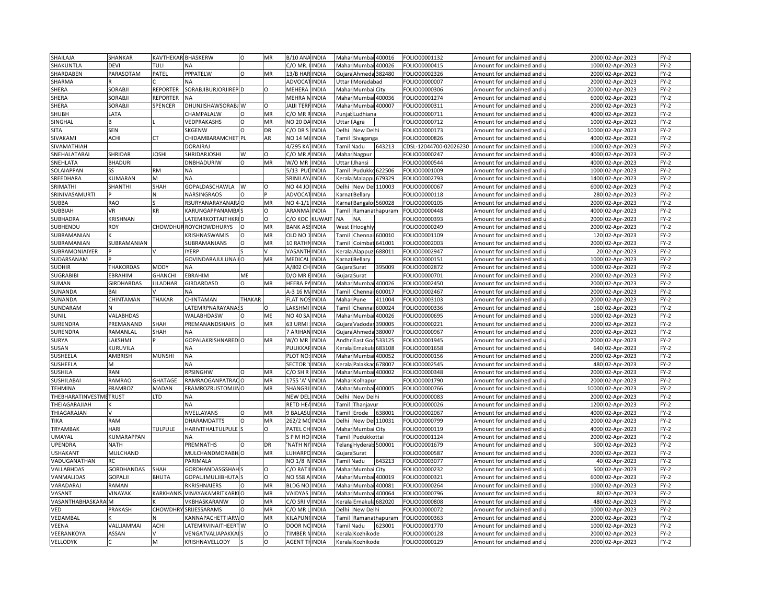| SHAILAJA               | SHANKAR           | KAVTHEKAR BHASKERW |                               | $\Omega$      | MR        | B/10 ANAINDIA        |               | Maha              | Mumbai 400016          |                      | FOLIO00001132          | Amount for unclaimed and                          | 2000  | 02-Apr-2023      | $FY-2$ |
|------------------------|-------------------|--------------------|-------------------------------|---------------|-----------|----------------------|---------------|-------------------|------------------------|----------------------|------------------------|---------------------------------------------------|-------|------------------|--------|
| SHAKUNTLA              | <b>DEVI</b>       | TULI               | NA                            |               |           | C/O MR.              | <b>INDIA</b>  |                   | Mahar Mumbai 400026    |                      | FOLIO00000415          | Amount for unclaimed and <b>u</b>                 |       | 1000 02-Apr-2023 | FY-2   |
| SHARDABEN              | PARASOTAM         | PATEL              | PPPATELW                      | $\Omega$      | <b>MR</b> | 13/B HAR INDIA       |               |                   | Gujara Ahmeda 382480   |                      | FOLIO00002326          | Amount for unclaimed and                          | 2000  | 02-Apr-2023      | $FY-2$ |
| SHARMA                 |                   |                    |                               |               |           | ADVOCA               | <b>INDIA</b>  | Uttar             | Moradabad              |                      | FOLIO00000007          | Amount for unclaimed and <b>u</b>                 | 2000  | 02-Apr-2023      | $FY-2$ |
| SHERA                  | SORABJI           | <b>REPORTER</b>    | SORABJIBURJORJIREP D          |               | O         | MEHERA               | <b>INDIA</b>  | Mahar             | Mumbai City            |                      | FOLIO00000306          | Amount for unclaimed and i                        | 20000 | 02-Apr-2023      | $FY-2$ |
| SHERA                  | SORABJI           | <b>REPORTER</b>    |                               |               |           | MEHRA I              | <b>INDIA</b>  | Maha              |                        | Mumbai 400036        | FOLIO00001274          | Amount for unclaimed and                          | 6000  | 02-Apr-2023      | FY-2   |
| SHERA                  | SORABJI           | SPENCER            | DHUNJISHAWSORABJ W            |               | О         | JAIJI TERFINDIA      |               | Maha              |                        | <b>Mumbai 400007</b> | FOLIO00000311          | Amount for unclaimed and                          | 2000  | 02-Apr-2023      | $FY-2$ |
| SHUBH                  | LATA              |                    |                               |               | MR        | C/O MR               | INDIA         |                   |                        |                      | FOLIO00000711          |                                                   |       |                  | $FY-2$ |
|                        |                   |                    | CHAMPALALW                    |               |           |                      |               | Punja             | udhiana                |                      |                        | Amount for unclaimed and                          | 4000  | 02-Apr-2023      |        |
| SINGHAL                | B                 |                    | VEDPRAKASHS                   | O<br>$\Omega$ | MR        | NO 20 DA INDIA       |               | Uttar             | Agra                   |                      | FOLIO00000712          | Amount for unclaimed and $\,$                     | 1000  | 02-Apr-2023      | FY-2   |
| <b>SITA</b>            | <b>SEN</b>        |                    | SKGENW                        |               | DR        | C/O DR S             | <b>INDIA</b>  | Delhi             | New Delhi              |                      | FOLIO00000173          | Amount for unclaimed and                          | 10000 | 02-Apr-2023      | FY-2   |
| SIVAKAMI               | <b>ACHI</b>       | СT                 | CHIDAMBARAMCHET PL            |               | AR        | NO 14 MUINDIA        |               |                   | <b>Tamil Sivaganga</b> |                      | FOLIO00000826          | Amount for unclaimed and u                        | 4000  | 02-Apr-2023      | FY-2   |
| SIVAMATHIAH            |                   |                    | <b>DORAIRA</b>                |               |           | 4/295 KA             | <b>INDIA</b>  | <b>Tamil Nadu</b> |                        | 643213               | CDSL-12044700-02026230 | Amount for unclaimed and                          | 1000  | 02-Apr-2023      | FY-2   |
| SNEHALATABAI           | SHRIDAR           | JOSHI              | SHRIDARJOSHI                  | W             | O         | C/O MR AINDIA        |               |                   | Mahar Nagpur           |                      | FOLIO00000247          | Amount for unclaimed and u                        | 4000  | 02-Apr-2023      | FY-2   |
| SNEHLATA               | <b>BHADURI</b>    |                    | <b>DNBHADURIW</b>             | O             | MR        | W/O MR               | <b>INDIA</b>  | Uttar             | Jhansi                 |                      | FOLIO00000544          | Amount for unclaimed and                          | 4000  | 02-Apr-2023      | $FY-2$ |
| SOLAIAPPAN             |                   | <b>RM</b>          | NA                            |               |           | 5/13 PU              | <b>INDIA</b>  | Tamil             | Pudukko                | 622506               | FOLIO00001009          | Amount for unclaimed and u                        | 1000  | 02-Apr-2023      | $FY-2$ |
| SREEDHARA              | KUMARAN           |                    | <b>NA</b>                     |               |           | SRINILAY             | <b>INDIA</b>  | Kerala            | Malappu                | 679329               | FOLIO00002793          | Amount for unclaimed and                          | 1400  | 02-Apr-2023      | FY-2   |
| SRIMATHI               | SHANTHI           | SHAH               | GOPALDASCHAWLA                |               | $\Omega$  | NO 44 JC             | <b>INDIA</b>  | Delhi             | New Del                | 110003               | FOLIO00000067          | Amount for unclaimed and                          | 6000  | 02-Apr-2023      | $FY-2$ |
| SRINIVASAMURTI         |                   |                    | NARSINGRAOS                   | Ω             |           | <b>ADVOCA</b>        | <b>INDIA</b>  | Karna             | Bellary                |                      | FOLIO00000118          | Amount for unclaimed and $\,$                     |       | 280 02-Apr-2023  | $FY-2$ |
| SUBBA                  | <b>RAO</b>        |                    | RSURYANARAYANAR               | $\Omega$      | MR        | NO 4-1/1             | <b>INDIA</b>  | Karna             | Bangalor 560028        |                      | FOLIO00000105          | Amount for unclaimed and                          | 2000  | 02-Apr-2023      | $FY-2$ |
| SUBBIAH                | <b>VR</b>         | KR                 | KARUNGAPPANAMBAS              |               | O         | ARANMA               | <b>INDIA</b>  |                   |                        | Tamil Ramanathapuram | FOLIO00000448          | Amount for unclaimed and u                        | 4000  | 02-Apr-2023      | $FY-2$ |
| SUBHADRA               | KRISHNAN          |                    | LATEMRKOTTAITHKRID            |               | $\Omega$  | С/О КОС              | <b>KUWAI1</b> | <b>NA</b>         | <b>NA</b>              |                      | FOLIO00000393          | Amount for unclaimed and                          | 2000  | 02-Apr-2023      | $FY-2$ |
| SUBHENDU               | ROY               |                    | <b>CHOWDHURROYCHOWDHURYS</b>  | $\Omega$      | MR        | <b>BANK ASS</b>      | <b>INDIA</b>  | West              | Hooghly                |                      | FOLIO00000249          | Amount for unclaimed and u                        |       | 2000 02-Apr-2023 | FY-2   |
| SUBRAMANIAN            |                   |                    | KRISHNASWAMIS                 | O             | MR        | OLD NO               | <b>INDIA</b>  | Tami              | Chennai                | 600010               | FOLIO00001109          | Amount for unclaimed and                          | 120   | 02-Apr-2023      | $FY-2$ |
| SUBRAMANIAN            | SUBRAMANIAN       |                    | SUBRAMANIANS                  |               | MR        | 10 RATHI             | <b>INDIA</b>  | Tami              | Coimbat                | 541001               | FOLIO00002003          | Amount for unclaimed and u                        | 2000  | 02-Apr-2023      | FY-2   |
| SUBRAMONIAIYER         |                   |                    | <b>IYERP</b>                  |               |           | VASANTI              | <b>INDIA</b>  | Kerala            | Alappu                 | 688011               | FOLIO00002947          | Amount for unclaimed and                          |       | 20 02-Apr-2023   | FY-2   |
| SUDARSANAM             |                   |                    | GOVINDARAJULUNAI              |               | <b>MR</b> | MEDICAL              | <b>INDIA</b>  | arna <sup>.</sup> | Bellary                |                      | FOLIO00000151          | Amount for unclaimed and i                        | 1000  | 02-Apr-2023      | $FY-2$ |
| SUDHIR                 | THAKORDAS         | <b>MODY</b>        | NA                            |               |           | A/802 CH INDIA       |               | Gujara            | Surat                  | 395009               | FOLIO00002872          | Amount for unclaimed and                          | 1000  | 02-Apr-2023      | FY-2   |
| <b>SUGRABIBI</b>       | EBRAHIM           | <b>GHANCHI</b>     | EBRAHIM                       | ME            |           | D/O MR               | <b>INDIA</b>  | Gujar             | Surat                  |                      | FOLIO00000701          | Amount for unclaimed and                          | 2000  | 02-Apr-2023      | $FY-2$ |
| SUMAN                  | <b>GIRDHARDAS</b> | LILADHAR           | GIRDARDASD                    | $\Omega$      | MR        | HEERA PAINDIA        |               |                   | Mahar Mumbai 400026    |                      | FOLIO00002450          | Amount for unclaimed and u                        | 2000  | 02-Apr-2023      | $FY-2$ |
|                        | BAI               |                    | <b>NA</b>                     |               |           | A-3 16 M/INDIA       |               |                   | Chenn                  | 500017               | FOLIO00002467          |                                                   | 2000  | 02-Apr-2023      | $FY-2$ |
| SUNANDA<br>SUNANDA     |                   | THAKAR             | CHINTAMAN                     | THAKAR        |           | <b>FLAT NOSINDIA</b> |               | Tami<br>Mahar     |                        | 411004               |                        | Amount for unclaimed and                          | 2000  |                  | $FY-2$ |
| SUNDARAM               | CHINTAMAN         |                    |                               |               | $\Omega$  | LAKSHM               |               |                   | Pune<br>Chenn          | 500024               | FOLIO00003103          | Amount for unclaimed and u                        | 160   | 02-Apr-2023      | $FY-2$ |
|                        |                   |                    | LATEMRPNARAYANA               |               |           |                      | <b>INDIA</b>  | Tami              |                        |                      | FOLIO00000336          | Amount for unclaimed and                          |       | 02-Apr-2023      |        |
| SUNIL                  | VALABHDAS         |                    | WALABHDASW                    |               | ME        | NO 40 SA             | <b>INDIA</b>  | Maha              | Mumbai                 | 400026               | FOLIO00000695          | Amount for unclaimed and u                        | 1000  | 02-Apr-2023      | FY-2   |
| SURENDRA               | PREMANAND         | SHAH               | PREMANANDSHAHS                | $\Omega$      | MR        | 63 URMI              | <b>INDIA</b>  | Gujar             | Vadodar                | 390005               | FOLIO00000221          | Amount for unclaimed and                          | 2000  | 02-Apr-2023      | FY-2   |
| SURENDRA               | RAMANLAL          | SHAH               |                               |               |           | 7 ARIHAN             | <b>INDIA</b>  | Gujar             | Ahmeda                 | 380007               | FOLIO00000967          | Amount for unclaimed and                          | 2000  | 02-Apr-2023      | FY-2   |
| SURYA                  | LAKSHMI           |                    | GOPALAKRISHNARED O            |               | MR        | W/O MR               | <b>INDIA</b>  | Andhi             | East God               | 533125               | OLIO00001945           | Amount for unclaimed and                          | 2000  | 02-Apr-2023      | $FY-2$ |
| SUSAN                  | KURUVILA          |                    | <b>NA</b>                     |               |           | PULIKKA              | <b>INDIA</b>  | Kerali            | Ernakul                | 583108               | FOLIO00001658          | Amount for unclaimed and                          | 640   | 02-Apr-2023      | $FY-2$ |
| SUSHEELA               | AMBRISH           | <b>MUNSHI</b>      | <b>NA</b>                     |               |           | PLOT NO:             | <b>INDIA</b>  | Mahar             | Mumbai 400052          |                      | FOLIO00000156          | Amount for unclaimed and u                        | 2000  | 02-Apr-2023      | $FY-2$ |
| SUSHEELA               | M                 |                    | <b>NA</b>                     |               |           | <b>SECTOR</b>        | <b>INDIA</b>  | Keral             | Palakkad 678007        |                      | FOLIO00002545          | Amount for unclaimed and                          | 480   | 02-Apr-2023      | $FY-2$ |
| SUSHILA                | RANI              |                    | RPSINGHW                      |               | MR        | C/O SH R             | <b>INDIA</b>  | Maha              |                        | Mumbai 400002        | FOLIO00000348          | Amount for unclaimed and <code>u</code>           | 2000  | 02-Apr-2023      | $FY-2$ |
| SUSHILABAI             | <b>RAMRAO</b>     | <b>GHATAGE</b>     | RAMRAOGANPATRACO              |               | MR        | 1755 'A'             | <b>INDIA</b>  | Maha              | Kolhapur               |                      | FOLIO00001790          | Amount for unclaimed and                          | 2000  | 02-Apr-2023      | $FY-2$ |
| <b>TEHMINA</b>         | <b>FRAMROZ</b>    | MADAN              | FRAMROZRUSTOMJINO             |               | MR        | SHANGRI              | <b>INDIA</b>  | Maha              |                        | Mumbai 400005        | FOLIO00000766          | Amount for unclaimed and u                        | 10000 | 02-Apr-2023      | $FY-2$ |
| THEBHARATINVESTMETRUST |                   | LTD                | <b>NA</b>                     |               |           | NEW DEI              | <b>INDIA</b>  | Delhi             | New Delhi              |                      | FOLIO00000083          | Amount for unclaimed and                          | 2000  | 02-Apr-2023      | FY-2   |
| THEIAGARAJIAH          |                   |                    | NA                            |               |           | RETD HEAINDIA        |               | ʻami              | Thanjavur              |                      | FOLIO00000026          | Amount for unclaimed and i                        | 1200  | 02-Apr-2023      | $FY-2$ |
| THIAGARAJAN            |                   |                    | NVELLAYANS                    | O             | MR        | 9 BALASI             | <b>INDIA</b>  | Гаmіl             | Erode                  | 638001               | FOLIO00002067          | Amount for unclaimed and                          | 4000  | 02-Apr-2023      | $FY-2$ |
| TIKA                   | <b>RAM</b>        |                    | DHARAMDATTS                   |               | MR        | 262/2 M              | INDIA         | Delhi             |                        | New Del 110031       | FOLIO00000799          | Amount for unclaimed and                          | 2000  | 02-Apr-2023      | $FY-2$ |
| TRYAMBAK               | <b>HARI</b>       | <b>TULPULE</b>     | <b>HARIVITHALTULPULE</b>      |               | O         | PATEL CH INDIA       |               |                   | Mahar Mumbai City      |                      | FOLIO00000119          | Amount for unclaimed and $\overline{\phantom{a}}$ | 4000  | 02-Apr-2023      | $FY-2$ |
| UMAYAL                 | KUMARAPPAN        |                    | <b>NA</b>                     |               |           | S P M HO INDIA       |               | Tamil             | Pudukkottai            |                      | FOLIO00001124          | Amount for unclaimed and                          | 2000  | 02-Apr-2023      | FY-2   |
| UPENDRA                | <b>NATH</b>       |                    | PREMNATHS                     |               | DR        | <b>NATH NI</b>       | <b>INDIA</b>  |                   | Telang Hyderab 500001  |                      | FOLIO00001679          | Amount for unclaimed and u                        | 500   | 02-Apr-2023      | $FY-2$ |
| <b>USHAKANT</b>        | MULCHAND          |                    | MULCHANDMORABH O              |               | MR        | LUHARPO              | <b>INDIA</b>  | Gujara Surat      |                        |                      | FOLIO00000587          | Amount for unclaimed and                          | 2000  | 02-Apr-2023      | $FY-2$ |
| VADUGANATHAN           | R <sub>C</sub>    |                    | PARIMALA                      |               |           | NO 1/8               | <b>NINDIA</b> | <b>Tamil Nadu</b> |                        | 643213               | FOLIO00003077          | Amount for unclaimed and u                        |       | 40 02-Apr-2023   | $FY-2$ |
| VALLABHDAS             | <b>GORDHANDAS</b> | SHAH               | GORDHANDASGSHAH               |               | O         | C/O RATI             | <b>INDIA</b>  |                   | Mahar Mumbai City      |                      | FOLIO00000232          | Amount for unclaimed and                          | 500   | 02-Apr-2023      | $FY-2$ |
| VANMALIDAS             | GOPALJI           | <b>BHUTA</b>       | GOPALJIMULJIBHUTA             |               | $\Omega$  | NO 558 A INDIA       |               | Mahar             | Mumbai                 | 400019               | FOLIO00000321          | Amount for unclaimed and u                        | 6000  | 02-Apr-2023      | FY-2   |
|                        |                   |                    |                               | $\Omega$      |           |                      |               |                   |                        |                      |                        |                                                   |       |                  |        |
| VARADARAJ              | <b>RAMAN</b>      |                    | RKRISHNAIERS                  |               | MR        | <b>BLDG NO.INDIA</b> |               | Mahar             | Mumbai                 | 400081               | FOLIO00000264          | Amount for unclaimed and                          | 1000  | 02-Apr-2023      | $FY-2$ |
| VASANT                 | VINAYAK           | KARKHANI           | VINAYAKAMRITKARK              |               | MR        | VAIDYAS              | INDIA         | Maha              | Mumb                   | 400064               | OLIO00000796           | Amount for unclaimed and                          | 80    | 02-Apr-2023      | $FY-2$ |
| VASANTHABHASKARA M     |                   |                    | VKBHASKARANW                  |               | MR        | C/O SRI VINDIA       |               | Kerala            |                        | Ernakula 682020      | FOLIO00000808          | Amount for unclaimed and                          |       | 480 02-Apr-2023  | FY-2   |
| VED                    | PRAKASH           | CHOWDHR            | SRIJESSARAMS                  | $\Omega$      | MR        | C/O MR               | <b>INDIA</b>  | Delhi             | New Delhi              |                      | FOLIO00000072          | Amount for unclaimed and                          | 1000  | 02-Apr-2023      | $FY-2$ |
| VEDAMBAL               |                   |                    | KANNAPACHETTIARWO             |               | MR        | KILAPUNCINDIA        |               |                   |                        | Famil Ramanathapuram | FOLIO00000363          | Amount for unclaimed and u                        | 2000  | 02-Apr-2023      | FY-2   |
| VEENA                  | VALLIAMMAI        | <b>ACHI</b>        | LATEMRVINAITHEER <sup>-</sup> | W             | $\Omega$  | DOOR N               | <b>INDIA</b>  | <b>Tamil Nadu</b> |                        | 623001               | FOLIO00001770          | Amount for unclaimed and                          | 1000  | 02-Apr-2023      | $FY-2$ |
| VEERANKOYA             | ASSAN             |                    | VENGATVALIAPAKKA              |               | $\Omega$  | TIMBER               | <b>INDIA</b>  | erala             | Kozhikode              |                      | FOLIO00000128          | Amount for unclaimed and u                        | 2000  | 02-Apr-2023      | $FY-2$ |
| VELLODYK               |                   | M                  | KRISHNAVELLODY                |               | $\Omega$  | <b>AGENT THINDIA</b> |               | Kerala            | Kozhikode              |                      | FOLIO00000129          | Amount for unclaimed and u                        |       | 2000 02-Apr-2023 | $FY-2$ |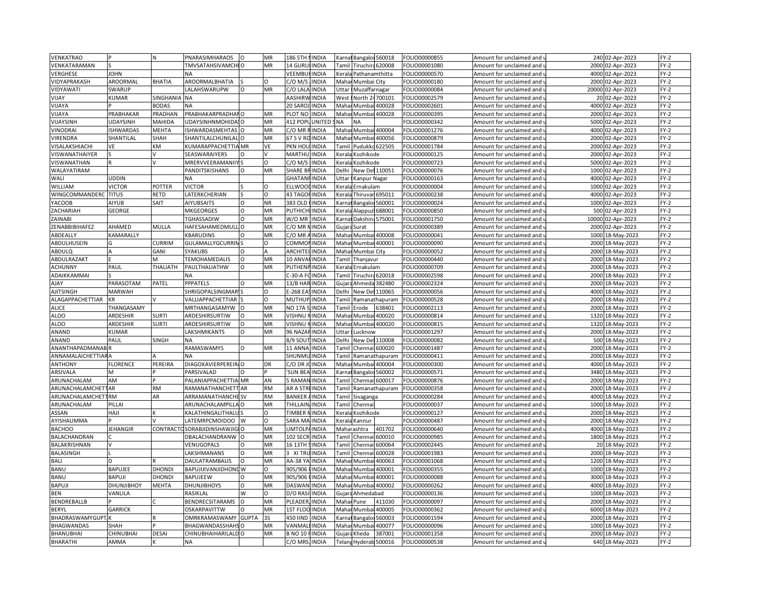| VENKATRAO                 |                  | N               | PNARASIMHARAOS                  | $\circ$  | MR        | 186 5TH        | <b>INDIA</b>  | Karna                                                                                                                                                                | Bangalor 560018        |                      | FOLIO00000855 | Amount for unclaimed and               |       | 240 02-Apr-2023  | $FY-2$ |
|---------------------------|------------------|-----------------|---------------------------------|----------|-----------|----------------|---------------|----------------------------------------------------------------------------------------------------------------------------------------------------------------------|------------------------|----------------------|---------------|----------------------------------------|-------|------------------|--------|
| VENKATARAMAN              |                  |                 | TMVSATAHSIVAMCHI O              |          | <b>MR</b> | 14 GURUHNDIA   |               |                                                                                                                                                                      | Tamil Tiruchira 620008 |                      | OLIO00001080  | Amount for unclaimed and u             |       | 2000 02-Apr-2023 | FY-2   |
| VERGHESE                  | <b>JOHN</b>      |                 | <b>NA</b>                       |          |           | VEEMBU         | INDIA         |                                                                                                                                                                      | Kerala Pathanamthitta  |                      | FOLIO00000570 | Amount for unclaimed and               | 4000  | 02-Apr-2023      | $FY-2$ |
| VIDYAPRAKASH              | AROORMAL         | <b>BHATIA</b>   | AROORMALBHATIA                  |          | $\Omega$  | C/O M/S        | <b>INDIA</b>  |                                                                                                                                                                      | Mahai Mumbai City      |                      | OLIO00000180  | Amount for unclaimed and <b>u</b>      | 2000  | 02-Apr-2023      | $FY-2$ |
| VIDYAWATI                 | SWARUP           |                 | LALAHSWARUPW                    | $\circ$  | MR        | C/O LALA       | <b>INDIA</b>  | Jttar                                                                                                                                                                | Muzaffarnagar          |                      | FOLIO00000084 | Amount for unclaimed and               | 20000 | 02-Apr-2023      | $FY-2$ |
| VIJAY                     | KUMAR            | <b>SINGHANI</b> | NA                              |          |           | AASHIRW        | <b>INDIA</b>  | West                                                                                                                                                                 | North 24700101         |                      | FOLIO00002579 | Amount for unclaimed and               | 20    | 02-Apr-2023      | FY-2   |
| VIJAYA                    |                  | 3ODAS           | NA                              |          |           | 20 SARO        | INDIA         | Maha                                                                                                                                                                 | Mumbai                 | 400028               | FOLIO00002601 | Amount for unclaimed and               | 4000  | 02-Apr-2023      | $FY-2$ |
| VIJAYA                    | PRABHAKAR        | PRADHAN         | PRABHAKARPRADHANO               |          | MR        | PLOT NO        | <b>INDIA</b>  | Maha                                                                                                                                                                 | Mumbai                 | 400028               | OLIO00000395  | Amount for unclaimed and               | 2000  | 02-Apr-2023      | $FY-2$ |
| VIJAYSINH                 | UDAYSINH         | MAHIDA          | UDAYSINHNMOHIDASO               |          | MR        | 412 POPL       | <b>UNITED</b> | NA                                                                                                                                                                   | <b>NA</b>              |                      | OLIO00000342  | Amount for unclaimed and               | 5000  | 02-Apr-2023      | FY-2   |
| VINODRAI                  | <b>ISHWARDAS</b> | <b>MEHTA</b>    | ISHWARDASMEHTAS O               |          | MR        | C/O MR         | <b>INDIA</b>  | Maha                                                                                                                                                                 | Mumbai                 | 400004               | OLIO00001276  | Amount for unclaimed and               | 4000  | 02-Apr-2023      | FY-2   |
| VIRENDRA                  | SHANTILAL        | SHAH            | SHANTILALCHUNILAL O             |          | MR        | 67 S V RO      | <b>INDIA</b>  | Mahai                                                                                                                                                                | Mumbai                 | 400056               | OLIO00000879  | Amount for unclaimed and $\mathfrak l$ | 2000  | 02-Apr-2023      | FY-2   |
| VISALAKSHIACHI            | VE               | KM              | KUMARAPPACHETTIA MR             |          | VE        | PKN HOL        | <b>INDIA</b>  | Tamil                                                                                                                                                                | Pudukko 622505         |                      | OLIO00001784  | Amount for unclaimed and               | 2000  | 02-Apr-2023      | FY-2   |
| VISWANATHAIYER            |                  |                 | SEASWARAIYERS                   | O        |           | MARTHU         | <b>INDIA</b>  | Kerala                                                                                                                                                               | Kozhikode              |                      | OLIO00000125  | Amount for unclaimed and u             | 2000  | 02-Apr-2023      | FY-2   |
| VISWANATHAN               |                  |                 | MRERVVEERAMANIIY                |          | $\Omega$  | C/O M/S        | <b>INDIA</b>  | Kerala                                                                                                                                                               | Kozhikode              |                      | FOLIO00000723 | Amount for unclaimed and               | 5000  | 02-Apr-2023      | FY-2   |
| WALAYATIRAM               |                  |                 | PANDITSKISHANS                  | $\Omega$ | MR        | <b>SHARE B</b> | INDIA         | Delhi                                                                                                                                                                | New Del 110051         |                      | FOLIO00000076 | Amount for unclaimed and $\iota$       | 1000  | 02-Apr-2023      | $FY-2$ |
| WALI                      | <b>JDDIN</b>     |                 | <b>NA</b>                       |          |           | GHATAN         | <b>INDIA</b>  | Uttar                                                                                                                                                                | Kanpur Nagar           |                      | FOLIO00000163 | Amount for unclaimed and               | 4000  | 02-Apr-2023      | $FY-2$ |
| WILLIAM                   | <b>VICTOR</b>    | POTTER          | <b>VICTOR</b>                   |          | $\Omega$  | ELLWOO         | INDIA         | <erala< td=""><td>Ernakulam</td><td></td><td>FOLIO00000004</td><td>Amount for unclaimed and</td><td>1000</td><td>02-Apr-2023</td><td><math>FY-2</math></td></erala<> | Ernakulam              |                      | FOLIO00000004 | Amount for unclaimed and               | 1000  | 02-Apr-2023      | $FY-2$ |
| WINGCOMMANDERC            | <b>TITUS</b>     | <b>RETD</b>     | LATERKCHERIAN                   |          | O         | 43 TAGO        | <b>INDIA</b>  |                                                                                                                                                                      | Kerala Thiruvar 695011 |                      |               |                                        |       | 4000 02-Apr-2023 | $FY-2$ |
| YACOOB                    | AIYUB            | SAIT            | <b>AIYUBSAITS</b>               | $\Omega$ | <b>NR</b> | 383 OLD        | <b>INDIA</b>  |                                                                                                                                                                      | Bangalor 560001        |                      | FOLIO00000238 | Amount for unclaimed and               | 1000  | 02-Apr-2023      | $FY-2$ |
|                           |                  |                 |                                 |          |           |                |               | Karna                                                                                                                                                                |                        |                      | OLIO00000024  | Amount for unclaimed and               |       |                  |        |
| ZACHARIAH                 | GEORGE           |                 | <b>MKGEORGES</b>                | $\circ$  | MR        | PUTHICHI       | <b>INDIA</b>  |                                                                                                                                                                      | Kerala Alappuzi 688001 |                      | OLIO00000850  | Amount for unclaimed and u             | 500   | 02-Apr-2023      | $FY-2$ |
| ZAINABI                   |                  |                 | <b>TGHASSADIW</b>               | $\circ$  | MR        | W/O MR         | <b>INDIA</b>  |                                                                                                                                                                      | Karnat Dakshina        | 575001               | FOLIO00001750 | Amount for unclaimed and               | 10000 | 02-Apr-2023      | FY-2   |
| ZENABBIBIHAFEZ            | AHAMED           | MULLA           | HAFESAHAMEDMULLO                |          | MR        | C/O MR         | <b>INDIA</b>  |                                                                                                                                                                      | Gujara Surat           |                      | OLIO00000389  | Amount for unclaimed and u             |       | 2000 02-Apr-2023 | FY-2   |
| ABDEALLY                  | KAMARALLY        |                 | KBARUDINS                       | O        | MR        | C/O MR         | <b>INDIA</b>  | Mahar                                                                                                                                                                | Mumbai 400008          |                      | FOLIO00000041 | Amount for unclaimed and               | 1000  | 18-May-2023      | $FY-2$ |
| ABDULHUSEIN               |                  | CURRIM          | GULAMALLYGCURRIN                |          | $\Omega$  | COMMC          | INDIA         | Mahai                                                                                                                                                                |                        | Mumbai 400001        | OLIO00000090  | Amount for unclaimed and i             | 2000  | 18-May-2023      | FY-2   |
| ABDULQ                    |                  | GANI            | SYAKUBS                         | $\circ$  |           | ARCHITE        | <b>INDIA</b>  |                                                                                                                                                                      | Mahar Mumbai City      |                      | FOLIO00000052 | Amount for unclaimed and               |       | 2000 18-May-2023 | FY-2   |
| ABDULRAZAKT               |                  |                 | TEMOHAMEDALIS                   | $\Omega$ | <b>MR</b> | 10 ANV/        | <b>INDIA</b>  | Tamil                                                                                                                                                                | Thanjavur              |                      | OLIO00000440  | Amount for unclaimed and $\iota$       | 2000  | 18-May-2023      | $FY-2$ |
| ACHUNNY                   | PAUL             | <b>THALIATH</b> | PAULTHALIATHW                   | $\circ$  | MR        | PUTHENI        | <b>INDIA</b>  | Kerala                                                                                                                                                               | Ernakulam              |                      | FOLIO00000709 | Amount for unclaimed and               | 2000  | 18-May-2023      | FY-2   |
| <b>ADAIKKAMMAI</b>        |                  |                 | <b>NA</b>                       |          |           | $-30 - A$      | INDIA         | Tami                                                                                                                                                                 |                        | Tiruchira 620018     | OLIO00002598  | Amount for unclaimed and               | 2000  | 18-May-2023      | $FY-2$ |
| YALA                      | PARASOTAM        | PATEL           | <b>PPPATELS</b>                 | $\Omega$ | MR        | 13/B HAR       | <b>INDIA</b>  |                                                                                                                                                                      | Gujara Ahmeda          | 382480               | OLIO00002324  | Amount for unclaimed and u             | 2000  | 18-May-2023      | $FY-2$ |
| <b>AJITSINGH</b>          | MARWAH           |                 | SHRIGOPALSINGMAR <sup>1</sup> S |          | $\circ$   | E-268 EA       | <b>INDIA</b>  | Delhi                                                                                                                                                                | New Del 110065         |                      | OLIO00000056  | Amount for unclaimed and               | 4000  | 18-May-2023      | $FY-2$ |
| ALAGAPPACHETTIAR          | KR               |                 | VALLIAPPACHETTIAR               |          | $\circ$   | <b>MUTHUP</b>  | <b>INDIA</b>  |                                                                                                                                                                      |                        | Tamil Ramanathapuram | OLIO00000528  | Amount for unclaimed and u             | 2000  | 18-May-2023      | $FY-2$ |
| <b>ALICE</b>              | THANGASAMY       |                 | MRTHANGASAMYW                   | lo       | MR        | <b>NO 17A</b>  | <b>INDIA</b>  | Tamil                                                                                                                                                                | Erode                  | 638401               | OLIO00002113  | Amount for unclaimed and               | 2000  | 18-May-2023      | $FY-2$ |
| <b>ALOO</b>               | ARDESHIR         | <b>SURTI</b>    | ARDESHIRSURTIW                  | $\circ$  | MR        | VISHNU         | <b>INDIA</b>  | Maha                                                                                                                                                                 | Mumbai                 | 400020               | OLIO00000814  | Amount for unclaimed and u             | 1320  | 18-May-2023      | FY-2   |
| ALOO                      | ARDESHIR         | SURTI           | ARDESHIRSURTIW                  | $\circ$  | MR        | VISHNU         | <b>INDIA</b>  | Mahar                                                                                                                                                                |                        | Mumbai 400020        | FOLIO00000815 | Amount for unclaimed and               | 1320  | 18-May-2023      | FY-2   |
| ANAND                     | KUMAR            |                 | LAKSHMIKANTS                    | $\Omega$ | MR        | 96 NAZA        | <b>INDIA</b>  | Uttar                                                                                                                                                                | Lucknow                |                      | OLIO00001297  | Amount for unclaimed and               | 2000  | 18-May-2023      | FY-2   |
| ANAND                     | PAUL             | SINGH           | NA                              |          |           | 8/9 SOU        | <b>INDIA</b>  | Delhi                                                                                                                                                                | New Del 110008         |                      | OLIO00000082  | Amount for unclaimed and               | 500   | 18-May-2023      | FY-2   |
| ANANTHAPADMANAB           |                  |                 | RAMASWAMYS                      | $\circ$  | MR        | 11 ANN         | INDIA         | Tami                                                                                                                                                                 |                        | Chennai 600020       | OLIO00001487  | Amount for unclaimed and               | 2000  | 18-May-2023      | $FY-2$ |
| ANNAMALAICHETTIARA        |                  |                 | <b>NA</b>                       |          |           | SHUNM          | <b>INDIA</b>  |                                                                                                                                                                      |                        | Tamil Ramanathapuram | OLIO00000411  | Amount for unclaimed and i             | 2000  | 18-May-2023      | $FY-2$ |
| ANTHONY                   | FLORENCE         | PEREIRA         | DIAGOXAVIERPEREIR, O            |          | DR        | C/O DR         | <b>INDIA</b>  |                                                                                                                                                                      | Mahar Mumbai 400004    |                      | OLIO00000300  | Amount for unclaimed and               | 4000  | 18-May-2023      | $FY-2$ |
| ARSIVALA                  |                  |                 | PARSIVALAD                      |          |           | <b>SUN BEA</b> | <b>INDIA</b>  |                                                                                                                                                                      | Carnal Bangaloi 560002 |                      | OLIO00000571  | Amount for unclaimed and $\mathfrak l$ | 3480  | 18-May-2023      | $FY-2$ |
| ARUNACHALAM               | AM               |                 | PALANIAPPACHETTIA MR            |          | AN        | <b>BRAMAI</b>  | <b>INDIA</b>  | Tami                                                                                                                                                                 |                        | Chennai 600017       | OLIO00000876  | Amount for unclaimed and               | 2000  | 18-May-2023      | $FY-2$ |
| <b>ARUNACHALAMCHETTAR</b> |                  | <b>RM</b>       | RAMANATHANCHETT                 | AR       | <b>RM</b> | AR A STR       | <b>INDIA</b>  | Tamil                                                                                                                                                                |                        | Ramanathapuram       | OLIO00000358  | Amount for unclaimed and $\iota$       | 2000  | 18-May-2023      | $FY-2$ |
| ARUNACHALAMCHET           | <b>RM</b>        | AR              | <b>ARRAMANATHANCHE SV</b>       |          | <b>RM</b> | <b>BANKER</b>  | INDIA         | Tamil                                                                                                                                                                | Sivaganga              |                      | OLIO00000284  | Amount for unclaimed and               | 4000  | 18-May-2023      | FY-2   |
| ARUNACHALAM               | PILLAI           |                 | ARUNACHALAMPILLA                |          | MR        | THILLAIN       | <b>INDIA</b>  | Tami                                                                                                                                                                 | Chennai                |                      | OLIO00000037  | Amount for unclaimed and i             | 1000  | 18-May-2023      | $FY-2$ |
| ASSAN                     | IlAH             |                 | KALATHINGALITHALL               |          | O         | <b>TIMBER</b>  | <b>INDIA</b>  | Kerala                                                                                                                                                               | Kozhikode              |                      | FOLIO00000127 | Amount for unclaimed and               | 2000  | 18-May-2023      | $FY-2$ |
| AYISHAUMMA                |                  |                 | LATEMRPCMOIDOO                  | W        | $\Omega$  | SARA MA        | <b>INDIA</b>  | <erala< td=""><td>Kannur</td><td></td><td>FOLIO00000487</td><td>Amount for unclaimed and</td><td>2000</td><td>18-May-2023</td><td><math>FY-2</math></td></erala<>    | Kannur                 |                      | FOLIO00000487 | Amount for unclaimed and               | 2000  | 18-May-2023      | $FY-2$ |
| <b>BACHOO</b>             | JEHANGIR         |                 | CONTRACTOSORABJIDINSHAWJIGIO    |          | MR        | UMTOLPAINDIA   |               |                                                                                                                                                                      | Maharashtra            | 401702               | OLIO00000640  | Amount for unclaimed and               | 4000  | 18-May-2023      | $FY-2$ |
| BALACHANDRAN              |                  |                 | DBALACHANDRANW O                |          | MR        | 102 SECF       | INDIA         |                                                                                                                                                                      | Tamil Chenna           | 600010               | OLIO00000985  | Amount for unclaimed and               | 1800  | 18-May-2023      | FY-2   |
| BALAKRISHNAN              |                  |                 | VENUGOPALS                      | $\Omega$ | MR        | 16 13TH        | <b>INDIA</b>  |                                                                                                                                                                      | Tamil Chennai          | 600064               | OLIO00002445  | Amount for unclaimed and u             | 20    | 18-May-2023      | $FY-2$ |
| <b>BALASINGH</b>          |                  |                 | LAKSHMANANS                     | $\circ$  | <b>MR</b> | 3 XI TRI       | <b>INDIA</b>  | Tamil                                                                                                                                                                | Chenna                 | 600028               | OLIO00001983  | Amount for unclaimed and               | 2000  | 18-May-2023      | $FY-2$ |
| <b>BALI</b>               |                  |                 | <b>DAULATRAMBALIS</b>           | $\Omega$ | MR        | AA-38 YA       | <b>INDIA</b>  | Mahar                                                                                                                                                                | Mumba                  | 400063               | OLIO00001068  | Amount for unclaimed and $\iota$       | 1200  | 18-May-2023      | $FY-2$ |
| BANU                      | <b>BAPUJEE</b>   | <b>DHONDI</b>   | BAPUJIJIVANJIDHONE W            |          | O         | 905/906        | <b>INDIA</b>  |                                                                                                                                                                      | Mahar Mumba            | 400001               | FOLIO00000355 | Amount for unclaimed and               | 1000  | 18-May-2023      | FY-2   |
| BANU                      | BAPUJI           | DHONDI          | BAPUJEEW                        | $\Omega$ | <b>MR</b> | 905/906        | <b>INDIA</b>  | Mahar                                                                                                                                                                | Mumbai                 | 400001               | FOLIO00000088 | Amount for unclaimed and $\iota$       | 3000  | 18-May-2023      | FY-2   |
| BAPUJI                    | DHUNJIBHOY       | MEHTA           | <b>DHUNJIBHOYS</b>              | $\Omega$ | MR        | <b>DASWAM</b>  | INDIA         |                                                                                                                                                                      | Mahar Mumbai 400002    |                      | OLIO00000262  | Amount for unclaimed and               | 4000  | 18-May-2023      | $FY-2$ |
| BEN                       | VANLILA          |                 | RASIKLAL                        | W        | $\Omega$  | D/O RAS        | <b>INDIA</b>  |                                                                                                                                                                      |                        |                      | OLIO00000136  |                                        | 1000  |                  | $FY-2$ |
| BENDREBALLB               |                  |                 | BENDRECSITARAMS                 | $\Omega$ | MR        |                | <b>INDIA</b>  | Gujar                                                                                                                                                                | Ahmedabad              |                      |               | Amount for unclaimed and               |       | 18-May-2023      |        |
|                           |                  |                 |                                 | $\Omega$ |           | PLEADER        |               |                                                                                                                                                                      | Mahar Pune             | 411030               | OLIO00000097  | Amount for unclaimed and               |       | 2000 18-May-2023 | FY-2   |
| BERYL                     | GARRICK          |                 | OSKARPAVITTW                    |          | MR        | 1ST FLO        | <b>INDIA</b>  | Maha                                                                                                                                                                 | Mumb                   | 400005               | OLIO00000362  | Amount for unclaimed and               | 6000  | 18-May-2023      | $FY-2$ |
| BHADRASWAMYGUPT.          |                  |                 | OMRKRAMASWAMY GUPTA             |          | 3S        | 450 IIND       | <b>INDIA</b>  |                                                                                                                                                                      | Carnat Bangalor 560003 |                      | OLIO00001594  | Amount for unclaimed and u             | 2000  | 18-May-2023      | FY-2   |
| <b>BHAGWANDAS</b>         | SHAH             |                 | BHAGWANDASSHAH:                 |          | MR        | VANMA          | <b>INDIA</b>  | Mahai                                                                                                                                                                | Mumb                   | 400077               | OLIO00000096  | Amount for unclaimed and               | 1000  | 18-May-2023      | $FY-2$ |
| <b>BHANUBHAI</b>          | CHINUBHAI        | <b>DESAI</b>    | CHINUBHAIHARILALD O             |          | MR        | <b>BNO 10</b>  | <b>INDIA</b>  | Gujar                                                                                                                                                                | Kheda                  | 387001               | OLIO00001358  | Amount for unclaimed and $\iota$       | 2000  | 18-May-2023      | $FY-2$ |
| <b>BHARATHI</b>           | AMMA             |                 | <b>NA</b>                       |          |           | C/O MRS        | <b>INDIA</b>  |                                                                                                                                                                      | Telang Hyderab         | 500016               | FOLIO00000538 | Amount for unclaimed and               |       | 640 18-May-2023  | $FY-2$ |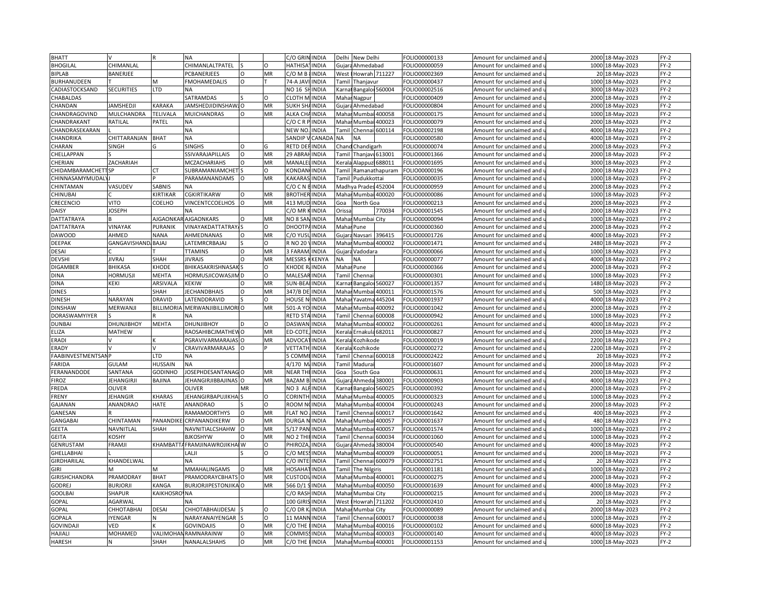| <b>BHATT</b>       |                    |                  | <b>NA</b>                    |               |          | C/O GRIN INDIA       |              | Delhi          | New Delhi              |                      | FOLIO00000133 | Amount for unclaimed and   | 2000 | 18-May-2023      | $FY-2$ |
|--------------------|--------------------|------------------|------------------------------|---------------|----------|----------------------|--------------|----------------|------------------------|----------------------|---------------|----------------------------|------|------------------|--------|
| <b>BHOGILAL</b>    | <b>CHIMANLAL</b>   |                  | CHIMANLALTPATEL              |               |          | HATHISA'             | <b>INDIA</b> |                | Gujara Ahmedabad       |                      | FOLIO00000059 | Amount for unclaimed and   |      | 1000 18-May-2023 | $FY-2$ |
| <b>BIPLAB</b>      | BANERJEE           |                  | PCBANERJEES                  | $\circ$       | MR       | C/OMB                | <b>INDIA</b> | West           | Howrah 711227          |                      | FOLIO00002369 | Amount for unclaimed and   | 20   | 18-May-2023      | $FY-2$ |
| BURHANUDEEN        |                    | м                | <b>FMOHAMEDALIS</b>          | $\Omega$      |          | 74-A JAVI            | <b>INDIA</b> |                | Tamil Thanjavur        |                      | FOLIO00000437 | Amount for unclaimed and u | 1000 | 18-May-2023      | $FY-2$ |
| CADIASTOCKSAND     | <b>SECURITIES</b>  | LTD              | <b>NA</b>                    |               |          | NO 16 SH             | <b>INDIA</b> |                | Karnat Bangaloi 560004 |                      | FOLIO00002516 | Amount for unclaimed and   | 3000 | 18-May-2023      | $FY-2$ |
| CHABALDAS          |                    |                  | SATRAMDAS                    |               |          | <b>CLOTH M</b>       | <b>INDIA</b> | Mahar          | Nagpur                 |                      | FOLIO00000409 | Amount for unclaimed and   | 2000 | 18-May-2023      | $FY-2$ |
| CHANDAN            | <b>IAMSHEDJ</b> I  | KARAKA           | JAMSHEDJIDINSHAWJO           |               | MR       | SUKH SH              | <b>INDIA</b> | Gujar          | Ahmedabad              |                      | FOLIO00000804 | Amount for unclaimed and   | 2000 | 18-May-2023      | $FY-2$ |
|                    |                    |                  |                              |               |          |                      |              |                |                        |                      |               |                            |      |                  |        |
| CHANDRAGOVIND      | MULCHANDRA         | TELIVALA         | MUICHANDRAS                  |               | MR       | ALKA CH              | <b>INDIA</b> | Mahar          |                        | <b>Mumbai 400058</b> | FOLIO00000175 | Amount for unclaimed and   | 1000 | 18-May-2023      | $FY-2$ |
| CHANDRAKANT        | RATILAL            | PATEL            | <b>NA</b>                    |               |          | C/OCRP               | <b>INDIA</b> | Mahar          |                        | Mumbai 400023        | FOLIO00000079 | Amount for unclaimed and   | 2000 | 18-May-2023      | $FY-2$ |
| CHANDRASEKARAN     |                    |                  | <b>NA</b>                    |               |          | NEW NC               | <b>INDIA</b> | Tami           | Chennai                | 600114               | FOLIO00002198 | Amount for unclaimed and   | 4000 | 18-May-2023      | $FY-2$ |
| CHANDRIKA          | CHITTARANJAN       | <b>BHAT</b>      | <b>NA</b>                    |               |          | SANDIP               | CANADA       | <b>NA</b>      | <b>NA</b>              |                      | OLIO00000580  | Amount for unclaimed and u |      | 4000 18-May-2023 | $FY-2$ |
| CHARAN             | <b>SINGH</b>       | G                | <b>SINGHS</b>                | $\Omega$      | G        | RETD DE              | <b>INDIA</b> |                | Chand Chandigarh       |                      | FOLIO00000074 | Amount for unclaimed and   | 2000 | 18-May-2023      | $FY-2$ |
| CHELLAPPAN         |                    |                  | SSIVARAJAPILLAIS             | $\Omega$      | MR       | 29 ABRAI             | <b>INDIA</b> |                | Tamil Thanjavi 613001  |                      | FOLIO00001366 | Amount for unclaimed and u | 2000 | 18-May-2023      | $FY-2$ |
| CHERIAN            | ZACHARIAH          |                  | <b>MCZACHARIAHS</b>          | $\circ$       | MR       | MANALI               | <b>INDIA</b> | Kerala         | Alappuz 688011         |                      | FOLIO00001695 | Amount for unclaimed and   | 3000 | 18-May-2023      | $FY-2$ |
| CHIDAMBARAMCHETTSP |                    | rт               | SUBRAMANIAMCHET              |               | O        | <b>KONDAN</b>        | <b>INDIA</b> | <b>Tamil</b>   |                        | Ramanathapuram       | FOLIO00000196 | Amount for unclaimed and u | 2000 | 18-May-2023      | $FY-2$ |
| CHINNASAMYMUDAL    |                    |                  | PARAMANANDAMS                | $\Omega$      | MR       | KAKARA:              | <b>INDIA</b> | Tamil          | Pudukkottai            |                      | FOLIO00000035 | Amount for unclaimed and   | 1000 | 18-May-2023      | $FY-2$ |
| CHINTAMAN          | VASUDEV            | SABNIS           |                              |               |          | C/OCN                | <b>INDIA</b> |                | Madhya Prades 452004   |                      | FOLIO00000959 | Amount for unclaimed and   | 2000 | 18-May-2023      | $FY-2$ |
| CHINUBAI           |                    | KIRTIKAR         | CGKIRTIKARW                  | $\circ$       | MR       | <b>BROTHER INDIA</b> |              |                | Mahar Mumbai 400020    |                      | FOLIO00000086 | Amount for unclaimed and   | 1000 | 18-May-2023      | $FY-2$ |
| CRECENCIO          | VITO               | COELHO           | <b>VINCENTCCOELHOS</b>       |               | MR       | 413 MUI              | <b>INDIA</b> | Goa            | North Goa              |                      | FOLIO00000213 | Amount for unclaimed and   | 2000 | 18-May-2023      | $FY-2$ |
| DAISY              | <b>IOSEPH</b>      |                  | <b>NA</b>                    |               |          | C/O MR I             | <b>INDIA</b> | Orissa         |                        | 770034               | FOLIO00001545 | Amount for unclaimed and u | 2000 | 18-May-2023      | $FY-2$ |
| DATTATRAYA         |                    | AJGAONK/         | <b>AJGAONKARS</b>            | $\Omega$      | MR       | NO 8 SAI             | <b>INDIA</b> | Maha           | Mumbai City            |                      | FOLIO00000094 | Amount for unclaimed and   | 1000 | 18-May-2023      | $FY-2$ |
| DATTATRAYA         | VINAYAK            | PURANIK          | <b>VINAYAKDATTATRAY</b>      |               | O        | DHOOTP.              | <b>INDIA</b> |                | Mahar Pune             |                      | FOLIO00000360 | Amount for unclaimed and u | 2000 | 18-May-2023      | $FY-2$ |
| <b>DAWOOD</b>      | AHMED              | <b>NANA</b>      | AHMEDNANAS                   | O             | MR       | C/O YUS              | <b>INDIA</b> | Gujara         | Navsari                | 396415               | FOLIO00001726 | Amount for unclaimed and   | 4000 | 18-May-2023      | $FY-2$ |
| <b>DEEPAK</b>      | GANGAVISHAND BAJAJ |                  | LATEMRCRBAJAJ                |               | O        | R NO 20'             | <b>INDIA</b> | Maha           |                        | Mumbai 400002        | FOLIO00001471 | Amount for unclaimed and u | 2480 | 18-May-2023      | $FY-2$ |
| <b>DESAI</b>       |                    |                  | <b>TTAMINS</b>               | $\circ$       | MR       | 3 FARAM              | <b>INDIA</b> | Gujara         | Vadodara               |                      | FOLIO00000066 | Amount for unclaimed and   | 1000 | 18-May-2023      | $FY-2$ |
| <b>DEVSHI</b>      | <b>JIVRAJ</b>      | SHAH             | <b>JIVRAJS</b>               | $\Omega$      | MR       | <b>MESSRS</b>        | KENYA        | <b>NA</b>      | <b>NA</b>              |                      | FOLIO00000077 | Amount for unclaimed and u | 4000 | 18-Mav-2023      | $FY-2$ |
| <b>DIGAMBER</b>    | BHIKASA            | KHODE            | BHIKASAKRISHNASAK            |               | O        | KHODE R              | <b>INDIA</b> | Maha           | Pune                   |                      | FOLIO00000366 | Amount for unclaimed and   | 2000 | 18-May-2023      | $FY-2$ |
| DINA               | <b>HORMUSJI</b>    | MEHTA            | HORMUSJICOWASJIM             |               |          | MALESA               | <b>INDIA</b> | Гаmі           | Chenna                 |                      | FOLIO00000301 | Amount for unclaimed and   | 1000 | 18-May-2023      | $FY-2$ |
|                    |                    |                  |                              |               |          |                      |              |                |                        |                      |               |                            |      |                  |        |
| <b>DINA</b>        | KEKI               | ARSIVALA         | <b>KEKIW</b>                 | Ω<br>$\Omega$ | MR       | SUN-BEALINDIA        |              | Karna          | Bangaloi 560027        |                      | FOLIO00001357 | Amount for unclaimed and   |      | 1480 18-May-2023 | $FY-2$ |
| <b>DINES</b>       |                    | SHAH             | <b>JECHANDBHAIS</b>          |               | MR<br>O  | 347/B DE             | <b>INDIA</b> | Maha           | Mumba                  | 400011               | FOLIO00001576 | Amount for unclaimed and   | 500  | 18-May-2023      | $FY-2$ |
| <b>DINESH</b>      | NARAYAN            | <b>DRAVID</b>    | LATENDDRAVID                 |               |          | <b>HOUSE NHINDIA</b> |              | Mahar          | Yavatma                | 445204               | OLIO00001937  | Amount for unclaimed and u | 4000 | 18-May-2023      | $FY-2$ |
| <b>DINSHAW</b>     | MERWANJI           | <b>BILLIMORI</b> | MERWANJIBILLIMORI O          |               | MR       | 501-A YO             | <b>INDIA</b> | Maha           | Mumb                   | 400092               | FOLIO00001042 | Amount for unclaimed and   | 2000 | 18-May-2023      | $FY-2$ |
| DORASWAMYIYER      |                    |                  | NΑ                           |               |          | RETD STA             | <b>INDIA</b> | Tamil          | Chennai                | 500008               | FOLIO00000942 | Amount for unclaimed and   | 1000 | 18-May-2023      | $FY-2$ |
| <b>DUNBAI</b>      | DHUNJIBHOY         | <b>MEHTA</b>     | <b>DHUNJIBHOY</b>            | D             | O        | DASWAN               | <b>INDIA</b> | Mahar          | Mumbai                 | 400002               | FOLIO00000261 | Amount for unclaimed and   | 4000 | 18-May-2023      | $FY-2$ |
| ELIZA              | MATHEW             |                  | RAOSAHIBCJMATHEW             | O             | MR       | ED-COTE              | <b>INDIA</b> | Kerala         |                        | Ernakula 682011      | FOLIO00000827 | Amount for unclaimed and   | 2000 | 18-May-2023      | $FY-2$ |
| <b>ERADI</b>       |                    |                  | PGRAVIVARMARAJAS             | $\Omega$      | MR       | ADVOCA               | <b>INDIA</b> | Keral          | Kozhikode              |                      | FOLIO00000019 | Amount for unclaimed and   | 2200 | 18-May-2023      | $FY-2$ |
| ERADY              |                    |                  | CRAVIVARMARAJAS              |               |          | VETTATH              | INDIA        | <b>Cerala</b>  | <b>Cozhikode</b>       |                      | OLIO00000272  | Amount for unclaimed and   | 2200 | 18-May-2023      | $FY-2$ |
| FAABINVESTMENTSANP |                    | LTD              | NA                           |               |          | COMME                | <b>INDIA</b> | <b>Tamil</b>   |                        | Chennai 600018       | FOLIO00002422 | Amount for unclaimed and   | 20   | 18-May-2023      | $FY-2$ |
| FARIDA             | GULAM              | HUSSAIN          | NA                           |               |          | 4/170 M              | <b>INDIA</b> | Гаmі           | Madura                 |                      | FOLIO00001607 | Amount for unclaimed and   | 2000 | 18-May-2023      | $FY-2$ |
| FERANANDODE        | SANTANA            | GODINHO          | JOSEPHDESANTANAGO            |               | MR       | NEAR THE             | <b>INDIA</b> | Goa            | South Goa              |                      | OLIO00000631  | Amount for unclaimed and u | 2000 | 18-May-2023      | $FY-2$ |
| <b>FIROZ</b>       | JEHANGIRJI         | <b>BAJINA</b>    | JEHANGIRJIBBAJINAS O         |               | MR       | <b>BAZAM B</b>       | <b>INDIA</b> |                | Gujara Ahmeda 380001   |                      | FOLIO00000903 | Amount for unclaimed and   | 4000 | 18-May-2023      | $FY-2$ |
| FREDA              | OLIVER             |                  | <b>OLIVER</b>                | MR            |          | NO <sub>3</sub> ALF  | <b>INDIA</b> |                | Karnat Bangaloi 560025 |                      | FOLIO00000392 | Amount for unclaimed and   | 2000 | 18-May-2023      | $FY-2$ |
| FRENY              | <b>IEHANGIR</b>    | KHARAS           | JEHANGIRBAPUJIKHA            |               | $\circ$  | <b>CORINTH</b>       | <b>INDIA</b> |                | Mahar Mumbai           | 400005               | FOLIO00000323 | Amount for unclaimed and   | 1000 | 18-May-2023      | $FY-2$ |
| GAJANAN            | ANANDRAO           | HATE             | ANANDRAO                     |               | $\Omega$ | ROOM N               | <b>INDIA</b> | Mahar          | Mumbai                 | 400004               | FOLIO00000243 | Amount for unclaimed and u |      | 2000 18-May-2023 | $FY-2$ |
| GANESAN            |                    |                  | <b>RAMAMOORTHYS</b>          | O             | MR       | <b>FLAT NO</b>       | <b>INDIA</b> | Tamil          | Chenna                 | 600017               | FOLIO00001642 | Amount for unclaimed and   | 400  | 18-May-2023      | $FY-2$ |
| GANGABAI           | CHINTAMAN          | PANANDIK         | CRPANANDIKERW                |               | MR       | DURGA                | <b>INDIA</b> | Maha           | Mumbai                 | 400057               | OLIO00001637  | Amount for unclaimed and   | 480  | 18-May-2023      | $FY-2$ |
| <b>GEETA</b>       | NAVNITLAL          | SHAH             | NAVNITIALCSHAHW              | $\circ$       | MR       | 5/17 PAM             | <b>INDIA</b> | Mahar          | Mumbai                 | 400057               | FOLIO00001574 | Amount for unclaimed and   |      | 1000 18-May-2023 | $FY-2$ |
| GEITA              | <b>COSHY</b>       |                  | <b>BJKOSHYW</b>              | $\Omega$      | MR       | NO 2 TH              | <b>INDIA</b> | Tami           | Chenna                 | 500034               | OLIO00001060  | Amount for unclaimed and   | 1000 | 18-May-2023      | $FY-2$ |
| GENRUSTAM          | FRAMJI             |                  | KHAMBATTAFRAMJINAWROJIKHAI W |               | $\Omega$ | PHIROZA              | <b>INDIA</b> |                | Gujara Ahmeda 380004   |                      | OLIO00000540  | Amount for unclaimed and u |      | 4000 18-May-2023 | $FY-2$ |
| <b>GHELLABHAI</b>  |                    |                  | LALJI                        |               | $\Omega$ | C/O ME               | <b>INDIA</b> | Maha           | Mumba                  | 400009               | FOLIO00000051 | Amount for unclaimed and   | 2000 | 18-May-2023      | $FY-2$ |
| GIRDHARILAL        | <b>HANDELWAL</b>   |                  | <b>NA</b>                    |               |          | C/O INTE             | <b>INDIA</b> | <b>Tamil</b>   | Chennai 600079         |                      | FOLIO00002751 | Amount for unclaimed and   |      | 20 18-May-2023   | $FY-2$ |
| GIRI               |                    | M                | <b>MMAHALINGAMS</b>          | O             | MR       | HOSAHA               | <b>INDIA</b> |                |                        |                      | FOLIO00001181 |                            |      | 1000 18-May-2023 | $FY-2$ |
|                    | PRAMODRAY          | <b>BHAT</b>      | <b>PRAMODRAYCBHATS</b>       |               | MR       |                      | <b>INDIA</b> | Tamil<br>Mahar | The Nilgiris           |                      | FOLIO00000275 | Amount for unclaimed and   |      |                  | $FY-2$ |
| GIRISHCHANDRA      |                    |                  |                              | O             |          | CUSTOD               |              |                |                        | Mumbai 400001        |               | Amount for unclaimed and   |      | 2000 18-May-2023 |        |
| <b>GODREJ</b>      | <b>BURJORJI</b>    | KANGA            | <b>BURJORJIPESTONJIKA O</b>  |               | MR       | 566 D/1              | <b>INDIA</b> | Mahar          |                        | Mumbai 400050        | FOLIO00001639 | Amount for unclaimed and   | 4000 | 18-May-2023      | $FY-2$ |
| <b>GOOLBAI</b>     | <b>SHAPUR</b>      | KAIKHOSRO        | <b>NA</b>                    |               |          | C/O RASI             | <b>INDIA</b> | Maha           | Mumbai City            |                      | OLIO00000215  | Amount for unclaimed and   | 2000 | 18-May-2023      | $FY-2$ |
| GOPAL              | AGARWAL            |                  | <b>NA</b>                    |               |          | 100 GIRIS            | <b>INDIA</b> | West           | Howrah 711202          |                      | FOLIO00002410 | Amount for unclaimed and   |      | 20 18-May-2023   | $FY-2$ |
| GOPAL              | <b>СННОТАВНА</b>   | <b>DESAI</b>     | CHHOTABHAIJDESAI             |               | $\Omega$ | C/O DR               | <b>INDIA</b> | Maha           | Mumbai City            |                      | FOLIO00000089 | Amount for unclaimed and   | 2000 | 18-May-2023      | $FY-2$ |
| GOPALA             | YENGAR             | N                | NARAYANAIYENGAR              |               | O        | 11 MANN              | <b>INDIA</b> | Tamil          | Chennai 600017         |                      | FOLIO00000038 | Amount for unclaimed and u |      | 1000 18-May-2023 | $FY-2$ |
| <b>GOVINDAJI</b>   | VED                |                  | <b>GOVINDAJIS</b>            | $\Omega$      | MR       | C/O THE              | <b>INDIA</b> | Maha           | Mumb                   | 400016               | FOLIO00000102 | Amount for unclaimed and   | 6000 | 18-May-2023      | $FY-2$ |
| HAJIALI            | MOHAMED            |                  | <b>VALIMOHAN RAMNARAINW</b>  | $\Omega$      | MR       | COMMIS               | <b>INDIA</b> |                | Mahar Mumbai 400003    |                      | FOLIO00000140 | Amount for unclaimed and u |      | 4000 18-May-2023 | $FY-2$ |
| <b>HARESH</b>      |                    | SHAH             | <b>NANALALSHAHS</b>          | $\circ$       | MR       | C/O THE              | <b>INDIA</b> |                | Mahar Mumbai 400001    |                      | FOLIO00001153 | Amount for unclaimed and u |      | 1000 18-May-2023 | $FY-2$ |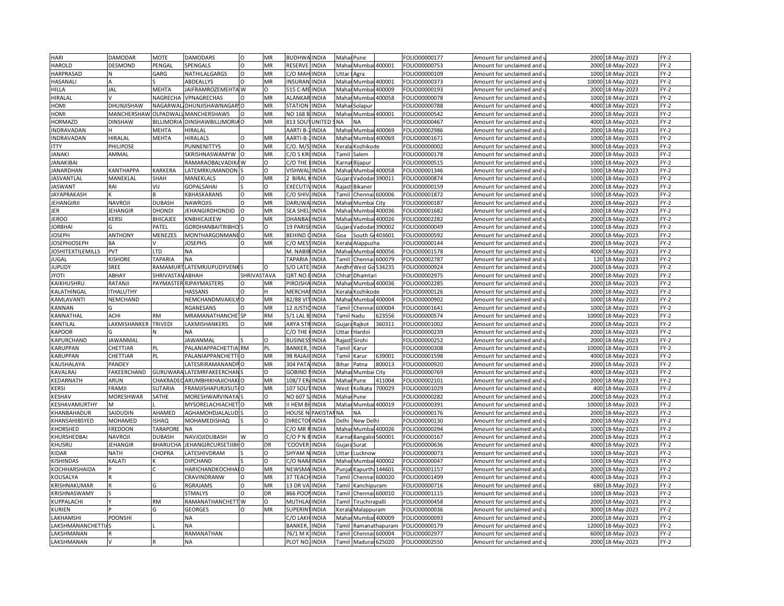| HARI                      | <b>DAMODAR</b>       | <b>MOTE</b>            | <b>DAMODARS</b>             | $\circ$     | MR        | <b>BUDHWA INDIA</b>    |                         | Mahar Pune                                                                                                                                                         |                       |                 | FOLIO00000177 | Amount for unclaimed and                          | 2000            | 18-May-2023      | $FY-2$ |
|---------------------------|----------------------|------------------------|-----------------------------|-------------|-----------|------------------------|-------------------------|--------------------------------------------------------------------------------------------------------------------------------------------------------------------|-----------------------|-----------------|---------------|---------------------------------------------------|-----------------|------------------|--------|
| HAROLD                    | <b>DESMOND</b>       | PENGAL                 | SPENGALS                    | $\Omega$    | MR        | RESERVE                | <b>INDIA</b>            | Mahar                                                                                                                                                              | Mumbai 400001         |                 | FOLIO00000753 | Amount for unclaimed and $\iota$                  | 2000            | 18-May-2023      | $FY-2$ |
| HARPRASAD                 |                      | GARG                   | NATHILALGARGS               | O           | MR        | C/O MAH                | <b>INDIA</b>            | Uttar                                                                                                                                                              | Agra                  |                 | FOLIO00000109 | Amount for unclaimed and                          | 1000            | 18-May-2023      | FY-2   |
| HASANAL                   |                      |                        | ABDEALLYS                   | $\Omega$    | MR        | <b>INSURAN</b>         | <b>INDIA</b>            | Mahar                                                                                                                                                              | Mumbai                | 400001          | FOLIO00000373 | Amount for unclaimed and u                        | 10000           | 18-May-2023      | $FY-2$ |
| HILLA                     | <b>JAL</b>           | <b>MEHTA</b>           | JAIFRAMROZEMEHTA W          |             | O         | 515 C-MEINDIA          |                         | Mahar                                                                                                                                                              | Mumbai                | 400009          | FOLIO00000193 | Amount for unclaimed and                          | 2000            | 18-May-2023      | FY-2   |
| HIRALAL                   |                      | <b>NAGRECHA</b>        | VPNAGRECHAS                 |             | MR        | ALANKAR INDIA          |                         | Maha                                                                                                                                                               | Mumb                  | 400058          | OLIO00000078  | Amount for unclaimed and                          | 1000            | 18-May-2023      | $FY-2$ |
| HOMI                      | DHUNJISHAW           | NAGARWAI               | DHUNJISHAWNAGAR'O           |             | MR        | STATION INDIA          |                         |                                                                                                                                                                    | Mahar Solapur         |                 | OLIO00000788  | Amount for unclaimed and $\,$                     | 4000            | 18-May-2023      | $FY-2$ |
| HOMI                      | MANCHERSHAW OLPADWAI |                        | <b>MANCHERSHAWS</b>         | $\circ$     | MR        | NO 168 B INDIA         |                         | Maha                                                                                                                                                               | Mumbai 400001         |                 | FOLIO00000542 | Amount for unclaimed and                          | 2000            | 18-May-2023      | $FY-2$ |
| HORMAZD                   | <b>DINSHAW</b>       | <b>BILLIMORIA</b>      | DINSHAWBILLIMORIA O         |             | MR        | 813 SOUT UNITED        |                         | SNA                                                                                                                                                                | <b>NA</b>             |                 | FOLIO00000467 | Amount for unclaimed and u                        | 4000            | 18-May-2023      | FY-2   |
| <b>INDRAVADAN</b>         | <b>H</b>             | <b>MEHTA</b>           | <b>HIRALAL</b>              |             |           | AARTI B-               | <b>INDIA</b>            | Mahar                                                                                                                                                              | Mumbai 400069         |                 | FOLIO00002986 | Amount for unclaimed and                          | 2000            | 18-May-2023      | $FY-2$ |
| INDRAVADAN                | <b>HIRALAL</b>       | <b>MEHTA</b>           | <b>HIRALALS</b>             | $\Omega$    | MR        | AARTI-B-               | <b>INDIA</b>            | Maha                                                                                                                                                               |                       | Mumbai 400069   | FOLIO00001671 | Amount for unclaimed and <b>u</b>                 | 1000            | 18-May-2023      | FY-2   |
|                           |                      |                        |                             |             |           |                        |                         |                                                                                                                                                                    |                       |                 |               |                                                   |                 |                  |        |
| <b>ITTY</b>               | PHILIPOSE            |                        | <b>PUNNENITTYS</b>          | O           | MR        | C/O. M/S               | <b>INDIA</b>            | Kerala                                                                                                                                                             | Kozhikode             |                 | FOLIO00000002 | Amount for unclaimed and $\overline{\phantom{a}}$ | 3000            | 18-May-2023      | FY-2   |
| <b>JANAKI</b>             | AMMAL                |                        | SKRISHNASWAMYW              |             | MR        | C/O S KRI              | <b>INDIA</b>            | Tamil                                                                                                                                                              | Salem                 |                 | FOLIO00000178 | Amount for unclaimed and u                        | 2000            | 18-May-2023      | FY-2   |
| JANAKIBAI                 |                      |                        | RAMARAOBALVADIK             | ۵w          | O         | C/O THE                | <b>INDIA</b>            | Karna                                                                                                                                                              | Bijapur               |                 | FOLIO00000515 | Amount for unclaimed and                          | 1000            | 18-May-2023      | $FY-2$ |
| <b>JANARDHAN</b>          | <b>KANTHAPPA</b>     | KARKERA                | LATEMRKUMANDON              |             | $\Omega$  | VISHWAI                | <b>INDIA</b>            | Maha                                                                                                                                                               | Mumbai                | 400058          | FOLIO00001346 | Amount for unclaimed and                          | 1000            | 18-May-2023      | FY-2   |
| <b>JASVANTLAL</b>         | MANEKLAL             | SHAH                   | MANEKLALS                   |             | MR        | 2 BIRAL                | <b>INDIA</b>            |                                                                                                                                                                    | Gujara Vadodar 390011 |                 | FOLIO00000874 | Amount for unclaimed and u                        | 1000            | 18-May-2023      | $FY-2$ |
| <b>JASWANT</b>            | RAI                  | VIJ                    | <b>GOPALSAHAI</b>           |             | $\Omega$  | <b>EXECUTIVINDIA</b>   |                         | Rajast                                                                                                                                                             | Bikaner               |                 | FOLIO00000159 | Amount for unclaimed and                          | 2000            | 18-May-2023      | $FY-2$ |
| <b>JAYAPRAKASH</b>        |                      |                        | KBHASKARANS                 | O           | MR        | C/O SHIV, INDIA        |                         |                                                                                                                                                                    | Tamil Chennai 600006  |                 | FOLIO00001872 | Amount for unclaimed and $\mathfrak u$            | 1000            | 18-May-2023      | FY-2   |
| JEHANGIRJI                | <b>NAVROJI</b>       | <b>DUBASH</b>          | <b>NAWROJIS</b>             | $\circ$     | MR        | DARUWA INDIA           |                         | Maha                                                                                                                                                               | Mumbai City           |                 | FOLIO00000187 | Amount for unclaimed and                          | 2000            | 18-May-2023      | $FY-2$ |
| JER                       | <b>JEHANGIR</b>      | <b>DHONDI</b>          | JEHANGIRDHONDID             | $\Omega$    | MR        | SEA SHEL               | <b>INDIA</b>            | Maha                                                                                                                                                               |                       | Mumbai 400036   | FOLIO00001682 | Amount for unclaimed and u                        | 2000            | 18-May-2023      | $FY-2$ |
| <b>JEROO</b>              | <b>KERSI</b>         | <b>BHICAJEE</b>        | KNBHICAJEEW                 | O           | MR        | DHANBA                 | <b>INDIA</b>            | Maha                                                                                                                                                               | Mumbai                | 400026          | FOLIO00002282 | Amount for unclaimed and                          | 2000            | 18-May-2023      | FY-2   |
| <b>JORBHAI</b>            |                      | PATEL                  | <b>GORDHANBAITRIBHO</b>     |             | O         | 19 PARIS               | <b>INDIA</b>            | Gujara                                                                                                                                                             | Vadodar               | 390002          | FOLIO00000049 | Amount for unclaimed and u                        | 1000            | 18-May-2023      | $FY-2$ |
| JOSEPH                    | <b>ANTHONY</b>       | MENEZES                | MONTHARGONMANE O            |             | MR        | <b>BEHIND CINDIA</b>   |                         | Goa                                                                                                                                                                |                       | South G 403601  | FOLIO00000592 | Amount for unclaimed and                          | 2000            | 18-May-2023      | $FY-2$ |
| <b>IOSEPHJOSEPH</b>       | <b>BA</b>            |                        | <b>JOSEPHS</b>              |             | MR        | C/O MES                | <b>INDIA</b>            | <eral< td=""><td>Alappuzha</td><td></td><td>FOLIO00000144</td><td>Amount for unclaimed and</td><td>2000</td><td>18-May-2023</td><td><math>FY-2</math></td></eral<> | Alappuzha             |                 | FOLIO00000144 | Amount for unclaimed and                          | 2000            | 18-May-2023      | $FY-2$ |
| <b>JOSHITEXTILEMILLS</b>  | PVT                  | LTD                    | <b>NA</b>                   |             |           | M. NABIB INDIA         |                         |                                                                                                                                                                    | Mahar Mumbai 400056   |                 | FOLIO00001578 | Amount for unclaimed and $\,$                     | 4000            | 18-May-2023      | $FY-2$ |
| JUGAL                     | <b>KISHORE</b>       | <b>TAPARIA</b>         | <b>NA</b>                   |             |           | TAPARIA                | <b>INDIA</b>            | Tami                                                                                                                                                               | Chennai               | 600079          | FOLIO00002787 | Amount for unclaimed and                          | 120             | 18-May-2023      | $FY-2$ |
| <b>JUPUDY</b>             | SREE                 |                        | RAMAMURTLATEMRJUPUDYVENK    |             | $\Omega$  | S/O LATE               | <b>INDIA</b>            | Andhr                                                                                                                                                              | West Go 534235        |                 | FOLIO00000924 | Amount for unclaimed and <code>u</code>           | 2000            | 18-May-2023      | $FY-2$ |
| <b>ITOYL</b>              | ABHAY                | SHRIVASTAV ABHAH       |                             | SHRIVASTAVA |           | QRT NO.                | <b>INDIA</b>            | Chhat                                                                                                                                                              | Dhamtari              |                 | FOLIO00002975 | Amount for unclaimed and                          | 2000            | 18-May-2023      | $FY-2$ |
| KAIKHUSHRU                | RATANJI              |                        | PAYMASTER RJPAYMASTERS      | O           | MR        | <b>PIROJSH</b>         | <b>INDIA</b>            | Mahar                                                                                                                                                              |                       | Mumbai 400036   | FOLIO00002285 | Amount for unclaimed and u                        | 2000            | 18-May-2023      | $FY-2$ |
| KALATHINGAL               | <b>ITHALUTHY</b>     |                        | <b>HASSANS</b>              | $\Omega$    | H.        | <b>MERCHA</b>          | <b>INDIA</b>            | Kerala                                                                                                                                                             | Kozhikode             |                 | FOLIO00000126 | Amount for unclaimed and                          | 2000            | 18-Mav-2023      | $FY-2$ |
| KAMLAVANTI                | NEMCHAND             |                        | NEMCHANDMVAKILV             | $\Omega$    | MR        | 82/88 VIT              | <b>INDIA</b>            | Maha                                                                                                                                                               |                       | Mumbai 400004   | FOLIO00000902 | Amount for unclaimed and i                        | 1000            | 18-May-2023      | $FY-2$ |
| KANNAN                    |                      |                        | RGANESANS                   | O           | MR        | <b>12 JUSTIC INDIA</b> |                         | `amil                                                                                                                                                              | Chenna                | 600004          | FOLIO00001641 | Amount for unclaimed and                          | 1000            | 18-May-2023      | $FY-2$ |
| KANNATHAL                 | <b>ACHI</b>          | <b>RM</b>              | MRAMANATHANCHE <sup>-</sup> | <b>SP</b>   | <b>RM</b> | 5/1 LAL B. INDIA       |                         |                                                                                                                                                                    | <b>Famil Nadu</b>     | 623556          | FOLIO00000574 | Amount for unclaimed and                          | 10000           | 18-May-2023      | FY-2   |
| KANTILAL                  | LAXMISHANKER         | <b>TRIVEDI</b>         | LAXMISHANKERS               | $\Omega$    | MR        | ARYA STRINDIA          |                         |                                                                                                                                                                    | Gujara Rajkot         | 360311          | FOLIO00001002 | Amount for unclaimed and                          | 2000            | 18-May-2023      | FY-2   |
| <b>KAPOOR</b>             |                      |                        | <b>NA</b>                   |             |           | C/O THE                | <b>INDIA</b>            | Uttar                                                                                                                                                              | Hardoi                |                 | FOLIO00000239 | Amount for unclaimed and                          | 2000            | 18-May-2023      | $FY-2$ |
| KAPURCHAND                | <b>JAWANMAL</b>      |                        | <b>JAWANMAL</b>             |             | $\Omega$  | <b>BUSINES</b>         | <b>INDIA</b>            |                                                                                                                                                                    | Rajast Sirohi         |                 | FOLIO00000252 | Amount for unclaimed and u                        | 2000            | 18-May-2023      | FY-2   |
| KARUPPAN                  | CHETTIAR             | PL                     | PALANIAPPACHETTIA RM        |             | PL        | <b>BANKER</b>          | <b>INDIA</b>            |                                                                                                                                                                    | Karur                 |                 | FOLIO00000308 |                                                   | 10000           | 18-May-2023      | $FY-2$ |
| KARUPPAN                  |                      |                        |                             |             | MR        | 98 RAJAJ               |                         | Tamil                                                                                                                                                              |                       |                 |               | Amount for unclaimed and                          |                 |                  | $FY-2$ |
|                           | CHETTIAR             | PL                     | PALANIAPPANCHETTI           |             |           |                        | <b>INDIA</b>            | Tamil                                                                                                                                                              | Karur                 | 539001          | FOLIO00001598 | Amount for unclaimed and <b>u</b>                 | 4000            | 18-May-2023      |        |
| KAUSHALAYA                | PANDEY               |                        | LATESRIRAMANANDPO           |             | MR        | 304 PAT                | <b>INDIA</b>            | Bihar                                                                                                                                                              | Patna                 | 800013          | FOLIO00000920 | Amount for unclaimed and                          | 2000            | 18-May-2023      | $FY-2$ |
| KAVALRAJ                  | FAKEERCHAND          | GURUWAR                | LATEMRFAKEERCHAI            |             | O         | GOBIND                 | <b>INDIA</b>            | Maha                                                                                                                                                               | Mumbai                | City            | FOLIO00000769 | Amount for unclaimed and u                        | 400C            | 18-May-2023      | FY-2   |
| KEDARNATH                 | ARUN                 |                        | CHAKRADEC ARUMBHIKHAJICHAK  |             | MR        | 108/7 ER/INDIA         |                         | Maha                                                                                                                                                               | Pune                  | 411004          | FOLIO00002101 | Amount for unclaimed and                          | 2000            | 18-May-2023      | $FY-2$ |
| KERSI                     | FRAMJI               | <b>SUTARIA</b>         | <b>FRAMJISHAPURJISUT</b>    |             | MR        | 107 SOU                | INDIA                   | West                                                                                                                                                               | .clkata               | 700029          | FOLIO00001029 | Amount for unclaimed and                          | 40 <sub>C</sub> | L8-May-2023      | $FY-2$ |
| KESHAV                    | <b>MORESHWAR</b>     | SATHE                  | MORESHWARVINAY/             |             | Ω         | NO 607 S/INDIA         |                         | Maha                                                                                                                                                               | Pune                  |                 | FOLIO00000282 | Amount for unclaimed and                          | 2000            | 18-May-2023      | FY-2   |
| KESHAVAMURTHY             | M                    |                        | MYSORELACHIACHET            |             | MR        | II HEM BHINDIA         |                         | Maha                                                                                                                                                               | Mumbai 400019         |                 | FOLIO00000391 | Amount for unclaimed and                          | 10000           | 18-May-2023      | $FY-2$ |
| KHANBAHADUR               | SAIDUDIN             | AHAMED                 | AGHAMOHDJALALUD             |             | $\Omega$  |                        | <b>HOUSE N PAKISTAI</b> | <b>NA</b>                                                                                                                                                          | <b>NA</b>             |                 | FOLIO00000176 | Amount for unclaimed and u                        | 2000            | 18-May-2023      | FY-2   |
| KHANSAHIBSYED             | <b>MOHAMED</b>       | <b>ISHAQ</b>           | MOHAMEDISHAQ                |             | O         | <b>DIRECTO</b>         | <b>INDIA</b>            | Delhi                                                                                                                                                              | New Delhi             |                 | FOLIO00000130 | Amount for unclaimed and                          | 2000            | 18-May-2023      | $FY-2$ |
| KHORSHED                  | <b>FREDOON</b>       | <b><i>TARAPORE</i></b> | <b>NA</b>                   |             |           | $2/0$ MR               | INDIA                   | Mahar                                                                                                                                                              |                       | Mumbai 400026   | FOLIO00000294 | Amount for unclaimed and u                        | 1000            | 18-May-2023      | FY-2   |
| KHURSHEDBAI               | <b>NAVROJI</b>       | <b>DUBASH</b>          | NAVJOJIDUBASH               | w           | $\Omega$  | C/O P N                | <b>INDIA</b>            | Karna                                                                                                                                                              | Bangalor 560001       |                 | FOLIO00000167 | Amount for unclaimed and                          | 2000            | 18-May-2023      | FY-2   |
| KHUSRU                    | <b>JEHANGIR</b>      | <b>BHARUCHA</b>        | <b>JEHANGIRCURSETJIBI</b>   |             | DR        | <b>COOVER</b>          | <b>INDIA</b>            | Gujara                                                                                                                                                             | Surat                 |                 | OLIO00000636  | Amount for unclaimed and u                        | 4000            | 18-May-2023      | FY-2   |
| KIDAR                     | <b>NATH</b>          | CHOPRA                 | LATESHIVDRAM                |             | O         | SHYAM NINDIA           |                         | Uttar                                                                                                                                                              | Lucknow               |                 | FOLIO00000073 | Amount for unclaimed and                          | 1000            | 18-May-2023      | $FY-2$ |
| KISHINDAS                 | KALATI               |                        | DIPCHAND                    |             | O         | C/O NAF                | <b>INDIA</b>            | Maha                                                                                                                                                               |                       | Mumbai 400002   | FOLIO00000047 | Amount for unclaimed and                          | 1000            | 18-May-2023      | $FY-2$ |
| KOCHHARSHAIDA             |                      |                        | HARICHANDKOCHHAI            |             | MR        | NEWSMA INDIA           |                         | Punjal                                                                                                                                                             |                       | Kapurth: 144601 | FOLIO00001157 | Amount for unclaimed and                          | 2000            | 18-May-2023      | $FY-2$ |
| KOUSALYA                  |                      |                        | CRAVINDRANW                 | $\Omega$    | MR        | 37 TEACH INDIA         |                         | Tami                                                                                                                                                               | Chennai 600020        |                 | FOLIO00001499 | Amount for unclaimed and                          | 4000            | 18-May-2023      | $FY-2$ |
| KRISHNAKUMAR              |                      | G                      | RGRAJAMS                    | $\Omega$    | MR        | 13 DR VA INDIA         |                         | <b>Tamil</b>                                                                                                                                                       | Kanchipuram           |                 | FOLIO00000716 | Amount for unclaimed and u                        | 680             | 18-May-2023      | FY-2   |
| KRISHNASWAMY              |                      |                        | <b>STMALYS</b>              | $\Omega$    | DR        | 866 POONINDIA          |                         | Tami                                                                                                                                                               |                       | Chennai 600010  | FOLIO00001115 | Amount for unclaimed and                          | 1000            | 18-May-2023      | $FY-2$ |
| KUPPALACHI                |                      | RM                     | RAMANATHANCHETT W           |             | $\Omega$  | <b>MUTHLA</b>          | <b>INDIA</b>            | <b>Tamil</b>                                                                                                                                                       | <b>Firuchirapalli</b> |                 | FOLIO00000458 | Amount for unclaimed and u                        | 2000            | 18-May-2023      | $FY-2$ |
| KURIEN                    |                      |                        | <b>GEORGES</b>              | $\Omega$    | MR        | SUPERIN                | <b>INDIA</b>            | Kerala                                                                                                                                                             | Malappuram            |                 | FOLIO00000036 | Amount for unclaimed and                          | 3000            | 18-May-2023      | $FY-2$ |
| LAKHAMSHI                 | <b>POONSHI</b>       |                        | NA                          |             |           | C/O LAKI               | <b>INDIA</b>            | Maha                                                                                                                                                               |                       | Mumbai 400009   | FOLIO00000093 | Amount for unclaimed and u                        | 2000            | 18-May-2023      | $FY-2$ |
| <b>LAKSHMANANCHETTIAS</b> |                      |                        | <b>NA</b>                   |             |           | BANKER                 | <b>INDIA</b>            | ʻami                                                                                                                                                               |                       | Ramanathapuram  | FOLIO00000179 | Amount for unclaimed and                          | 12000           | 18-May-2023      | $FY-2$ |
| LAKSHMANAN                |                      |                        | RAMANATHAN                  |             |           | 76/1 M                 | <b>INDIA</b>            | `ami                                                                                                                                                               | Chennai               | 600004          | FOLIO00002977 | Amount for unclaimed and                          | 6000            | 18-May-2023      | $FY-2$ |
| LAKSHMANAN                |                      |                        | <b>NA</b>                   |             |           | PLOT NO. INDIA         |                         |                                                                                                                                                                    | Tamil Madurai 625020  |                 | FOLIO00002550 | Amount for unclaimed and u                        |                 | 2000 18-May-2023 | $FY-2$ |
|                           |                      |                        |                             |             |           |                        |                         |                                                                                                                                                                    |                       |                 |               |                                                   |                 |                  |        |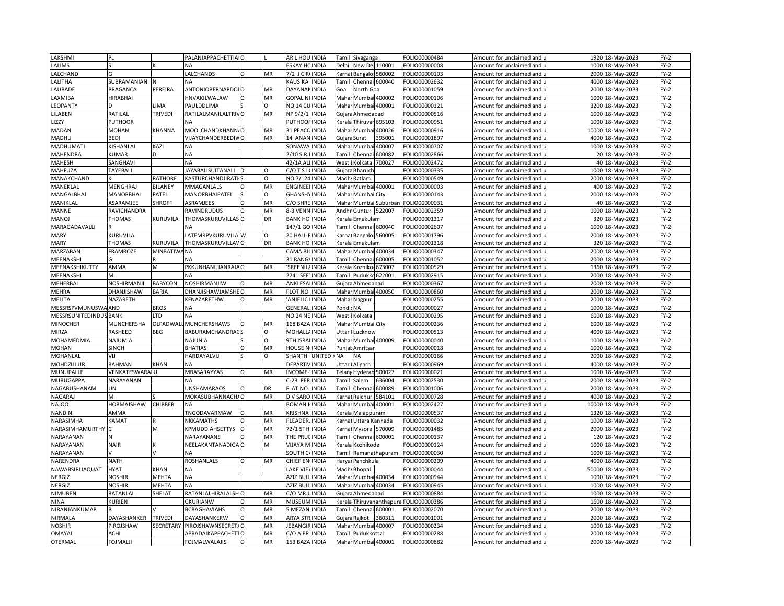| LAKSHMI                       |                 |                  | PALANIAPPACHETTIA O      |          |           | AR L HOL             | <b>INDIA</b> | Tamil                                                                                                                                                                                 | Sivaganga            |                            | FOLIO00000484 | Amount for unclaimed and                                      |       | 1920 18-May-2023 | $FY-2$           |
|-------------------------------|-----------------|------------------|--------------------------|----------|-----------|----------------------|--------------|---------------------------------------------------------------------------------------------------------------------------------------------------------------------------------------|----------------------|----------------------------|---------------|---------------------------------------------------------------|-------|------------------|------------------|
| LALIMS                        |                 |                  | ΝA                       |          |           | ESKAY HC             | <b>INDIA</b> | Delhi                                                                                                                                                                                 | New Del 110001       |                            | OLIO00000008  | Amount for unclaimed and $\overline{\phantom{a}}$             |       | 1000 18-May-2023 | $FY-2$           |
| LALCHAND                      |                 |                  | LALCHANDS                | $\Omega$ | MR        | 7/2 J C R            | <b>INDIA</b> | Karna                                                                                                                                                                                 | Bangalor 560002      |                            | OLIO00000103  | Amount for unclaimed and                                      | 2000  | 18-May-2023      | FY-2             |
| LALITHA                       | SUBRAMANIAN     |                  | <b>ΝΑ</b>                |          |           | KAUSIKA              | <b>INDIA</b> |                                                                                                                                                                                       | Tamil Chennai 600040 |                            | OLIO00002632  | Amount for unclaimed and u                                    | 4000  | 18-May-2023      | $FY-2$           |
| LAURADE                       | <b>BRAGANCA</b> | PEREIRA          | ANTONIOBERNARDOI O       |          | MR        | <b>DAYANA</b>        | <b>INDIA</b> | Goa                                                                                                                                                                                   | North Goa            |                            | OLIO00001059  | Amount for unclaimed and                                      | 2000  | 18-May-2023      | FY-2             |
| LAXMIBAI                      | HIRABHAI        |                  | HNVAKILWALAW             |          | MR        | GOPAL NI INDIA       |              | Mahaı                                                                                                                                                                                 |                      | Mumbai 400002              | OLIO00000106  | Amount for unclaimed and                                      | 1000  | 18-May-2023      | $FY-2$           |
| <b>LEOPANTY</b>               |                 | LIMA             | PAULDDLIMA               |          | $\Omega$  | NO 14 Cl             | <b>INDIA</b> | Maha                                                                                                                                                                                  |                      | Mumbai 400001              | FOLIO00000121 |                                                               | 3200  | 18-May-2023      | FY-2             |
|                               |                 | TRIVEDI          |                          |          | <b>MR</b> |                      |              |                                                                                                                                                                                       |                      |                            |               | Amount for unclaimed and                                      |       |                  |                  |
| LILABEN                       | RATILAL         |                  | RATILALMANILALTRIVO      |          |           | NP 9/2/1             | <b>INDIA</b> | Gujar                                                                                                                                                                                 | Ahmedabad            |                            | FOLIO00000516 | Amount for unclaimed and $\iota$                              | 1000  | 18-May-2023      | $FY-2$           |
| <b>IZZY</b>                   | PUTHOOR         |                  | <b>NA</b>                |          |           | PUTHOOI              | <b>INDIA</b> | <erala< td=""><td></td><td>Thiruvar<sub>695103</sub></td><td>FOLIO00000951</td><td>Amount for unclaimed and</td><td>1000</td><td>18-May-2023</td><td><math>FY-2</math></td></erala<>  |                      | Thiruvar <sub>695103</sub> | FOLIO00000951 | Amount for unclaimed and                                      | 1000  | 18-May-2023      | $FY-2$           |
| MADAN                         | <b>MOHAN</b>    | KHANNA           | MOOLCHANDKHANN, O        |          | MR        | 31 PEA0              | <b>INDIA</b> | Mahai                                                                                                                                                                                 | Mumba                | 400026                     | OLIO00000916  | Amount for unclaimed and                                      | 10000 | 18-May-2023      | $FY-2$           |
| MADHU                         | BEDI            |                  | VIJAYCHANDERBEDIVO       |          | MR        | 14 ANAN INDIA        |              | Gujara                                                                                                                                                                                | Surat                | 395001                     | OLIO00001897  | Amount for unclaimed and $\overline{\phantom{a}}$             | 4000  | 18-May-2023      | $FY-2$           |
| MADHUMATI                     | KISHANLAL       | KAZI             | <b>NA</b>                |          |           | SONAW/               | <b>INDIA</b> |                                                                                                                                                                                       | Mahar Mumb           | 400007                     | OLIO00000707  | Amount for unclaimed and                                      | 1000  | 18-May-2023      | $FY-2$           |
| MAHENDRA                      | <b>UMAR</b>     | D                | <b>NA</b>                |          |           | 2/10 S.R             | <b>INDIA</b> |                                                                                                                                                                                       | Tamil Chennai        | 600082                     | OLIO00002866  | Amount for unclaimed and u                                    |       | 20 18-May-2023   | FY-2             |
| <b>MAHESH</b>                 | SANGHAVI        |                  | <b>NA</b>                |          |           | 42/1A A              | <b>INDIA</b> | West                                                                                                                                                                                  | Kolkata              | 700027                     | FOLIO00002472 | Amount for unclaimed and                                      |       | 40 18-May-2023   | $FY-2$           |
| MAHFUZA                       | TAYEBALI        |                  | <b>JAYABALISUITANALI</b> |          | $\Omega$  | $2/0$ T S            | <b>INDIA</b> | Gujar                                                                                                                                                                                 | Bharuch              |                            | OLIO00000335  | Amount for unclaimed and u                                    |       | 1000 18-May-2023 | FY-2             |
| MANAKCHAND                    |                 | RATHORE          | <b>KASTURCHANDJIRATI</b> |          | $\circ$   | NO 7/12              | <b>INDIA</b> | Madh                                                                                                                                                                                  | Ratlam               |                            | FOLIO00000549 | Amount for unclaimed and                                      |       | 2000 18-May-2023 | FY-2             |
| MANEKLAI                      | MENGHRAJ        | BILANEY          | MMAGANLALS               | $\Omega$ | MR        | <b>ENGINE</b>        | <b>INDIA</b> | Mahai                                                                                                                                                                                 | Mumbai 400001        |                            | OLIO00000003  | Amount for unclaimed and $\iota$                              | 400   | 18-May-2023      | FY-2             |
| MANGALBHAI                    | MANORBHAI       | PATEL            | MANORBHAIPATEL           |          | $\Omega$  | GHANSH               | <b>INDIA</b> | Mahar                                                                                                                                                                                 | Mumbai City          |                            | OLIO00000143  | Amount for unclaimed and                                      | 2000  | 18-May-2023      | FY-2             |
| MANIKLAL                      | ASARAMJEE       | <b>SHROFF</b>    | ASRAMJEES                |          | MR        | C/O SHR              | <b>INDIA</b> | Maha                                                                                                                                                                                  |                      | Mumbai Suburbar            | OLIO00000031  | Amount for unclaimed and                                      | 40    | L8-May-2023      | $FY-2$           |
| MANNE                         | RAVICHANDRA     |                  | RAVINDRUDUS              | $\Omega$ | MR        | 8-3 VENNINDIA        |              | Andhr                                                                                                                                                                                 | Guntur 522007        |                            | OLIO00002359  | Amount for unclaimed and u                                    | 1000  | 18-May-2023      | $FY-2$           |
| MANOJ                         | THOMAS          | KURUVILA         | THOMASKURUVILLAS O       |          | DR        | <b>BANK HO</b>       | <b>INDIA</b> |                                                                                                                                                                                       | Kerala Ernakulam     |                            | OLIO00001317  | Amount for unclaimed and                                      | 320   | 18-May-2023      | $FY-2$           |
| MARAGADAVALLI                 |                 |                  | <b>NA</b>                |          |           | 147/1 GO             | <b>INDIA</b> |                                                                                                                                                                                       | Tamil Chennai 600040 |                            | OLIO00002607  | Amount for unclaimed and u                                    | 1000  | 18-May-2023      | FY-2             |
| <b>MARY</b>                   | KURUVILA        |                  | LATEMRPVKURUVILA W       |          | O         | 20 HALL              | <b>INDIA</b> | Karna                                                                                                                                                                                 | Bangalor 560005      |                            | OLIO00001796  | Amount for unclaimed and                                      | 2000  | 18-May-2023      | $FY-2$           |
| <b>MARY</b>                   | <b>THOMAS</b>   | KURUVILA         | THOMASKURUVILLAVO        |          | DR        | <b>BANK HO</b>       | <b>INDIA</b> | <erala< td=""><td>Ernakulam</td><td></td><td>OLIO00001318</td><td>Amount for unclaimed and <math>\iota</math></td><td>320</td><td>18-May-2023</td><td><math>FY-2</math></td></erala<> | Ernakulam            |                            | OLIO00001318  | Amount for unclaimed and $\iota$                              | 320   | 18-May-2023      | $FY-2$           |
| MARZABAN                      | FRAMROZE        | MINBATIW.        | <b>NA</b>                |          |           | CAMA BL              | <b>INDIA</b> |                                                                                                                                                                                       | Mahar Mumbai 400034  |                            | FOLIO00000347 | Amount for unclaimed and                                      | 2000  | 18-May-2023      | FY-2             |
| MEENAKSHI                     |                 |                  |                          |          |           | 31 RANG              | <b>INDIA</b> | Tamil                                                                                                                                                                                 | Chennai 600005       |                            | OLIO00001052  | Amount for unclaimed and <b>u</b>                             | 2000  | 18-May-2023      | $FY-2$           |
| MEENAKSHIKUTTY                | AMMA            | M                | PKKUNHANUJANRAJA O       |          | MR        | SREENIL              | <b>INDIA</b> | Kerala                                                                                                                                                                                |                      | Kozhiko 673007             | FOLIO00000529 | Amount for unclaimed and                                      | 1360  | 18-May-2023      | $FY-2$           |
| MEENAKSHI                     |                 |                  | <b>NA</b>                |          |           | 2741 SE              | INDIA        | Tami                                                                                                                                                                                  | Pudukko              | 622001                     | OLIO00002915  | Amount for unclaimed and                                      | 2000  | 18-May-2023      | $FY-2$           |
| MEHERBAI                      | NOSHIRMANJI     | <b>BABYCON</b>   | NOSHIRMANJIW             |          | MR        | ANKLESA              | <b>INDIA</b> |                                                                                                                                                                                       |                      |                            | OLIO00000367  |                                                               |       |                  | $FY-2$           |
|                               |                 |                  |                          |          |           | PLOT NC              |              |                                                                                                                                                                                       | Gujara Ahmedabad     |                            |               | Amount for unclaimed and $\overline{\phantom{a}}$             | 2000  | 18-May-2023      |                  |
| MEHRA                         | DHANJISHAW      | BARIA            | DHANJISHAWJAMSHEO        | $\Omega$ | MR<br>MR  |                      | <b>INDIA</b> |                                                                                                                                                                                       | Mahar Mumbai 400050  |                            | OLIO00000860  | Amount for unclaimed and                                      | 2000  | 18-May-2023      | $FY-2$<br>$FY-2$ |
| MELITA                        | NAZARETH        |                  | KFNAZARETHW              |          |           | ANJELIC              | <b>INDIA</b> |                                                                                                                                                                                       | Mahar Nagpur         |                            | OLIO00000255  | Amount for unclaimed and เ                                    | 2000  | 18-May-2023      |                  |
| MESSRSPVMUNUSWAAND            |                 | <b>BROS</b>      | <b>NA</b>                |          |           | <b>GENERA</b>        | <b>INDIA</b> | Pondi                                                                                                                                                                                 | <b>NA</b>            |                            | FOLIO00000027 | Amount for unclaimed and                                      | 1000  | 18-May-2023      | $FY-2$           |
| <b>MESSRSUNITEDINDUS BANK</b> |                 | LTD              | NA                       |          |           | NO 24 NEINDIA        |              | West                                                                                                                                                                                  | Kolkata              |                            | FOLIO00000295 | Amount for unclaimed and u                                    | 6000  | 18-May-2023      | $FY-2$           |
| <b>MINOCHER</b>               | MUNCHERSHA      | OLPADWAL         | MUNCHERSHAWS             | $\Omega$ | MR        | 168 BAZA             | <b>INDIA</b> | Mahar                                                                                                                                                                                 | Mumbai City          |                            | FOLIO00000236 | Amount for unclaimed and                                      | 6000  | 18-May-2023      | $FY-2$           |
| MIRZA                         | RASHEED         | <b>BEG</b>       | <b>BABURAMCHANDRA</b>    |          | $\Omega$  | MOHALL               | <b>INDIA</b> | Uttar                                                                                                                                                                                 | Lucknow              |                            | FOLIO00000513 | Amount for unclaimed and                                      | 4000  | 18-May-2023      | $FY-2$           |
| MOHAMEDMIA                    | NAJUMIA         |                  | NAJUNIA                  |          | O         | 9TH ISRA             | <b>INDIA</b> | Mahar                                                                                                                                                                                 |                      | Mumbai 400009              | FOLIO00000040 | Amount for unclaimed and                                      | 1000  | 18-May-2023      | $FY-2$           |
| MOHAN                         | SINGH           |                  | <b>BHATIAS</b>           |          | MR        | HOUSE <sub>N</sub>   | <b>INDIA</b> | Punja                                                                                                                                                                                 | Amritsar             |                            | OLIO00000018  | Amount for unclaimed and                                      | 1000  | 18-May-2023      | FY-2             |
| MOHANLAL                      | VIJ             |                  | HARDAYALVIJ              |          | O         | SHANTH               | UNITED       | NΑ                                                                                                                                                                                    | <b>NA</b>            |                            | OLIO00000166  | Amount for unclaimed and                                      | 2000  | 18-May-2023      | $FY-2$           |
| MOHDZILLUR                    | RAHMAN          | <b>KHAN</b>      | <b>NA</b>                |          |           | DEPART               | <b>INDIA</b> | Uttar                                                                                                                                                                                 | Aligarh              |                            | FOLIO00000969 | Amount for unclaimed and                                      | 4000  | 18-May-2023      | $FY-2$           |
| MUNUPALLE                     | VENKATESWARALU  |                  | MBASARAYYAS              | O        | MR        | <b>INCOME-</b>       | <b>INDIA</b> | Telang                                                                                                                                                                                | Hyderab              | 500027                     | OLIO00000021  | Amount for unclaimed and $\mathfrak l$                        | 1000  | 18-May-2023      | FY-2             |
| MURUGAPPA                     | NARAYANAN       |                  | <b>NA</b>                |          |           | C-23 PER             | <b>INDIA</b> | Tamil                                                                                                                                                                                 | Salem                | 636004                     | FOLIO00002530 | Amount for unclaimed and                                      | 2000  | 18-May-2023      | FY-2             |
| NAGABUSHANAM                  | JN              |                  | UNSHAMARAOS              |          | DR        | <b>FLAT NO</b>       | <b>INDIA</b> | Tamil                                                                                                                                                                                 | Chennai              | 600089                     | OLIO00001006  | Amount for unclaimed and $\iota$                              | 2000  | 18-May-2023      | $FY-2$           |
| NAGARAJ                       | M               |                  | MOKASUBHANNACH/O         |          | MR        | D V SAR              | <b>INDIA</b> | <b>Karna</b>                                                                                                                                                                          | Raichur              | 684101                     | FOLIO00000728 | Amount for unclaimed and                                      | 4000  | 18-May-2023      | $FY-2$           |
| <b>NAJOO</b>                  | HORMAJSHAW      | CHIBBER          | <b>NA</b>                |          |           | <b>BOMAN</b>         | <b>INDIA</b> | Mahai                                                                                                                                                                                 | Mumbai               | 400001                     | OLIO00002427  | Amount for unclaimed and $\iota$                              | 10000 | 18-May-2023      | $FY-2$           |
| <b>NANDIN</b>                 | AMMA            |                  | TNGODAVARMAW             |          | MR        | <b>KRISHNA</b>       | INDIA        | <erala< td=""><td>Malappuram</td><td></td><td>OLIO00000537</td><td>Amount for unclaimed and</td><td>1320</td><td>18-May-2023</td><td>FY-2</td></erala<>                               | Malappuram           |                            | OLIO00000537  | Amount for unclaimed and                                      | 1320  | 18-May-2023      | FY-2             |
| NARASIMHA                     | KAMAT           |                  | NKKAMATHS                |          | MR        | PLEADEF              | INDIA        | (arna                                                                                                                                                                                 | Jttara Kannada       |                            | OLIO00000032  | Amount for unclaimed and                                      | 1000  | 18-May-2023      | $FY-2$           |
| NARASIMHAMURTHY               |                 | м                | KPMUDDIAHSETTYS          | O        | MR        | 72/1 5TH             | INDIA        |                                                                                                                                                                                       | Karnai Mysore        | 570009                     | OLIO00001485  | Amount for unclaimed and                                      | 2000  | 18-May-2023      | FY-2             |
| NARAYANAN                     |                 |                  | NARAYANANS               | $\Omega$ | MR        | THE PRL              | <b>INDIA</b> | Tamil                                                                                                                                                                                 | Chennai 600001       |                            | OLIO00000137  | Amount for unclaimed and                                      | 120   | 18-May-2023      | FY-2             |
| NARAYANAN                     | <b>NAIR</b>     |                  | NEELAKANTANADIGA O       |          | M         | VIJAYA M             | <b>INDIA</b> |                                                                                                                                                                                       | Kerala Kozhikode     |                            | OLIO00000124  | Amount for unclaimed and u                                    | 1000  | 18-May-2023      | $FY-2$           |
| NARAYANAN                     |                 |                  | <b>NA</b>                |          |           | SOUTH <sub>C</sub>   | <b>INDIA</b> | Tamil                                                                                                                                                                                 |                      | Ramanathapuram             | FOLIO00000030 | Amount for unclaimed and                                      | 1000  | 18-May-2023      | $FY-2$           |
| NARENDRA                      | <b>NATH</b>     |                  | <b>ROSHANLALS</b>        | $\Omega$ | MR        | CHIEF EN             | <b>INDIA</b> |                                                                                                                                                                                       | Haryai Panchkula     |                            | OLIO00000209  | Amount for unclaimed and $\iota$                              | 4000  | 18-May-2023      | $FY-2$           |
| NAWABSIRLIAQUAT               | HYAT            | KHAN             | NA                       |          |           | LAKE VIE             | <b>INDIA</b> |                                                                                                                                                                                       | Madh Bhopal          |                            | FOLIO00000044 |                                                               | 50000 | 18-May-2023      | $FY-2$           |
| NERGIZ                        | <b>NOSHIR</b>   | MEHTA            | <b>NA</b>                |          |           | AZIZ BUI             | <b>INDIA</b> | Mahar                                                                                                                                                                                 | Mumbai 400034        |                            | FOLIO00000944 | Amount for unclaimed and<br>Amount for unclaimed and <b>u</b> | 1000  | 18-May-2023      | FY-2             |
|                               | <b>NOSHIR</b>   |                  |                          |          |           |                      |              |                                                                                                                                                                                       |                      |                            |               |                                                               | 1000  |                  |                  |
| NERGIZ                        |                 | MEHTA            | <b>NA</b>                |          |           | AZIZ BUI             | INDIA        | Mahar                                                                                                                                                                                 | Mumbai 400034        |                            | OLIO00000945  | Amount for unclaimed and                                      |       | 18-May-2023      | $FY-2$           |
| NIMUBEN                       | RATANLAI        | SHELAT           | RATANLALHIRALALSH        |          | MR        | C/O MR               | <b>INDIA</b> | Gujar                                                                                                                                                                                 | Ahmedabad            |                            | OLIO00000884  | Amount for unclaimed and                                      | 1000  | 18-May-2023      | $FY-2$           |
| <b>NINA</b>                   | <b>CURIEN</b>   |                  | <b>GKURIANW</b>          | Ω        | MR        | <b>MUSEUM</b>        | <b>INDIA</b> | Kerala                                                                                                                                                                                |                      | Thiruvananthapur           | OLIO00000386  | Amount for unclaimed and                                      |       | 1600 18-May-2023 | $FY-2$           |
| NIRANJANKUMAR                 |                 |                  | <b>BCRAGHAVIAHS</b>      | $\Omega$ | MR        | 5 MEZA               | INDIA        | Tami                                                                                                                                                                                  | Chennai              | 600001                     | OLIO00002070  | Amount for unclaimed and                                      | 2000  | 18-May-2023      | $FY-2$           |
| NIRMALA                       | DAYASHANKER     | <b>TRIVEDI</b>   | DAYASHANKERW             | $\circ$  | MR        | <b>ARYA STRINDIA</b> |              |                                                                                                                                                                                       | Gujara Rajkot        | 360311                     | OLIO00001001  | Amount for unclaimed and เ                                    | 2000  | 18-May-2023      | FY-2             |
| <b>NOSHIR</b>                 | PIROJSHAW       | <b>SECRETARY</b> | PIROJSHAWNSECRETA O      |          | MR        | JEBANG               | <b>INDIA</b> | Maha                                                                                                                                                                                  | Mumbai               | 400007                     | OLIO00000234  | Amount for unclaimed and                                      | 1000  | 18-May-2023      | $FY-2$           |
| OMAYAL                        | ACHI            |                  | APRADAIKAPPACHETIO       |          | MR        | $C/O$ A PR           | <b>INDIA</b> | <b>Tamil</b>                                                                                                                                                                          | Pudukkottai          |                            | OLIO00000288  | Amount for unclaimed and $\iota$                              | 2000  | 18-May-2023      | $FY-2$           |
| <b>OTERMAL</b>                | FOJMALJI        |                  | <b>FOJMALWALAJIS</b>     | O        | MR        | 153 BAZA INDIA       |              |                                                                                                                                                                                       | Mahar Mumbai 400001  |                            | FOLIO00000882 | Amount for unclaimed and                                      |       | 2000 18-May-2023 | $FY-2$           |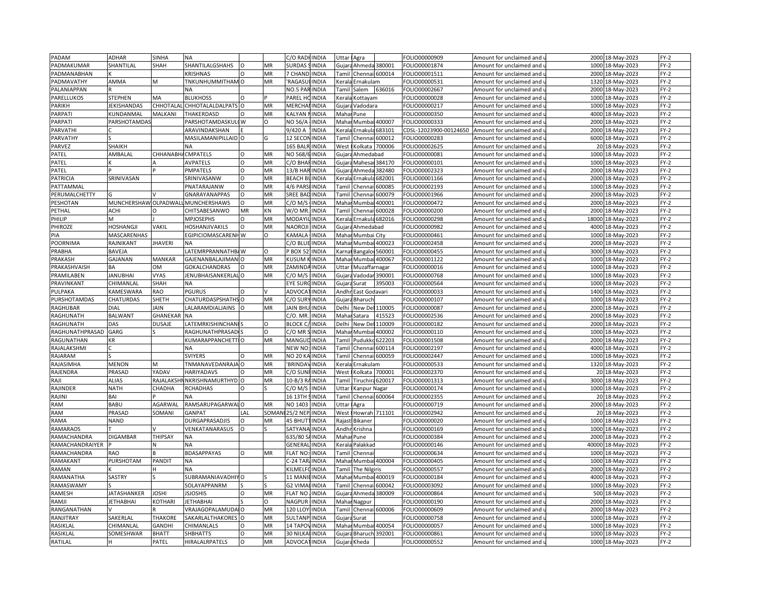| PADAM           | ADHAR                | SINHA              | <b>NA</b>                 |          |          | C/O RAD         | <b>INDIA</b> | Uttar                                                                                                                                                                     | Agra                            |                | FOLIO00000909             | Amount for unclaimed and               | 2000  | 18-May-2023                | $FY-2$ |
|-----------------|----------------------|--------------------|---------------------------|----------|----------|-----------------|--------------|---------------------------------------------------------------------------------------------------------------------------------------------------------------------------|---------------------------------|----------------|---------------------------|----------------------------------------|-------|----------------------------|--------|
| PADMAKUMAR      | SHANTILAL            | SHAH               | SHANTILALGSHAHS           | $\Omega$ | MR       | <b>SURDAS</b>   | <b>INDIA</b> |                                                                                                                                                                           | Gujara Ahmeda 380001            |                | FOLIO00001874             | Amount for unclaimed and u             | 1000  | 18-May-2023                | FY-2   |
| PADMANABHAN     |                      |                    | <b>KRISHNAS</b>           | $\Omega$ | MR       | 7 CHAND         | <b>INDIA</b> | Tamil                                                                                                                                                                     | Chennai 600014                  |                | FOLIO00001511             | Amount for unclaimed and               | 2000  | 18-May-2023                | $FY-2$ |
| PADMAVATHY      | <b>AMMA</b>          | M                  | TNKUNHUMMITHAM O          |          | MR       | RAGASU          | <b>INDIA</b> | Kerala                                                                                                                                                                    | Ernakulam                       |                | FOLIO00000531             | Amount for unclaimed and <b>u</b>      | 1320  | 18-May-2023                | $FY-2$ |
| PALANIAPPAN     |                      |                    | <b>NA</b>                 |          |          | NO.5 PARINDIA   |              | Tamil                                                                                                                                                                     | Salem                           | 636016         | FOLIO00002667             | Amount for unclaimed and               | 2000  | 18-Mav-2023                | $FY-2$ |
| PARELLUKOS      | <b>STEPHEN</b>       | MA                 | <b>BLUKHOSS</b>           | $\Omega$ |          | PAREL H         | <b>INDIA</b> | Kerala                                                                                                                                                                    | <b>Kottayam</b>                 |                | OLIO00000028              | Amount for unclaimed and               | 1000  | 18-May-2023                | FY-2   |
| PARIKH          | JEKISHANDAS          | CHHOTALA           | CHHOTALALDALPATS O        |          | MR       | <b>MERCHA</b>   | <b>INDIA</b> | Gujara                                                                                                                                                                    | Vadodara                        |                | FOLIO00000217             | Amount for unclaimed and               | 1000  | 18-May-2023                | $FY-2$ |
| PARPATI         | <b>CUNDANMAL</b>     | MALKANI            | THAKERDASD                |          | MR       | KALYAN          | INDIA        |                                                                                                                                                                           | Mahar Pune                      |                | OLIO00000350              | Amount for unclaimed and               | 400C  | 18-May-2023                | $FY-2$ |
| <b>PARPATI</b>  | <b>PARSHOTAMDAS</b>  |                    | PARSHOTAMDASKULI W        |          | O        | NO 56/A         | <b>INDIA</b> |                                                                                                                                                                           | Mahai Mumbai 400007             |                | OLIO00000333              | Amount for unclaimed and               | 2000  | 18-May-2023                | FY-2   |
| PARVATHI        |                      |                    | ARAVINDAKSHAN             |          |          | 9/420 A         | <b>INDIA</b> | Keral                                                                                                                                                                     | Ernakula                        | 683101         | CDSL-12023900-00124650    | Amount for unclaimed and               | 2000  | 18-May-2023                | FY-2   |
| PARVATHY        |                      |                    | MASILAMANIPILLAID O       |          | G        | 12 SECON        | <b>INDIA</b> | Tamil                                                                                                                                                                     | Chennai                         | 600012         | OLIO00000283              | Amount for unclaimed and $\mathfrak l$ | 6000  | 18-May-2023                | FY-2   |
| PARVEZ          | SHAIKH               |                    | <b>NA</b>                 |          |          | 165 BALR        | <b>INDIA</b> | West                                                                                                                                                                      | Kolkata                         | 700006         | OLIO00002625              | Amount for unclaimed and               |       | 20 18-May-2023             | FY-2   |
| PATEL           | AMBALAL              | CHHANABH/ CMPATELS |                           | $\Omega$ | MR       | NO 568/6        | <b>INDIA</b> |                                                                                                                                                                           | Gujara Ahmedabad                |                | OLIO00000081              | Amount for unclaimed and u             | 1000  | 18-May-2023                | FY-2   |
| PATEL           |                      |                    | <b>AVPATELS</b>           | O        | MR       | C/O BHA         | <b>INDIA</b> | Gujar                                                                                                                                                                     | Mahesar                         | 384170         | FOLIO00000101             | Amount for unclaimed and               | 1000  | 18-May-2023                | FY-2   |
| PATEL           |                      |                    | PMPATELS                  | $\Omega$ | MR       | 13/B HAI        | <b>INDIA</b> | Gujar                                                                                                                                                                     | Ahmeda                          | 382480         | FOLIO00002323             | Amount for unclaimed and $\iota$       | 2000  | 18-May-2023                | $FY-2$ |
| PATRICIA        | SRINIVASAN           |                    | SRINIVASANW               | $\circ$  | MR       | <b>BEACH BI</b> | <b>INDIA</b> | <erala< td=""><td>Ernakula</td><td>682001</td><td>OLIO00001166</td><td>Amount for unclaimed and</td><td></td><td>2000 18-May-2023</td><td><math>FY-2</math></td></erala<> | Ernakula                        | 682001         | OLIO00001166              | Amount for unclaimed and               |       | 2000 18-May-2023           | $FY-2$ |
| PATTAMMAL       |                      |                    | PNATARAJANW               | $\Omega$ | MR       | 4/6 PARS        | INDIA        | Tamil                                                                                                                                                                     | Chennai                         | 600085         | OLIO00002193              | Amount for unclaimed and               | 1000  | 18-May-2023                | $FY-2$ |
| PERUMALCHETTY   |                      |                    | GNARAYANAPPAS             | O        | MR       | SREE BAD        | <b>INDIA</b> | Tamil                                                                                                                                                                     | Chennai                         | 600079         | OLIO00001966 <del>:</del> | Amount for unclaimed and               | 2000  | 18-May-2023                | $FY-2$ |
| PESHOTAN        | MUNCHERSHAW OLPADWAI |                    | MUNCHERSHAWS              | $\Omega$ | MR       | C/O M/          | <b>INDIA</b> | Maha                                                                                                                                                                      | Mumba                           | 400001         | OLIO00000472              | Amount for unclaimed and               | 2000  | 18-May-2023                | $FY-2$ |
| PETHAL          | ACHI                 | O                  | CHITSABESANWO             | MR       | KN       | W/O MR.         | <b>INDIA</b> |                                                                                                                                                                           | Tamil Chennai 600028            |                | OLIO00000200              | Amount for unclaimed and u             | 2000  | 18-May-2023                | $FY-2$ |
| PHILIP          | M                    |                    | <b>MPJOSEPHS</b>          | $\circ$  | MR       | <b>MODAY</b>    | <b>INDIA</b> |                                                                                                                                                                           | Kerala Ernakula 682016          |                | OLIO00000298              | Amount for unclaimed and               | 18000 | 18-May-2023                | FY-2   |
| PHIROZE         | HOSHANGJI            | VAKIL              | HOSHANJIVAKILS            | $\Omega$ | MR       | NAOROJI         | <b>INDIA</b> |                                                                                                                                                                           |                                 |                | OLIO00000982              |                                        | 4000  |                            | FY-2   |
|                 | MASCARENHAS          |                    | EGIPICIOMASCARENHW        |          |          | KAMALA          | <b>INDIA</b> |                                                                                                                                                                           | Gujara Ahmedabad<br>Mumbai City |                | FOLIO00000461             | Amount for unclaimed and u             | 1000  | 18-May-2023<br>18-May-2023 | $FY-2$ |
| PIA             |                      |                    |                           |          | 0        |                 |              | Mahar                                                                                                                                                                     |                                 |                |                           | Amount for unclaimed and               | 2000  |                            |        |
| POORNIMA        | RAJNIKANT            | <b>HAVERI</b>      |                           |          |          | C/O BLU         | <b>INDIA</b> | Mahar                                                                                                                                                                     |                                 | Mumbai 400023  | OLIO00002458              | Amount for unclaimed and i             |       | 18-May-2023                | $FY-2$ |
| PRABHA          | BAVEJA               |                    | LATEMRPRANNATHB/W         |          | $\Omega$ | BOX 52          | <b>INDIA</b> |                                                                                                                                                                           | Carnat Bangaloi 560001          |                | FOLIO00000455             | Amount for unclaimed and               | 3000  | 18-May-2023                | FY-2   |
| PRAKASH         | GAJANAN              | MANKAR             | GAJENANBALAJIMAN O        |          | MR       | <b>CUSUM</b>    | <b>INDIA</b> | Mahar                                                                                                                                                                     |                                 | Mumbai 400067  | OLIO00001122              | Amount for unclaimed and i             | 1000  | 18-May-2023                | $FY-2$ |
| PRAKASHVAISH    | ΒA                   | ОM                 | GOKALCHANDRAS             | $\Omega$ | MR       | ZAMIND,         | <b>INDIA</b> | Uttar                                                                                                                                                                     | Muzaffarnagar                   |                | OLIO00000016              | Amount for unclaimed and               | 1000  | 18-May-2023                | FY-2   |
| PRAMILABEN      | <b>JANUBHAI</b>      | <b>VYAS</b>        | <b>JENUBHAISANKERLALO</b> |          | MR       | $C/O$ M/        | <b>INDIA</b> | Gujara                                                                                                                                                                    |                                 | Vadodar 390001 | OLIO00000768              | Amount for unclaimed and               | 1000  | 18-May-2023                | $FY-2$ |
| PRAVINKANT      | CHIMANLAL            | SHAH               | <b>NA</b>                 |          |          | EYE SUR         | <b>INDIA</b> |                                                                                                                                                                           | Gujara Surat                    | 395003         | OLIO00000564              | Amount for unclaimed and u             | 1000  | 18-May-2023                | $FY-2$ |
| PULPAKA         | KAMESWARA            | RAO                | <b>PGURUS</b>             | $\Omega$ |          | ADVOC/          | <b>INDIA</b> |                                                                                                                                                                           | Andhr East Godavari             |                | OLIO00000033              | Amount for unclaimed and               | 1400  | 18-May-2023                | $FY-2$ |
| PURSHOTAMDAS    | CHATURDAS            | <b>SHETH</b>       | CHATURDASPSHATHS O        |          | MR       | C/O SUR'        | <b>INDIA</b> |                                                                                                                                                                           | Gujara Bharuch                  |                | FOLIO00000107             | Amount for unclaimed and u             | 1000  | 18-May-2023                | $FY-2$ |
| <b>RAGHUBAR</b> | DIAL                 | <b>AIN</b>         | LALARAMDIALJAINS          | $\Omega$ | MR       | <b>JAIN BHI</b> | <b>INDIA</b> | Delhi                                                                                                                                                                     | New Del                         | 110005         | FOLIO00000087             | Amount for unclaimed and               | 2000  | 18-May-2023                | $FY-2$ |
| RAGHUNATH       | <b>BALWANT</b>       | GHANEKAF           | <b>NA</b>                 |          |          | C/O. MR         | <b>INDIA</b> | Maha                                                                                                                                                                      | Satara                          | 415523         | OLIO00002536              | Amount for unclaimed and u             | 2000  | 18-May-2023                | FY-2   |
| RAGHUNATH       | DAS                  | DUSAJE             | <b>LATEMRKISHINCHANI</b>  |          | O        | <b>BLOCK C</b>  | <b>INDIA</b> | Delhi                                                                                                                                                                     | New Del                         | 110009         | FOLIO00000182             | Amount for unclaimed and               | 2000  | 18-May-2023                | FY-2   |
| RAGHUNATHPRASAD | GARG                 |                    | RAGHUNATHPRASAD           |          | O        | C/O MR          | <b>INDIA</b> | Maha                                                                                                                                                                      | Mumbai                          | 400002         | OLIO00000110              | Amount for unclaimed and               | 1000  | 18-May-2023                | FY-2   |
| RAGUNATHAN      | ΚR                   |                    | KUMARAPPANCHETTIO         |          | MR       | MANGL           | <b>INDIA</b> | <b>Tamil</b>                                                                                                                                                              | Pudukko                         | 622203         | OLIO00001508              | Amount for unclaimed and               | 2000  | 18-May-2023                | FY-2   |
| RAJALAKSHMI     |                      |                    | <b>NA</b>                 |          |          | NEW NO          | <b>INDIA</b> | Tami                                                                                                                                                                      | Chennai                         | 600114         | OLIO00002197              | Amount for unclaimed and               | 4000  | 18-May-2023                | $FY-2$ |
| RAJARAM         |                      |                    | <b>SVIYERS</b>            |          | MR       | NO 20 KA INDIA  |              | Tamil                                                                                                                                                                     | Chennai 600059                  |                | OLIO00002447              | Amount for unclaimed and i             | 1000  | 18-May-2023                | $FY-2$ |
| RAJASIMHA       | <b>MENON</b>         | M.                 | TNMANAVEDANRAJA O         |          | MR       | <b>BRINDA</b>   | <b>INDIA</b> |                                                                                                                                                                           | Kerala Ernakulam                |                | OLIO00000533              | Amount for unclaimed and               | 1320  | 18-May-2023                | $FY-2$ |
| RAJENDRA        | PRASAD               | YADAV              | HARIYADAVS                | $\Omega$ | MR       | C/O SUNI        | <b>INDIA</b> | West                                                                                                                                                                      | Kolkata                         | 700001         | FOLIO00002370             | Amount for unclaimed and $\mathfrak l$ | 20    | 18-May-2023                | $FY-2$ |
| RAJI            | <b>ALIAS</b>         | <b>RAJALAKSH</b>   | NKRISHNAMURTHYD O         |          | MR       | 10-B/3 R        | <b>INDIA</b> | Tamil                                                                                                                                                                     | Tiruchira                       | 620017         | FOLIO00001313             | Amount for unclaimed and               | 3000  | 18-May-2023                | $FY-2$ |
| RAJINDER        | <b>NATH</b>          | CHADHA             | <b>RCHADHAS</b>           |          |          | C/O M/S         | <b>INDIA</b> | Jttar                                                                                                                                                                     | Kanpur Nagar                    |                | OLIO00000174              | Amount for unclaimed and $\iota$       | 1000  | 18-May-2023                | $FY-2$ |
| RAJINI          | BAI                  |                    | <b>NA</b>                 |          |          | 16 13TH         | <b>INDIA</b> | Tamil                                                                                                                                                                     | Chennai 600064                  |                | FOLIO00002355             | Amount for unclaimed and               | 20    | 18-May-2023                | FY-2   |
| RAM             | BABU                 | AGARWAI            | RAMSARUPAGARWAI           |          | MR       | NO 1403         | <b>INDIA</b> | <b>Jttar</b>                                                                                                                                                              | Agra                            |                | FOLIO00000719             | Amount for unclaimed and               | 2000  | 18-May-2023                | $FY-2$ |
| RAM             | PRASAD               | SOMANI             | <b>GANPAT</b>             | LAL      | SOMAN    | 25/2 NEP        | INDIA        | West                                                                                                                                                                      | <b>I</b> Howrah                 | 711101         | FOLIO00002942             | Amount for unclaimed and               | 20    | 18-May-2023                | $FY-2$ |
| RAMA            | <b>NAND</b>          |                    | DURGAPRASADJIS            |          | MR       | <b>45 BHUT</b>  | <b>INDIA</b> | Rajast                                                                                                                                                                    | Bikaner                         |                | FOLIO00000020             | Amount for unclaimed and               | 1000  | 18-May-2023                | $FY-2$ |
| <b>RAMARAOS</b> |                      |                    | VENKATANARASUS            | $\Omega$ |          | SATYANA         | <b>INDIA</b> | Andhr                                                                                                                                                                     | Krishna                         |                | OLIO00000169              | Amount for unclaimed and               | 1000  | 18-May-2023                | $FY-2$ |
| RAMACHANDRA     | <b>DIGAMBAR</b>      | THIPSAY            | <b>NA</b>                 |          |          | 635/80          | <b>INDIA</b> |                                                                                                                                                                           | Mahar Pune                      |                | FOLIO00000384             | Amount for unclaimed and               | 2000  | 18-May-2023                | FY-2   |
| RAMACHANDRAIYER |                      |                    | <b>NA</b>                 |          |          | GENERAI         | <b>INDIA</b> |                                                                                                                                                                           | Cerala Palakkad                 |                | OLIO00000146              | Amount for unclaimed and u             | 40000 | 18-May-2023                | FY-2   |
| RAMACHANDRA     | RAO                  |                    | <b>BDASAPPAYAS</b>        | $\circ$  | MR       | <b>FLAT NO</b>  | <b>INDIA</b> | Tamil                                                                                                                                                                     | Chenna                          |                | FOLIO00000634             | Amount for unclaimed and               | 1000  | 18-May-2023                | FY-2   |
| RAMAKANT        | PURSHOTAM            | PANDIT             | <b>NA</b>                 |          |          | $-24$ TAR       | <b>INDIA</b> | Mahar                                                                                                                                                                     |                                 | Mumbai 400004  | OLIO00000405              | Amount for unclaimed and $\iota$       | 1000  | 18-May-2023                | $FY-2$ |
| RAMAN           |                      |                    | <b>NA</b>                 |          |          | KILMELF         | <b>INDIA</b> | Tamil                                                                                                                                                                     | The Nilgiris                    |                | FOLIO00000557             | Amount for unclaimed and               | 2000  | 18-May-2023                | FY-2   |
| RAMANATHA       | SASTRY               |                    | SUBRAMANIAVADHIYO         |          |          | 11 MAN          | <b>INDIA</b> | Mahar                                                                                                                                                                     |                                 | Mumbai 400019  | FOLIO00000184             | Amount for unclaimed and $\iota$       | 4000  | 18-May-2023                | FY-2   |
| RAMASWAMY       |                      |                    | SOLAYAPPANRM              |          |          | G2 VIMA         | <b>INDIA</b> | Tamil                                                                                                                                                                     | Chennai                         | 600042         | OLIO00003092              | Amount for unclaimed and               | 1000  | 18-May-2023                | $FY-2$ |
| RAMESH          | <b>JATASHANKER</b>   | <b>JOSHI</b>       | <b>ISJOSHIS</b>           |          | MR       | <b>FLAT NO</b>  | INDIA        | Gujar                                                                                                                                                                     | Ahmeda                          | 380009         | OLIO00000864              | Amount for unclaimed and               | 500   | 18-May-2023                | $FY-2$ |
| RAMJI           | <b>JETHABHAI</b>     | KOTHARI            | JETHABHAI                 |          | O        | NAGPUR          | <b>INDIA</b> |                                                                                                                                                                           | Mahar Nagpur                    |                | OLIO00000190              | Amount for unclaimed and               |       | 2000 18-May-2023           | FY-2   |
| RANGANATHAN     |                      |                    | VRAJAGOPALAMUDAIO         |          | MR       | 120 LLOY        | <b>INDIA</b> | Tami                                                                                                                                                                      | Chennai                         | 600006         | OLIO00000609              | Amount for unclaimed and               | 2000  | 18-May-2023                | $FY-2$ |
| RANJITRAY       | SAKERLAL             | <b>THAKORE</b>     | SAKARLALTHAKORES O        |          | MR       | SULTANP         | <b>INDIA</b> |                                                                                                                                                                           | Gujara Surat                    |                | OLIO00000758              | Amount for unclaimed and เ             | 1000  | 18-May-2023                | FY-2   |
| RASIKLAL        | CHIMANLAL            | <b>GANDHI</b>      | <b>CHIMANLALS</b>         | $\Omega$ | MR       | 14 TAPO         | <b>INDIA</b> | Maha                                                                                                                                                                      | Mumba                           | 400054         | OLIO00000057              | Amount for unclaimed and               | 1000  | 18-May-2023                | $FY-2$ |
| RASIKLAL        | SOMESHWAR            | <b>BHATT</b>       | <b>SHBHATTS</b>           | $\Omega$ | MR       | <b>30 NILK</b>  | <b>INDIA</b> | Gujar                                                                                                                                                                     | Bharuch                         | 392001         | OLIO00000861              | Amount for unclaimed and $\iota$       | 1000  | 18-May-2023                | $FY-2$ |
| RATILAL         |                      | PATEL              | HIRALALRPATELS            | $\circ$  | MR       | <b>ADVOCA</b>   | <b>INDIA</b> |                                                                                                                                                                           | Gujara Kheda                    |                | FOLIO00000552             | Amount for unclaimed and               |       | 1000 18-May-2023           | $FY-2$ |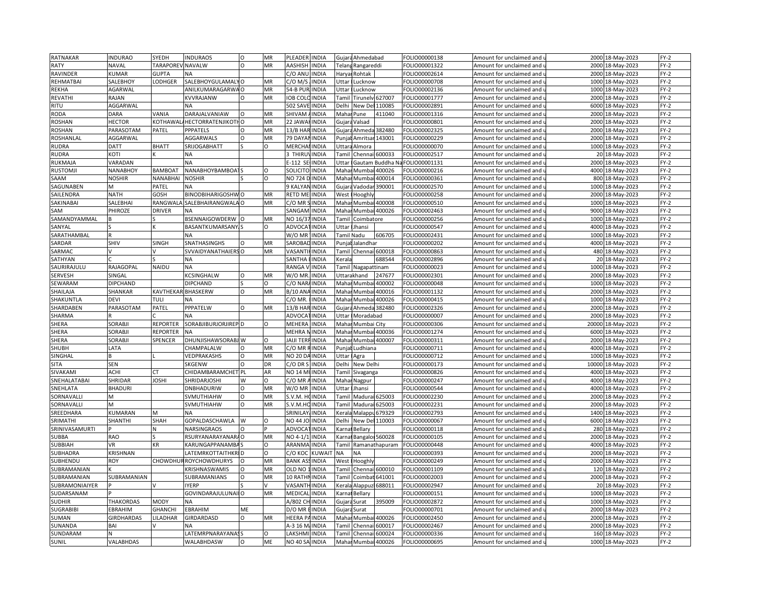| RATNAKAR        | <b>INDURAO</b>    | SYEDH            | <b>INDURAOS</b>              | $\Omega$ | MR        | PLEADER INDIA       |              |                                                                                                                                   | Gujara Ahmedabad          |                      | FOLIO00000138 | Amount for unclaimed and                          | 2000  | 18-May-2023                | $FY-2$ |
|-----------------|-------------------|------------------|------------------------------|----------|-----------|---------------------|--------------|-----------------------------------------------------------------------------------------------------------------------------------|---------------------------|----------------------|---------------|---------------------------------------------------|-------|----------------------------|--------|
| <b>RATY</b>     | <b>NAVAL</b>      | TARAPOREV NAVALW |                              | $\Omega$ | MR        | AASHISH             | <b>INDIA</b> |                                                                                                                                   | Telang Rangareddi         |                      | FOLIO00001322 | Amount for unclaimed and u                        | 2000  | 18-May-2023                | $FY-2$ |
| RAVINDER        | <b>KUMAR</b>      | <b>GUPTA</b>     | <b>NA</b>                    |          |           | C/O ANU             | <b>INDIA</b> | Haryar                                                                                                                            | <b>Rohtak</b>             |                      | FOLIO00002614 | Amount for unclaimed and i                        | 2000  | 18-May-2023                | $FY-2$ |
| REHMATBAI       | SALEBHOY          | LODHGER          | SALEBHOYGULAMAL              |          | MR        | C/O M/S             | <b>INDIA</b> | Uttar                                                                                                                             | Lucknow                   |                      | FOLIO00000708 | Amount for unclaimed and <b>u</b>                 | 1000  | 18-May-2023                | $FY-2$ |
| <b>REKHA</b>    | <b>AGARWAL</b>    |                  | ANILKUMARAGARWA              | $\Omega$ | MR        | 54-B PUF            | <b>INDIA</b> | Uttar                                                                                                                             | Lucknow                   |                      | FOLIO00002136 | Amount for unclaimed and i                        | 1000  | 18-May-2023                | $FY-2$ |
| REVATHI         | RAJAN             |                  | KVVRAJANW                    |          | MR        | <b>OB COL</b>       | <b>INDIA</b> | Tamil                                                                                                                             |                           | Tirunelv 627007      | FOLIO00001777 | Amount for unclaimed and                          | 2000  | 18-May-2023                | $FY-2$ |
| RITU            | AGGARWAL          |                  | ΝA                           |          |           | 502 SAVE            | <b>INDIA</b> | Delhi                                                                                                                             | New Del                   | 110085               | FOLIO00002891 | Amount for unclaimed and                          | 6000  | 18-May-2023                | FY-2   |
| RODA            | DARA              | VANIA            | DARAJALVANIAW                |          | MR        | SHIVAM              | <b>INDIA</b> | Maha                                                                                                                              | Pune                      | 411040               | FOLIO00001316 | Amount for unclaimed and $\,$                     | 2000  | 18-May-2023                | $FY-2$ |
| <b>ROSHAN</b>   | <b>HECTOR</b>     |                  | KOTHAWAL/HECTORRATENJIKOTHO  |          | MR        | 22 JAWA             | <b>INDIA</b> |                                                                                                                                   |                           |                      | FOLIO00000801 |                                                   | 2000  |                            | FY-2   |
| <b>ROSHAN</b>   | PARASOTAM         | PATEL            | PPPATELS                     | $\Omega$ | MR        | 13/B HA             | <b>INDIA</b> |                                                                                                                                   | Gujara Valsad<br>Ahmeda   | 382480               | FOLIO00002325 | Amount for unclaimed and $\overline{\phantom{a}}$ | 2000  | 18-May-2023<br>18-May-2023 | FY-2   |
|                 |                   |                  |                              | $\Omega$ |           |                     |              | Gujar                                                                                                                             |                           |                      |               | Amount for unclaimed and                          |       |                            |        |
| ROSHANLAL       | AGGARWAL          |                  | AGGARWALS                    |          | MR        | <b>79 DAYAN</b>     | <b>INDIA</b> |                                                                                                                                   | Punjal Amritsar           | 143001               | FOLIO00000229 | Amount for unclaimed and u                        | 2000  | 18-May-2023                | $FY-2$ |
| <b>RUDRA</b>    | <b>DATT</b>       | <b>BHATT</b>     | SRIJOGABHATT                 |          | $\Omega$  | MERCHA              | <b>INDIA</b> |                                                                                                                                   | Uttara Almora             |                      | FOLIO00000070 | Amount for unclaimed and                          | 1000  | 18-May-2023                | $FY-2$ |
| RUDRA           | KOTI              |                  | <b>NA</b>                    |          |           | <b>THIRU</b>        | <b>INDIA</b> |                                                                                                                                   | Tamil Chennai 600033      |                      | FOLIO00002517 | Amount for unclaimed and <code>u</code>           |       | 20 18-May-2023             | $FY-2$ |
| RUKMAJA         | VARADAN           |                  | <b>NA</b>                    |          |           | $-112$ SE           | <b>INDIA</b> | Uttar                                                                                                                             |                           | Gautam Buddha Na     | FOLIO00001131 | Amount for unclaimed and                          | 2000  | 18-May-2023                | $FY-2$ |
| <b>RUSTOMJI</b> | NANABHOY          | <b>BAMBOAT</b>   | NANABHOYBAMBOA               |          | $\Omega$  | SOLICITC            | <b>INDIA</b> | Maha                                                                                                                              |                           | Mumbai 400026        | FOLIO00000216 | Amount for unclaimed and $\mathfrak t$            | 4000  | 18-May-2023                | FY-2   |
| SAAM            | <b>NOSHIR</b>     | NANABHAI         | <b>NOSHIR</b>                |          | $\Omega$  | NO 724 DINDIA       |              | Maha                                                                                                                              | Mumbai                    | 400014               | FOLIO00000361 | Amount for unclaimed and                          | 800   | 18-May-2023                | FY-2   |
| SAGUNABEN       | M                 | PATEL            |                              |          |           | 9 KALYAI            | <b>INDIA</b> | Gujara                                                                                                                            | Vadodar                   | 390001               | OLIO00002570  | Amount for unclaimed and i                        | 1000  | 18-May-2023                | $FY-2$ |
| SAILENDRA       | <b>NATH</b>       | GOSH             | BINODBIHARIGOSHWO            |          | MR        | RETD MEI            | <b>INDIA</b> | West                                                                                                                              | Hooghly                   |                      | FOLIO00000258 | Amount for unclaimed and                          | 2000  | 18-May-2023                | $FY-2$ |
| SAKINABAI       | SALEBHAI          | RANGWAL          | SALEBHAIRANGWALA O           |          | MR        | C/O MR              | <b>INDIA</b> | Maha                                                                                                                              | Mumbai 400008             |                      | FOLIO00000510 | Amount for unclaimed and                          | 1000  | 18-May-2023                | $FY-2$ |
| SAM             | PHIROZE           | <b>DRIVER</b>    | <b>NA</b>                    |          |           | SANGAM              | <b>INDIA</b> |                                                                                                                                   | Mahar Mumbai 400026       |                      | FOLIO00002463 | Amount for unclaimed and u                        |       | 9000 18-May-2023           | $FY-2$ |
| SAMANDYAMMAL    | B                 |                  | BSENNAIGOWDERW               |          | MR        | NO 16/3             | <b>INDIA</b> | Tamil                                                                                                                             | Coimbatore                |                      | FOLIO00000256 | Amount for unclaimed and                          | 1000  | 18-May-2023                | $FY-2$ |
| SANYAL          |                   |                  | BASANTKUMARSANY, S           |          | $\Omega$  | ADVOCA              | <b>INDIA</b> |                                                                                                                                   | Uttar IJhansi             |                      | FOLIO00000547 | Amount for unclaimed and u                        | 4000  | 18-May-2023                | FY-2   |
| SARATHAMBAL     | R                 |                  | <b>NA</b>                    |          |           | W/O MR              | <b>INDIA</b> |                                                                                                                                   | Tamil Nadu                | 606705               | FOLIO00002431 | Amount for unclaimed and (                        | 1000  | 18-May-2023                | $FY-2$ |
| SARDAR          | SHIV              | SINGH            | SNATHASINGHS                 |          | MR        | SAROBAI             | <b>INDIA</b> | Punjal                                                                                                                            | Jalandhai                 |                      | FOLIO00000202 | Amount for unclaimed and u                        | 4000  | 18-May-2023                | FY-2   |
| SARMAC          |                   |                  | SVVAIDYANATHAIERS            | $\circ$  | MR        | VASANT              | <b>INDIA</b> | Tamil                                                                                                                             | Chennai 600018            |                      | FOLIO00000863 | Amount for unclaimed and                          | 480   | 18-May-2023                | FY-2   |
| SATHYAN         |                   |                  | <b>NA</b>                    |          |           | SANTHA              | <b>INDIA</b> | erala                                                                                                                             |                           | 688544               | OLIO00002896  | Amount for unclaimed and <b>u</b>                 | 20    | 18-May-2023                | FY-2   |
| SAURIRAJULU     | RAJAGOPAL         | NAIDU            | <b>NA</b>                    |          |           | RANGA \             | <b>INDIA</b> |                                                                                                                                   | <b>Tamil Nagapattinam</b> |                      | FOLIO00000023 | Amount for unclaimed and                          | 1000  | 18-May-2023                | $FY-2$ |
|                 |                   |                  |                              | O        |           |                     |              |                                                                                                                                   |                           |                      |               |                                                   | 2000  |                            |        |
| <b>SERVESH</b>  | SINGAL            |                  | KCSINGHALW                   |          | MR        | W/O MR              | <b>INDIA</b> |                                                                                                                                   | Uttarakhand               | 247677               | FOLIO00002301 | Amount for unclaimed and                          |       | 18-May-2023                | FY-2   |
| SEWARAM         | DIPCHAND          |                  | <b>DIPCHAND</b>              |          | O         | C/O NAR/INDIA       |              |                                                                                                                                   | Mahar Mumbai              | 400002               | FOLIO00000048 | Amount for unclaimed and u                        | 1000  | 18-May-2023                | $FY-2$ |
| SHAILAJA        | SHANKAR           |                  | <b>KAVTHEKAR BHASKERW</b>    | $\Omega$ | MR        | <b>B/10 ANA</b>     | <b>INDIA</b> | Maha                                                                                                                              | Mumb                      | 400016               | FOLIO00001132 | Amount for unclaimed and                          | 2000  | 18-May-2023                | $FY-2$ |
| SHAKUNTLA       | <b>DEVI</b>       | TULI             | NA                           |          |           | C/O MR.             | <b>INDIA</b> |                                                                                                                                   | Mahar Mumbai 400026       |                      | FOLIO00000415 | Amount for unclaimed and u                        | 1000  | 18-May-2023                | $FY-2$ |
| SHARDABEN       | PARASOTAM         | PATEL            | PPPATELW                     | $\Omega$ | <b>MR</b> | 13/B HAR INDIA      |              | Gujara                                                                                                                            | Ahmeda                    | 382480               | FOLIO00002326 | Amount for unclaimed and                          | 2000  | 18-May-2023                | $FY-2$ |
| SHARMA          |                   |                  | <b>NA</b>                    |          |           | ADVOCA              | <b>INDIA</b> | <b>Jttar</b>                                                                                                                      | Moradabad                 |                      | FOLIO00000007 | Amount for unclaimed and <b>u</b>                 | 2000  | 18-May-2023                | $FY-2$ |
| SHERA           | SORABJI           | <b>REPORTER</b>  | SORABJIBURJORJIREP D         |          | O         | MEHERA              | <b>INDIA</b> |                                                                                                                                   | Mahar Mumbai City         |                      | FOLIO00000306 | Amount for unclaimed and                          | 20000 | 18-May-2023                | $FY-2$ |
| SHERA           | SORABJI           | <b>REPORTER</b>  | <b>NA</b>                    |          |           | MEHRA I             | <b>INDIA</b> | Maha                                                                                                                              |                           | Mumbai 400036        | FOLIO00001274 | Amount for unclaimed and i                        | 6000  | 18-May-2023                | FY-2   |
| SHERA           | SORABJI           | SPENCER          | DHUNJISHAWSORABJ W           |          | O         | JAIJI TERFINDIA     |              | Maha                                                                                                                              |                           | Mumbai 400007        | FOLIO00000311 | Amount for unclaimed and                          | 2000  | 18-May-2023                | $FY-2$ |
| SHUBH           | LATA              |                  | CHAMPALALW                   |          | MR        | C/O MR              | <b>INDIA</b> | Punja                                                                                                                             | udhiana                   |                      | FOLIO00000711 | Amount for unclaimed and                          | 4000  | 18-May-2023                | $FY-2$ |
| SINGHAL         |                   |                  | VEDPRAKASHS                  | O        | MR        | NO 20 DA INDIA      |              | Uttar                                                                                                                             | Agra                      |                      | FOLIO00000712 | Amount for unclaimed and $\overline{\phantom{a}}$ | 1000  | 18-May-2023                | FY-2   |
| <b>SITA</b>     | SEN               |                  | SKGENW                       | $\Omega$ | DR        | C/O DR S            | <b>INDIA</b> | Delhi                                                                                                                             | New Delhi                 |                      | FOLIO00000173 | Amount for unclaimed and                          | 10000 | 18-May-2023                | $FY-2$ |
| SIVAKAMI        | ACHI              | ÎТ               | CHIDAMBARAMCHET PL           |          | AR        | NO 14 MUINDIA       |              |                                                                                                                                   | <b>Famil Sivaganga</b>    |                      | FOLIO00000826 | Amount for unclaimed and u                        | 4000  | 18-May-2023                | FY-2   |
| SNEHALATABA     | SHRIDAR           | <b>JOSHI</b>     | SHRIDARJOSHI                 | W        | $\Omega$  | C/O MR A            | <b>INDIA</b> |                                                                                                                                   | Mahar Nagpur              |                      | FOLIO00000247 | Amount for unclaimed and                          | 4000  | 18-May-2023                | $FY-2$ |
| SNEHLATA        | <b>BHADURI</b>    |                  | <b>DNBHADURIW</b>            | $\Omega$ | MR        | W/O MR              | <b>INDIA</b> | Uttar                                                                                                                             | Jhansi                    |                      | FOLIO00000544 | Amount for unclaimed and u                        | 4000  | 18-May-2023                | FY-2   |
| SORNAVALLI      | M                 |                  | SVMUTHIAHW                   | $\circ$  | MR        | S.V.M. HO           | <b>INDIA</b> | Tamil                                                                                                                             | Madurai                   | 525003               | FOLIO00002230 | Amount for unclaimed and                          | 2000  | 18-May-2023                | FY-2   |
| SORNAVALLI      | M                 |                  | SVMUTHIAHW                   | $\Omega$ | MR        | S.V.M.HO            | <b>INDIA</b> | Tamil                                                                                                                             | Madurai                   | 625003               | FOLIO00002231 | Amount for unclaimed and <b>u</b>                 | 2000  | 18-May-2023                | FY-2   |
| SREEDHARA       | KUMARAN           | м                | <b>NA</b>                    |          |           | <b>SRINILA</b>      | <b>INDIA</b> | Kerala                                                                                                                            | Malappu                   | 679329               | FOLIO00002793 | Amount for unclaimed and                          | 1400  | 18-May-2023                | $FY-2$ |
| SRIMATHI        | SHANTHI           | SHAH             | GOPALDASCHAWLA               | W        | $\Omega$  | NO 44 JO            | <b>INDIA</b> | Delhi                                                                                                                             | <b>New Del</b>            | 110003               | OLIO00000067  | Amount for unclaimed and i                        | 6000  | 18-May-2023                | $FY-2$ |
| SRINIVASAMURTI  |                   |                  | NARSINGRAOS                  |          |           | <b>ADVOCA</b>       | <b>INDIA</b> | Karna                                                                                                                             | Bellary                   |                      | FOLIO00000118 | Amount for unclaimed and                          | 280   | 18-May-2023                | FY-2   |
| <b>SUBBA</b>    | <b>RAO</b>        |                  | <b>RSURYANARAYANARA</b>      |          | MR        | NO 4-1/1            | <b>INDIA</b> |                                                                                                                                   |                           | Bangaloi 560028      | FOLIO00000105 |                                                   | 2000  | 18-May-2023                | $FY-2$ |
|                 |                   |                  |                              |          | O         | <b>ARANMA INDIA</b> |              | <arna< td=""><td></td><td></td><td></td><td>Amount for unclaimed and</td><td>4000</td><td></td><td><math>FY-2</math></td></arna<> |                           |                      |               | Amount for unclaimed and                          | 4000  |                            | $FY-2$ |
| SUBBIAH         | VR                | ΚR               | KARUNGAPPANAMBAS             |          |           |                     |              |                                                                                                                                   |                           | Tamil Ramanathapuram | FOLIO00000448 | Amount for unclaimed and u                        |       | 18-May-2023                |        |
| SUBHADRA        | <b>KRISHNAN</b>   |                  | LATEMRKOTTAITHKRID           |          | $\Omega$  | С/О КОС             | <b>KUWAI</b> | <b>NA</b>                                                                                                                         | <b>NA</b>                 |                      | FOLIO00000393 | Amount for unclaimed and                          | 2000  | 18-May-2023                | $FY-2$ |
| SUBHENDU        | ROY               |                  | <b>CHOWDHURROYCHOWDHURYS</b> | $\Omega$ | MR        | <b>BANK ASS</b>     | <b>INDIA</b> | West                                                                                                                              | <b>Hooghly</b>            |                      | FOLIO00000249 | Amount for unclaimed and u                        | 2000  | 18-May-2023                | $FY-2$ |
| SUBRAMANIAN     |                   |                  | KRISHNASWAMIS                | $\Omega$ | <b>MR</b> | OLD NO              | <b>INDIA</b> | Tamil                                                                                                                             | Chennai 600010            |                      | FOLIO00001109 | Amount for unclaimed and                          |       | 120 18-May-2023            | $FY-2$ |
| SUBRAMANIAN     | SUBRAMANIAN       |                  | SUBRAMANIANS                 | $\Omega$ | MR        | 10 RATHN INDIA      |              | Tamil                                                                                                                             | Coimbat <sup>(</sup>      | 641001               | FOLIO00002003 | Amount for unclaimed and u                        | 2000  | 18-May-2023                | FY-2   |
| SUBRAMONIAIYER  |                   |                  | <b>IYERP</b>                 |          |           | VASANTI             | <b>INDIA</b> | Kerala                                                                                                                            | Alappuz                   | 688011               | FOLIO00002947 | Amount for unclaimed and $\overline{\phantom{a}}$ | 20    | 18-May-2023                | $FY-2$ |
| SUDARSANAM      |                   |                  | GOVINDARAJULUNAI             | O        | MR        | MEDICAI             | <b>INDIA</b> | arna)                                                                                                                             | <b>Bellary</b>            |                      | OLIO00000151  | Amount for unclaimed and i                        | 1000  | 18-May-2023                | $FY-2$ |
| <b>SUDHIR</b>   | <b>THAKORDAS</b>  | <b>MODY</b>      | ΝA                           |          |           | A/802 CH INDIA      |              | Gujara                                                                                                                            | Surat                     | 395009               | FOLIO00002872 | Amount for unclaimed and                          |       | 1000 18-May-2023           | $FY-2$ |
| <b>SUGRABIB</b> | EBRAHIM           | <b>GHANCHI</b>   | EBRAHIM                      | ME       |           | D/O MR              | <b>INDIA</b> | Gujara                                                                                                                            | Surat                     |                      | FOLIO00000701 | Amount for unclaimed and                          | 2000  | 18-May-2023                | FY-2   |
| SUMAN           | <b>GIRDHARDAS</b> | LILADHAR         | GIRDARDASD                   | $\Omega$ | MR        | HEERA PAINDIA       |              |                                                                                                                                   | Mahar Mumbai              | 400026               | FOLIO00002450 | Amount for unclaimed and $\,$                     | 2000  | 18-May-2023                | $FY-2$ |
| SUNANDA         | BAI               |                  | <b>NA</b>                    |          |           | 4-3 16 M            | <b>INDIA</b> | Tami                                                                                                                              | Chenn                     | 500017               | FOLIO00002467 | Amount for unclaimed and                          | 2000  | 18-May-2023                | $FY-2$ |
| SUNDARAM        |                   |                  | LATEMRPNARAYANASS            |          | $\Omega$  | LAKSHMI INDIA       |              | Tamil                                                                                                                             | Chennai                   | 600024               | FOLIO00000336 | Amount for unclaimed and u                        | 160   | 18-May-2023                | $FY-2$ |
| SUNIL           | <b>VALABHDAS</b>  |                  | <b>WALABHDASW</b>            | $\Omega$ | ME        | NO 40 SA INDIA      |              |                                                                                                                                   | Mahar Mumba               | 400026               | FOLIO00000695 | Amount for unclaimed and u                        |       | 1000 18-May-2023           | $FY-2$ |
|                 |                   |                  |                              |          |           |                     |              |                                                                                                                                   |                           |                      |               |                                                   |       |                            |        |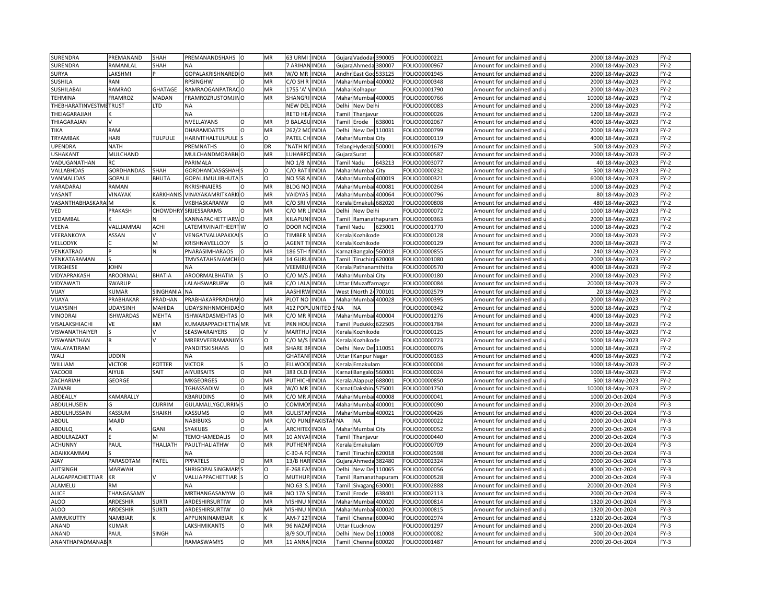| SURENDRA               | PREMANAND               | SHAH           | PREMANANDSHAHS O               |                      | MR        | 63 URMI            | <b>INDIA</b>  |                                                                                                                                                          | Gujara Vadodar 390005  |                      | FOLIO00000221 | Amount for unclaimed and                          |       | 2000 18-May-2023  | $FY-2$ |
|------------------------|-------------------------|----------------|--------------------------------|----------------------|-----------|--------------------|---------------|----------------------------------------------------------------------------------------------------------------------------------------------------------|------------------------|----------------------|---------------|---------------------------------------------------|-------|-------------------|--------|
| SURENDRA               | RAMANLAL                | SHAH           | NΑ                             |                      |           | 7 ARIHAN INDIA     |               |                                                                                                                                                          | Gujara Ahmeda 380007   |                      | OLIO00000967  | Amount for unclaimed and u                        | 2000  | 18-May-2023       | FY-2   |
| SURYA                  | <b>AKSHMI</b>           |                | GOPALAKRISHNARED O             |                      | MR        | W/O MR             | <b>INDIA</b>  |                                                                                                                                                          | Andhr East God         | 533125               | FOLIO00001945 | Amount for unclaimed and                          | 2000  | 18-May-2023       | $FY-2$ |
| SUSHILA                | RANI                    |                | RPSINGHW                       |                      | MR        | C/O SH R           | <b>INDIA</b>  | Mahar                                                                                                                                                    |                        | Mumbai 400002        | OLIO00000348  | Amount for unclaimed and <b>u</b>                 | 2000  | 18-May-2023       | $FY-2$ |
| SUSHILABAI             | RAMRAO                  | <b>GHATAGE</b> | RAMRAOGANPATRACO               |                      | MR        | 1755 'A            | <b>INDIA</b>  | Mahai                                                                                                                                                    | Kolhapur               |                      | FOLIO00001790 | Amount for unclaimed and                          | 2000  | 18-May-2023       | $FY-2$ |
| TEHMINA                | <b>FRAMROZ</b>          | MADAN          | FRAMROZRUSTOMJINO              |                      | MR        | SHANGR             | INDIA         | Maha                                                                                                                                                     |                        | Mumbai 400005        | OLIO00000766  | Amount for unclaimed and                          | 10000 | 18-May-2023       | FY-2   |
| THEBHARATINVESTMETRUST |                         | TD.            | NA                             |                      |           | <b>NEW DEL</b>     | <b>INDIA</b>  | Delhi                                                                                                                                                    | New Delhi              |                      | OLIO00000083  | Amount for unclaimed and                          | 2000  | 18-May-2023       | $FY-2$ |
| THEIAGARAJIAH          |                         |                |                                |                      |           | RETD HE            | <b>INDIA</b>  |                                                                                                                                                          |                        |                      |               |                                                   |       |                   | $FY-2$ |
|                        |                         |                | NA                             |                      |           |                    |               | Tamil                                                                                                                                                    | Thanjavur              |                      | OLIO00000026  | Amount for unclaimed and                          | 1200  | 18-May-2023       |        |
| THIAGARAJAN            |                         |                | NVELLAYANS                     | $\Omega$<br>$\Omega$ | MR        | <b>BALASI</b>      | <b>INDIA</b>  | Tamil                                                                                                                                                    | Erode                  | 638001               | OLIO00002067  | Amount for unclaimed and                          | 4000  | 18-May-2023       | FY-2   |
| TIKA                   | RAM                     |                | <b>DHARAMDATTS</b>             |                      | MR        | 262/2 M            | <b>INDIA</b>  | Delhi                                                                                                                                                    | New Del                | 110031               | FOLIO00000799 | Amount for unclaimed and                          | 2000  | 18-May-2023       | FY-2   |
| TRYAMBAK               | HARI                    | <b>TULPULE</b> | HARIVITHALTULPULE <sup>S</sup> |                      | O         | PATEL CH           | <b>INDIA</b>  |                                                                                                                                                          | Mahar Mumbai City      |                      | OLIO00000119  | Amount for unclaimed and $\mathfrak l$            | 4000  | 18-May-2023       | FY-2   |
| <b>UPENDRA</b>         | <b>NATH</b>             |                | PREMNATHS                      | $\Omega$             | DR        | <b>NATH N</b>      | <b>INDIA</b>  |                                                                                                                                                          | Telang Hyderab 500001  |                      | FOLIO00001679 | Amount for unclaimed and                          | 500   | 18-May-2023       | FY-2   |
| <b>USHAKANT</b>        | MULCHAND                |                | MULCHANDMORABH O               |                      | MR        | LUHARPO            | <b>INDIA</b>  |                                                                                                                                                          | Gujara Surat           |                      | OLIO00000587  | Amount for unclaimed and u                        | 2000  | 18-May-2023       | FY-2   |
| VADUGANATHAN           | RC                      |                | PARIMALA                       |                      |           | NO 1/8             | <b>INDIA</b>  | Tamil Nadu                                                                                                                                               |                        | 643213               | FOLIO00003077 | Amount for unclaimed and                          |       | 40 18-May-2023    | FY-2   |
| VALLABHDAS             | GORDHANDAS              | SHAH           | GORDHANDASGSHAI                |                      | O         | C/O RAT            | INDIA         |                                                                                                                                                          | Mahar Mumbai City      |                      | OLIO00000232  | Amount for unclaimed and i                        | 500   | 18-May-2023       | $FY-2$ |
| VANMALIDAS             | GOPALJI                 | <b>BHUTA</b>   | GOPALJIMULJIBHUTA              |                      | $\Omega$  | NO 558             | <b>INDIA</b>  |                                                                                                                                                          | Mahar Mumbai 400019    |                      | OLIO00000321  | Amount for unclaimed and                          |       | 6000 18-May-2023  | FY-2   |
| VARADARAJ              | RAMAN                   |                | RKRISHNAIERS                   |                      | MR        | <b>BLDG NC</b>     | INDIA         | Mahar                                                                                                                                                    | Mumbai                 | 400081               | OLIO00000264  | Amount for unclaimed and                          | 1000  | 18-May-2023       | $FY-2$ |
| VASANT                 | VINAYAK                 | KARKHANI       | <b>VINAYAKAMRITKARKIO</b>      |                      | MR        | VAIDYAS            | <b>INDIA</b>  |                                                                                                                                                          | Mahar Mumbai           | 400064               | OLIO00000796  | Amount for unclaimed and $\overline{\phantom{a}}$ |       | 80 18-May-2023    | $FY-2$ |
| VASANTHABHASKARA       |                         |                | VKBHASKARANW                   | $\Omega$             | MR        | C/O SRI            | <b>INDIA</b>  | Kerala                                                                                                                                                   | Ernakula 682020        |                      | OLIO00000808  | Amount for unclaimed and                          | 480   | 18-May-2023       | $FY-2$ |
| VED                    | PRAKASH                 | CHOWDHR'       | SRIJESSARAMS                   | $\Omega$             | MR        | C/O MR             | <b>INDIA</b>  |                                                                                                                                                          | Delhi New Delhi        |                      | OLIO00000072  | Amount for unclaimed and u                        |       | 1000 18-May-2023  | $FY-2$ |
| VEDAMBAL               |                         | N              | KANNAPACHETTIARWO              |                      | <b>MR</b> | KILAPUN            | <b>INDIA</b>  |                                                                                                                                                          |                        | Tamil Ramanathapuram | FOLIO00000363 | Amount for unclaimed and                          | 2000  | 18-May-2023       | FY-2   |
| VEENA                  | <b><i>ALLIAMMAI</i></b> | <b>ACHI</b>    | ATEMRVINAITHEERTW              |                      | O         | DOOR NC            | <b>INDIA</b>  | Tamil Nadu                                                                                                                                               |                        | 623001               | OLIO00001770  | Amount for unclaimed and u                        | 1000  | 18-May-2023       | FY-2   |
| VEERANKOYA             | ASSAN                   |                | VENGATVALIAPAKKA               |                      | 0         | TIMBER             | <b>INDIA</b>  | Kerala                                                                                                                                                   | Kozhikode              |                      | OLIO00000128  | Amount for unclaimed and                          | 2000  | 18-May-2023       | $FY-2$ |
| VELLODYK               |                         | M              | KRISHNAVELLODY                 |                      | $\Omega$  | AGENT <sup>-</sup> | <b>INDIA</b>  | <erala< td=""><td>Kozhikode</td><td></td><td>OLIO00000129</td><td>Amount for unclaimed and i</td><td>2000</td><td>18-May-2023</td><td>FY-2</td></erala<> | Kozhikode              |                      | OLIO00000129  | Amount for unclaimed and i                        | 2000  | 18-May-2023       | FY-2   |
| VENKATRAO              |                         | N              | PNARASIMHARAOS                 | $\Omega$             | MR        | 186 5TH            | <b>INDIA</b>  |                                                                                                                                                          | Carnal Bangaloi 560018 |                      | FOLIO00000855 | Amount for unclaimed and                          |       | 240 18-May-2023   | FY-2   |
| VENKATARAMAN           |                         |                | TMVSATAHSIVAMCHI O             |                      | <b>MR</b> | 14 GURI            | <b>INDIA</b>  | Tamil                                                                                                                                                    | Tiruchira 620008       |                      | OLIO00001080  | Amount for unclaimed and i                        | 2000  | 18-May-2023       | $FY-2$ |
| VERGHESE               | JOHN                    |                | <b>NA</b>                      |                      |           | VEEMBUHINDIA       |               | Kerala                                                                                                                                                   | Pathanamthitta         |                      | OLIO00000570  | Amount for unclaimed and                          | 4000  | 18-May-2023       | FY-2   |
| VIDYAPRAKASH           | AROORMAL                | <b>BHATIA</b>  | AROORMALBHATIA                 |                      | $\Omega$  | $C/O$ M/           | <b>INDIA</b>  | Maha                                                                                                                                                     | Mumbai City            |                      | OLIO00000180  | Amount for unclaimed and                          | 2000  | 18-May-2023       | $FY-2$ |
| VIDYAWATI              | SWARUP                  |                | LALAHSWARUPW                   | $\circ$              | MR        | C/O LALA INDIA     |               | Uttar                                                                                                                                                    | Muzaffarnagar          |                      | OLIO00000084  | Amount for unclaimed and u                        |       | 20000 18-May-2023 | $FY-2$ |
| VIJAY                  | <b>UMAR</b>             | SINGHANI       | <b>NA</b>                      |                      |           | AASHIRV            | <b>INDIA</b>  | West                                                                                                                                                     | North 24 700101        |                      | FOLIO00002579 |                                                   |       |                   | $FY-2$ |
|                        | PRABHAKAR               | PRADHAN        | PRABHAKARPRADHAI O             |                      | MR        | PLOT NO            | <b>INDIA</b>  |                                                                                                                                                          | Mahar Mumbai 400028    |                      |               | Amount for unclaimed and                          | 2000  | 20 18-May-2023    | $FY-2$ |
| VIJAYA                 |                         | MAHIDA         |                                |                      | MR        | 412 POP            | <b>UNITED</b> | <b>NA</b>                                                                                                                                                | <b>NA</b>              |                      | OLIO00000395  | Amount for unclaimed and u                        | 5000  | 18-May-2023       | $FY-2$ |
| VIJAYSINH              | UDAYSINH                |                | UDAYSINHNMOHIDASO              |                      |           |                    |               |                                                                                                                                                          |                        |                      | FOLIO00000342 | Amount for unclaimed and                          |       | 18-May-2023       |        |
| <b>/INODRAI</b>        | <b>ISHWARDAS</b>        | MEHTA          | <b>ISHWARDASMEHTAS</b>         |                      | MR        | C/O MR             | <b>INDIA</b>  | Mahar                                                                                                                                                    | Mumbai 400004          |                      | OLIO00001276  | Amount for unclaimed and u                        | 4000  | 18-May-2023       | FY-2   |
| VISALAKSHIACHI         | VE                      | KM             | KUMARAPPACHETTIA MR            |                      | VE        | PKN HOL            | <b>INDIA</b>  | Tamil                                                                                                                                                    | Pudukko 622505         |                      | FOLIO00001784 | Amount for unclaimed and                          | 2000  | 18-May-2023       | FY-2   |
| VISWANATHAIYER         |                         |                | SEASWARAIYERS                  |                      |           | MARTHU             | <b>INDIA</b>  | Kerala                                                                                                                                                   | Kozhikode              |                      | OLIO00000125  | Amount for unclaimed and                          | 2000  | 18-May-2023       | FY-2   |
| VISWANATHAN            |                         |                | MRERVVEERAMANIIY               |                      | O         | C/O M/S            | <b>INDIA</b>  | <erala< td=""><td>Kozhikode</td><td></td><td>FOLIO00000723</td><td>Amount for unclaimed and</td><td>5000</td><td>18-May-2023</td><td>FY-2</td></erala<>  | Kozhikode              |                      | FOLIO00000723 | Amount for unclaimed and                          | 5000  | 18-May-2023       | FY-2   |
| WALAYATIRAM            |                         |                | PANDITSKISHANS                 | $\Omega$             | MR        | SHARE B            | <b>INDIA</b>  | Delhi                                                                                                                                                    | New Del 110051         |                      | FOLIO00000076 | Amount for unclaimed and                          | 1000  | 18-May-2023       | $FY-2$ |
| WALI                   | UDDIN                   |                | NA                             |                      |           | GHATANI            | <b>INDIA</b>  | Uttar                                                                                                                                                    | Kanpur Nagar           |                      | OLIO00000163  | Amount for unclaimed and i                        | 4000  | 18-May-2023       | $FY-2$ |
| WILLIAM                | <b>VICTOR</b>           | POTTER         | <b>VICTOR</b>                  |                      | $\circ$   | ELLWOO             | <b>INDIA</b>  |                                                                                                                                                          | Kerala Ernakulam       |                      | FOLIO00000004 | Amount for unclaimed and                          | 1000  | 18-May-2023       | $FY-2$ |
| YACOOB                 | AIYUB                   | SAIT           | <b>AIYUBSAITS</b>              | $\circ$              | <b>NR</b> | 383 OLD            | <b>INDIA</b>  |                                                                                                                                                          | Carnal Bangaloi 560001 |                      | FOLIO00000024 | Amount for unclaimed and u                        | 1000  | 18-May-2023       | $FY-2$ |
| ZACHARIAH              | GEORGE                  |                | <b>MKGEORGES</b>               | $\circ$              | MR        | <b>PUTHICH</b>     | <b>INDIA</b>  | Kerala                                                                                                                                                   | Alappuz                | 688001               | FOLIO00000850 | Amount for unclaimed and                          | 500   | 18-May-2023       | $FY-2$ |
| ZAINABI                |                         |                | TGHASSADIW                     | $\Omega$             | MR        | W/O MR             | <b>INDIA</b>  | <b>Karna</b>                                                                                                                                             | Dakshin                | 575001               | OLIO00001750  | Amount for unclaimed and $\iota$                  | 10000 | 18-May-2023       | $FY-2$ |
| ABDEALLY               | KAMARALLY               |                | KBARUDINS                      | O                    | MR        | C/O MR             | INDIA         | Mahar                                                                                                                                                    | Mumba                  | 400008               | OLIO00000041  | Amount for unclaimed and                          | 1000  | 20-Oct-2024       | $FY-3$ |
| ABDULHUSEIN            |                         | CURRIM         | GULAMALLYGCURRIN               |                      | O         | COMMO              | <b>INDIA</b>  | Mahai                                                                                                                                                    | Mumbai                 | 100001               | OLIO00000090  | Amount for unclaimed and i                        | 2000  | 20-Oct-2024       | FY-3   |
| ABDULHUSSAIN           | KASSUM                  | SHAIKH         | KASSUMS                        | O                    | MR        | GULISTA            | INDIA         | Mahar                                                                                                                                                    | Mumbai                 | 400021               | OLIO00000426  | Amount for unclaimed and                          | 4000  | 20-Oct-2024       | FY-3   |
| ABDUL                  | MAJID                   |                | NABIBUXS                       |                      | MR        | C/O PUI            | PAKIST/       | <b>NA</b>                                                                                                                                                | <b>NA</b>              |                      | FOLIO00000022 | Amount for unclaimed and                          | 2000  | 20-Oct-2024       | $FY-3$ |
| ABDULQ                 |                         | GANI           | SYAKUBS                        | $\Omega$             |           | <b>ARCHITE</b>     | <b>INDIA</b>  |                                                                                                                                                          | Mahar Mumbai City      |                      | OLIO00000052  | Amount for unclaimed and                          | 2000  | 20-Oct-2024       | $FY-3$ |
| ABDULRAZAKT            |                         | M              | TEMOHAMEDALIS                  | $\circ$              | MR        | 10 ANVA            | <b>INDIA</b>  | Tamil                                                                                                                                                    | Thanjavur              |                      | FOLIO00000440 | Amount for unclaimed and                          | 2000  | 20-Oct-2024       | FY-3   |
| <b>ACHUNNY</b>         | PAUL                    | THALIATH       | PAULTHALIATHW                  | $\Omega$             | MR        | PUTHENP            | <b>INDIA</b>  |                                                                                                                                                          | Kerala Ernakulam       |                      | FOLIO00000709 | Amount for unclaimed and u                        | 2000  | 20-Oct-2024       | FY-3   |
| ADAIKKAMMAI            |                         |                | <b>NA</b>                      |                      |           | $-30-AF$           | <b>INDIA</b>  | Tamil                                                                                                                                                    | Tiruchira              | 620018               | FOLIO00002598 | Amount for unclaimed and                          | 2000  | 20-Oct-2024       | $FY-3$ |
| <b>AJAY</b>            | PARASOTAM               | PATEL          | PPPATELS                       |                      | MR        | 13/B HAF           | <b>INDIA</b>  | Gujar                                                                                                                                                    | Ahmeda                 | 382480               | OLIO00002324  | Amount for unclaimed and $\iota$                  | 2000  | 20-Oct-2024       | $FY-3$ |
| <b>AJITSINGH</b>       | MARWAH                  |                | SHRIGOPALSINGMARY              |                      | O         | E-268 EA           | <b>INDIA</b>  | Delhi                                                                                                                                                    | New Del 110065         |                      | FOLIO00000056 | Amount for unclaimed and                          | 4000  | 20-Oct-2024       | $FY-3$ |
| ALAGAPPACHETTIAR       | ΚR                      |                | VALLIAPPACHETTIAR              |                      | $\circ$   | MUTHUP             | <b>INDIA</b>  | Tamil                                                                                                                                                    |                        | Ramanathapuram       | OLIO00000528  | Amount for unclaimed and $\iota$                  | 2000  | 20-Oct-2024       | FY-3   |
| ALAMELU                | RM                      |                | NA                             |                      |           | NO.63              | INDIA         | Tamil                                                                                                                                                    | Sivagang 630001        |                      | OLIO00002888  | Amount for unclaimed and                          | 20000 | 20-Oct-2024       | $FY-3$ |
|                        |                         |                |                                |                      |           |                    |               |                                                                                                                                                          |                        |                      |               |                                                   |       |                   | FY-3   |
| <b>ALICE</b>           | THANGASAMY              |                | MRTHANGASAMYW                  |                      | MR        | <b>NO 17A</b>      | INDIA         | Tami                                                                                                                                                     | Erode                  | 38401                | OLIO00002113  | Amount for unclaimed and                          | 2000  | 20-Oct-2024       |        |
| ALOO                   | ARDESHIR                | SURTI          | ARDESHIRSURTIW                 | Ω                    | MR        | VISHNU N           | <b>INDIA</b>  | Mahar                                                                                                                                                    | Mumbai                 | 400020               | OLIO00000814  | Amount for unclaimed and                          |       | 1320 20-Oct-2024  | FY-3   |
| <b>ALOO</b>            | ARDESHIR                | <b>SURTI</b>   | ARDESHIRSURTIW                 | $\Omega$             | MR        | VISHNU             | <b>INDIA</b>  | Maha                                                                                                                                                     | Mumba                  | 400020               | OLIO00000815  | Amount for unclaimed and                          | 1320  | 20-Oct-2024       | $FY-3$ |
| AMMUKUTTY              | NAMBIAR                 |                | APPUNNINAMBIAR                 |                      |           | AM-7 121           | <b>INDIA</b>  |                                                                                                                                                          | Tamil Chennai 600040   |                      | OLIO00002974  | Amount for unclaimed and เ                        | 1320  | 20-Oct-2024       | FY-3   |
| ANAND                  | KUMAR                   |                | LAKSHMIKANTS                   | $\Omega$             | MR        | 96 NAZA            | <b>INDIA</b>  | Jttar                                                                                                                                                    | Lucknow                |                      | OLIO00001297  | Amount for unclaimed and                          | 2000  | 20-Oct-2024       | $FY-3$ |
| ANAND                  | PAUL                    | SINGH          |                                |                      |           | 3/9 SOU            | INDIA         | Delhi                                                                                                                                                    | New Del 110008         |                      | OLIO00000082  | Amount for unclaimed and i                        | 500   | 20-Oct-2024       | $FY-3$ |
| ANANTHAPADMANAB        |                         |                | RAMASWAMYS                     | $\circ$              | MR        | 11 ANNA            | <b>INDIA</b>  | Tamil                                                                                                                                                    | Chennai                | 600020               | FOLIO00001487 | Amount for unclaimed and                          |       | 2000 20-Oct-2024  | $FY-3$ |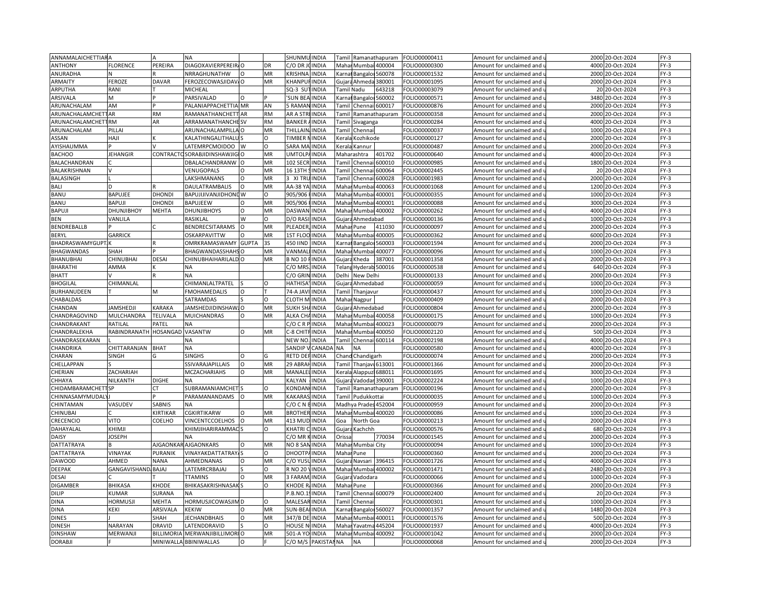| <b>ANNAMALAICHETTIARA</b> |                     |                   | NA                               |              |           | SHUNMU INDIA          |                              | Tamil                                                                                                                                                                  |                        | Ramanathapuram        | FOLIO00000411                  | Amount for unclaimed and                          | 2000 | 20-Oct-2024                | $FY-3$ |
|---------------------------|---------------------|-------------------|----------------------------------|--------------|-----------|-----------------------|------------------------------|------------------------------------------------------------------------------------------------------------------------------------------------------------------------|------------------------|-----------------------|--------------------------------|---------------------------------------------------|------|----------------------------|--------|
| <b>ANTHONY</b>            | <b>FLORENCE</b>     | PEREIRA           | DIAGOXAVIERPEREIR/O              |              | DR        | C/O DR JOINDIA        |                              |                                                                                                                                                                        | Mahar Mumbai 400004    |                       | OLIO00000300                   | Amount for unclaimed and $\overline{\phantom{a}}$ |      | 4000 20-Oct-2024           | $FY-3$ |
| ANURADHA                  |                     |                   | NRRAGHUNATHW                     | $\Omega$     | MR        | KRISHNA               | <b>INDIA</b>                 |                                                                                                                                                                        | Karnal Bangalor        | 560078                | FOLIO00001532                  | Amount for unclaimed and                          | 2000 | 20-Oct-2024                | FY-3   |
| ARMAITY                   | FEROZE              | <b>DAVAR</b>      | FEROZECOWASJIDAV/O               |              | MR        | KHANPUFINDIA          |                              |                                                                                                                                                                        | Gujara Ahmeda 380001   |                       | FOLIO00001095                  | Amount for unclaimed and u                        | 2000 | 20-Oct-2024                | $FY-3$ |
| ARPUTHA                   | RANI                |                   | <b>MICHEAL</b>                   |              |           | SQ-3 SU <sup>-</sup>  | <b>INDIA</b>                 |                                                                                                                                                                        | Tamil Nadu             | 543218                | FOLIO00003079                  | Amount for unclaimed and                          |      | 20 20-Oct-2024             | $FY-3$ |
| ARSIVALA                  | M                   |                   | PARSIVALAD                       |              |           | <b>SUN BEA INDIA</b>  |                              |                                                                                                                                                                        | Carnat Bangaloi 560002 |                       | FOLIO00000571                  | Amount for unclaimed and $\iota$                  | 3480 | 20-Oct-2024                | $FY-3$ |
| ARUNACHALAM               | AM                  |                   | PALANIAPPACHETTIA MR             |              | AN        | <b>BAMAN</b>          | <b>IINDIA</b>                | <b>Tamil</b>                                                                                                                                                           |                        | Chennai 600017        | FOLIO00000876                  | Amount for unclaimed and                          | 2000 | 20-Oct-2024                | $FY-3$ |
| ARUNACHALAMCHET           | <b>IAR</b>          | <b>RM</b>         | RAMANATHANCHETT                  | <b>AR</b>    | <b>RM</b> | AR A STRI INDIA       |                              | <b>Tamil</b>                                                                                                                                                           |                        | Ramanathapuram        | FOLIO00000358                  | Amount for unclaimed and i                        | 2000 | 20-Oct-2024                | $FY-3$ |
| ARUNACHALAMCHETTRM        |                     | AR                |                                  |              | <b>RM</b> |                       |                              |                                                                                                                                                                        |                        |                       |                                |                                                   | 4000 |                            | $FY-3$ |
|                           |                     |                   | <b>ARRAMANATHANCHE SV</b>        |              |           | <b>BANKER</b>         | <b>INDIA</b>                 | <b>Tamil</b>                                                                                                                                                           | Sivaganga              |                       | FOLIO00000284                  | Amount for unclaimed and                          |      | 20-Oct-2024                |        |
| ARUNACHALAM               | PILLA               |                   | ARUNACHALAMPILLA                 |              | MR        | THILLAIN, INDIA       |                              | Tami                                                                                                                                                                   | Chenna                 |                       | FOLIO00000037                  | Amount for unclaimed and                          | 1000 | 20-Oct-2024                | $FY-3$ |
| ASSAN                     | HAJI                |                   | KALATHINGALITHALU                |              | Ω         | <b>TIMBER NINDIA</b>  |                              |                                                                                                                                                                        | Kerala Kozhikode       |                       | FOLIO00000127                  | Amount for unclaimed and $\mathfrak u$            | 2000 | 20-Oct-2024                | FY-3   |
| AYISHAUMMA                |                     |                   | LATEMRPCMOIDOO                   | W            | $\Omega$  | SARA MA INDIA         |                              |                                                                                                                                                                        | Kerala Kannur          |                       | FOLIO00000487                  | Amount for unclaimed and                          | 2000 | 20-Oct-2024                | $FY-3$ |
| <b>BACHOO</b>             | <b>JEHANGIR</b>     |                   | CONTRACTO SORABJIDINSHAWJIGIO    |              | MR        | UMTOLPAINDIA          |                              |                                                                                                                                                                        | Maharashtra            | 401702                | FOLIO00000640                  | Amount for unclaimed and u                        | 4000 | 20-Oct-2024                | FY-3   |
| BALACHANDRAN              |                     |                   | DBALACHANDRANW                   | $\Omega$     | MR        | 102 SECR              | <b>INDIA</b>                 | Tamil                                                                                                                                                                  | Chenna                 | 500010                | FOLIO00000985                  | Amount for unclaimed and                          | 1800 | 20-Oct-2024                | FY-3   |
| BALAKRISHNAN              |                     |                   | VENUGOPALS                       | O            | MR        | 16 13TH               | SINDIA                       | Tamil                                                                                                                                                                  | Chennai                | 600064                | FOLIO00002445                  | Amount for unclaimed and u                        | 20   | 20-Oct-2024                | $FY-3$ |
| BALASINGH                 |                     |                   | LAKSHMANANS                      | O            | MR        | 3 XI TRU              | <b>INDIA</b>                 | Tamil                                                                                                                                                                  | Chenna                 | 600028                | FOLIO00001983                  | Amount for unclaimed and                          | 2000 | 20-Oct-2024                | FY-3   |
| BALI                      |                     |                   | DAULATRAMBALIS                   | $\Omega$     | MR        | AA-38 YA              | <b>INDIA</b>                 | Mahar                                                                                                                                                                  | Mumbai                 | 400063                | FOLIO00001068                  | Amount for unclaimed and u                        | 1200 | 20-Oct-2024                | FY-3   |
| BANU                      | <b>BAPUJEE</b>      | <b>DHONDI</b>     | BAPUJIJIVANJIDHONE W             |              | O         | 905/906               | <b>INDIA</b>                 | Mahar                                                                                                                                                                  | Mumbai                 | 400001                | FOLIO00000355                  | Amount for unclaimed and                          | 1000 | 20-Oct-2024                | FY-3   |
| BANU                      | <b>BAPUJI</b>       | <b>DHOND</b>      | <b>BAPUJEEW</b>                  |              | MR        | 905/906               | <b>INDIA</b>                 | Maha                                                                                                                                                                   | Mumba                  | 400001                | FOLIO00000088                  | Amount for unclaimed and                          | 300  | 20-Oct-2024                | $FY-3$ |
| BAPUJI                    | DHUNJIBHOY          | <b>MEHTA</b>      | <b>DHUNJIBHOYS</b>               | $\Omega$     | MR        | <b>DASWAN</b>         | <b>INDIA</b>                 |                                                                                                                                                                        | Mahar Mumbai 400002    |                       | FOLIO00000262                  | Amount for unclaimed and i                        | 4000 | 20-Oct-2024                | FY-3   |
| BEN                       | VANLILA             |                   | RASIKLAL                         | W            | $\Omega$  | D/O RAS               | <b>INDIA</b>                 | Gujara                                                                                                                                                                 | Ahmedabad              |                       | FOLIO00000136                  | Amount for unclaimed and                          | 1000 | 20-Oct-2024                | $FY-3$ |
| BENDREBALLB               |                     |                   | BENDRECSITARAMS                  | $\Omega$     | MR        | PLEADER,              | <b>INDIA</b>                 |                                                                                                                                                                        | Mahar Pune             | 411030                | FOLIO00000097                  | Amount for unclaimed and u                        | 2000 | 20-Oct-2024                | FY-3   |
| <b>BERYL</b>              | <b>GARRICK</b>      |                   | <b>OSKARPAVITTW</b>              | $\Omega$     | <b>MR</b> | <b>1ST FLOO INDIA</b> |                              | Mahar                                                                                                                                                                  | Mumba                  | 400005                | FOLIO00000362                  | Amount for unclaimed and                          | 6000 | 20-Oct-2024                | $FY-3$ |
| BHADRASWAMYGUPT.          |                     |                   | OMRKRAMASWAMY                    | <b>GUPTA</b> | 3S        | 450 IIND              | <b>INDIA</b>                 | Karna                                                                                                                                                                  | Bangalor               | 560003                | FOLIO00001594                  | Amount for unclaimed and u                        | 2000 | 20-Oct-2024                | $FY-3$ |
| BHAGWANDAS                | SHAH                |                   | BHAGWANDASSHAH!                  |              | MR        | VANMAL                | <b>INDIA</b>                 | Mahar                                                                                                                                                                  | Mumbai                 | 400077                | FOLIO00000096                  | Amount for unclaimed and                          | 1000 | 20-Oct-2024                | $FY-3$ |
| BHANUBHAI                 | CHINUBHAI           | <b>DESAI</b>      | CHINUBHAIHARILALD                |              | <b>MR</b> | <b>B NO 10</b>        | <b>INDIA</b>                 | Gujara                                                                                                                                                                 | Kheda                  | 387001                | FOLIO00001358                  | Amount for unclaimed and u                        | 2000 | 20-Oct-2024                | $FY-3$ |
| BHARATHI                  | AMMA                |                   | <b>NA</b>                        |              |           | C/O MRS               | <b>INDIA</b>                 |                                                                                                                                                                        |                        | Telang Hyderab 500016 | FOLIO00000538                  | Amount for unclaimed and                          |      | 640 20-Oct-2024            | $FY-3$ |
| <b>BHATT</b>              |                     |                   | <b>NA</b>                        |              |           | C/O GRII              | <b>INDIA</b>                 | Delhi                                                                                                                                                                  | New Delhi              |                       | FOLIO00000133                  | Amount for unclaimed and                          | 2000 | 20-Oct-2024                | $FY-3$ |
| <b>BHOGILAL</b>           | CHIMANLAL           |                   | CHIMANLALTPATEL                  |              | $\Omega$  | HATHISA               | <b>INDIA</b>                 |                                                                                                                                                                        | Gujara Ahmedabad       |                       | FOLIO00000059                  | Amount for unclaimed and $\,$                     | 1000 | 20-Oct-2024                | FY-3   |
| BURHANUDEEN               |                     | M                 | <b>FMOHAMEDALIS</b>              | $\Omega$     |           | 74-A JAV              | <b>INDIA</b>                 | Tamil                                                                                                                                                                  | Thanjavur              |                       | FOLIO00000437                  | Amount for unclaimed and                          | 1000 | 20-Oct-2024                | $FY-3$ |
| CHABALDAS                 |                     |                   | SATRAMDAS                        |              | O         | <b>CLOTH M INDIA</b>  |                              |                                                                                                                                                                        | Mahar Nagpur           |                       | FOLIO00000409                  | Amount for unclaimed and u                        | 2000 | 20-Oct-2024                | FY-3   |
| CHANDAN                   | <b>JAMSHEDJI</b>    | <b>KARAKA</b>     | JAMSHEDJIDINSHAWJO               |              | MR        | SUKH SHAINDIA         |                              |                                                                                                                                                                        | Gujara Ahmedabad       |                       | FOLIO00000804                  | Amount for unclaimed and                          | 2000 | 20-Oct-2024                | $FY-3$ |
| CHANDRAGOVIND             | MULCHANDRA          | <b>TELIVALA</b>   | <b>MUICHANDRAS</b>               | $\Omega$     | MR        | ALKA CHAINDIA         |                              | Mahar                                                                                                                                                                  |                        | Mumbai 400058         | FOLIO00000175                  | Amount for unclaimed and u                        | 1000 | 20-Oct-2024                | $FY-3$ |
| CHANDRAKANT               | RATILAL             | PATEL             | <b>NA</b>                        |              |           | C/OCRP                | <b>INDIA</b>                 | Mahar                                                                                                                                                                  | Mumbai                 | 400023                | FOLIO00000079                  | Amount for unclaimed and                          | 2000 | 20-Oct-2024                | $FY-3$ |
| CHANDRALEKHA              | RABINDRANATH        | HOSANGAD          | VASANTW                          | $\Omega$     | MR        | C-8 CHITFINDIA        |                              | Maha                                                                                                                                                                   | Mumbai                 | 400050                | FOLIO00002120                  | Amount for unclaimed and                          | 500  | 20-Oct-2024                | FY-3   |
| CHANDRASEKARAN            |                     |                   | <b>NA</b>                        |              |           | NEW NO.               | <b>INDIA</b>                 | Tamil                                                                                                                                                                  | Chennai                | 600114                | FOLIO00002198                  | Amount for unclaimed and                          | 4000 | 20-Oct-2024                | FY-3   |
| CHANDRIKA                 | CHITTARANJAN        | <b>BHAT</b>       | ΝA                               |              |           | SANDIP                | CANAD.                       | <b>NA</b>                                                                                                                                                              | <b>NA</b>              |                       | FOLIO00000580                  | Amount for unclaimed and                          | 4000 | 20-Oct-2024                | $FY-3$ |
| CHARAN                    | SINGH               | G                 | <b>SINGHS</b>                    | O            |           | RETD DEFINDIA         |                              |                                                                                                                                                                        | Chand Chandigarh       |                       | FOLIO00000074                  | Amount for unclaimed and $\overline{\phantom{a}}$ | 2000 | 20-Oct-2024                | $FY-3$ |
|                           |                     |                   |                                  | $\Omega$     | MR        | 29 ABRA               |                              | Tamil                                                                                                                                                                  |                        |                       |                                |                                                   | 2000 |                            | $FY-3$ |
| CHELLAPPAN<br>CHERIAN     | ZACHARIAH           |                   | SSIVARAJAPILLAIS<br>MCZACHARIAHS | $\Omega$     | MR        | MANALEL               | <b>INDIA</b><br><b>INDIA</b> |                                                                                                                                                                        | Thanjavi 613001        |                       | FOLIO00001366<br>FOLIO00001695 | Amount for unclaimed and                          | 3000 | 20-Oct-2024<br>20-Oct-2024 | FY-3   |
|                           | NILKANTH            |                   | <b>NA</b>                        |              |           | KALYAN                |                              |                                                                                                                                                                        | Cerala Alappuzi 688011 |                       |                                | Amount for unclaimed and u                        | 1000 |                            |        |
| CHHAYA                    |                     | <b>DIGHE</b>      |                                  |              |           |                       | <b>INDIA</b>                 | Gujara                                                                                                                                                                 |                        | Vadodar 390001        | FOLIO00002224                  | Amount for unclaimed and                          |      | 20-Oct-2024                | $FY-3$ |
| CHIDAMBARAMCHET           |                     | СT                | SUBRAMANIAMCHET                  |              | O         | <b>CONDAN</b>         | <b>INDIA</b>                 | <b>Tamil</b>                                                                                                                                                           |                        | Ramanathapuram        | FOLIO00000196                  | Amount for unclaimed and u                        | 2000 | 20-Oct-2024                | $FY-3$ |
| CHINNASAMYMUDAL'          |                     |                   | PARAMANANDAMS                    | $\Omega$     | MR        | KAKARA                | <b>INDIA</b>                 | Tamil                                                                                                                                                                  | Pudukkottai            |                       | FOLIO00000035                  | Amount for unclaimed and                          | 1000 | 20-Oct-2024                | $FY-3$ |
| CHINTAMAN                 | VASUDEV             | SABNIS            | <b>NA</b>                        |              |           | 2/O C N               | <b>INDIA</b>                 |                                                                                                                                                                        | Madhya Prades 452004   |                       | FOLIO00000959                  | Amount for unclaimed and u                        | 2000 | 20-Oct-2024                | FY-3   |
| CHINUBAI                  |                     | <b>KIRTIKAR</b>   | <b>CGKIRTIKARW</b>               | O            | MR        | <b>BROTHER INDIA</b>  |                              |                                                                                                                                                                        |                        | Mahar Mumbai 400020   | FOLIO00000086                  | Amount for unclaimed and                          | 1000 | 20-Oct-2024                | FY-3   |
| CRECENCIO                 | <b>VITO</b>         | COELHO            | VINCENTCCOELHOS                  |              | MR        | 413 MUD               | <b>INDIA</b>                 | Goa                                                                                                                                                                    | North Goa              |                       | FOLIO00000213                  | Amount for unclaimed and                          | 2000 | 20-Oct-2024                | $FY-3$ |
| DAHAYALAL                 | KHIMJI              |                   | KHIMJIHARIRAMMAC                 |              | Ω         | KHATRI                | <b>INDIA</b>                 |                                                                                                                                                                        | Gujara Kachchh         |                       | FOLIO00000576                  | Amount for unclaimed and                          | 680  | 20-Oct-2024                | FY-3   |
| <b>DAISY</b>              | <b>JOSEPH</b>       |                   | <b>NA</b>                        |              |           | C/O MR                | <b>INDIA</b>                 | Orissa                                                                                                                                                                 |                        | 770034                | FOLIO00001545                  | Amount for unclaimed and                          | 2000 | 20-Oct-2024                | $FY-3$ |
| DATTATRAYA                |                     | <b>AJGAONKA</b>   | <b>AJGAONKARS</b>                | $\Omega$     | MR        | NO 8 SAN INDIA        |                              |                                                                                                                                                                        | Mahar Mumbai City      |                       | FOLIO00000094                  | Amount for unclaimed and u                        | 1000 | 20-Oct-2024                | $FY-3$ |
| DATTATRAYA                | VINAYAK             | PURANIK           | VINAYAKDATTATRAY.                |              | O         | <b>DHOOTP</b>         | <b>INDIA</b>                 |                                                                                                                                                                        | Mahar Pune             |                       | FOLIO00000360                  | Amount for unclaimed and                          | 2000 | 20-Oct-2024                | $FY-3$ |
| <b>DAWOOD</b>             | AHMED               | <b>NANA</b>       | AHMEDNANAS                       | $\Omega$     | MR        | C/O YUSI              | <b>INDIA</b>                 |                                                                                                                                                                        | Gujara Navsari         | 396415                | FOLIO00001726                  | Amount for unclaimed and u                        | 4000 | 20-Oct-2024                | $FY-3$ |
| DEEPAK                    | GANGAVISHAND, BAJAJ |                   | LATEMRCRBAJAJ                    |              | O         | R NO 20               | <b>INDIA</b>                 | Mahar                                                                                                                                                                  |                        | Mumbai 400002         | FOLIO00001471                  | Amount for unclaimed and                          | 2480 | 20-Oct-2024                | $FY-3$ |
| DESAI                     |                     |                   | <b>TTAMINS</b>                   | $\Omega$     | MR        | 3 FARAN               | <b>INDIA</b>                 | Gujar                                                                                                                                                                  | Vadodara               |                       | FOLIO00000066                  | Amount for unclaimed and u                        | 1000 | 20-Oct-2024                | FY-3   |
| <b>DIGAMBER</b>           | <b>BHIKASA</b>      | KHODE             | BHIKASAKRISHNASAK                |              | O         | KHODE RAINDIA         |                              | Maha                                                                                                                                                                   | Pune                   |                       | FOLIO00000366                  | Amount for unclaimed and                          | 2000 | 20-Oct-2024                | $FY-3$ |
| DILIP                     | <b>KUMAR</b>        | SURANA            | NA                               |              |           | .B.NO.                | <b>INDIA</b>                 | <b>Tami</b>                                                                                                                                                            |                        | Chennai 600079        | FOLIO00002400                  | Amount for unclaimed and                          | 2C   | 20-Oct-2024                | $FY-3$ |
| <b>DINA</b>               | <b>HORMUSJ</b>      | <b>MEHTA</b>      | HORMUSJICOWASJIM D               |              | O         | <b>MALESARINDIA</b>   |                              | Tamil                                                                                                                                                                  | Chenna                 |                       | FOLIO00000301                  | Amount for unclaimed and                          | 1000 | 20-Oct-2024                | $FY-3$ |
| <b>DINA</b>               | KEKI                | ARSIVALA          | <b>KEKIW</b>                     |              | MR        | SUN-BEA               | <b>INDIA</b>                 | <arna< td=""><td>Bangalo</td><td>560027</td><td>FOLIO00001357</td><td>Amount for unclaimed and</td><td>1480</td><td>20-Oct-2024</td><td><math>FY-3</math></td></arna<> | Bangalo                | 560027                | FOLIO00001357                  | Amount for unclaimed and                          | 1480 | 20-Oct-2024                | $FY-3$ |
| <b>DINES</b>              |                     | SHAH              | <b>JECHANDBHAIS</b>              | $\Omega$     | MR        | 347/B DE              | INDIA                        |                                                                                                                                                                        | Mahar Mumbai 400011    |                       | FOLIO00001576                  | Amount for unclaimed and u                        | 500  | 20-Oct-2024                | FY-3   |
| <b>DINESH</b>             | <b>NARAYAN</b>      | <b>DRAVID</b>     | LATENDDRAVID                     |              | $\Omega$  | HOUSE N               | <b>INDIA</b>                 | Maha                                                                                                                                                                   | Yavatn                 | 445204                | FOLIO00001937                  | Amount for unclaimed and                          | 4000 | 20-Oct-2024                | $FY-3$ |
| <b>DINSHAW</b>            | MERWANJI            | <b>BILLIMORIA</b> | MERWANJIBILLIMORI O              |              | MR        | 501-A YO              | <b>INDIA</b>                 | Mahar                                                                                                                                                                  | Mumbai                 | 400092                | FOLIO00001042                  | Amount for unclaimed and u                        | 2000 | 20-Oct-2024                | $FY-3$ |
| <b>DORABJI</b>            |                     |                   | MINIWALLA BBINIWALLAS            | $\Omega$     |           | $C/O$ M/S             | PAKISTA                      | <b>NA</b>                                                                                                                                                              | <b>NA</b>              |                       | FOLIO00000068                  | Amount for unclaimed and (                        |      | 2000 20-Oct-2024           | $FY-3$ |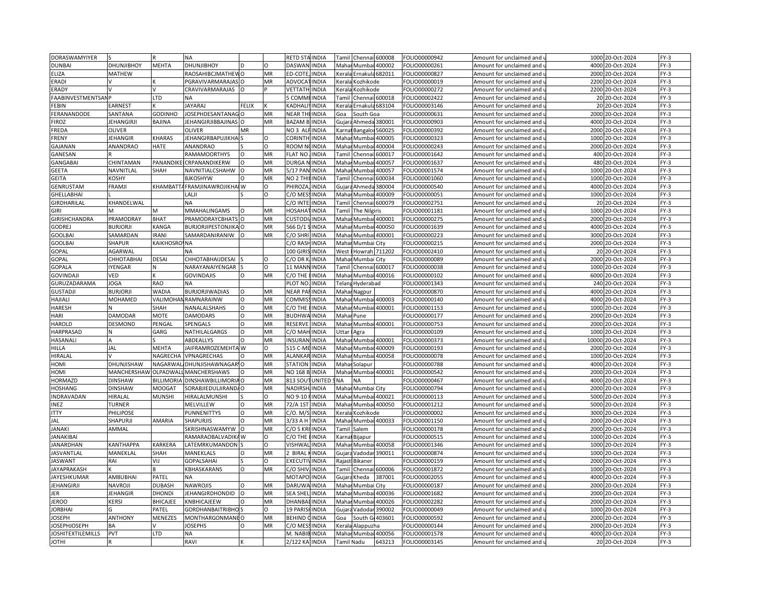| DORASWAMYIYER             |                   |                       | <b>NA</b>                   |              |           | <b>RETD STAINDIA</b> |               | 600008<br>Chenna<br>Tami         | FOLIO00000942                  | Amount for unclaimed and   | 1000  | 20-Oct-2024                | $FY-3$ |
|---------------------------|-------------------|-----------------------|-----------------------------|--------------|-----------|----------------------|---------------|----------------------------------|--------------------------------|----------------------------|-------|----------------------------|--------|
| <b>DUNBAI</b>             | <b>DHUNJIBHOY</b> | <b>MEHTA</b>          | <b>DHUNJIBHOY</b>           |              | $\Omega$  | DASWAN INDIA         |               | Mahar Mumbai 400002              | FOLIO00000261                  | Amount for unclaimed and   |       | 4000 20-Oct-2024           | $FY-3$ |
| ELIZA                     | <b>MATHEW</b>     |                       | RAOSAHIBCJMATHEW O          |              | MR        | <b>ED-COTE</b>       | <b>INDIA</b>  | Kerala Ernakula 682011           | FOLIO00000827                  | Amount for unclaimed and   | 2000  | 20-Oct-2024                | $FY-3$ |
| ERADI                     |                   |                       | PGRAVIVARMARAJAS            |              | MR        | ADVOCA               | <b>INDIA</b>  | Kozhikode<br>Kerala              | FOLIO00000019                  | Amount for unclaimed and   | 2200  | 20-Oct-2024                | $FY-3$ |
| ERADY                     |                   |                       | CRAVIVARMARAJAS             | $\Omega$     |           | VETTATH              | INDIA         | Kozhikode<br>Kerala              | FOLIO00000272                  | Amount for unclaimed and   | 2200  | 20-Oct-2024                | $FY-3$ |
| FAABINVESTMENTSAI         |                   | LTD                   |                             |              |           | 5 COMM               | <b>INDIA</b>  | Chennai 600018<br>Tami           | FOLIO00002422                  | Amount for unclaimed and   |       | 20 20-Oct-2024             | $FY-3$ |
| FEBIN                     | <b>EARNEST</b>    |                       | <b>JAYARAJ</b>              | <b>FELIX</b> |           | <b>KADHALI</b>       | <b>INDIA</b>  | Ernakula 683104<br>Kerala        | FOLIO00003146                  | Amount for unclaimed and   |       | 20 20-Oct-2024             | $FY-3$ |
| FERANANDODE               | SANTANA           | <b>GODINHO</b>        | <b>JOSEPHDESANTANAG</b>     |              | MR        | NEAR TH              | <b>INDIA</b>  |                                  |                                |                            |       | 20-Oct-2024                | $FY-3$ |
|                           |                   |                       |                             |              |           |                      |               | Goa<br>iouth Goa                 | FOLIO00000631                  | Amount for unclaimed and   | 2000  |                            |        |
| FIROZ                     | <b>JEHANGIRJI</b> | <b>BAJINA</b>         | <b>JEHANGIRJIBBAJINAS</b>   | O            | MR        | <b>BAZAM B</b>       | <b>INDIA</b>  | Ahmeda 380001<br>Gujar           | FOLIO00000903                  | Amount for unclaimed and   |       | 4000 20-Oct-2024           | $FY-3$ |
| FREDA                     | <b>OLIVER</b>     |                       | <b>OLIVER</b>               | MR           |           | NO <sub>3</sub> Al   | INDIA         | 560025<br>Bangalo<br>Karna       | FOLIO00000392                  | Amount for unclaimed and   | 2000  | 20-Oct-2024                | $FY-3$ |
| FRENY                     | <b>JEHANGIR</b>   | KHARAS                | JEHANGIRBAPUJIKHA           |              | $\Omega$  | CORINTH              | <b>INDIA</b>  | Mahai<br>Mumba<br>400005         | FOLIO00000323                  | Amount for unclaimed and   | 1000  | 20-Oct-2024                | $FY-3$ |
| GAJANAN                   | ANANDRAO          | HATE                  | <b>ANANDRAO</b>             |              | O         | ROOM N               | <b>INDIA</b>  | Maha<br>Mumb<br>400004           | FOLIO00000243                  | Amount for unclaimed and   | 2000  | 20-Oct-2024                | $FY-3$ |
| GANESAN                   |                   |                       | RAMAMOORTHYS                |              | MR        | <b>FLAT NO</b>       | <b>INDIA</b>  | Tamil<br>Chennai<br>500017       | FOLIO00001642                  | Amount for unclaimed and   | 400   | 20-Oct-2024                | $FY-3$ |
| <b>GANGABAI</b>           | CHINTAMAN         | PANANDIK              | CRPANANDIKERW               | $\Omega$     | MR        | <b>DURGA</b>         | INDIA         | Maha<br>Mumb<br>400057           | FOLIO00001637                  | Amount for unclaimed and   | 480   | 20-Oct-2024                | $FY-3$ |
| GEETA                     | NAVNITLAL         | SHAH                  | NAVNITIALCSHAHW             |              | MR        | 5/17 PAM             | <b>NDIA</b>   | Maha<br>Mumb<br>400057           | FOLIO00001574                  | Amount for unclaimed and   | 1000  | 20-Oct-2024                | $FY-3$ |
| <b>GEITA</b>              | KOSHY             |                       | <b>BJKOSHYW</b>             | $\Omega$     | MR        | NO 2 THI             | <b>INDIA</b>  | Chenna<br>500034<br><b>Tami</b>  | FOLIO00001060                  | Amount for unclaimed and   |       | 1000 20-Oct-2024           | $FY-3$ |
| GENRUSTAM                 | <b>FRAMJI</b>     | KHAMBATT              | <b>AFRAMJINAWROJIKHA</b>    | W            | $\Omega$  | PHIROZA              | INDIA         | 380004<br>Gujar<br>Ahmed         | FOLIO00000540                  | Amount for unclaimed and   | 4000  | 20-Oct-2024                | $FY-3$ |
| GHELLABHAI                |                   |                       | LALJI                       |              | O         | C/O MES              | <b>INDIA</b>  | Maha<br>Mumba<br>400009          | FOLIO00000051                  | Amount for unclaimed and   |       | 1000 20-Oct-2024           | $FY-3$ |
| GIRDHARILAL               | KHANDELWAL        |                       | NA                          |              |           | C/O INT              | INDIA         | 600079<br>Chenna<br>Tami         | FOLIO00002751                  | Amount for unclaimed and   | 20    | 20-Oct-2024                | $FY-3$ |
| <b>GIRI</b>               | м                 | М                     | MMAHALINGAMS                |              | MR        | HOSAHA               | <b>INDIA</b>  | The Nilgiris<br>Tamil            | FOLIO00001181                  | Amount for unclaimed and   |       | 1000 20-Oct-2024           | $FY-3$ |
| GIRISHCHANDRA             | PRAMODRAY         | <b>BHAT</b>           | PRAMODRAYCBHATS             | $\Omega$     | <b>MR</b> | <b>CUSTOD</b>        | <b>INDIA</b>  | Maha<br>Mumba<br>400001          | FOLIO00000275                  | Amount for unclaimed and   | 2000  | 20-Oct-2024                | $FY-3$ |
| <b>GODREJ</b>             | <b>BURJORJ</b>    | KANGA                 | <b>BURJORJIPESTONJIKA O</b> |              | MR        | 566 D/1              | <b>INDIA</b>  | Maha<br>Mumbai<br>400050         | FOLIO00001639                  | Amount for unclaimed and   | 4000  | 20-Oct-2024                | $FY-3$ |
| <b>GOOLBAI</b>            | SAMARDAN          | <b>IRANI</b>          | SAMARDANIRANIW              |              | MR        | C/O SHRI             | <b>INDIA</b>  | Maha<br>Mumba<br>400001          | FOLIO00000223                  | Amount for unclaimed and   | 3000  | 20-Oct-2024                | $FY-3$ |
| <b>GOOLBAI</b>            | <b>SHAPUR</b>     | KAIKHOSRC             | <b>NNA</b>                  |              |           | C/O RASI             | INDIA         | Maha<br>Mumbai City              | FOLIO00000215                  | Amount for unclaimed and   | 2000  | 20-Oct-2024                | $FY-3$ |
| GOPAL                     | AGARWAI           |                       | NA                          |              |           | 100 GIRIS            | <b>INDIA</b>  | Howrah 711202<br>West            | FOLIO00002410                  | Amount for unclaimed and   |       | 20 20-Oct-2024             | $FY-3$ |
| GOPAL                     | <b>СННОТАВНАІ</b> | DESAI                 | CHHOTABHAIJDESAI            |              | $\Omega$  | C/O DR               | <b>INDIA</b>  | Maha<br>Mumbai City              | FOLIO00000089                  | Amount for unclaimed and   | 2000  | 20-Oct-2024                | $FY-3$ |
| GOPALA                    | IYENGAR           | N                     | NARAYANAIYENGAR             |              | n         | 11 MANN INDIA        |               | Chennai 600017<br>Tamil          | FOLIO00000038                  | Amount for unclaimed and   |       | 1000 20-Oct-2024           | $FY-3$ |
| <b>GOVINDAJ</b>           | VED               |                       | <b>GOVINDAJIS</b>           |              | MR        | C/O THE              | INDIA         | 400016<br>Maha<br>Mumb           | FOLIO00000102                  | Amount for unclaimed and   | 6000  | 20-Oct-2024                | $FY-3$ |
| GURUZADARAMA              | <b>JOGA</b>       | <b>RAO</b>            | NA                          |              |           | PLOT NO. INDIA       |               | <b>Telan</b><br>Hyderabad        | FOLIO00001343                  | Amount for unclaimed and ( |       | 240 20-Oct-2024            | $FY-3$ |
|                           | <b>BURJORJI</b>   | <b>WADIA</b>          | BURJORJIWADIAS              | $\Omega$     | MR        | <b>NEAR PAFINDIA</b> |               | Maha                             | FOLIO00000870                  |                            | 4000  | 20-Oct-2024                | $FY-3$ |
| <b>GUSTADJ</b><br>HAJIALI | <b>MOHAMED</b>    |                       | VALIMOHAN RAMNARAINW        | $\Omega$     | MR        | <b>COMMISS</b>       | INDIA         | Nagpur<br>Maha<br>400003         |                                | Amount for unclaimed and   | 4000  |                            | $FY-3$ |
| <b>HARESH</b>             | N                 | SHAH                  |                             | $\circ$      | MR        | C/O THE              | <b>INDIA</b>  | Mumbai<br>Maha<br>Mumb<br>400001 | FOLIO00000140<br>FOLIO00001153 | Amount for unclaimed and   | 1000  | 20-Oct-2024<br>20-Oct-2024 | $FY-3$ |
|                           |                   |                       | NANALALSHAHS                |              |           |                      |               |                                  |                                | Amount for unclaimed and   |       |                            |        |
| HARI                      | <b>DAMODAR</b>    | <b>MOTE</b>           | <b>DAMODARS</b>             |              | MR        | <b>BUDHWA</b>        | <b>INDIA</b>  | Maha<br>Pune                     | FOLIO00000177                  | Amount for unclaimed and   | 2000  | 20-Oct-2024                | $FY-3$ |
| <b>HAROLD</b>             | DESMOND           | PENGAL                | SPENGALS                    | O            | MR        | RESERVE              | <b>INDIA</b>  | 400001<br>Mahar<br>Mumba         | FOLIO00000753                  | Amount for unclaimed and   | 2000  | 20-Oct-2024                | $FY-3$ |
| HARPRASAD                 |                   | GARG                  | NATHILALGARGS               | $\Omega$     | <b>MR</b> | C/O MAH              | <b>INDIA</b>  | Uttar<br>Agra                    | FOLIO00000109                  | Amount for unclaimed and   | 1000  | 20-Oct-2024                | $FY-3$ |
| HASANALI                  | A                 |                       | ABDEALLYS                   | O            | MR        | <b>INSURAN</b>       | <b>INDIA</b>  | Mahar Mumba<br>400001            | FOLIO00000373                  | Amount for unclaimed and   | 10000 | 20-Oct-2024                | $FY-3$ |
| HILLA                     | JAL               | <b>MEHTA</b>          | JAIFRAMROZEMEHTA W          |              | $\Omega$  | 515 C-MI             | <b>INDIA</b>  | 400009<br>Maha<br>Mumb           | FOLIO00000193                  | Amount for unclaimed and   | 2000  | 20-Oct-2024                | $FY-3$ |
| HIRALAL                   |                   | NAGRECHA              | VPNAGRECHAS                 | O            | MR        | ALANKAR INDIA        |               | 400058<br>Maha<br>Mumbai         | FOLIO00000078                  | Amount for unclaimed and   |       | 1000 20-Oct-2024           | $FY-3$ |
| <b>HOMI</b>               | DHUNJISHAW        | NAGARWA               | DHUNJISHAWNAGAR' O          |              | MR        | <b>STATION</b>       | <b>INDIA</b>  | Maha<br>Solapu                   | FOLIO00000788                  | Amount for unclaimed and   | 4000  | 20-Oct-2024                | $FY-3$ |
| HOMI                      | MANCHERSHAW       | OLPADWAI              | <b>MANCHERSHAWS</b>         | $\Omega$     | <b>MR</b> | NO 168 B             | <b>INDIA</b>  | Mumbai 400001<br>Mahar           | FOLIO00000542                  | Amount for unclaimed and   | 2000  | 20-Oct-2024                | $FY-3$ |
| <b>HORMAZD</b>            | <b>DINSHAW</b>    | <b>BILLIMORIA</b>     | DINSHAWBILLIMORIA O         |              | MR        | 813 SOU              | <b>UNITED</b> | <b>NA</b><br><b>NA</b>           | FOLIO00000467                  | Amount for unclaimed and   | 4000  | 20-Oct-2024                | $FY-3$ |
| HOSHANG                   | <b>DINSHAW</b>    | <b>MOOGAT</b>         | SORABJIEDULJIRANDA          |              | MR        | <b>NADIRSH</b>       | <b>INDIA</b>  | Maha<br>Mumbai City              | FOLIO00000794                  | Amount for unclaimed and   | 2000  | 20-Oct-2024                | $FY-3$ |
| INDRAVADAN                | HIRALAL           | <b>MUNSHI</b>         | HIRALALMUNSHI               |              | $\Omega$  | NO 9-10              | INDIA         | Maha<br>Mumbai 400021            | FOLIO00000113                  | Amount for unclaimed and   | 5000  | 20-Oct-2024                | $FY-3$ |
| INEZ                      | <b>TURNER</b>     |                       | MELVILLEW                   | O            | MR        | 72/A 1ST             | INDIA         | Maha<br>400050<br>Mumbai         | FOLIO00001212                  | Amount for unclaimed and   | 5000  | 20-Oct-2024                | $FY-3$ |
| ITTY                      | PHILIPOSE         |                       | PUNNENITTYS                 | O            | MR        | C/O. M/S             | INDIA         | Kozhikode<br>Kerala              | FOLIO00000002                  | Amount for unclaimed and   | 3000  | 20-Oct-2024                | $FY-3$ |
| JAL                       | SHAPURJI          | AMARIA                | SHAPURJIS                   |              | MR        | 3/33 A H             | INDIA         | Mumbai 400033<br>Maha            | FOLIO00001150                  | Amount for unclaimed and   | 2000  | 20-Oct-2024                | $FY-3$ |
| JANAKI                    | AMMAL             |                       | SKRISHNASWAMYW              |              | MR        | C/OSKR               | <b>INDIA</b>  | Salem<br>Tamil                   | FOLIO00000178                  | Amount for unclaimed and   |       | 2000 20-Oct-2024           | $FY-3$ |
| <b>JANAKIBAI</b>          |                   |                       | RAMARAOBALVADIK/ W          |              | $\Omega$  | C/O THE              | <b>INDIA</b>  | Karna<br>Bijapuı                 | FOLIO00000515                  | Amount for unclaimed and   | 1000  | 20-Oct-2024                | $FY-3$ |
| <b>JANARDHAN</b>          | <b>KANTHAPPA</b>  | <b><i>CARKERA</i></b> | LATEMRKUMANDON              |              | $\Omega$  | <b>VISHWAI</b>       | <b>INDIA</b>  | Mahar Mumbai<br>400058           | FOLIO00001346                  | Amount for unclaimed and   | 1000  | 20-Oct-2024                | $FY-3$ |
| <b>JASVANTLAL</b>         | MANEKLAL          | SHAH                  | MANEKLALS                   | $\Omega$     | MR        | 2 BIRAL              | INDIA         | Gujar<br>Vadoda<br>390011        | FOLIO00000874                  | Amount for unclaimed and   | 1000  | 20-Oct-2024                | $FY-3$ |
| <b>JASWANT</b>            | RAI               | VIJ                   | <b>GOPALSAHAI</b>           |              | O         | <b>EXECUTIV</b>      | <b>INDIA</b>  | Raiast<br>Bikaner                | FOLIO00000159                  | Amount for unclaimed and   | 2000  | 20-Oct-2024                | $FY-3$ |
| JAYAPRAKASH               |                   |                       | KBHASKARANS                 | $\Omega$     | MR        | C/O SHIV             | <b>INDIA</b>  | Tami<br>Chennai<br>600006        | FOLIO00001872                  | Amount for unclaimed and   | 1000  | 20-Oct-2024                | $FY-3$ |
| JAYESHKUMAR               | <b>AMBUBHAI</b>   | PATEL                 |                             |              |           | MOTAPO               | <b>INDIA</b>  | Gujar<br>Kheda<br>387001         | FOLIO00002055                  | Amount for unclaimed and   | 4000  | 20-Oct-2024                | $FY-3$ |
|                           |                   |                       |                             | $\Omega$     |           |                      |               |                                  |                                |                            |       |                            |        |
| JEHANGIRJI                | <b>NAVROJI</b>    | <b>DUBASH</b>         | <b>NAWROJIS</b>             |              | MR        | DARUWA               | <b>INDIA</b>  | Maha<br>Mumbai City              | FOLIO00000187                  | Amount for unclaimed and   |       | 2000 20-Oct-2024           | $FY-3$ |
| JER                       | <b>JEHANGIR</b>   | <b>DHOND</b>          | JEHANGIRDHONDID             |              | MR        | SEA SHEI             | <b>NDIA</b>   | 400036<br>Maha<br>Mumba          | FOLIO00001682                  | Amount for unclaimed and   | 2000  | 20-Oct-2024                | $FY-3$ |
| <b>JEROO</b>              | <b>KERSI</b>      | <b>BHICAJEE</b>       | KNBHICAJEEW                 |              | MR        | <b>DHANBAI INDIA</b> |               | Maha<br>Mumbai<br>400026         | FOLIO00002282                  | Amount for unclaimed and   |       | 2000 20-Oct-2024           | $FY-3$ |
| <b>JORBHA</b>             |                   | PATEL                 | <b>GORDHANBAITRIBHO</b>     |              | $\Omega$  | 19 PARI              | <b>INDIA</b>  | Vadoda<br>390002<br>Gujar        | FOLIO00000049                  | Amount for unclaimed and   | 1000  | 20-Oct-2024                | $FY-3$ |
| <b>JOSEPH</b>             | <b>ANTHONY</b>    | MENEZES               | MONTHARGONMANE O            |              | MR        | <b>BEHIND CINDIA</b> |               | South G 403601<br>Goa            | FOLIO00000592                  | Amount for unclaimed and   | 2000  | 20-Oct-2024                | $FY-3$ |
| <b>JOSEPHJOSEPH</b>       | <b>BA</b>         |                       | <b>JOSEPHS</b>              | $\Omega$     | MR        | C/O MES              | <b>INDIA</b>  | Alappuzha<br>Keral               | FOLIO00000144                  | Amount for unclaimed and   | 2000  | 20-Oct-2024                | $FY-3$ |
| <b>JOSHITEXTILEMILLS</b>  | PVT               | LTD                   | NA                          |              |           | M. NABIE             | <b>INDIA</b>  | Mumbai 400056<br>Mahai           | FOLIO00001578                  | Amount for unclaimed and   |       | 4000 20-Oct-2024           | $FY-3$ |
| <b>JOTHI</b>              |                   |                       | <b>RAVI</b>                 |              |           | 2/122 KA             | <b>INDIA</b>  | Tamil Nadu<br>643213             | FOLIO00003145                  | Amount for unclaimed and   |       | 20 20-Oct-2024             | $FY-3$ |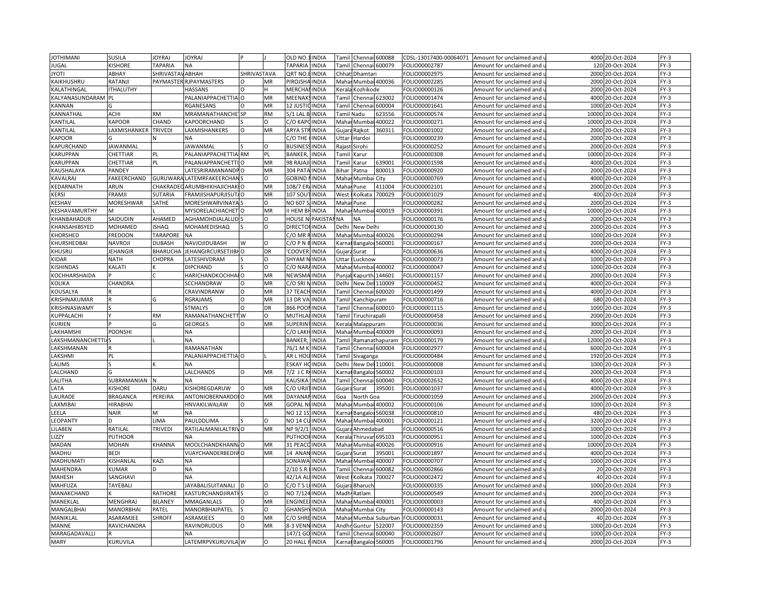| <b>JOTHIMANI</b>   | SUSILA           | <b>IOYRAI</b>           | <b>JOYRAJ</b>                  |             |           | OLD NO               | <b>INDIA</b> | Tamil                                                                                                                                                         | Chennai                    | 600088                | CDSL-13017400-00064071         | Amount for unclaimed and                             | 4000 20-Oct-2024                   | $FY-3$ |
|--------------------|------------------|-------------------------|--------------------------------|-------------|-----------|----------------------|--------------|---------------------------------------------------------------------------------------------------------------------------------------------------------------|----------------------------|-----------------------|--------------------------------|------------------------------------------------------|------------------------------------|--------|
| JUGAL              | <b>KISHORE</b>   | <b>TAPARIA</b>          | ΝA                             |             |           | <b>TAPARIA</b>       | <b>INDIA</b> | Tamil                                                                                                                                                         | Chennai 600079             |                       | FOLIO00002787                  | Amount for unclaimed and                             | 120 20-Oct-2024                    | $FY-3$ |
| <b>JYOTI</b>       | ABHAY            | <b>SHRIVASTAV ABHAH</b> |                                | SHRIVASTAVA |           | QRT NO               | <b>INDIA</b> |                                                                                                                                                               | Chhat Dhamtar              |                       | FOLIO00002975                  | Amount for unclaimed and                             | 2000 20-Oct-2024                   | $FY-3$ |
| KAIKHUSHRU         | RATANJI          |                         | PAYMASTER RJPAYMASTERS         |             | MR        | PIROJSHA             | <b>INDIA</b> | Mahar                                                                                                                                                         |                            | Mumbai 400036         | OLIO00002285                   | Amount for unclaimed and                             | 2000<br>20-Oct-2024                | $FY-3$ |
| KALATHINGAL        | <b>ITHALUTHY</b> |                         | <b>HASSANS</b>                 | $\Omega$    |           | MERCHA               | <b>INDIA</b> | <erala< td=""><td>Kozhikode</td><td></td><td>FOLIO00000126</td><td>Amount for unclaimed and</td><td>2000 20-Oct-2024</td><td><math>FY-3</math></td></erala<>  | Kozhikode                  |                       | FOLIO00000126                  | Amount for unclaimed and                             | 2000 20-Oct-2024                   | $FY-3$ |
| KALYANASUNDARAM PL |                  |                         | PALANIAPPACHETTIA O            |             | MR        | MEENAK               | <b>INDIA</b> | <b>Tamil</b>                                                                                                                                                  | Chennai 623002             |                       | OLIO00001474                   | Amount for unclaimed and                             | 4000<br>20-Oct-2024                | $FY-3$ |
| KANNAN             |                  |                         | RGANESANS                      | $\Omega$    | MR        | 12 JUSTIC            | <b>INDIA</b> |                                                                                                                                                               | <b>Tamil Chennai</b>       | 600004                | OLIO00001641                   | Amount for unclaimed and                             | 1000 20-Oct-2024                   | $FY-3$ |
| KANNATHAL          | <b>ACHI</b>      | <b>RM</b>               | MRAMANATHANCHE <sup>1</sup> SP |             | <b>RM</b> | 5/1 LAL B. INDIA     |              |                                                                                                                                                               | Tamil Nadu                 | 623556                | FOLIO00000574                  | Amount for unclaimed and                             | 10000<br>20-Oct-2024               | $FY-3$ |
| KANTILAL           | KAPOOR           | CHAND                   | KAPOORCHAND                    |             | O         | C/O KAPC             | <b>INDIA</b> |                                                                                                                                                               | Mahar Mumbai               | 400022                | OLIO00000271                   | Amount for unclaimed and                             | 10000 20-Oct-2024                  | $FY-3$ |
| KANTILAL           | LAXMISHANKER     | <b>TRIVEDI</b>          | LAXMISHANKERS                  | $\circ$     | MR        | <b>ARYA STI</b>      | RINDIA       |                                                                                                                                                               | Gujara Rajkot              | 360311                | FOLIO00001002                  | Amount for unclaimed and                             | 2000<br>20-Oct-2024                | $FY-3$ |
| <b>KAPOOR</b>      |                  |                         | <b>NA</b>                      |             |           | C/O THE              | <b>INDIA</b> | Jttar                                                                                                                                                         | Hardoi                     |                       | OLIO00000239                   | Amount for unclaimed and                             | 2000<br>20-Oct-2024                | $FY-3$ |
| KAPURCHAND         | <b>JAWANMAL</b>  |                         | <b>JAWANMAL</b>                |             | O         | <b>BUSINES</b>       | <b>INDIA</b> | Raiast                                                                                                                                                        | Sirohi                     |                       | FOLIO00000252                  | Amount for unclaimed and                             | 2000<br>20-Oct-2024                | $FY-3$ |
| KARUPPAN           | CHETTIAR         | PL                      | PALANIAPPACHETTIA              | <b>RM</b>   | PL        | <b>BANKER</b>        | <b>INDIA</b> | Tamil                                                                                                                                                         | Karur                      |                       | FOLIO00000308                  | Amount for unclaimed and                             | 10000<br>20-Oct-2024               | $FY-3$ |
| <b>KARUPPAN</b>    | CHETTIAR         | PL                      | PALANIAPPANCHETT               | $\Omega$    | MR        | 98 RAJA              | INDIA        | Tamil                                                                                                                                                         | Karur                      | 639001                | FOLIO00001598                  | Amount for unclaimed and                             | 4000 20-Oct-2024                   | $FY-3$ |
| KAUSHALAYA         | <b>PANDEY</b>    |                         | ATESRIRAMANANDP                |             | MR        | 304 PAT              | <b>INDIA</b> | Bihar                                                                                                                                                         | Patna                      | 800013                | FOLIO00000920                  | Amount for unclaimed and                             | 2000<br>20-Oct-2024                | $FY-3$ |
| KAVALRAJ           | FAKEERCHAND      | GURUWAR                 | <b>NLATEMRFAKEERCHAN</b>       |             | O         | GOBIND               | <b>INDIA</b> |                                                                                                                                                               | Mahar Mumbai City          |                       | OLIO00000769                   | Amount for unclaimed and                             | 4000 20-Oct-2024                   | $FY-3$ |
| KEDARNATH          | ARUN             | CHAKRAD                 | ARUMBHIKHAJICHAKIO             |             | MR        | 108/7 EF             | <b>INDIA</b> | Mahai                                                                                                                                                         | Pune                       | 411004                | FOLIO00002101                  | Amount for unclaimed and                             | 2000<br>20-Oct-2024                | $FY-3$ |
| KERSI              | FRAMJI           | <b>SUTARIA</b>          | FRAMJISHAPURJISUT/O            |             | MR        | 107 SOU <sup>-</sup> | <b>INDIA</b> | West                                                                                                                                                          | Kolkata                    | 700029                | OLIO00001029                   | Amount for unclaimed and                             | 400 20-Oct-2024                    | $FY-3$ |
| KESHAV             | MORESHWAR        | SATHE                   | MORESHWARVINAYA                |             | $\circ$   | NO 607               | <b>INDIA</b> | Mahar                                                                                                                                                         | Pune                       |                       | FOLIO00000282                  | Amount for unclaimed and                             | 2000<br>20-Oct-2024                | $FY-3$ |
| KESHAVAMURTHY      |                  |                         | MYSORELACHIACHET O             |             | MR        | <b>HEMB</b>          | <b>INDIA</b> |                                                                                                                                                               | Mahar Mumbai 400019        |                       | FOLIO00000391                  | Amount for unclaimed and                             | 10000 20-Oct-2024                  | $FY-3$ |
| KHANBAHADUR        | SAIDUDIN         | AHAMED                  | AGHAMOHDJALALUD                |             | O         | <b>HOUSE N</b>       | PAKISTA      | <b>NA</b>                                                                                                                                                     | <b>NA</b>                  |                       |                                |                                                      | 2000                               | $FY-3$ |
| KHANSAHIBSYED      | MOHAMED          | SHAQ                    | MOHAMEDISHAQ                   |             | O         | <b>DIRECTO</b>       | <b>INDIA</b> | Delhi                                                                                                                                                         | <b>New Delhi</b>           |                       | FOLIO00000176<br>FOLIO00000130 | Amount for unclaimed and<br>Amount for unclaimed and | 20-Oct-2024<br>2000<br>20-Oct-2024 | $FY-3$ |
| KHORSHED           | <b>FREDOON</b>   | <b>TARAPORE</b>         | <b>NA</b>                      |             |           | C/O MR               | <b>INDIA</b> | Mahai                                                                                                                                                         |                            | Mumbai 400026         | FOLIO00000294                  |                                                      | 1000<br>20-Oct-2024                | $FY-3$ |
|                    |                  | <b>DUBASH</b>           |                                | W           | $\Omega$  | 2/0 P N              | <b>INDIA</b> | arna)                                                                                                                                                         |                            |                       |                                | Amount for unclaimed and                             | 2000<br>20-Oct-2024                | $FY-3$ |
| KHURSHEDBAI        | NAVROJI          |                         | NAVJOJIDUBASH                  |             |           |                      |              |                                                                                                                                                               |                            | Bangaloi 560001       | FOLIO00000167                  | Amount for unclaimed and                             |                                    |        |
| KHUSRU             | <b>JEHANGIR</b>  | <b>BHARUCH</b>          | JEHANGIRCURSETJIBH O           |             | DR        | <b>COOVER</b>        | <b>INDIA</b> | Gujara                                                                                                                                                        | Surat                      |                       | FOLIO00000636                  | Amount for unclaimed and                             | 4000<br>20-Oct-2024                | $FY-3$ |
| KIDAR              | <b>NATH</b>      | CHOPRA                  | <b>ATESHIVDRAM</b>             |             | O<br>O    | SHYAM                | <b>INDIA</b> | Jttar                                                                                                                                                         | Lucknow                    |                       | FOLIO00000073                  | Amount for unclaimed and                             | 1000<br>20-Oct-2024                | $FY-3$ |
| KISHINDAS          | KALATI           |                         | DIPCHAND                       |             |           | C/O NAR              | <b>INDIA</b> |                                                                                                                                                               | Mahar Mumbai 400002        |                       | OLIO00000047                   | Amount for unclaimed and                             | 1000 20-Oct-2024                   | $FY-3$ |
| KOCHHARSHAIDA      |                  |                         | HARICHANDKOCHHAIO              |             | MR        | NEWSM.               | <b>INDIA</b> | Punja                                                                                                                                                         | Kapurth                    | 144601                | OLIO00001157                   | Amount for unclaimed and                             | 2000<br>20-Oct-2024                | $FY-3$ |
| KOLIKA             | CHANDRA          |                         | SCCHANDRAW                     | $\Omega$    | MR        | C/O SRI MINDIA       |              | Delhi                                                                                                                                                         | New Del 110009             |                       | OLIO00000452                   | Amount for unclaimed and                             | 4000 20-Oct-2024                   | $FY-3$ |
| KOUSALYA           |                  |                         | CRAVINDRANW                    | $\Omega$    | MR        | 37 TEACI             | <b>INDIA</b> | Tamil                                                                                                                                                         | Chennai 600020             |                       | OLIO00001499                   | Amount for unclaimed and                             | 4000 20-Oct-2024                   | $FY-3$ |
| KRISHNAKUMAF       |                  | G                       | RGRAJAMS                       | O           | MR        | 13 DR VA             | <b>INDIA</b> | <b>Tamil</b>                                                                                                                                                  | <b>Canchipuram</b>         |                       | FOLIO00000716                  | Amount for unclaimed and                             | 680 20-Oct-2024                    | $FY-3$ |
| KRISHNASWAMY       |                  |                         | <b>STMALYS</b>                 | O           | DR        | 866 POO              | <b>INDIA</b> | <b>Tamil</b>                                                                                                                                                  |                            | Chennai 600010        | FOLIO00001115                  | Amount for unclaimed and                             | 1000<br>20-Oct-2024                | $FY-3$ |
| KUPPALACHI         |                  | <b>RM</b>               | RAMANATHANCHETT W              |             |           | <b>MUTHLA</b>        | <b>INDIA</b> | <b>Tamil</b>                                                                                                                                                  | Tiruchirapalli             |                       | OLIO00000458                   | Amount for unclaimed and                             | 2000<br>20-Oct-2024                | $FY-3$ |
| <b>KURIEN</b>      |                  |                         | <b>GEORGES</b>                 | $\Omega$    | MR        | SUPERIN              | <b>INDIA</b> | <erala< td=""><td>Malappuram</td><td></td><td>FOLIO00000036</td><td>Amount for unclaimed and</td><td>3000 20-Oct-2024</td><td><math>FY-3</math></td></erala<> | Malappuram                 |                       | FOLIO00000036                  | Amount for unclaimed and                             | 3000 20-Oct-2024                   | $FY-3$ |
| LAKHAMSHI          | <b>POONSHI</b>   |                         | <b>NA</b>                      |             |           | C/O LAK              | <b>INDIA</b> | Maha                                                                                                                                                          |                            | Mumbai 400009         | FOLIO00000093                  | Amount for unclaimed and                             | 2000<br>20-Oct-2024                | $FY-3$ |
| LAKSHMANANCHETTIA  |                  |                         | ΝA                             |             |           | <b>BANKER</b>        | <b>INDIA</b> | <b>Tamil</b>                                                                                                                                                  |                            | Ramanathapuram        | OLIO00000179                   | Amount for unclaimed and                             | 12000<br>20-Oct-2024               | $FY-3$ |
| LAKSHMANAN         |                  |                         | RAMANATHAN                     |             |           | 76/1 M               | <b>INDIA</b> | Tamil                                                                                                                                                         | Chennai 600004             |                       | OLIO00002977                   | Amount for unclaimed and                             | 6000<br>20-Oct-2024                | $FY-3$ |
| LAKSHMI            | PL               |                         | PALANIAPPACHETTIA O            |             |           | AR L HOI             | <b>INDIA</b> |                                                                                                                                                               | Tamil Sivaganga            |                       | OLIO00000484                   | Amount for unclaimed and                             | 1920 20-Oct-2024                   | $FY-3$ |
| LALIMS             |                  |                         | <b>NA</b>                      |             |           | ESKAY H              | <b>INDIA</b> | Delhi                                                                                                                                                         | New Del 110001             |                       | FOLIO00000008                  | Amount for unclaimed and                             | 1000 20-Oct-2024                   | $FY-3$ |
| LALCHAND           |                  |                         | LALCHANDS                      | $\Omega$    | MR        | 7/2 J C R            | <b>INDIA</b> |                                                                                                                                                               | Carnal Bangalor            | 560002                | OLIO00000103                   | Amount for unclaimed and                             | 2000<br>20-Oct-2024                | $FY-3$ |
| LALITHA            | SUBRAMANIAN      | N                       | <b>NA</b>                      |             |           | KAUSIKA              | <b>INDIA</b> | Tamil                                                                                                                                                         | Chennai                    | 600040                | FOLIO00002632                  | Amount for unclaimed and                             | 4000<br>20-Oct-2024                | $FY-3$ |
| LATA               | <b>KISHORE</b>   | DARU                    | KISHOREGDARUW                  | $\Omega$    | MR        | C/O URJI             | <b>INDIA</b> | Gujar                                                                                                                                                         | Surat                      | 395001                | OLIO00001037                   | Amount for unclaimed and                             | 4000<br>20-Oct-2024                | $FY-3$ |
| LAURADE            | <b>BRAGANCA</b>  | PEREIRA                 | ANTONIOBERNARDOI O             |             | MR        | <b>DAYANA</b>        | <b>INDIA</b> | Goa                                                                                                                                                           | North Goa                  |                       | FOLIO00001059                  | Amount for unclaimed and                             | 2000<br>20-Oct-2024                | $FY-3$ |
| LAXMIBA            | <b>HIRABHAI</b>  |                         | HNVAKILWALAW                   | O           | MR        | <b>GOPAL N</b>       | <b>INDIA</b> | Maha                                                                                                                                                          | Mumbai                     | 400002                | OLIO00000106                   | Amount for unclaimed and                             | 1000<br>20-Oct-2024                | $FY-3$ |
| LEELA              | <b>NAIR</b>      | М                       | NA                             |             |           | NO 12 19             | <b>INDIA</b> | Karna                                                                                                                                                         | <b>Bangalor</b>            | 560038                | FOLIO00000810                  | Amount for unclaimed and                             | 480 20-Oct-2024                    | $FY-3$ |
| LEOPANTY           |                  | LIMA                    | PAULDDLIMA                     |             |           | NO 14 C              | <b>INDIA</b> | Maha                                                                                                                                                          | Mumbai                     | 400001                | FOLIO00000121                  | Amount for unclaimed and                             | 3200<br>20-Oct-2024                | $FY-3$ |
| LILABEN            | RATILAL          | TRIVEDI                 | RATILALMANILALTRIVO            |             | MR        | NP 9/2/1             | <b>INDIA</b> |                                                                                                                                                               | Gujara Ahmedabad           |                       | OLIO00000516                   | Amount for unclaimed and                             | 1000 20-Oct-2024                   | $FY-3$ |
| LIZZY              | PUTHOOR          |                         | <b>NA</b>                      |             |           | PUTHOO               | <b>INDIA</b> | Kerala                                                                                                                                                        | Thiruvar <sub>695103</sub> |                       | FOLIO00000951                  | Amount for unclaimed and                             | 1000 20-Oct-2024                   | FY-3   |
| MADAN              | <b>MOHAN</b>     | KHANNA                  | MOOLCHANDKHANN, O              |             | MR        | 31 PEAC              | <b>INDIA</b> | Mahar                                                                                                                                                         | Mumbai                     | 400026                | OLIO00000916                   | Amount for unclaimed and                             | 10000 20-Oct-2024                  | $FY-3$ |
| <b>MADHU</b>       | <b>BEDI</b>      |                         | VIJAYCHANDERBEDIVO             |             | MR        | 14 ANAI              | <b>INDIA</b> | Gujara                                                                                                                                                        | Surat                      | 395001                | FOLIO00001897                  | Amount for unclaimed and                             | 4000<br>20-Oct-2024                | $FY-3$ |
| <b>MADHUMATI</b>   | KISHANLAL        | KAZI                    | <b>NA</b>                      |             |           | <b>SONAWA</b>        | <b>INDIA</b> | Maha                                                                                                                                                          | Mumba                      | 400007                | FOLIO00000707                  | Amount for unclaimed and                             | 1000 20-Oct-2024                   | $FY-3$ |
| MAHENDRA           | <b>KUMAR</b>     | D                       | <b>NA</b>                      |             |           | 2/10 S.R.            | <b>INDIA</b> | Tamil                                                                                                                                                         | Chenna                     | 600082                | FOLIO00002866                  | Amount for unclaimed and                             | 20 20-Oct-2024                     | $FY-3$ |
| <b>MAHESH</b>      | SANGHAVI         |                         | <b>NA</b>                      |             |           | 42/1A Al             | <b>INDIA</b> | West                                                                                                                                                          | Kolkata                    | 700027                | FOLIO00002472                  | Amount for unclaimed and                             | 40 20-Oct-2024                     | $FY-3$ |
| MAHFUZA            | TAYEBALI         |                         | <b>JAYABALISUITANALI</b>       |             | O         | C/OTS                | <b>INDIA</b> | Gujar                                                                                                                                                         | Bharuch                    |                       | FOLIO00000335                  | Amount for unclaimed and                             | 1000 20-Oct-2024                   | $FY-3$ |
| MANAKCHAND         |                  | <b>RATHORE</b>          | KASTURCHANDJIRAT               |             |           | NO 7/12              | <b>INDIA</b> | Madł                                                                                                                                                          | Ratlam                     |                       | OLIO00000549                   | Amount for unclaimed and                             | 2000<br>20-Oct-2024                | $FY-3$ |
| MANEKLAL           | MENGHRAJ         | BILANEY                 | MMAGANLALS                     |             | MR        | <b>ENGINEE</b>       | <b>INDIA</b> |                                                                                                                                                               | Mahar Mumbai 400001        |                       | FOLIO00000003                  | Amount for unclaimed and                             | 400 20-Oct-2024                    | $FY-3$ |
| MANGALBHAI         | MANORBHAI        | PATEL                   | MANORBHAIPATEL                 |             | $\Omega$  | <b>GHANSI</b>        | <b>INDIA</b> | Maha                                                                                                                                                          | Mumbai City                |                       | OLIO00000143                   | Amount for unclaimed and                             | 2000 20-Oct-2024                   | $FY-3$ |
| MANIKLAL           | ASARAMJEE        | <b>SHROFF</b>           | ASRAMJEES                      | $\circ$     | MR        | C/O SHREINDIA        |              |                                                                                                                                                               |                            | Mahar Mumbai Suburban | FOLIO00000031                  | Amount for unclaimed and                             | 40 20-Oct-2024                     | $FY-3$ |
| MANNE              | RAVICHANDRA      |                         | RAVINDRUDUS                    | $\circ$     | MR        | 8-3 VENI             | <b>INDIA</b> | Andh                                                                                                                                                          | Guntur                     | 522007                | FOLIO00002359                  | Amount for unclaimed and                             | 1000 20-Oct-2024                   | $FY-3$ |
| MARAGADAVALLI      |                  |                         | <b>NA</b>                      |             |           | 147/1 GC             | <b>INDIA</b> | <b>Tamil</b>                                                                                                                                                  | Chennai                    | 600040                | OLIO00002607                   | Amount for unclaimed and                             | 1000 20-Oct-2024                   | $FY-3$ |
| <b>MARY</b>        | KURUVILA         |                         | LATEMRPVKURUVILA W             |             | O         | 20 HALL FINDIA       |              |                                                                                                                                                               | Carnal Bangaloi 560005     |                       | FOLIO00001796                  | Amount for unclaimed and                             | 2000 20-Oct-2024                   | $FY-3$ |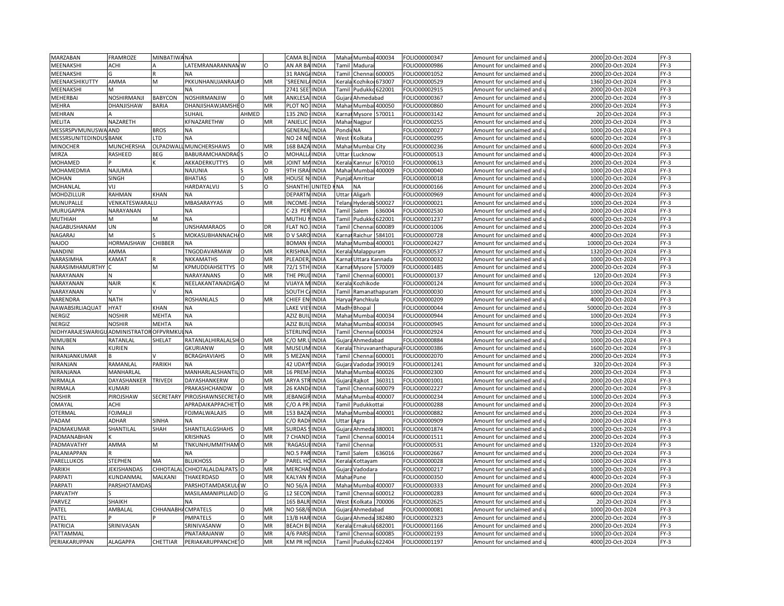| MARZABAN                      | FRAMROZE                      | <b>MINBATIWANA</b> |                                 |          |          | <b>CAMA BI</b>     | <b>INDIA</b> | Maha   |                      | Mumbai 400034     | FOLIO00000347                  | Amount for unclaimed and                             | 2000 20-Oct-2024     | $FY-3$ |
|-------------------------------|-------------------------------|--------------------|---------------------------------|----------|----------|--------------------|--------------|--------|----------------------|-------------------|--------------------------------|------------------------------------------------------|----------------------|--------|
| MEENAKSHI                     | ACHI                          |                    | LATEMRANARANNAMW                |          | $\Omega$ | AN AR BA           | <b>INDIA</b> | Tamil  | Madurai              |                   | FOLIO00000986                  | Amount for unclaimed and                             | 2000 20-Oct-2024     | $FY-3$ |
| MEENAKSHI                     |                               |                    | <b>NA</b>                       |          |          | 31 RANG            | <b>INDIA</b> | Tamil  | Chennai              | 600005            | FOLIO00001052                  | Amount for unclaimed and                             | 2000 20-Oct-2024     | $FY-3$ |
| MEENAKSHIKUTTY                | AMMA                          | M                  | PKKUNHANUJANRAJA O              |          | MR       | 'SREENII           | <b>INDIA</b> | Kerala |                      | Kozhiko 673007    | FOLIO00000529                  | Amount for unclaimed and                             | 1360 20-Oct-2024     | $FY-3$ |
| MEENAKSHI                     | M                             |                    | <b>NA</b>                       |          |          | 2741 SEE           | <b>INDIA</b> | Tami   |                      | Pudukko 622001    | FOLIO00002915                  | Amount for unclaimed and                             | 2000<br>20-Oct-2024  | $FY-3$ |
| MEHERBAI                      | NOSHIRMANJI                   | <b>BABYCON</b>     | NOSHIRMANJIW                    | $\Omega$ | MR       | <b>ANKLESA</b>     | INDIA        | Gujar  | Ahmedabad            |                   | FOLIO00000367                  | Amount for unclaimed and                             | 2000<br>20-Oct-2024  | $FY-3$ |
| <b>MEHRA</b>                  | DHANJISHAW                    | BARIA              | DHANJISHAWJAMSHEO               |          | MR       | PLOT NO            | <b>INDIA</b> | Mahar  |                      | Mumbai 400050     | FOLIO00000860                  | Amount for unclaimed and                             | 2000 20-Oct-2024     | $FY-3$ |
| MEHRAN                        |                               |                    | SUHAIL                          | AHMED    |          | 135 2ND            | <b>INDIA</b> | arna)  | Mysore               | 570011            | FOLIO00003142                  | Amount for unclaimed and                             | 20 20-Oct-2024       | $FY-3$ |
| MELITA                        | NAZARETH                      |                    | KFNAZARETHW                     | 0        | MR       | 'ANJELIC           | <b>INDIA</b> |        | Mahar Nagpur         |                   | FOLIO00000255                  | Amount for unclaimed and                             | 2000<br>20-Oct-2024  | $FY-3$ |
| MESSRSPVMUNUSWAAND            |                               | <b>BROS</b>        | <b>NA</b>                       |          |          | GENERA             | <b>INDIA</b> | Pondi  | <b>NA</b>            |                   | FOLIO00000027                  | Amount for unclaimed and                             | 1000 20-Oct-2024     | $FY-3$ |
| <b>MESSRSUNITEDINDUS BANK</b> |                               | LTD                | NΑ                              |          |          | NO 24 NI           | <b>INDIA</b> | West   | Kolkata              |                   | FOLIO00000295                  | Amount for unclaimed and                             | 6000 20-Oct-2024     | $FY-3$ |
| <b>MINOCHER</b>               | MUNCHERSHA                    | OLPADWAI           | MUNCHERSHAWS                    | $\Omega$ | MR       | 168 BAZ            | <b>INDIA</b> | Mahar  | Mumbai City          |                   | FOLIO00000236                  | Amount for unclaimed and                             | 6000 20-Oct-2024     | $FY-3$ |
| MIRZA                         | RASHEED                       | BEG                | BABURAMCHANDRAC                 |          | O        | MOHALL             | <b>INDIA</b> | Uttar  | Lucknow              |                   | FOLIO00000513                  | Amount for unclaimed and                             | 4000 20-Oct-2024     | $FY-3$ |
| MOHAMED                       |                               |                    | AKKADERKUTTYS                   | O        | MR       | <b>JOINT M</b>     | INDIA        | Kerala | Kannur               | 670010            | FOLIO00000613                  | Amount for unclaimed and                             | 2000<br>20-Oct-2024  | $FY-3$ |
| MOHAMEDMIA                    | NAJUMIA                       |                    | NAJUNIA                         |          | $\Omega$ | 9TH ISR/           | INDIA        | Maha   | Mumbai               | 400009            | FOLIO00000040                  | Amount for unclaimed and                             | 1000<br>20-Oct-2024  | $FY-3$ |
| <b>MOHAN</b>                  | SINGH                         |                    | <b>BHATIAS</b>                  | $\Omega$ | MR       | HOUSE <sub>N</sub> | <b>INDIA</b> | Punja  | Amritsar             |                   | FOLIO00000018                  | Amount for unclaimed and                             | 1000 20-Oct-2024     | $FY-3$ |
| MOHANLAL                      | VIJ                           |                    | HARDAYALVIJ                     |          | $\Omega$ | SHANTH             | UNITED       | NΑ     | NA                   |                   | FOLIO00000166                  | Amount for unclaimed and                             | 2000<br>20-Oct-2024  | $FY-3$ |
| MOHDZILLUR                    | RAHMAN                        | KHAN               |                                 |          |          | <b>DEPARTI</b>     | <b>INDIA</b> | Uttar  |                      |                   |                                |                                                      | 4000 20-Oct-2024     | $FY-3$ |
| MUNUPALLE                     | VENKATESWARALU                |                    | ΝA<br>MBASARAYYAS               | O        | MR       | <b>INCOME</b>      | <b>INDIA</b> | Telan  | Aligarh              | 500027            | FOLIO00000969<br>FOLIO00000021 | Amount for unclaimed and                             | 1000<br>20-Oct-2024  | $FY-3$ |
|                               |                               |                    |                                 |          |          |                    |              |        | Hyderab              |                   |                                | Amount for unclaimed and                             |                      |        |
| MURUGAPPA                     | NARAYANAN                     |                    | NΑ                              |          |          | C-23 PER           | <b>INDIA</b> | Tamil  | Salem                | 636004            | FOLIO00002530                  | Amount for unclaimed and                             | 2000 20-Oct-2024     | $FY-3$ |
| MUTHIAH                       | M                             | M                  | <b>NA</b>                       |          |          | <b>MUTHU</b>       | <b>INDIA</b> | Tamil  | <b>Pudukk</b>        | 622001            | FOLIO00001237                  | Amount for unclaimed and                             | 6000 20-Oct-2024     | $FY-3$ |
| NAGABUSHANAM                  | UN                            |                    | UNSHAMARAOS                     | $\circ$  | DR       | <b>FLAT NO</b>     | INDIA        | Tamil  | Chennai              | 600089            | FOLIO00001006                  | Amount for unclaimed and                             | 2000 20-Oct-2024     | $FY-3$ |
| NAGARAJ                       | м                             |                    | MOKASUBHANNACHA O               |          | MR       | D V SAR            | INDIA        | Karna  | Raichur              | 584101            | FOLIO00000728                  | Amount for unclaimed and                             | 4000<br>20-Oct-2024  | $FY-3$ |
| <b>NAJOO</b>                  | HORMAJSHAW                    | CHIBBER            |                                 |          |          | <b>BOMAN</b>       | INDIA        | Maha   | Mumbai               | 400001            | OLIO00002427                   | Amount for unclaimed and                             | 10000 20-Oct-2024    | $FY-3$ |
| <b>NANDIN</b>                 | AMMA                          |                    | TNGODAVARMAW                    | $\Omega$ | MR       | <b>KRISHNA</b>     | INDIA        | Kerala | Malappuram           |                   | FOLIO00000537                  | Amount for unclaimed and                             | 1320 20-Oct-2024     | $FY-3$ |
| NARASIMHA                     | KAMAT                         |                    | NKKAMATHS                       | $\Omega$ | MR       | <b>PLEADER</b>     | <b>INDIA</b> | (arnai | Uttara Kannada       |                   | FOLIO00000032                  | Amount for unclaimed and                             | 1000<br>20-Oct-2024  | $FY-3$ |
| NARASIMHAMURTHY               |                               | M                  | KPMUDDIAHSETTYS                 | $\circ$  | MR       | 72/1 5TH           | <b>INDIA</b> | Karnat | Mysore               | 570009            | FOLIO00001485                  | Amount for unclaimed and                             | 2000<br>20-Oct-2024  | FY-3   |
| NARAYANAN                     |                               |                    | NARAYANANS                      |          | MR       | THE PRL            | INDIA        | Tami   | Chenna               | 600001            | FOLIO00000137                  | Amount for unclaimed and                             | 20-Oct-2024<br>120   | $FY-3$ |
| NARAYANAN                     | <b>NAIR</b>                   |                    | NEELAKANTANADIGA O              |          | M        | VIJAYA M           | <b>INDIA</b> | Kerala | Kozhikode            |                   | FOLIO00000124                  | Amount for unclaimed and                             | 1000 20-Oct-2024     | $FY-3$ |
| NARAYANAN                     |                               |                    | <b>NA</b>                       |          |          | SOUTH <sub>C</sub> | INDIA        | Tamil  |                      | Ramanathapuram    | FOLIO00000030                  | Amount for unclaimed and                             | 1000 20-Oct-2024     | $FY-3$ |
| NARENDRA                      | <b>NATH</b>                   |                    | ROSHANLALS                      | O        | MR       | <b>CHIEF EN</b>    | <b>INDIA</b> | Haryai | Panchkula            |                   | FOLIO00000209                  | Amount for unclaimed and                             | 4000 20-Oct-2024     | $FY-3$ |
| NAWABSIRLIAQUAT               | <b>HYAT</b>                   | <b>KHAN</b>        | <b>NA</b>                       |          |          | <b>LAKE VIE</b>    | <b>INDIA</b> | Madh   | Bhopal               |                   | FOLIO00000044                  | Amount for unclaimed and                             | 50000<br>20-Oct-2024 | $FY-3$ |
| NERGIZ                        | <b>NOSHIR</b>                 | MEHTA              | NΑ                              |          |          | AZIZ BUI           | INDIA        | Mahai  |                      | Mumbai 400034     | FOLIO00000944                  | Amount for unclaimed and                             | 1000 20-Oct-2024     | $FY-3$ |
| NERGIZ                        | NOSHIR                        | MEHTA              | <b>NA</b>                       |          |          | AZIZ BUI           | <b>INDIA</b> | Mahar  | Mumbai               | 400034            | FOLIO00000945                  | Amount for unclaimed and                             | 1000 20-Oct-2024     | $FY-3$ |
| NIDHYARAJESWARIGL             | <b>JADMINISTRATOR OFPVRMK</b> |                    | <b>NA</b>                       |          |          | STERLING           | <b>INDIA</b> | Tamil  | Chennai              | 600034            | FOLIO00002924                  | Amount for unclaimed and                             | 7000<br>20-Oct-2024  | $FY-3$ |
| NIMUBEN                       | RATANLAI                      | SHELAT             | RATANLALHIRALALSHO              |          | MR       | C/O MR             | INDIA        | Gujara | Ahmedabad            |                   | FOLIO00000884                  | Amount for unclaimed and                             | 1000<br>20-Oct-2024  | $FY-3$ |
| <b>NINA</b>                   | KURIEN                        |                    | <b>GKURIANW</b>                 | $\Omega$ | MR       | MUSEU              | <b>INDIA</b> | Kerala |                      | Thiruvananthapura | FOLIO00000386                  | Amount for unclaimed and                             | 1600<br>20-Oct-2024  | $FY-3$ |
| NIRANJANKUMAR                 |                               |                    | <b>BCRAGHAVIAHS</b>             | $\Omega$ | MR       | 5 MEZAN            | <b>INDIA</b> | Tamil  |                      | Chennai 600001    | FOLIO00002070                  | Amount for unclaimed and                             | 2000 20-Oct-2024     | $FY-3$ |
| NIRANJAN                      | RAMANLAL                      | PARIKH             | <b>NA</b>                       |          |          | 42 UDAY            | <b>INDIA</b> | Gujara | Vadoda               | 390019            | FOLIO00001241                  | Amount for unclaimed and                             | 320 20-Oct-2024      | $FY-3$ |
| NIRANJANA                     | MANHARLAL                     |                    | MANHARLALSHANTIL O              |          | MR       | 16 PREM            | <b>INDIA</b> | Mahar  | Mumbai               | 400026            | FOLIO00002300                  | Amount for unclaimed and                             | 2000 20-Oct-2024     | $FY-3$ |
| NIRMALA                       | DAYASHANKER                   | <b>TRIVEDI</b>     | DAYASHANKERW                    | $\Omega$ | MR       | <b>ARYA ST</b>     | INDIA        | Gujara | Rajkot               | 360311            | FOLIO00001001                  | Amount for unclaimed and                             | 2000<br>20-Oct-2024  | $FY-3$ |
| NIRMALA                       | KUMARI                        |                    | PRAKASHCHANDW                   |          | MR       | 26 KAND            | <b>INDIA</b> | Tamil  | Chennai              | 600079            | FOLIO00002227                  | Amount for unclaimed and                             | 2000 20-Oct-2024     | $FY-3$ |
| <b>NOSHIR</b>                 | PIROJSHAW                     | <b>SECRETARY</b>   | PIROJSHAWNSECRETA O             |          | MR       | <b>JEBANGI</b>     | <b>INDIA</b> | Mahar  |                      | Mumbai 400007     | OLIO00000234                   | Amount for unclaimed and                             | 1000<br>20-Oct-2024  | $FY-3$ |
| OMAYAL                        | ACHI                          |                    | APRADAIKAPPACHET                |          | MR       | $C/O$ A PF         | INDIA        | Tami   | Pudukkottai          |                   | FOLIO00000288                  | Amount for unclaimed and                             | 2000<br>20-Oct-2024  | $FY-3$ |
| OTERMAI                       | FOJMALJI                      |                    | <b>FOJMALWALAJIS</b>            | O        | MR       | 153 BAZ/           | <b>INDIA</b> | Mahar  |                      | Mumbai 400001     | FOLIO00000882                  | Amount for unclaimed and                             | 2000<br>20-Oct-2024  | $FY-3$ |
| PADAM                         | ADHAR                         | SINHA              | <b>NA</b>                       |          |          | C/O RAD            | <b>INDIA</b> | Uttar  | Agra                 |                   | FOLIO00000909                  | Amount for unclaimed and                             | 20-Oct-2024<br>2000  | $FY-3$ |
| PADMAKUMAR                    | SHANTILAL                     | SHAH               | SHANTILALGSHAHS                 | $\Omega$ | MR       | <b>SURDAS</b>      | <b>INDIA</b> | Gujara | Ahmeda               | 380001            | FOLIO00001874                  | Amount for unclaimed and                             | 1000 20-Oct-2024     | $FY-3$ |
| PADMANABHAN                   |                               |                    | <b>KRISHNAS</b>                 | $\Omega$ | MR       | 7 CHAND            | <b>INDIA</b> | Tami   | Chenna               | 600014            | FOLIO00001511                  | Amount for unclaimed and                             | 2000 20-Oct-2024     | $FY-3$ |
| PADMAVATHY                    | AMMA                          | M                  | TNKUNHUMMITHAM O                |          | MR       | <b>RAGASU</b>      | <b>INDIA</b> | Tamil  | Chenna               |                   | FOLIO00000531                  | Amount for unclaimed and                             | 1320 20-Oct-2024     | $FY-3$ |
| PALANIAPPAN                   |                               |                    | <b>NA</b>                       |          |          | NO.5 PAR           | <b>INDIA</b> | Tamil  | Salem                | 636016            | FOLIO00002667                  | Amount for unclaimed and                             | 2000 20-Oct-2024     | $FY-3$ |
| PARELLUKOS                    | STEPHEN                       | MA                 | <b>BLUKHOSS</b>                 |          |          | PAREL HO           | <b>INDIA</b> | Kerala | Kottayam             |                   | FOLIO00000028                  | Amount for unclaimed and                             | 1000 20-Oct-2024     | $FY-3$ |
| PARIKH                        | JEKISHANDAS                   | CHHOTALA           | CHHOTALALDALPATS O              |          | MR       | <b>MERCHA</b>      | <b>INDIA</b> | Gujara | Vadodara             |                   | FOLIO00000217                  |                                                      | 1000 20-Oct-2024     | $FY-3$ |
| PARPATI                       | KUNDANMAL                     | MALKANI            | THAKERDASD                      | $\Omega$ | MR       | KALYAN             | INDIA        | Mahar  | Pune                 |                   | FOLIO00000350                  | Amount for unclaimed and<br>Amount for unclaimed and | 4000<br>20-Oct-2024  | $FY-3$ |
| <b>PARPATI</b>                |                               |                    |                                 |          | $\Omega$ |                    |              |        |                      |                   |                                |                                                      |                      | $FY-3$ |
|                               | PARSHOTAMDAS                  |                    | PARSHOTAMDASKULI W              |          |          | NO 56/A            | INDIA        | Mahar  |                      | Mumbai 400007     | FOLIO00000333                  | Amount for unclaimed and                             | 2000 20-Oct-2024     |        |
| PARVATHY                      |                               |                    | MASILAMANIPILLAID O             |          | G        | 12 SECO            | <b>INDIA</b> | Tami   | Chenna               | 600012            | FOLIO00000283                  | Amount for unclaimed and                             | 6000<br>20-Oct-2024  | $FY-3$ |
| PARVEZ                        | SHAIKH                        |                    | NА                              |          |          | 165 BALR           | <b>INDIA</b> | West   | Kolkata              | 700006            | FOLIO00002625                  | Amount for unclaimed and                             | 20 20-Oct-2024       | $FY-3$ |
| PATEL                         | AMBALAL                       | CHHANABI           | <b>CMPATELS</b>                 | $\Omega$ | MR       | <b>NO 568</b>      | <b>INDIA</b> | Gujara | Ahmedabad            |                   | FOLIO00000081                  | Amount for unclaimed and                             | 1000 20-Oct-2024     | $FY-3$ |
| PATEL                         |                               |                    | PMPATELS                        | $\Omega$ | MR       | 13/B HAR INDIA     |              |        | Gujara Ahmeda 382480 |                   | FOLIO00002323                  | Amount for unclaimed and                             | 2000 20-Oct-2024     | $FY-3$ |
| PATRICIA                      | SRINIVASAN                    |                    | SRINIVASANW                     | $\circ$  | MR       | <b>BEACH B</b>     | <b>INDIA</b> | Kerala | Ernakula             | 682001            | FOLIO00001166                  | Amount for unclaimed and                             | 2000 20-Oct-2024     | $FY-3$ |
| PATTAMMAL                     |                               |                    | PNATARAJANW                     | $\Omega$ | MR       | 4/6 PARS           | <b>INDIA</b> | Tamil  | Chennai              | 600085            | FOLIO00002193                  | Amount for unclaimed and                             | 1000 20-Oct-2024     | $FY-3$ |
| PERIAKARUPPAN                 | ALAGAPPA                      | CHETTIAR           | PERIAKARUPPANCHE <sup>1</sup> O |          | MR       | KM PR H            | <b>INDIA</b> | Tamil  |                      | Pudukko 622404    | FOLIO00001197                  | Amount for unclaimed and                             | 4000 20-Oct-2024     | $FY-3$ |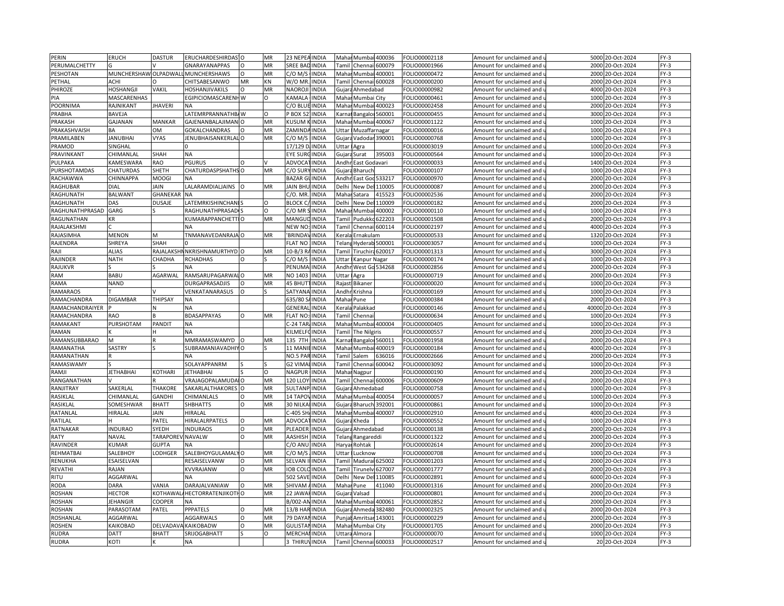| PERIN           | ERUCH                | <b>DASTUR</b>  | ERUCHARDESHIRDAS <sup>1</sup> O |          | MR        | 23 NEPEA INDIA  |              | Maha          | Mumbai 400036          |        | FOLIO00002118 | Amount for unclaimed and                               | 5000  | 20-Oct-2024      | $FY-3$ |
|-----------------|----------------------|----------------|---------------------------------|----------|-----------|-----------------|--------------|---------------|------------------------|--------|---------------|--------------------------------------------------------|-------|------------------|--------|
| PERUMALCHETTY   |                      |                | GNARAYANAPPAS                   | O        | MR        | <b>SREE BAD</b> | <b>INDIA</b> | Tamil         | Chennai 600079         |        | FOLIO00001966 | Amount for unclaimed and u                             |       | 2000 20-Oct-2024 | $FY-3$ |
| <b>PESHOTAN</b> | MUNCHERSHAW OLPADWAL |                | <b>MUNCHERSHAWS</b>             | O        | MR        | C/O M/S         | <b>INDIA</b> |               | Mahar Mumbai 400001    |        | FOLIO00000472 | Amount for unclaimed and                               |       | 2000 20-Oct-2024 | $FY-3$ |
| PETHAL          | ACHI                 |                | CHITSABESANWO                   | MR       | KN        | W/O MR.         | <b>INDIA</b> | Tamil         | Chennai 600028         |        | FOLIO00000200 | Amount for unclaimed and u                             | 2000  | 20-Oct-2024      | $FY-3$ |
| PHIROZE         | HOSHANGJI            | VAKIL          | HOSHANJIVAKILS                  | O        | MR        | NAOROJ          | <b>INDIA</b> | Gujara        | Ahmedabad              |        | FOLIO00000982 | Amount for unclaimed and                               | 4000  | 20-Oct-2024      | $FY-3$ |
| PIA             | MASCARENHAS          |                | EGIPICIOMASCARENHW              |          | Ω         | <b>KAMALA</b>   | <b>INDIA</b> | Maha          | Mumbai City            |        | FOLIO00000461 | Amount for unclaimed and                               |       | 1000 20-Oct-2024 | $FY-3$ |
| POORNIMA        | RAJNIKANT            | <b>JHAVERI</b> | NA                              |          |           | C/O BLUE INDIA  |              |               | Mahar Mumbai 400023    |        | FOLIO00002458 | Amount for unclaimed and                               |       | 2000 20-Oct-2024 | $FY-3$ |
| PRABHA          | BAVEJA               |                | ATEMRPRANNATHB/W                |          | O         | BOX 5.          | <b>INDIA</b> | Karna         | Bangaloi 560001        |        | FOLIO00000455 | Amount for unclaimed and                               | 3000  | 20-Oct-2024      | $FY-3$ |
| PRAKASH         | GAJANAN              | MANKAR         | <b>GAJENANBALAJIMANIO</b>       |          | MR        | KUSUM           | <b>INDIA</b> |               | Mahar Mumbai 400067    |        | FOLIO00001122 |                                                        |       | 1000 20-Oct-2024 | $FY-3$ |
| PRAKASHVAISH    | BA                   | <b>OM</b>      | <b>GOKALCHANDRAS</b>            | $\Omega$ | MR        | ZAMIND.         | <b>INDIA</b> | Uttar         | Muzaffarnagar          |        | FOLIO00000016 | Amount for unclaimed and u<br>Amount for unclaimed and | 1000  | 20-Oct-2024      | $FY-3$ |
| PRAMILABEN      | <b>JANUBHAI</b>      | <b>VYAS</b>    | JENUBHAISANKERLAL O             |          | MR        | C/O M/S         | <b>INDIA</b> |               | Gujara Vadodar 390001  |        | FOLIO00000768 | Amount for unclaimed and                               | 1000  | 20-Oct-2024      | $FY-3$ |
| PRAMOD          | SINGHAL              |                |                                 |          |           | 17/129 D        | <b>INDIA</b> | Uttar         |                        |        |               |                                                        | 1000  |                  | $FY-3$ |
|                 |                      |                |                                 |          |           |                 |              |               | Agra                   |        | FOLIO00003019 | Amount for unclaimed and                               |       | 20-Oct-2024      |        |
| PRAVINKANT      | CHIMANLAL            | <b>SHAH</b>    | <b>NA</b>                       |          |           | EYE SURO        | <b>INDIA</b> |               | Guiara Surat           | 395003 | FOLIO00000564 | Amount for unclaimed and                               | 1000  | 20-Oct-2024      | $FY-3$ |
| PULPAKA         | KAMESWARA            | RAO            | <b>PGURUS</b>                   | O        |           | ADVOCA          | <b>INDIA</b> | Andh          | East Godavari          |        | FOLIO00000033 | Amount for unclaimed and                               | 1400  | 20-Oct-2024      | $FY-3$ |
| PURSHOTAMDAS    | CHATURDAS            | SHETH          | CHATURDASPSHATHS O              |          | MR        | C/O SUR         | INDIA        |               | Gujara Bharuch         |        | FOLIO00000107 | Amount for unclaimed and                               | 1000  | 20-Oct-2024      | $FY-3$ |
| RACHAWWA        | CHINNAPPA            | MOOGI          | NA                              |          |           | <b>BAZAR GI</b> | <b>INDIA</b> | Andhi         | East God!              | 533217 | FOLIO00000970 | Amount for unclaimed and                               |       | 2000 20-Oct-2024 | $FY-3$ |
| RAGHUBAR        | DIAL                 | <b>JAIN</b>    | LALARAMDIALJAINS                |          | MR        | <b>JAIN BHU</b> | <b>INDIA</b> | Delhi         | New Del                | 110005 | FOLIO00000087 | Amount for unclaimed and                               | 2000  | 20-Oct-2024      | $FY-3$ |
| RAGHUNATH       | <b>BALWANT</b>       | GHANEKAR       | <b>NA</b>                       |          |           | C/O. MR.        | <b>INDIA</b> |               | Mahar Satara           | 415523 | FOLIO00002536 | Amount for unclaimed and u                             |       | 2000 20-Oct-2024 | $FY-3$ |
| RAGHUNATH       | DAS                  | <b>DUSAJE</b>  | LATEMRKISHINCHANI!              |          | $\Omega$  | <b>BLOCK C</b>  | <b>INDIA</b> | Delhi         | New De                 | 110009 | FOLIO00000182 | Amount for unclaimed and                               | 2000  | 20-Oct-2024      | $FY-3$ |
| RAGHUNATHPRASAD | GARG                 |                | RAGHUNATHPRASADI                |          | $\Omega$  | C/O MR          | <b>INDIA</b> | Mahar         | Mumbai                 | 400002 | FOLIO00000110 | Amount for unclaimed and                               | 1000  | 20-Oct-2024      | $FY-3$ |
| RAGUNATHAN      | KR                   |                | KUMARAPPANCHETTIO               |          | MR        | MANGU           | <b>INDIA</b> | Tamil         | Pudukko                | 522203 | FOLIO00001508 | Amount for unclaimed and                               | 2000  | 20-Oct-2024      | $FY-3$ |
| RAJALAKSHMI     |                      |                | <b>NA</b>                       |          |           | NEW NO          | <b>INDIA</b> | Tamil         | Chennai 600114         |        | FOLIO00002197 | Amount for unclaimed and u                             | 4000  | 20-Oct-2024      | $FY-3$ |
| RAJASIMHA       | MENON                | м              | TNMANAVEDANRAJA O               |          | <b>MR</b> | <b>BRINDA</b>   | <b>INDIA</b> | Kerala        | Ernakulam              |        | FOLIO00000533 | Amount for unclaimed and                               |       | 1320 20-Oct-2024 | $FY-3$ |
| RAJENDRA        | SHREYA               | SHAH           |                                 |          |           | <b>FLAT NO</b>  | <b>INDIA</b> | <b>Felang</b> | Hyderab 500001         |        | FOLIO00003057 | Amount for unclaimed and                               | 1000  | 20-Oct-2024      | $FY-3$ |
| RAJI            | <b>ALIAS</b>         |                | RAJALAKSHN NKRISHNAMURTHYD O    |          | MR        | 10-B/3 R.       | <b>INDIA</b> | Tamil         | Tiruchira 620017       |        | FOLIO00001313 | Amount for unclaimed and                               |       | 3000 20-Oct-2024 | $FY-3$ |
| RAJINDER        | <b>NATH</b>          | CHADHA         | <b>RCHADHAS</b>                 | O        |           | C/O M/!         | <b>INDIA</b> | <b>Jttar</b>  | Kanpur Nagar           |        | FOLIO00000174 | Amount for unclaimed and                               | 1000  | 20-Oct-2024      | $FY-3$ |
| RAJUKVR         |                      |                | NΑ                              |          |           | PENUMA          | <b>INDIA</b> |               | Andhr West Go 534268   |        | FOLIO00002856 | Amount for unclaimed and u                             | 2000  | 20-Oct-2024      | $FY-3$ |
| <b>RAM</b>      | BABU                 | AGARWAL        | RAMSARUPAGARWAI O               |          | MR        | NO 1403         | <b>INDIA</b> | Uttar         | Agra                   |        | FOLIO00000719 | Amount for unclaimed and                               | 2000  | 20-Oct-2024      | $FY-3$ |
| RAMA            | NAND                 |                | DURGAPRASADJIS                  | $\Omega$ | MR        | <b>45 BHUT</b>  | <b>INDIA</b> |               | Rajast Bikaner         |        | FOLIO00000020 | Amount for unclaimed and                               | 1000  | 20-Oct-2024      | $FY-3$ |
| <b>RAMARAOS</b> |                      |                | VENKATANARASUS                  | $\Omega$ |           | SATYANA         | <b>INDIA</b> | Andhr         | Krishna                |        | FOLIO00000169 | Amount for unclaimed and                               | 1000  | 20-Oct-2024      | $FY-3$ |
| RAMACHANDRA     | <b>DIGAMBAR</b>      | THIPSAY        | <b>NA</b>                       |          |           | 635/80          | <b>INDIA</b> | Mahar         | Pune                   |        | FOLIO00000384 | Amount for unclaimed and                               | 2000  | 20-Oct-2024      | $FY-3$ |
| RAMACHANDRAIYER |                      |                | <b>NA</b>                       |          |           | GENERA          | <b>INDIA</b> | Keral         | Palakkad               |        | FOLIO00000146 | Amount for unclaimed and                               | 40000 | 20-Oct-2024      | $FY-3$ |
| RAMACHANDRA     | RAO                  |                | BDASAPPAYAS                     | $\Omega$ | MR        | <b>LAT NO</b>   | INDIA        | <b>Tami</b>   | Chenna                 |        | FOLIO00000634 | Amount for unclaimed and                               | 1000  | 20-Oct-2024      | $FY-3$ |
| RAMAKANT        | PURSHOTAM            | PANDIT         | <b>NA</b>                       |          |           | $-24$ TAR       | <b>INDIA</b> |               | Mahar Mumbai 400004    |        | FOLIO00000405 | Amount for unclaimed and                               |       | 1000 20-Oct-2024 | $FY-3$ |
| RAMAN           |                      |                | <b>NA</b>                       |          |           | <b>KILMELI</b>  | <b>INDIA</b> | Tami          | The Nilgiris           |        | FOLIO00000557 | Amount for unclaimed and                               | 2000  | 20-Oct-2024      | $FY-3$ |
| RAMANSUBBARAO   | M                    |                | MMRAMASWAMYD                    |          | MR        | 135 7TH         | <b>INDIA</b> |               |                        |        | OLIO00001958  |                                                        | 2000  | 20-Oct-2024      | $FY-3$ |
|                 |                      |                | SUBRAMANIAVADHIYO               |          |           | 11 MAN          |              |               | Karnal Bangaloi 560011 |        |               | Amount for unclaimed and                               | 4000  |                  | $FY-3$ |
| RAMANATHA       | SASTRY               |                |                                 |          |           | NO.5 PAP        | <b>INDIA</b> | <b>Tamil</b>  | Mahar Mumbai 400019    |        | FOLIO00000184 | Amount for unclaimed and                               |       | 20-Oct-2024      |        |
| RAMANATHAN      |                      |                | <b>NA</b>                       |          |           |                 | <b>INDIA</b> |               | Salem                  | 636016 | FOLIO00002666 | Amount for unclaimed and                               | 2000  | 20-Oct-2024      | $FY-3$ |
| RAMASWAMY       |                      |                | SOLAYAPPANRM                    |          |           | G2 VIMA         | <b>INDIA</b> | Tamil         | Chenna                 | 500042 | FOLIO00003092 | Amount for unclaimed and                               | 1000  | 20-Oct-2024      | $FY-3$ |
| RAMJI           | <b>JETHABHAI</b>     | KOTHARI        | <b>ETHABHAI</b>                 |          | $\Omega$  | NAGPUR          | <b>INDIA</b> | Mahar         | Nagpur                 |        | FOLIO00000190 | Amount for unclaimed and เ                             | 2000  | 20-Oct-2024      | $FY-3$ |
| RANGANATHAN     |                      |                | VRAJAGOPALAMUDAIO               |          | MR        | <b>120 LLOY</b> | <b>INDIA</b> | Tamil         | Chennai 600006         |        | FOLIO00000609 | Amount for unclaimed and                               |       | 2000 20-Oct-2024 | $FY-3$ |
| RANJITRAY       | SAKERLAL             | <b>THAKORE</b> | SAKARLALTHAKORES                |          | MR        | SULTANF         | INDIA        | Gujara        | Ahmedabad              |        | OLIO00000758  | Amount for unclaimed and                               | 1000  | 20-Oct-2024      | $FY-3$ |
| RASIKLAL        | CHIMANLAI            | GANDHI         | CHIMANLALS                      | O        | MR        | 14 TAPOV        | <b>INDIA</b> |               | Mahar Mumbai 400054    |        | FOLIO00000057 | Amount for unclaimed and                               |       | 1000 20-Oct-2024 | $FY-3$ |
| <b>RASIKLAI</b> | SOMESHWAR            | <b>BHATT</b>   | <b>SHBHATTS</b>                 | $\Omega$ | MR        | 30 NILK         | <b>INDIA</b> |               | Gujara Bharuch 392001  |        | FOLIO00000861 | Amount for unclaimed and                               | 1000  | 20-Oct-2024      | $FY-3$ |
| RATANLAL        | HIRALAL              | JAIN           | HIRALAL                         |          |           | C-405 SH        | <b>INDIA</b> |               | Mahar Mumbai 400007    |        | FOLIO00002910 | Amount for unclaimed and u                             |       | 4000 20-Oct-2024 | $FY-3$ |
| RATILAL         |                      | PATEL          | HIRALALRPATELS                  | $\circ$  | MR        | ADVOCA          | <b>INDIA</b> |               | Gujara Kheda           |        | FOLIO00000552 | Amount for unclaimed and                               | 1000  | 20-Oct-2024      | $FY-3$ |
| RATNAKAR        | <b>NDURAO</b>        | SYEDH          | <b>INDURAOS</b>                 | $\Omega$ | MR        | PLEADER         | <b>INDIA</b> |               | Gujara Ahmedabad       |        | FOLIO00000138 | Amount for unclaimed and                               |       | 2000 20-Oct-2024 | $FY-3$ |
| RATY            | NAVAL                | TARAPORE'      | <b>NAVALW</b>                   | $\circ$  | MR        | AASHISH         | <b>INDIA</b> | Telan         | Rangareddi             |        | FOLIO00001322 | Amount for unclaimed and                               | 2000  | 20-Oct-2024      | $FY-3$ |
| RAVINDER        | <b>UMAR</b>          | <b>GUPTA</b>   | <b>NA</b>                       |          |           | C/O ANL         | <b>INDIA</b> | Harya         | Rohtak                 |        | FOLIO00002614 | Amount for unclaimed and                               | 2000  | 20-Oct-2024      | $FY-3$ |
| REHMATBAI       | SALEBHOY             | ODHGER         | SALEBHOYGULAMALYO               |          | MR        | C/O M/S         | <b>INDIA</b> | Uttar         | Lucknow                |        | FOLIO00000708 | Amount for unclaimed and                               |       | 1000 20-Oct-2024 | $FY-3$ |
| RENUKHA         | ESAISELVAN           |                | RESAISELVANW                    |          | MR        | SELVAN          | <b>INDIA</b> | <b>Tamil</b>  | Madurai 625002         |        | FOLIO00001203 | Amount for unclaimed and                               | 2000  | 20-Oct-2024      | $FY-3$ |
| REVATHI         | RAJAN                |                | KVVRAJANW                       | $\circ$  | MR        | <b>OB COL</b>   | <b>INDIA</b> | Tamil         | Tirunelv 627007        |        | FOLIO00001777 | Amount for unclaimed and                               |       | 2000 20-Oct-2024 | $FY-3$ |
| RITU            | AGGARWAL             |                | <b>NA</b>                       |          |           | 502 SAV         | <b>INDIA</b> | Delhi         | New De                 | 110085 | FOLIO00002891 | Amount for unclaimed and                               | 6000  | 20-Oct-2024      | $FY-3$ |
| <b>RODA</b>     | DARA                 | VANIA          | DARAJALVANIAW                   | $\Omega$ | MR        | SHIVAM          | <b>INDIA</b> |               | Mahar Pune             | 411040 | FOLIO00001316 | Amount for unclaimed and                               | 2000  | 20-Oct-2024      | $FY-3$ |
| <b>ROSHAN</b>   | <b>HECTOR</b>        | KOTHAWA        | <b>HECTORRATENJIKOTHO</b>       |          | MR        | 22 JAW/         | <b>INDIA</b> |               | Gujara Valsad          |        | FOLIO00000801 | Amount for unclaimed and                               | 2000  | 20-Oct-2024      | $FY-3$ |
| <b>ROSHAN</b>   | <b>IEHANGIR</b>      | COOPER         | <b>NA</b>                       |          |           | B/002-AI        | <b>INDIA</b> | Mahar         | Mumbai                 | 400061 | FOLIO00002852 | Amount for unclaimed and                               | 2000  | 20-Oct-2024      | $FY-3$ |
| <b>ROSHAN</b>   | PARASOTAM            | PATEL          | <b>PPPATELS</b>                 | O        | MR        | 13/B HAI        | <b>INDIA</b> | Gujar         | Ahmeda                 | 382480 | FOLIO00002325 | Amount for unclaimed and                               | 2000  | 20-Oct-2024      | $FY-3$ |
| ROSHANLAL       | AGGARWAL             |                | AGGARWALS                       | $\Omega$ | MR        | 79 DAYA         | <b>INDIA</b> | Punjal        | Amritsar 143001        |        | OLIO00000229  | Amount for unclaimed and                               | 2000  | 20-Oct-2024      | $FY-3$ |
| <b>ROSHEN</b>   | KAIKOBAD             | DELVADAV.      | <b>KAIKOBADW</b>                | O        | MR        | <b>GULISTA</b>  | <b>INDIA</b> | Mahar         | Mumbai City            |        | FOLIO00001705 | Amount for unclaimed and                               | 2000  | 20-Oct-2024      | $FY-3$ |
| <b>RUDRA</b>    | DATT                 | <b>BHATT</b>   | SRIJOGABHATT                    |          | O         | <b>MERCHA</b>   | INDIA        |               |                        |        | FOLIO00000070 |                                                        | 1000  | 20-Oct-2024      | $FY-3$ |
|                 |                      |                |                                 |          |           |                 |              | <b>Jttar</b>  | Almora                 |        |               | Amount for unclaimed and                               |       |                  |        |
| <b>RUDRA</b>    | KOTI                 |                | <b>NA</b>                       |          |           | 3 THIRUVINDIA   |              |               | Tamil Chennai 600033   |        | FOLIO00002517 | Amount for unclaimed and u                             |       | 20 20-Oct-2024   | $FY-3$ |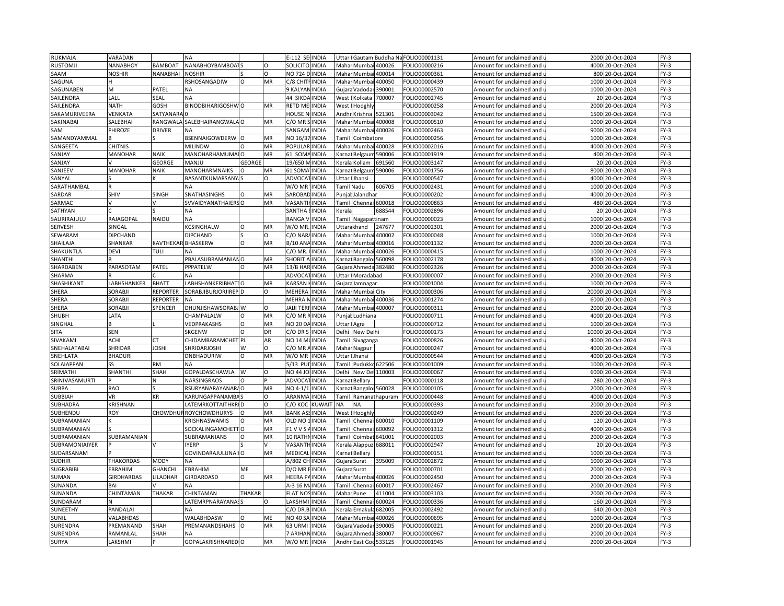| RUKMAJA         | VARADAN                 |                | <b>NA</b>                                |               |          | E-112 SE              | <b>INDIA</b>                 | Uttar                                                                                                                                                                 |                                                                                                                                            | Gautam Buddha Na | FOLIO00001131                 | Amount for unclaimed and               |       | 2000 20-Oct-2024              | $FY-3$ |
|-----------------|-------------------------|----------------|------------------------------------------|---------------|----------|-----------------------|------------------------------|-----------------------------------------------------------------------------------------------------------------------------------------------------------------------|--------------------------------------------------------------------------------------------------------------------------------------------|------------------|-------------------------------|----------------------------------------|-------|-------------------------------|--------|
| <b>RUSTOMJI</b> | NANABHOY                | <b>BAMBOAT</b> | NANABHOYBAMBOA <sup>-</sup>              |               | $\Omega$ | <b>SOLICITO INDIA</b> |                              |                                                                                                                                                                       | Mahar Mumbai 400026                                                                                                                        |                  | OLIO00000216                  | Amount for unclaimed and u             |       | 4000 20-Oct-2024              | $FY-3$ |
| SAAM            | NOSHIR                  | NANABHAI       | <b>NOSHIR</b>                            |               | O        | NO 724 D INDIA        |                              |                                                                                                                                                                       | Mahar Mumbai                                                                                                                               | 400014           | FOLIO00000361                 | Amount for unclaimed and               | 800   | 20-Oct-2024                   | $FY-3$ |
| SAGUNA          |                         |                | RSHOSANGADIW                             | $\Omega$      | MR       | C/8 CHITFINDIA        |                              | Mahar                                                                                                                                                                 | Mumbai                                                                                                                                     | 400050           | OLIO00000439                  | Amount for unclaimed and u             | 1000  | 20-Oct-2024                   | $FY-3$ |
| SAGUNABEN       | M                       | PATEL          | <b>NA</b>                                |               |          | 9 KALYAI              | <b>INDIA</b>                 | Gujar                                                                                                                                                                 | Vadodar                                                                                                                                    | 390001           | FOLIO00002570                 | Amount for unclaimed and               | 1000  | 20-Oct-2024                   | $FY-3$ |
| SAILENDRA       | LALI                    | SEAL           | <b>NA</b>                                |               |          | 44 SIKDA              | <b>INDIA</b>                 | West                                                                                                                                                                  | <olkata< td=""><td>700007</td><td>OLIO00002745</td><td>Amount for unclaimed and</td><td>20</td><td>20-Oct-2024</td><td>FY-3</td></olkata<> | 700007           | OLIO00002745                  | Amount for unclaimed and               | 20    | 20-Oct-2024                   | FY-3   |
| SAILENDRA       | <b>NATH</b>             | <b>GOSH</b>    | <b>BINODBIHARIGOSHWO</b>                 |               | MR       | <b>RETD ME</b>        | <b>INDIA</b>                 | West                                                                                                                                                                  | Hooghly                                                                                                                                    |                  | OLIO00000258                  | Amount for unclaimed and               | 2000  | 20-Oct-2024                   | FY-3   |
| SAKAMURIVEERA   | VENKATA                 | SATYANARA      |                                          |               |          | HOUSE N               | <b>INDIA</b>                 |                                                                                                                                                                       |                                                                                                                                            | 21301            |                               |                                        |       |                               | $FY-3$ |
|                 |                         |                |                                          |               |          |                       |                              | Andh                                                                                                                                                                  | Krishna                                                                                                                                    |                  | OLIO00003042                  | Amount for unclaimed and               | 1500  | 20-Oct-2024                   |        |
| SAKINABAI       | SALEBHAI                |                | RANGWALA SALEBHAIRANGWALA O<br><b>NA</b> |               | MR       | $C/O$ MR $:$          | <b>INDIA</b>                 |                                                                                                                                                                       | Mahar Mumbai                                                                                                                               | 400008           | OLIO00000510                  | Amount for unclaimed and               | 1000  | 20-Oct-2024                   | $FY-3$ |
| SAM             | PHIROZE                 | <b>DRIVER</b>  |                                          |               |          | SANGAN                | INDIA                        | Maha                                                                                                                                                                  |                                                                                                                                            | Mumbai 400026    | OLIO00002463                  | Amount for unclaimed and               | 9000  | 20-Oct-2024                   | FY-3   |
| SAMANDYAMMAL    |                         |                | BSENNAIGOWDERW O                         |               | MR       | NO 16/3               | <b>INDIA</b>                 |                                                                                                                                                                       | Tamil Coimbatore                                                                                                                           |                  | OLIO00000256                  | Amount for unclaimed and $\mathfrak l$ | 1000  | 20-Oct-2024                   | $FY-3$ |
| SANGEETA        | <b>CHITNIS</b>          |                | <b>MILINDW</b>                           | $\Omega$      | MR       | POPULAR               | <b>INDIA</b>                 |                                                                                                                                                                       | Mahar Mumbai                                                                                                                               | 400028           | FOLIO00002016                 | Amount for unclaimed and               | 4000  | 20-Oct-2024                   | FY-3   |
| SANJAY          | MANOHAR                 | <b>NAIK</b>    | MANOHARHAMUMAIO                          |               | MR       | 61 SOM                | <b>INDIA</b>                 |                                                                                                                                                                       | Carnal Belgaum                                                                                                                             | 590006           | OLIO00001919                  | Amount for unclaimed and u             |       | 400 20-Oct-2024               | FY-3   |
| SANJAY          |                         | <b>GEORGE</b>  | MANJU                                    | <b>GEORGE</b> |          | 19/650                | <b>INDIA</b>                 | <erala< td=""><td>Kollam</td><td>691560</td><td>FOLIO00003147</td><td>Amount for unclaimed and</td><td>20</td><td>20-Oct-2024</td><td><math>FY-3</math></td></erala<> | Kollam                                                                                                                                     | 691560           | FOLIO00003147                 | Amount for unclaimed and               | 20    | 20-Oct-2024                   | $FY-3$ |
| SANJEEV         | MANOHAR                 | <b>NAIK</b>    | MANOHARMNAIKS                            |               | MR       | 61 SOM/               | <b>INDIA</b>                 | (arna                                                                                                                                                                 | Belgaum                                                                                                                                    | 590006           | OLIO00001756                  | Amount for unclaimed and $\iota$       | 8000  | 20-Oct-2024                   | $FY-3$ |
| SANYAL          |                         |                | <b>BASANTKUMARSANY</b>                   |               | n        | ADVOCA                | <b>INDIA</b>                 | <b>Jttar</b>                                                                                                                                                          | Jhansi                                                                                                                                     |                  | OLIO00000547                  | Amount for unclaimed and               |       | 4000 20-Oct-2024              | $FY-3$ |
| SARATHAMBAL     |                         |                | <b>NA</b>                                |               |          | W/O MR                | INDIA                        |                                                                                                                                                                       | Tamil Nadu                                                                                                                                 | 606705           | OLIO00002431                  | Amount for unclaimed and               | 1000  | 20-Oct-2024                   | FY-3   |
| SARDAR          | SHIV                    | SINGH          | SNATHASINGHS                             | O             | MR       | SAROBAD               | <b>INDIA</b>                 |                                                                                                                                                                       | Punjal Jalandhar                                                                                                                           |                  | OLIO00000202                  | Amount for unclaimed and               |       | 4000 20-Oct-2024              | FY-3   |
| SARMAC          |                         |                | SVVAIDYANATHAIERS O                      |               | MR       | VASANT                | <b>INDIA</b>                 | Tamil                                                                                                                                                                 | Chennai 600018                                                                                                                             |                  | OLIO00000863                  | Amount for unclaimed and               | 480   | 20-Oct-2024                   | $FY-3$ |
| SATHYAN         |                         |                | <b>NA</b>                                |               |          | SANTHA                | <b>INDIA</b>                 | Kerala                                                                                                                                                                |                                                                                                                                            | 688544           | OLIO00002896                  | Amount for unclaimed and u             |       | 20 20-Oct-2024                | $FY-3$ |
| SAURIRAJULU     | RAJAGOPAL               | <b>NAIDU</b>   | <b>NA</b>                                |               |          | RANGA                 | <b>INDIA</b>                 |                                                                                                                                                                       | Tamil Nagapattinam                                                                                                                         |                  | OLIO00000023                  | Amount for unclaimed and               |       | 1000 20-Oct-2024              | $FY-3$ |
| SERVESH         | SINGAL                  |                | KCSINGHALW                               | $\circ$       | MR       | W/O MR.               | <b>INDIA</b>                 |                                                                                                                                                                       | Uttarakhand                                                                                                                                | 247677           | OLIO00002301                  | Amount for unclaimed and u             | 2000  | 20-Oct-2024                   | FY-3   |
| SEWARAM         | <b>DIPCHAND</b>         |                | <b>DIPCHAND</b>                          |               | $\Omega$ | C/O NAF               | <b>INDIA</b>                 |                                                                                                                                                                       | Mahar Mumba                                                                                                                                | 400002           | OLIO00000048                  | Amount for unclaimed and               | 1000  | 20-Oct-2024                   | $FY-3$ |
| SHAILAJA        | SHANKAR                 | KAVTHEKA       | <b>BHASKERW</b>                          | O             | MR       | B/10 AN/              | <b>INDIA</b>                 | Mahar                                                                                                                                                                 | Mumbai                                                                                                                                     | 400016           | OLIO00001132                  | Amount for unclaimed and i             | 2000  | 20-Oct-2024                   | FY-3   |
| SHAKUNTLA       | DEVI                    | TULI           | <b>NA</b>                                |               |          | C/O MR.               | <b>INDIA</b>                 |                                                                                                                                                                       | Mahar Mumbai                                                                                                                               | 400026           | FOLIO00000415                 | Amount for unclaimed and               |       | 1000 20-Oct-2024              | FY-3   |
| <b>SHANTH</b>   |                         |                | PBALASUBRAMANIANO                        |               | MR       | SHOBIT                | <b>INDIA</b>                 | <b>Carnat</b>                                                                                                                                                         | Bangalor                                                                                                                                   | 560098           | OLIO00002178                  | Amount for unclaimed and i             | 4000  | 20-Oct-2024                   | FY-3   |
|                 | PARASOTAM               | PATEL          | PPPATELW                                 | $\Omega$      | MR       | 13/B HAF              | <b>INDIA</b>                 |                                                                                                                                                                       | Gujara Ahmeda 382480                                                                                                                       |                  |                               |                                        | 2000  |                               | FY-3   |
| SHARDABEN       |                         |                | NΔ                                       |               |          |                       |                              |                                                                                                                                                                       |                                                                                                                                            |                  | OLIO00002326                  | Amount for unclaimed and               | 2000  | 20-Oct-2024                   |        |
| SHARMA          |                         |                |                                          |               |          | <b>ADVOC</b>          | INDIA                        | Uttar                                                                                                                                                                 | Moradabad                                                                                                                                  |                  | OLIO00000007                  | Amount for unclaimed and               |       | 20-Oct-2024                   | $FY-3$ |
| SHASHIKANT      | ABHSHANKER              | <b>BHATT</b>   | LABHSHANKERIBHAT <sup>1</sup> O          |               | MR       | KARSAN                | <b>INDIA</b>                 |                                                                                                                                                                       | Gujara Jamnagar                                                                                                                            |                  | OLIO00001004                  | Amount for unclaimed and u             | 1000  | 20-Oct-2024                   | FY-3   |
| SHERA           | SORABJI                 | REPORTER       | SORABJIBURJORJIREP D                     |               | $\Omega$ | <b>MEHER</b>          | <b>INDIA</b>                 |                                                                                                                                                                       | Mahar Mumbai City                                                                                                                          |                  | FOLIO00000306                 | Amount for unclaimed and               | 20000 | 20-Oct-2024                   | $FY-3$ |
| SHERA           | <b>SORABJI</b>          | REPORTER       | <b>NA</b>                                |               |          | MEHRA I               | <b>INDIA</b>                 | Mahar                                                                                                                                                                 |                                                                                                                                            | Mumbai 400036    | FOLIO00001274                 | Amount for unclaimed and u             | 6000  | 20-Oct-2024                   | FY-3   |
| SHERA           | SORABJI                 | <b>SPENCER</b> | DHUNJISHAWSORABJ W                       |               | O        | JAIJI TER             | <b>INDIA</b>                 | Mahai                                                                                                                                                                 |                                                                                                                                            | Mumbai 400007    | FOLIO00000311                 | Amount for unclaimed and               | 2000  | 20-Oct-2024                   | $FY-3$ |
| SHUBH           | LATA                    |                | CHAMPALALW                               | O             | MR       | C/O MR                | <b>INDIA</b>                 | Punjal                                                                                                                                                                | Ludhiana                                                                                                                                   |                  | OLIO00000711                  | Amount for unclaimed and u             | 4000  | 20-Oct-2024                   | FY-3   |
| SINGHAL         |                         |                | VEDPRAKASHS                              | O             | MR       | NO 20 DA              | <b>INDIA</b>                 | Uttar                                                                                                                                                                 | Agra                                                                                                                                       |                  | FOLIO00000712                 | Amount for unclaimed and               | 1000  | 20-Oct-2024                   | FY-3   |
| <b>SITA</b>     | SEN                     |                | SKGENW                                   | $\Omega$      | DR       | C/O DR S              | <b>INDIA</b>                 | Delhi                                                                                                                                                                 | New Delhi                                                                                                                                  |                  | FOLIO00000173                 | Amount for unclaimed and               | 10000 | 20-Oct-2024                   | $FY-3$ |
| SIVAKAMI        | ACHI                    |                | CHIDAMBARAMCHET PL                       |               | AR       | <b>NO 14 MI</b>       | <b>INDIA</b>                 | Tamil                                                                                                                                                                 | Sivaganga                                                                                                                                  |                  | OLIO00000826                  | Amount for unclaimed and               | 4000  | 20-Oct-2024                   | $FY-3$ |
| SNEHALATABAI    | SHRIDAR                 | <b>JOSHI</b>   | SHRIDARJOSHI                             | W             | $\circ$  | C/O MR                | <b>INDIA</b>                 |                                                                                                                                                                       | Mahar Nagpur                                                                                                                               |                  | FOLIO00000247                 | Amount for unclaimed and               | 4000  | 20-Oct-2024                   | FY-3   |
| SNEHLATA        | <b>BHADURI</b>          |                | DNBHADURIW                               | $\Omega$      | MR       | W/O MR                | <b>INDIA</b>                 | Uttar                                                                                                                                                                 | Jhansi                                                                                                                                     |                  | OLIO00000544                  | Amount for unclaimed and i             | 4000  | 20-Oct-2024                   | $FY-3$ |
| SOLAIAPPAN      | SS.                     | <b>RM</b>      | <b>NA</b>                                |               |          | 5/13 PL               | <b>INDIA</b>                 | Tamil                                                                                                                                                                 | Pudukko 622506                                                                                                                             |                  | FOLIO00001009                 | Amount for unclaimed and               | 1000  | 20-Oct-2024                   | $FY-3$ |
| SRIMATHI        | SHANTHI                 | SHAH           | GOPALDASCHAWLA                           | W             | $\Omega$ | NO 44 JO              | <b>INDIA</b>                 | Delhi                                                                                                                                                                 | New Del 110003                                                                                                                             |                  | OLIO00000067                  | Amount for unclaimed and u             | 6000  | 20-Oct-2024                   | FY-3   |
| SRINIVASAMURTI  |                         | N              | <b>NARSINGRAOS</b>                       | $\Omega$      |          | ADVOCA                | <b>INDIA</b>                 | Karna                                                                                                                                                                 | <b>Bellary</b>                                                                                                                             |                  | FOLIO00000118                 | Amount for unclaimed and               | 280   | 20-Oct-2024                   | $FY-3$ |
| <b>SUBBA</b>    | RAO                     |                | RSURYANARAYANAR                          |               | MR       | NO 4-1/1              | <b>INDIA</b>                 | <b>Carnat</b>                                                                                                                                                         | Bangaloi 560028                                                                                                                            |                  | OLIO00000105                  | Amount for unclaimed and $\iota$       | 2000  | 20-Oct-2024                   | $FY-3$ |
| SUBBIAH         | VR                      | KR             | <b>KARUNGAPPANAMBA</b>                   |               | $\Omega$ | ARANMA                | INDIA                        | Tamil                                                                                                                                                                 |                                                                                                                                            | Ramanathapuram   | OLIO00000448                  | Amount for unclaimed and               | 4000  | 20-Oct-2024                   | $FY-3$ |
| SUBHADRA        | KRISHNAN                |                | LATEMRKOTTAITHKR                         |               | $\Omega$ | с/о кос               | KUWAI <sup>-</sup>           | NΑ                                                                                                                                                                    | <b>NA</b>                                                                                                                                  |                  | OLIO00000393                  | Amount for unclaimed and               | 2000  | 20-Oct-2024                   | FY-3   |
| SUBHENDU        | ROY                     |                | <b>CHOWDHURROYCHOWDHURYS</b>             | $\Omega$      | MR       | <b>BANK AS</b>        | <b>INDIA</b>                 |                                                                                                                                                                       | West I Hooghly                                                                                                                             |                  | OLIO00000249 <del>-</del>     | Amount for unclaimed and               | 2000  | 20-Oct-2024                   | FY-3   |
| SUBRAMANIAN     |                         |                | KRISHNASWAMIS                            |               | MR       | OLD NO                | <b>INDIA</b>                 | Tami                                                                                                                                                                  | Chennai                                                                                                                                    | 600010           | FOLIO00001109                 | Amount for unclaimed and               | 120   | 20-Oct-2024                   | $FY-3$ |
| SUBRAMANIAN     |                         |                | SOCKALINGAMCHETTO                        |               | MR       | F1 V V S              | <b>INDIA</b>                 | Tamil                                                                                                                                                                 | Chennai                                                                                                                                    | 600092           | OLIO00001312                  | Amount for unclaimed and               | 4000  | 20-Oct-2024                   | $FY-3$ |
| SUBRAMANIAN     | SUBRAMANIAN             |                | SUBRAMANIANS                             | $\circ$       | MR       | 10 RATH               | <b>INDIA</b>                 | Tami                                                                                                                                                                  | Coimbat                                                                                                                                    | 641001           | OLIO00002003                  | Amount for unclaimed and               | 2000  | 20-Oct-2024                   | FY-3   |
|                 |                         |                | YERP                                     |               |          | VASANTH               |                              |                                                                                                                                                                       |                                                                                                                                            |                  |                               |                                        |       |                               | FY-3   |
| SUBRAMONIAIYER  |                         |                | GOVINDARAJULUNAII O                      |               | MR       | MEDICA                | <b>INDIA</b><br><b>INDIA</b> | <erala<br>Karna</erala<br>                                                                                                                                            | Alappuzl<br><b>Bellary</b>                                                                                                                 | 688011           | OLIO00002947<br>FOLIO00000151 | Amount for unclaimed and u             | 1000  | 20 20-Oct-2024<br>20-Oct-2024 | $FY-3$ |
| SUDARSANAM      |                         |                |                                          |               |          |                       |                              |                                                                                                                                                                       |                                                                                                                                            |                  |                               | Amount for unclaimed and               |       |                               |        |
| SUDHIR          | <b>THAKORDAS</b>        | <b>MODY</b>    | NΑ                                       |               |          | A/802 CH              | <b>INDIA</b>                 | Gujar                                                                                                                                                                 | Surat                                                                                                                                      | 395009           | OLIO00002872                  | Amount for unclaimed and $\iota$       | 1000  | 20-Oct-2024                   | $FY-3$ |
| SUGRABIBI       | EBRAHIM                 | GHANCHI        | EBRAHIM                                  | ME            |          | D/O MR                | <b>INDIA</b>                 | Gujara                                                                                                                                                                | Surat                                                                                                                                      |                  | FOLIO00000701                 | Amount for unclaimed and               | 2000  | 20-Oct-2024                   | $FY-3$ |
| SUMAN           | GIRDHARDAS              | LILADHAR       | <b>GIRDARDASD</b>                        | $\Omega$      | MR       | HEERA P               | <b>INDIA</b>                 | Mahai                                                                                                                                                                 | Mumbai                                                                                                                                     | 400026           | FOLIO00002450                 | Amount for unclaimed and $\iota$       | 2000  | 20-Oct-2024                   | FY-3   |
| SUNANDA         | BAI                     |                | <b>NA</b>                                |               |          | A-3 16 M              | <b>INDIA</b>                 | Tamil                                                                                                                                                                 | Chennai                                                                                                                                    | 600017           | OLIO00002467                  | Amount for unclaimed and               | 2000  | 20-Oct-2024                   | $FY-3$ |
| SUNANDA         | CHINTAMAN               | THAKAR         | CHINTAMAN                                | THAKAR        |          | <b>FLAT NO</b>        | <b>INDIA</b>                 | Maha                                                                                                                                                                  | Pune                                                                                                                                       | 111004           | OLIO00003103                  | Amount for unclaimed and               | 2000  | 20-Oct-2024                   | FY-3   |
| SUNDARAM        |                         |                | LATEMRPNARAYANAS                         |               |          | LAKSHM                | <b>INDIA</b>                 | Tamil                                                                                                                                                                 | Chenna                                                                                                                                     | 600024           | OLIO00000336                  | Amount for unclaimed and               |       | 160 20-Oct-2024               | FY-3   |
| SUNEETHY        | PANDALAI                |                | <b>NA</b>                                |               |          | C/O DR.               | <b>INDIA</b>                 | <eral< td=""><td>Ernaku</td><td>682005</td><td>OLIO00002492</td><td>Amount for unclaimed and</td><td>640</td><td>20-Oct-2024</td><td><math>FY-3</math></td></eral<>   | Ernaku                                                                                                                                     | 682005           | OLIO00002492                  | Amount for unclaimed and               | 640   | 20-Oct-2024                   | $FY-3$ |
| SUNIL           | <b><i>VALABHDAS</i></b> |                | WALABHDASW                               | $\Omega$      | ME       | <b>NO 40 SA</b>       | <b>INDIA</b>                 |                                                                                                                                                                       | Mahar Mumbai                                                                                                                               | 400026           | OLIO00000695                  | Amount for unclaimed and u             | 1000  | 20-Oct-2024                   | FY-3   |
| SURENDRA        | PREMANAND               | <b>SHAH</b>    | PREMANANDSHAHS                           | l O           | MR       | 63 URM                | <b>INDIA</b>                 | Gujara                                                                                                                                                                | Vadoda                                                                                                                                     | 390005           | OLIO00000221                  | Amount for unclaimed and               | 2000  | 20-Oct-2024                   | $FY-3$ |
| SURENDRA        | RAMANLAL                | SHAH           |                                          |               |          | <b>7 ARIHAI</b>       | <b>INDIA</b>                 | Gujar                                                                                                                                                                 | Ahmeda                                                                                                                                     | 380007           | OLIO00000967                  | Amount for unclaimed and $\iota$       | 2000  | 20-Oct-2024                   | $FY-3$ |
| <b>SURYA</b>    | LAKSHMI                 |                | GOPALAKRISHNARED O                       |               | MR       | W/O MR                | <b>INDIA</b>                 |                                                                                                                                                                       | Andhr East God!                                                                                                                            | 533125           | FOLIO00001945                 | Amount for unclaimed and               |       | 2000 20-Oct-2024              | $FY-3$ |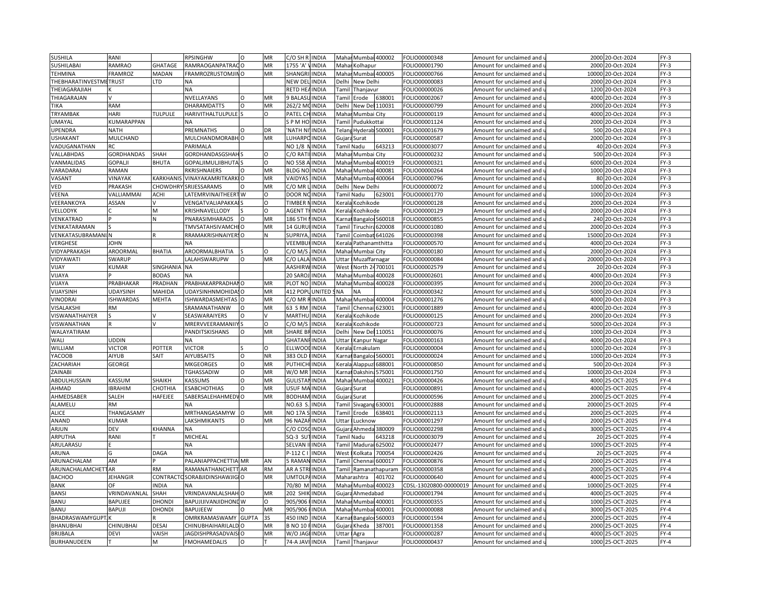| <b>SUSHILA</b>         | RANI              |                       | <b>RPSINGHW</b>              | $\Omega$ | MR        | C/O SH R<br><b>INDIA</b>       |               |                                                                                                                                                               | Mahar Mumbai 400002    |                | FOLIO00000348             | Amount for unclaimed and               |       | 2000 20-Oct-2024 | $FY-3$ |
|------------------------|-------------------|-----------------------|------------------------------|----------|-----------|--------------------------------|---------------|---------------------------------------------------------------------------------------------------------------------------------------------------------------|------------------------|----------------|---------------------------|----------------------------------------|-------|------------------|--------|
| SUSHILABAI             | RAMRAO            | GHATAGE               | RAMRAOGANPATRACO             |          | MR        | 1755 'A'<br><b>INDIA</b>       |               |                                                                                                                                                               | Mahar Kolhapur         |                | OLIO00001790              | Amount for unclaimed and u             | 2000  | 20-Oct-2024      | $FY-3$ |
| <b>TEHMINA</b>         | FRAMROZ           | <b>MADAN</b>          | FRAMROZRUSTOMJINO            |          | MR        | <b>SHANGR</b><br><b>INDIA</b>  |               |                                                                                                                                                               | Mahar Mumbai 400005    |                | FOLIO00000766             | Amount for unclaimed and               | 10000 | 20-Oct-2024      | $FY-3$ |
| THEBHARATINVESTMETRUST |                   | LTD                   | <b>NA</b>                    |          |           | NEW DEL<br><b>INDIA</b>        |               | Delhi                                                                                                                                                         | New Delhi              |                | OLIO00000083              | Amount for unclaimed and <b>u</b>      | 2000  | 20-Oct-2024      | $FY-3$ |
| THEIAGARAJIAH          |                   |                       | <b>NA</b>                    |          |           | RETD HE<br><b>INDIA</b>        |               | Tamil                                                                                                                                                         | Thanjavur              |                | FOLIO00000026             | Amount for unclaimed and               | 1200  | 20-Oct-2024      | $FY-3$ |
| THIAGARAJAN            |                   |                       | NVELLAYANS                   | $\Omega$ | MR        | <b>BALAS</b><br><b>INDIA</b>   |               | Tamil                                                                                                                                                         | Erode                  | 638001         | FOLIO00002067             | Amount for unclaimed and               | 4000  | 20-Oct-2024      | FY-3   |
| TIKA                   | RAM               |                       | <b>DHARAMDATTS</b>           | O        | MR        | <b>INDIA</b><br>262/2 M        |               | Delhi                                                                                                                                                         | New Del 110031         |                | FOLIO00000799             | Amount for unclaimed and               | 2000  | 20-Oct-2024      | FY-3   |
| TRYAMBAK               | HARI              | <b>TULPULE</b>        | HARIVITHALTULPULE            |          | $\circ$   | PATEL CI<br><b>INDIA</b>       |               |                                                                                                                                                               |                        |                |                           |                                        |       |                  | $FY-3$ |
|                        |                   |                       |                              |          |           |                                |               | Mahai                                                                                                                                                         | Mumbai City            |                | OLIO00000119              | Amount for unclaimed and               | 400C  | 20-Oct-2024      |        |
| UMAYAL                 | KUMARAPPAN        |                       | NA                           | $\Omega$ |           | <b>INDIA</b><br>S P M HO       |               |                                                                                                                                                               | Tamil Pudukkottai      |                | OLIO00001124              | Amount for unclaimed and               | 2000  | 20-Oct-2024      | $FY-3$ |
| <b>UPENDRA</b>         | <b>NATH</b>       |                       | PREMNATHS                    |          | DR        | <b>NATH N</b><br><b>INDIA</b>  |               |                                                                                                                                                               | Telans Hyderab 500001  |                | FOLIO00001679             | Amount for unclaimed and               | 500   | 20-Oct-2024      | FY-3   |
| <b>USHAKANT</b>        | MULCHAND          |                       | MULCHANDMORABH O             |          | MR        | LUHARPO<br><b>INDIA</b>        |               |                                                                                                                                                               | Gujara Surat           |                | OLIO00000587              | Amount for unclaimed and $\mathfrak l$ |       | 2000 20-Oct-2024 | $FY-3$ |
| VADUGANATHAN           | RC                |                       | PARIMALA                     |          |           | NO 1/8<br><b>INDIA</b>         |               | Tamil Nadu                                                                                                                                                    |                        | 643213         | FOLIO00003077             | Amount for unclaimed and               |       | 40 20-Oct-2024   | FY-3   |
| VALLABHDAS             | <b>GORDHANDAS</b> | SHAH                  | GORDHANDASGSHAH              |          | O         | C/O RATI<br><b>INDIA</b>       |               |                                                                                                                                                               | Mahar Mumbai City      |                | OLIO00000232              | Amount for unclaimed and u             | 500   | 20-Oct-2024      | FY-3   |
| VANMALIDAS             | GOPALJI           | <b>BHUTA</b>          | <b>GOPALJIMULJIBHUTA</b>     |          | $\Omega$  | <b>NO 558</b><br><b>INDIA</b>  |               |                                                                                                                                                               | Mahar Mumbai           | 400019         | FOLIO00000321             | Amount for unclaimed and               | 6000  | 20-Oct-2024      | $FY-3$ |
| VARADARAJ              | RAMAN             |                       | RKRISHNAIERS                 |          | MR        | <b>BLDG NC</b><br>INDIA        |               | Mahar                                                                                                                                                         | Mumbai                 | 400081         | FOLIO00000264             | Amount for unclaimed and $\iota$       | 1000  | 20-Oct-2024      | $FY-3$ |
| VASANT                 | VINAYAK           | <b><i>KARKHAN</i></b> | <b>VINAYAKAMRITKARKIO</b>    |          | MR        | VAIDYAS<br><b>INDIA</b>        |               |                                                                                                                                                               | Mahar Mumbai 400064    |                | OLIO00000796              | Amount for unclaimed and               |       | 80 20-Oct-2024   | $FY-3$ |
| VED                    | PRAKASH           | <b>CHOWDHRY</b>       | SRIJESSARAMS                 |          | MR        | C/O MR<br>INDIA                |               |                                                                                                                                                               | Delhi New Delh         |                | OLIO00000072              | Amount for unclaimed and               | 1000  | 20-Oct-2024      | FY-3   |
| VEENA                  | VALLIAMMAI        | <b>ACHI</b>           | LATEMRVINAITHEERT W          |          | O         | DOOR NO<br><b>INDIA</b>        |               | Tamil Nadu                                                                                                                                                    |                        | 623001         | FOLIO00001770             | Amount for unclaimed and               |       | 1000 20-Oct-2024 | FY-3   |
| VEERANKOYA             | ASSAN             |                       | VENGATVALIAPAKKA             |          | $\Omega$  | TIMBER<br><b>INDIA</b>         |               | Kerala                                                                                                                                                        | Kozhikode              |                | OLIO00000128              | Amount for unclaimed and               | 2000  | 20-Oct-2024      | $FY-3$ |
| VELLODYK               |                   | M                     | KRISHNAVELLODY               |          | $\circ$   | <b>AGENT T</b><br><b>INDIA</b> |               |                                                                                                                                                               | Kerala Kozhikode       |                | OLIO00000129              | Amount for unclaimed and u             |       | 2000 20-Oct-2024 | $FY-3$ |
| VENKATRAO              |                   | N                     | <b>PNARASIMHARAOS</b>        | $\Omega$ | MR        | 186 5TH<br><b>INDIA</b>        |               |                                                                                                                                                               | Karnal Bangaloi 560018 |                | FOLIO00000855             | Amount for unclaimed and               |       | 240 20-Oct-2024  | $FY-3$ |
| VENKATARAMAN           |                   |                       | <b>TMVSATAHSIVAMCHI O</b>    |          | MR        | 14 GURL<br><b>INDIA</b>        |               |                                                                                                                                                               | Tamil Tiruchira 620008 |                | OLIO00001080              | Amount for unclaimed and u             | 2000  | 20-Oct-2024      | FY-3   |
| VENKATASUBRAMANI N     |                   |                       | RRAMAKRISHNAIYERSO           |          | Ν         | SUPRIYA<br><b>INDIA</b>        |               | Tami                                                                                                                                                          |                        | Coimbat 641026 | OLIO00000398              | Amount for unclaimed and               | 15000 | 20-Oct-2024      | $FY-3$ |
| VERGHESE               | JOHN              |                       |                              |          |           | <b>VEEMBU</b><br><b>INDIA</b>  |               | <erala< td=""><td>Pathanamthitta</td><td></td><td>OLIO00000570</td><td>Amount for unclaimed and i</td><td>4000</td><td>20-Oct-2024</td><td>FY-3</td></erala<> | Pathanamthitta         |                | OLIO00000570              | Amount for unclaimed and i             | 4000  | 20-Oct-2024      | FY-3   |
| VIDYAPRAKASH           | AROORMAL          | <b>BHATIA</b>         | AROORMALBHATIA               |          | $\Omega$  | C/O M/S<br><b>INDIA</b>        |               |                                                                                                                                                               | Mahar Mumbai City      |                | FOLIO00000180             | Amount for unclaimed and               | 2000  | 20-Oct-2024      | FY-3   |
| VIDYAWATI              | SWARUP            |                       | LALAHSWARUPW                 | $\Omega$ | MR        | C/O LALA<br><b>INDIA</b>       |               | Jttar                                                                                                                                                         | Muzaffarnagar          |                | OLIO00000084              | Amount for unclaimed and i             | 20000 | 20-Oct-2024      | FY-3   |
| VIJAY                  | KUMAR             | <b>SINGHANIA</b>      | <b>NA</b>                    |          |           | AASHIRW<br><b>INDIA</b>        |               | West                                                                                                                                                          | North 24700101         |                | OLIO00002579              | Amount for unclaimed and               |       | 20 20-Oct-2024   | FY-3   |
| VIJAYA                 |                   | <b>BODAS</b>          | NΔ                           |          |           | 20 SARO<br><b>NDIA</b>         |               | Maha                                                                                                                                                          | Mumba                  | 400028         | OLIO00002601              | Amount for unclaimed and               | 4000  | 20-Oct-2024      | $FY-3$ |
| VIJAYA                 | PRABHAKAR         | PRADHAN               | PRABHAKARPRADHAI O           |          | MR        | PLOT NO<br><b>INDIA</b>        |               |                                                                                                                                                               | Mahar Mumbai 400028    |                | OLIO00000395              | Amount for unclaimed and เ             |       | 2000 20-Oct-2024 | FY-3   |
| VIJAYSINH              | <b>JDAYSINH</b>   | MAHIDA                | UDAYSINHNMOHIDA! O           |          | MR        | <b>412 POP</b>                 | <b>UNITED</b> | <b>NA</b>                                                                                                                                                     | <b>NA</b>              |                | OLIO00000342              | Amount for unclaimed and               | 5000  | 20-Oct-2024      | $FY-3$ |
| VINODRAI               | <b>ISHWARDAS</b>  | <b>MEHTA</b>          | ISHWARDASMEHTAS O            |          | MR        | C/O MR<br>RINDIA               |               |                                                                                                                                                               | Mahar Mumbai 400004    |                | FOLIO00001276             | Amount for unclaimed and u             | 4000  | 20-Oct-2024      | FY-3   |
| VISALAKSHI             | <b>RM</b>         |                       | SRAMANATHANW                 | $\Omega$ | MR        | 63 S RM<br><b>INDIA</b>        |               | Tamil                                                                                                                                                         | Chennai 623001         |                | FOLIO00001889             | Amount for unclaimed and               | 4000  | 20-Oct-2024      | $FY-3$ |
| VISWANATHAIYER         |                   |                       | SEASWARAIYERS                |          |           | MARTHL<br><b>INDIA</b>         |               | <erala< td=""><td>Kozhikode</td><td></td><td>OLIO00000125</td><td>Amount for unclaimed and u</td><td>2000</td><td>20-Oct-2024</td><td>FY-3</td></erala<>      | Kozhikode              |                | OLIO00000125              | Amount for unclaimed and u             | 2000  | 20-Oct-2024      | FY-3   |
| VISWANATHAN            |                   |                       | MRERVVEERAMANII              |          | O         | <b>INDIA</b><br>C/O M/S        |               | Kerala                                                                                                                                                        | Kozhikode              |                | FOLIO00000723             |                                        | 5000  | 20-Oct-2024      | FY-3   |
| WALAYATIRAM            |                   |                       | PANDITSKISHANS               | $\circ$  | MR        | SHARE BF<br><b>INDIA</b>       |               | Delhi                                                                                                                                                         | New Del 110051         |                | FOLIO00000076             | Amount for unclaimed and               | 1000  | 20-Oct-2024      | FY-3   |
| WALI                   | UDDIN             |                       |                              |          |           | GHATAN<br><b>INDIA</b>         |               |                                                                                                                                                               |                        |                | OLIO00000163              | Amount for unclaimed and               | 4000  | 20-Oct-2024      | $FY-3$ |
| WILLIAM                | <b>VICTOR</b>     | <b>POTTER</b>         | NA<br><b>VICTOR</b>          |          | $\circ$   | <b>INDIA</b><br><b>ELLWO</b>   |               | Uttar                                                                                                                                                         | Kanpur Nagar           |                | OLIO00000004              | Amount for unclaimed and               | 1000  | 20-Oct-2024      | FY-3   |
|                        |                   |                       |                              | $\Omega$ |           |                                |               | Kerala                                                                                                                                                        | Ernakulam              |                |                           | Amount for unclaimed and               |       |                  |        |
| YACOOB                 | AIYUB             | SAIT                  | <b>AIYUBSAITS</b>            |          | <b>NR</b> | 383 OLD<br><b>INDIA</b>        |               |                                                                                                                                                               | Karnat Bangaloi 560001 |                | OLIO00000024              | Amount for unclaimed and i             |       | 1000 20-Oct-2024 | FY-3   |
| ZACHARIAH              | GEORGE            |                       | MKGEORGES                    | $\circ$  | MR        | <b>PUTHICH</b><br><b>INDIA</b> |               |                                                                                                                                                               | Kerala Alappuz         | 688001         | FOLIO00000850             | Amount for unclaimed and               | 500   | 20-Oct-2024      | $FY-3$ |
| ZAINABI                |                   |                       | TGHASSADIW                   | $\Omega$ | MR        | W/O MR<br><b>INDIA</b>         |               |                                                                                                                                                               | Carnal Dakshin         | 575001         | FOLIO00001750             | Amount for unclaimed and u             | 10000 | 20-Oct-2024      | FY-3   |
| ABDULHUSSAIN           | KASSUM            | SHAIKH                | <b>KASSUMS</b>               | O        | MR        | GULISTA<br><b>INDIA</b>        |               |                                                                                                                                                               | Mahar Mumba            | 400021         | FOLIO00000426             | Amount for unclaimed and               | 4000  | 25-OCT-2025      | $FY-4$ |
| AHMAD                  | <b>IBRAHIM</b>    | СНОТНІА               | <b>ESABCHOTHIAS</b>          | O        | MR        | <b>JSUF MA</b><br><b>INDIA</b> |               | Gujara                                                                                                                                                        | Surat                  |                | OLIO00000891              | Amount for unclaimed and $\iota$       | 4000  | 25-OCT-2025      | $FY-4$ |
| AHMEDSABER             | SALEH             | HAFEJEE               | SABERSALEHAHMEDVO            |          | MR        | <b>BODHAN</b><br><b>INDIA</b>  |               | Gujara                                                                                                                                                        | Surat                  |                | FOLIO00000596             | Amount for unclaimed and               | 2000  | 25-OCT-2025      | $FY-4$ |
| ALAMELL                | RM                |                       |                              |          |           | NO.63<br>INDIA                 |               | Tami                                                                                                                                                          | Sivagang               | 530001         | FOLIO00002888             | Amount for unclaimed and i             | 20000 | 25-OCT-2025      | $FY-4$ |
| ALICE                  | THANGASAMY        |                       | MRTHANGASAMYW                |          | MR        | <b>NO 17A</b><br>INDIA         |               | Tamil                                                                                                                                                         | Erode                  | 538401         | OLIO00002113 <del>-</del> | Amount for unclaimed and               | 2000  | 25-OCT-2025      | $FY-4$ |
| ANAND                  | KUMAR             |                       | LAKSHMIKANTS                 |          | MR        | 96 NAZ<br>INDIA                |               | Uttar                                                                                                                                                         | Lucknow                |                | FOLIO00001297             | Amount for unclaimed and               | 2000  | 25-OCT-2025      | $FY-4$ |
| ARJUN                  | DEV               | <b>CHANNA</b>         | <b>NA</b>                    |          |           | C/O COS<br><b>INDIA</b>        |               |                                                                                                                                                               | Gujara Ahmeda 380009   |                | OLIO00002298              | Amount for unclaimed and               |       | 3000 25-OCT-2025 | $FY-4$ |
| ARPUTHA                | RANI              |                       | MICHEAL                      |          |           | SQ-3 SU<br><b>INDIA</b>        |               | Tamil Nadu                                                                                                                                                    |                        | 643218         | OLIO00003079              | Amount for unclaimed and               |       | 20 25-OCT-2025   | $FY-4$ |
| ARULARASU              |                   |                       | <b>NA</b>                    |          |           | SELVAN<br><b>INDIA</b>         |               |                                                                                                                                                               | Tamil Madurai          | 625002         | OLIO00002477              | Amount for unclaimed and u             |       | 1000 25-OCT-2025 | $FY-4$ |
| ARUNA                  | G                 | <b>DAGA</b>           | <b>NA</b>                    |          |           | P-112 C<br><b>INDIA</b>        |               | West                                                                                                                                                          | Kolkata                | 700054         | OLIO00002426              | Amount for unclaimed and               |       | 20 25-OCT-2025   | $FY-4$ |
| ARUNACHALAM            | AM                |                       | PALANIAPPACHETTIAI MR        |          | AN        | <b>BRAMAN</b><br><b>IINDIA</b> |               |                                                                                                                                                               | Tamil Chennai 600017   |                | OLIO00000876              | Amount for unclaimed and $\iota$       |       | 2000 25-OCT-2025 | $FY-4$ |
| ARUNACHALAMCHETTAR     |                   | <b>RM</b>             | RAMANATHANCHETT AR           |          | <b>RM</b> | AR A STF<br><b>INDIA</b>       |               |                                                                                                                                                               | Tamil Ramanathapuran   |                | FOLIO00000358             | Amount for unclaimed and               |       | 2000 25-OCT-2025 | FY-4   |
| <b>BACHOO</b>          | JEHANGIR          |                       | CONTRACTOSORABJIDINSHAWJIGIO |          | MR        | <b>UMTOLP</b><br><b>INDIA</b>  |               |                                                                                                                                                               | Maharashtra            | 401702         | FOLIO00000640             | Amount for unclaimed and $\iota$       | 4000  | 25-OCT-2025      | $FY-4$ |
| BANK                   | ΩF                | <b>INDIA</b>          | NA                           |          |           | 70/80 M<br><b>INDIA</b>        |               |                                                                                                                                                               | Mahar Mumbai 400023    |                | CDSL-13020800-00000019    | Amount for unclaimed and               | 10000 | 25-OCT-2025      | $FY-4$ |
| BANSI                  | VRINDAVANLAI      | SHAH                  | VRINDAVANLALSHAH O           |          | MR        | 202 SHI<br>INDIA               |               | Gujara                                                                                                                                                        | Ahmedabad              |                | OLIO00001794              | Amount for unclaimed and               | 400C  | 25-OCT-2025      | $FY-4$ |
| BANU                   | <b>BAPUJEE</b>    | DHONDI                | BAPUJIJIVANJIDHONE W         |          | O         | <b>INDIA</b><br>905/906        |               |                                                                                                                                                               | Mahar Mumbai 400001    |                | OLIO00000355              | Amount for unclaimed and               |       | 1000 25-OCT-2025 | $FY-4$ |
| <b>BANU</b>            | <b>BAPUJI</b>     | <b>DHONDI</b>         | <b>BAPUJEEW</b>              |          | MR        | 905/906<br><b>INDIA</b>        |               | Mahai                                                                                                                                                         | Mumba                  | 400001         | OLIO00000088              | Amount for unclaimed and               | 3000  | 25-OCT-2025      | $FY-4$ |
| BHADRASWAMYGUPT.       |                   |                       | OMRKRAMASWAMY GUPTA          |          | 3S        | 450 IIND<br><b>INDIA</b>       |               |                                                                                                                                                               | Karnat Bangaloi 560003 |                | OLIO00001594              | Amount for unclaimed and u             | 2000  | 25-OCT-2025      | $FY-4$ |
| BHANUBHAI              | CHINUBHAI         | <b>DESAI</b>          | CHINUBHAIHARILALD O          |          | MR        | <b>BNO 10</b><br><b>INDIA</b>  |               |                                                                                                                                                               | Gujara Kheda           | 387001         | FOLIO00001358             | Amount for unclaimed and               | 2000  | 25-OCT-2025      | $FY-4$ |
| <b>BRIJBALA</b>        | DEVI              | VAISH                 | <b>JAGDISHPRASADVAIS</b>     |          | MR        | W/O JAG<br><b>INDIA</b>        |               | <b>Jttar</b>                                                                                                                                                  | Agra                   |                | OLIO00000287              | Amount for unclaimed and $\iota$       | 4000  | 25-OCT-2025      | $FY-4$ |
| <b>BURHANUDEEN</b>     |                   | м                     | <b>FMOHAMEDALIS</b>          | O        |           | 74-A JAVI<br><b>INDIA</b>      |               |                                                                                                                                                               | Tamil Thanjavur        |                | FOLIO00000437             | Amount for unclaimed and               |       | 1000 25-OCT-2025 | $FY-4$ |
|                        |                   |                       |                              |          |           |                                |               |                                                                                                                                                               |                        |                |                           |                                        |       |                  |        |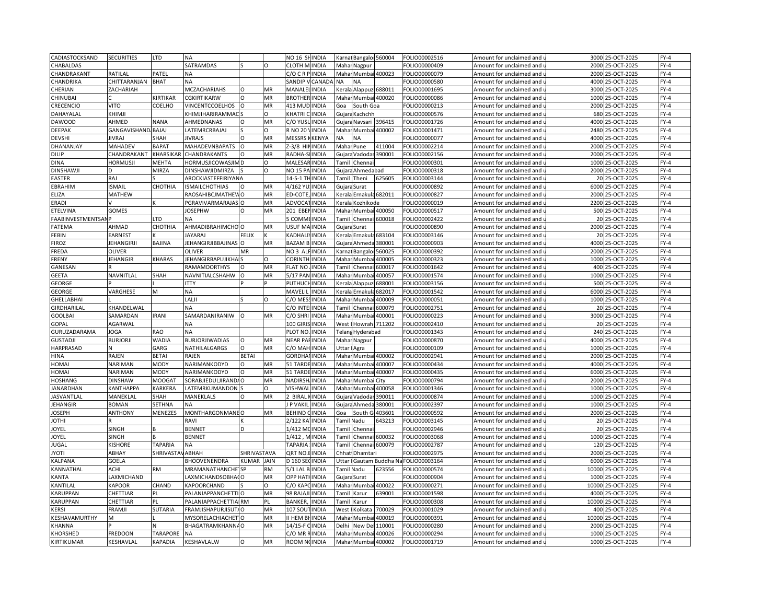| CADIASTOCKSAND            | <b>SECURITIES</b>   | <b>LTD</b>      | <b>NA</b>                 |              |           | NO <sub>16</sub> SHINDIA |               | Bangaloi 560004<br>Karna          | FOLIO00002516 | Amount for unclaimed and |       | 3000 25-OCT-2025  | $FY-4$ |
|---------------------------|---------------------|-----------------|---------------------------|--------------|-----------|--------------------------|---------------|-----------------------------------|---------------|--------------------------|-------|-------------------|--------|
| CHABALDAS                 |                     |                 | SATRAMDAS                 |              | $\Omega$  | <b>CLOTH MINDIA</b>      |               | Mahar Nagpur                      | FOLIO00000409 | Amount for unclaimed and |       | 2000 25-OCT-2025  | $FY-4$ |
| CHANDRAKANT               | RATILAL             | PATEL           | <b>NA</b>                 |              |           | C/O C R PINDIA           |               | Mahar Mumbai 400023               | FOLIO00000079 | Amount for unclaimed and |       | 2000 25-OCT-2025  | $FY-4$ |
| CHANDRIKA                 | CHITTARANJAN        | <b>BHAT</b>     | <b>NA</b>                 |              |           | SANDIP V                 | CANADA        | <b>NA</b><br><b>NA</b>            | FOLIO00000580 | Amount for unclaimed and | 4000  | 25-OCT-2025       | $FY-4$ |
| CHERIAN                   | ZACHARIAH           |                 | <b>MCZACHARIAHS</b>       | $\Omega$     | MR        | MANALE                   | <b>INDIA</b>  | Alappuz<br>688011<br>Kerala       | FOLIO00001695 | Amount for unclaimed and | 3000  | 25-OCT-2025       | $FY-4$ |
| CHINUBAI                  |                     | KIRTIKAR        | CGKIRTIKARW               | O            | MR        | <b>BROTHER INDIA</b>     |               | Maha<br>Mumbai<br>400020          | FOLIO00000086 | Amount for unclaimed and |       | 1000 25-OCT-2025  | $FY-4$ |
| CRECENCIO                 | <b>VITO</b>         | COELHO          | VINCENTCCOELHOS           | $\Omega$     | MR        | 413 MUD INDIA            |               | South Goa<br>Goa                  | FOLIO00000213 | Amount for unclaimed and |       | 2000 25-OCT-2025  | $FY-4$ |
|                           |                     |                 |                           |              | O         | KHATRI                   |               |                                   |               |                          |       | 25-OCT-2025       | $FY-4$ |
| DAHAYALAI                 | KHIMJI              |                 | KHIMJIHARIRAMMA(          |              |           |                          | <b>INDIA</b>  | Gujar<br>Kachchh                  | FOLIO00000576 | Amount for unclaimed and | 680   |                   |        |
| <b>DAWOOD</b>             | AHMED               | <b>NANA</b>     | AHMEDNANAS                | O            | MR        | C/O YUSL                 | <b>INDIA</b>  | 396415<br>Gujara<br>Navsari       | FOLIO00001726 | Amount for unclaimed and |       | 4000 25-OCT-2025  | $FY-4$ |
| DEEPAK                    | GANGAVISHAND, BAJAJ |                 | LATEMRCRBAJAJ             |              | $\Omega$  | <b>RNO 20</b>            | <b>INDIA</b>  | 400002<br>Maha<br>Mumba           | FOLIO00001471 | Amount for unclaimed and | 2480  | 25-OCT-2025       | $FY-4$ |
| <b>DEVSHI</b>             | <b>JIVRAJ</b>       | SHAH            | <b>JIVRAJS</b>            | $\Omega$     | MR        | <b>MESSRS</b>            | KENYA         | NΑ<br>ΝA                          | FOLIO00000077 | Amount for unclaimed and |       | 4000 25-OCT-2025  | $FY-4$ |
| DHANANJAY                 | <b>MAHADEV</b>      | <b>BAPAT</b>    | MAHADEVNBAPATS            | $\Omega$     | MR        | Z-3/8 HI                 | <b>INDIA</b>  | Mahar Pune<br>411004              | FOLIO00002214 | Amount for unclaimed and | 2000  | 25-OCT-2025       | $FY-4$ |
| <b>DILIP</b>              | CHANDRAKANT         | KHARSIKAR       | CHANDRAKANTS              | $\Omega$     | MR        | RADHA-S                  | <b>INDIA</b>  | Gujara Vadodar 390001             | FOLIO00002156 | Amount for unclaimed and |       | 2000 25-OCT-2025  | $FY-4$ |
| <b>DINA</b>               | <b>HORMUSJI</b>     | <b>MEHTA</b>    | HORMUSJICOWASJIM D        |              | O         | <b>MALESA</b>            | <b>INDIA</b>  | Tami<br>Chenna                    | FOLIO00000301 | Amount for unclaimed and | 1000  | 25-OCT-2025       | $FY-4$ |
| <b>DINSHAWJI</b>          |                     | MIRZA           | DINSHAWJIDMIRZA           |              | $\Omega$  | <b>NO 15 PA</b>          | <b>INDIA</b>  | Ahmedabad<br>Gujar                | FOLIO00000318 | Amount for unclaimed and |       | 2000 25-OCT-2025  | $FY-4$ |
| <b>EASTER</b>             | RAJ                 |                 | AROCKIASTEFFIRIYANA       |              |           | 14-5-1 TI                | <b>INDIA</b>  | 625605<br>Tamil<br>Theni          | FOLIO00003144 | Amount for unclaimed and |       | 20 25-OCT-2025    | $FY-4$ |
| EBRAHIM                   | <b>ISMAIL</b>       | СНОТНІА         | <b>ISMAILCHOTHIAS</b>     |              | <b>MR</b> | 4/162 YU                 | <b>INDIA</b>  | Gujara<br>Surat                   | FOLIO00000892 | Amount for unclaimed and |       | 6000 25-OCT-2025  | $FY-4$ |
| ELIZA                     | <b>MATHEW</b>       |                 | RAOSAHIBCJMATHEW          | O            | MR        | ED-COTE                  | INDIA         | Ernakula 682011<br>Kerala         | FOLIO00000827 | Amount for unclaimed and |       | 2000 25-OCT-2025  | $FY-4$ |
| ERADI                     |                     |                 | PGRAVIVARMARAJAS          |              | MR        | ADVOCA                   | INDIA         | Kozhikode<br>Keral                | FOLIO00000019 | Amount for unclaimed and | 2200  | 25-OCT-2025       | $FY-4$ |
| ETELVINA                  | GOMES               |                 | <b>JOSEPHW</b>            | $\Omega$     | MR        | 201 EBENINDIA            |               | Mahar Mumbai 400050               | FOLIO00000517 | Amount for unclaimed and |       | 500 25-OCT-2025   | $FY-4$ |
| <b>FAABINVESTMENTSANP</b> |                     | <b>LTD</b>      | <b>NA</b>                 |              |           | 5 COMM                   | <b>INDIA</b>  | Chenna<br>600018<br>Tami          | FOLIO00002422 | Amount for unclaimed and |       | 20 25-OCT-2025    | $FY-4$ |
| FATEMA                    | AHMAD               | CHOTHIA         | AHMADIBRAHIMCHO O         |              | MR        | USUF MAINDIA             |               | Gujara Surat                      | FOLIO00000890 | Amount for unclaimed and |       | 2000 25-OCT-2025  | $FY-4$ |
| FEBIN                     | <b>EARNEST</b>      |                 | <b>JAYARAJ</b>            | <b>FELIX</b> |           | KADHAL                   | <b>INDIA</b>  | Ernakula<br>683104<br>Kerala      | FOLIO00003146 | Amount for unclaimed and |       | 20 25-OCT-2025    | $FY-4$ |
| <b>FIROZ</b>              | <b>JEHANGIRJI</b>   | BAJINA          | <b>JEHANGIRJIBBAJINAS</b> |              | MR        | <b>BAZAM B</b>           | INDIA         | Gujar<br>Ahmeda<br>380001         | FOLIO00000903 | Amount for unclaimed and |       | 4000 25-OCT-2025  | $FY-4$ |
|                           |                     |                 |                           |              |           |                          |               |                                   |               |                          |       |                   |        |
| FREDA                     | <b>OLIVER</b>       |                 | OLIVER                    | MR           |           | NO <sub>3</sub> AL       | <b>INDIA</b>  | Karna<br><b>Bangalo</b><br>560025 | FOLIO00000392 | Amount for unclaimed and |       | 2000 25-OCT-2025  | $FY-4$ |
| FRENY                     | <b>JEHANGIR</b>     | <b>KHARAS</b>   | JEHANGIRBAPUJIKHA         |              | $\Omega$  | CORINTH                  | <b>INDIA</b>  | Maha<br>Mumbai<br>400005          | FOLIO00000323 | Amount for unclaimed and |       | 1000 25-OCT-2025  | $FY-4$ |
| GANESAN                   |                     |                 | <b>RAMAMOORTHYS</b>       | O            | MR        | <b>FLAT NO</b>           | <b>INDIA</b>  | 600017<br>Tamil<br>Chenna         | FOLIO00001642 | Amount for unclaimed and |       | 400 25-OCT-2025   | $FY-4$ |
| <b>GEETA</b>              | NAVNITLAL           | SHAH            | NAVNITIALCSHAHW           |              | MR        | 5/17 PAN                 | <b>INDIA</b>  | 400057<br>Maha<br>Mumb            | FOLIO00001574 | Amount for unclaimed and | 1000  | 25-OCT-2025       | $FY-4$ |
| GEORGE                    |                     |                 | <b>ITTY</b>               |              |           | PUTHUC                   | <b>HINDIA</b> | 688001<br>Kerala Alappuz          | FOLIO00003156 | Amount for unclaimed and |       | 500 25-OCT-2025   | $FY-4$ |
| GEORGE                    | VARGHESE            | M               | <b>NA</b>                 |              |           | MAVELII                  | <b>INDIA</b>  | 682017<br>Kerala<br>Ernakul       | FOLIO00001542 | Amount for unclaimed and | 6000  | 25-OCT-2025       | $FY-4$ |
| GHELLABHAI                |                     |                 | LALII                     |              | O         | C/O MESSINDIA            |               | Mahar Mumbai<br>400009            | FOLIO00000051 | Amount for unclaimed and |       | 1000 25-OCT-2025  | $FY-4$ |
| GIRDHARILAL               | KHANDELWAL          |                 | <b>NA</b>                 |              |           | C/O INTE                 | <b>INDIA</b>  | 600079<br>Tami<br>Chenna          | FOLIO00002751 | Amount for unclaimed and |       | 20 25-OCT-2025    | $FY-4$ |
| <b>GOOLBAI</b>            | SAMARDAN            | <b>IRANI</b>    | SAMARDANIRANIW            |              | MR        | C/O SHRI                 | <b>INDIA</b>  | Maha<br>Mumbai<br>400001          | FOLIO00000223 | Amount for unclaimed and |       | 3000 25-OCT-2025  | $FY-4$ |
| GOPAL                     | AGARWAL             |                 | <b>NA</b>                 |              |           | 100 GIRI                 | <b>INDIA</b>  | West<br>711202<br><b>Howrah</b>   | FOLIO00002410 | Amount for unclaimed and |       | 20 25-OCT-2025    | $FY-4$ |
| GURUZADARAMA              | <b>JOGA</b>         | <b>RAO</b>      | NA                        |              |           | PLOT NO.                 | <b>INDIA</b>  | Telan<br>Hyderabad                | FOLIO00001343 | Amount for unclaimed and |       | 240 25-OCT-2025   | $FY-4$ |
| <b>GUSTADJI</b>           | <b>BURJORJI</b>     | WADIA           | <b>BURJORJIWADIAS</b>     | O            | MR        | NEAR PAFINDIA            |               | Mahar<br>Nagpur                   | FOLIO00000870 | Amount for unclaimed and |       | 4000 25-OCT-2025  | $FY-4$ |
| HARPRASAD                 |                     | GARG            | NATHILALGARGS             |              | MR        | C/O MAI                  | INDIA         | Jttar<br>Agra                     | FOLIO00000109 | Amount for unclaimed and | 1000  | 25-OCT-2025       | $FY-4$ |
| HINA                      | RAJEN               | <b>BETAI</b>    | RAJEN                     | <b>BETAI</b> |           | <b>GORDHAI INDIA</b>     |               | 400002<br>Mahar Mumba             | FOLIO00002941 | Amount for unclaimed and |       | 2000 25-OCT-2025  | $FY-4$ |
| HOMAI                     | NARIMAN             | <b>MODY</b>     | NARIMANKODYD              | $\Omega$     | MR        | 51 TARD                  | INDIA         | Maha<br>100007<br>Mumba           | FOLIO00000434 | Amount for unclaimed and | 4000  | 25-OCT-2025       | $FY-4$ |
| HOMAI                     | NARIMAN             | <b>MODY</b>     | NARIMANKODYD              | $\Omega$     | MR        | 51 TARDE INDIA           |               | Mahar Mumbai 400007               | FOLIO00000435 | Amount for unclaimed and |       | 6000 25-OCT-2025  | $FY-4$ |
| <b>HOSHANG</b>            | <b>DINSHAW</b>      | <b>MOOGAT</b>   | SORABJIEDULJIRANDA O      |              | MR        | <b>NADIRSH</b>           | <b>INDIA</b>  | Mahar Mumbai City                 | FOLIO00000794 | Amount for unclaimed and | 2000  | 25-OCT-2025       | $FY-4$ |
| <b>JANARDHAN</b>          | KANTHAPPA           | KARKERA         | LATEMRKUMANDON            |              | O         | <b>JISHWA</b>            | INDIA         | Mahar Mumbai<br>400058            | FOLIO00001346 | Amount for unclaimed and |       | 1000 25-OCT-2025  | $FY-4$ |
| <b>JASVANTLAL</b>         | MANEKLAL            | SHAH            | MANEKLALS                 | $\Omega$     | <b>MR</b> | 2 BIRAL                  | INDIA         | Gujar<br>Vadoda<br>390011         | FOLIO00000874 |                          | 1000  | 25-OCT-2025       | $FY-4$ |
| JEHANGIR                  | <b>BOMAN</b>        | <b>SETHNA</b>   | <b>NA</b>                 |              |           | J P VAKIL                | <b>INDIA</b>  | Gujara<br>Ahmeda<br>380001        | FOLIO00002397 | Amount for unclaimed and |       | 1000 25-OCT-2025  | $FY-4$ |
|                           |                     |                 |                           |              |           |                          |               |                                   |               | Amount for unclaimed and |       |                   |        |
| <b>JOSEPH</b>             | <b>ANTHONY</b>      | MENEZES         | <b>MONTHARGONMANEO</b>    |              | MR        | BEHIND                   | <b>INDIA</b>  | 403601<br>Goa<br>South            | FOLIO00000592 | Amount for unclaimed and |       | 2000 25-OCT-2025  | $FY-4$ |
| <b>JOTHI</b>              |                     |                 | RAVI                      |              |           | 2/122 K/                 | <b>INDIA</b>  | amil Nadu<br>643213               | FOLIO00003145 | Amount for unclaimed and |       | 20 25-OCT-2025    | $FY-4$ |
| JOYEL                     | SINGH               |                 | <b>BENNET</b>             | D            |           | 1/412 MO                 | <b>INDIA</b>  | <b>Tamil</b><br>Chenna            | FOLIO00002946 | Amount for unclaimed and |       | 20 25-OCT-2025    | $FY-4$ |
| JOYEL                     | SINGH               |                 | <b>BENNET</b>             |              |           | 1/412                    | <b>INDIA</b>  | 600032<br>Tami<br>Chenna          | FOLIO00003068 | Amount for unclaimed and |       | 1000 25-OCT-2025  | $FY-4$ |
| JUGAL                     | <b>KISHORE</b>      | <b>TAPARIA</b>  | <b>NA</b>                 |              |           | TAPARIA                  | <b>INDIA</b>  | Chennai 600079<br>Tamil           | FOLIO00002787 | Amount for unclaimed and |       | 120 25-OCT-2025   | $FY-4$ |
| <b>ITOYL</b>              | ABHAY               | SHRIVASTA       | <b>ABHAH</b>              | SHRIVASTAVA  |           | QRT NO.                  | <b>INDIA</b>  | Chhat Dhamtari                    | FOLIO00002975 | Amount for unclaimed and | 2000  | 25-OCT-2025       | $FY-4$ |
| KALPANA                   | GOELA               |                 | <b>BHOOVENENDRA</b>       | KUMAR JAIN   |           | D 160 SECINDIA           |               | Uttar<br>Gautam Buddha Na         | FOLIO00003164 | Amount for unclaimed and |       | 6000 25-OCT-2025  | $FY-4$ |
| KANNATHAL                 | <b>ACHI</b>         | <b>RM</b>       | <b>MRAMANATHANCHE1SP</b>  |              | <b>RM</b> | 5/1 LAL B. INDIA         |               | 623556<br>Tamil Nadu              | FOLIO00000574 | Amount for unclaimed and |       | 10000 25-OCT-2025 | $FY-4$ |
| KANTA                     | LAXMICHAND          |                 | <b>LAXMICHANDSOBHA</b>    |              | MR        | OPP HATHINDIA            |               | Gujara Surat                      | FOLIO00000904 | Amount for unclaimed and |       | 1000 25-OCT-2025  | $FY-4$ |
| KANTILAL                  | <b>KAPOOR</b>       | CHAND           | KAPOORCHAND               |              | O         | C/O KAP                  | <b>INDIA</b>  | Mahar<br>Mumb<br>400022           | FOLIO00000271 | Amount for unclaimed and |       | 10000 25-OCT-2025 | $FY-4$ |
| KARUPPAN                  | CHETTIAR            | PI.             | PALANIAPPANCHETT          |              | MR        | 98 RAJA                  | <b>NDIA</b>   | Karur<br>539001<br>Tami           | FOLIO00001598 | Amount for unclaimed and | 4000  | 25-OCT-2025       | $FY-4$ |
| KARUPPAN                  | CHETTIAR            | PL              | PALANIAPPACHETTIA RM      |              | PL        | <b>BANKER</b>            | <b>INDIA</b>  | Tami<br>Karur                     | FOLIO00000308 | Amount for unclaimed and |       | 10000 25-OCT-2025 | $FY-4$ |
| <b>KERSI</b>              | <b>FRAMJI</b>       | <b>SUTARIA</b>  | <b>FRAMJISHAPURJISUT</b>  |              | MR        | 107 SOU                  | <b>INDIA</b>  | West<br>700029<br>Kolkata         | FOLIO00001029 | Amount for unclaimed and | 400   | 25-OCT-2025       | $FY-4$ |
| KESHAVAMURTHY             | M                   |                 | MYSORELACHIACHET          |              | MR        | II HEM BHINDIA           |               | 400019<br>Mahai<br>Mumba          | FOLIO00000391 | Amount for unclaimed and | 10000 | 25-OCT-2025       | $FY-4$ |
| KHANNA                    |                     |                 | <b>BHAGATRAMKHANNA</b>    |              | MR        | 14/15-F                  | <b>INDIA</b>  | 10001<br>Delh<br>New D            | FOLIO00000280 | Amount for unclaimed and | 2000  | 25-OCT-2025       | $FY-4$ |
| KHORSHED                  | <b>FREDOON</b>      | <b>TARAPORE</b> | <b>NA</b>                 |              |           | C/O MR RINDIA            |               | Mahai<br>Mumbai<br>400026         | FOLIO00000294 | Amount for unclaimed and |       | 1000 25-OCT-2025  | $FY-4$ |
| <b>KIRTIKUMAR</b>         | KESHAVLAL           | <b>KAPADIA</b>  | KESHAVLALW                | $\Omega$     | <b>MR</b> | <b>ROOM NUINDIA</b>      |               | Mahar Mumba<br>400002             | FOLIO00001719 | Amount for unclaimed and |       | 1000 25-OCT-2025  | $FY-4$ |
|                           |                     |                 |                           |              |           |                          |               |                                   |               |                          |       |                   |        |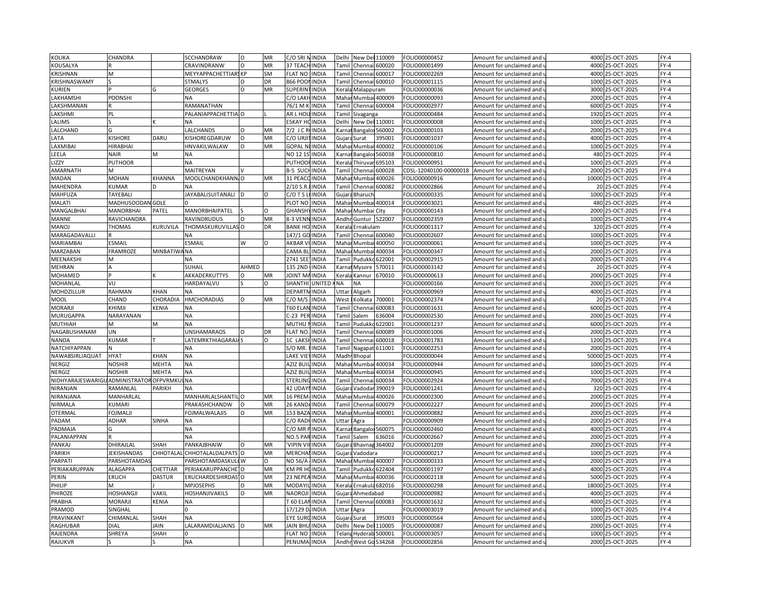| <b>KOLIKA</b>                         | CHANDRA          |                 | SCCHANDRAW                   | $\circ$  | MR        | C/O SRI NINDIA       |               | Delhi                                                                                                                                                                      | New Del 110009                  |                 | FOLIO00000452          | Amount for unclaimed and                          |       | 4000 25-OCT-2025  | $FY-4$ |
|---------------------------------------|------------------|-----------------|------------------------------|----------|-----------|----------------------|---------------|----------------------------------------------------------------------------------------------------------------------------------------------------------------------------|---------------------------------|-----------------|------------------------|---------------------------------------------------|-------|-------------------|--------|
| KOUSALYA                              |                  |                 | CRAVINDRANW                  | $\Omega$ | MR        | 37 TEACH INDIA       |               |                                                                                                                                                                            | Tamil Chennai 600020            |                 | OLIO00001499           | Amount for unclaimed and u                        |       | 4000 25-OCT-2025  | $FY-4$ |
| <b>KRISHNAN</b>                       | M                |                 | MEYYAPPACHETTIARS KP         |          | SM        | <b>FLAT NO</b>       | <b>INDIA</b>  | Tamil                                                                                                                                                                      | Chennai                         | 600017          | FOLIO00002269          | Amount for unclaimed and                          |       | 4000 25-OCT-2025  | $FY-4$ |
| KRISHNASWAMY                          |                  |                 | <b>STMALYS</b>               | $\Omega$ | DR        | 866 POO              | <b>INDIA</b>  | Tamil                                                                                                                                                                      | Chennai 600010                  |                 | OLIO00001115           | Amount for unclaimed and u                        | 1000  | 25-OCT-2025       | $FY-4$ |
| <b>KURIEN</b>                         |                  | G               | <b>GEORGES</b>               | $\circ$  | MR        | SUPERIN              | <b>INDIA</b>  | Kerala                                                                                                                                                                     | Malappuram                      |                 | OLIO00000036           | Amount for unclaimed and                          | 3000  | 25-OCT-2025       | $FY-4$ |
| LAKHAMSHI                             | POONSHI          |                 | ΝA                           |          |           | C/O LAKI             | <b>INDIA</b>  | Maha                                                                                                                                                                       | Mumbai                          | 400009          | FOLIO00000093          | Amount for unclaimed and                          | 2000  | 25-OCT-2025       | $FY-4$ |
| LAKSHMANAN                            |                  |                 | RAMANATHAN                   |          |           | 76/1 M K             | <b>INDIA</b>  | Tamil                                                                                                                                                                      |                                 | Chennai 600004  | FOLIO00002977          | Amount for unclaimed and                          |       | 6000 25-OCT-2025  | $FY-4$ |
| LAKSHMI                               | PI               |                 | PALANIAPPACHETTIA O          |          |           | AR L HOI             | <b>INDIA</b>  | Tamil                                                                                                                                                                      | Sivaganga                       |                 | OLIO00000484           | Amount for unclaimed and                          | 1920  | 25-OCT-2025       | $FY-4$ |
| LALIMS                                |                  |                 | <b>NA</b>                    |          |           | ESKAY H              | <b>INDIA</b>  | Delhi                                                                                                                                                                      | New Del 110001                  |                 | OLIO00000008           | Amount for unclaimed and                          |       | 1000 25-OCT-2025  | $FY-4$ |
| LALCHAND                              |                  |                 | LALCHANDS                    | $\Omega$ | MR        | 7/2 J C R            | <b>INDIA</b>  | Karna                                                                                                                                                                      | Bangalor                        | 560002          | FOLIO00000103          | Amount for unclaimed and                          | 2000  | 25-OCT-2025       | $FY-4$ |
| LATA                                  | <b>ISHORE</b>    | DARU            | KISHOREGDARUW                | $\Omega$ | MR        | c/o urji             | <b>INDIA</b>  |                                                                                                                                                                            | Gujara Surat                    | 395001          | OLIO00001037           | Amount for unclaimed and $\mathfrak l$            | 4000  | 25-OCT-2025       | $FY-4$ |
| LAXMIBAI                              | HIRABHAI         |                 | HNVAKILWALAW                 | $\Omega$ | MR        | GOPAL N              | <b>INDIA</b>  |                                                                                                                                                                            | Mahar Mumba                     | 400002          | OLIO00000106           | Amount for unclaimed and                          | 1000  | 25-OCT-2025       | $FY-4$ |
| LEELA                                 | <b>NAIR</b>      | M               | <b>NA</b>                    |          |           | <b>NO 12 1S</b>      | <b>INDIA</b>  |                                                                                                                                                                            | Carnat Bangalor                 | 560038          | OLIO00000810           | Amount for unclaimed and u                        | 480   | 25-OCT-2025       | $FY-4$ |
| <b>LIZZY</b>                          | PUTHOOR          |                 | <b>NA</b>                    |          |           | PUTHOO               | <b>INDIA</b>  | <erala< td=""><td>Thiruva</td><td>695103</td><td>FOLIO00000951</td><td>Amount for unclaimed and</td><td>1000</td><td>25-OCT-2025</td><td><math>FY-4</math></td></erala<>   | Thiruva                         | 695103          | FOLIO00000951          | Amount for unclaimed and                          | 1000  | 25-OCT-2025       | $FY-4$ |
| AMARNATH                              |                  |                 | MAITREYAN                    |          |           | B-5 SUC              | INDIA         | Tami                                                                                                                                                                       | Chennai                         | 600028          | CDSL-12040100-00000018 | Amount for unclaimed and i                        | 2000  | 25-OCT-2025       | $FY-4$ |
| <b>MADAN</b>                          | MOHAN            | <b>CHANNA</b>   | MOOLCHANDKHANN, O            |          | MR        | 31 PEACC             | <b>INDIA</b>  | Mahar                                                                                                                                                                      | Mumbai                          | 400026          | OLIO00000916           | Amount for unclaimed and                          |       | 10000 25-OCT-2025 | $FY-4$ |
| MAHENDRA                              | KUMAR            |                 | <b>NA</b>                    |          |           | $2/10$ S.R           | <b>INDIA</b>  | Tami                                                                                                                                                                       | Chennai                         | 600082          | OLIO00002866           | Amount for unclaimed and                          | 20    | 25-OCT-2025       | $FY-4$ |
| MAHFUZA                               | TAYEBALI         |                 |                              |          |           | C/OTS                | <b>INDIA</b>  |                                                                                                                                                                            |                                 |                 | OLIO00000335           |                                                   |       | 1000 25-OCT-2025  | $FY-4$ |
| MALATI                                | MADHUSOODAN GOLE |                 | JAYABALISUITANALI            |          | 0         | PLOT NO              | <b>INDIA</b>  | Maha                                                                                                                                                                       | Gujara Bharuch<br>Mumbai 400014 |                 | OLIO00003021           | Amount for unclaimed and $\overline{\phantom{a}}$ | 480   | 25-OCT-2025       | $FY-4$ |
| MANGALBHAI                            | MANORBHAI        | PATEL           | MANORBHAIPATEL               |          | $\circ$   | GHANSH               | <b>INDIA</b>  |                                                                                                                                                                            |                                 |                 | OLIO00000143           | Amount for unclaimed and                          |       | 2000 25-OCT-2025  | $FY-4$ |
|                                       |                  |                 |                              | $\circ$  | MR        | 8-3 VENI             |               |                                                                                                                                                                            | Mahar Mumbai City               |                 |                        | Amount for unclaimed and u                        |       |                   | $FY-4$ |
| MANNE                                 | RAVICHANDRA      |                 | RAVINDRUDUS                  |          |           |                      | <b>INDIA</b>  |                                                                                                                                                                            | Andhr Guntur 522007             |                 | FOLIO00002359          | Amount for unclaimed and                          |       | 1000 25-OCT-2025  |        |
| MANOJ                                 | THOMAS           | <b>CURUVILA</b> | THOMASKURUVILLAS O           |          | DR        | <b>BANK HO</b>       | <b>INDIA</b>  |                                                                                                                                                                            | Kerala Ernakulam                |                 | OLIO00001317           | Amount for unclaimed and u                        |       | 320 25-OCT-2025   | $FY-4$ |
| MARAGADAVALLI                         |                  |                 | NA                           |          |           | 147/1 GO             | <b>INDIA</b>  | Tamil                                                                                                                                                                      |                                 | Chennai 600040  | FOLIO00002607          | Amount for unclaimed and                          | 1000  | 25-OCT-2025       | $FY-4$ |
| MARIAMBAI                             | ESMAIL           |                 | ESMAIL                       | W        | $\Omega$  | AKBAR V              | <b>INDIA</b>  | Maha                                                                                                                                                                       | Mumbai                          | 400050          | OLIO00000061           | Amount for unclaimed and i                        | 1000  | 25-OCT-2025       | $FY-4$ |
| MARZABAN                              | FRAMROZE         | MINBATIW        | <b>NA</b>                    |          |           | CAMA BI              | <b>INDIA</b>  |                                                                                                                                                                            | Mahar Mumbai                    | 400034          | FOLIO00000347          | Amount for unclaimed and                          |       | 2000 25-OCT-2025  | $FY-4$ |
| MEENAKSHI                             | M                |                 | NA                           |          |           | 2741 SEE             | <b>INDIA</b>  | Tamil                                                                                                                                                                      | Pudukko                         | 22001           | OLIO00002915           | Amount for unclaimed and i                        |       | 2000 25-OCT-2025  | $FY-4$ |
| MEHRAN                                |                  |                 | SUHAIL                       | AHMED    |           | 135 2ND              | <b>INDIA</b>  | <arna< td=""><td>Mysore</td><td>570011</td><td>OLIO00003142</td><td>Amount for unclaimed and</td><td></td><td>20 25-OCT-2025</td><td><math>FY-4</math></td></arna<>        | Mysore                          | 570011          | OLIO00003142           | Amount for unclaimed and                          |       | 20 25-OCT-2025    | $FY-4$ |
| MOHAMED                               |                  |                 | AKKADERKUTTYS                | $\Omega$ | MR        | <b>JOINT M</b>       | <b>INDIA</b>  | (eral                                                                                                                                                                      | Kannur                          | 670010          | OLIO00000613           | Amount for unclaimed and                          | 2000  | 25-OCT-2025       | $FY-4$ |
| MOHANLAL                              | VIJ              |                 | HARDAYALVIJ                  |          | $\Omega$  | SHANTH               | <b>UNITED</b> | ΝA                                                                                                                                                                         | <b>NA</b>                       |                 | OLIO00000166           | Amount for unclaimed and เ                        |       | 2000 25-OCT-2025  | $FY-4$ |
| MOHDZILLUR                            | RAHMAN           | KHAN            | <b>NA</b>                    |          |           | <b>DEPART</b>        | <b>INDIA</b>  | Uttar                                                                                                                                                                      | Aligarh                         |                 | FOLIO00000969          | Amount for unclaimed and                          |       | 4000 25-OCT-2025  | $FY-4$ |
| <b>MOOL</b>                           | CHAND            | CHORADIA        | <b>HMCHORADIAS</b>           | O        | <b>MR</b> | C/O M/S              | <b>INDIA</b>  | West                                                                                                                                                                       | Kolkata                         | 700001          | FOLIO00002374          | Amount for unclaimed and u                        |       | 20 25-OCT-2025    | $FY-4$ |
| <b>MORARJI</b>                        | KHIMJI           | <b>KENIA</b>    | <b>NA</b>                    |          |           | T60 ELAN             | <b>INDIA</b>  | Tamil                                                                                                                                                                      | Chenna                          | 600083          | FOLIO00001631          | Amount for unclaimed and                          |       | 6000 25-OCT-2025  | $FY-4$ |
| MURUGAPPA                             | NARAYANAN        |                 | <b>NA</b>                    |          |           | C-23 PER INDIA       |               | Tamil                                                                                                                                                                      | Salem                           | 636004          | OLIO00002530           | Amount for unclaimed and u                        |       | 2000 25-OCT-2025  | $FY-4$ |
| <b>MUTHIAH</b>                        | M                | M               | NA                           |          |           | MUTHU                | <b>INDIA</b>  | Tamil                                                                                                                                                                      | Pudukko                         | 622001          | FOLIO00001237          | Amount for unclaimed and                          |       | 6000 25-OCT-2025  | $FY-4$ |
| NAGABUSHANAM                          | UN               |                 | UNSHAMARAOS                  |          | DR        | <b>FLAT NO</b>       | <b>INDIA</b>  | Tami                                                                                                                                                                       | Chennai                         | 600089          | OLIO00001006           | Amount for unclaimed and                          |       | 2000 25-OCT-2025  | $FY-4$ |
| <b>NANDA</b>                          | KUMAR            |                 | <b>LATEMRKTHIAGARAJA</b>     |          | O         | 1C LAKS              | <b>INDIA</b>  | Tamil                                                                                                                                                                      | Chennai                         | 600018          | OLIO00001783           | Amount for unclaimed and                          | 1200  | 25-OCT-2025       | $FY-4$ |
| NATCHIYAPPAN                          |                  |                 | <b>NA</b>                    |          |           | S/O MR               | <b>INDIA</b>  | Tamil                                                                                                                                                                      | Nagapat                         | 511001          | OLIO00002253           | Amount for unclaimed and                          | 2000  | 25-OCT-2025       | $FY-4$ |
| NAWABSIRLIAQUAT                       | <b>HYAT</b>      | KHAN            | <b>NA</b>                    |          |           | LAKE VIE             | <b>INDIA</b>  |                                                                                                                                                                            | Madh Bhopal                     |                 | OLIO00000044           | Amount for unclaimed and i                        |       | 50000 25-OCT-2025 | $FY-4$ |
| NERGIZ                                | <b>NOSHIR</b>    | <b>MEHTA</b>    | <b>NA</b>                    |          |           | AZIZ BU              | <b>INDIA</b>  | Maha                                                                                                                                                                       | Mumbai                          | 400034          | FOLIO00000944          | Amount for unclaimed and                          | 1000  | 25-OCT-2025       | $FY-4$ |
| NERGIZ                                | NOSHIR           | MEHTA           | <b>NA</b>                    |          |           | AZIZ BUII            | <b>INDIA</b>  | Mahar                                                                                                                                                                      | Mumbai                          | 400034          | OLIO00000945           | Amount for unclaimed and <code>u</code>           | 1000  | 25-OCT-2025       | $FY-4$ |
| NIDHYARAJESWARIGUADMINISTRATOROFPVRMK |                  |                 | <b>NA</b>                    |          |           | STERLIN              | <b>INDIA</b>  | Tamil                                                                                                                                                                      | Chenna                          | 600034          | OLIO00002924           | Amount for unclaimed and                          | 7000  | 25-OCT-2025       | $FY-4$ |
| NIRANJAN                              | RAMANLAL         | PARIKH          | <b>NA</b>                    |          |           | 42 UDAYI             | <b>INDIA</b>  | Gujar                                                                                                                                                                      | Vadodar                         | 390019          | OLIO00001241           | Amount for unclaimed and u                        |       | 320 25-OCT-2025   | $FY-4$ |
| NIRANJANA                             | MANHARLAL        |                 | MANHARLALSHANTIL O           |          | MR        | 16 PREM              | <b>INDIA</b>  | Mahar                                                                                                                                                                      | Mumbai                          | 100026          | OLIO00002300           | Amount for unclaimed and                          |       | 2000 25-OCT-2025  | $FY-4$ |
| NIRMALA                               | KUMARI           |                 | PRAKASHCHANDW                |          | MR        | 26 KAND              | INDIA         | Tami                                                                                                                                                                       | Chenna                          | 600079          | OLIO00002227           | Amount for unclaimed and i                        | 2000  | 25-OCT-2025       | $FY-4$ |
| <b>OTERMAL</b>                        | FOJMALJI         |                 | FOJMALWALAJIS                | O        | MR        | 153 BAZA             | <b>INDIA</b>  | Mahar                                                                                                                                                                      | Mumbai                          | 400001          | OLIO00000882-          | Amount for unclaimed and                          | 2000  | 25-OCT-2025       | $FY-4$ |
| PADAM                                 | ADHAR            | SINHA           | NA                           |          |           | C/O RAD              | <b>INDIA</b>  | Uttar                                                                                                                                                                      | Agra                            |                 | OLIO00000909           | Amount for unclaimed and                          | 2000  | 25-OCT-2025       | $FY-4$ |
| PADMAJA                               |                  |                 | NA                           |          |           | C/O MR PINDIA        |               |                                                                                                                                                                            | Karnat Bangalor                 | 560075          | OLIO00002460           | Amount for unclaimed and                          |       | 4000 25-OCT-2025  | $FY-4$ |
| PALANIAPPAN                           |                  |                 | <b>NA</b>                    |          |           | <b>NO.5 PA</b>       | <b>INDIA</b>  | Tamil                                                                                                                                                                      | Salem                           | 636016          | OLIO00002667           | Amount for unclaimed and                          | 2000  | 25-OCT-2025       | $FY-4$ |
| PANKAJ                                | DHIRAJLAL        | SHAH            | PANKAJBHAIW                  | $\Omega$ | MR        | VIPIN VI             | <b>INDIA</b>  |                                                                                                                                                                            | Gujara Bhavnag 364002           |                 | OLIO00001209           | Amount for unclaimed and u                        | 2000  | 25-OCT-2025       | $FY-4$ |
| PARIKH                                | JEKISHANDAS      |                 | CHHOTALAL CHHOTALALDALPATS O |          | MR        | <b>MERCHA</b>        | <b>INDIA</b>  | Gujara                                                                                                                                                                     | Vadodara                        |                 | OLIO00000217           | Amount for unclaimed and                          | 1000  | 25-OCT-2025       | $FY-4$ |
| PARPATI                               | PARSHOTAMDAS     |                 | PARSHOTAMDASKULI W           |          | $\Omega$  | NO 56/A              | <b>INDIA</b>  | Mahar                                                                                                                                                                      |                                 | Mumbai 400007   | OLIO00000333           | Amount for unclaimed and $\iota$                  | 2000  | 25-OCT-2025       | $FY-4$ |
| PERIAKARUPPAN                         | ALAGAPPA         | CHETTIAR        | PERIAKARUPPANCHE O           |          | MR        | KM PR H              | <b>INDIA</b>  | Tamil                                                                                                                                                                      | Pudukko 622404                  |                 | FOLIO00001197          | Amount for unclaimed and                          |       | 4000 25-OCT-2025  | $FY-4$ |
| PERIN                                 | ERUCH            | <b>DASTUR</b>   | ERUCHARDESHIRDAS'            | ۱o       | MR        | 23 NEPE              | <b>INDIA</b>  | Mahar                                                                                                                                                                      | Mumbai                          | 400036          | FOLIO00002118          | Amount for unclaimed and $\iota$                  | 5000  | 25-OCT-2025       | $FY-4$ |
| PHILIP                                | м                |                 | <b>MPJOSEPHS</b>             | $\Omega$ | MR        | <b>MODAYI</b>        | INDIA         | <erala< td=""><td></td><td>Ernakula 682016</td><td>OLIO00000298</td><td>Amount for unclaimed and</td><td>18000</td><td>25-OCT-2025</td><td><math>FY-4</math></td></erala<> |                                 | Ernakula 682016 | OLIO00000298           | Amount for unclaimed and                          | 18000 | 25-OCT-2025       | $FY-4$ |
| PHIROZE                               | HOSHANGJI        | VAKIL           | HOSHANJIVAKILS               |          | MR        | NAOROJ               | INDIA         | Gujar                                                                                                                                                                      | Ahmedabad                       |                 | OLIO00000982           | Amount for unclaimed and                          | 400C  | 25-OCT-2025       | $FY-4$ |
| PRABHA                                | MORARJI          | KENIA           | NA                           |          |           | <b>F60 ELANINDIA</b> |               |                                                                                                                                                                            | Tamil Chennai 600083            |                 | OLIO00001632           | Amount for unclaimed and                          |       | 4000 25-OCT-2025  | $FY-4$ |
| PRAMOD                                | SINGHAI          |                 |                              |          |           | 17/129 D             | <b>INDIA</b>  | <b>Jttar</b>                                                                                                                                                               | Agra                            |                 | OLIO00003019           | Amount for unclaimed and                          | 1000  | 25-OCT-2025       | $FY-4$ |
| PRAVINKANT                            | CHIMANLAL        | SHAH            | <b>NA</b>                    |          |           | <b>EYE SURGINDIA</b> |               |                                                                                                                                                                            | Gujara Surat                    | 395003          | OLIO00000564           | Amount for unclaimed and $\mathfrak t$            | 1000  | 25-OCT-2025       | $FY-4$ |
| RAGHUBAR                              | DIAL             | <b>JAIN</b>     | LALARAMDIALJAINS O           |          | MR        | <b>JAIN BH</b>       | <b>INDIA</b>  | Delhi                                                                                                                                                                      | New De                          | 110005          | OLIO00000087           | Amount for unclaimed and                          | 2000  | 25-OCT-2025       | $FY-4$ |
| RAJENDRA                              | SHREYA           | SHAH            |                              |          |           | <b>FLAT NO</b>       | <b>INDIA</b>  | Felang                                                                                                                                                                     | Hyderab                         | 500001          | OLIO00003057           | Amount for unclaimed and $\iota$                  | 1000  | 25-OCT-2025       | $FY-4$ |
| <b>RAJUKVR</b>                        |                  |                 | <b>NA</b>                    |          |           | PENUMA               | <b>INDIA</b>  |                                                                                                                                                                            | Andhr West Go 534268            |                 | FOLIO00002856          | Amount for unclaimed and                          |       | 2000 25-OCT-2025  | $FY-4$ |
|                                       |                  |                 |                              |          |           |                      |               |                                                                                                                                                                            |                                 |                 |                        |                                                   |       |                   |        |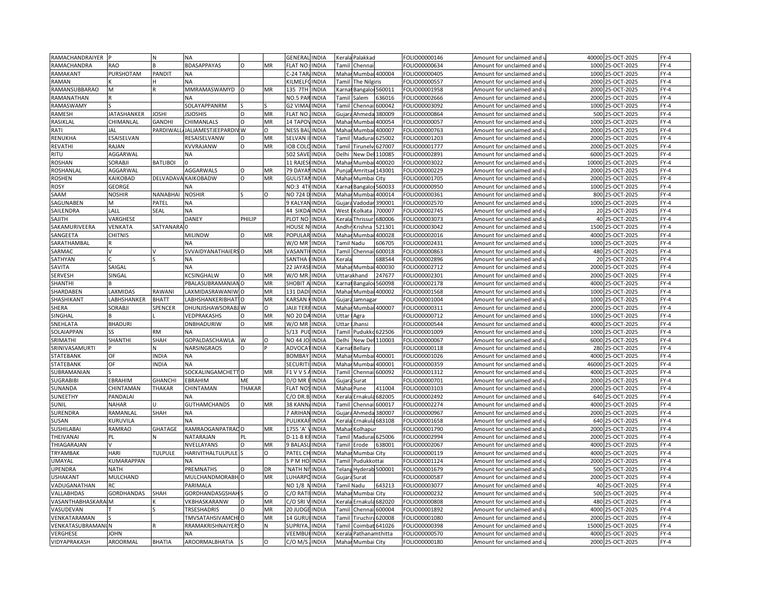| RAMACHANDRAIYER    |                  |                 | <b>NA</b>                      |               |                | <b>GENERAI</b><br><b>INDIA</b>  |              | Kerala Palakkad        |                | FOLIO00000146 | Amount for unclaimed and                               | 40000        | 25-OCT-2025      | $FY-4$ |
|--------------------|------------------|-----------------|--------------------------------|---------------|----------------|---------------------------------|--------------|------------------------|----------------|---------------|--------------------------------------------------------|--------------|------------------|--------|
| RAMACHANDRA        | RAO              |                 | <b>BDASAPPAYAS</b>             | $\circ$       | MR             | <b>INDIA</b><br>FLAT NO:        |              | Tamil Chennai          |                | FOLIO00000634 | Amount for unclaimed and u                             |              | 1000 25-OCT-2025 | $FY-4$ |
| RAMAKANT           | PURSHOTAM        | <b>PANDIT</b>   | <b>NA</b>                      |               |                | C-24 TAR/INDIA                  |              | Mahar Mumbai 400004    |                | FOLIO00000405 | Amount for unclaimed and i                             |              | 1000 25-OCT-2025 | $FY-4$ |
| <b>RAMAN</b>       |                  |                 | NA                             |               |                | KILMELFOINDIA                   |              | Tamil The Nilgiris     |                | FOLIO00000557 | Amount for unclaimed and u                             | 2000         | 25-OCT-2025      | $FY-4$ |
| RAMANSUBBARAO      | M                |                 | MMRAMASWAMYD                   | $\circ$       | MR             | 135 7TH<br><b>INDIA</b>         | Karna        | Bangaloi 560011        |                | FOLIO00001958 | Amount for unclaimed and                               | 2000         | 25-OCT-2025      | $FY-4$ |
| RAMANATHAN         |                  |                 | NА                             |               |                | INDIA<br>NO.5 PAI               | Tami         | Salem                  | 636016         | OLIO00002666  | Amount for unclaimed and                               |              | 2000 25-OCT-2025 | $FY-4$ |
| RAMASWAMY          |                  |                 | SOLAYAPPANRM                   |               |                | G2 VIMA<br><b>INDIA</b>         | Tamil        | Chenna                 | 600042         | FOLIO00003092 | Amount for unclaimed and                               |              | 1000 25-OCT-2025 | $FY-4$ |
| RAMESH             |                  | OSHI            | <b>ISJOSHIS</b>                |               | MR             | <b>FLAT NO</b><br><b>INDIA</b>  |              |                        |                |               |                                                        |              | 500 25-OCT-2025  | $FY-4$ |
|                    | JATASHANKER      |                 |                                |               |                |                                 | Gujar        | Ahmeda                 | 380009         | OLIO00000864  | Amount for unclaimed and                               |              |                  |        |
| RASIKLAL           | CHIMANLAL        | GANDHI          | CHIMANLALS                     | $\circ$       | MR<br>$\Omega$ | 14 TAPOV<br><b>INDIA</b>        |              | Mahar Mumbai           | 400054         | OLIO00000057  | Amount for unclaimed and $\overline{\phantom{a}}$      | 1000<br>2000 | 25-OCT-2025      | $FY-4$ |
| RATI               | JAL              | PARDIWAL        | JALJAMESTJEEPARDIV W           |               |                | <b>NESS BA</b><br><b>INDIA</b>  | Maha         | Mumba                  | 400007         | OLIO00000763  | Amount for unclaimed and                               |              | 25-OCT-2025      | $FY-4$ |
| RENUKHA            | <b>SAISELVAN</b> |                 | RESAISELVANW                   | $\Omega$      | MR             | <b>SELVAN</b><br><b>INDIA</b>   |              | Tamil Madurai          | 625002         | OLIO00001203  | Amount for unclaimed and                               |              | 2000 25-OCT-2025 | $FY-4$ |
| REVATHI            | RAJAN            |                 | KVVRAJANW                      | $\Omega$      | MR             | <b>IOB COLO INDIA</b>           | Tamil        | Tirunely               | 627007         | OLIO00001777  | Amount for unclaimed and                               |              | 2000 25-OCT-2025 | $FY-4$ |
| <b>RITU</b>        | AGGARWAL         |                 | NΑ                             |               |                | 502 SAVE INDIA                  | Delhi        | New Del                | 110085         | OLIO00002891  | Amount for unclaimed and u                             | 6000         | 25-OCT-2025      | $FY-4$ |
| <b>ROSHAN</b>      | SORABJI          | <b>BATLIBOI</b> |                                |               |                | 11 RAJES<br><b>INDIA</b>        | Mahar        | Mumba                  | 400020         | FOLIO00003022 | Amount for unclaimed and                               | 10000        | 25-OCT-2025      | $FY-4$ |
| ROSHANLAL          | AGGARWAL         |                 | AGGARWALS                      | $\Omega$      | MR             | 79 DAYA<br><b>INDIA</b>         | Punja        | Amritsa                | 143001         | OLIO00000229  | Amount for unclaimed and i                             |              | 2000 25-OCT-2025 | $FY-4$ |
| <b>ROSHEN</b>      | KAIKOBAD         | DELVADAV        | KAIKOBADW                      | $\circ$       | MR             | <b>GULISTA</b><br><b>INDIA</b>  |              | Mahar Mumbai City      |                | FOLIO00001705 | Amount for unclaimed and                               |              | 2000 25-OCT-2025 | $FY-4$ |
| <b>ROSY</b>        | GEORGE           |                 | NА                             |               |                | <b>NO:3 4TI</b><br>INDIA        | arnai        | Bangalor               | 560033         | OLIO00000950  | Amount for unclaimed and                               |              | 1000 25-OCT-2025 | $FY-4$ |
| SAAM               | <b>NOSHIR</b>    | NANABHAI        | <b>NOSHIR</b>                  |               | O              | <b>NO 724 D</b><br><b>INDIA</b> |              | Mahar Mumbai           | 400014         | OLIO00000361  | Amount for unclaimed and                               |              | 800 25-OCT-2025  | $FY-4$ |
| SAGUNABEN          | M                | PATEL           | NA                             |               |                | 9 KALYAI<br><b>INDIA</b>        | Gujara       | Vadodar                | 390001         | OLIO00002570  | Amount for unclaimed and                               | 1000         | 25-OCT-2025      | $FY-4$ |
| SAILENDRA          | LALL             | SEAL            | NΑ                             |               |                | 44 SIKDA INDIA                  |              | West I Kolkata         | 700007         | OLIO00002745  | Amount for unclaimed and u                             |              | 20 25-OCT-2025   | $FY-4$ |
| SAJITH             | VARGHESE         |                 | DANEY                          | PHILIP        |                | PLOT NO<br><b>INDIA</b>         |              | Kerala Thrissur        | 680006         | OLIO00003073  | Amount for unclaimed and                               |              | 40 25-OCT-2025   | $FY-4$ |
| SAKAMURIVEERA      | VENKATA          | SATYANARA 0     |                                |               |                | HOUSE N<br><b>INDIA</b>         |              | Andhr Krishna          | 521301         | OLIO00003042  | Amount for unclaimed and i                             |              | 1500 25-OCT-2025 | $FY-4$ |
| SANGEETA           | <b>CHITNIS</b>   |                 | <b>MILINDW</b>                 | O             | MR             | <b>POPULAR</b><br><b>INDIA</b>  |              | Mahar Mumba            | 400028         | FOLIO00002016 | Amount for unclaimed and i                             |              | 4000 25-OCT-2025 | $FY-4$ |
| SARATHAMBAL        |                  |                 | NД                             |               |                | W/O MR<br><b>INDIA</b>          |              | Tamil Nadu             | 606705         | OLIO00002431  | Amount for unclaimed and                               |              | 1000 25-OCT-2025 | $FY-4$ |
| SARMAC             |                  |                 | SVVAIDYANATHAIERSO             |               | MR             | VASANTI<br><b>INDIA</b>         |              | Tamil Chenna           | 600018         | FOLIO00000863 | Amount for unclaimed and                               |              | 480 25-OCT-2025  | $FY-4$ |
| SATHYAN            |                  |                 | NA                             |               |                | SANTHA<br><b>INDIA</b>          | cerala       |                        | 688544         | OLIO00002896  | Amount for unclaimed and i                             |              | 20 25-OCT-2025   | $FY-4$ |
| SAVITA             | SAIGAL           |                 | NΑ                             |               |                | 22 JAYAS<br><b>INDIA</b>        |              | Mahar Mumba            | 400030         | OLIO00002712  | Amount for unclaimed and $\overline{\phantom{a}}$      |              | 2000 25-OCT-2025 | $FY-4$ |
| SERVESH            | SINGAL           |                 | <b>CSINGHALW</b>               |               | MR             | <b>INDIA</b><br>W/O MF          |              | Uttarakhand            | 247677         | OLIO00002301  | Amount for unclaimed and                               | 2000         | 25-OCT-2025      | $FY-4$ |
| SHANTHI            |                  |                 | <b>BALASUBRAMANIANO</b>        |               | MR             | <b>SHOBIT A</b><br><b>INDIA</b> |              | Karnal Bangaloi 560098 |                | OLIO00002178  | Amount for unclaimed and u                             |              | 4000 25-OCT-2025 | $FY-4$ |
| SHARDABEN          | LAXMIDAS         | RAWANI          | AXMIDASRAWANIW O               |               | MR             | 131 DAD<br><b>INDIA</b>         |              | Mahar Mumbai 400002    |                | OLIO00001568  |                                                        | 1000         | 25-OCT-2025      | $FY-4$ |
| SHASHIKANT         | ABHSHANKER       | <b>BHATT</b>    | ABHSHANKERIBHAT <sup>1</sup> O |               | MR             | KARSAN<br><b>INDIA</b>          |              | Gujara Jamnagar        |                | FOLIO00001004 | Amount for unclaimed and<br>Amount for unclaimed and u |              | 1000 25-OCT-2025 | $FY-4$ |
|                    | SORABJI          | SPENCER         | DHUNJISHAWSORABJ W             |               | O              | <b>JAIJI TER</b><br>INDIA       |              |                        |                | FOLIO00000311 |                                                        | 2000         | 25-OCT-2025      | $FY-4$ |
| SHERA<br>SINGHAL   |                  |                 |                                |               | MR             | NO 20 DA                        |              | Mahar Mumbai 400007    |                |               | Amount for unclaimed and                               |              | 1000 25-OCT-2025 | $FY-4$ |
|                    |                  |                 | <b>JEDPRAKASHS</b>             | Ω             |                | <b>INDIA</b>                    | Uttar        | Agra                   |                | FOLIO00000712 | Amount for unclaimed and u                             |              |                  |        |
| SNEHLATA           | <b>BHADURI</b>   |                 | DNBHADURIW                     | $\circ$       | MR             | W/O MR<br><b>INDIA</b>          | <b>Jttar</b> | Jhansi                 |                | FOLIO00000544 | Amount for unclaimed and                               |              | 4000 25-OCT-2025 | $FY-4$ |
| SOLAIAPPAN         |                  | RM              | NА                             |               |                | 5/13 PU<br><b>INDIA</b>         | Tamil        | Pudukkc                | 622506         | FOLIO00001009 | Amount for unclaimed and i                             |              | 1000 25-OCT-2025 | $FY-4$ |
| SRIMATHI           | SHANTHI          | SHAH            | GOPALDASCHAWLA                 | W             | O              | NO 44 JC<br>INDIA               | Delhi        | New Del                | 110003         | FOLIO00000067 | Amount for unclaimed and                               |              | 6000 25-OCT-2025 | $FY-4$ |
| SRINIVASAMURTI     |                  |                 | NARSINGRAOS                    |               |                | ADVOC/<br>INDIA                 | Karna        | Bellary                |                | OLIO00000118  | Amount for unclaimed and                               | 280          | 25-OCT-2025      | $FY-4$ |
| STATEBANK          | OF               | <b>NDIA</b>     | ΝA                             |               |                | <b>BOMBAY</b><br><b>INDIA</b>   |              | Mahar Mumbai           | 400001         | FOLIO00001026 | Amount for unclaimed and $\overline{\phantom{a}}$      |              | 4000 25-OCT-2025 | $FY-4$ |
| STATEBANK          | OF               | <b>NDIA</b>     | <b>ΝA</b>                      |               |                | <b>SECURI</b><br>INDIA          | Maha         | Mumbai                 | 400001         | FOLIO00000359 | Amount for unclaimed and                               | 46000        | 25-OCT-2025      | $FY-4$ |
| SUBRAMANIAN        |                  |                 | SOCKALINGAMCHETTO              |               | MR             | F1 V V S<br><b>INDIA</b>        |              | Tamil Chennai 600092   |                | OLIO00001312  | Amount for unclaimed and u                             |              | 4000 25-OCT-2025 | $FY-4$ |
| <b>SUGRABIBI</b>   | <b>EBRAHIM</b>   | <b>GHANCHI</b>  | <b>EBRAHIM</b>                 | ME            |                | D/O MR<br><b>INDIA</b>          |              | Gujara Surat           |                | FOLIO00000701 | Amount for unclaimed and                               |              | 2000 25-OCT-2025 | $FY-4$ |
| SUNANDA            | <b>HINTAMAN</b>  | THAKAR          | CHINTAMAN                      | <b>THAKAR</b> |                | <b>INDIA</b><br><b>FLAT NO</b>  |              | Mahar Pune             | 111004         | OLIO00003103  | Amount for unclaimed and u                             |              | 2000 25-OCT-2025 | $FY-4$ |
| SUNEETHY           | PANDALAI         |                 | <b>NA</b>                      |               |                | C/O DR.E<br><b>INDIA</b>        |              | Kerala Ernakul         | 682005         | FOLIO00002492 | Amount for unclaimed and                               |              | 640 25-OCT-2025  | $FY-4$ |
| SUNIL              | NAHAR            |                 | <b>GUTHAMCHANDS</b>            | $\Omega$      | MR             | 38 KANN<br><b>INDIA</b>         | Tamil        | Chennai                | 600017         | FOLIO00002274 | Amount for unclaimed and u                             |              | 4000 25-OCT-2025 | $FY-4$ |
| SURENDRA           | RAMANLAI         | SHAH            | NA                             |               |                | 7 ARIHAN<br><b>INDIA</b>        | Gujara       | Ahmeda                 | 380007         | FOLIO00000967 | Amount for unclaimed and                               |              | 2000 25-OCT-2025 | $FY-4$ |
| SUSAN              | KURUVILA         |                 | <b>NV</b>                      |               |                | PULIKK/<br><b>INDIA</b>         | Cerala       | Ernakula               | 683108         | OLIO00001658  | Amount for unclaimed and                               |              | 640 25-OCT-2025  | $FY-4$ |
| SUSHILABAI         | RAMRAO           | GHATAGE         | RAMRAOGANPATRACO               |               | MR             | 1755 'A<br>INDIA                | Mahar        | Kolhapur               |                | OLIO00001790  | Amount for unclaimed and                               |              | 2000 25-OCT-2025 | $FY-4$ |
| THEIVANAI          |                  |                 | VATARAJAN                      | PL            |                | $D-11-B$<br><b>INDIA</b>        | Tamil        | Madurai 625006         |                | OLIO00002994  | Amount for unclaimed and                               | 2000         | 25-OCT-2025      | $FY-4$ |
| THIAGARAJAN        |                  |                 | VVELLAYANS                     | $\mathsf O$   | MR             | 9 BALASI<br><b>INDIA</b>        |              | Tamil Erode            | 638001         | OLIO00002067  | Amount for unclaimed and u                             |              | 4000 25-OCT-2025 | $FY-4$ |
| TRYAMBAK           | <b>HARI</b>      | <b>TULPULE</b>  | HARIVITHALTULPULE <sup>S</sup> |               | $\Omega$       | PATEL CI<br><b>INDIA</b>        |              | Mahar Mumbai City      |                | FOLIO00000119 | Amount for unclaimed and                               | 4000         | 25-OCT-2025      | $FY-4$ |
| UMAYAL             | KUMARAPPAN       |                 | NА                             |               |                | SPMHO<br><b>INDIA</b>           |              | Tamil Pudukkottai      |                | OLIO00001124  | Amount for unclaimed and i                             |              | 2000 25-OCT-2025 | $FY-4$ |
| <b>UPENDRA</b>     | <b>NATH</b>      |                 | PREMNATHS                      | $\Omega$      | DR             | 'NATH N<br><b>INDIA</b>         |              | Telang Hyderab 500001  |                | FOLIO00001679 | Amount for unclaimed and                               |              | 500 25-OCT-2025  | $FY-4$ |
| <b>USHAKANT</b>    | MULCHAND         |                 | MULCHANDMORABH O               |               | MR             | LUHARPC<br><b>INDIA</b>         |              | Gujara Surat           |                | FOLIO00000587 | Amount for unclaimed and u                             |              | 2000 25-OCT-2025 | $FY-4$ |
| VADUGANATHAN       | RC               |                 | PARIMALA                       |               |                | NO 1/8<br><b>INDIA</b>          |              | Tamil Nadu             | 643213         | FOLIO00003077 | Amount for unclaimed and                               |              | 40 25-OCT-2025   | $FY-4$ |
| VALLABHDAS         | GORDHANDAS       | SHAH            | <b>GORDHANDASGSHAF</b>         |               | $\Omega$       | C/O RAT<br>INDIA                | Mahar        | Mumbai City            |                | OLIO00000232  | Amount for unclaimed and                               |              | 500 25-OCT-2025  | $FY-4$ |
| VASANTHABHASKARAIM |                  |                 | VKBHASKARANW                   | O             | MR             | <b>INDIA</b><br>C/O SRI         |              | Kerala Ernakula 682020 |                | FOLIO00000808 | Amount for unclaimed and                               |              | 480 25-OCT-2025  | $FY-4$ |
|                    |                  |                 |                                |               | MR             |                                 |              |                        |                |               |                                                        | 4000         |                  | $FY-4$ |
| VASUDEVAN          |                  |                 | <b>TRSESHADRIS</b>             |               |                | 20 JUDGI<br><b>INDIA</b>        | Tamil        | Chennai                | 600004         | OLIO00001892  | Amount for unclaimed and                               |              | 25-OCT-2025      |        |
| VENKATARAMAN       |                  |                 | <b>TMVSATAHSIVAMCHI O</b>      |               | MR             | 14 GURU<br><b>INDIA</b>         | Tamil        | Tiruchira              | 620008         | OLIO00001080  | Amount for unclaimed and i                             |              | 2000 25-OCT-2025 | $FY-4$ |
| VENKATASUBRAMAN    |                  |                 | RRAMAKRISHNAIYERSO             |               | N              | <b>SUPRIY</b><br>INDIA          | Tami         |                        | Coimbat 641026 | OLIO00000398  | Amount for unclaimed and                               | 15000        | 25-OCT-2025      | $FY-4$ |
| <b>VERGHESE</b>    | <b>JOHN</b>      |                 | NА                             |               |                | <b>VEEMBUHINDIA</b>             |              | Kerala Pathanamthitta  |                | OLIO00000570  | Amount for unclaimed and u                             |              | 4000 25-OCT-2025 | $FY-4$ |
| VIDYAPRAKASH       | <b>AROORMAL</b>  | <b>BHATIA</b>   | <b>AROORMALBHATIA</b>          |               | $\circ$        | $C/O$ M/S<br><b>INDIA</b>       |              | Mahai Mumbai City      |                | FOLIO00000180 | Amount for unclaimed and u                             |              | 2000 25-OCT-2025 | $FY-4$ |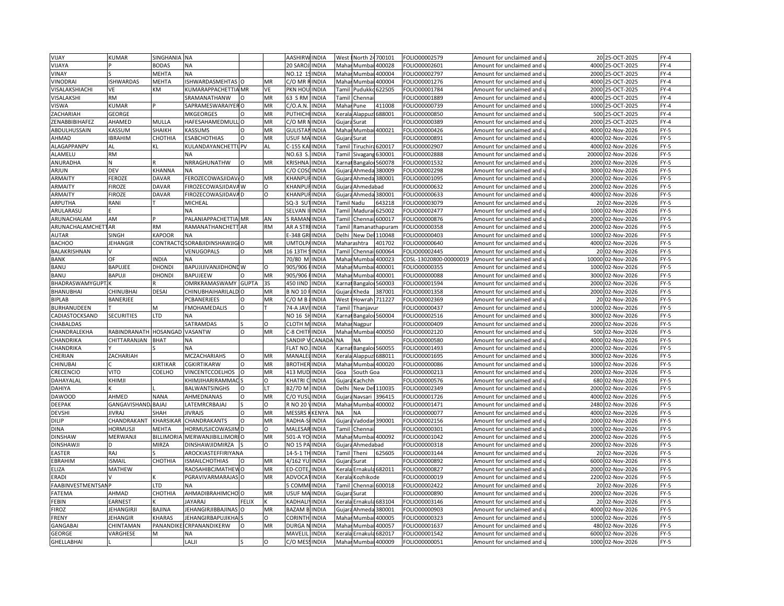| VIJAY                     | <b>KUMAR</b>        | SINGHANIA        | <b>NA</b>                 |              |                 | AASHIRW INDIA            |               | West                                                                                                                                                                    | North 24700101                |                      | FOLIO00002579          | Amount for unclaimed and          |       | 20 25-OCT-2025   | $FY-4$ |
|---------------------------|---------------------|------------------|---------------------------|--------------|-----------------|--------------------------|---------------|-------------------------------------------------------------------------------------------------------------------------------------------------------------------------|-------------------------------|----------------------|------------------------|-----------------------------------|-------|------------------|--------|
| VIJAYA                    |                     | <b>BODAS</b>     | <b>NA</b>                 |              |                 | 20 SAROJ, INDIA          |               |                                                                                                                                                                         | Mahar Mumbai 400028           |                      | FOLIO00002601          | Amount for unclaimed and u        |       | 4000 25-OCT-2025 | $FY-4$ |
| VINAY                     |                     | <b>MEHTA</b>     | <b>NA</b>                 |              |                 | NO.12 19 INDIA           |               |                                                                                                                                                                         | Mahar Mumba                   | 400004               | FOLIO00002797          | Amount for unclaimed and i        |       | 2000 25-OCT-2025 | $FY-4$ |
| VINODRAI                  | <b>ISHWARDAS</b>    | <b>MEHTA</b>     | <b>ISHWARDASMEHTAS</b>    |              | MR              | C/O MR RINDIA            |               | Mahar                                                                                                                                                                   | Mumbai                        | 400004               | FOLIO00001276          | Amount for unclaimed and <b>u</b> | 4000  | 25-OCT-2025      | $FY-4$ |
| VISALAKSHIACHI            | <b>VE</b>           | KM               | KUMARAPPACHETTIA MR       |              | VE              | PKN HOL                  | <b>INDIA</b>  | Tami                                                                                                                                                                    | Pudukko                       | 522505               | FOLIO00001784          | Amount for unclaimed and          | 2000  | 25-OCT-2025      | $FY-4$ |
| VISALAKSHI                | <b>RM</b>           |                  | SRAMANATHANW              |              | MR              | 63 S RM                  | <b>INDIA</b>  | Tami                                                                                                                                                                    | Chenna                        |                      | FOLIO00001889          | Amount for unclaimed and          | 4000  | 25-OCT-2025      | $FY-4$ |
| <b>VISWA</b>              | <b>KUMAR</b>        |                  | SAPRAMESWARAIYER O        |              | MR              | C/O.A.N                  | <b>INDIA</b>  | Maha                                                                                                                                                                    | Pune                          | 111008               | FOLIO00000739          | Amount for unclaimed and          |       | 1000 25-OCT-2025 | $FY-4$ |
| ZACHARIAH                 | GEORGE              |                  | MKGEORGES                 |              | MR              | PUTHICH                  | <b>INDIA</b>  | <erala< td=""><td>Alappuz</td><td>688001</td><td>FOLIO00000850</td><td>Amount for unclaimed and</td><td>500</td><td>25-OCT-2025</td><td><math>FY-4</math></td></erala<> | Alappuz                       | 688001               | FOLIO00000850          | Amount for unclaimed and          | 500   | 25-OCT-2025      | $FY-4$ |
| ZENABBIBIHAFEZ            | AHAMED              | MULLA            | HAFESAHAMEDMULL           | $\circ$      | MR              | C/O MR I                 | <b>INDIA</b>  |                                                                                                                                                                         |                               |                      | FOLIO00000389          | Amount for unclaimed and          | 2000  | 25-OCT-2025      | $FY-4$ |
| ABDULHUSSAIN              | KASSUM              | SHAIKH           | KASSUMS                   | $\Omega$     | MR              | <b>GULISTA</b>           | <b>INDIA</b>  | Maha                                                                                                                                                                    | Gujara Surat<br>Mumbai 400021 |                      | FOLIO00000426          | Amount for unclaimed and          | 4000  | 02-Nov-2026      | FY-5   |
| AHMAD                     | <b>BRAHIM</b>       | CHOTHIA          | <b>ESABCHOTHIAS</b>       | $\Omega$     | MR              | USUF MAINDIA             |               |                                                                                                                                                                         |                               |                      | OLIO00000891           |                                   | 4000  | 02-Nov-2026      | $FY-5$ |
|                           |                     |                  |                           |              |                 |                          |               |                                                                                                                                                                         | Gujara Surat                  |                      |                        | Amount for unclaimed and u        |       |                  |        |
| ALAGAPPANPV               | AL                  | KL               | KULANDAYANCHETTI PV       |              | AL.             | C-155 KA                 | <b>INDIA</b>  | Tamil                                                                                                                                                                   | Tiruchira                     | 620017               | FOLIO00002907          | Amount for unclaimed and          | 4000  | 02-Nov-2026      | $FY-5$ |
| ALAMELU                   | <b>RM</b>           |                  | NA                        |              |                 | NO.63 S                  | <b>INDIA</b>  |                                                                                                                                                                         | <b>Tamil Sivagang</b>         | 630001               | FOLIO00002888          | Amount for unclaimed and u        | 20000 | 02-Nov-2026      | $FY-5$ |
| ANURADHA                  | N                   |                  | NRRAGHUNATHW              | $\Omega$     | MR              | <b>KRISHNA</b>           | <b>INDIA</b>  | Karna                                                                                                                                                                   | Bangalor                      | 560078               | FOLIO00001532          | Amount for unclaimed and          | 2000  | 02-Nov-2026      | FY-5   |
| ARJUN                     | DEV                 | KHANNA           | <b>NA</b>                 |              |                 | C/O COS                  | <b>INDIA</b>  | Gujara                                                                                                                                                                  | Ahmeda                        | 380009               | FOLIO00002298          | Amount for unclaimed and <b>u</b> | 3000  | 02-Nov-2026      | FY-5   |
| ARMAITY                   | <b>FEROZE</b>       | <b>DAVAR</b>     | FEROZECOWASJIDAV/O        |              | MR              | KHANPU                   | FINDIA        |                                                                                                                                                                         | Gujara Ahmeda 380001          |                      | FOLIO00001095          | Amount for unclaimed and          | 2000  | 02-Nov-2026      | FY-5   |
| ARMAITY                   | <b>FIROZE</b>       | <b>DAVAR</b>     | FIROZECOWASJIDAVA W       |              | $\Omega$        | <b>CHANPU</b>            | <b>INDIA</b>  |                                                                                                                                                                         | Gujara Ahmedabad              |                      | FOLIO00000632          | Amount for unclaimed and i        | 2000  | 02-Nov-2026      | $FY-5$ |
| ARMAITY                   | <b>FIROZE</b>       | <b>DAVAR</b>     | FIROZECOWASJIDAVA D       |              | O               | <b>KHANPUFINDIA</b>      |               |                                                                                                                                                                         | Gujara Ahmeda 380001          |                      | FOLIO00000633          | Amount for unclaimed and          | 4000  | 02-Nov-2026      | FY-5   |
| ARPUTHA                   | RANI                |                  | MICHEAL                   |              |                 | SQ-3 SL                  | <b>INDIA</b>  |                                                                                                                                                                         | <b>Tamil Nadu</b>             | 643218               | FOLIO00003079          | Amount for unclaimed and          | 20    | 02-Nov-2026      | FY-5   |
| ARULARASU                 |                     |                  | <b>NA</b>                 |              |                 | <b>SELVAN</b>            | <b>IINDIA</b> |                                                                                                                                                                         | Tamil Madurai 625002          |                      | FOLIO00002477          | Amount for unclaimed and u        | 1000  | 02-Nov-2026      | $FY-5$ |
| ARUNACHALAM               | AM                  |                  | PALANIAPPACHETTIA MR      |              | AN              | 5 RAMAN                  | INDIA         | Tamil                                                                                                                                                                   | Chennai 600017                |                      | FOLIO00000876          | Amount for unclaimed and          | 2000  | 02-Nov-2026      | FY-5   |
| <b>ARUNACHALAMCHETTAR</b> |                     | <b>RM</b>        | RAMANATHANCHETT AR        |              | <b>RM</b>       | AR A STRI INDIA          |               |                                                                                                                                                                         |                               | Tamil Ramanathapuram | FOLIO00000358          | Amount for unclaimed and u        | 2000  | 02-Nov-2026      | FY-5   |
| <b>AUTAR</b>              | SINGH               | <b>KAPOOR</b>    | <b>NA</b>                 |              |                 | E-348 GR                 | INDIA         | Delhi                                                                                                                                                                   | New Del 110048                |                      | FOLIO00000403          | Amount for unclaimed and (        | 1000  | 02-Nov-2026      | $FY-5$ |
| <b>BACHOO</b>             | <b>JEHANGIR</b>     | CONTRACT         | SORABJIDINSHAWJIGIO       |              | MR              | <b>UMTOLP</b>            | <b>INDIA</b>  |                                                                                                                                                                         | Maharashtra                   | 401702               | FOLIO00000640          | Amount for unclaimed and u        | 4000  | 02-Nov-2026      | $FY-5$ |
| BALAKRISHNAN              |                     |                  | VENUGOPALS                | $\Omega$     | MR              | 16 13TH SINDIA           |               | Tamil                                                                                                                                                                   | Chenna                        | 600064               | FOLIO00002445          | Amount for unclaimed and          | 20    | 02-Nov-2026      | FY-5   |
| <b>BANK</b>               | OF                  | <b>INDIA</b>     |                           |              |                 | 70/80 M                  | <b>INDIA</b>  | Mahar                                                                                                                                                                   | Mumbai                        | 400023               | CDSL-13020800-00000019 | Amount for unclaimed and u        | 10000 | 02-Nov-2026      | $FY-5$ |
| <b>BANU</b>               | <b>BAPUJEE</b>      | <b>DHONDI</b>    | BAPUJIJIVANJIDHONE W      |              | О               | 905/906                  | <b>INDIA</b>  |                                                                                                                                                                         | Mahar Mumba                   | 400001               | FOLIO00000355          | Amount for unclaimed and          | 1000  | 02-Nov-2026      | FY-5   |
| BANU                      | <b>BAPUJI</b>       | <b>DHOND</b>     | BAPUJEEW                  |              | MR              | 905/906                  | <b>INDIA</b>  | Maha                                                                                                                                                                    | Mumba                         | 400001               | FOLIO00000088          | Amount for unclaimed and          | 3000  | 02-Nov-2026      | $FY-5$ |
| BHADRASWAMYGUPT.          |                     |                  | OMRKRAMASWAMY             | <b>GUPTA</b> | 3S              | 450 IIND                 | <b>INDIA</b>  |                                                                                                                                                                         |                               |                      | FOLIO00001594          |                                   | 2000  | 02-Nov-2026      | $FY-5$ |
|                           |                     |                  |                           |              |                 |                          |               | Karna                                                                                                                                                                   | Bangalor                      | 560003               |                        | Amount for unclaimed and u        |       |                  |        |
| BHANUBHAI                 | CHINUBHAI           | DESAI            | CHINUBHAIHARILALD         | $\Omega$     | MR<br><b>MR</b> | <b>B NO 10</b>           | <b>INDIA</b>  | Gujar                                                                                                                                                                   | Kheda                         | 387001               | FOLIO00001358          | Amount for unclaimed and          | 2000  | 02-Nov-2026      | $FY-5$ |
| BIPLAB                    | BANERJEE            |                  | PCBANERJEES               |              |                 | C/O M B <i>INDIA</i>     |               | West                                                                                                                                                                    | Howrah 711227                 |                      | FOLIO00002369          | Amount for unclaimed and u        |       | 20 02-Nov-2026   | $FY-5$ |
| BURHANUDEEN               |                     | м                | <b>FMOHAMEDALIS</b>       | O            |                 | 74-A JAV                 | <b>INDIA</b>  | Tamil                                                                                                                                                                   | Thanjavur                     |                      | FOLIO00000437          | Amount for unclaimed and          | 1000  | 02-Nov-2026      | FY-5   |
| CADIASTOCKSAND            | <b>SECURITIES</b>   | <b>LTD</b>       | NΑ                        |              |                 | NO <sub>16</sub> SHINDIA |               | <b>Carna</b>                                                                                                                                                            | Bangalor 560004               |                      | FOLIO00002516          | Amount for unclaimed and u        | 3000  | 02-Nov-2026      | $FY-5$ |
| CHABALDAS                 |                     |                  | <b>SATRAMDAS</b>          |              | $\Omega$        | <b>CLOTH M INDIA</b>     |               |                                                                                                                                                                         | Mahar Nagpur                  |                      | FOLIO00000409          | Amount for unclaimed and          | 2000  | 02-Nov-2026      | $FY-5$ |
| CHANDRALEKHA              | RABINDRANATH        | <b>HOSANGAD</b>  | VASANTW                   | $\Omega$     | MR              | C-8 CHITFINDIA           |               | Mahar                                                                                                                                                                   |                               | Mumbai 400050        | FOLIO00002120          | Amount for unclaimed and i        | 500   | 02-Nov-2026      | FY-5   |
| CHANDRIKA                 | CHITTARANJAN        | <b>BHAT</b>      | <b>NA</b>                 |              |                 | <b>SANDIP</b>            | CANADA        | <b>NA</b>                                                                                                                                                               | <b>NA</b>                     |                      | FOLIO00000580          | Amount for unclaimed and          | 4000  | 02-Nov-2026      | FY-5   |
| CHANDRIKA                 |                     |                  | ΝA                        |              |                 | <b>FLAT NO</b>           | <b>INDIA</b>  | <arna< td=""><td>Bangalor 560055</td><td></td><td>FOLIO00001493</td><td>Amount for unclaimed and</td><td>2000</td><td>02-Nov-2026</td><td>FY-5</td></arna<>             | Bangalor 560055               |                      | FOLIO00001493          | Amount for unclaimed and          | 2000  | 02-Nov-2026      | FY-5   |
| CHERIAN                   | ZACHARIAH           |                  | MCZACHARIAHS              | Ω            | MR              | <b>MANALEL INDIA</b>     |               |                                                                                                                                                                         | Kerala Alappuzi 688011        |                      | FOLIO00001695          | Amount for unclaimed and          | 3000  | 02-Nov-2026      | FY-5   |
| CHINUBAI                  |                     | KIRTIKAR         | CGKIRTIKARW               | $\Omega$     | MR              | <b>BROTHER INDIA</b>     |               | Maha                                                                                                                                                                    |                               | Mumbai 400020        | FOLIO00000086          | Amount for unclaimed and          | 1000  | 02-Nov-2026      | $FY-5$ |
| CRECENCIO                 | VITO                | COELHO           | VINCENTCCOELHOS           | $\Omega$     | MR              | 413 MUD INDIA            |               | Goa                                                                                                                                                                     | South Goa                     |                      | FOLIO00000213          | Amount for unclaimed and u        | 2000  | 02-Nov-2026      | FY-5   |
| DAHAYALAL                 | KHIMJI              |                  | KHIMJIHARIRAMMAC          |              | $\Omega$        | KHATRI                   | <b>INDIA</b>  |                                                                                                                                                                         | Gujara Kachchh                |                      | FOLIO00000576          | Amount for unclaimed and          | 680   | 02-Nov-2026      | $FY-5$ |
| DAHIYA                    |                     |                  | BALWANTSINGHS             | $\Omega$     | IT              | B2/7D M                  | <b>INDIA</b>  | Delhi                                                                                                                                                                   | New Del 110035                |                      | FOLIO00002349          | Amount for unclaimed and u        | 2000  | 02-Nov-2026      | $FY-5$ |
| <b>DAWOOD</b>             | AHMED               | <b>NANA</b>      | AHMEDNANAS                | $\Omega$     | MR              | C/O YUS                  | <b>INDIA</b>  | Gujara                                                                                                                                                                  | Navsari                       | 396415               | FOLIO00001726          | Amount for unclaimed and          | 4000  | 02-Nov-2026      | FY-5   |
| DEEPAK                    | GANGAVISHAND, BAJAJ |                  | LATEMRCRBAJAJ             |              | O               | R NO 20                  | <b>INDIA</b>  | Mahar                                                                                                                                                                   |                               | Mumbai 400002        | FOLIO00001471          | Amount for unclaimed and <b>u</b> | 2480  | 02-Nov-2026      | FY-5   |
| <b>DEVSHI</b>             | <b>JIVRAJ</b>       | SHAH             | <b>JIVRAJS</b>            | O            | MR              | <b>MESSRS</b>            | <b>KENYA</b>  | <b>NA</b>                                                                                                                                                               | <b>NA</b>                     |                      | FOLIO00000077          | Amount for unclaimed and          | 4000  | 02-Nov-2026      | FY-5   |
| DILIP                     | CHANDRAKANT         | KHARSIKAF        | CHANDRAKANTS              |              | MR              | RADHA-                   | <b>INDIA</b>  | Gujar                                                                                                                                                                   |                               | Vadodar 390001       | FOLIO00002156          | Amount for unclaimed and          | 2000  | 02-Nov-2026      | $FY-5$ |
| <b>DINA</b>               | <b>HORMUSJI</b>     | MEHTA            | HORMUSJICOWASJIM D        |              | O               | <b>MALESARINDIA</b>      |               | Tamil                                                                                                                                                                   | Chenna                        |                      | FOLIO00000301          | Amount for unclaimed and          | 1000  | 02-Nov-2026      | $FY-5$ |
| <b>DINSHAW</b>            | MERWANJ             | <b>BILLIMORI</b> | MERWANJIBILLIMOR          |              | MR              | 501-A YO                 | <b>INDIA</b>  | Maha                                                                                                                                                                    | Mumbai 400092                 |                      | FOLIO00001042          | Amount for unclaimed and          | 2000  | 02-Nov-2026      | FY-5   |
| <b>DINSHAWJI</b>          | D                   | MIRZA            | DINSHAWJIDMIRZA           |              | O               | NO 15 PA INDIA           |               |                                                                                                                                                                         | Gujara Ahmedabad              |                      | FOLIO00000318          | Amount for unclaimed and u        | 2000  | 02-Nov-2026      | $FY-5$ |
| <b>EASTER</b>             | RAJ                 |                  | AROCKIASTEFFIRIYANA       |              |                 | 14-5-1 THINDIA           |               | Tamil                                                                                                                                                                   | Theni                         | 625605               | FOLIO00003144          | Amount for unclaimed and          | 20    | 02-Nov-2026      | FY-5   |
| EBRAHIM                   | <b>ISMAIL</b>       | CHOTHIA          | <b>ISMAILCHOTHIAS</b>     | O            | MR              | 4/162 YU: INDIA          |               |                                                                                                                                                                         |                               |                      | FOLIO00000892          |                                   | 6000  | 02-Nov-2026      | $FY-5$ |
|                           | <b>MATHEW</b>       |                  |                           |              | MR              | ED-COTE.                 |               |                                                                                                                                                                         | Gujara Surat                  |                      | FOLIO00000827          | Amount for unclaimed and u        | 2000  | 02-Nov-2026      | $FY-5$ |
| ELIZA                     |                     |                  | RAOSAHIBCJMATHEW O        |              |                 |                          | <b>INDIA</b>  |                                                                                                                                                                         | Kerala Ernakula 682011        |                      |                        | Amount for unclaimed and          |       |                  |        |
| <b>ERADI</b>              |                     |                  | PGRAVIVARMARAJAS O        |              | MR              | ADVOCA                   | <b>INDIA</b>  | Kerala                                                                                                                                                                  | Kozhikode                     |                      | FOLIO00000019          | Amount for unclaimed and u        | 2200  | 02-Nov-2026      | FY-5   |
| <b>FAABINVESTMENTSANP</b> |                     | <b>LTD</b>       | <b>NA</b>                 |              |                 | 5 COMMI                  | <b>INDIA</b>  | Tamil                                                                                                                                                                   |                               | Chennai 600018       | FOLIO00002422          | Amount for unclaimed and          | 20    | 02-Nov-2026      | FY-5   |
| FATEMA                    | AHMAD               | СНОТНІА          | AHMADIBRAHIMCHO           |              | MR              | USUF MA                  | <b>INDIA</b>  | Gujara                                                                                                                                                                  | Surat                         |                      | OLIO00000890           | Amount for unclaimed and i        | 2000  | 02-Nov-2026      | $FY-5$ |
| FEBIN                     | <b>EARNEST</b>      |                  | JAYARAJ                   | FELIX        |                 | KADHALIYINDIA            |               |                                                                                                                                                                         | Kerala Ernakula 683104        |                      | FOLIO00003146          | Amount for unclaimed and          |       | 20 02-Nov-2026   | FY-5   |
| <b>FIROZ</b>              | <b>JEHANGIRJI</b>   | <b>BAJINA</b>    | <b>JEHANGIRJIBBAJINAS</b> |              | MR              | <b>BAZAM B</b>           | <b>INDIA</b>  | Gujara                                                                                                                                                                  | Ahmeda                        | 380001               | FOLIO00000903          | Amount for unclaimed and          | 4000  | 02-Nov-2026      | FY-5   |
| FRENY                     | JEHANGIR            | KHARAS           | <b>JEHANGIRBAPUJIKHA</b>  |              | $\Omega$        | <b>CORINTH</b>           | <b>INDIA</b>  |                                                                                                                                                                         | Mahar Mumbai                  | 400005               | FOLIO00000323          | Amount for unclaimed and $\,$     | 1000  | 02-Nov-2026      | $FY-5$ |
| <b>GANGABAI</b>           | CHINTAMAN           | PANANDIK         | CRPANANDIKERW             |              | MR              | <b>DURGA</b>             | INDIA         | Maha                                                                                                                                                                    | Mumb                          | 400057               | FOLIO00001637          | Amount for unclaimed and          | 480   | 02-Nov-2026      | $FY-5$ |
| <b>GEORGE</b>             | VARGHESE            | м                | <b>NA</b>                 |              |                 | MAVELIL                  | <b>INDIA</b>  |                                                                                                                                                                         | Kerala Ernakula (             | 682017               | FOLIO00001542          | Amount for unclaimed and u        |       | 6000 02-Nov-2026 | $FY-5$ |
| <b>GHELLABHAI</b>         |                     |                  | LALII                     |              | $\circ$         | C/O MESSINDIA            |               |                                                                                                                                                                         | Mahar Mumbai 400009           |                      | FOLIO00000051          | Amount for unclaimed and u        |       | 1000 02-Nov-2026 | FY-5   |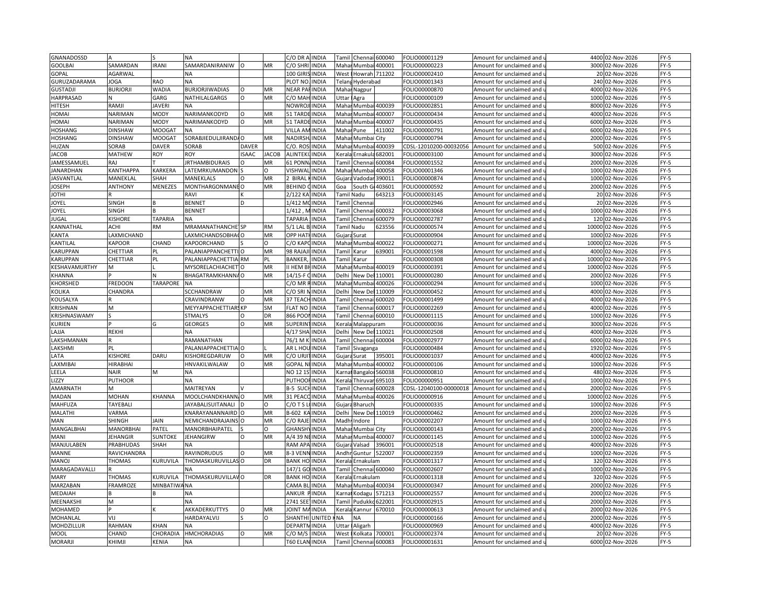| GNANADOSSD       |                 |                 | <b>NA</b>                                     |              |              | C/O DR A                | <b>INDIA</b>                 | Tami                                                                                                                                                                 | Chennai 600040         |               | FOLIO00001129          | Amount for unclaimed and   | 4400  | 02-Nov-2026                | $FY-5$           |
|------------------|-----------------|-----------------|-----------------------------------------------|--------------|--------------|-------------------------|------------------------------|----------------------------------------------------------------------------------------------------------------------------------------------------------------------|------------------------|---------------|------------------------|----------------------------|-------|----------------------------|------------------|
| <b>GOOLBAI</b>   | SAMARDAN        | <b>IRANI</b>    | SAMARDANIRANIW                                | O            | MR           | C/O SHRI INDIA          |                              |                                                                                                                                                                      | Mahai Mumbai 400001    |               | FOLIO00000223          | Amount for unclaimed and u |       | 3000 02-Nov-2026           | $FY-5$           |
| GOPAL            | AGARWAL         |                 | <b>NA</b>                                     |              |              | 100 GIRIS               | <b>INDIA</b>                 | West                                                                                                                                                                 | Howrah 711202          |               | FOLIO00002410          | Amount for unclaimed and   |       | 20 02-Nov-2026             | $FY-5$           |
| GURUZADARAMA     | <b>IOGA</b>     | <b>RAO</b>      | <b>NA</b>                                     |              |              | PLOT NO                 | <b>INDIA</b>                 |                                                                                                                                                                      | Telana Hyderabad       |               | FOLIO00001343          | Amount for unclaimed and u | 240   | 02-Nov-2026                | $FY-5$           |
| <b>GUSTADJI</b>  | <b>BURJORJI</b> | <b>WADIA</b>    | <b>BURJORJIWADIAS</b>                         | O            | MR           | NEAR PA                 | <b>INDIA</b>                 |                                                                                                                                                                      | Mahar Nagpur           |               | FOLIO00000870          | Amount for unclaimed and   | 4000  | 02-Nov-2026                | $FY-5$           |
| HARPRASAD        |                 | GARG            | NATHILALGARGS                                 | $\Omega$     | MR           | C/O MAI                 | <b>INDIA</b>                 | <b>Jttar</b>                                                                                                                                                         | Agra                   |               | FOLIO00000109          | Amount for unclaimed and   |       | 1000 02-Nov-2026           | $FY-5$           |
| <b>HITESH</b>    | RAMJI           | <b>JAVERI</b>   | NA                                            |              |              | <b>NOWROJI INDIA</b>    |                              | Mahar                                                                                                                                                                | Mumbai                 | 400039        | FOLIO00002851          | Amount for unclaimed and   |       | 8000 02-Nov-2026           | $FY-5$           |
|                  | NARIMAN         | MODY            | NARIMANKODYD                                  | $\Omega$     |              | 51 TARDE INDIA          |                              |                                                                                                                                                                      |                        |               |                        |                            | 4000  |                            | $FY-5$           |
| <b>HOMA</b>      |                 |                 |                                               |              | MR           |                         |                              | Maha                                                                                                                                                                 | Mumb                   | 400007        | FOLIO00000434          | Amount for unclaimed and   |       | 02-Nov-2026                |                  |
| HOMAI            | NARIMAN         | MODY            | NARIMANKODYD                                  | $\circ$      | MR           | 51 TARDE INDIA          |                              |                                                                                                                                                                      | Mahar Mumbai           | 400007        | FOLIO00000435          | Amount for unclaimed and u |       | 6000 02-Nov-2026           | $FY-5$           |
| <b>HOSHANG</b>   | <b>DINSHAW</b>  | <b>MOOGAT</b>   | <b>NA</b>                                     |              |              | <b>VILLA AM INDIA</b>   |                              | Maha                                                                                                                                                                 | Pune                   | 411002        | FOLIO00000791          | Amount for unclaimed and   | 6000  | 02-Nov-2026                | $FY-5$           |
| <b>HOSHANG</b>   | DINSHAW         | <b>MOOGAT</b>   | SORABJIEDULJIRANDA O                          |              | MR           | NADIRSH                 | <b>INDIA</b>                 | Mahar                                                                                                                                                                | Mumbai City            |               | OLIO00000794           | Amount for unclaimed and u | 2000  | 02-Nov-2026                | $FY-5$           |
| HUZAN            | SORAB           | <b>DAVER</b>    | SORAB                                         | DAVER        |              | C/O. ROS                | <b>INDIA</b>                 |                                                                                                                                                                      | Mahar Mumbai           | 400039        | CDSL-12010200-00032056 | Amount for unclaimed and   | 500   | 02-Nov-2026                | FY-5             |
| JACOB            | MATHEW          | ROY             | <b>ROY</b>                                    | <b>ISAAC</b> | <b>JACOB</b> | <b>ALINTEKI</b>         | <b>INDIA</b>                 | Kerala                                                                                                                                                               | Ernakula               | 582001        | FOLIO00003100          | Amount for unclaimed and u | 3000  | 02-Nov-2026                | FY-5             |
| IAMESSAMUEL      | RAJ             |                 | <b>JRTHAMBIDURAIS</b>                         | $\Omega$     | <b>MR</b>    | 61 PONN                 | <b>INDIA</b>                 | Tamil                                                                                                                                                                | Chenna                 | 500084        | FOLIO00001552          | Amount for unclaimed and   | 2000  | 02-Nov-2026                | FY-5             |
| <b>JANARDHAN</b> | KANTHAPPA       | KARKERA         | LATEMRKUMANDON                                |              | O            | VISHWA                  | <b>INDIA</b>                 | Maha                                                                                                                                                                 | Mumb                   | 400058        | FOLIO00001346          | Amount for unclaimed and   | 1000  | 02-Nov-2026                | $FY-5$           |
| JASVANTLAL       | MANEKLAI        | SHAH            | MANEKLALS                                     | $\Omega$     | MR           | ! BIRAL                 | <b>INDIA</b>                 | Gujara                                                                                                                                                               | Vadoda                 | 390011        | FOLIO00000874          | Amount for unclaimed and   |       | 1000 02-Nov-2026           | FY-5             |
| <b>IOSEPH</b>    | <b>ANTHONY</b>  | MENEZES         | MONTHARGONMANE O                              |              | MR           | BEHIND                  | <b>INDIA</b>                 | Goa                                                                                                                                                                  | South                  | 103601        | FOLIO00000592          | Amount for unclaimed and   |       | 2000 02-Nov-2026           | $FY-5$           |
| <b>IHTOI</b>     |                 |                 | RAVI                                          |              |              | 2/122 KA                | <b>INDIA</b>                 |                                                                                                                                                                      | Famil Nadu             | 543213        | FOLIO00003145          | Amount for unclaimed and   |       | 20 02-Nov-2026             | FY-5             |
| <b>OYEL</b>      | <b>SINGH</b>    |                 | <b>BENNET</b>                                 | D            |              | 1/412 M                 | <b>INDIA</b>                 | Tamil                                                                                                                                                                | Chenn                  |               | FOLIO00002946          | Amount for unclaimed and   | 20    | 02-Nov-2026                | FY-5             |
| <b>IOYEL</b>     | SINGH           |                 | <b>BENNET</b>                                 |              |              | 1/412, MINDIA           |                              |                                                                                                                                                                      | Tamil Chennai 600032   |               | FOLIO00003068          | Amount for unclaimed and u |       | 1000 02-Nov-2026           | $FY-5$           |
| JUGAL            | KISHORE         | <b>TAPARIA</b>  | <b>NA</b>                                     |              |              | <b>TAPARIA</b>          | <b>INDIA</b>                 |                                                                                                                                                                      | Tamil Chenn            | 500079        | FOLIO00002787          | Amount for unclaimed and   | 120   | 02-Nov-2026                | FY-5             |
| KANNATHAL        | ACHI            | RM              | MRAMANATHANCHE SP                             |              | <b>RM</b>    | 5/1 LAL B.              | <b>INDIA</b>                 |                                                                                                                                                                      | <b>Tamil Nadu</b>      | 523556        | FOLIO00000574          | Amount for unclaimed and   | 10000 | 02-Nov-2026                | FY-5             |
| KANTA            | LAXMICHAND      |                 | LAXMICHANDSOBHACO                             |              | MR           | <b>OPP HAT</b>          | <b>INDIA</b>                 |                                                                                                                                                                      | Gujara Surat           |               | FOLIO00000904          | Amount for unclaimed and   | 1000  | 02-Nov-2026                | $FY-5$           |
|                  | KAPOOR          | CHAND           |                                               |              |              | C/O KAP                 |                              |                                                                                                                                                                      |                        |               |                        |                            | 10000 |                            | $FY-5$           |
| <b>KANTILAL</b>  |                 |                 | KAPOORCHAND                                   |              |              |                         | <b>INDIA</b>                 | Mahar                                                                                                                                                                | Mumb                   | 400022        | FOLIO00000271          | Amount for unclaimed and   |       | 02-Nov-2026                |                  |
| KARUPPAN         | CHETTIAR        | PL              | PALANIAPPANCHETTI O                           |              | MR           | 98 RAJAJ                | <b>INDIA</b>                 | Tamil                                                                                                                                                                | Karur                  | 539001        | FOLIO00001598          | Amount for unclaimed and   | 4000  | 02-Nov-2026                | $FY-5$           |
| KARUPPAN         | CHETTIAR        | PL              | PALANIAPPACHETTIA RM                          |              | PI           | <b>BANKER</b>           | <b>INDIA</b>                 | <b>Tamil</b>                                                                                                                                                         | <b>Karur</b>           |               | OLIO00000308           | Amount for unclaimed and   | 10000 | 02-Nov-2026                | $FY-5$           |
| KESHAVAMURTHY    | м               |                 | MYSORELACHIACHET                              |              | MR           | I HEM BH                | <b>INDIA</b>                 | Maha                                                                                                                                                                 | Mumbai                 | 400019        | FOLIO00000391          | Amount for unclaimed and   |       | 10000 02-Nov-2026          | FY-5             |
| KHANNA           |                 | N               | BHAGATRAMKHANNA O                             |              | MR           | 14/15-F                 | <b>INDIA</b>                 | Delhi                                                                                                                                                                | New De                 | 110001        | FOLIO00000280          | Amount for unclaimed and   | 2000  | 02-Nov-2026                | $FY-5$           |
| KHORSHED         | FREDOON         | <b>TARAPORE</b> | <b>NA</b>                                     |              |              | C/O MR RINDIA           |                              |                                                                                                                                                                      | Mahar Mumbai 400026    |               | FOLIO00000294          | Amount for unclaimed and u |       | 1000 02-Nov-2026           | $FY-5$           |
| <b>KOLIKA</b>    | CHANDRA         |                 | SCCHANDRAW                                    | $\Omega$     | MR           | C/O SRI                 | <b>INDIA</b>                 | Delhi                                                                                                                                                                | New Del                | 110009        | FOLIO00000452          | Amount for unclaimed and   | 4000  | 02-Nov-2026                | $FY-5$           |
| KOUSALYA         |                 |                 | CRAVINDRANW                                   | $\Omega$     | MR           | 37 TEACH                | <b>INDIA</b>                 | Tamil                                                                                                                                                                | Chennai                | 600020        | FOLIO00001499          | Amount for unclaimed and   | 4000  | 02-Nov-2026                | $FY-5$           |
| <b>KRISHNAN</b>  | M               |                 | MEYYAPPACHETTIARS KP                          |              | <b>SM</b>    | <b>FLAT NO</b>          | <b>INDIA</b>                 | Tami                                                                                                                                                                 | Chenna                 | 600017        | FOLIO00002269          | Amount for unclaimed and   | 4000  | 02-Nov-2026                | $FY-5$           |
| KRISHNASWAMY     |                 |                 | <b>STMALYS</b>                                | O            | DR           | 866 POO                 | INDIA                        | Tamil                                                                                                                                                                | Chennai                | 600010        | FOLIO00001115          | Amount for unclaimed and   | 1000  | 02-Nov-2026                | $FY-5$           |
| <b>KURIEN</b>    |                 | G               | <b>GEORGES</b>                                | $\circ$      | MR           | SUPERIN                 | <b>INDIA</b>                 | Kerala                                                                                                                                                               | Malappuram             |               | FOLIO00000036          | Amount for unclaimed and   |       | 3000 02-Nov-2026           | $FY-5$           |
| LAJJA            | REKHI           |                 |                                               |              |              | 4/17 SHA                | <b>INDIA</b>                 | Delhi                                                                                                                                                                | New Del 110021         |               | FOLIO00002508          | Amount for unclaimed and   | 4000  | 02-Nov-2026                | $FY-5$           |
| LAKSHMANAN       |                 |                 | RAMANATHAN                                    |              |              | 76/1 M K                | <b>INDIA</b>                 | Tamil                                                                                                                                                                | Chennai 600004         |               | FOLIO00002977          | Amount for unclaimed and u | 6000  | 02-Nov-2026                | $FY-5$           |
| LAKSHMI          | PL              |                 | PALANIAPPACHETTIA O                           |              |              | AR L HO                 | INDIA                        | Tamil                                                                                                                                                                | Sivaganga              |               | FOLIO00000484          | Amount for unclaimed and   | 1920  | 02-Nov-2026                | $FY-5$           |
| LATA             | KISHORE         | DARU            | KISHOREGDARUW                                 | $\Omega$     | MR           | C/O URJI                | <b>INDIA</b>                 |                                                                                                                                                                      | Gujara Surat           | 395001        | FOLIO00001037          | Amount for unclaimed and u |       | 4000 02-Nov-2026           | $FY-5$           |
| LAXMIBAI         | HIRABHAI        |                 | HNVAKILWALAW                                  | $\Omega$     | MR           | GOPAL N                 | <b>INDIA</b>                 |                                                                                                                                                                      | Mahar Mumba            | 400002        | FOLIO00000106          | Amount for unclaimed and   | 1000  | 02-Nov-2026                | $FY-5$           |
| LEELA            | <b>NAIR</b>     | М               | <b>NA</b>                                     |              |              | NO 12 1S                | <b>INDIA</b>                 |                                                                                                                                                                      | Karnat Bangaloi 560038 |               | FOLIO00000810          | Amount for unclaimed and u | 480   | 02-Nov-2026                | FY-5             |
| LIZZY            | PUTHOOR         |                 | <b>NA</b>                                     |              |              | PUTHOC                  | <b>INDIA</b>                 | Kerala                                                                                                                                                               | Thiruvar               | 595103        | FOLIO00000951          | Amount for unclaimed and   | 1000  | 02-Nov-2026                | FY-5             |
| AMARNATH         | M               |                 | MAITREYAN                                     |              |              | 3-5 SUC                 | <b>INDIA</b>                 | Tamil                                                                                                                                                                | Chennai                | 500028        | CDSL-12040100-00000018 | Amount for unclaimed and   | 2000  | 02-Nov-2026                | $FY-5$           |
|                  |                 |                 |                                               |              |              |                         |                              |                                                                                                                                                                      |                        |               |                        |                            |       |                            |                  |
| MADAN            | MOHAN           | KHANNA          | MOOLCHANDKHANN, O<br><b>JAYABALISUITANALI</b> |              | MR<br>O      | 31 PEACO<br>$2/0$ T S I | <b>INDIA</b><br><b>INDIA</b> | Mahar                                                                                                                                                                | Mumbai                 | 400026        | FOLIO00000916          | Amount for unclaimed and   | 10000 | 02-Nov-2026<br>02-Nov-2026 | $FY-5$<br>$FY-5$ |
| MAHFUZA          | TAYEBAL         |                 |                                               |              |              |                         |                              |                                                                                                                                                                      | Gujara Bharuch         |               | FOLIO00000335          | Amount for unclaimed and   | 1000  |                            |                  |
| MALATHI          | VARMA           |                 | KNARAYANANNAIRD                               | O            | MR           | 3-602 K/                | <b>INDIA</b>                 | Delhi                                                                                                                                                                | New Del                | 110019        | FOLIO00000462          | Amount for unclaimed and u |       | 2000 02-Nov-2026           | FY-5             |
| MAN              | SHINGH          | JAIN            | NEMICHANDRAJAINS                              |              | MR           | C/O RAJI                | <b>INDIA</b>                 | Madh                                                                                                                                                                 | Indore                 |               | FOLIO00002207          | Amount for unclaimed and   | 1000  | 02-Nov-2026                | $FY-5$           |
| MANGALBHAI       | MANORBHAI       | PATEL           | MANORBHAIPATEL                                |              | Ω            | <b>GHANSH</b>           | <b>INDIA</b>                 |                                                                                                                                                                      | Mahar Mumbai City      |               | FOLIO00000143          | Amount for unclaimed and u |       | 2000 02-Nov-2026           | $FY-5$           |
| MANI             | <b>IEHANGIR</b> | <b>SUNTOKE</b>  | <b>JEHANGIRW</b>                              | $\circ$      | MR           | A/4 39 N                | <b>INDIA</b>                 |                                                                                                                                                                      | Mahar Mumbai 400007    |               | FOLIO00001145          | Amount for unclaimed and   | 1000  | 02-Nov-2026                | $FY-5$           |
| MANJULABEN       | PRABHUDAS       | SHAH            | <b>NA</b>                                     |              |              | RAM APA INDIA           |                              |                                                                                                                                                                      | Gujara Valsad          | 396001        | FOLIO00002518          | Amount for unclaimed and u | 4000  | 02-Nov-2026                | $FY-5$           |
| MANNE            | RAVICHANDRA     |                 | <b>RAVINDRUDUS</b>                            | $\circ$      | MR           | 8-3 VENI                | <b>INDIA</b>                 | Andhi                                                                                                                                                                | Guntur                 | 522007        | FOLIO00002359          | Amount for unclaimed and   | 1000  | 02-Nov-2026                | $FY-5$           |
| <b>MANOJ</b>     | <b>THOMAS</b>   | KURUVILA        | THOMASKURUVILLAS O                            |              | DR           | <b>BANK HO</b>          | <b>INDIA</b>                 | Kerala                                                                                                                                                               | Ernakulam              |               | FOLIO00001317          | Amount for unclaimed and   | 320   | 02-Nov-2026                | $FY-5$           |
| MARAGADAVALLI    |                 |                 | NΑ                                            |              |              | 147/1 GC                | <b>INDIA</b>                 | Tamil                                                                                                                                                                | Chennai 600040         |               | FOLIO00002607          | Amount for unclaimed and   | 1000  | 02-Nov-2026                | FY-5             |
| MARY             | THOMAS          | KURUVILA        | THOMASKURUVILLAV O                            |              | DR           | <b>BANK HO</b>          | <b>INDIA</b>                 | Kerala                                                                                                                                                               | Ernakulam              |               | FOLIO00001318          | Amount for unclaimed and   |       | 320 02-Nov-2026            | $FY-5$           |
| MARZABAN         | FRAMROZE        | MINBATIWANA     |                                               |              |              | CAMA BI                 | <b>INDIA</b>                 | Mahar                                                                                                                                                                |                        | Mumbai 400034 | FOLIO00000347          | Amount for unclaimed and   | 2000  | 02-Nov-2026                | FY-5             |
| MEDAIAH          |                 |                 | NΑ                                            |              |              | ANKUR                   | INDIA                        | (arna                                                                                                                                                                | odagu)                 | 571213        | FOLIO00002557          | Amount for unclaimed and   | 2000  | 02-Nov-2026                | $FY-5$           |
| MEENAKSHI        | M               |                 | <b>NA</b>                                     |              |              | 2741 SEE                | <b>INDIA</b>                 | Tamil                                                                                                                                                                | Pudukkc 622001         |               | FOLIO00002915          | Amount for unclaimed and u | 2000  | 02-Nov-2026                | FY-5             |
| MOHAMED          |                 |                 | AKKADERKUTTYS                                 | O            | MR           | <b>JOINT M</b>          | <b>INDIA</b>                 | <eral< td=""><td>Kannu</td><td>670010</td><td>FOLIO00000613</td><td>Amount for unclaimed and</td><td>2000</td><td>02-Nov-2026</td><td><math>FY-5</math></td></eral<> | Kannu                  | 670010        | FOLIO00000613          | Amount for unclaimed and   | 2000  | 02-Nov-2026                | $FY-5$           |
| MOHANLAL         | <b>VIJ</b>      |                 | HARDAYALVIJ                                   |              | O            | SHANTHI                 | <b>UNITED</b>                | NA                                                                                                                                                                   | <b>NA</b>              |               | FOLIO00000166          | Amount for unclaimed and u | 2000  | 02-Nov-2026                | $FY-5$           |
| MOHDZILLUR       | RAHMAN          | <b>KHAN</b>     | <b>NA</b>                                     |              |              | DEPART                  | <b>INDIA</b>                 | Uttar                                                                                                                                                                | Aligarh                |               | FOLIO00000969          | Amount for unclaimed and   | 4000  | 02-Nov-2026                | FY-5             |
| <b>MOOL</b>      | CHAND           | CHORADIA        | <b>HMCHORADIAS</b>                            | $\Omega$     | MR           | C/O M/S                 | <b>INDIA</b>                 | West                                                                                                                                                                 | Kolkata                | 700001        | FOLIO00002374          | Amount for unclaimed and   |       | 20 02-Nov-2026             | $FY-5$           |
| <b>MORARJI</b>   | KHIMJI          | KENIA           | <b>NA</b>                                     |              |              | T60 ELAN                | <b>INDIA</b>                 | Tamil                                                                                                                                                                | Chennai                | 600083        | FOLIO00001631          | Amount for unclaimed and   |       | 6000 02-Nov-2026           | $FY-5$           |
|                  |                 |                 |                                               |              |              |                         |                              |                                                                                                                                                                      |                        |               |                        |                            |       |                            |                  |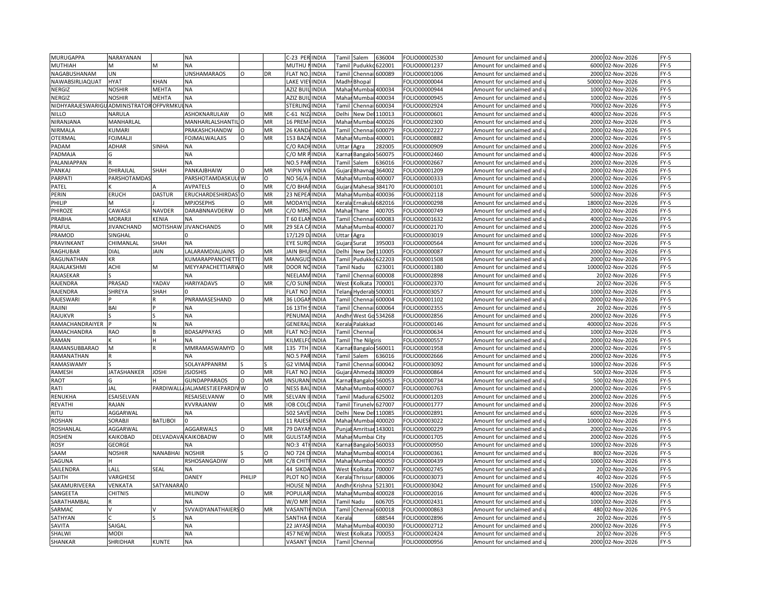| MURUGAPPA                                | NARAYANAN                    |                 | <b>NA</b>                       |          |         | -23 PERINDIA         |              | Tamil                                                                                                                                                                    | Salem                  | 536004          | FOLIO00002530 | Amount for unclaimed and   | 2000  | 02-Nov-2026       | $FY-5$           |
|------------------------------------------|------------------------------|-----------------|---------------------------------|----------|---------|----------------------|--------------|--------------------------------------------------------------------------------------------------------------------------------------------------------------------------|------------------------|-----------------|---------------|----------------------------|-------|-------------------|------------------|
| MUTHIAH                                  | VI                           | M               | <b>NA</b>                       |          |         | MUTHU NINDIA         |              | Tamil                                                                                                                                                                    | Pudukko 622001         |                 | OLIO00001237  | Amount for unclaimed and   |       | 6000 02-Nov-2026  | $FY-5$           |
| NAGABUSHANAM                             | UN                           |                 | <b>UNSHAMARAOS</b>              | $\Omega$ | DR      | FLAT NO.             | <b>INDIA</b> | Tami                                                                                                                                                                     | Chenn                  | 600089          | FOLIO00001006 | Amount for unclaimed and   | 2000  | 02-Nov-2026       | $FY-5$           |
| NAWABSIRLIAQUAT                          | <b>HYAT</b>                  | KHAN            | <b>NA</b>                       |          |         | LAKE VIEN            | <b>INDIA</b> |                                                                                                                                                                          | Madh Bhopal            |                 | FOLIO00000044 | Amount for unclaimed and   | 50000 | 02-Nov-2026       | $FY-5$           |
| NERGIZ                                   | <b>NOSHIR</b>                | MEHTA           | <b>NA</b>                       |          |         | AZIZ BU              | <b>INDIA</b> | Maha                                                                                                                                                                     | Mumba                  | 400034          | FOLIO00000944 | Amount for unclaimed and   | 1000  | 02-Nov-2026       | FY-5             |
| NERGIZ                                   | <b>NOSHIR</b>                | MEHTA           | <b>NA</b>                       |          |         | AZIZ BUIL            | <b>INDIA</b> | Maha                                                                                                                                                                     | Mumbai                 | 400034          | FOLIO00000945 | Amount for unclaimed and   | 1000  | 02-Nov-2026       | $FY-5$           |
| NIDHYARAJESWARIGU ADMINISTRATOR OFPVRMKI |                              |                 | <b>NA</b>                       |          |         | <b>STERLIN</b>       | <b>INDIA</b> | Tami                                                                                                                                                                     | Chenna                 | 500034          | FOLIO00002924 | Amount for unclaimed and   | 7000  | 02-Nov-2026       | FY-5             |
|                                          |                              |                 |                                 | $\Omega$ | MR      |                      | <b>INDIA</b> | Delhi                                                                                                                                                                    |                        |                 |               |                            | 4000  |                   | $FY-5$           |
| <b>NILLO</b>                             | NARULA                       |                 | ASHOKNARULAW                    |          |         | $-61$ NIZ            |              |                                                                                                                                                                          | New De                 | 110013          | OLIO00000601  | Amount for unclaimed and   |       | 02-Nov-2026       |                  |
| NIRANJANA                                | MANHARLAL                    |                 | MANHARLALSHANTIL O              |          | MR      | 16 PREM              | <b>INDIA</b> | Maha                                                                                                                                                                     | Mumba                  | 400026          | FOLIO00002300 | Amount for unclaimed and   |       | 2000 02-Nov-2026  | FY-5             |
| NIRMALA                                  | KUMARI                       |                 | PRAKASHCHANDW                   |          | MR      | 26 KAND              | <b>INDIA</b> | Tami                                                                                                                                                                     | Chenn                  | 500079          | FOLIO00002227 | Amount for unclaimed and   | 2000  | 02-Nov-2026       | $FY-5$           |
| OTERMAL                                  | <b>OJMALJ</b>                |                 | <b>FOJMALWALAJIS</b>            | $\Omega$ | MR      | 153 BAZA INDIA       |              |                                                                                                                                                                          | Mahar Mumba            | 400001          | OLIO00000882  | Amount for unclaimed and u |       | 2000 02-Nov-2026  | $FY-5$           |
| PADAM                                    | ADHAR                        | SINHA           | <b>NA</b>                       |          |         | C/O RAD              | <b>INDIA</b> | Uttar                                                                                                                                                                    | Agra                   | 282005          | FOLIO00000909 | Amount for unclaimed and   | 2000  | 02-Nov-2026       | $FY-5$           |
| PADMAJA                                  |                              |                 | <b>NA</b>                       |          |         | C/O MR PINDIA        |              |                                                                                                                                                                          | Carnal Bangaloi 560075 |                 | FOLIO00002460 | Amount for unclaimed and u | 4000  | 02-Nov-2026       | $FY-5$           |
| PALANIAPPAN                              |                              |                 | <b>NA</b>                       |          |         | <b>NO.5 PA</b>       | <b>INDIA</b> | Tamil                                                                                                                                                                    | Salem                  | 536016          | FOLIO00002667 | Amount for unclaimed and   | 2000  | 02-Nov-2026       | $FY-5$           |
| PANKAJ                                   | DHIRAJLAL                    | SHAH            | PANKAJBHAIW                     | $\Omega$ | MR      | <b>VIPIN VI</b>      | <b>INDIA</b> | Gujara                                                                                                                                                                   | Bhavnag                | 364002          | FOLIO00001209 | Amount for unclaimed and   |       | 2000 02-Nov-2026  | $FY-5$           |
| PARPATI                                  | PARSHOTAMDA!                 |                 | PARSHOTAMDASKULI W              |          | $\circ$ | NO 56/A              | <b>INDIA</b> | Mahar                                                                                                                                                                    | Mumbai                 | 400007          | FOLIO00000333 | Amount for unclaimed and   |       | 2000 02-Nov-2026  | $FY-5$           |
| PATEL                                    |                              |                 | <b>AVPATELS</b>                 |          | MR      | С/О ВНА              | <b>INDIA</b> | Gujara                                                                                                                                                                   | Mahesa                 | 384170          | OLIO00000101  | Amount for unclaimed and   | 1000  | 02-Nov-2026       | $FY-5$           |
| PERIN                                    | <b>ERUCH</b>                 | <b>DASTUR</b>   | ERUCHARDESHIRDAS <sup>1</sup> O |          | MR      | 23 NEPE              | <b>INDIA</b> | Maha                                                                                                                                                                     | Mumba                  | 400036          | FOLIO00002118 | Amount for unclaimed and   |       | 5000 02-Nov-2026  | $FY-5$           |
| PHILIP                                   | M                            |                 | <b>MPJOSEPHS</b>                |          | MR      | MODAY                | INDIA        | <eral< td=""><td>Ernaku</td><td>682016</td><td>OLIO00000298</td><td>Amount for unclaimed and</td><td>18000</td><td>02-Nov-2026</td><td><math>FY-5</math></td></eral<>    | Ernaku                 | 682016          | OLIO00000298  | Amount for unclaimed and   | 18000 | 02-Nov-2026       | $FY-5$           |
| PHIROZE                                  | CAWASJI                      | <b>NAVDER</b>   | DARABNNAVDERW                   | $\Omega$ | MR      | C/O MRS              | <b>INDIA</b> |                                                                                                                                                                          | Mahar Thane            | 400705          | FOLIO00000749 | Amount for unclaimed and u |       | 2000 02-Nov-2026  | FY-5             |
| PRABHA                                   | MORARJ                       | KENIA           | <b>NA</b>                       |          |         | <b>F60 ELAI</b>      | <b>INDIA</b> | Tami                                                                                                                                                                     | Chenn                  | 500083          | FOLIO00001632 | Amount for unclaimed and   | 4000  | 02-Nov-2026       | $FY-5$           |
| PRAFUL                                   | <b>IIVANCHAND</b>            |                 | MOTISHAW JIVANCHANDS            | $\Omega$ | MR      | 29 SEA C             | <b>INDIA</b> |                                                                                                                                                                          | Mahar Mumbai 400007    |                 | FOLIO00002170 | Amount for unclaimed and u | 2000  | 02-Nov-2026       | $FY-5$           |
| PRAMOD                                   | SINGHAL                      |                 |                                 |          |         | 17/129 D. INDIA      |              | Uttar                                                                                                                                                                    | Agra                   |                 | FOLIO00003019 | Amount for unclaimed and   | 1000  | 02-Nov-2026       | $FY-5$           |
| PRAVINKANT                               | CHIMANLAL                    | SHAH            | <b>NA</b>                       |          |         | EYE SURO             | <b>INDIA</b> |                                                                                                                                                                          | Guiara Surat           | 395003          | FOLIO00000564 | Amount for unclaimed and   | 1000  | 02-Nov-2026       | $FY-5$           |
| RAGHUBAR                                 | DIAL                         | JAIN            | LALARAMDIALJAINS                | lo       | MR      | <b>JAIN BHL</b>      | <b>INDIA</b> | Delhi                                                                                                                                                                    | New De                 | 110005          | FOLIO00000087 | Amount for unclaimed and   | 2000  | 02-Nov-2026       | $FY-5$           |
| RAGUNATHAN                               | ΚR                           |                 | KUMARAPPANCHETTIO               |          | MR      | MANGUE               | <b>INDIA</b> | <b>Tamil</b>                                                                                                                                                             | Pudukko                | 522203          | FOLIO00001508 | Amount for unclaimed and   |       | 2000 02-Nov-2026  | $FY-5$           |
| RAJALAKSHMI                              | ACHI                         | M               | MEYYAPACHETTIARWO               |          | MR      | DOOR NC              | <b>INDIA</b> |                                                                                                                                                                          | <b>Tamil Nadu</b>      | 523001          | FOLIO00001380 | Amount for unclaimed and u |       | 10000 02-Nov-2026 | $FY-5$           |
| RAJASEKAR                                |                              |                 | <b>NA</b>                       |          |         | NEELAM               | <b>INDIA</b> | <b>Tami</b>                                                                                                                                                              | Chenn                  | 500008          | FOLIO00002898 | Amount for unclaimed and   | 20    | 02-Nov-2026       | $FY-5$           |
| RAJENDRA                                 | PRASAD                       | YADAV           | <b>HARIYADAVS</b>               | $\Omega$ | MR      | C/O SUN              | <b>INDIA</b> |                                                                                                                                                                          | Kolkata                | 700001          | FOLIO00002370 |                            |       | 20 02-Nov-2026    | FY-5             |
|                                          |                              |                 |                                 |          |         |                      |              | West                                                                                                                                                                     |                        |                 |               | Amount for unclaimed and u |       |                   |                  |
| RAJENDRA                                 | SHREYA                       | SHAH            | PNRAMASESHAND                   | $\Omega$ | MR      | <b>FLAT NO</b>       | <b>INDIA</b> | Telan<br>Tamil                                                                                                                                                           | Hyderab                | 500001          | FOLIO00003057 | Amount for unclaimed and   |       | 1000 02-Nov-2026  | $FY-5$<br>$FY-5$ |
| RAJESWARI                                |                              |                 |                                 |          |         | 36 LOGAI             | <b>INDIA</b> |                                                                                                                                                                          | Chennai                | 500004          | FOLIO00001102 | Amount for unclaimed and u |       | 2000 02-Nov-2026  |                  |
| RAJINI                                   | BAI                          |                 | <b>NA</b>                       |          |         | 16 13TH              | <b>INDIA</b> | Tami                                                                                                                                                                     | Chenna                 | 500064          | FOLIO00002355 | Amount for unclaimed and   | 20    | 02-Nov-2026       | $FY-5$           |
| RAJUKVR                                  |                              |                 | <b>NA</b>                       |          |         | PENUMA               | <b>INDIA</b> | Andh                                                                                                                                                                     | West Go                | 534268          | FOLIO00002856 | Amount for unclaimed and   | 2000  | 02-Nov-2026       | $FY-5$           |
| RAMACHANDRAIYER                          |                              | N               | <b>NA</b>                       |          |         | GENERA               | <b>INDIA</b> | Kerala                                                                                                                                                                   | Palakkad               |                 | FOLIO00000146 | Amount for unclaimed and   | 40000 | 02-Nov-2026       | $FY-5$           |
| RAMACHANDRA                              | RAO                          |                 | <b>BDASAPPAYAS</b>              | O        | MR      | FLAT NO:             | <b>INDIA</b> | <b>Tami</b>                                                                                                                                                              | Chennai                |                 | FOLIO00000634 | Amount for unclaimed and   |       | 1000 02-Nov-2026  | FY-5             |
| RAMAN                                    |                              |                 | ΝA                              |          |         | <b>KILMELFC</b>      | <b>INDIA</b> | Гаmіl                                                                                                                                                                    | The Nilgiris           |                 | FOLIO00000557 | Amount for unclaimed and   |       | 2000 02-Nov-2026  | $FY-5$           |
| RAMANSUBBARAO                            | M                            |                 | MMRAMASWAMYD                    | $\Omega$ | MR      | 135 7TH              | <b>INDIA</b> | <arna< td=""><td></td><td>Bangaloi 560011</td><td>FOLIO00001958</td><td>Amount for unclaimed and</td><td>2000</td><td>02-Nov-2026</td><td><math>FY-5</math></td></arna<> |                        | Bangaloi 560011 | FOLIO00001958 | Amount for unclaimed and   | 2000  | 02-Nov-2026       | $FY-5$           |
| RAMANATHAN                               |                              |                 | <b>NA</b>                       |          |         | NO.5 PARINDIA        |              | Tamil                                                                                                                                                                    | Salem                  | 536016          | FOLIO00002666 | Amount for unclaimed and   |       | 2000 02-Nov-2026  | $FY-5$           |
| RAMASWAMY                                |                              |                 | SOLAYAPPANRM                    |          |         | G <sub>2</sub> VIMA  | <b>INDIA</b> | Tami                                                                                                                                                                     | Chenna                 | 500042          | FOLIO00003092 | Amount for unclaimed and   | 1000  | 02-Nov-2026       | $FY-5$           |
| RAMESH                                   | <b>IATASHANKER</b>           | JOSHI           | <b>SJOSHIS</b>                  | $\Omega$ | MR      | FLAT NO.             | <b>INDIA</b> |                                                                                                                                                                          | Gujara Ahmeda          | 380009          | OLIO00000864  | Amount for unclaimed and u | 500   | 02-Nov-2026       | $FY-5$           |
| RAOT                                     |                              |                 | <b>GUNDAPPARAOS</b>             | $\circ$  | MR      | <b>INSURAM</b>       | INDIA        | Karna                                                                                                                                                                    | Bangalor               | 560053          | FOLIO00000734 | Amount for unclaimed and   | 500   | 02-Nov-2026       | $FY-5$           |
| RATI                                     | JAL                          | PARDIWAL        | JALJAMESTJEEPARDIV W            |          | O       | NESS BA              | <b>INDIA</b> | Maha                                                                                                                                                                     | Mumbai                 | 400007          | FOLIO00000763 | Amount for unclaimed and   | 2000  | 02-Nov-2026       | $FY-5$           |
| <b>RENUKHA</b>                           | ESAISELVAN                   |                 | RESAISELVANW                    | $\Omega$ | MR      | SELVAN               | <b>INDIA</b> | Tami                                                                                                                                                                     | Madura                 | 525002          | FOLIO00001203 | Amount for unclaimed and   | 2000  | 02-Nov-2026       | $FY-5$           |
| REVATHI                                  | RAJAN                        |                 | KVVRAJANW                       | $\Omega$ | MR      | <b>OB COL</b>        | <b>INDIA</b> | <b>Tami</b>                                                                                                                                                              | irunelv                | 527007          | FOLIO00001777 | Amount for unclaimed and   | 2000  | 02-Nov-2026       | $FY-5$           |
| RITU                                     | AGGARWAL                     |                 | NA                              |          |         | 502 SAVE             | <b>INDIA</b> | Delhi                                                                                                                                                                    | New Del                | 110085          | FOLIO00002891 | Amount for unclaimed and   |       | 6000 02-Nov-2026  | FY-5             |
| <b>ROSHAN</b>                            | SORABJI                      | <b>BATLIBOI</b> |                                 |          |         | 11 RAJE:             | <b>INDIA</b> | Maha                                                                                                                                                                     | Mumba                  | 400020          | FOLIO00003022 | Amount for unclaimed and   | 10000 | 02-Nov-2026       | $FY-5$           |
| ROSHANLAL                                | AGGARWAI                     |                 | AGGARWALS                       | O        | MR      | 79 DAYA              | <b>INDIA</b> | Punjal                                                                                                                                                                   | Amritsar 143001        |                 | FOLIO00000229 | Amount for unclaimed and   |       | 2000 02-Nov-2026  | $FY-5$           |
| <b>ROSHEN</b>                            | <b><i><u>AIKOBAD</u></i></b> | <b>DELVADAV</b> | <b>KAIKOBADW</b>                | $\circ$  | MR      | GULISTA              | <b>INDIA</b> |                                                                                                                                                                          | Mahar Mumbai City      |                 | FOLIO00001705 | Amount for unclaimed and   | 2000  | 02-Nov-2026       | $FY-5$           |
| <b>ROSY</b>                              | GEORGE                       |                 | NΑ                              |          |         | NO:3 4TH             | <b>INDIA</b> |                                                                                                                                                                          | Carnat Bangalor 560033 |                 | FOLIO00000950 | Amount for unclaimed and   | 1000  | 02-Nov-2026       | $FY-5$           |
| SAAM                                     | <b>NOSHIR</b>                | <b>NANABHAI</b> | <b>NOSHIR</b>                   |          | $\circ$ | NO 724               | <b>INDIA</b> |                                                                                                                                                                          | Mahar Mumba            | 400014          | FOLIO00000361 | Amount for unclaimed and   | 800   | 02-Nov-2026       | $FY-5$           |
| SAGUNA                                   |                              |                 | RSHOSANGADIW                    | $\Omega$ | MR      | C/8 CHIT             | <b>INDIA</b> | Maha                                                                                                                                                                     | Mumbai                 | 400050          | FOLIO00000439 | Amount for unclaimed and   | 1000  | 02-Nov-2026       | $FY-5$           |
| SAILENDRA                                | LALL                         | SEAL            | NA                              |          |         | 44 SIKDA             | <b>INDIA</b> | West                                                                                                                                                                     | Kolkata                | 700007          | FOLIO00002745 | Amount for unclaimed and   |       | 20 02-Nov-2026    | FY-5             |
| SAJITH                                   | VARGHESE                     |                 | DANEY                           | PHILIP   |         | PLOT NO              | <b>INDIA</b> | <erala< td=""><td>Thrissur</td><td>580006</td><td>FOLIO00003073</td><td>Amount for unclaimed and</td><td></td><td>40 02-Nov-2026</td><td><math>FY-5</math></td></erala<> | Thrissur               | 580006          | FOLIO00003073 | Amount for unclaimed and   |       | 40 02-Nov-2026    | $FY-5$           |
|                                          |                              |                 |                                 |          |         | HOUSE N              |              |                                                                                                                                                                          |                        |                 |               |                            |       |                   |                  |
| SAKAMURIVEERA                            | VENKATA                      | SATYANARA 0     |                                 |          |         |                      | <b>INDIA</b> | Andhi                                                                                                                                                                    | Krishna                | 521301          | FOLIO00003042 | Amount for unclaimed and   |       | 1500 02-Nov-2026  | FY-5             |
| SANGEETA                                 | <b>CHITNIS</b>               |                 | MILINDW                         | $\Omega$ | MR      | <b>POPULAF</b>       | <b>INDIA</b> | Mahar                                                                                                                                                                    | Mumb                   | 400028          | OLIO00002016  | Amount for unclaimed and   | 4000  | 02-Nov-2026       | $FY-5$           |
| SARATHAMBAL                              |                              |                 | NA                              |          |         | W/O MR               | <b>INDIA</b> |                                                                                                                                                                          | <b>Tamil Nadu</b>      | 506705          | FOLIO00002431 | Amount for unclaimed and   |       | 1000 02-Nov-2026  | $FY-5$           |
| SARMAC                                   |                              |                 | SVVAIDYANATHAIERS O             |          | MR      | VASANT               | <b>INDIA</b> | Tamil                                                                                                                                                                    | Chenn                  | 500018          | FOLIO00000863 | Amount for unclaimed and   | 480   | 02-Nov-2026       | FY-5             |
| SATHYAN                                  |                              |                 | <b>NA</b>                       |          |         | SANTHA               | <b>INDIA</b> | Kerala                                                                                                                                                                   |                        | 588544          | FOLIO00002896 | Amount for unclaimed and   |       | 20 02-Nov-2026    | $FY-5$           |
| SAVITA                                   | SAIGAI                       |                 | <b>NA</b>                       |          |         | 22 JAYA              | <b>INDIA</b> |                                                                                                                                                                          | Mahar Mumb             | 400030          | FOLIO00002712 | Amount for unclaimed and   | 2000  | 02-Nov-2026       | FY-5             |
| SHALWI                                   | MODI                         |                 | <b>NA</b>                       |          |         | <b>457 NEW INDIA</b> |              | West                                                                                                                                                                     | Kolkata                | 700053          | FOLIO00002424 | Amount for unclaimed and   |       | 20 02-Nov-2026    | $FY-5$           |
| SHANKAR                                  | SHRIDHAR                     | KUNTE           | <b>NA</b>                       |          |         | VASANT               | <b>INDIA</b> | Tamil                                                                                                                                                                    | Chenna                 |                 | FOLIO00000956 | Amount for unclaimed and   |       | 2000 02-Nov-2026  | $FY-5$           |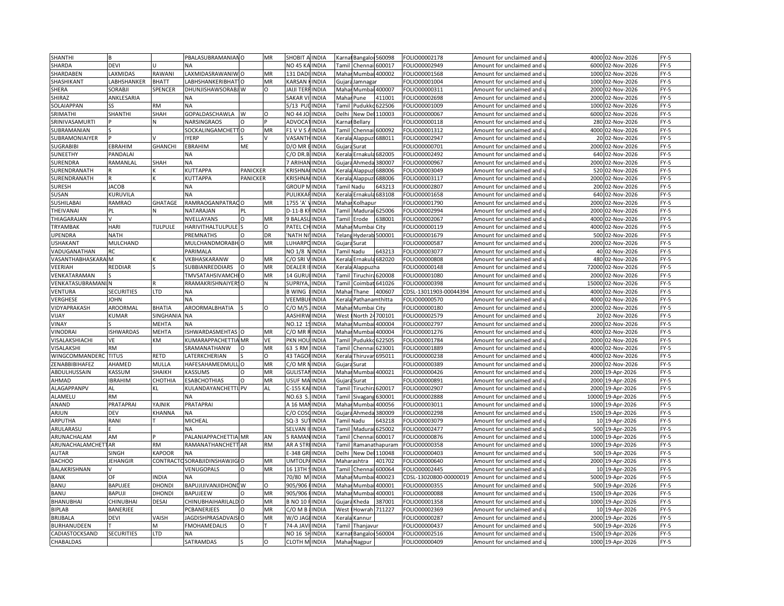| SHANTHI                   |                                  |                | PBALASUBRAMANIAN O          |                 | MR        | <b>SHOBIT</b><br><b>INDIA</b>   | Karna  |                        | Bangalor 560098      | OLIO00002178           | Amount for unclaimed and                          | 4000  | 02-Nov-2026      | $FY-5$           |
|---------------------------|----------------------------------|----------------|-----------------------------|-----------------|-----------|---------------------------------|--------|------------------------|----------------------|------------------------|---------------------------------------------------|-------|------------------|------------------|
| SHARDA                    | DEVI                             |                | NA                          |                 |           | <b>NO 45 KA</b><br><b>INDIA</b> | Tamil  | Chennai 600017         |                      | OLIO00002949           | Amount for unclaimed and $\overline{\phantom{a}}$ | 6000  | 02-Nov-2026      | $FY-5$           |
| SHARDABEN                 | LAXMIDAS                         | RAWANI         | AXMIDASRAWANIWO             |                 | MR        | 131 DAD<br><b>INDIA</b>         |        | Mahar Mumbai 400002    |                      | OLIO00001568           | Amount for unclaimed and                          | 1000  | 02-Nov-2026      | $FY-5$           |
| SHASHIKANT                | ABHSHANKER                       | <b>BHATT</b>   | <b>ABHSHANKERIBHATIO</b>    |                 | MR        | KARSAN<br><b>INDIA</b>          |        | Gujara Jamnagar        |                      | OLIO00001004           | Amount for unclaimed and i                        | 1000  | 02-Nov-2026      | $FY-5$           |
| SHERA                     | SORABJI                          | SPENCER        | DHUNJISHAWSORABJ W          |                 | $\Omega$  | JAIJI TER<br>INDIA              |        | Mahar Mumbai 400007    |                      | FOLIO00000311          | Amount for unclaimed and                          | 2000  | 02-Nov-2026      | FY-5             |
| SHIRAZ                    | ANKLESARIA                       |                | NA                          |                 |           | SAKAR V<br>INDIA                | Mahai  | Pune                   | 111001               | OLIO00002698           | Amount for unclaimed and $\overline{\phantom{a}}$ | 2000  | 02-Nov-2026      | $FY-5$           |
| SOLAIAPPAN                |                                  | RM             | <b>NA</b>                   |                 |           | 5/13 Pl<br>INDIA                | Tami   |                        | Pudukko 622506       | FOLIO00001009          | Amount for unclaimed and                          | 1000  | 02-Nov-2026      | FY-5             |
|                           |                                  |                |                             |                 |           |                                 |        |                        |                      |                        |                                                   |       |                  |                  |
| SRIMATHI                  | SHANTHI                          | SHAH           | <b>GOPALDASCHAWLA</b>       | W               | $\circ$   | <b>NO 44 JC</b><br>INDIA        | Delhi  | New Del                | 110003               | OLIO00000067           | Amount for unclaimed and                          | 6000  | 02-Nov-2026      | $FY-5$           |
| SRINIVASAMURTI            |                                  |                | NARSINGRAOS                 | $\Omega$        |           | ADVOCA<br><b>INDIA</b>          | Karna  | Bellary                |                      | FOLIO00000118          | Amount for unclaimed and                          |       | 280 02-Nov-2026  | FY-5             |
| SUBRAMANIAN               |                                  |                | SOCKALINGAMCHET             | $\Omega$        | MR        | <b>INDIA</b><br>F1 V V S        | Tami   | Chennai                | 600092               | OLIO00001312           | Amount for unclaimed and                          | 4000  | 02-Nov-2026      | $FY-5$           |
| SUBRAMONIAIYER            |                                  |                | <b>YERP</b>                 |                 |           | VASANTH<br><b>INDIA</b>         | Kerala |                        | Alappuz 688011       | OLIO00002947           | Amount for unclaimed and u                        |       | 20 02-Nov-2026   | FY-5             |
| <b>SUGRABIBI</b>          | EBRAHIM                          | GHANCHI        | EBRAHIM                     | ME              |           | D/O MR<br><b>INDIA</b>          |        | Gujara Surat           |                      | FOLIO00000701          | Amount for unclaimed and                          | 2000  | 02-Nov-2026      | FY-5             |
| SUNEETHY                  | PANDALAI                         |                | NΑ                          |                 |           | C/O DR.B<br><b>INDIA</b>        |        | Kerala Ernakula 682005 |                      | OLIO00002492           | Amount for unclaimed and i                        |       | 640 02-Nov-2026  | $FY-5$           |
| SURENDRA                  | RAMANLAL                         | SHAH           | <b>NA</b>                   |                 |           | <b>INDIA</b><br>7 ARIHA         |        | Gujara Ahmeda          | 380007               | FOLIO00000967          | Amount for unclaimed and                          | 2000  | 02-Nov-2026      | $FY-5$           |
| SURENDRANATH              |                                  |                | KUTTAPPA                    | <b>PANICKER</b> |           | <b>KRISHNA</b><br><b>INDIA</b>  | Kerala | Alappuzl               | 688006               | OLIO00003049           | Amount for unclaimed and u                        |       | 520 02-Nov-2026  | $FY-5$           |
| SURENDRANATH              |                                  |                | KUTTAPPA                    | PANICKER        |           | <b>KRISHNA</b><br><b>INDIA</b>  |        | Kerala Alappuz         | 688006               | FOLIO00003117          | Amount for unclaimed and                          |       | 2000 02-Nov-2026 | $FY-5$           |
| <b>SURESH</b>             | <b>JACOB</b>                     |                | NA                          |                 |           | <b>GROUP</b><br>INDIA           |        | Tamil Nadu             | 643213               | OLIO00002807           | Amount for unclaimed and                          |       | 200 02-Nov-2026  | $FY-5$           |
| SUSAN                     | KURUVILA                         |                | NA                          |                 |           | PULIKK/<br>INDIA                |        | Cerala Ernakula 683108 |                      | FOLIO00001658          | Amount for unclaimed and                          |       | 640 02-Nov-2026  | $FY-5$           |
| SUSHILABAI                | <b>RAMRAO</b>                    | GHATAGE        | RAMRAOGANPATRACO            |                 | MR        | 1755 'A<br>INDIA                | Maha   | Kolhapur               |                      | OLIO00001790           | Amount for unclaimed and                          | 2000  | 02-Nov-2026      | $FY-5$           |
| THEIVANAI                 | PL                               |                | VATARAJAN                   | PL              |           | $D-11-B$<br><b>INDIA</b>        |        | Tamil Madurai 625006   |                      | OLIO00002994           | Amount for unclaimed and u                        |       | 2000 02-Nov-2026 | FY-5             |
| THIAGARAJAN               |                                  |                | VVELLAYANS                  | $\circ$         | MR        | 9 BALAS<br><b>INDIA</b>         | Tamil  | Erode                  | 638001               | FOLIO00002067          | Amount for unclaimed and                          | 4000  | 02-Nov-2026      | $FY-5$           |
| TRYAMBAK                  | HARI                             | <b>TULPULE</b> | <b>HARIVITHALTULPULE</b>    |                 | $\Omega$  | PATEL CH<br><b>INDIA</b>        |        | Mahar Mumbai City      |                      | OLIO00000119           | Amount for unclaimed and i                        | 4000  | 02-Nov-2026      | $FY-5$           |
| <b>UPENDRA</b>            | <b>NATH</b>                      |                | PREMNATHS                   | $\Omega$        | DR        | 'NATH N<br><b>INDIA</b>         |        | Telans Hyderab 500001  |                      | FOLIO00001679          | Amount for unclaimed and (                        | 500   | 02-Nov-2026      | $FY-5$           |
| <b>USHAKANT</b>           | MULCHAND                         |                | <b>MULCHANDMORABH</b>       |                 | MR        | LUHARPO<br><b>INDIA</b>         |        | Gujara Surat           |                      | OLIO00000587           | Amount for unclaimed and                          | 2000  | 02-Nov-2026      | $FY-5$           |
| VADUGANATHAN              | RC                               |                | PARIMALA                    |                 |           | NO 1/8<br><b>INDIA</b>          |        | Tamil Nadu             | 643213               | FOLIO00003077          | Amount for unclaimed and                          |       | 40 02-Nov-2026   | $FY-5$           |
| <b>VASANTHABHASKARA</b> M |                                  |                | VKBHASKARANW                |                 | MR        | C/O SRI<br><b>INDIA</b>         |        | Kerala Ernakula 682020 |                      | OLIO00000808           | Amount for unclaimed and i                        | 480   | 02-Nov-2026      | $FY-5$           |
| VEERIAH                   | REDDIAR                          |                | SUBBIANREDDIARS             | O               | MR        | <b>DEALER</b><br><b>INDIA</b>   |        | Kerala Alappuzha       |                      | FOLIO00000148          | Amount for unclaimed and $\overline{\phantom{a}}$ | 72000 | 02-Nov-2026      | FY-5             |
| VENKATARAMAN              |                                  |                | TMVSATAHSIVAMCH             |                 | MR        | INDIA<br>14 GURI                | Tami   | Tiruchira              | 620008               | OLIO00001080           | Amount for unclaimed and                          | 2000  | 02-Nov-2026      | $FY-5$           |
| VENKATASUBRAMANI          |                                  |                | RAMAKRISHNAIYERSO           |                 | N         | SUPRIY/<br>INDIA                | Tamil  |                        | Coimbat 641026       | OLIO00000398           |                                                   | 15000 | 02-Nov-2026      | $FY-5$           |
|                           |                                  | TD.            |                             |                 |           | <b>B WING</b>                   |        |                        | 400607               |                        | Amount for unclaimed and u                        | 4000  |                  |                  |
| VENTURA<br>VERGHESE       | <b>SECURITIES</b><br><b>JOHN</b> |                | <b>ΝA</b><br>NA             |                 |           | <b>INDIA</b>                    | Maha   | Thane                  |                      | CDSL-13011903-00044394 | Amount for unclaimed and                          | 4000  | 02-Nov-2026      | $FY-5$<br>$FY-5$ |
|                           |                                  |                |                             |                 |           | VEEMBU<br><b>INDIA</b>          |        | Kerala Pathanamthitta  |                      | OLIO00000570           | Amount for unclaimed and u                        |       | 02-Nov-2026      |                  |
| VIDYAPRAKASH              | AROORMAL                         | BHATIA         | AROORMALBHATIA              |                 | O         | C/O M/S<br><b>INDIA</b>         |        | Mahar Mumbai City      |                      | FOLIO00000180          | Amount for unclaimed and                          | 2000  | 02-Nov-2026      | FY-5             |
| VIJAY                     | KUMAR                            | SINGHANI       | <b>NA</b>                   |                 |           | AASHIRW<br><b>INDIA</b>         | West   |                        | North 24700101       | FOLIO00002579          | Amount for unclaimed and u                        | 20    | 02-Nov-2026      | $FY-5$           |
| VINAY                     |                                  | MEHTA          | <b>NA</b>                   |                 |           | NO.12<br><b>INDIA</b>           | Mahar  | Mumbai                 | 400004               | FOLIO00002797          | Amount for unclaimed and                          | 2000  | 02-Nov-2026      | $FY-5$           |
| <b>VINODRAI</b>           | <b>ISHWARDAS</b>                 | MEHTA          | SHWARDASMEHTAS              | $\circ$         | MR        | C/O MR<br><b>INDIA</b>          | Mahai  | Mumbai                 | 400004               | FOLIO00001276          | Amount for unclaimed and                          |       | 4000 02-Nov-2026 | $FY-5$           |
| VISALAKSHIACHI            | VE                               | КM             | KUMARAPPACHETTIA MR         |                 | VE        | PKN HOL<br><b>INDIA</b>         | Tamil  | Pudukkd                | 622505               | FOLIO00001784          | Amount for unclaimed and $\overline{\phantom{a}}$ |       | 2000 02-Nov-2026 | $FY-5$           |
| VISALAKSHI                | <b>RM</b>                        |                | SRAMANATHANW                |                 | MR        | 63 S RM<br>INDIA                | Tami   | Chenna                 | 323001               | OLIO00001889           | Amount for unclaimed and                          | 4000  | 02-Nov-2026      | $FY-5$           |
| <b>WINGCOMMANDER</b>      | <b>TITUS</b>                     | RETD           | ATERKCHERIAN                |                 | O         | 43 TAGOI<br><b>INDIA</b>        | Kerala | Thiruvar               | 695011               | OLIO00000238           | Amount for unclaimed and $\iota$                  |       | 4000 02-Nov-2026 | $FY-5$           |
| ZENABBIBIHAFEZ            | AHAMED                           | MULLA          | <b>HAFESAHAMEDMULLO</b>     |                 | MR        | $C/O$ MR<br><b>INDIA</b>        | Gujara | Surat                  |                      | OLIO00000389           | Amount for unclaimed and                          | 2000  | 02-Nov-2026      | $FY-5$           |
| ABDULHUSSAIN              | <b>ASSUM</b>                     | SHAIKH         | <b>ASSUMS</b>               | $\Omega$        | MR        | <b>GULISTAI</b><br><b>INDIA</b> | Mahar  |                        | Mumbai 400021        | OLIO00000426           | Amount for unclaimed and u                        | 2000  | 19-Apr-2026      | $FY-5$           |
| AHMAD                     | <b>IBRAHIM</b>                   | CHOTHIA        | <b>ESABCHOTHIAS</b>         | $\Omega$        | MR        | USUF MA<br><b>INDIA</b>         | Gujara | Surat                  |                      | FOLIO00000891          | Amount for unclaimed and                          | 2000  | 19-Apr-2026      | $FY-5$           |
| <b>ALAGAPPANPV</b>        | AL                               | ΚL             | KULANDAYANCHETTI PV         |                 | AL        | $-155 K/$<br><b>INDIA</b>       | Tamil  | Tiruchira              | 620017               | OLIO00002907           | Amount for unclaimed and u                        | 2000  | 19-Apr-2026      | $FY-5$           |
| ALAMELU                   | <b>RM</b>                        |                | <b>NA</b>                   |                 |           | NO.63<br><b>INDIA</b>           | Tamil  | Sivagan                | 630001               | FOLIO00002888          | Amount for unclaimed and                          | 10000 | 19-Apr-2026      | $FY-5$           |
| ANAND                     | PRATAPRAI                        | YAJNIK         | PRATAPRAI                   |                 |           | A 16 MA<br>INDIA                | Mahar  | Mumbai                 | 100056               | FOLIO00003011          | Amount for unclaimed and i                        |       | 1000 19-Apr-2026 | $FY-5$           |
| ARJUN                     | DEV                              | <b>CHANNA</b>  | NΑ                          |                 |           | C/O COS<br>INDIA                |        | Gujara Ahmeda          | 380009               | OLIO00002298           | Amount for unclaimed and                          |       | 1500 19-Apr-2026 | FY-5             |
| ARPUTHA                   | RANI                             |                | MICHEAL                     |                 |           | SQ-3 SL<br>INDIA                |        | Tamil Nadu             | 543218               | OLIO00003079           | Amount for unclaimed and $\mathsf I$              | 10    | 19-Apr-2026      | $FY-5$           |
| ARULARASU                 |                                  |                | NΑ                          |                 |           | SELVAN<br><b>INDIA</b>          |        | Tamil Madurai          | 625002               | OLIO00002477           | Amount for unclaimed and $\overline{\phantom{a}}$ |       | 500 19-Apr-2026  | $FY-5$           |
| ARUNACHALAM               | AM                               |                | <b>PALANIAPPACHETTIA MR</b> |                 | AN        | 5 RAMA<br><b>INDIA</b>          | Tamil  | Chennai                | 600017               | OLIO00000876           | Amount for unclaimed and                          |       | 1000 19-Apr-2026 | $FY-5$           |
| ARUNACHALAMCHETTAR        |                                  | RM             | RAMANATHANCHETT AR          |                 | <b>RM</b> | AR A STR<br><b>INDIA</b>        |        |                        | Tamil Ramanathapuram | OLIO00000358           | Amount for unclaimed and u                        |       | 1000 19-Apr-2026 | FY-5             |
| AUTAR                     | SINGH                            | KAPOOR         | <b>NA</b>                   |                 |           | E-348 GF<br><b>INDIA</b>        | Delhi  | New Del                | 110048               | OLIO00000403           | Amount for unclaimed and                          | 500   | 19-Apr-2026      | $FY-5$           |
| <b>BACHOO</b>             | <b>JEHANGIR</b>                  | CONTRACT       | SORABJIDINSHAWJIGIO         |                 | MR        | UMTOLP.<br><b>INDIA</b>         |        | Maharashtra            | 401702               | OLIO00000640           | Amount for unclaimed and u                        |       | 2000 19-Apr-2026 | FY-5             |
| BALAKRISHNAN              |                                  |                | VENUGOPALS                  | O               | MR        | 16 13TH<br><b>INDIA</b>         |        | Tamil Chenna           | 600064               | FOLIO00002445          | Amount for unclaimed and                          |       | 10 19-Apr-2026   | FY-5             |
| <b>BANK</b>               | OF                               | <b>NDIA</b>    | NA                          |                 |           | 70/80 M<br><b>INDIA</b>         | Mahar  | Mumba                  | 100023               | CDSL-13020800-00000019 | Amount for unclaimed and i                        |       | 5000 19-Apr-2026 | $FY-5$           |
|                           |                                  |                |                             |                 |           |                                 |        |                        |                      |                        |                                                   |       |                  |                  |
| <b>BANU</b>               | BAPUJEE                          | DHONDI         | BAPUJIJIVANJIDHONDW         |                 | O         | 905/906<br>INDIA                | Mahar  | Mumba                  | 400001               | FOLIO00000355          | Amount for unclaimed and                          |       | 500 19-Apr-2026  | FY-5             |
| <b>BANU</b>               | <b>BAPUJI</b>                    | DHOND          | BAPUJEEW                    |                 | MR        | 905/906<br>INDIA                | Maha   | Mumba                  | 100001               | OLIO00000088           | Amount for unclaimed and                          | 1500  | 19-Apr-2026      | $FY-5$           |
| BHANUBHAI                 | CHINUBHAI                        | DESAI          | CHINUBHAIHARILALD O         |                 | MR        | <b>INDIA</b><br><b>B NO 10</b>  | Gujara | Kheda                  | 387001               | FOLIO00001358          | Amount for unclaimed and $\,$                     |       | 1000 19-Apr-2026 | $FY-5$           |
| <b>BIPLAB</b>             | BANERJEE                         |                | <b>CBANERJEES</b>           | $\Omega$        | MR        | $C/O$ M B<br><b>INDIA</b>       | West   | Howrah                 | 711227               | OLIO00002369           | Amount for unclaimed and                          |       | 10 19-Apr-2026   | FY-5             |
| BRIJBALA                  | <b>DEVI</b>                      | VAISH          | JAGDISHPRASADVAISIO         |                 | MR        | W/O JAG<br><b>INDIA</b>         |        | Kerala Kannur          |                      | OLIO00000287           | Amount for unclaimed and i                        |       | 2000 19-Apr-2026 | $FY-5$           |
| <b>BURHANUDEEN</b>        |                                  | M              | <b>FMOHAMEDALIS</b>         | $\Omega$        |           | 74-A JA\<br><b>INDIA</b>        | Tamil  | Thanjavur              |                      | FOLIO00000437          | Amount for unclaimed and                          | 500   | 19-Apr-2026      | FY-5             |
| CADIASTOCKSAND            | <b>SECURITIES</b>                | LTD            | NΑ                          |                 |           | NO 16 S<br><b>INDIA</b>         |        | Karnal Bangaloi 560004 |                      | FOLIO00002516          | Amount for unclaimed and u                        |       | 1500 19-Apr-2026 | $FY-5$           |
| CHABALDAS                 |                                  |                | SATRAMDAS                   |                 | $\circ$   | <b>CLOTH M INDIA</b>            |        | Mahar Nagpur           |                      | FOLIO00000409          | Amount for unclaimed and (                        |       | 1000 19-Apr-2026 | $FY-5$           |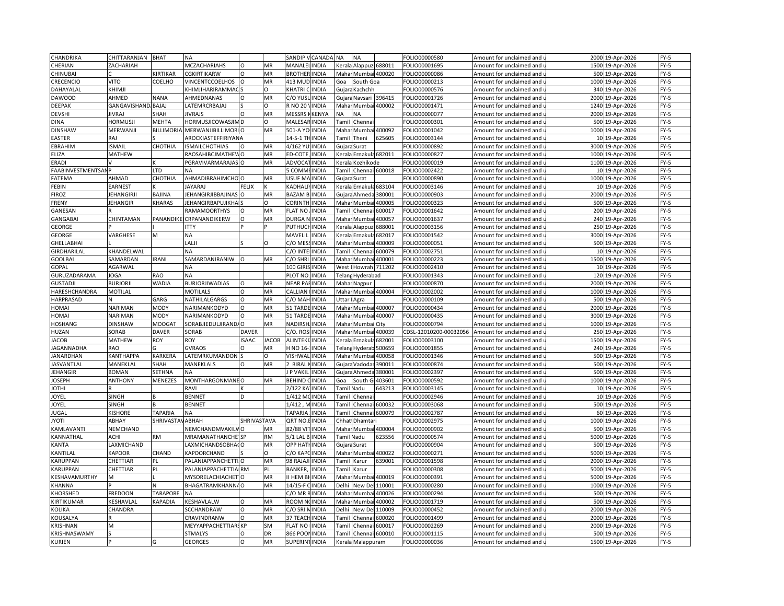| CHANDRIKA         | CHITTARANJAN        | <b>BHAT</b>      | <b>NA</b>                      |              |              | SANDIP <sup>(</sup> | CANADA       | <b>NA</b><br><b>NA</b>             | FOLIO00000580          | Amount for unclaimed and | 2000            | 19-Apr-2026      | FY-5   |
|-------------------|---------------------|------------------|--------------------------------|--------------|--------------|---------------------|--------------|------------------------------------|------------------------|--------------------------|-----------------|------------------|--------|
| CHERIAN           | ZACHARIAH           |                  | MCZACHARIAHS                   |              | MR           | MANALE              | INDIA        | Keral<br>Alappuzl<br>688011        | FOLIO00001695          | Amount for unclaimed and |                 | 1500 19-Apr-2026 | $FY-5$ |
| <b>CHINUBA</b>    |                     | KIRTIKAR         | <b>CGKIRTIKARW</b>             | $\Omega$     | MR           | <b>BROTHER</b>      | <b>INDIA</b> | 400020<br>Maha<br>Mumbai           | FOLIO00000086          | Amount for unclaimed and |                 | 500 19-Apr-2026  | FY-5   |
| CRECENCIO         | <b>VITO</b>         | COELHO           | VINCENTCCOELHOS                |              | MR           | 413 MUD             | <b>INDIA</b> | Goa<br>South Goa                   | FOLIO00000213          | Amount for unclaimed and |                 | 1000 19-Apr-2026 | $FY-5$ |
| DAHAYALAL         | KHIMJI              |                  | KHIMJIHARIRAMMAC               |              | O            | KHATRI              | <b>INDIA</b> | Kachchh<br>Gujar                   | FOLIO00000576          | Amount for unclaimed and |                 | 340 19-Apr-2026  | $FY-5$ |
| <b>DAWOOD</b>     | AHMED               | <b>NANA</b>      | AHMEDNANAS                     |              | MR           | C/O YUS             | INDIA        | 396415<br>Gujar<br>Navsari         | FOLIO00001726          | Amount for unclaimed and | 2000            | 19-Apr-2026      | $FY-5$ |
| DEEPAK            | GANGAVISHAND, BAJAJ |                  | LATEMRCRBAJAJ                  |              | n            | R NO 20             | <b>INDIA</b> | 400002<br>Mahar Mumbai             | FOLIO00001471          | Amount for unclaimed and |                 | 1240 19-Apr-2026 | $FY-5$ |
| <b>DEVSHI</b>     | <b>JIVRAJ</b>       | SHAH             | <b>JIVRAJS</b>                 | $\Omega$     | MR           | <b>MESSRS</b>       | <b>KENYA</b> | ΝA<br><b>NA</b>                    | FOLIO00000077          | Amount for unclaimed and | 2000            | 19-Apr-2026      | $FY-5$ |
|                   |                     |                  |                                |              | $\Omega$     |                     |              |                                    |                        |                          |                 |                  |        |
| <b>DINA</b>       | <b>HORMUSJI</b>     | <b>MEHTA</b>     | HORMUSJICOWASJIM D             |              |              | MALESAR INDIA       |              | Chenna<br>Tamil                    | FOLIO00000301          | Amount for unclaimed and |                 | 500 19-Apr-2026  | $FY-5$ |
| <b>DINSHAW</b>    | <b>MERWANJI</b>     | <b>BILLIMORI</b> | <b>MERWANJIBILLIMORIO</b>      |              | <b>MR</b>    | 501-A YC            | <b>INDIA</b> | Mumba<br>400092<br>Maha            | FOLIO00001042          | Amount for unclaimed and | 1000            | 19-Apr-2026      | $FY-5$ |
| <b>EASTER</b>     | RAJ                 |                  | AROCKIASTEFFIRIYANA            |              |              | 14-5-1 TH           | <b>INDIA</b> | 525605<br>Tamil<br>Theni           | FOLIO00003144          | Amount for unclaimed and | 10 <sup>1</sup> | 19-Apr-2026      | $FY-5$ |
| EBRAHIM           | <b>ISMAIL</b>       | СНОТНІА          | <b>ISMAILCHOTHIAS</b>          | $\Omega$     | MR           | 4/162 YU            | <b>INDIA</b> | Gujar<br>Surat                     | FOLIO00000892          | Amount for unclaimed and | 3000            | 19-Apr-2026      | $FY-5$ |
| ELIZA             | <b>MATHEW</b>       |                  | RAOSAHIBCJMATHEW               | $\Omega$     | MR           | ED-COTE             | <b>INDIA</b> | Ernakula 682011<br>Kerala          | FOLIO00000827          | Amount for unclaimed and | 1000            | 19-Apr-2026      | $FY-5$ |
| ERADI             |                     |                  | PGRAVIVARMARAJAS O             |              | MR           | ADVOCA              | INDIA        | Kerala<br>Kozhikode                | FOLIO00000019          | Amount for unclaimed and | 1100            | 19-Apr-2026      | $FY-5$ |
| FAABINVESTMENTSAI |                     | LTD              |                                |              |              | <b>COMM</b>         | <b>INDIA</b> | Chennai 600018<br>`ami             | FOLIO00002422          | Amount for unclaimed and | 10              | 19-Apr-2026      | $FY-5$ |
| FATEMA            | AHMAD               | СНОТНІА          | AHMADIBRAHIMCHO                |              | MR           | USUF MA INDIA       |              | Surat<br>Gujar                     | FOLIO00000890          | Amount for unclaimed and |                 | 1000 19-Apr-2026 | $FY-5$ |
| FEBIN             | <b>EARNEST</b>      |                  | <b>JAYARAJ</b>                 | <b>FELIX</b> |              | KADHAL              | <b>INDIA</b> | 583104<br>Keral<br>Ernakul         | FOLIO00003146          | Amount for unclaimed and |                 | 10 19-Apr-2026   | $FY-5$ |
| <b>FIROZ</b>      | <b>JEHANGIRJI</b>   | BAJINA           | JEHANGIRJIBBAJINAS             | $\Omega$     | MR           | <b>BAZAM B</b>      | <b>INDIA</b> | 380001<br>Gujara<br>Ahmeda         | FOLIO00000903          | Amount for unclaimed and |                 | 2000 19-Apr-2026 | $FY-5$ |
| FRENY             | <b>JEHANGIR</b>     | <b>KHARAS</b>    | JEHANGIRBAPUJIKHA              |              | O            | <b>CORINTI</b>      | INDIA        | Maha<br>Mumb<br>400005             | FOLIO00000323          | Amount for unclaimed and | 500             | 19-Apr-2026      | $FY-5$ |
| GANESAN           |                     |                  | <b>RAMAMOORTHYS</b>            |              | MR           | <b>FLAT NO</b>      | INDIA        | Chennai<br>500017<br>Tami          | FOLIO00001642          | Amount for unclaimed and |                 | 200 19-Apr-2026  | FY-5   |
| <b>GANGABAI</b>   | CHINTAMAN           | PANANDIK         | CRPANANDIKERW                  | $\Omega$     | MR           | <b>DURGA</b>        | INDIA        | Maha<br>Mumb<br>400057             | FOLIO00001637          | Amount for unclaimed and | 240             | 19-Apr-2026      | FY-5   |
| GEORGE            |                     |                  | <b>ITTY</b>                    |              |              | PUTHUC              | <b>INDIA</b> | 588001<br><b>Cerala</b><br>Alappuz | FOLIO00003156          | Amount for unclaimed and |                 | 250 19-Apr-2026  | $FY-5$ |
| <b>GEORGE</b>     | VARGHESE            | M                | NA                             |              |              | MAVELII             | INDIA        | Keral<br>Ernakul<br>682017         | FOLIO00001542          | Amount for unclaimed and |                 | 3000 19-Apr-2026 | $FY-5$ |
| GHELLABHAI        |                     |                  | LALJI                          |              | $\Omega$     | C/O MES             | <b>INDIA</b> | Maha<br>400009<br>Mumb             | FOLIO00000051          | Amount for unclaimed and |                 | 500 19-Apr-2026  | $FY-5$ |
| GIRDHARILAL       |                     |                  |                                |              |              | C/O INTEI           | <b>INDIA</b> | 600079                             | FOLIO00002751          |                          |                 |                  | $FY-5$ |
|                   | KHANDELWAL          |                  | <b>NA</b>                      |              |              |                     |              | ami<br>Chenna                      |                        | Amount for unclaimed and |                 | 10 19-Apr-2026   |        |
| GOOLBAI           | SAMARDAN            | <b>IRANI</b>     | SAMARDANIRANIW                 |              | MR           | C/O SHRI            | <b>INDIA</b> | 400001<br>Maha<br>Mumbi            | FOLIO00000223          | Amount for unclaimed and |                 | 1500 19-Apr-2026 | FY-5   |
| GOPAL             | AGARWAL             |                  | NA                             |              |              | 100 GIRI            | <b>INDIA</b> | Howrah 711202<br>West              | FOLIO00002410          | Amount for unclaimed and |                 | 10 19-Apr-2026   | $FY-5$ |
| GURUZADARAMA      | <b>JOGA</b>         | <b>RAO</b>       | <b>NA</b>                      |              |              | PLOT NO             | <b>INDIA</b> | Telan<br>Hyderabad                 | FOLIO00001343          | Amount for unclaimed and | 120             | 19-Apr-2026      | $FY-5$ |
| <b>GUSTADJI</b>   | <b>BURJORJI</b>     | WADIA            | <b>BURJORJIWADIAS</b>          | $\Omega$     | MR           | NEAR PAFINDIA       |              | Mahar Nagpur                       | FOLIO00000870          | Amount for unclaimed and |                 | 2000 19-Apr-2026 | $FY-5$ |
| HARESHCHANDRA     | <b>MOTILAL</b>      |                  | <b>MOTILALS</b>                | $\Omega$     | MR           | CALLIAN             | <b>INDIA</b> | Mahai<br>Mumbai<br>400004          | FOLIO00002002          | Amount for unclaimed and |                 | 1000 19-Apr-2026 | FY-5   |
| HARPRASAD         |                     | GARG             | NATHILALGARGS                  | $\Omega$     | MR           | C/O MAH             | <b>INDIA</b> | Uttar<br>Agra                      | FOLIO00000109          | Amount for unclaimed and |                 | 500 19-Apr-2026  | $FY-5$ |
| <b>HOMAI</b>      | <b>NARIMAN</b>      | <b>MODY</b>      | NARIMANKODYD                   | O            | MR           | 51 TARD             | INDIA        | Maha<br>Mumba<br>400007            | FOLIO00000434          | Amount for unclaimed and | 2000            | 19-Apr-2026      | FY-5   |
| HOMAI             | NARIMAN             | <b>MODY</b>      | NARIMANKODYD                   |              | MR           | 51 TARD             | <b>INDIA</b> | 400007<br>Maha<br>Mumbai           | FOLIO00000435          | Amount for unclaimed and |                 | 3000 19-Apr-2026 | $FY-5$ |
| HOSHANG           | <b>DINSHAW</b>      | MOOGA1           | SORABJIEDULJIRAND/             | $\Omega$     | MR           | NADIRSH             | <b>INDIA</b> | Maha<br>Mumbai City                | FOLIO00000794          | Amount for unclaimed and |                 | 1000 19-Apr-2026 | $FY-5$ |
| HUZAN             | SORAB               | <b>DAVER</b>     | SORAB                          | <b>DAVER</b> |              | $C/O.$ ROS          | INDIA        | Maha<br>400039<br>Mumbai           | CDSL-12010200-00032056 | Amount for unclaimed and | 250             | 19-Apr-2026      | $FY-5$ |
| <b>JACOB</b>      | <b>MATHEW</b>       | ROY              | ROY                            | <b>ISAAC</b> | <b>JACOB</b> | ALINTEK             | <b>INDIA</b> | 682001<br>Ernakula<br>Kerala       | FOLIO00003100          | Amount for unclaimed and |                 | 1500 19-Apr-2026 | FY-5   |
| JAGANNADHA        | <b>RAO</b>          |                  | <b>GVRAOS</b>                  | C            | MR           | H NO 16-            | <b>INDIA</b> | 500659<br>Telan<br>Hyderal         | FOLIO00001855          | Amount for unclaimed and | 240             | 19-Apr-2026      | $FY-5$ |
| <b>JANARDHAN</b>  | KANTHAPPA           | <b>KARKERA</b>   | LATEMRKUMANDON S               |              | O            | VISHWAL             | <b>INDIA</b> | 400058<br>Mahai<br>Mumbai          | FOLIO00001346          | Amount for unclaimed and |                 | 500 19-Apr-2026  | $FY-5$ |
| <b>JASVANTLAL</b> | MANEKLAL            | SHAH             | MANEKLALS                      | $\Omega$     | MR           | 2 BIRAL             | <b>INDIA</b> | Gujar<br>Vadoda<br>390011          | FOLIO00000874          | Amount for unclaimed and |                 | 500 19-Apr-2026  | $FY-5$ |
| JEHANGIR          | <b>BOMAN</b>        | <b>SETHNA</b>    | <b>NA</b>                      |              |              | <b>P VAKIL</b>      | <b>INDIA</b> | Gujara Ahmeda<br>380001            | FOLIO00002397          | Amount for unclaimed and |                 | 500 19-Apr-2026  | $FY-5$ |
| <b>JOSEPH</b>     | <b>ANTHONY</b>      | <b>MENEZES</b>   | MONTHARGONMANE O               |              | MR           | <b>BEHIND</b>       | <b>INDIA</b> | South<br>403601<br>Goa             | FOLIO00000592          | Amount for unclaimed and | 1000            | 19-Apr-2026      | $FY-5$ |
| <b>IHTOI</b>      |                     |                  | RAVI                           |              |              | 2/122 KA            | INDIA        | <b>Tamil Nadu</b><br>643213        | FOLIO00003145          | Amount for unclaimed and |                 | 10 19-Apr-2026   | $FY-5$ |
| JOYEL             | SINGH               |                  | <b>BENNET</b>                  | D            |              | 1/412 M             | <b>INDIA</b> | Tamil<br>Chenna                    | FOLIO00002946          | Amount for unclaimed and |                 | 10 19-Apr-2026   | $FY-5$ |
|                   |                     |                  |                                |              |              |                     |              |                                    |                        |                          |                 |                  |        |
| JOYEL             | <b>SINGH</b>        |                  | <b>BENNET</b>                  |              |              | $1/412$ ,           | <b>INDIA</b> | 500032<br>Chenna<br>Tami           | FOLIO00003068          | Amount for unclaimed and |                 | 500 19-Apr-2026  | $FY-5$ |
| JUGAL             | <b>KISHORE</b>      | <b>TAPARIA</b>   | NA                             |              |              | <b>TAPARIA</b>      | INDIA        | Chennai 600079<br>Tamil            | FOLIO00002787          | Amount for unclaimed and |                 | 60 19-Apr-2026   | $FY-5$ |
| <b>JYOTI</b>      | ABHAY               | SHRIVASTA        | ABHAH                          | SHRIVASTAVA  |              | QRT NO              | INDIA        | Chha<br>Dhamtari                   | FOLIO00002975          | Amount for unclaimed and | 1000            | 19-Apr-2026      | $FY-5$ |
| KAMLAVANTI        | <b>NEMCHAND</b>     |                  | NEMCHANDMVAKILV O              |              | MR           | 82/88 VI            | <b>INDIA</b> | Mahar Mumbai 400004                | FOLIO00000902          | Amount for unclaimed and |                 | 500 19-Apr-2026  | FY-5   |
| KANNATHAL         | <b>ACHI</b>         | <b>RM</b>        | MRAMANATHANCHE <sup>1</sup> SP |              | <b>RM</b>    | 5/1 LAL I           | <b>INDIA</b> | Tamil Nadu<br>523556               | FOLIO00000574          | Amount for unclaimed and |                 | 5000 19-Apr-2026 | FY-5   |
| KANTA             | LAXMICHAND          |                  | <b>LAXMICHANDSOBHA</b>         |              | MR           | <b>OPP HATH</b>     | <b>INDIA</b> | Gujara Surat                       | FOLIO00000904          | Amount for unclaimed and |                 | 500 19-Apr-2026  | $FY-5$ |
| KANTILAL          | KAPOOR              | CHAND            | KAPOORCHAND                    |              | O            | C/O KAP             | INDIA        | Mahai<br>Mumb<br>400022            | FOLIO00000271          | Amount for unclaimed and | 5000            | 19-Apr-2026      | FY-5   |
| KARUPPAN          | CHETTIAR            | PL               | PALANIAPPANCHETTI              |              | MR           | 98 RAJAJ            | <b>INDIA</b> | Tami<br>Karur<br>39001             | FOLIO00001598          | Amount for unclaimed and | 2000            | 19-Apr-2026      | $FY-5$ |
| KARUPPAN          | CHETTIAR            | PL               | PALANIAPPACHETTIA RM           |              | PL           | BANKER              | INDIA        | ami<br>Karur                       | FOLIO00000308          | Amount for unclaimed and | 5000            | 19-Apr-2026      | FY-5   |
| KESHAVAMURTHY     | M                   |                  | MYSORELACHIACHET               |              | <b>MR</b>    | II HEM B            | <b>INDIA</b> | Maha<br>400019<br>Mumbi            | FOLIO00000391          | Amount for unclaimed and | 5000            | 19-Apr-2026      | $FY-5$ |
| KHANNA            |                     |                  | BHAGATRAMKHANN/O               |              | MR           | 14/15-F             | <b>INDIA</b> | Delhi<br>110001<br>New Del         | FOLIO00000280          | Amount for unclaimed and |                 | 1000 19-Apr-2026 | FY-5   |
| KHORSHED          | <b>FREDOON</b>      | <b>TARAPORE</b>  | <b>NA</b>                      |              |              | $2/0$ MR            | INDIA        | Maha<br>Mumb<br>100026             | FOLIO00000294          | Amount for unclaimed and | 500             | 19-Apr-2026      | $FY-5$ |
| KIRTIKUMAR        | KESHAVLAL           | KAPADIA          | KESHAVLALW                     |              | MR           | ROOM NONDIA         |              | 400002<br>Maha<br>Mumba            | FOLIO00001719          | Amount for unclaimed and |                 | 500 19-Apr-2026  | FY-5   |
| KOLIKA            | CHANDRA             |                  | SCCHANDRAW                     | $\Omega$     | MR           | C/O SRI             | <b>INDIA</b> | Delhi<br>10009<br>New D            | FOLIO00000452          | Amount for unclaimed and | 2000            | 19-Apr-2026      | FY-5   |
| KOUSALYA          |                     |                  | CRAVINDRANW                    | $\Omega$     | <b>MR</b>    | 37 TEACH INDIA      |              | 600020<br>Tamil<br>Chennai         | FOLIO00001499          | Amount for unclaimed and |                 | 2000 19-Apr-2026 | $FY-5$ |
| KRISHNAN          | M                   |                  | MEYYAPPACHETTIARS KP           |              | SM           | <b>FLAT NO</b>      | INDIA        | Chenna<br>600017<br>Tami           | FOLIO00002269          | Amount for unclaimed and | 2000            | 19-Apr-2026      | FY-5   |
| KRISHNASWAMY      |                     |                  | <b>STMALYS</b>                 |              | DR           | 866 POOI            | <b>INDIA</b> | 600010<br>ami<br>Chennai           | FOLIO00001115          | Amount for unclaimed and |                 | 500 19-Apr-2026  | $FY-5$ |
|                   |                     |                  |                                |              |              |                     |              |                                    |                        |                          |                 |                  |        |
| <b>KURIEN</b>     | P                   |                  | <b>GEORGES</b>                 | $\Omega$     | MR           | <b>SUPERIN</b>      | <b>INDIA</b> | Kerala<br>Malappuram               | FOLIO00000036          | Amount for unclaimed and |                 | 1500 19-Apr-2026 | FY-5   |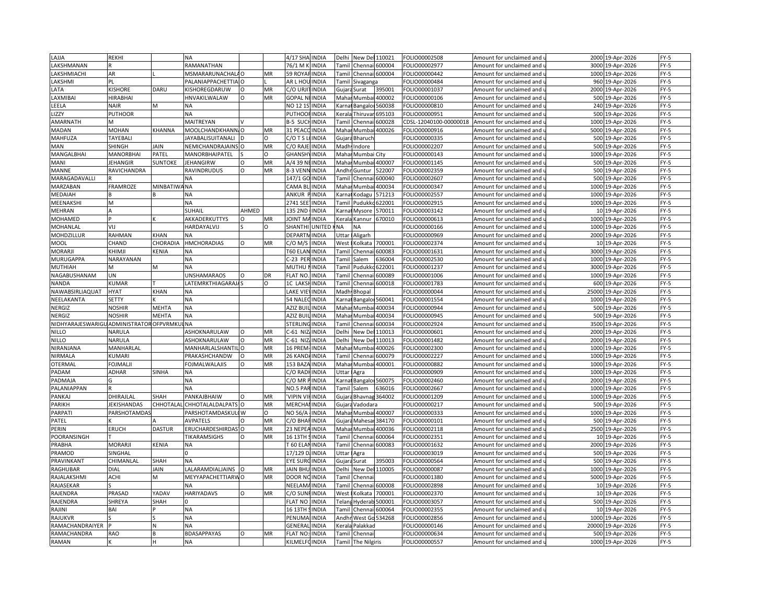| LAJJA                                    | REKHI               |                 | <b>NA</b>                       |          |          | 4/17 SHA INDIA  |              | Delhi                                                                                                                                                      | New Del 110021                                                                                                                                            |                | FOLIO00002508          | Amount for unclaimed and               |       | 2000 19-Apr-2026 | $FY-5$ |
|------------------------------------------|---------------------|-----------------|---------------------------------|----------|----------|-----------------|--------------|------------------------------------------------------------------------------------------------------------------------------------------------------------|-----------------------------------------------------------------------------------------------------------------------------------------------------------|----------------|------------------------|----------------------------------------|-------|------------------|--------|
| LAKSHMANAN                               |                     |                 | RAMANATHAN                      |          |          | 76/1 M K        | <b>INDIA</b> |                                                                                                                                                            | Tamil Chennai 600004                                                                                                                                      |                | OLIO00002977           | Amount for unclaimed and u             |       | 3000 19-Apr-2026 | $FY-5$ |
| LAKSHMIACHI                              | AR                  |                 | MSMARARUNACHALAO                |          | MR       | 59 ROYA         | <b>INDIA</b> | Tamil                                                                                                                                                      | Chennai 600004                                                                                                                                            |                | FOLIO00000442          | Amount for unclaimed and               | 1000  | 19-Apr-2026      | FY-5   |
| LAKSHMI                                  | PL                  |                 | PALANIAPPACHETTIA O             |          |          | AR L HOL        | <b>INDIA</b> | Tamil                                                                                                                                                      | Sivaganga                                                                                                                                                 |                | OLIO00000484           | Amount for unclaimed and <b>u</b>      | 960   | 19-Apr-2026      | $FY-5$ |
| LATA                                     | <b>KISHORE</b>      | DARU            | KISHOREGDARUW                   | $\Omega$ | MR       | C/O URJI        | <b>INDIA</b> | Gujar                                                                                                                                                      | Surat                                                                                                                                                     | 395001         | FOLIO00001037          | Amount for unclaimed and               | 2000  | 19-Apr-2026      | $FY-5$ |
| <b>AXMIBAI</b>                           | <b>HIRABHAI</b>     |                 | HNVAKILWALAW                    | O        | MR       | <b>GOPAL N</b>  | <b>INDIA</b> | Maha                                                                                                                                                       | Mumbai                                                                                                                                                    | 400002         | OLIO00000106           | Amount for unclaimed and               | 500   | 19-Apr-2026      | FY-5   |
| LEELA                                    | <b>NAIR</b>         | м               | NA                              |          |          | NO 121          | <b>INDIA</b> | <arna< td=""><td>Bangalo</td><td>560038</td><td>OLIO00000810</td><td>Amount for unclaimed and</td><td></td><td>240 19-Apr-2026</td><td>FY-5</td></arna<>   | Bangalo                                                                                                                                                   | 560038         | OLIO00000810           | Amount for unclaimed and               |       | 240 19-Apr-2026  | FY-5   |
| <b>IZZY</b>                              | <b>PUTHOOR</b>      |                 | NA                              |          |          | PUTHOO          | <b>INDIA</b> | <erala< td=""><td>Thiruvar</td><td>595103</td><td>OLIO00000951</td><td>Amount for unclaimed and</td><td>500</td><td>19-Apr-2026</td><td>FY-5</td></erala<> | Thiruvar                                                                                                                                                  | 595103         | OLIO00000951           | Amount for unclaimed and               | 500   | 19-Apr-2026      | FY-5   |
| AMARNATH                                 | м                   |                 | MAITREYAN                       |          |          | B-5 SUC         | <b>INDIA</b> | Tamil                                                                                                                                                      | Chennai                                                                                                                                                   | 600028         | CDSL-12040100-00000018 | Amount for unclaimed and               | 1000  | 19-Apr-2026      | FY-5   |
| <b>MADAN</b>                             | MOHAN               | <b>KHANNA</b>   | MOOLCHANDKHANN, O               |          | MR       | 31 PEA0         | <b>INDIA</b> | Maha                                                                                                                                                       | Mumba                                                                                                                                                     | 400026         | OLIO00000916           |                                        | 5000  | 19-Apr-2026      | FY-5   |
| MAHFUZA                                  | TAYEBALI            |                 | <b>JAYABALISUITANALI</b>        |          | O        | C/OTS           | <b>INDIA</b> |                                                                                                                                                            | Bharuch                                                                                                                                                   |                | OLIO00000335           | Amount for unclaimed and               |       | 500 19-Apr-2026  | $FY-5$ |
|                                          |                     |                 |                                 |          | MR       | C/O RAJI        | <b>INDIA</b> | Gujara                                                                                                                                                     |                                                                                                                                                           |                |                        | Amount for unclaimed and $\mathfrak l$ |       |                  |        |
| MAN                                      | SHINGH              | <b>JAIN</b>     | NEMICHANDRAJAINS O              |          |          |                 |              |                                                                                                                                                            | Madh Indore                                                                                                                                               |                | FOLIO00002207          | Amount for unclaimed and               | 500   | 19-Apr-2026      | FY-5   |
| MANGALBHAI                               | MANORBHAI           | PATEL           | MANORBHAIPATEL                  |          | $\Omega$ | GHANSH          | <b>INDIA</b> | Mahar                                                                                                                                                      | Mumbai City                                                                                                                                               |                | OLIO00000143           | Amount for unclaimed and u             |       | 1000 19-Apr-2026 | FY-5   |
| MANI                                     | JEHANGIR            | SUNTOKE         | <b>JEHANGIRW</b>                | O        | MR       | A/4 39 N        | <b>INDIA</b> | Mahai                                                                                                                                                      | Mumbai                                                                                                                                                    | 400007         | FOLIO00001145          | Amount for unclaimed and               |       | 500 19-Apr-2026  | FY-5   |
| MANNE                                    | RAVICHANDRA         |                 | RAVINDRUDUS                     | $\Omega$ | MR       | 8-3 VENI        | INDIA        | Andh                                                                                                                                                       | Guntur                                                                                                                                                    | 522007         | FOLIO00002359          | Amount for unclaimed and $\iota$       | 500   | 19-Apr-2026      | FY-5   |
| MARAGADAVALLI                            |                     |                 | <b>NA</b>                       |          |          | 147/1 GC        | <b>INDIA</b> | Tamil                                                                                                                                                      | Chennai                                                                                                                                                   | 600040         | OLIO00002607           | Amount for unclaimed and               |       | 500 19-Apr-2026  | $FY-5$ |
| MARZABAN                                 | FRAMROZE            | <b>MINBATIW</b> | ANA                             |          |          | CAMA BI         | INDIA        | Maha                                                                                                                                                       | Mumba                                                                                                                                                     | 100034         | OLIO00000347           | Amount for unclaimed and               | 1000  | 19-Apr-2026      | FY-5   |
| MEDAIAH                                  |                     |                 | NA                              |          |          | ANKUR           | <b>INDIA</b> | Karna                                                                                                                                                      | Kodagu                                                                                                                                                    | 571213         | OLIO00002557           | Amount for unclaimed and               |       | 1000 19-Apr-2026 | FY-5   |
| MEENAKSHI                                | M                   |                 | <b>NA</b>                       |          |          | 2741 SE         | INDIA        | Tami                                                                                                                                                       | Pudukk                                                                                                                                                    | 622001         | OLIO00002915           | Amount for unclaimed and               | 1000  | 19-Apr-2026      | FY-5   |
| MEHRAN                                   |                     |                 | SUHAIL                          | AHMED    |          | 135 2ND         | <b>INDIA</b> |                                                                                                                                                            | Karnal Mysore                                                                                                                                             | 570011         | OLIO00003142           | Amount for unclaimed and u             |       | 10 19-Apr-2026   | $FY-5$ |
| MOHAMED                                  |                     |                 | AKKADERKUTTYS                   | $\Omega$ | MR       | <b>JOINT M</b>  | <b>INDIA</b> | Kerala                                                                                                                                                     | Kannur                                                                                                                                                    | 670010         | OLIO00000613           | Amount for unclaimed and               |       | 1000 19-Apr-2026 | $FY-5$ |
| MOHANLAL                                 | VIJ                 |                 | HARDAYALVIJ                     |          | $\Omega$ | SHANTH          | UNITED       | NΑ                                                                                                                                                         | <b>NA</b>                                                                                                                                                 |                | OLIO00000166           | Amount for unclaimed and u             |       | 1000 19-Apr-2026 | FY-5   |
| MOHDZILLUR                               | RAHMAN              | <b>KHAN</b>     | <b>NA</b>                       |          |          | DEPARTI         | <b>INDIA</b> | Uttar                                                                                                                                                      | Aligarh                                                                                                                                                   |                | FOLIO00000969          | Amount for unclaimed and               | 2000  | 19-Apr-2026      | FY-5   |
| MOOL                                     | CHAND               | CHORADIA        | <b>HMCHORADIAS</b>              | $\Omega$ | MR       | C/O M/S         | <b>INDIA</b> | West                                                                                                                                                       | <olkata< td=""><td>700001</td><td>OLIO00002374</td><td>Amount for unclaimed and i</td><td>10</td><td>19-Apr-2026</td><td><math>FY-5</math></td></olkata<> | 700001         | OLIO00002374           | Amount for unclaimed and i             | 10    | 19-Apr-2026      | $FY-5$ |
| MORARJI                                  | <b>KHIMJI</b>       | KENIA           | <b>NA</b>                       |          |          | T60 ELAN        | <b>INDIA</b> | Tamil                                                                                                                                                      | Chenna                                                                                                                                                    | 600083         | FOLIO00001631          | Amount for unclaimed and               |       | 3000 19-Apr-2026 | FY-5   |
| MURUGAPPA                                | NARAYANAN           |                 | <b>NA</b>                       |          |          | -23 PER         | <b>INDIA</b> | Tamil                                                                                                                                                      | Salem                                                                                                                                                     | 36004          | OLIO00002530           | Amount for unclaimed and i             | 1000  | 19-Apr-2026      | $FY-5$ |
| MUTHIAH                                  | м                   | M               | <b>NA</b>                       |          |          | MUTHU           | <b>INDIA</b> | <b>Tamil</b>                                                                                                                                               | Pudukko                                                                                                                                                   | 622001         | OLIO00001237           | Amount for unclaimed and               |       | 3000 19-Apr-2026 | FY-5   |
| NAGABUSHANAM                             | UN                  |                 | <b>UNSHAMARAOS</b>              |          | DR       | <b>FLAT NC</b>  | <b>NDIA</b>  | Tami                                                                                                                                                       | Chenna                                                                                                                                                    | 600089         | OLIO00001006           | Amount for unclaimed and               | 1000  | 19-Apr-2026      | $FY-5$ |
| <b>NANDA</b>                             | <b>CUMAR</b>        |                 | LATEMRKTHIAGARAJA               |          | O        | 1C LAKS         | <b>INDIA</b> | Tamil                                                                                                                                                      | Chennai                                                                                                                                                   | 600018         | OLIO00001783           | Amount for unclaimed and u             |       | 600 19-Apr-2026  | $FY-5$ |
| NAWABSIRLIAQUAT                          | <b>HYAT</b>         | <b>KHAN</b>     | <b>NA</b>                       |          |          | <b>LAKE VII</b> | <b>INDIA</b> | Madh                                                                                                                                                       | Bhopal                                                                                                                                                    |                | OLIO00000044           | Amount for unclaimed and               | 25000 | 19-Apr-2026      | FY-5   |
| NEELAKANTA                               | <b>SETTY</b>        |                 | <b>NA</b>                       |          |          | 54 NALEC INDIA  |              |                                                                                                                                                            | Karnat Bangaloi 560041                                                                                                                                    |                | FOLIO00001554          | Amount for unclaimed and u             | 1000  | 19-Apr-2026      | $FY-5$ |
| NERGIZ                                   | <b>NOSHIR</b>       | <b>MEHTA</b>    | <b>NA</b>                       |          |          | AZIZ BU         | <b>INDIA</b> | Maha                                                                                                                                                       | Mumba                                                                                                                                                     | 400034         | OLIO00000944           | Amount for unclaimed and               |       | 500 19-Apr-2026  | $FY-5$ |
| NERGIZ                                   | <b>NOSHIR</b>       | MEHTA           | <b>NA</b>                       |          |          | AZIZ BUI        | <b>INDIA</b> | Maha                                                                                                                                                       | Mumbai                                                                                                                                                    | 400034         | OLIO00000945           | Amount for unclaimed and u             | 500   | 19-Apr-2026      | $FY-5$ |
| NIDHYARAJESWARIGU ADMINISTRATOR OFPVRMKI |                     |                 | <b>NA</b>                       |          |          | STERLING        | <b>INDIA</b> | Tamil                                                                                                                                                      | Chenna                                                                                                                                                    | 600034         | OLIO00002924           | Amount for unclaimed and               |       | 3500 19-Apr-2026 | FY-5   |
| <b>NILLO</b>                             | NARULA              |                 | ASHOKNARULAW                    | $\Omega$ | MR       | $-61$ NIZ       | <b>INDIA</b> | Delhi                                                                                                                                                      | New Del                                                                                                                                                   | 110013         | OLIO00000601           | Amount for unclaimed and               |       | 2000 19-Apr-2026 | FY-5   |
| <b>NILLO</b>                             | NARULA              |                 | ASHOKNARULAW                    | $\circ$  | MR       | $-61$ NIZ       | <b>INDIA</b> | Delhi                                                                                                                                                      | New Del                                                                                                                                                   | 110013         | OLIO00001482           | Amount for unclaimed and               | 2000  | 19-Apr-2026      | FY-5   |
| NIRANJANA                                | MANHARLAL           |                 | MANHARLALSHANTIL O              |          | MR       | 16 PREM         | <b>INDIA</b> | Maha                                                                                                                                                       | Mumba                                                                                                                                                     | 400026         | OLIO00002300           |                                        | 1000  | 19-Apr-2026      | FY-5   |
|                                          |                     |                 |                                 | $\Omega$ |          |                 |              |                                                                                                                                                            |                                                                                                                                                           |                |                        | Amount for unclaimed and               |       |                  |        |
| NIRMALA                                  | <b>CUMARI</b>       |                 | PRAKASHCHANDW                   | $\Omega$ | MR       | 26 KANDA        | <b>INDIA</b> | Tamil                                                                                                                                                      | Chennai                                                                                                                                                   | 600079         | OLIO00002227           | Amount for unclaimed and i             |       | 1000 19-Apr-2026 | FY-5   |
| OTERMAL                                  | FOJMALJI            |                 | <b>FOJMALWALAJIS</b>            |          | MR       | 153 BAZ/        | <b>INDIA</b> | Maha                                                                                                                                                       | Mumba                                                                                                                                                     | 400001         | OLIO00000882           | Amount for unclaimed and               | 1000  | 19-Apr-2026      | $FY-5$ |
| PADAM                                    | ADHAR               | SINHA           | <b>NA</b>                       |          |          | C/O RADI        | <b>INDIA</b> | Uttar                                                                                                                                                      | Agra                                                                                                                                                      |                | OLIO00000909           | Amount for unclaimed and $\mathfrak l$ | 1000  | 19-Apr-2026      | $FY-5$ |
| PADMAJA                                  | G                   |                 | <b>NA</b>                       |          |          | C/O MR          | <b>INDIA</b> | Karna                                                                                                                                                      | Bangalo                                                                                                                                                   | 560075         | FOLIO00002460          | Amount for unclaimed and               | 2000  | 19-Apr-2026      | FY-5   |
| PALANIAPPAN                              |                     |                 | <b>NA</b>                       |          |          | NO.5 PAF        | <b>INDIA</b> | Tamil                                                                                                                                                      | Salem                                                                                                                                                     | 36016          | OLIO00002667           | Amount for unclaimed and $\iota$       | 1000  | 19-Apr-2026      | $FY-5$ |
| PANKAJ                                   | DHIRAJLAL           | SHAH            | PANKAJBHAIW                     | $\Omega$ | MR       | VIPIN VI        | <b>INDIA</b> | Gujar                                                                                                                                                      | Bhavnag                                                                                                                                                   | 364002         | OLIO00001209           | Amount for unclaimed and               | 1000  | 19-Apr-2026      | FY-5   |
| PARIKH                                   | JEKISHANDAS         | CHHOTALAI       | CHHOTALALDALPATS O              |          | MR       | MERCHA          | <b>INDIA</b> | Gujar                                                                                                                                                      | /adodara                                                                                                                                                  |                | OLIO00000217           | Amount for unclaimed and i             | 500   | 19-Apr-2026      | FY-5   |
| PARPATI                                  | <b>PARSHOTAMDAS</b> |                 | PARSHOTAMDASKULI W              |          | O        | NO 56/A         | INDIA        | Mahaı                                                                                                                                                      |                                                                                                                                                           | Mumbai 400007  | OLIO00000333           | Amount for unclaimed and               | 1000  | 19-Apr-2026      | FY-5   |
| PATEL                                    |                     |                 | <b>AVPATELS</b>                 |          | MR       | C/O BHA         | INDIA        | Gujar                                                                                                                                                      | Mahesa                                                                                                                                                    | 384170         | FOLIO00000101          | Amount for unclaimed and               | 500   | 19-Apr-2026      | FY-5   |
| PERIN                                    | ERUCH               | DASTUR          | ERUCHARDESHIRDAS <sup>1</sup> O |          | MR       | 23 NEPE/        | <b>INDIA</b> |                                                                                                                                                            | Mahar Mumbai                                                                                                                                              | 400036         | OLIO00002118           | Amount for unclaimed and               |       | 2500 19-Apr-2026 | $FY-5$ |
| POORANSINGH                              |                     |                 | TIKARAMSIGHS                    | $\Omega$ | MR       | 16 13TH         | <b>INDIA</b> | Tamil                                                                                                                                                      | Chenna                                                                                                                                                    | 600064         | OLIO00002351           | Amount for unclaimed and               |       | 10 19-Apr-2026   | FY-5   |
| PRABHA                                   | MORARJI             | KENIA           | <b>NA</b>                       |          |          | T 60 ELAI       | <b>INDIA</b> |                                                                                                                                                            | Tamil Chennai                                                                                                                                             | 600083         | OLIO00001632           | Amount for unclaimed and u             |       | 2000 19-Apr-2026 | FY-5   |
| PRAMOD                                   | SINGHAI             |                 | n                               |          |          | 17/129          | <b>INDIA</b> | Uttar                                                                                                                                                      | Agra                                                                                                                                                      |                | FOLIO00003019          | Amount for unclaimed and               | 500   | 19-Apr-2026      | FY-5   |
| PRAVINKANT                               | CHIMANLAL           | SHAH            | <b>NA</b>                       |          |          | EYE SURO        | <b>INDIA</b> | Gujara                                                                                                                                                     | Surat                                                                                                                                                     | 395003         | FOLIO00000564          | Amount for unclaimed and $\iota$       |       | 500 19-Apr-2026  | $FY-5$ |
| RAGHUBAR                                 | DIAL                | JAIN            | LALARAMDIALJAINS                | lo       | MR       | <b>JAIN BHI</b> | <b>INDIA</b> | Delhi                                                                                                                                                      | New De                                                                                                                                                    | 110005         | FOLIO00000087          | Amount for unclaimed and               |       | 1000 19-Apr-2026 | FY-5   |
| RAJALAKSHMI                              | ACHI                | M               | MEYYAPACHETTIARWO               |          | MR       | DOOR N          | <b>INDIA</b> | Tamil                                                                                                                                                      | Chennai                                                                                                                                                   |                | FOLIO00001380          | Amount for unclaimed and $\iota$       |       | 5000 19-Apr-2026 | FY-5   |
| RAJASEKAR                                |                     |                 | NA                              |          |          | NEELAM          | <b>INDIA</b> | Tami                                                                                                                                                       |                                                                                                                                                           | Chennai 600008 | FOLIO00002898          | Amount for unclaimed and               |       | 10 19-Apr-2026   | FY-5   |
| RAJENDRA                                 | PRASAD              | YADAV           | HARIYADAVS                      |          | MR       | C/O SUN         | <b>INDIA</b> | West                                                                                                                                                       | olkata                                                                                                                                                    | 700001         | OLIO00002370           | Amount for unclaimed and               |       | 10 19-Apr-2026   | FY-5   |
| RAJENDRA                                 | SHREYA              | SHAH            |                                 |          |          | <b>FLAT NO</b>  | <b>INDIA</b> | Telang                                                                                                                                                     | Hyderab                                                                                                                                                   | 500001         | OLIO00003057           | Amount for unclaimed and               |       | 500 19-Apr-2026  | FY-5   |
| RAJINI                                   | BAI                 |                 | <b>NA</b>                       |          |          | 16 13TH         | <b>INDIA</b> | Tami                                                                                                                                                       | Chenna                                                                                                                                                    | 600064         | OLIO00002355           | Amount for unclaimed and               |       | 10 19-Apr-2026   | FY-5   |
| RAJUKVR                                  |                     |                 | <b>NA</b>                       |          |          | PENUMA          | <b>INDIA</b> |                                                                                                                                                            | Andhr West Go 534268                                                                                                                                      |                | OLIO00002856           | Amount for unclaimed and u             |       | 1000 19-Apr-2026 | FY-5   |
| RAMACHANDRAIYER                          |                     | N               | <b>NA</b>                       |          |          | <b>GENERA</b>   | <b>INDIA</b> | <b>Ceral</b>                                                                                                                                               | Palakkad                                                                                                                                                  |                | FOLIO00000146          | Amount for unclaimed and               | 20000 | 19-Apr-2026      | $FY-5$ |
| RAMACHANDRA                              | RAO                 |                 | <b>BDASAPPAYAS</b>              | $\Omega$ | MR       | <b>FLAT NO:</b> | <b>INDIA</b> | <b>Tamil</b>                                                                                                                                               | Chennai                                                                                                                                                   |                | OLIO00000634           | Amount for unclaimed and $\iota$       |       | 500 19-Apr-2026  | FY-5   |
| <b>RAMAN</b>                             |                     |                 | <b>NA</b>                       |          |          | KILMELFC        | <b>INDIA</b> | Tamil                                                                                                                                                      | The Nilgiris                                                                                                                                              |                | FOLIO00000557          | Amount for unclaimed and               |       | 1000 19-Apr-2026 | FY-5   |
|                                          |                     |                 |                                 |          |          |                 |              |                                                                                                                                                            |                                                                                                                                                           |                |                        |                                        |       |                  |        |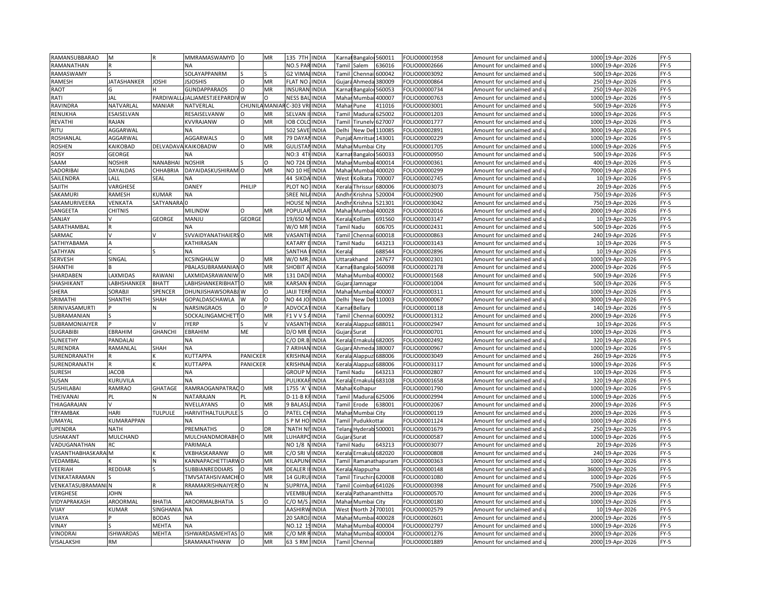| RAMANSUBBARAO          | M                  |                 | MMRAMASWAMYD                    | l O           | MR       | 135 7TH                         | <b>INDIA</b> |                                                                                                                                                                          | Karnal Bangaloi 560011 |                | FOLIO00001958 | Amount for unclaimed and   | 1000 | 19-Apr-2026       | $FY-5$ |
|------------------------|--------------------|-----------------|---------------------------------|---------------|----------|---------------------------------|--------------|--------------------------------------------------------------------------------------------------------------------------------------------------------------------------|------------------------|----------------|---------------|----------------------------|------|-------------------|--------|
| RAMANATHAN             |                    |                 | <b>NA</b>                       |               |          | NO.5 PAR INDIA                  |              |                                                                                                                                                                          | Tamil Salem            | 536016         | OLIO00002666  | Amount for unclaimed and u |      | 1000 19-Apr-2026  | $FY-5$ |
| RAMASWAMY              |                    |                 | SOLAYAPPANRM                    |               |          | <b>G2 VIMALINDIA</b>            |              | Tamil                                                                                                                                                                    | Chenna                 | 500042         | FOLIO00003092 | Amount for unclaimed and   |      | 500 19-Apr-2026   | $FY-5$ |
| RAMESH                 | <b>JATASHANKER</b> | <b>JOSHI</b>    | <b>SJOSHIS</b>                  | $\Omega$      | MR       | FLAT NO                         | <b>INDIA</b> | Gujara                                                                                                                                                                   | Ahmeda                 | 380009         | FOLIO00000864 | Amount for unclaimed and u |      | 250 19-Apr-2026   | $FY-5$ |
| RAOT                   |                    |                 | <b>GUNDAPPARAOS</b>             | $\circ$       | MR       | <b>INSURAN</b>                  | <b>INDIA</b> | Karna                                                                                                                                                                    | Bangalor               | 560053         | FOLIO00000734 | Amount for unclaimed and   | 250  | 19-Apr-2026       | $FY-5$ |
| RATI                   | JAL                | PARDIWAI        | <b>JALJAMESTJEEPARDI</b>        | W             | O        | NESS BA                         | <b>INDIA</b> | Maha                                                                                                                                                                     | Mumba                  | 400007         | FOLIO00000763 | Amount for unclaimed and   |      | 1000 19-Apr-2026  | $FY-5$ |
| RAVINDRA               | NATVARLAL          | MANIAR          | NATVERLAL                       | CHUNILA MANIA |          | C-303 VF                        | <b>INDIA</b> | Maha                                                                                                                                                                     | Pune                   | 111016         | FOLIO00003001 | Amount for unclaimed and   |      | 500 19-Apr-2026   | $FY-5$ |
| RENUKHA                | ESAISELVAN         |                 | RESAISELVANW                    | $\Omega$      | MR       | SELVAN                          |              |                                                                                                                                                                          |                        | 625002         |               |                            |      |                   |        |
|                        |                    |                 |                                 |               |          |                                 | <b>INDIA</b> | <b>Tami</b>                                                                                                                                                              | Madur                  |                | FOLIO00001203 | Amount for unclaimed and   | 1000 | 19-Apr-2026       | $FY-5$ |
| <b>REVATHI</b>         | RAJAN              |                 | KVVRAJANW                       | O             | MR       | <b>OB COL</b>                   | <b>INDIA</b> | Tamil                                                                                                                                                                    | Tirunely               | 527007         | FOLIO00001777 | Amount for unclaimed and u |      | 1000 19-Apr-2026  | $FY-5$ |
| <b>RITU</b>            | AGGARWAL           |                 | <b>NA</b>                       |               |          | 502 SAV                         | <b>INDIA</b> | Delhi                                                                                                                                                                    | New De                 | 110085         | FOLIO00002891 | Amount for unclaimed and   | 3000 | 19-Apr-2026       | FY-5   |
| ROSHANLAL              | AGGARWAL           |                 | AGGARWALS                       | $\Omega$      | MR       | 79 DAYAI                        | <b>INDIA</b> | Punjal                                                                                                                                                                   | Amritsar 143001        |                | FOLIO00000229 | Amount for unclaimed and u | 1000 | 19-Apr-2026       | $FY-5$ |
| <b>ROSHEN</b>          | KAIKOBAD           |                 | DELVADAVA KAIKOBADW             | $\circ$       | MR       | <b>GULISTA</b>                  | <b>INDIA</b> |                                                                                                                                                                          | Mahar Mumbai City      |                | FOLIO00001705 | Amount for unclaimed and   | 1000 | 19-Apr-2026       | $FY-5$ |
| ROSY                   | GEORGE             |                 | NΑ                              |               |          | NO:3 4TH                        | <b>INDIA</b> |                                                                                                                                                                          | Karnat Bangaloi 560033 |                | FOLIO00000950 | Amount for unclaimed and   |      | 500 19-Apr-2026   | FY-5   |
| SAAM                   | <b>NOSHIR</b>      | NANABHAI        | <b>NOSHIR</b>                   |               | $\Omega$ | NO 724 D                        | <b>INDIA</b> | Maha                                                                                                                                                                     | Mumba                  | 400014         | FOLIO00000361 | Amount for unclaimed and   | 400  | 19-Apr-2026       | FY-5   |
| SADORIBAI              | DAYALDAS           | CHHABRIA        | DAYAIDASKUSHIRAM                | $\Omega$      | MR       | <b>NO 10 HE</b>                 | <b>INDIA</b> | Maha                                                                                                                                                                     | Mumbai                 | 400020         | FOLIO00000299 | Amount for unclaimed and   |      | 7000 19-Apr-2026  | $FY-5$ |
| SAILENDRA              | LALL               | SEAL            | <b>NA</b>                       |               |          | 44 SIKDA INDIA                  |              | West                                                                                                                                                                     | Kolkata                | 700007         | FOLIO00002745 | Amount for unclaimed and   |      | 10 19-Apr-2026    | FY-5   |
| SAJITH                 | VARGHESE           |                 | DANEY                           | PHILIP        |          | PLOT NO                         | <b>INDIA</b> | Kerala                                                                                                                                                                   | Thrissur               | 680006         | OLIO00003073  | Amount for unclaimed and   |      | 20 19-Apr-2026    | FY-5   |
| SAKAMURI               | RAMESH             | KUMAR           | <b>NA</b>                       |               |          | SREE NIL                        | <b>INDIA</b> | Andhi                                                                                                                                                                    | Krishna                | 520004         | FOLIO00002900 | Amount for unclaimed and   |      | 750 19-Apr-2026   | $FY-5$ |
| SAKAMURIVEERA          | VENKATA            | <b>SATYANAR</b> |                                 |               |          | HOUSE                           | <b>INDIA</b> | Andh                                                                                                                                                                     | Krishna                | 521301         | FOLIO00003042 | Amount for unclaimed and   |      | 750 19-Apr-2026   | FY-5   |
| SANGEETA               | CHITNIS            |                 | MILINDW                         | $\Omega$      | MR       | POPULAR INDIA                   |              |                                                                                                                                                                          | Mahar Mumbai           | 400028         | FOLIO00002016 | Amount for unclaimed and u |      | 2000 19-Apr-2026  | $FY-5$ |
| SANJAY                 |                    | <b>GEORGE</b>   | MANJU                           | <b>GEORGI</b> |          | 19/650 M                        | <b>INDIA</b> |                                                                                                                                                                          | Kerala Kollam          | 591560         | FOLIO00003147 | Amount for unclaimed and   |      | 10 19-Apr-2026    | $FY-5$ |
| SARATHAMBAL            |                    |                 | <b>NA</b>                       |               |          | W/O MR                          | <b>INDIA</b> |                                                                                                                                                                          | <b>Tamil Nadu</b>      | 506705         | FOLIO00002431 | Amount for unclaimed and   |      | 500 19-Apr-2026   | $FY-5$ |
| SARMAC                 |                    |                 | SVVAIDYANATHAIERS O             |               | MR       | VASANT                          | <b>INDIA</b> |                                                                                                                                                                          | <b>Tamil Chenn</b>     | 600018         | FOLIO00000863 | Amount for unclaimed and   |      | 240 19-Apr-2026   | $FY-5$ |
| SATHIYABAMA            |                    |                 | KATHIRASAN                      |               |          | KATARY                          | <b>INDIA</b> |                                                                                                                                                                          | <b>Tamil Nadu</b>      | 543213         | OLIO00003143  | Amount for unclaimed and   |      | 10 19-Apr-2026    | $FY-5$ |
| SATHYAN                |                    |                 | <b>NA</b>                       |               |          | SANTHA                          | <b>INDIA</b> | Kerala                                                                                                                                                                   |                        | 588544         | FOLIO00002896 | Amount for unclaimed and   |      | 10 19-Apr-2026    | $FY-5$ |
|                        |                    |                 |                                 | $\Omega$      |          |                                 |              |                                                                                                                                                                          |                        | 247677         |               |                            |      |                   |        |
| SERVESH                | SINGAL             |                 | KCSINGHALW                      |               | MR       | W/O MR                          | <b>INDIA</b> |                                                                                                                                                                          | <b>Jttarakhand</b>     |                | OLIO00002301  | Amount for unclaimed and   |      | 1000 19-Apr-2026  | $FY-5$ |
| <b>SHANTH</b>          |                    |                 | PBALASUBRAMANIANO               |               | MR       | SHOBIT                          | <b>INDIA</b> |                                                                                                                                                                          | Karnal Bangaloi 560098 |                | FOLIO00002178 | Amount for unclaimed and   |      | 2000 19-Apr-2026  | FY-5   |
| SHARDABEN              | LAXMIDAS           | RAWANI          | LAXMIDASRAWANIW O               |               | MR       | 131 DAI                         | INDIA        | Maha                                                                                                                                                                     | Mumbai 400002          |                | FOLIO00001568 | Amount for unclaimed and   | 500  | 19-Apr-2026       | $FY-5$ |
| SHASHIKANT             | ABHSHANKER         | <b>BHATT</b>    | LABHSHANKERIBHAT <sup>1</sup> O |               | MR       | KARSAN                          | <b>INDIA</b> |                                                                                                                                                                          | Gujara Jamnagar        |                | FOLIO00001004 | Amount for unclaimed and u |      | 500 19-Apr-2026   | $FY-5$ |
| SHERA                  | SORABJI            | SPENCER         | DHUNJISHAWSORABJ W              |               | $\circ$  | JAIJI TEF                       | <b>INDIA</b> |                                                                                                                                                                          | Mahar Mumbai 400007    |                | FOLIO00000311 | Amount for unclaimed and   |      | 1000 19-Apr-2026  | $FY-5$ |
| SRIMATHI               | SHANTHI            | SHAH            | GOPALDASCHAWLA                  | W             | $\circ$  | NO 44 JOHNDIA                   |              | Delhi                                                                                                                                                                    | New Del 110003         |                | FOLIO00000067 | Amount for unclaimed and   |      | 3000 19-Apr-2026  | $FY-5$ |
| SRINIVASAMURTI         |                    | N               | <b>NARSINGRAOS</b>              | $\Omega$      |          | ADVOCA                          | <b>INDIA</b> | Karna                                                                                                                                                                    | Bellary                |                | FOLIO00000118 | Amount for unclaimed and   |      | 140 19-Apr-2026   | $FY-5$ |
| SUBRAMANIAN            |                    |                 | SOCKALINGAMCHETT                | $\Omega$      | MR       | F1 V V S                        | <b>INDIA</b> | Tamil                                                                                                                                                                    | Chennai                | 500092         | FOLIO00001312 | Amount for unclaimed and   | 2000 | 19-Apr-2026       | $FY-5$ |
| SUBRAMONIAIYER         |                    |                 | <b>IYERP</b>                    |               |          | VASANT                          | <b>INDIA</b> | Kerala                                                                                                                                                                   | Alappuz                | 688011         | FOLIO00002947 | Amount for unclaimed and   |      | 10 19-Apr-2026    | $FY-5$ |
| <b>SUGRABIBI</b>       | EBRAHIM            | <b>GHANCHI</b>  | EBRAHIM                         | ME            |          | D/O MR                          | <b>INDIA</b> | Gujara                                                                                                                                                                   | Surat                  |                | FOLIO00000701 | Amount for unclaimed and   |      | 1000 19-Apr-2026  | FY-5   |
| SUNEETHY               | PANDALAI           |                 | NA                              |               |          | C/O DR.B                        | <b>INDIA</b> |                                                                                                                                                                          | Kerala Ernakula 682005 |                | FOLIO00002492 | Amount for unclaimed and u |      | 320 19-Apr-2026   | $FY-5$ |
| SURENDRA               | RAMANLAL           | SHAH            | <b>NA</b>                       |               |          | 7 ARIHA                         | <b>INDIA</b> | Gujar                                                                                                                                                                    | Ahmeda                 | 380007         | FOLIO00000967 | Amount for unclaimed and   | 1000 | 19-Apr-2026       | $FY-5$ |
| SURENDRANATH           |                    |                 | KUTTAPPA                        | PANICKER      |          | <b>CRISHNA</b>                  | <b>INDIA</b> |                                                                                                                                                                          | Kerala Alappuz 688006  |                | FOLIO00003049 | Amount for unclaimed and u |      | 260 19-Apr-2026   | FY-5   |
| SURENDRANATH           |                    |                 | KUTTAPPA                        | PANICKER      |          | <b>KRISHN</b>                   | <b>INDIA</b> |                                                                                                                                                                          | Kerala Alappu          | 688006         | FOLIO00003117 | Amount for unclaimed and   |      | 1000 19-Apr-2026  | $FY-5$ |
| <b>SURESH</b>          | <b>JACOB</b>       |                 | <b>NA</b>                       |               |          | <b>GROUP</b>                    | <b>INDIA</b> |                                                                                                                                                                          | <b>Tamil Nadu</b>      | 543213         | FOLIO00002807 | Amount for unclaimed and u |      | 100 19-Apr-2026   | $FY-5$ |
| SUSAN                  | KURUVILA           |                 | <b>NA</b>                       |               |          | <b>PULIKKA</b>                  | <b>INDIA</b> | Kerala                                                                                                                                                                   | Ernakula               | 683108         | FOLIO00001658 | Amount for unclaimed and   | 320  | 19-Apr-2026       | FY-5   |
| SUSHILABAI             | RAMRAO             | GHATAGE         | RAMRAOGANPATRAC                 | $\Omega$      | MR       | 1755 'A'                        | <b>INDIA</b> | Maha                                                                                                                                                                     | Kolhapur               |                | FOLIO00001790 | Amount for unclaimed and   |      | 1000 19-Apr-2026  | $FY-5$ |
| THEIVANAI              | PL                 | N               | NATARAJAN                       | PL            |          | $D-11-B$                        | <b>INDIA</b> | Tamil                                                                                                                                                                    | Madurai 625006         |                | FOLIO00002994 | Amount for unclaimed and   | 1000 | 19-Apr-2026       | $FY-5$ |
| THIAGARAJAN            |                    |                 | NVELLAYANS                      | $\circ$       | MR       | <b>BALAS</b>                    | <b>INDIA</b> | Tamil                                                                                                                                                                    | Erode                  | 638001         | FOLIO00002067 | Amount for unclaimed and   |      | 2000 19-Apr-2026  | $FY-5$ |
| TRYAMBAK               | HARI               | <b>TULPULE</b>  | HARIVITHALTULPULE               |               | 0        | PATEL C                         | <b>INDIA</b> |                                                                                                                                                                          | Mahar Mumbai City      |                | FOLIO00000119 | Amount for unclaimed and   |      | 2000 19-Apr-2026  | FY-5   |
| UMAYAL                 | KUMARAPPAN         |                 | <b>NA</b>                       |               |          | SPMHC                           | <b>INDIA</b> |                                                                                                                                                                          | Pudukkottai            |                | FOLIO00001124 |                            | 1000 | 19-Apr-2026       | $FY-5$ |
|                        |                    |                 |                                 |               |          |                                 |              | Tamil                                                                                                                                                                    |                        |                |               | Amount for unclaimed and   |      |                   |        |
| UPENDRA                | <b>NATH</b>        |                 | PREMNATHS                       | $\Omega$      | DR<br>MR | <b>NATH NI</b><br><b>LUHARP</b> | <b>INDIA</b> |                                                                                                                                                                          | Telang Hyderab 500001  |                | FOLIO00001679 | Amount for unclaimed and u |      | 250 19-Apr-2026   | $FY-5$ |
| <b>USHAKANT</b>        | MULCHAND           |                 | MULCHANDMORABH O                |               |          |                                 | <b>INDIA</b> |                                                                                                                                                                          | Gujara Surat           |                | FOLIO00000587 | Amount for unclaimed and   |      | 1000 19-Apr-2026  | $FY-5$ |
| VADUGANATHAN           | RC                 |                 | PARIMALA                        |               |          | NO 1/8                          | <b>INDIA</b> |                                                                                                                                                                          | <b>Tamil Nadu</b>      | 543213         | FOLIO00003077 | Amount for unclaimed and   |      | 20 19-Apr-2026    | $FY-5$ |
| <b>VASANTHABHASKAR</b> | M                  |                 | VKBHASKARANW                    | $\circ$       | MR       | C/O SRI                         | <b>INDIA</b> |                                                                                                                                                                          | Kerala Ernakula 682020 |                | FOLIO00000808 | Amount for unclaimed and   | 240  | 19-Apr-2026       | $FY-5$ |
| VEDAMBAL               |                    | N               | <b>CANNAPACHETTIARWO</b>        |               | MR       | KILAPUN                         | <b>INDIA</b> | Tamil                                                                                                                                                                    |                        | Ramanathapuram | FOLIO00000363 | Amount for unclaimed and   |      | 1000 19-Apr-2026  | $FY-5$ |
| VEERIAH                | REDDIAR            |                 | SUBBIANREDDIARS                 | O             | MR       | DEALER                          | <b>INDIA</b> | Kerala                                                                                                                                                                   | Alappuzha              |                | FOLIO00000148 | Amount for unclaimed and   |      | 36000 19-Apr-2026 | FY-5   |
| VENKATARAMAN           |                    |                 | TMVSATAHSIVAMCHI                | $\circ$       | MR       | 14 GURI                         | <b>INDIA</b> | Tamil                                                                                                                                                                    | Tiruchira 620008       |                | FOLIO00001080 | Amount for unclaimed and   |      | 1000 19-Apr-2026  | $FY-5$ |
| VENKATASUBRAMANIN      |                    |                 | RRAMAKRISHNAIYERSO              |               | N        | <b>SUPRIYA</b>                  | <b>INDIA</b> | <b>Tamil</b>                                                                                                                                                             | Coimbat 641026         |                | FOLIO00000398 | Amount for unclaimed and   |      | 7500 19-Apr-2026  | FY-5   |
| VERGHESE               | <b>IOHN</b>        |                 | NΑ                              |               |          | VEEMBL                          | INDIA        | <erala< td=""><td>Pathanamthitta</td><td></td><td>OLIO00000570</td><td>Amount for unclaimed and</td><td>2000</td><td>19-Apr-2026</td><td><math>FY-5</math></td></erala<> | Pathanamthitta         |                | OLIO00000570  | Amount for unclaimed and   | 2000 | 19-Apr-2026       | $FY-5$ |
| VIDYAPRAKASH           | AROORMAL           | BHATIA          | AROORMALBHATIA                  |               |          | $2/0$ M/S                       | <b>INDIA</b> |                                                                                                                                                                          | Mahar Mumbai City      |                | FOLIO00000180 | Amount for unclaimed and   |      | 1000 19-Apr-2026  | FY-5   |
| VIJAY                  | <b>CUMAR</b>       | SINGHANI.       | <b>NA</b>                       |               |          | AASHIR                          | <b>INDIA</b> | West                                                                                                                                                                     | North 24 700101        |                | FOLIO00002579 | Amount for unclaimed and   |      | 10 19-Apr-2026    | FY-5   |
| VIJAYA                 |                    | <b>BODAS</b>    | <b>NA</b>                       |               |          | 20 SARO.                        | <b>INDIA</b> |                                                                                                                                                                          | Mahar Mumbai 400028    |                | FOLIO00002601 | Amount for unclaimed and u |      | 2000 19-Apr-2026  | $FY-5$ |
| VINAY                  |                    | MEHTA           | <b>NA</b>                       |               |          | NO.12                           | <b>INDIA</b> | Maha                                                                                                                                                                     | Mumb                   | 400004         | FOLIO00002797 | Amount for unclaimed and   | 1000 | 19-Apr-2026       | FY-5   |
| VINODRAI               | <b>ISHWARDAS</b>   | <b>MEHTA</b>    | <b>ISHWARDASMEHTAS</b>          |               | MR       | C/O MR                          | <b>INDIA</b> | Maha                                                                                                                                                                     | Mumbai                 | 400004         | FOLIO00001276 | Amount for unclaimed and   |      | 2000 19-Apr-2026  | $FY-5$ |
| VISALAKSHI             | RM                 |                 | SRAMANATHANW                    | O             | MR       | 63 S RM                         | <b>INDIA</b> | Tamil                                                                                                                                                                    | Chenna                 |                | FOLIO00001889 | Amount for unclaimed and   |      | 2000 19-Apr-2026  | $FY-5$ |
|                        |                    |                 |                                 |               |          |                                 |              |                                                                                                                                                                          |                        |                |               |                            |      |                   |        |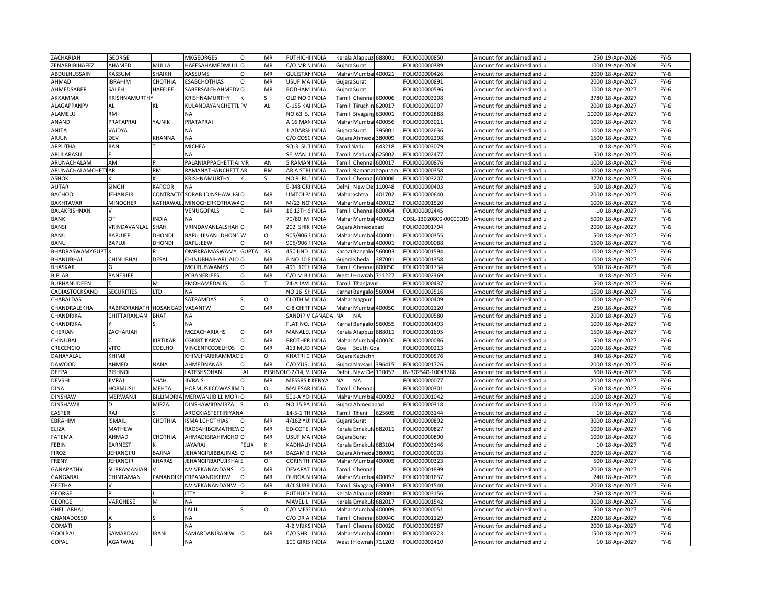| ZACHARIAH                                | GEORGE                |                 | MKGEORGES                                  |              | MR              | PUTHICHI             | <b>IINDIA</b> | Kerala                                                                                                                                                                   |                        | Alappuz 688001 | FOLIO00000850          | Amount for unclaimed and                                     |       | 250 19-Apr-2026  | $FY-5$         |
|------------------------------------------|-----------------------|-----------------|--------------------------------------------|--------------|-----------------|----------------------|---------------|--------------------------------------------------------------------------------------------------------------------------------------------------------------------------|------------------------|----------------|------------------------|--------------------------------------------------------------|-------|------------------|----------------|
| ZENABBIBIHAFEZ                           | AHAMED                | MULLA           | HAFESAHAMEDMULLO                           |              | MR              | C/O MR I             | <b>INDIA</b>  |                                                                                                                                                                          | Gujara Surat           |                | OLIO00000389           | Amount for unclaimed and                                     |       | 1000 19-Apr-2026 | $FY-5$         |
| ABDULHUSSAIN                             | <b>ASSUM</b>          | SHAIKH          | KASSUMS                                    | $\Omega$     | MR              | <b>GULISTA</b>       | <b>INDIA</b>  |                                                                                                                                                                          | Mahar Mumbai 400021    |                | FOLIO00000426          | Amount for unclaimed and                                     | 2000  | 18-Apr-2027      | FY-6           |
| AHMAD                                    | <b>IBRAHIM</b>        | CHOTHIA         | <b>ESABCHOTHIAS</b>                        | $\Omega$     | MR              | USUF MAINDIA         |               |                                                                                                                                                                          | Gujara Surat           |                | OLIO00000891           | Amount for unclaimed and u                                   | 2000  | 18-Apr-2027      | $FY-6$         |
| AHMEDSABER                               | SALEH                 | HAFEJEE         | SABERSALEHAHMEDVO                          |              | MR              | <b>BODHAN</b>        | <b>INDIA</b>  |                                                                                                                                                                          | Gujara Surat           |                | FOLIO00000596          | Amount for unclaimed and                                     | 1000  | 18-Apr-2027      | FY-6           |
| AKKAMMA                                  | KRISHNAMURTHY         |                 | KRISHNAMURTHY                              |              |                 | OLD NO               | <b>INDIA</b>  | Tamil                                                                                                                                                                    | Chennai                | 600006         | OLIO00003208           | Amount for unclaimed and $\mathsf I$                         | 3780  | 18-Apr-2027      | $FY-6$         |
| ALAGAPPANPV                              | AL                    | KL              | KULANDAYANCHETTI PV                        |              | AL              | C-155 K/             | <b>INDIA</b>  | Tamil                                                                                                                                                                    | Tiruchiı               | 620017         | FOLIO00002907          | Amount for unclaimed and                                     | 2000  | 18-Apr-2027      | FY-6           |
| ALAMELU                                  | RM                    |                 |                                            |              |                 | NO.63                | <b>INDIA</b>  | Tamil                                                                                                                                                                    | Sivagan                | 530001         | OLIO00002888           | Amount for unclaimed and i                                   | 10000 | 18-Apr-2027      | $FY-6$         |
| ANAND                                    | PRATAPRAI             | YAJNIK          | PRATAPRAI                                  |              |                 | A 16 MA              | <b>INDIA</b>  |                                                                                                                                                                          | Mahar Mumba            | 400056         | OLIO00003011           | Amount for unclaimed and                                     |       | 1000 18-Apr-2027 | FY-6           |
| ANITA                                    | VAIDYA                |                 | NA                                         |              |                 | 1.ADAR               | INDIA         | Gujara                                                                                                                                                                   | Surat                  | 395001         | OLIO00002636           | Amount for unclaimed and                                     | 1000  | 18-Apr-2027      | FY-6           |
| ARJUN                                    | DEV                   | KHANNA          | <b>NA</b>                                  |              |                 | C/O COS              | <b>INDIA</b>  |                                                                                                                                                                          | Gujara Ahmeda          | 380009         | OLIO00002298           | Amount for unclaimed and i                                   |       | 1500 18-Apr-2027 | $FY-6$         |
| ARPUTHA                                  | RANI                  |                 | MICHEAL                                    |              |                 | $SO-3$ SU            | <b>INDIA</b>  |                                                                                                                                                                          | Tamil Nadu             | 643218         | OLIO00003079           |                                                              |       | 10 18-Apr-2027   | $FY-6$         |
| ARULARASU                                |                       |                 | <b>NA</b>                                  |              |                 | SELVAN               | <b>INDIA</b>  |                                                                                                                                                                          | Tamil Madurai 625002   |                | OLIO00002477           | Amount for unclaimed and<br>Amount for unclaimed and u       |       | 500 18-Apr-2027  | FY-6           |
|                                          |                       |                 |                                            |              |                 | 5 RAMA               | <b>INDIA</b>  | Tamil                                                                                                                                                                    |                        |                |                        |                                                              |       |                  |                |
| ARUNACHALAM<br><b>ARUNACHALAMCHETTAR</b> | AM                    | <b>RM</b>       | PALANIAPPACHETTIA MR<br>RAMANATHANCHETT AR |              | AN<br><b>RM</b> | AR A STF             | <b>INDIA</b>  |                                                                                                                                                                          | Chennai 600017         |                | OLIO00000876           | Amount for unclaimed and                                     |       | 1000 18-Apr-2027 | $FY-6$<br>FY-6 |
|                                          |                       |                 |                                            |              |                 | NO 9 RU              | <b>INDIA</b>  | <b>Tamil</b>                                                                                                                                                             |                        | Ramanathapuram | OLIO00000358           | Amount for unclaimed and u                                   |       | 1000 18-Apr-2027 |                |
| ASHOK                                    |                       |                 | KRISHNAMURTHY                              |              |                 |                      |               | Tamil                                                                                                                                                                    | Chennai 600006         |                | OLIO00003207           | Amount for unclaimed and                                     |       | 3770 18-Apr-2027 | FY-6           |
| <b>AUTAR</b>                             | SINGH                 | KAPOOR          | <b>NA</b>                                  |              |                 | -348 GF              | <b>INDIA</b>  | Delhi                                                                                                                                                                    | New Del                | 110048         | OLIO00000403           | Amount for unclaimed and $\iota$                             | 500   | 18-Apr-2027      | $FY-6$         |
| <b>BACHOO</b>                            | <b>JEHANGIR</b>       | CONTRACT        | <b>CSORABJIDINSHAWJIGIO</b>                |              | MR              | <b>UMTOLP</b>        | <b>INDIA</b>  |                                                                                                                                                                          | Maharashtra            | 401702         | OLIO00000640           | Amount for unclaimed and                                     | 2000  | 18-Apr-2027      | FY-6           |
| <b>BAKHTAVAR</b>                         | MINOCHER              | KATHAWAI        | MINOCHERKOTHAW/ O                          |              | MR              | M/23 NO              | <b>INDIA</b>  | Mahar                                                                                                                                                                    | Mumba                  | 400012         | OLIO00001520           | Amount for unclaimed and                                     | 1000  | 18-Apr-2027      | FY-6           |
| BALAKRISHNAN                             |                       |                 | VENUGOPALS                                 | $\Omega$     | MR              | 16 13TH:             | <b>INDIA</b>  |                                                                                                                                                                          | Tamil Chennai 600064   |                | OLIO00002445           | Amount for unclaimed and u                                   |       | 10 18-Apr-2027   | $FY-6$         |
| <b>BANK</b>                              | OF                    | INDIA           | <b>NA</b>                                  |              |                 | 70/80 M              | <b>INDIA</b>  |                                                                                                                                                                          | Mahar Mumbai 400023    |                | CDSL-13020800-00000019 | Amount for unclaimed and                                     | 5000  | 18-Apr-2027      | $FY-6$         |
| <b>BANSI</b>                             | VRINDAVANLAL          | SHAH            | VRINDAVANLALSHAHO                          |              | MR              | <b>202 SHIK</b>      | <b>INDIA</b>  |                                                                                                                                                                          | Gujara Ahmedabad       |                | OLIO00001794           | Amount for unclaimed and u                                   |       | 2000 18-Apr-2027 | FY-6           |
| BANU                                     | BAPUJEE               | DHONDI          | BAPUJIJIVANJIDHONE W                       |              | O               | 905/906              | <b>INDIA</b>  | Mahar                                                                                                                                                                    | Mumbai 400001          |                | FOLIO00000355          | Amount for unclaimed and                                     | 500   | 18-Apr-2027      | $FY-6$         |
| BANU                                     | BAPUJI                | <b>DHONDI</b>   | <b>BAPUJEEW</b>                            |              | MR              | 905/906              | <b>INDIA</b>  | Mahar                                                                                                                                                                    | Mumbai                 | 400001         | OLIO00000088           | Amount for unclaimed and $\iota$                             | 1500  | 18-Apr-2027      | $FY-6$         |
| BHADRASWAMYGUPT                          |                       |                 | OMRKRAMASWAMY GUPTA                        |              | 3S              | 450 IIND             | <b>INDIA</b>  | <b>Carna</b>                                                                                                                                                             | Bangalo                | 560003         | FOLIO00001594          | Amount for unclaimed and                                     |       | 1000 18-Apr-2027 | FY-6           |
| BHANUBHAI                                | CHINUBHAI             | DESAI           | CHINUBHAIHARILALD O                        |              | MR              | <b>B NO 10</b>       | <b>INDIA</b>  | Gujar                                                                                                                                                                    | Kheda                  | 387001         | OLIO00001358           | Amount for unclaimed and <b>u</b>                            |       | 1000 18-Apr-2027 | FY-6           |
| <b>BHASKAR</b>                           |                       |                 | <b>MGURUSWAMYS</b>                         | O            | MR              | 491 10T              | <b>INDIA</b>  | Tamil                                                                                                                                                                    | Chennai                | 600050         | FOLIO00001734          | Amount for unclaimed and                                     |       | 500 18-Apr-2027  | FY-6           |
| <b>BIPLAB</b>                            | BANERJEE              |                 | PCBANERJEES                                |              | MR              | C/O M B              | <b>INDIA</b>  | West                                                                                                                                                                     | Howrah                 | 711227         | OLIO00002369           | Amount for unclaimed and                                     | 10    | 18-Apr-2027      | $FY-6$         |
| BURHANUDEEN                              |                       | M               | <b>FMOHAMEDALIS</b>                        | $\Omega$     |                 | 74-A JAVI            | <b>INDIA</b>  | Tamil                                                                                                                                                                    | Thanjavur              |                | OLIO00000437           | Amount for unclaimed and $\mathsf I$                         |       | 500 18-Apr-2027  | FY-6           |
| CADIASTOCKSAND                           | <b>SECURITIES</b>     | LTD             | <b>NA</b>                                  |              |                 | NO 16 S              | <b>INDIA</b>  | Karna                                                                                                                                                                    | Bangalor 560004        |                | OLIO00002516           | Amount for unclaimed and                                     | 1500  | 18-Apr-2027      | $FY-6$         |
| CHABALDAS                                |                       |                 | SATRAMDAS                                  |              | $\circ$         | <b>CLOTH M INDIA</b> |               |                                                                                                                                                                          | Mahar Nagpur           |                | OLIO00000409           | Amount for unclaimed and u                                   |       | 1000 18-Apr-2027 | $FY-6$         |
| CHANDRALEKHA                             | RABINDRANATH HOSANGAD |                 | VASANTW                                    | $\circ$      | MR              | C-8 CHI              | <b>INDIA</b>  |                                                                                                                                                                          | Mahar Mumbai           | 400050         | FOLIO00002120          | Amount for unclaimed and                                     | 250   | 18-Apr-2027      | $FY-6$         |
| CHANDRIKA                                | CHITTARANJAN          | <b>BHAT</b>     | <b>NA</b>                                  |              |                 | SANDIP               | <b>CANAD</b>  | NA.                                                                                                                                                                      | <b>NA</b>              |                | OLIO00000580           | Amount for unclaimed and u                                   | 2000  | 18-Apr-2027      | $FY-6$         |
| CHANDRIKA                                |                       |                 | <b>NA</b>                                  |              |                 | <b>FLAT NO</b>       | <b>INDIA</b>  | <b>Karna</b>                                                                                                                                                             | Bangalor               | 560055         | FOLIO00001493          | Amount for unclaimed and                                     |       | 1000 18-Apr-2027 | $FY-6$         |
| CHERIAN                                  | ZACHARIAH             |                 | MCZACHARIAHS                               | $\Omega$     | MR              | MANALE               | <b>INDIA</b>  | <erala< td=""><td>Alappuzl</td><td>688011</td><td>OLIO00001695</td><td>Amount for unclaimed and</td><td>1500</td><td>18-Apr-2027</td><td><math>FY-6</math></td></erala<> | Alappuzl               | 688011         | OLIO00001695           | Amount for unclaimed and                                     | 1500  | 18-Apr-2027      | $FY-6$         |
| CHINUBAI                                 |                       | <b>IRTIKAR</b>  | CGKIRTIKARW                                | O            | MR              | <b>BROTHER INDIA</b> |               | Maha                                                                                                                                                                     |                        | Mumbai 400020  | OLIO00000086           | Amount for unclaimed and                                     |       | 500 18-Apr-2027  | FY-6           |
| CRECENCIO                                | VITO                  | COELHO          | VINCENTCCOELHOS                            |              | MR              | 413 MUI              | INDIA         | Goa                                                                                                                                                                      | South Goa              |                | OLIO00000213           | Amount for unclaimed and                                     | 1000  | 18-Apr-2027      | $FY-6$         |
| DAHAYALAI                                | KHIMJI                |                 | KHIMJIHARIRAMMAC                           |              | O               | KHATRI               | <b>INDIA</b>  | Gujara                                                                                                                                                                   | Kachchh                |                | OLIO00000576           | Amount for unclaimed and                                     |       | 340 18-Apr-2027  | FY-6           |
| <b>DAWOOD</b>                            | AHMED                 | <b>NANA</b>     | AHMEDNANAS                                 | $\Omega$     | MR              | C/O YU!              | <b>INDIA</b>  |                                                                                                                                                                          | Gujara Navsari         | 396415         | FOLIO00001726          | Amount for unclaimed and                                     | 2000  | 18-Apr-2027      | $FY-6$         |
| DEEPA                                    | <b>BISHNOI</b>        |                 | LATESHSOHAN                                | LAL          | <b>BISHNC</b>   | $C-2/14,$            | <b>INDIA</b>  | Delhi                                                                                                                                                                    | New Del 110057         |                | N-302540-10043788      | Amount for unclaimed and $\mathfrak l$                       | 500   | 18-Apr-2027      | $FY-6$         |
| <b>DEVSHI</b>                            | <b>JIVRAJ</b>         | SHAH            | <b>JIVRAJS</b>                             | $\circ$      | MR              | MESSRS               | KENYA         | NΑ                                                                                                                                                                       | <b>NA</b>              |                | FOLIO00000077          | Amount for unclaimed and                                     | 2000  | 18-Apr-2027      | $FY-6$         |
| <b>DINA</b>                              | <b>HORMUSJI</b>       | MEHTA           | HORMUSJICOWASJIM D                         |              | O               | MALESAF              | <b>INDIA</b>  |                                                                                                                                                                          | Tamil Chennai          |                | OLIO00000301           | Amount for unclaimed and $\iota$                             | 500   | 18-Apr-2027      | $FY-6$         |
| <b>DINSHAW</b>                           | MERWANJI              | <b>BILLIMOR</b> | <b>MERWANJIBILLIMORIO</b>                  |              | MR              | 501-A YC             | <b>INDIA</b>  | Mahar                                                                                                                                                                    | Mumbai 400092          |                | FOLIO00001042          | Amount for unclaimed and                                     | 1000  | 18-Apr-2027      | $FY-6$         |
| <b>DINSHAWJ</b>                          |                       | MIRZA           | DINSHAWJIDMIRZA                            |              | $\Omega$        | NO 15 PA INDIA       |               | Gujar                                                                                                                                                                    | Ahmedabad              |                | FOLIO00000318          | Amount for unclaimed and $\iota$                             |       | 1000 18-Apr-2027 | $FY-6$         |
| <b>EASTER</b>                            | RAJ                   |                 | AROCKIASTEFFIRIYANA                        |              |                 | 14-5-1 THINDIA       |               | Tamil                                                                                                                                                                    | Theni                  | 625605         | FOLIO00003144          | Amount for unclaimed and                                     |       | 10 18-Apr-2027   | FY-6           |
| EBRAHIM                                  | <b>ISMAII</b>         | CHOTHIA         | ISMAILCHOTHIAS                             |              | MR              | 4/162 YU             | <b>INDIA</b>  | Gujar                                                                                                                                                                    | Surat                  |                | OLIO00000892           | Amount for unclaimed and                                     | 3000  | 18-Apr-2027      | $FY-6$         |
| ELIZA                                    | <b>MATHEW</b>         |                 | RAOSAHIBCJMATHEW O                         |              | MR              | ED-COTE, INDIA       |               |                                                                                                                                                                          | Kerala Ernakula 682011 |                | OLIO00000827           | Amount for unclaimed and                                     |       | 1000 18-Apr-2027 | FY-6           |
| FATEMA                                   | AHMAD                 | CHOTHIA         | AHMADIBRAHIMCHO O                          |              | MR              | USUF MA INDIA        |               |                                                                                                                                                                          | Gujara Surat           |                | OLIO00000890           | Amount for unclaimed and                                     | 1000  | 18-Apr-2027      | $FY-6$         |
| FEBIN                                    | EARNEST               |                 | <b>JAYARAJ</b>                             | <b>FELIX</b> |                 | <b>KADHALI</b>       | <b>INDIA</b>  |                                                                                                                                                                          | Kerala Ernakula 683104 |                | OLIO00003146           | Amount for unclaimed and u                                   |       | 10 18-Apr-2027   | FY-6           |
| <b>FIROZ</b>                             | <b>JEHANGIRJ</b>      | <b>BAJINA</b>   | <b>JEHANGIRJIBBAJINAS</b>                  | $\circ$      | MR              | <b>BAZAM</b>         | INDIA         |                                                                                                                                                                          | Gujara Ahmeda          | 380001         | OLIO00000903           | Amount for unclaimed and                                     | 2000  | 18-Apr-2027      | FY-6           |
| FRENY                                    | EHANGIR               | KHARAS          | <b>EHANGIRBAPUJIKHA</b>                    |              | $\Omega$        | CORINTH              | <b>INDIA</b>  | Mahar                                                                                                                                                                    | Mumbai                 | 400005         | OLIO00000323           | Amount for unclaimed and $\iota$                             |       | 500 18-Apr-2027  | $FY-6$         |
| GANAPATHY                                | SUBRAMANIAN           |                 | NVIVEKANANDANS                             | O            | MR              | <b>DEVAPA</b>        | <b>INDIA</b>  | Tamil                                                                                                                                                                    | Chenna                 |                | FOLIO00001899          | Amount for unclaimed and                                     |       | 2000 18-Apr-2027 | $FY-6$         |
| <b>GANGABAI</b>                          | CHINTAMAN             | PANANDIKI       | CRPANANDIKERW                              | $\Omega$     | MR              | <b>DURGA</b>         | <b>INDIA</b>  | Mahai                                                                                                                                                                    | Mumbai                 | 400057         | FOLIO00001637          | Amount for unclaimed and <b>u</b>                            |       | 240 18-Apr-2027  | FY-6           |
| <b>GEETHA</b>                            |                       |                 | NVIVEKANANDANW                             | O            | MR              | 4/1 SUBF             | <b>INDIA</b>  | Tamil                                                                                                                                                                    | Sivagang               | 630003         | OLIO00001540           | Amount for unclaimed and                                     |       | 2000 18-Apr-2027 | FY-6           |
| GEORGE                                   |                       |                 | <b>ITTY</b>                                |              |                 | PUTHUC               | <b>INDIA</b>  | (eral                                                                                                                                                                    | Alappuz                | 688001         | OLIO00003156           | Amount for unclaimed and                                     | 250   | 18-Apr-2027      | $FY-6$         |
| GEORGE                                   | VARGHESE              | M               | NA                                         |              |                 | MAVELI               | INDIA         | Kerala                                                                                                                                                                   | Ernakula 682017        |                | OLIO00001542           | Amount for unclaimed and                                     |       | 3000 18-Apr-2027 | $FY-6$         |
| GHELLABHAI                               |                       |                 | LALJ                                       |              | $\Omega$        | C/O ME               | <b>INDIA</b>  | Maha                                                                                                                                                                     | Mumba                  | 400009         | OLIO00000051           | Amount for unclaimed and                                     | 500   | 18-Apr-2027      | FY-6           |
| GNANADOSSD                               |                       |                 | <b>NA</b>                                  |              |                 | C/O DR A             | <b>INDIA</b>  | Tamil                                                                                                                                                                    | Chennai                | 600040         | OLIO00001129           | Amount for unclaimed and u                                   | 2200  | 18-Apr-2027      | FY-6           |
| <b>GOMATI</b>                            |                       |                 | <b>NA</b>                                  |              |                 | 4-B VRI              | <b>INDIA</b>  | Tami                                                                                                                                                                     | Chenna                 | 600020         | OLIO00002587           |                                                              | 2000  | 18-Apr-2027      | $FY-6$         |
| <b>GOOLBAI</b>                           | SAMARDAN              | <b>IRANI</b>    | SAMARDANIRANIW                             |              | MR              | C/O SHRI             | <b>INDIA</b>  | Mahai                                                                                                                                                                    | Mumba                  | 400001         | OLIO00000223           | Amount for unclaimed and<br>Amount for unclaimed and $\iota$ |       | 1500 18-Apr-2027 | $FY-6$         |
|                                          |                       |                 |                                            |              |                 |                      |               |                                                                                                                                                                          |                        |                |                        |                                                              |       |                  |                |
| <b>GOPAL</b>                             | AGARWAL               |                 | <b>NA</b>                                  |              |                 | <b>100 GIRIS</b>     | INDIA         | West                                                                                                                                                                     | Howrah                 | 711202         | FOLIO00002410          | Amount for unclaimed and                                     |       | 10 18-Apr-2027   | $FY-6$         |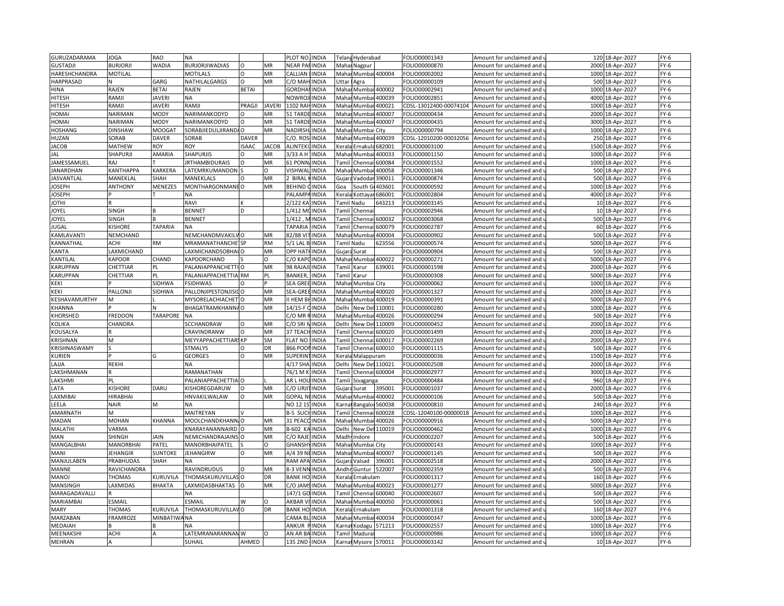| GURUZADARAMA       | JOGA                 | <b>RAO</b>         | <b>NA</b>                |              |               | PLOT NO. INDIA       |              |                                                                                                                                                                                         | Telang Hyderabad     |                | FOLIO00001343          | Amount for unclaimed and               |      | 120 18-Apr-2027  | $FY-6$ |
|--------------------|----------------------|--------------------|--------------------------|--------------|---------------|----------------------|--------------|-----------------------------------------------------------------------------------------------------------------------------------------------------------------------------------------|----------------------|----------------|------------------------|----------------------------------------|------|------------------|--------|
| <b>GUSTADJI</b>    | BURJORJI             | <b>WADIA</b>       | <b>BURJORJIWADIAS</b>    | $\Omega$     | MR            | <b>NEAR PAFINDIA</b> |              |                                                                                                                                                                                         | Mahar Nagpur         |                | FOLIO00000870          | Amount for unclaimed and u             |      | 2000 18-Apr-2027 | FY-6   |
| HARESHCHANDRA      | MOTILAL              |                    | <b>MOTILALS</b>          | O            | MR            | CALLIAN              | <b>INDIA</b> |                                                                                                                                                                                         | Mahar Mumbai 400004  |                | FOLIO00002002          | Amount for unclaimed and               |      | 1000 18-Apr-2027 | $FY-6$ |
| <b>HARPRASAD</b>   |                      | GARG               | NATHILALGARGS            | $\circ$      | MR            | C/O MAH              | <b>INDIA</b> | Uttar                                                                                                                                                                                   | Agra                 |                | OLIO00000109           | Amount for unclaimed and <b>u</b>      | 500  | 18-Apr-2027      | $FY-6$ |
| HINA               | RAJEN                | <b>BETAI</b>       | RAJEN                    | <b>BETAI</b> |               | GORDHA               | <b>INDIA</b> |                                                                                                                                                                                         | Mahar Mumbai         | 400002         | FOLIO00002941          | Amount for unclaimed and               | 1000 | 18-Apr-2027      | $FY-6$ |
| <b>HITESH</b>      | RAMJI                | <b>JAVERI</b>      | ΝA                       |              |               | NOWRO.               | <b>INDIA</b> | Maha                                                                                                                                                                                    | Mumbai               | 400039         | FOLIO00002851          | Amount for unclaimed and               | 4000 | 18-Apr-2027      | $FY-6$ |
| <b>HITESH</b>      | RAMJI                | <b>JAVERI</b>      | RAMJI                    | PRAGJI       | <b>JAVERI</b> | 1102 RAH             | <b>INDIA</b> |                                                                                                                                                                                         | Mahar Mumbai         | 400021         | CDSL-13012400-00074104 | Amount for unclaimed and               |      | 1000 18-Apr-2027 | FY-6   |
| <b>HOMA</b>        | NARIMAN              | MODY               | NARIMANKODYD             |              | MR            | 51 TARD              | <b>INDIA</b> |                                                                                                                                                                                         |                      | 400007         |                        |                                        |      |                  | $FY-6$ |
|                    |                      |                    |                          |              |               |                      |              | Mahai                                                                                                                                                                                   | Mumbai               |                | OLIO00000434           | Amount for unclaimed and               | 2000 | 18-Apr-2027      |        |
| HOMAI              | NARIMAN              | <b>MODY</b>        | NARIMANKODYD             | O<br>l O     | MR            | 51 TARDE             | <b>INDIA</b> |                                                                                                                                                                                         | Mahar Mumbai 400007  |                | OLIO00000435           | Amount for unclaimed and               |      | 3000 18-Apr-2027 | FY-6   |
| <b>HOSHANG</b>     | <b>DINSHAW</b>       | <b>MOOGAT</b>      | SORABJIEDULJIRANDA       |              | MR            | <b>NADIRS</b>        | INDIA        | Maha                                                                                                                                                                                    | Mumbai City          |                | FOLIO00000794          | Amount for unclaimed and               | 1000 | 18-Apr-2027      | $FY-6$ |
| HUZAN              | SORAB                | <b>DAVER</b>       | SORAB                    | <b>DAVER</b> |               | C/O. ROS             | <b>INDIA</b> | Mahar                                                                                                                                                                                   | Mumbai               | 400039         | CDSL-12010200-00032056 | Amount for unclaimed and u             | 250  | 18-Apr-2027      | $FY-6$ |
| <b>JACOB</b>       | MATHEW               | ROY                | <b>ROY</b>               | <b>ISAAC</b> | <b>JACOB</b>  | <b>ALINTEK</b>       | <b>INDIA</b> | Kerala                                                                                                                                                                                  | Ernakul              | 682001         | FOLIO00003100          | Amount for unclaimed and               | 1500 | 18-Apr-2027      | FY-6   |
| JAL                | SHAPURJI             | AMARIA             | SHAPURJIS                | $\Omega$     | MR            | 3/33 A H             | <b>INDIA</b> | Mahar                                                                                                                                                                                   | Mumbai               | 400033         | OLIO00001150           | Amount for unclaimed and $\iota$       | 1000 | 18-Apr-2027      | $FY-6$ |
| <b>JAMESSAMUEL</b> | RAJ                  |                    | <b>IRTHAMBIDURAIS</b>    | $\Omega$     | MR            | 61 PONI              | INDIA        | Tamil                                                                                                                                                                                   | Chenna               | 600084         | FOLIO00001552          | Amount for unclaimed and               | 1000 | 18-Apr-2027      | FY-6   |
| <b>JANARDHAN</b>   | KANTHAPPA            | KARKERA            | LATEMRKUMANDON           |              | $\Omega$      | VISHWA               | INDIA        | Maha                                                                                                                                                                                    | Mumba                | 100058         | FOLIO00001346          | Amount for unclaimed and $\iota$       | 500  | 18-Apr-2027      | $FY-6$ |
| <b>JASVANTLAL</b>  | MANEKLAL             | SHAH               | MANEKLALS                | $\Omega$     | MR            | 2 BIRAL              | <b>INDIA</b> | Gujara                                                                                                                                                                                  | Vadodar              | 390011         | OLIO00000874           | Amount for unclaimed and               |      | 500 18-Apr-2027  | $FY-6$ |
| <b>IOSEPH</b>      | <b>ANTHONY</b>       | MENEZES            | MONTHARGONMANE O         |              | MR            | <b>BEHIND</b>        | INDIA        | Goa                                                                                                                                                                                     | South G              | 103601         | OLIO00000592           | Amount for unclaimed and               | 1000 | 18-Apr-2027      | $FY-6$ |
| <b>IOSEPH</b>      |                      |                    | NA                       |              |               | <b>PALAMP</b>        | <b>INDIA</b> |                                                                                                                                                                                         | Kerala Kottayar      | 686001         | FOLIO00002804          | Amount for unclaimed and               |      | 4000 18-Apr-2027 | $FY-6$ |
| <b>IHTOI</b>       |                      |                    | RAVI                     |              |               | 2/122 K              | INDIA        | Tamil Nadu                                                                                                                                                                              |                      | 643213         | OLIO00003145           | Amount for unclaimed and               |      | 10 18-Apr-2027   | $FY-6$ |
| <b>IOYEL</b>       | SINGH                |                    | <b>BENNET</b>            | D            |               | 1/412 MCINDIA        |              |                                                                                                                                                                                         | Tamil Chennai        |                | OLIO00002946           | Amount for unclaimed and u             |      | 10 18-Apr-2027   | $FY-6$ |
| <b>OYEL</b>        | SINGH                |                    | <b>BENNET</b>            |              |               | 1/412 . MINDIA       |              |                                                                                                                                                                                         | Tamil Chennai        | 600032         | FOLIO00003068          | Amount for unclaimed and               |      | 500 18-Apr-2027  | $FY-6$ |
| <b>IUGAL</b>       | <b>ISHORE</b>        | TAPARIA            | <b>NA</b>                |              |               | <b>TAPARIA</b>       | <b>INDIA</b> |                                                                                                                                                                                         | Tamil Chennai 600079 |                | OLIO00002787           | Amount for unclaimed and u             |      | 60 18-Apr-2027   | $FY-6$ |
| KAMLAVANTI         | NEMCHAND             |                    | NEMCHANDMVAKILVO         |              | MR            | 82/88 VI             | <b>INDIA</b> |                                                                                                                                                                                         | Mahar Mumba          | 400004         | FOLIO00000902          | Amount for unclaimed and               |      | 500 18-Apr-2027  | $FY-6$ |
| <b>CANNATHAL</b>   | ACHI                 | <b>RM</b>          | <b>MRAMANATHANCHE</b> SP |              | <b>RM</b>     | $5/1$ LAL B          | <b>INDIA</b> | Tamil Nadu                                                                                                                                                                              |                      | 623556         | OLIO00000574           | Amount for unclaimed and i             |      | 5000 18-Apr-2027 | $FY-6$ |
| KANTA              | LAXMICHAND           |                    | LAXMICHANDSOBHACO        |              | MR            | <b>OPP HAT</b>       | <b>INDIA</b> |                                                                                                                                                                                         | Gujara Surat         |                | FOLIO00000904          | Amount for unclaimed and               |      | 500 18-Apr-2027  | $FY-6$ |
| KANTILAL           | <b><i>KAPOOR</i></b> | CHAND              | KAPOORCHAND              |              | $\Omega$      | C/O KAP              | <b>INDIA</b> |                                                                                                                                                                                         | Mahar Mumba          | 400022         | OLIO00000271           | Amount for unclaimed and i             | 5000 | 18-Apr-2027      | $FY-6$ |
| KARUPPAN           | CHETTIAR             | PL                 | PALANIAPPANCHETTIO       |              | MR            | 98 RAJAJ             | <b>INDIA</b> | <b>Tamil</b>                                                                                                                                                                            | Karur                | 639001         | OLIO00001598           |                                        |      | 2000 18-Apr-2027 | FY-6   |
| KARUPPAN           |                      | DI                 | PALANIAPPACHETTIA RM     |              | PL            | <b>BANKEF</b>        | INDIA        | Tami                                                                                                                                                                                    |                      |                | OLIO00000308           | Amount for unclaimed and               | 5000 |                  | $FY-6$ |
|                    | CHETTIAR             |                    |                          |              |               |                      |              |                                                                                                                                                                                         | Karur                |                |                        | Amount for unclaimed and               |      | 18-Apr-2027      |        |
| KEKI               |                      | SIDHWA             | <b>FSIDHWAS</b>          | $\Omega$     |               | SEA GREE INDIA       |              |                                                                                                                                                                                         | Mahar Mumbai City    |                | OLIO00000062           | Amount for unclaimed and u             |      | 1000 18-Apr-2027 | $FY-6$ |
| KEKI               | PALLONJI             | SIDHWA             | PALLONJIPESTONJISIDO     |              | MR            | SEA-GRI              | <b>INDIA</b> |                                                                                                                                                                                         | Mahar Mumbai         | 400020         | FOLIO00001327          | Amount for unclaimed and               | 2000 | 18-Apr-2027      | $FY-6$ |
| KESHAVAMURTHY      | м                    |                    | MYSORELACHIACHET O       |              | MR            | II HEM BI            | <b>INDIA</b> | Mahar                                                                                                                                                                                   | Mumbai               | 400019         | OLIO00000391           | Amount for unclaimed and u             | 5000 | 18-Apr-2027      | $FY-6$ |
| <b>KHANNA</b>      |                      |                    | BHAGATRAMKHANNAO         |              | MR            | 14/15-F              | <b>INDIA</b> | Delhi                                                                                                                                                                                   | New De               | 110001         | OLIO00000280           | Amount for unclaimed and               | 1000 | 18-Apr-2027      | $FY-6$ |
| KHORSHED           | FREDOON              | <b>TARAPORE</b>    | <b>NA</b>                |              |               | C/O MR               | <b>INDIA</b> | Maha                                                                                                                                                                                    | Mumbai               | 400026         | OLIO00000294           | Amount for unclaimed and u             | 500  | 18-Apr-2027      | $FY-6$ |
| KOLIKA             | CHANDRA              |                    | SCCHANDRAW               | $\circ$      | MR            | C/O SRI N            | <b>INDIA</b> | Delhi                                                                                                                                                                                   | New Del              | 110009         | FOLIO00000452          | Amount for unclaimed and               |      | 2000 18-Apr-2027 | FY-6   |
| KOUSALYA           |                      |                    | CRAVINDRANW              | $\Omega$     | MR            | 37 TEACI             | <b>INDIA</b> | Tamil                                                                                                                                                                                   | Chennai              | 600020         | OLIO00001499           | Amount for unclaimed and               |      | 2000 18-Apr-2027 | $FY-6$ |
| KRISHNAN           | M                    |                    | MEYYAPPACHETTIARS KP     |              | SM            | <b>FLAT NO</b>       | <b>INDIA</b> | Tamil                                                                                                                                                                                   | Chennai              | 600017         | OLIO00002269           | Amount for unclaimed and               | 2000 | 18-Apr-2027      | FY-6   |
| KRISHNASWAMY       |                      |                    | <b>STMALYS</b>           | $\Omega$     | DR            | 866 POC              | <b>INDIA</b> | Tami                                                                                                                                                                                    |                      | Chennai 600010 | OLIO00001115           | Amount for unclaimed and               | 500  | 18-Apr-2027      | FY-6   |
| KURIEN             |                      |                    | <b>GEORGES</b>           | $\Omega$     | MR            | SUPERINT             | <b>INDIA</b> | Kerala                                                                                                                                                                                  | Malappuram           |                | OLIO00000036           | Amount for unclaimed and i             |      | 1500 18-Apr-2027 | $FY-6$ |
| LAJJA              | REKHI                |                    | <b>NA</b>                |              |               | 4/17 SH/             | <b>INDIA</b> | Delhi                                                                                                                                                                                   | New Del 110021       |                | FOLIO00002508          | Amount for unclaimed and               | 2000 | 18-Apr-2027      | $FY-6$ |
| LAKSHMANAN         |                      |                    | RAMANATHAN               |              |               | 76/1 M K             | <b>INDIA</b> |                                                                                                                                                                                         | Tamil Chennai 600004 |                | OLIO00002977           | Amount for unclaimed and $\mathfrak l$ | 3000 | 18-Apr-2027      | FY-6   |
| LAKSHMI            | PL                   |                    | PALANIAPPACHETTIA O      |              |               | AR L HOI             | <b>INDIA</b> | Tamil                                                                                                                                                                                   | Sivaganga            |                | FOLIO00000484          | Amount for unclaimed and               | 960  | 18-Apr-2027      | $FY-6$ |
| LATA               | <b>KISHORE</b>       | DARU               | KISHOREGDARUW            | $\Omega$     | MR            | C/O URJI             | <b>INDIA</b> | Gujara                                                                                                                                                                                  | Surat                | 395001         | FOLIO00001037          | Amount for unclaimed and $\iota$       |      | 2000 18-Apr-2027 | $FY-6$ |
| LAXMIBAI           | HIRABHAI             |                    | HNVAKILWALAW             | $\Omega$     | MR            | GOPAL N              | <b>INDIA</b> | Mahar                                                                                                                                                                                   | Mumba                | 400002         | FOLIO00000106          | Amount for unclaimed and               |      | 500 18-Apr-2027  | $FY-6$ |
| LEELA              | NAIR                 | M                  | NA                       |              |               | NO 12 1S             | <b>INDIA</b> | arna                                                                                                                                                                                    | Bangalo              | 560038         | OLIO00000810           | Amount for unclaimed and               | 240  | 18-Apr-2027      | $FY-6$ |
| AMARNATH           | м                    |                    | MAITREYAN                |              |               | B-5 SUCI             | <b>INDIA</b> | Tamil                                                                                                                                                                                   | Chennai              | 600028         | CDSL-12040100-00000018 | Amount for unclaimed and               | 1000 | 18-Apr-2027      | FY-6   |
| MADAN              | MOHAN                | KHANNA             | MOOLCHANDKHANN, O        |              | MR            | 31 PEAC              | INDIA        | Maha                                                                                                                                                                                    | Mumba                | 400026         | FOLIO00000916          | Amount for unclaimed and               | 5000 | 18-Apr-2027      | $FY-6$ |
| MALATHI            | VARMA                |                    | KNARAYANANNAIRD O        |              | MR            | B-602 KA             | <b>INDIA</b> | Delhi                                                                                                                                                                                   | New Del              | 110019         | OLIO00000462           | Amount for unclaimed and               |      | 1000 18-Apr-2027 | $FY-6$ |
| MAN                | SHINGH               | <b>JAIN</b>        | NEMICHANDRAJAINS O       |              | MR            | C/O RAJ              | <b>INDIA</b> | Madh                                                                                                                                                                                    | Indore               |                | OLIO00002207           | Amount for unclaimed and               | 500  | 18-Apr-2027      | $FY-6$ |
| MANGALBHAI         | MANORBHAI            | PATEL              | MANORBHAIPATEL           |              | $\Omega$      | GHANSH               | <b>INDIA</b> | Mahar                                                                                                                                                                                   | Mumbai City          |                | OLIO00000143           | Amount for unclaimed and u             | 1000 | 18-Apr-2027      | $FY-6$ |
| MANI               | JEHANGIR             | SUNTOKE            | <b>JEHANGIRW</b>         | $\Omega$     | MR            | A/4 39 N             | <b>INDIA</b> | Mahar                                                                                                                                                                                   | Mumbai               | 400007         | FOLIO00001145          | Amount for unclaimed and               | 500  | 18-Apr-2027      | $FY-6$ |
| MANJULABEN         | PRABHUDAS            | SHAH               | <b>NA</b>                |              |               | RAM APA              | <b>INDIA</b> | Gujara                                                                                                                                                                                  | Valsad               | 396001         | FOLIO00002518          | Amount for unclaimed and $\iota$       |      | 2000 18-Apr-2027 | $FY-6$ |
|                    |                      |                    |                          | $\Omega$     |               | 8-3 VENI             |              |                                                                                                                                                                                         |                      |                |                        |                                        |      |                  |        |
| MANNE              | RAVICHANDRA          |                    | RAVINDRUDUS              |              | MR<br>DR      | <b>BANK HO</b>       | <b>INDIA</b> | Andh                                                                                                                                                                                    | Guntur               | 522007         | FOLIO00002359          | Amount for unclaimed and               |      | 500 18-Apr-2027  | $FY-6$ |
| MANOJ              | <b>THOMAS</b>        | KURUVILA           | THOMASKURUVILLAS O       |              |               |                      | <b>INDIA</b> | <erala< td=""><td>Ernakulam</td><td></td><td>FOLIO00001317</td><td>Amount for unclaimed and <math>\iota</math></td><td></td><td>160 18-Apr-2027</td><td><math>FY-6</math></td></erala<> | Ernakulam            |                | FOLIO00001317          | Amount for unclaimed and $\iota$       |      | 160 18-Apr-2027  | $FY-6$ |
| MANSINGH           | LAXMIDAS             | <b>BHAKTA</b>      | LAXMIDASBHAKTAS          | O            | MR            | C/O JAM!             | <b>INDIA</b> | Mahai                                                                                                                                                                                   |                      | Mumbai 400023  | FOLIO00001277          | Amount for unclaimed and               |      | 5000 18-Apr-2027 | FY-6   |
| MARAGADAVALLI      |                      |                    | ΝA                       |              |               | 147/1 G              | INDIA        | Tami                                                                                                                                                                                    | Chennai              | 600040         | OLIO00002607           | Amount for unclaimed and               | 500  | 18-Apr-2027      | $FY-6$ |
| MARIAMBAI          | ESMAIL               |                    | ESMAIL                   |              |               | AKBAR VI             | <b>INDIA</b> |                                                                                                                                                                                         | Mahar Mumbai 400050  |                | OLIO00000061           | Amount for unclaimed and               |      | 500 18-Apr-2027  | FY-6   |
| <b>MARY</b>        | THOMAS               | KURUVILA           | THOMASKURUVILLAVO        |              | DR            | <b>BANK H</b>        | <b>INDIA</b> | <eral< td=""><td>Ernakulam</td><td></td><td>OLIO00001318</td><td>Amount for unclaimed and</td><td></td><td>160 18-Apr-2027</td><td>FY-6</td></eral<>                                    | Ernakulam            |                | OLIO00001318           | Amount for unclaimed and               |      | 160 18-Apr-2027  | FY-6   |
| MARZABAN           | FRAMROZE             | <b>MINBATIWANA</b> |                          |              |               | CAMA BL              | <b>INDIA</b> |                                                                                                                                                                                         | Mahar Mumbai 400034  |                | OLIO00000347           | Amount for unclaimed and u             |      | 1000 18-Apr-2027 | FY-6   |
| MEDAIAH            |                      |                    | <b>NA</b>                |              |               | ANKUR                | <b>INDIA</b> | Karna                                                                                                                                                                                   | Kodagu               | 571213         | FOLIO00002557          | Amount for unclaimed and               | 1000 | 18-Apr-2027      | $FY-6$ |
| MEENAKSHI          | ACHI                 |                    | LATEMRANARANNAN W        |              |               | AN AR BA INDIA       |              | <b>Tamil</b>                                                                                                                                                                            | Madura               |                | OLIO00000986           | Amount for unclaimed and u             |      | 1000 18-Apr-2027 | $FY-6$ |
| <b>MEHRAN</b>      |                      |                    | SUHAIL                   | AHMED        |               | 135 2ND              | <b>INDIA</b> |                                                                                                                                                                                         | Karnal Mysore        | 570011         | FOLIO00003142          | Amount for unclaimed and               |      | 10 18-Apr-2027   | $FY-6$ |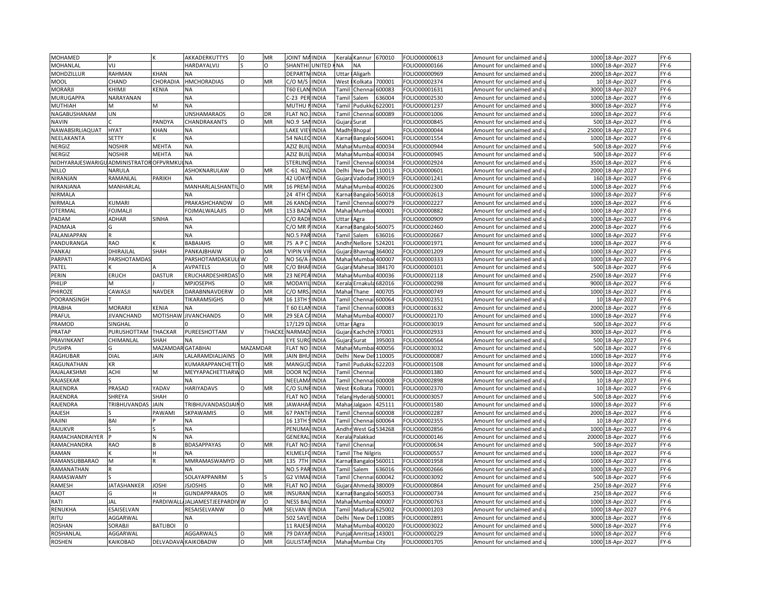| MOHAMED                               |                     |                   | AKKADERKUTTYS              | $\circ$         | MR           | <b>JOINT MA</b>      | INDIA                 | Kerala    | Kannur            | 670010           | FOLIO00000613                 | Amount for unclaimed and                             | 1000 18-Apr-2027                        | $FY-6$           |
|---------------------------------------|---------------------|-------------------|----------------------------|-----------------|--------------|----------------------|-----------------------|-----------|-------------------|------------------|-------------------------------|------------------------------------------------------|-----------------------------------------|------------------|
| MOHANLAL                              | VIJ                 |                   | HARDAYALVIJ                |                 | Ω            | <b>SHANTHI</b>       | <b>UNITED</b>         | <b>NA</b> | ΝA                |                  | FOLIO00000166                 | Amount for unclaimed and                             | 1000 18-Apr-2027                        | $FY-6$           |
| MOHDZILLUR                            | RAHMAN              | <b>KHAN</b>       | <b>NA</b>                  |                 |              | <b>DEPARTI</b>       | <b>INDIA</b>          | Uttar     | Aligarh           |                  | FOLIO00000969                 | Amount for unclaimed and                             | 2000 18-Apr-2027                        | $FY-6$           |
| MOOL                                  | CHAND               | CHORADIA          | <b>HMCHORADIAS</b>         | O               | MR           | $C/O$ M/S            | <b>INDIA</b>          |           | West Kolkata      | 700001           | FOLIO00002374                 | Amount for unclaimed and                             | 10 18-Apr-2027                          | $FY-6$           |
| MORARJI                               | KHIMJI              | KENIA             | <b>NA</b>                  |                 |              | T60 ELAN             | <b>INDIA</b>          | Tamil     | Chenna            | 600083           | FOLIO00001631                 | Amount for unclaimed and                             | 3000 18-Apr-2027                        | $FY-6$           |
| MURUGAPPA                             | NARAYANAN           |                   | NΑ                         |                 |              | C-23 PER INDIA       |                       | Tamil     | Salem             | 636004           | FOLIO00002530                 | Amount for unclaimed and                             | 1000 18-Apr-2027                        | $FY-6$           |
| <b>MUTHIAH</b>                        |                     | м                 | <b>NA</b>                  |                 |              | <b>MUTHU</b>         | <b>INDIA</b>          | Tami      | Pudukk            | 622001           | FOLIO00001237                 | Amount for unclaimed and                             | 3000 18-Apr-2027                        | $FY-6$           |
| NAGABUSHANAM                          | UN                  |                   | UNSHAMARAOS                | $\circ$         | DR           | <b>FLAT NO</b>       | <b>INDIA</b>          | Tami      | Chennai           | 600089           | FOLIO00001006                 | Amount for unclaimed and                             | 1000 18-Apr-2027                        | $FY-6$           |
| <b>NAVIN</b>                          |                     | PANDYA            | CHANDRAKANTS               | $\circ$         | MR           | NO.9 SA              | <b>INDIA</b>          | Gujara    | Surat             |                  | FOLIO00000845                 | Amount for unclaimed and                             | 500 18-Apr-2027                         | $FY-6$           |
| NAWABSIRLIAQUAT                       | <b>HYAT</b>         | KHAN              | <b>NA</b>                  |                 |              | <b>LAKE VIE</b>      | <b>INDIA</b>          | Madh      | Bhopal            |                  | FOLIO00000044                 | Amount for unclaimed and                             | 25000<br>18-Apr-2027                    | $FY-6$           |
| NEELAKANTA                            | SETTY               |                   | ΝA                         |                 |              | 54 NALEC INDIA       |                       | Karna     | <b>Bangalor</b>   | 560041           | FOLIO00001554                 | Amount for unclaimed and                             | 1000 18-Apr-2027                        | $FY-6$           |
| NERGIZ                                | <b>NOSHIR</b>       | <b>MEHTA</b>      | <b>NA</b>                  |                 |              | AZIZ BU              | <b>INDIA</b>          | Maha      | Mumba             | 400034           | FOLIO00000944                 | Amount for unclaimed and                             | 500 18-Apr-2027                         | $FY-6$           |
| NERGIZ                                | <b>NOSHIR</b>       | <b>MEHTA</b>      | <b>NA</b>                  |                 |              | <b>AZIZ BUII</b>     | <b>INDIA</b>          | Mahar     | Mumbai            | 400034           | FOLIO00000945                 | Amount for unclaimed and                             | 500 18-Apr-2027                         | $FY-6$           |
| NIDHYARAJESWARIGUADMINISTRATOROFPVRMK |                     |                   | <b>NA</b>                  |                 |              | <b>STERLIN</b>       | <b>INDIA</b>          | Tami      | Chenna            | 600034           | FOLIO00002924                 | Amount for unclaimed and                             | 3500 18-Apr-2027                        | $FY-6$           |
| <b>NILLO</b>                          | NARULA              |                   | ASHOKNARULAW               | $\Omega$        | MR           | C-61 NIZ             | <b>INDIA</b>          | Delhi     | New Del           | 110013           | FOLIO00000601                 | Amount for unclaimed and                             | 2000 18-Apr-2027                        | $FY-6$           |
| NIRANJAN                              | RAMANLAL            | PARIKH            | <b>NA</b>                  |                 |              | 42 UDAY              | <b>INDIA</b>          | Gujara    | Vadodar           | 390019           | FOLIO00001241                 | Amount for unclaimed and                             | 160 18-Apr-2027                         | $FY-6$           |
| NIRANJANA                             | MANHARLAL           |                   | MANHARLALSHANTIL O         |                 | MR           | 16 PREM              | <b>INDIA</b>          | Maha      | Mumbai            | 400026           | OLIO00002300                  | Amount for unclaimed and                             | 1000 18-Apr-2027                        | $FY-6$           |
|                                       |                     |                   |                            |                 |              |                      |                       |           |                   |                  |                               |                                                      |                                         |                  |
| NIRMALA<br>NIRMALA                    | KUMARI              |                   | <b>NA</b><br>PRAKASHCHANDW |                 | MR           | 24 4TH<br>26 KAND    | <b>INDIA</b><br>INDIA | Karna     | Bangalor          | 560018<br>600079 | FOLIO00002613<br>OLIO00002227 | Amount for unclaimed and                             | 1000 18-Apr-2027<br>1000<br>18-Apr-2027 | $FY-6$<br>$FY-6$ |
|                                       |                     |                   |                            |                 |              |                      |                       | Tami      | Chenna            |                  |                               | Amount for unclaimed and                             |                                         |                  |
| OTERMAL                               | FOJMALJI            |                   | FOJMALWALAJIS              | $\Omega$        | MR           | 153 BAZA             | <b>INDIA</b>          | Mahar     | Mumbai            | 400001           | FOLIO00000882                 | Amount for unclaimed and                             | 1000 18-Apr-2027                        | $FY-6$           |
| PADAM                                 | ADHAR               | SINHA             | <b>NA</b>                  |                 |              | C/O RAD              | <b>INDIA</b>          | Uttar     | Agra              |                  | FOLIO00000909                 | Amount for unclaimed and                             | 1000 18-Apr-2027                        | $FY-6$           |
| PADMAJA                               |                     |                   | NΑ                         |                 |              | C/O MR F             | <b>INDIA</b>          |           | Karnat Bangalor!  | 560075           | FOLIO00002460                 | Amount for unclaimed and                             | 2000 18-Apr-2027                        | $FY-6$           |
| <b>PALANIAPPAN</b>                    |                     |                   | <b>NA</b>                  |                 |              | NO.5 PAI             | <b>INDIA</b>          | Tami      | Salem             | 636016           | FOLIO00002667                 | Amount for unclaimed and                             | 1000 18-Apr-2027                        | $FY-6$           |
| PANDURANGA                            | RAO                 |                   | BABAIAHS                   | $\Omega$        | MR           | 75 APC               | <b>INDIA</b>          | Andhr     | Nellore           | 524201           | FOLIO00001971                 | Amount for unclaimed and                             | 1000 18-Apr-2027                        | $FY-6$           |
| PANKAJ                                | DHIRAJLAL           | SHAH              | PANKAJBHAIW                | $\circ$         | MR           | 'VIPIN VI            | <b>INDIA</b>          | Gujara    | Bhavnag           | 364002           | FOLIO00001209                 | Amount for unclaimed and                             | 1000 18-Apr-2027                        | $FY-6$           |
| <b>PARPATI</b>                        | <b>PARSHOTAMDAS</b> |                   | PARSHOTAMDASKUL            | IW.             | $\Omega$     | <b>NO 56/A</b>       | <b>INDIA</b>          | Mahai     | Mumba             | 400007           | OLIO00000333                  | Amount for unclaimed and                             | 1000 18-Apr-2027                        | $FY-6$           |
| PATEL                                 |                     |                   | <b>AVPATELS</b>            | $\Omega$        | MR           | C/O BHA              | <b>INDIA</b>          | Gujara    | Mahesar           | 384170           | FOLIO00000101                 | Amount for unclaimed and                             | 500 18-Apr-2027                         | $FY-6$           |
| PERIN                                 | <b>ERUCH</b>        | <b>DASTUR</b>     | ERUCHARDESHIRDAS           |                 | <b>MR</b>    | 23 NEPE              | INDIA                 | Maha      | Mumba             | 400036           | OLIO00002118                  | Amount for unclaimed and                             | 2500<br>18-Apr-2027                     | $FY-6$           |
| PHILIP                                | м                   |                   | <b>MPJOSEPHS</b>           |                 | MR           | <b>MODAY</b>         | INDIA                 | Kerala    | Ernakula          | 682016           | FOLIO00000298                 | Amount for unclaimed and                             | 9000 18-Apr-2027                        | $FY-6$           |
| PHIROZE                               | CAWASJI             | NAVDER            | DARABNNAVDERW              | $\Omega$        | MR           | $C/O$ MR             | INDIA                 | Maha      | Thane             | 400705           | FOLIO00000749                 | Amount for unclaimed and                             | 1000 18-Apr-2027                        | $FY-6$           |
| POORANSINGH                           |                     |                   | TIKARAMSIGHS               | O               | MR           | 16 13TH              | <b>INDIA</b>          | Tamil     | Chennai           | 600064           | FOLIO00002351                 | Amount for unclaimed and                             | 10 18-Apr-2027                          | $FY-6$           |
| PRABHA                                | MORARJI             | <b>KENIA</b>      | NΑ                         |                 |              | T 60 ELA             | INDIA                 | Tami      | Chenn             | 600083           | FOLIO00001632                 | Amount for unclaimed and                             | 2000 18-Apr-2027                        | $FY-6$           |
| PRAFUL                                | <b>JIVANCHAND</b>   | <b>MOTISHAW</b>   | <b>JIVANCHANDS</b>         | $\circ$         | MR           | 29 SEA 0             | <b>INDIA</b>          | Mahai     | Mumba             | 400007           | FOLIO00002170                 | Amount for unclaimed and                             | 1000 18-Apr-2027                        | $FY-6$           |
| PRAMOD                                | SINGHAL             |                   |                            |                 |              | 17/129               | INDIA                 | Uttar     | Agra              |                  | FOLIO00003019                 | Amount for unclaimed and                             | 500 18-Apr-2027                         | $FY-6$           |
| PRATAP                                | PURUSHOTTAM         | <b>THACKAR</b>    | PUREESHOTTAM               |                 | <b>THACK</b> | NARMAD               | <b>INDIA</b>          | Gujara    | Kachchh           | 370001           | FOLIO00002933                 | Amount for unclaimed and                             | 3000 18-Apr-2027                        | $FY-6$           |
| PRAVINKANT                            | CHIMANLAL           | SHAH              | NΑ                         |                 |              | <b>EYE SUR</b>       | <b>INDIA</b>          | Gujara    | Surat             | 395003           | FOLIO00000564                 | Amount for unclaimed and                             | 500 18-Apr-2027                         | $FY-6$           |
| <b>PUSHPA</b>                         |                     | MAZAMDAR GATABHAI |                            | <b>MAZAMDAR</b> |              | <b>FLAT NO</b>       | <b>INDIA</b>          | Maha      | Mumba             | 400056           | FOLIO00003032                 | Amount for unclaimed and                             | 500<br>18-Apr-2027                      | $FY-6$           |
| RAGHUBAR                              | DIAL                | <b>JAIN</b>       | LALARAMDIALJAINS           |                 | MR           | <b>JAIN BHL</b>      | <b>INDIA</b>          | Delhi     | New Del           | 110005           | FOLIO00000087                 | Amount for unclaimed and                             | 1000 18-Apr-2027                        | $FY-6$           |
| RAGUNATHAN                            | ΚR                  |                   | KUMARAPPANCHETT            |                 | MR           | MANGUI               | <b>INDIA</b>          | Tami      | Pudukko           | 622203           | FOLIO00001508                 | Amount for unclaimed and                             | 1000 18-Apr-2027                        | $FY-6$           |
| RAJALAKSHMI                           | ACHI                | M                 | MEYYAPACHETTIARWO          |                 | MR           | <b>DOOR NO</b>       | <b>INDIA</b>          | Tamil     | Chenna            |                  | FOLIO00001380                 | Amount for unclaimed and                             | 5000 18-Apr-2027                        | $FY-6$           |
| RAJASEKAR                             |                     |                   | <b>NA</b>                  |                 |              | NEELAM               | <b>INDIA</b>          | Tamil     | Chennai           | 600008           | FOLIO00002898                 | Amount for unclaimed and                             | 10 18-Apr-2027                          | $FY-6$           |
| RAJENDRA                              | PRASAD              | YADAV             | HARIYADAVS                 | $\circ$         | MR           | C/O SUNF             | <b>INDIA</b>          | West      | Kolkata           | 700001           | FOLIO00002370                 | Amount for unclaimed and                             | 10 18-Apr-2027                          | $FY-6$           |
| RAJENDRA                              | SHREYA              | SHAH              |                            |                 |              | <b>FLAT NO</b>       | <b>INDIA</b>          | Telan     | Hyderab           | 500001           | FOLIO00003057                 | Amount for unclaimed and                             | 500 18-Apr-2027                         | $FY-6$           |
| RAJENDRA                              | TRIBHUVANDAS        | JAIN              | TRIBHUVANDASOJAINO         |                 | MR           | <b>JAWAHA</b>        | <b>INDIA</b>          | Mahai     | Jalgaon           | 425111           | FOLIO00001580                 | Amount for unclaimed and                             | 1000 18-Apr-2027                        | $FY-6$           |
| RAJESH                                |                     | PAWAMI            | <b>SKPAWAMIS</b>           | O               | MR           | 67 PANT              | INDIA                 | Tami      | Chenna            | 600008           | FOLIO00002287                 | Amount for unclaimed and                             | 2000 18-Apr-2027                        | $FY-6$           |
| RAJINI                                | BAI                 |                   | <b>NA</b>                  |                 |              | 16 13TH              | <b>INDIA</b>          | Tami      | Chennai           | 600064           | FOLIO00002355                 | Amount for unclaimed and                             | 10 18-Apr-2027                          | $FY-6$           |
| RAJUKVR                               |                     |                   | <b>NA</b>                  |                 |              | <b>PENUMA</b>        | INDIA                 | Andh      | West Go           | 534268           | FOLIO00002856                 | Amount for unclaimed and                             | 1000 18-Apr-2027                        | $FY-6$           |
| RAMACHANDRAIYER                       |                     |                   | <b>NA</b>                  |                 |              | <b>GENERA</b>        | <b>INDIA</b>          | Kerala    | Palakkad          |                  | FOLIO00000146                 | Amount for unclaimed and                             | 20000 18-Apr-2027                       | $FY-6$           |
| RAMACHANDRA                           | RAO                 |                   | BDASAPPAYAS                | $\mathsf O$     | MR           | <b>FLAT NO</b>       | <b>INDIA</b>          | Tamil     | Chennai           |                  | FOLIO00000634                 | Amount for unclaimed and                             | 500 18-Apr-2027                         | $FY-6$           |
| RAMAN                                 |                     | Н                 | <b>NA</b>                  |                 |              | KILMELI              | <b>INDIA</b>          | Tamil     | The Nilgiris      |                  | FOLIO00000557                 | Amount for unclaimed and                             | 1000 18-Apr-2027                        | $FY-6$           |
| RAMANSUBBARAO                         | M                   |                   | MMRAMASWAMYD               | lo              | MR           | 135 7TH              | <b>INDIA</b>          | Karna     |                   | Bangaloi 560011  | FOLIO00001958                 | Amount for unclaimed and                             | 1000 18-Apr-2027                        | $FY-6$           |
| RAMANATHAN                            |                     |                   | <b>NA</b>                  |                 |              | <b>NO.5 PARINDIA</b> |                       | Tami      | Salem             | 636016           | FOLIO00002666                 | Amount for unclaimed and                             | 1000 18-Apr-2027                        | $FY-6$           |
| RAMASWAMY                             |                     |                   | SOLAYAPPANRM               |                 |              | G2 VIMA              | <b>INDIA</b>          | Tamil     | Chennai           | 600042           | FOLIO00003092                 | Amount for unclaimed and                             | 500 18-Apr-2027                         | $FY-6$           |
| RAMESH                                | <b>JATASHANKER</b>  | JOSHI             | <b>ISJOSHIS</b>            | O               | MR           | <b>FLAT NO</b>       | INDIA                 | Gujara    | Ahmeda            | 380009           | FOLIO00000864                 | Amount for unclaimed and                             | 250 18-Apr-2027                         | $FY-6$           |
| RAOT                                  |                     |                   | GUNDAPPARAOS               |                 | MR           | <b>INSURAM</b>       | INDIA                 | arna)     | Bangalo           | 560053           | OLIO00000734                  | Amount for unclaimed and                             | 250 18-Apr-2027                         | $FY-6$           |
| RATI                                  | JAL                 | PARDIWAL          | JALJAMESTJEEPARDIV W       |                 | O            | <b>NESS BAI</b>      | <b>INDIA</b>          | Mahar     | Mumbai            | 400007           | FOLIO00000763                 | Amount for unclaimed and                             | 1000 18-Apr-2027                        | $FY-6$           |
| RENUKHA                               | ESAISELVAN          |                   | RESAISELVANW               |                 | MR           | SELVAN               | <b>INDIA</b>          | Tami      | Madura            | 525002           | FOLIO00001203                 | Amount for unclaimed and                             | 1000 18-Apr-2027                        | $FY-6$           |
| RITU                                  | AGGARWAL            |                   |                            |                 |              | <b>502 SAVE</b>      | <b>INDIA</b>          | Delhi     | New Del           | 110085           | FOLIO00002891                 |                                                      | 3000 18-Apr-2027                        | $FY-6$           |
| <b>ROSHAN</b>                         | SORABJI             | <b>BATLIBOI</b>   | NΑ                         |                 |              | 11 RAJE              | INDIA                 | Maha      |                   | 400020           | FOLIO00003022                 | Amount for unclaimed and                             | 18-Apr-2027<br>5000                     | $FY-6$           |
| <b>ROSHANLAL</b>                      | AGGARWAL            |                   | <b>AGGARWALS</b>           | $\circ$         | MR           | 79 DAYAI             | <b>INDIA</b>          | Punjal    | Mumba             | Amritsar 143001  | FOLIO00000229                 | Amount for unclaimed and<br>Amount for unclaimed and | 1000 18-Apr-2027                        | $FY-6$           |
|                                       |                     |                   | DELVADAVA KAIKOBADW        |                 | MR           | <b>GULISTA</b>       |                       |           |                   |                  |                               |                                                      |                                         |                  |
| <b>ROSHEN</b>                         | KAIKOBAD            |                   |                            | $\mathsf O$     |              |                      | <b>INDIA</b>          |           | Mahar Mumbai City |                  | FOLIO00001705                 | Amount for unclaimed and                             | 1000 18-Apr-2027                        | $FY-6$           |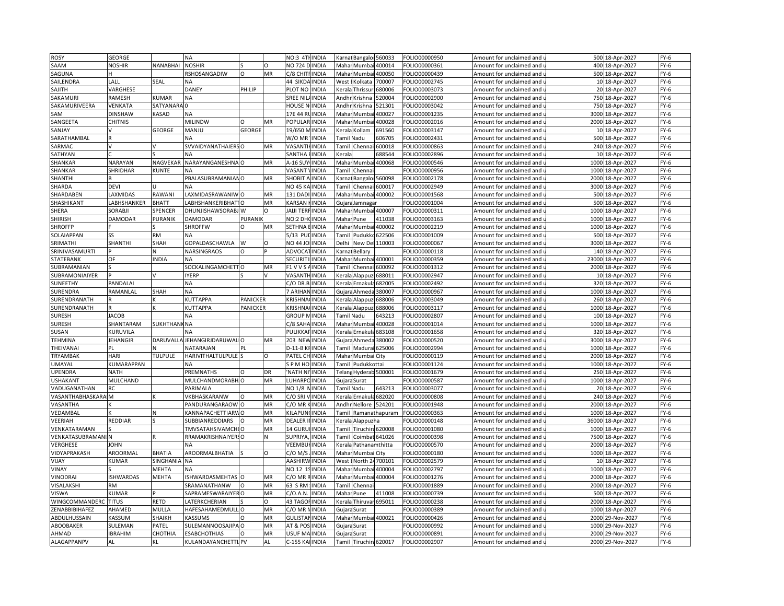| <b>ROSY</b>          | GEORGE           |                    | NA                           |                 |          | NO:3 4THINDIA                     | Karna  |                        | Bangalor 560033      | OLIO00000950  | Amount for unclaimed and                          |                 | 500 18-Apr-2027  | $FY-6$ |
|----------------------|------------------|--------------------|------------------------------|-----------------|----------|-----------------------------------|--------|------------------------|----------------------|---------------|---------------------------------------------------|-----------------|------------------|--------|
| SAAM                 | NOSHIR           | NANABHAI           | <b>NOSHIR</b>                |                 | $\Omega$ | NO 724 D INDIA                    |        | Mahar Mumbai           | 400014               | OLIO00000361  | Amount for unclaimed and u                        |                 | 400 18-Apr-2027  | $FY-6$ |
| SAGUNA               |                  |                    | RSHOSANGADIW                 | O               | MR       | C/8 CHITFINDIA                    |        | Mahar Mumbai           | 400050               | FOLIO00000439 | Amount for unclaimed and i                        |                 | 500 18-Apr-2027  | $FY-6$ |
| SAILENDRA            | LALL             | SEAL               | NA                           |                 |          | 44 SIKDA INDIA                    | West   | Kolkata                | 700007               | OLIO00002745  | Amount for unclaimed and u                        |                 | 10 18-Apr-2027   | $FY-6$ |
| SAJITH               | VARGHESE         |                    | DANEY                        | PHILIP          |          | PLOT NO<br><b>INDIA</b>           | Kerala | Thrissur               | 680006               | OLIO00003073  | Amount for unclaimed and i                        |                 | 20 18-Apr-2027   | $FY-6$ |
| SAKAMURI             | RAMESH           | KUMAR              | NΑ                           |                 |          | SREE NII<br><b>INDIA</b>          | Andh   | Krishna                | 20004                | OLIO00002900  | Amount for unclaimed and i                        |                 | 750 18-Apr-2027  | $FY-6$ |
| SAKAMURIVEERA        | VENKATA          | SATYANAF           | ın                           |                 |          | INDIA<br>HOUSE I                  | Andh   | Krishna                | 21301                | OLIO00003042  | Amount for unclaimed and $\,$                     |                 | 750 18-Apr-2027  | $FY-6$ |
| SAM                  | DINSHAW          | <b><i>ASAD</i></b> | <b>ΝA</b>                    |                 |          | 17E 44 F<br>INDIA                 | Maha   | Mumba                  | 100027               | OLIO00001235  | Amount for unclaimed and                          |                 | 3000 18-Apr-2027 | $FY-6$ |
| SANGEETA             | <b>CHITNIS</b>   |                    | <b>MILINDW</b>               | $\circ$         | MR       | <b>POPULAR</b><br><b>INDIA</b>    |        | Mahar Mumbai           | 400028               | OLIO00002016  | Amount for unclaimed and $\iota$                  |                 | 2000 18-Apr-2027 | $FY-6$ |
| SANJAY               |                  | <b>GEORGE</b>      | MANJU                        | <b>GEORGI</b>   |          | 19/650<br><b>INDIA</b>            |        | Kerala Kollam          | 691560               | OLIO00003147  | Amount for unclaimed and                          | 10 <sup>1</sup> | 18-Apr-2027      | $FY-6$ |
| SARATHAMBAL          |                  |                    | NД                           |                 |          | W/O MR<br><b>INDIA</b>            |        | Tamil Nadu             | 606705               | OLIO00002431  | Amount for unclaimed and u                        |                 | 500 18-Apr-2027  | $FY-6$ |
| SARMAC               |                  |                    | SVVAIDYANATHAIERSO           |                 | MR       | VASANT<br><b>INDIA</b>            |        | Tamil Chenn            | 600018               | OLIO00000863  | Amount for unclaimed and                          |                 | 240 18-Apr-2027  | $FY-6$ |
| SATHYAN              |                  |                    | NΑ                           |                 |          | SANTHA<br><b>INDIA</b>            | Kerala |                        | 688544               | OLIO00002896  | Amount for unclaimed and u                        |                 | 10 18-Apr-2027   | FY-6   |
| SHANKAR              | NARAYAN          | NAGVEKAR           | NARAYANGANESHNA O            |                 | MR       | A-16 SU<br><b>INDIA</b>           |        | Mahar Mumba            | 400068               | OLIO00000546  | Amount for unclaimed and                          | 1000            | 18-Apr-2027      | $FY-6$ |
| SHANKAR              | SHRIDHAR         | KUNTE              |                              |                 |          | VASANT<br><b>INDIA</b>            | Tamil  | Chenna                 |                      | OLIO00000956  | Amount for unclaimed and i                        |                 | 1000 18-Apr-2027 | $FY-6$ |
| SHANTHI              |                  |                    | PBALASUBRAMANIANO            |                 | MR       | <b>SHOBIT</b><br><b>INDIA</b>     | arna)  | <b>Bangalor</b> !      | 560098               | OLIO00002178  | Amount for unclaimed and                          |                 | 2000 18-Apr-2027 | $FY-6$ |
| SHARDA               | DEVI             |                    | N٨                           |                 |          | <b>NO 45 K</b><br>INDIA           | Tami   | Chennai                | 600017               | OLIO00002949  | Amount for unclaimed and                          | 3000            | 18-Apr-2027      | $FY-6$ |
| SHARDABEN            | <b>AXMIDAS</b>   | RAWANI             | AXMIDASRAWANIW O             |                 | MR       | 131 DADI<br>INDIA                 | Mahar  |                        | Mumbai 400002        | OLIO00001568  |                                                   |                 | 500 18-Apr-2027  | $FY-6$ |
| SHASHIKANT           | ABHSHANKER       | <b>BHATT</b>       | ABHSHANKERIBHAT              |                 | MR       | KARSAN<br>INDIA                   | Gujara | Jamnagar               |                      | OLIO00001004  | Amount for unclaimed and $\,$                     | 500             | 18-Apr-2027      | $FY-6$ |
|                      | SORABJI          | SPENCER            | DHUNJISHAWSORABJ W           |                 | $\Omega$ | <b>JAIJI TERI</b><br><b>INDIA</b> |        |                        |                      | OLIO00000311  | Amount for unclaimed and                          |                 |                  | $FY-6$ |
| SHERA                |                  |                    |                              |                 |          |                                   |        | Mahar Mumbai 400007    |                      |               | Amount for unclaimed and u                        |                 | 1000 18-Apr-2027 |        |
| <b>SHIRISH</b>       | DAMODAR          | PURANIK            | DAMODAR                      | PURANIK         |          | NO:2 DH<br><b>INDIA</b>           |        | Mahar Pune             | 411038               | OLIO00003163  | Amount for unclaimed and                          | 1000            | 18-Apr-2027      | FY-6   |
| <b>SHROFFP</b>       |                  |                    | <b>SHROFFW</b>               | $\Omega$        | MR       | <b>SETHNA</b><br><b>INDIA</b>     | Mahar  | Mumbai                 | 400002               | OLIO00002219  | Amount for unclaimed and u                        |                 | 1000 18-Apr-2027 | FY-6   |
| SOLAIAPPAN           |                  | RM                 | NΑ                           |                 |          | 5/13 PL<br>INDIA                  | Tami   | Pudukko                | 622506               | OLIO00001009  | Amount for unclaimed and                          | 500             | 18-Apr-2027      | $FY-6$ |
| SRIMATHI             | SHANTHI          | SHAH               | <b>GOPALDASCHAWLA</b>        | W               | O        | NO 44 JC<br><b>INDIA</b>          | Delhi  | New Del                | 110003               | OLIO00000067  | Amount for unclaimed and i                        |                 | 3000 18-Apr-2027 | $FY-6$ |
| SRINIVASAMURTI       |                  |                    | NARSINGRAOS                  | $\circ$         |          | ADVOCA<br><b>INDIA</b>            | Karna  | Bellary                |                      | OLIO00000118  | Amount for unclaimed and                          |                 | 140 18-Apr-2027  | $FY-6$ |
| STATEBANK            | OF               | <b>NDIA</b>        | NA                           |                 |          | <b>SECURIT</b><br><b>INDIA</b>    | Mahai  | Mumbai                 | 400001               | OLIO00000359  | Amount for unclaimed and                          | 23000           | 18-Apr-2027      | $FY-6$ |
| SUBRAMANIAN          |                  |                    | SOCKALINGAMCHETTO            |                 | MR       | F1 V V S<br><b>INDIA</b>          | Tamil  | Chennai                | 600092               | FOLIO00001312 | Amount for unclaimed and $\,$                     |                 | 2000 18-Apr-2027 | $FY-6$ |
| SUBRAMONIAIYER       |                  |                    | YERP                         |                 |          | <b>VASAN1</b><br><b>INDIA</b>     | Keral  | Alappuz                | 688011               | OLIO00002947  | Amount for unclaimed and                          | 10              | 18-Apr-2027      | $FY-6$ |
| SUNEETHY             | PANDALAI         |                    | NΑ                           |                 |          | $C/O$ DR.B<br><b>INDIA</b>        |        | Kerala Ernakula        | 682005               | OLIO00002492  | Amount for unclaimed and u                        |                 | 320 18-Apr-2027  | $FY-6$ |
| SURENDRA             | RAMANLAL         | SHAH               | <b>ΝA</b>                    |                 |          | 7 ARIHA<br><b>INDIA</b>           |        | Gujara Ahmeda          | 380007               | OLIO00000967  | Amount for unclaimed and                          |                 | 1000 18-Apr-2027 | $FY-6$ |
| SURENDRANATH         |                  |                    | KUTTAPPA                     | <b>PANICKER</b> |          | <b>KRISHNA</b><br><b>INDIA</b>    |        | Kerala Alappuzi 688006 |                      | OLIO00003049  | Amount for unclaimed and u                        |                 | 260 18-Apr-2027  | $FY-6$ |
| SURENDRANATH         |                  |                    | KUTTAPPA                     | <b>PANICKER</b> |          | <b>KRISHNA</b><br><b>INDIA</b>    |        | Kerala Alappuz         | 688006               | OLIO00003117  | Amount for unclaimed and i                        | 1000            | 18-Apr-2027      | $FY-6$ |
| <b>SURESH</b>        | <b>JACOB</b>     |                    | NА                           |                 |          | <b>GROUP</b> I<br><b>INDIA</b>    |        | Tamil Nadu             | 643213               | OLIO00002807  | Amount for unclaimed and i                        |                 | 100 18-Apr-2027  | $FY-6$ |
| <b>SURESH</b>        | SHANTARAM        | <b>SUKHTHAN</b>    | <b>NA</b>                    |                 |          | <b>INDIA</b><br>C/8 SAHA          |        | Mahar Mumba            | 400028               | OLIO00001014  | Amount for unclaimed and                          |                 | 1000 18-Apr-2027 | $FY-6$ |
| SUSAN                | KURUVILA         |                    | NА                           |                 |          | PULIKKA<br><b>INDIA</b>           |        | Kerala Ernakul         | 683108               | OLIO00001658  | Amount for unclaimed and                          |                 | 320 18-Apr-2027  | $FY-6$ |
| <b>TEHMINA</b>       | <b>JEHANGIR</b>  |                    | DARUVALLA JEHANGIRJDARUWAL O |                 | MR       | <b>203 NEW</b><br><b>INDIA</b>    |        | Gujara Ahmeda          | 380002               | OLIO00000520  | Amount for unclaimed and $\overline{\phantom{a}}$ |                 | 3000 18-Apr-2027 | $FY-6$ |
| THEIVANAI            |                  |                    | NATARAJAN                    | PL              |          | <b>INDIA</b><br>$D-11-B$          | Tamil  | Madurai                | 625006               | OLIO00002994  | Amount for unclaimed and                          | 1000            | 18-Apr-2027      | $FY-6$ |
| TRYAMBAK             | HARI             | <b>TULPULE</b>     | <b>HARIVITHALTULPULE</b>     |                 | O        | PATEL CH<br><b>INDIA</b>          |        | Mahar Mumbai City      |                      | OLIO00000119  | Amount for unclaimed and u                        |                 | 2000 18-Apr-2027 | $FY-6$ |
| UMAYAL               | KUMARAPPAN       |                    | NА                           |                 |          | SPM HO<br><b>INDIA</b>            | Tamil  | Pudukkottai            |                      | FOLIO00001124 | Amount for unclaimed and                          | 1000            | 18-Apr-2027      | $FY-6$ |
| <b>UPENDRA</b>       | NATH             |                    | PREMNATHS                    | $\Omega$        | DR       | 'NATH NI<br><b>INDIA</b>          |        | Telang Hyderab 500001  |                      | OLIO00001679  | Amount for unclaimed and u                        |                 | 250 18-Apr-2027  | $FY-6$ |
| <b>USHAKANT</b>      | MULCHAND         |                    | MULCHANDMORABH O             |                 | MR       | LUHARP<br><b>INDIA</b>            |        | Gujara Surat           |                      | FOLIO00000587 | Amount for unclaimed and                          | 1000            | 18-Apr-2027      | $FY-6$ |
| VADUGANATHAN         | RC               |                    | <b>ARIMALA</b>               |                 |          | NO 1/8<br><b>INDIA</b>            |        | Tamil Nadu             | 643213               | OLIO00003077  | Amount for unclaimed and u                        |                 | 20 18-Apr-2027   | $FY-6$ |
| VASANTHABHASKARA     | IM.              |                    | VKBHASKARANW                 | $\Omega$        | MR       | C/O SRI<br><b>INDIA</b>           |        | Kerala Ernakul         | 682020               | FOLIO00000808 | Amount for unclaimed and i                        |                 | 240 18-Apr-2027  | $FY-6$ |
| VASANTHA             |                  |                    | PANDURANGARAOW               |                 | MR       | C/O MR<br>INDIA                   |        | Andhr Nellore          | 524201               | OLIO00001948  | Amount for unclaimed and                          | 2000            | 18-Apr-2027      | $FY-6$ |
| VEDAMBAL             |                  |                    | <b>KANNAPACHETTIARWO</b>     |                 | MR       | KILAPUN<br><b>INDIA</b>           |        |                        | Tamil Ramanathapuram | OLIO00000363- | Amount for unclaimed and $\mathfrak u$            |                 | 1000 18-Apr-2027 | FY-6   |
| VEERIAH              | REDDIAR          |                    | <b>UBBIANREDDIARS</b>        |                 | MR       | <b>DEALER</b><br>INDIA            | Kerala | Alappuzha              |                      | OLIO00000148  | Amount for unclaimed and $\overline{\phantom{a}}$ | 36000           | 18-Apr-2027      | $FY-6$ |
| VENKATARAMAN         |                  |                    | <b>TMVSATAHSIVAMCHI O</b>    |                 | MR       | 14 GURL<br><b>INDIA</b>           |        | Tamil Tiruchira 620008 |                      | OLIO00001080  | Amount for unclaimed and $\iota$                  |                 | 1000 18-Apr-2027 | $FY-6$ |
| VENKATASUBRAMAN      |                  |                    | RRAMAKRISHNAIYERSO           |                 | N        | SUPRIY/<br><b>INDIA</b>           | Tamil  |                        | Coimbat 641026       | OLIO00000398  | Amount for unclaimed and                          | 7500            | 18-Apr-2027      | FY-6   |
| VERGHESE             | <b>IOHN</b>      |                    |                              |                 |          | VEEMBUI<br><b>INDIA</b>           | Kerala |                        | Pathanamthitta       | OLIO00000570  | Amount for unclaimed and u                        |                 | 2000 18-Apr-2027 | FY-6   |
| VIDYAPRAKASH         | AROORMAL         | BHATIA             | AROORMALBHATIA               |                 | $\circ$  | $C/O$ M/<br><b>INDIA</b>          | Mahar  | Mumbai City            |                      | OLIO00000180  | Amount for unclaimed and                          | 1000            | 18-Apr-2027      | $FY-6$ |
| VIJAY                | KUMAR            | SINGHANI.          | <b>NA</b>                    |                 |          | AASHIRW<br><b>INDIA</b>           | West   |                        | North 24700101       | OLIO00002579  | Amount for unclaimed and u                        |                 | 10 18-Apr-2027   | $FY-6$ |
| VINAY                |                  | MEHTA              | NΑ                           |                 |          | NO.12 1<br><b>INDIA</b>           | Mahar  | Mumbai                 | 400004               | FOLIO00002797 | Amount for unclaimed and i                        |                 | 1000 18-Apr-2027 | $FY-6$ |
| <b>VINODRAI</b>      | <b>ISHWARDAS</b> | MEHTA              | SHWARDASMEHTAS               |                 | MR       | C/O MR<br><b>INDIA</b>            | Maha   | Mumbai                 | 400004               | OLIO00001276  | Amount for unclaimed and i                        |                 | 2000 18-Apr-2027 | $FY-6$ |
| VISALAKSHI           | RM               |                    | SRAMANATHANW                 | $\Omega$        | MR       | 63 S RM<br>INDIA                  | Tamil  | Chenna                 |                      | OLIO00001889  | Amount for unclaimed and                          |                 | 2000 18-Apr-2027 | $FY-6$ |
| <b>VISWA</b>         | KUMAR            |                    | SAPRAMESWARAIYEF             |                 | MR       | C/O.A.N<br>INDIA                  | Maha   | Pune                   | 111008               | OLIO00000739  | Amount for unclaimed and                          | 500             | 18-Apr-2027      | $FY-6$ |
| <b>WINGCOMMANDER</b> | <b>TITUS</b>     | RETD               | ATERKCHERIAN                 |                 | O        | 43 TAGOF INDIA                    | Kerala | Thiruvar               | 695011               | OLIO00000238  | Amount for unclaimed and $\mathfrak u$            |                 | 2000 18-Apr-2027 | $FY-6$ |
| ZENABBIBIHAFEZ       | AHAMED           | MULLA              | <b>HAFESAHAMEDMULLO</b>      |                 | MR       | $C/O$ MR<br><b>INDIA</b>          | Gujara | Surat                  |                      | OLIO00000389  | Amount for unclaimed and                          | 1000            | 18-Apr-2027      | $FY-6$ |
| ABDULHUSSAIN         | KASSUM           | SHAIKH             | <b><i>ASSUMS</i></b>         | $\Omega$        | MR       | <b>GULISTAI</b><br><b>INDIA</b>   |        | Mahar Mumbai 400021    |                      | OLIO00000426  | Amount for unclaimed and u                        |                 | 2000 29-Nov-2027 | FY-6   |
| ABOOBAKER            | SULEMAN          | PATEL              | SULEMANNOOSAJIPA O           |                 | MR       | AT & PO:<br><b>INDIA</b>          | Gujara | Surat                  |                      | FOLIO00000992 | Amount for unclaimed and                          | 1000            | 29-Nov-2027      | $FY-6$ |
| AHMAD                | <b>IBRAHIM</b>   | СНОТНІА            | <b>ESABCHOTHIAS</b>          |                 | MR       | USUF MA<br><b>INDIA</b>           | Gujar  | Surat                  |                      | OLIO00000891  | Amount for unclaimed and u                        | 2000            | 29-Nov-2027      | $FY-6$ |
| ALAGAPPANPV          | AL               | ΚL                 | KULANDAYANCHETTI PV          |                 | AL       | C-155 KAI<br><b>INDIA</b>         | Tamil  |                        | Tiruchira 620017     | FOLIO00002907 | Amount for unclaimed and (                        |                 | 2000 29-Nov-2027 | $FY-6$ |
|                      |                  |                    |                              |                 |          |                                   |        |                        |                      |               |                                                   |                 |                  |        |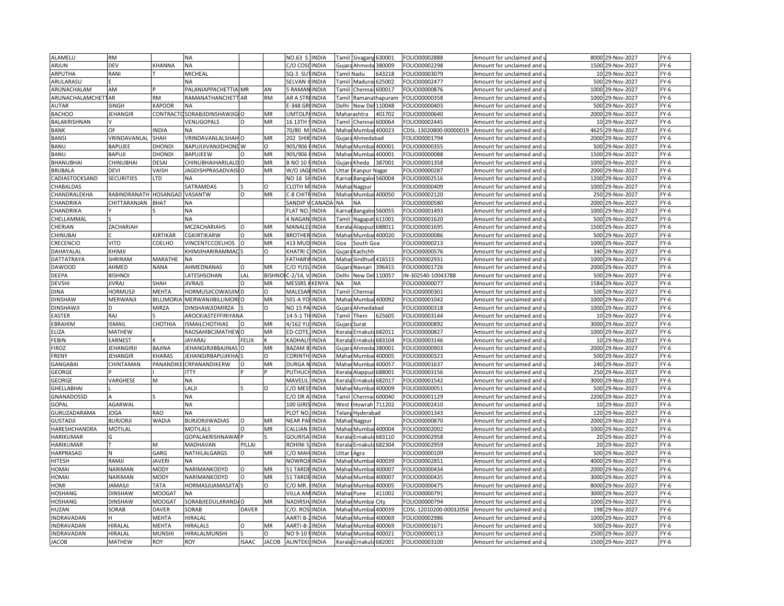| ALAMELU            | <b>RM</b>         |                  | NΑ                            |              |               | NO.63                | <b>INDIA</b> |              | Tamil Sivagang         | 630001               | OLIO00002888           | Amount for unclaimed and                          | 8000 | 29-Nov-2027      | $FY-6$         |
|--------------------|-------------------|------------------|-------------------------------|--------------|---------------|----------------------|--------------|--------------|------------------------|----------------------|------------------------|---------------------------------------------------|------|------------------|----------------|
| ARJUN              | DEV               | <b>HANNA</b>     | NΑ                            |              |               | C/O COS              | INDIA        |              | Gujara Ahmeda          | 380009               | OLIO00002298           | Amount for unclaimed and $\mathfrak u$            |      | 1500 29-Nov-2027 | FY-6           |
| ARPUTHA            | RANI              |                  | MICHEAL                       |              |               | SQ-3 SU              | <b>INDIA</b> | Tamil Nadu   |                        | 643218               | OLIO00003079           | Amount for unclaimed and                          |      | 10 29-Nov-2027   | $FY-6$         |
| ARULARASU          |                   |                  | NД                            |              |               | SELVAN               | <b>INDIA</b> |              | Tamil Madurai          | 625002               | OLIO00002477           | Amount for unclaimed and $\mathsf I$              |      | 500 29-Nov-2027  | $FY-6$         |
| ARUNACHALAM        | AM                |                  | PALANIAPPACHETTIA MR          |              | AN            | 5 RAMA               | <b>INDIA</b> | Tamil        | Chennai                | 600017               | OLIO00000876           | Amount for unclaimed and                          | 1000 | 29-Nov-2027      | $FY-6$         |
| ARUNACHALAMCHETTAR |                   | <b>RM</b>        | RAMANATHANCHETT AR            |              | <b>RM</b>     | AR A STI             | INDIA        |              |                        | Tamil Ramanathapuram | OLIO00000358           | Amount for unclaimed and $\overline{\phantom{a}}$ | 1000 | 29-Nov-2027      | $FY-6$         |
| <b>AUTAR</b>       | SINGH             | KAPOOR           | NΑ                            |              |               | E-348 GF             | <b>INDIA</b> | Delhi        | New Del                | 110048               | OLIO00000403           | Amount for unclaimed and                          |      | 500 29-Nov-2027  | $FY-6$         |
|                    |                   |                  |                               |              |               |                      |              |              |                        |                      |                        |                                                   |      |                  |                |
| <b>BACHOO</b>      | <b>JEHANGIR</b>   | CONTRACT         | SORABJIDINSHAWJIGIO           |              | MR            | <b>UMTOLP</b>        | <b>INDIA</b> |              | Maharashtra            | 101702               | OLIO00000640           | Amount for unclaimed and i                        |      | 2000 29-Nov-2027 | $FY-6$         |
| BALAKRISHNAN       | OF                |                  | VENUGOPALS                    | $\Omega$     | <b>MR</b>     | 16 13TH              | <b>INDIA</b> |              | Tamil Chennai          | 600064               | OLIO00002445           | Amount for unclaimed and                          |      | 10 29-Nov-2027   | $FY-6$         |
| <b>BANK</b>        |                   | <b>NDIA</b>      | NΑ                            |              |               | 70/80 N              | <b>INDIA</b> | Mahai        | Mumba                  | 400023               | CDSL-13020800-00000019 | Amount for unclaimed and                          | 4625 | 29-Nov-2027      | $FY-6$         |
| <b>BANSI</b>       | VRINDAVANLAL      | SHAH             | VRINDAVANLALSHAHO             |              | MR            | 202 SHII             | <b>INDIA</b> |              | Gujara Ahmedabad       |                      | OLIO00001794           | Amount for unclaimed and $\mathfrak u$            |      | 2000 29-Nov-2027 | $FY-6$         |
| BANU               | <b>BAPUJEE</b>    | DHOND            | BAPUJIJIVANJIDHONE W          |              | $\circ$       | 905/906              | <b>INDIA</b> |              | Mahai Mumbai 400001    |                      | FOLIO00000355          | Amount for unclaimed and                          | 500  | 29-Nov-2027      | $FY-6$         |
| <b>BANU</b>        | BAPUJI            | DHONDI           | BAPUJEEW                      | $\Omega$     | MR            | 905/906              | <b>INDIA</b> |              | Mahai Mumbai 400001    |                      | OLIO00000088           | Amount for unclaimed and i                        |      | 1500 29-Nov-2027 | FY-6           |
| BHANUBHAI          | CHINUBHAI         | <b>DESAI</b>     | CHINUBHAIHARILALD O           |              | MR            | <b>B NO 10</b>       | <b>INDIA</b> | Gujara       | Kheda                  | 387001               | FOLIO00001358          | Amount for unclaimed and                          | 1000 | 29-Nov-2027      | $FY-6$         |
| BRIJBALA           | DEVI              | VAISH            | JAGDISHPRASADVAISIO           |              | MR            | W/O JAG              | <b>INDIA</b> | <b>Jttar</b> | Kanpur Nagar           |                      | OLIO00000287           | Amount for unclaimed and u                        |      | 2000 29-Nov-2027 | $FY-6$         |
| CADIASTOCKSAND     | <b>SECURITIES</b> | TD.              | <b>NA</b>                     |              |               | NO 16 SI             | <b>INDIA</b> |              | Karnal Bangaloi 560004 |                      | FOLIO00002516          | Amount for unclaimed and                          |      | 1200 29-Nov-2027 | $FY-6$         |
| CHABALDAS          |                   |                  | SATRAMDAS                     |              | $\circ$       | CLOTH N              | <b>INDIA</b> |              | Mahar Nagpur           |                      | FOLIO00000409          | Amount for unclaimed and                          |      | 1000 29-Nov-2027 | $FY-6$         |
| CHANDRALEKHA       | RABINDRANATH      | HOSANGAD         | VASANTW                       | $\circ$      | MR            | C-8 CHIT             | <b>INDIA</b> |              | Mahai Mumbai 400050    |                      | FOLIO00002120          | Amount for unclaimed and                          |      | 250 29-Nov-2027  | $FY-6$         |
| CHANDRIKA          | CHITTARANJAN      | BHAT             | NА                            |              |               | SANDIP               | CANAD/       | <b>NA</b>    | <b>NA</b>              |                      | OLIO00000580           | Amount for unclaimed and                          | 2000 | 29-Nov-2027      | $FY-6$         |
| CHANDRIKA          |                   |                  | NА                            |              |               | <b>FLAT NO</b>       | <b>INDIA</b> |              | Karnat Bangaloi 560055 |                      | OLIO00001493           | Amount for unclaimed and u                        |      | 1000 29-Nov-2027 | $FY-6$         |
| CHELLAMMAI         |                   |                  | NA                            |              |               | 4 NAGAI              | <b>INDIA</b> | Tamil        | Nagapat                | 611001               | OLIO00001620           | Amount for unclaimed and                          | 500  | 29-Nov-2027      | $FY-6$         |
| CHERIAN            | ZACHARIAH         |                  | <b>MCZACHARIAHS</b>           | $\circ$      | MR            | MANALEI              | <b>INDIA</b> |              | Kerala Alappuzi 688011 |                      | OLIO00001695           | Amount for unclaimed and $\,$                     | 1500 | 29-Nov-2027      | $FY-6$         |
| CHINUBAI           |                   | KIRTIKAR         | CGKIRTIKARW                   | $\circ$      | MR            | <b>BROTHER INDIA</b> |              | Mahar        |                        | Mumbai 400020        | FOLIO00000086          | Amount for unclaimed and (                        | 500  | 29-Nov-2027      | $FY-6$         |
| CRECENCIO          | VITO              | COELHO           | <b><i>VINCENTCCOELHOS</i></b> |              | MR            | 413 MUD              | <b>INDIA</b> | Goa          | South Goa              |                      | OLIO00000213           | Amount for unclaimed and i                        | 1000 | 29-Nov-2027      | $FY-6$         |
| DAHAYALAL          | KHIMJI            |                  | KHIMJIHARIRAMMAC              |              | O             | KHATRI CINDIA        |              | Gujar        | Kachchh                |                      | FOLIO00000576          |                                                   |      | 340 29-Nov-2027  | $FY-6$         |
|                    |                   |                  |                               |              |               |                      |              |              |                        |                      |                        | Amount for unclaimed and                          |      |                  |                |
| DATTATRAYA         | SHRIRAM           | MARATHE          | NA                            |              |               | <b>FATHARV</b>       | <b>INDIA</b> | Maha         |                        | Sindhud 416515       | OLIO00002931           | Amount for unclaimed and i                        | 1000 | 29-Nov-2027      | $FY-6$         |
| <b>DAWOOD</b>      | AHMED             | <b>NANA</b>      | AHMEDNANAS                    | O            | MR            | C/O YUS              | <b>INDIA</b> | Gujar        | Navsari                | 396415               | FOLIO00001726          | Amount for unclaimed and $\,$                     |      | 2000 29-Nov-2027 | $FY-6$         |
| DEEPA              | <b>BISHNOI</b>    |                  | <b>ATESHSOHAN</b>             | LAL          | <b>BISHNO</b> | $C-2/14$             | INDIA        | Delhi        | New Del                | 110057               | N-302540-10043788      | Amount for unclaimed and                          | 500  | 29-Nov-2027      | $FY-6$         |
| <b>DEVSHI</b>      | <b>IIVRAJ</b>     | <b>SHAH</b>      | <b>IVRAJS</b>                 | $\Omega$     | MR            | <b>MESSRS</b>        | KENYA        | NΑ           | <b>NA</b>              |                      | OLIO00000077           | Amount for unclaimed and $\mathfrak u$            | 1584 | 29-Nov-2027      | $FY-6$         |
| <b>DINA</b>        | <b>HORMUSJI</b>   | MEHTA            | <b>ORMUSJICOWASJIM D</b>      |              | $\circ$       | <b>MALESAF</b>       | <b>INDIA</b> | Tamil        | Chenna                 |                      | FOLIO00000301          | Amount for unclaimed and                          | 500  | 29-Nov-2027      | $FY-6$         |
| <b>DINSHAW</b>     | MERWANJI          | <b>BILLIMORI</b> | MERWANJIBILLIMORI O           |              | MR            | 501-A YO             | <b>INDIA</b> |              | Mahar Mumbai 400092    |                      | OLIO00001042           | Amount for unclaimed and $\mathfrak u$            | 1000 | 29-Nov-2027      | $FY-6$         |
| <b>DINSHAWJI</b>   |                   | <b>MIRZA</b>     | DINSHAWJIDMIRZA               |              | O             | NO 15 PA INDIA       |              | Gujara       | Ahmedabad              |                      | FOLIO00000318          | Amount for unclaimed and                          | 1000 | 29-Nov-2027      | $FY-6$         |
| <b>EASTER</b>      | RAJ               |                  | AROCKIASTEFFIRIYANA           |              |               | 14-5-1 TH INDIA      |              | Tamil        | Theni                  | 625605               | FOLIO00003144          | Amount for unclaimed and u                        |      | 10 29-Nov-2027   | $FY-6$         |
| EBRAHIM            | <b>ISMAII</b>     | CHOTHIA          | <b>SMAILCHOTHIAS</b>          | $\circ$      | MR            | 4/162 YL             | <b>INDIA</b> | Guiara       | Surat                  |                      | FOLIO00000892          | Amount for unclaimed and                          | 3000 | 29-Nov-2027      | $FY-6$         |
| ELIZA              | MATHEW            |                  | RAOSAHIBCJMATHEWO             |              | MR            | ED-COTE,             | <b>INDIA</b> | Kerala       | Ernakula 682011        |                      | FOLIO00000827          | Amount for unclaimed and                          |      | 1000 29-Nov-2027 | $FY-6$         |
| <b>FEBIN</b>       | <b>EARNEST</b>    |                  | <b>JAYARAJ</b>                | <b>FELIX</b> |               | KADHALI              | <b>INDIA</b> | Kerala       | Ernakula               | 683104               | OLIO00003146           | Amount for unclaimed and $\,$                     |      | 10 29-Nov-2027   | $FY-6$         |
| <b>FIROZ</b>       | <b>JEHANGIRJI</b> | BAJINA           | <b>IEHANGIRJIBBAJINA</b>      |              | MR            | <b>BAZAM</b>         | INDIA        | Gujar        | Ahmeda                 | 380001               | OLIO00000903           | Amount for unclaimed and                          | 2000 | 29-Nov-2027      | $FY-6$         |
| FRENY              | <b>EHANGIR</b>    | <b>CHARAS</b>    | IEHANGIRBAPUJIKHA             |              | Ω             | <b>CORINTH</b>       | <b>INDIA</b> |              | Mahar Mumbai           | 400005               | OLIO00000323           | Amount for unclaimed and $\iota$                  |      | 500 29-Nov-2027  | $FY-6$         |
| <b>GANGABAI</b>    | CHINTAMAN         | <b>PANANDIK</b>  | CRPANANDIKERW                 | $\circ$      | MR            | <b>DURGA</b>         | <b>INDIA</b> |              | Mahar Mumba            | 400057               | OLIO00001637           | Amount for unclaimed and                          | 240  | 29-Nov-2027      | $FY-6$         |
| <b>GEORGE</b>      |                   |                  | <b>TTY</b>                    |              |               | <b>PUTHUCH</b>       | <b>INDIA</b> |              | Kerala Alappuzl        | 688001               | OLIO00003156           | Amount for unclaimed and u                        |      | 250 29-Nov-2027  | FY-6           |
| <b>GEORGE</b>      | VARGHESE          | M                | <b>ΝA</b>                     |              |               | MAVELI               | INDIA        | Kerala       | Ernakul                | 682017               | OLIO00001542           | Amount for unclaimed and                          | 3000 | 29-Nov-2027      | $FY-6$         |
| <b>GHELLABHAI</b>  |                   |                  | ALJI                          |              | $\Omega$      | C/O MES              | <b>INDIA</b> | Mahar        | Mumba                  | 400009               | OLIO00000051           | Amount for unclaimed and u                        | 500  | 29-Nov-2027      | $FY-6$         |
| GNANADOSSD         |                   |                  | <b>NA</b>                     |              |               | C/O DR               | <b>INDIA</b> | Tamil        | Chennai                | 600040               | FOLIO00001129          | Amount for unclaimed and                          | 2200 | 29-Nov-2027      | $FY-6$         |
| <b>GOPAL</b>       | AGARWAL           |                  | NA                            |              |               | 100 GIRI             | <b>INDIA</b> | West         | Howrah                 | 711202               | FOLIO00002410          | Amount for unclaimed and i                        |      | 10 29-Nov-2027   | $FY-6$         |
|                    |                   |                  |                               |              |               |                      |              |              |                        |                      |                        |                                                   |      |                  |                |
| GURUZADARAMA       | JOGA              | RAO<br>WADIA     | NΑ                            |              | MR            | PLOT NO              | INDIA        | Telang       | Hyderabad              |                      | OLIO00001343           | Amount for unclaimed and                          |      | 120 29-Nov-2027  | FY-6<br>$FY-6$ |
| <b>GUSTADJI</b>    | BURJORJI          |                  | <b>BURJORJIWADIAS</b>         | $\Omega$     |               | <b>NEAR PA</b>       | INDIA        | Maha         | Nagpur                 |                      | OLIO00000870           | Amount for unclaimed and i                        | 2000 | 29-Nov-2027      |                |
| HARESHCHANDRA      | MOTILAL           |                  | MOTILALS                      |              | MR            | CALLIAN              | <b>INDIA</b> |              | Mahar Mumbai           | 400004               | OLIO00002002           | Amount for unclaimed and $\overline{\phantom{a}}$ |      | 1000 29-Nov-2027 | $FY-6$         |
| <b>HARIKUMAR</b>   |                   |                  | <b>GOPALAKRISHNAWA</b>        |              |               | <b>GOURIS</b>        | <b>INDIA</b> | Kerala       | Ernakula               | 683110               | OLIO00002958           | Amount for unclaimed and                          |      | 20 29-Nov-2027   | $FY-6$         |
| HARIKUMAR          |                   | м                | <b>MADHAVAN</b>               | PILLAI       |               | <b>ROHINI</b>        | <b>INDIA</b> |              | Kerala Ernakula 682304 |                      | OLIO00002959           | Amount for unclaimed and $\mathsf I$              |      | 20 29-Nov-2027   | FY-6           |
| HARPRASAD          |                   | GARG             | NATHILALGARGS                 | O            | MR            | C/O MAI              | <b>INDIA</b> | Uttar        | Agra                   |                      | FOLIO00000109          | Amount for unclaimed and                          | 500  | 29-Nov-2027      | $FY-6$         |
| <b>HITESH</b>      | RAMJI             | <b>JAVERI</b>    | NΑ                            |              |               | NOWRO.               | <b>INDIA</b> | Mahar        | Mumbai                 | 400039               | OLIO00002851           | Amount for unclaimed and i                        |      | 4000 29-Nov-2027 | FY-6           |
| <b>HOMAI</b>       | <b>NARIMAN</b>    | MODY             | NARIMANKODYD                  | $\Omega$     | MR            | 51 TARD              | <b>INDIA</b> | Mahar        | Mumbai                 | 400007               | FOLIO00000434          | Amount for unclaimed and $\,$                     |      | 2000 29-Nov-2027 | $FY-6$         |
| <b>HOMAI</b>       | NARIMAN           | MODY             | NARIMANKODYD                  | $\Omega$     | MR            | 51 TARD              | <b>INDIA</b> | Mahai        | Mumba                  | 400007               | FOLIO00000435          | Amount for unclaimed and i                        |      | 3000 29-Nov-2027 | $FY-6$         |
| HOMI               | <b>JAMASJI</b>    | <b>TATA</b>      | HORMASJIJAMASJITA             |              | O             | C/O MR.              | INDIA        | Mahar        | Mumbai                 | 400005               | OLIO00000475           | Amount for unclaimed and                          |      | 8000 29-Nov-2027 | $FY-6$         |
| HOSHANG            | DINSHAW           | <b>MOOGAT</b>    | NA                            |              |               | VILLA AI             | INDIA        | Maha         | Pune                   | 411002               | OLIO00000791           | Amount for unclaimed and                          | 3000 | 29-Nov-2027      | $FY-6$         |
| HOSHANG            | <b>DINSHAW</b>    | <b>MOOGAT</b>    | SORABJIEDULJIRANDA O          |              | MR            | <b>NADIRSI</b>       | <b>INDIA</b> |              | Mahar Mumbai City      |                      | OLIO00000794           | Amount for unclaimed and $\,$                     |      | 1000 29-Nov-2027 | $FY-6$         |
| HUZAN              | SORAB             | DAVER            | SORAB                         | <b>DAVER</b> |               | C/O. RO              | INDIA        | Maha         | Mumbai                 | 400039               | CDSL-12010200-00032056 | Amount for unclaimed and                          | 198  | 29-Nov-2027      | $FY-6$         |
| INDRAVADAN         |                   | MEHTA            | HIRALAL                       |              |               | AARTI B-             | <b>INDIA</b> |              | Mahar Mumbai           | 400069               | OLIO00002986           | Amount for unclaimed and $\,$                     | 1000 | 29-Nov-2027      | $FY-6$         |
| INDRAVADAN         | HIRALAL           | MEHTA            | <b>HIRALALS</b>               | $\circ$      | MR            | AARTI-B              | <b>INDIA</b> | Maha         | Mumb                   | 400069               | OLIO00001671           | Amount for unclaimed and                          | 500  | 29-Nov-2027      | $FY-6$         |
| INDRAVADAN         | HIRALAL           | MUNSHI           | HIRALALMUNSHI                 |              |               | NO 9-10              | <b>INDIA</b> | Maha         | Mumba                  | 400021               | OLIO00000113           | Amount for unclaimed and u                        |      | 2500 29-Nov-2027 | $FY-6$         |
| <b>JACOB</b>       | <b>MATHEW</b>     | ROY              | ROY                           | <b>ISAAC</b> | <b>JACOB</b>  | <b>ALINTEK</b>       | <b>INDIA</b> | Kerala       | Ernakula               | 682001               | FOLIO00003100          | Amount for unclaimed and                          |      | 1500 29-Nov-2027 | $FY-6$         |
|                    |                   |                  |                               |              |               |                      |              |              |                        |                      |                        |                                                   |      |                  |                |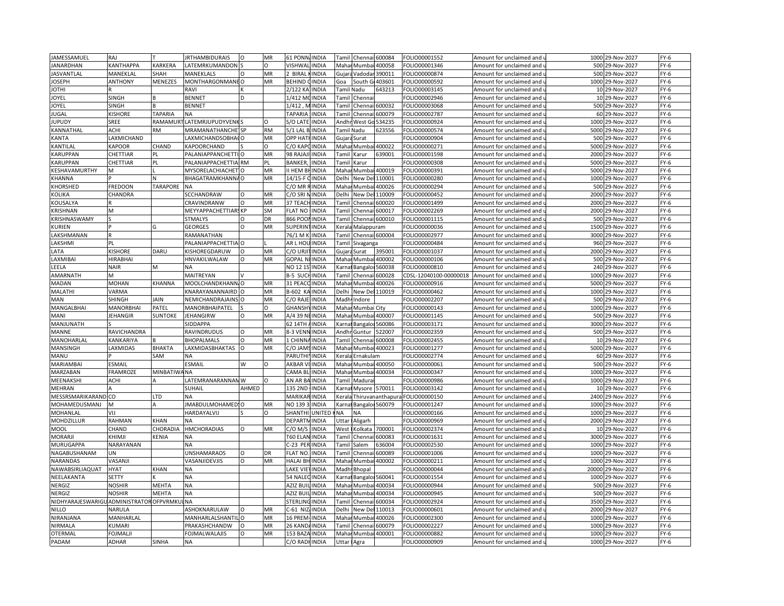| JAMESSAMUEL                             | RAJ                  |                     | <b>JRTHAMBIDURAIS</b>          | $\Omega$    | MR        | 61 PONN/INDIA         |               | Tami         | Chenna               | 600084            | FOLIO00001552                  | Amount for unclaimed and   | 1000 | 29-Nov-2027       | $FY-6$ |
|-----------------------------------------|----------------------|---------------------|--------------------------------|-------------|-----------|-----------------------|---------------|--------------|----------------------|-------------------|--------------------------------|----------------------------|------|-------------------|--------|
| <b>JANARDHAN</b>                        | <b>CANTHAPPA</b>     | KARKERA             | LATEMRKUMANDON S               |             | O         | VISHWAI               | <b>INDIA</b>  | Mahar        | Mumbai               | 400058            | FOLIO00001346                  | Amount for unclaimed and   |      | 500 29-Nov-2027   | $FY-6$ |
| <b>JASVANTLAL</b>                       | MANEKLAL             | SHAH                | MANEKLALS                      | O           | MR        | 2 BIRAL               | <b>INDIA</b>  |              | Gujara Vadoda        | 390011            | FOLIO00000874                  | Amount for unclaimed and   |      | 500 29-Nov-2027   | $FY-6$ |
| <b>IOSEPH</b>                           | ANTHONY              | MENEZES             | MONTHARGONMANE O               |             | MR        | BEHIND                | <b>INDIA</b>  | Goa          | South Go             | 403601            | FOLIO00000592                  | Amount for unclaimed and u |      | 1000 29-Nov-2027  | $FY-6$ |
| <b>IHTOI</b>                            |                      |                     | RAVI                           |             |           | 2/122 KA              | <b>INDIA</b>  | Tamil Nadu   |                      | 543213            | FOLIO00003145                  | Amount for unclaimed and   |      | 10 29-Nov-2027    | $FY-6$ |
| <b>OYEL</b>                             | SINGH                |                     | <b>BENNET</b>                  | D           |           | 1/412 M               | <b>INDIA</b>  | Tamil        | Chenna               |                   | FOLIO00002946                  | Amount for unclaimed and   |      | 10 29-Nov-2027    | $FY-6$ |
| <b>OYEL</b>                             | SINGH                |                     | <b>BENNET</b>                  |             |           | 1/412, M              | <b>INDIA</b>  | Tamil        | Chennai              | 500032            | FOLIO00003068                  | Amount for unclaimed and   |      | 500 29-Nov-2027   | $FY-6$ |
|                                         | KISHORE              | <b>TAPARIA</b>      | <b>NA</b>                      |             |           | <b>TAPARIA</b>        |               |              |                      | 500079            |                                |                            |      |                   | $FY-6$ |
| <b>IUGAL</b>                            |                      |                     |                                |             |           |                       | <b>INDIA</b>  | `amil        | Chenn                |                   | FOLIO00002787                  | Amount for unclaimed and   |      | 60 29-Nov-2027    |        |
| <b>IUPUDY</b>                           | SREE                 | RAMAMUR             | LATEMRJUPUDYVENK               |             |           | S/O LATE              | <b>INDIA</b>  |              | Andhr West Go        | 534235            | FOLIO00000924                  | Amount for unclaimed and   |      | 1000 29-Nov-2027  | $FY-6$ |
| KANNATHAL                               | ACHI                 | <b>RM</b>           | MRAMANATHANCHE <sup>1</sup> SP |             | <b>RM</b> | $5/1$ LAL B           | <b>INDIA</b>  | Tamil Nadu   |                      | 523556            | FOLIO00000574                  | Amount for unclaimed and   | 5000 | 29-Nov-2027       | $FY-6$ |
| <b>KANTA</b>                            | AXMICHAND            |                     | AXMICHANDSOBHACO               |             | MR        | <b>OPP HAT</b>        | <b>INDIA</b>  |              | Gujara Surat         |                   | OLIO00000904                   | Amount for unclaimed and   | 500  | 29-Nov-2027       | $FY-6$ |
| KANTILAL                                | <b><i>KAPOOR</i></b> | CHAND               | KAPOORCHAND                    |             | $\circ$   | C/O KAP               | <b>INDIA</b>  |              | Mahar Mumb           | 400022            | FOLIO00000271                  | Amount for unclaimed and   | 5000 | 29-Nov-2027       | $FY-6$ |
| KARUPPAN                                | CHETTIAR             | PL                  | PALANIAPPANCHETTIO             |             | MR        | 98 RAJAJ              | <b>INDIA</b>  | <b>Tamil</b> | Karur                | 539001            | FOLIO00001598                  | Amount for unclaimed and   | 2000 | 29-Nov-2027       | $FY-6$ |
| <b>KARUPPAN</b>                         | CHETTIAR             | PL                  | PALANIAPPACHETTIA RM           |             | PL        | BANKER                | <b>INDIA</b>  | Tamil        | Karur                |                   | FOLIO00000308                  | Amount for unclaimed and   | 5000 | 29-Nov-2027       | $FY-6$ |
| KESHAVAMURTHY                           | м                    |                     | MYSORELACHIACHET               |             | MR        | I HEM B               | <b>INDIA</b>  | Maha         | Mumbai               | 400019            | FOLIO00000391                  | Amount for unclaimed and   |      | 5000 29-Nov-2027  | $FY-6$ |
| KHANNA                                  |                      |                     | BHAGATRAMKHANNAO               |             | MR        | 14/15-F               | <b>INDIA</b>  | Delhi        | New Del              | 110001            | FOLIO00000280                  | Amount for unclaimed and   |      | 1000 29-Nov-2027  | $FY-6$ |
| KHORSHED                                | FREDOON              | <b>TARAPORE</b>     | <b>NA</b>                      |             |           | C/O MR                | <b>INDIA</b>  | Maha         | Mumba                | 400026            | FOLIO00000294                  | Amount for unclaimed and   | 500  | 29-Nov-2027       | $FY-6$ |
| KOLIKA                                  | CHANDRA              |                     | SCCHANDRAW                     | $\circ$     | MR        | C/O SRI I             | <b>INDIA</b>  | Delhi        | New Del              | 110009            | FOLIO00000452                  | Amount for unclaimed and   |      | 2000 29-Nov-2027  | FY-6   |
| KOUSALYA                                |                      |                     | CRAVINDRANW                    | $\Omega$    | MR        | 37 TEAC               | <b>INDIA</b>  | Tami         | Chenn                | 500020            | FOLIO00001499                  | Amount for unclaimed and   | 2000 | 29-Nov-2027       | $FY-6$ |
| KRISHNAN                                | M                    |                     | MEYYAPPACHETTIARS KP           |             | SM        | <b>FLAT NO</b>        | <b>INDIA</b>  | Tamil        | Chennai 600017       |                   | FOLIO00002269                  | Amount for unclaimed and u |      | 2000 29-Nov-2027  | $FY-6$ |
| KRISHNASWAMY                            |                      |                     | <b>STMALYS</b>                 | $\circ$     | DR        | 866 POO               | <b>INDIA</b>  | Tamil        | Chennai 600010       |                   | FOLIO00001115                  | Amount for unclaimed and   | 500  | 29-Nov-2027       | $FY-6$ |
| KURIEN                                  |                      |                     | <b>GEORGES</b>                 | $\Omega$    | MR        | SUPERIN               | <b>INDIA</b>  | Kerala       | Malappuram           |                   | FOLIO00000036                  | Amount for unclaimed and   | 1500 | 29-Nov-2027       | FY-6   |
| LAKSHMANAN                              |                      |                     | RAMANATHAN                     |             |           | 76/1 M                | <b>INDIA</b>  | Tami         |                      | Chennai 600004    | FOLIO00002977                  | Amount for unclaimed and   | 3000 | 29-Nov-2027       | $FY-6$ |
| LAKSHMI                                 | PL                   |                     | PALANIAPPACHETTIA O            |             |           | AR L HOI              | <b>INDIA</b>  | <b>Tamil</b> | Sivaganga            |                   | OLIO00000484                   | Amount for unclaimed and   | 960  | 29-Nov-2027       | $FY-6$ |
|                                         | KISHORE              | DARU                |                                | $\Omega$    |           | c/o urji              | <b>INDIA</b>  |              |                      |                   |                                |                            |      | 2000 29-Nov-2027  |        |
| LATA                                    |                      |                     | KISHOREGDARUW                  | $\Omega$    | MR        |                       |               | Gujara       | Surat                | 395001            | FOLIO00001037                  | Amount for unclaimed and   |      |                   | $FY-6$ |
| LAXMIBAI                                | HIRABHAI             |                     | HNVAKILWALAW                   |             | MR        | <b>GOPAL N</b>        | <b>INDIA</b>  | Mahar        | Mumbai               | 400002            | OLIO00000106                   | Amount for unclaimed and   |      | 500 29-Nov-2027   | $FY-6$ |
| LEELA                                   | <b>NAIR</b>          | М                   | <b>NA</b>                      |             |           | NO 12 1S              | <b>INDIA</b>  | Karna        |                      | Bangaloi 560038   | FOLIO00000810                  | Amount for unclaimed and   |      | 240 29-Nov-2027   | $FY-6$ |
| AMARNATH                                |                      |                     | MAITREYAN                      |             |           | 3-5 SUC               | <b>INDIA</b>  | Tami         | Chenn                | 600028            | CDSL-12040100-00000018         | Amount for unclaimed and   | 1000 | 29-Nov-2027       | $FY-6$ |
| MADAN                                   | MOHAN                | KHANNA              | MOOLCHANDKHANN, O              |             | MR        | 31 PEACO              | <b>INDIA</b>  |              | Mahar Mumbai 400026  |                   | FOLIO00000916                  | Amount for unclaimed and u |      | 5000 29-Nov-2027  | $FY-6$ |
| MALATHI                                 | VARMA                |                     | KNARAYANANNAIRD O              |             | MR        | B-602 K               | <b>INDIA</b>  | Delhi        |                      | New Del 110019    | FOLIO00000462                  | Amount for unclaimed and   | 1000 | 29-Nov-2027       | $FY-6$ |
| MAN                                     | SHINGH               | <b>AIN</b>          | NEMICHANDRAJAINS O             |             | MR        | C/O RAJE              | <b>INDIA</b>  |              | Madh Indore          |                   | FOLIO00002207                  | Amount for unclaimed and   | 500  | 29-Nov-2027       | $FY-6$ |
| MANGALBHAI                              | <b>MANORBHAI</b>     | PATEL               | <b>MANORBHAIPATEL</b>          |             | O         | GHANSH                | <b>INDIA</b>  | Mahar        | Mumbai City          |                   | FOLIO00000143                  | Amount for unclaimed and   | 1000 | 29-Nov-2027       | $FY-6$ |
| MANI                                    | JEHANGIR             | SUNTOKE             | JEHANGIRW                      | O           | MR        | A/4 39 N              | <b>INDIA</b>  | Maha         |                      | Mumbai 400007     | FOLIO00001145                  | Amount for unclaimed and   | 500  | 29-Nov-2027       | $FY-6$ |
| MANJUNATH                               |                      |                     | <b>SIDDAPPA</b>                |             |           | 62 14TH               | <b>INDIA</b>  | <b>Carna</b> | Bangalor             | 560086            | FOLIO00003171                  | Amount for unclaimed and   |      | 3000 29-Nov-2027  | $FY-6$ |
| MANNE                                   | RAVICHANDRA          |                     | RAVINDRUDUS                    | $\Omega$    | MR        | 8-3 VENI              | <b>INDIA</b>  | Andh         | Guntur               | 522007            | FOLIO00002359                  | Amount for unclaimed and   |      | 500 29-Nov-2027   | $FY-6$ |
| MANOHARLAL                              | KANKARIYA            |                     | <b>BHOPALMALS</b>              | $\mathsf O$ | MR        | 1 CHINN               | <b>INDIA</b>  | Tamil        | Chennai              | 600008            | FOLIO00002455                  | Amount for unclaimed and u |      | 10 29-Nov-2027    | $FY-6$ |
| MANSINGH                                | <b>AXMIDAS</b>       | ВНАКТА              | LAXMIDASBHAKTAS                | $\Omega$    | MR        | C/O JAM               | <b>INDIA</b>  | Maha         |                      | Mumbai 400023     | FOLIO00001277                  | Amount for unclaimed and   | 5000 | 29-Nov-2027       | $FY-6$ |
| MANU                                    |                      | SAM                 | <b>NA</b>                      |             |           | <b>PARUTHI</b>        | <b>INDIA</b>  |              | Kerala Ernakulam     |                   | FOLIO00002774                  | Amount for unclaimed and u |      | 60 29-Nov-2027    | $FY-6$ |
| MARIAMBAI                               | ESMAIL               |                     | ESMAIL                         | W           | $\Omega$  | AKBAR                 | <b>INDIA</b>  | Maha         | <b>Mumbai</b> 400050 |                   | FOLIO00000061                  | Amount for unclaimed and   | 500  | 29-Nov-2027       | $FY-6$ |
| MARZABAN                                | FRAMROZE             | <b>MINBATIWA NA</b> |                                |             |           | CAMA BI               | <b>INDIA</b>  | Mahar        |                      | Mumbai 400034     | FOLIO00000347                  | Amount for unclaimed and u | 1000 | 29-Nov-2027       | $FY-6$ |
| MEENAKSHI                               | ACHI                 |                     | LATEMRANARANNAN W              |             | O         | AN AR BA              | <b>INDIA</b>  | Tami         | Madura               |                   | FOLIO00000986                  | Amount for unclaimed and   | 1000 | 29-Nov-2027       | $FY-6$ |
| MEHRAN                                  |                      |                     | SUHAIL                         | AHMED       |           | 135 2ND               | <b>INDIA</b>  | <b>Karna</b> | Mysore 570011        |                   | FOLIO00003142                  | Amount for unclaimed and   | 10   | 29-Nov-2027       | $FY-6$ |
| MESSRSMARIKARAND CO                     |                      | LTD                 | <b>NA</b>                      |             |           | MARIKAF               | <b>INDIA</b>  | Kerala       |                      | Thiruvananthapura | FOLIO00000150                  | Amount for unclaimed and   | 2400 | 29-Nov-2027       | $FY-6$ |
| MOHAMEDUSMANJ                           | M                    |                     | IMABDULMOHAMED!O               |             | MR        | NO 1393               | INDIA         | Karna        |                      | Bangaloi 560079   |                                |                            | 1000 | 29-Nov-2027       | $FY-6$ |
| MOHANLAL                                | VIJ                  |                     | HARDAYALVIJ                    |             | ი         | SHANTHI               | <b>UNITED</b> | <b>NA</b>    | <b>NA</b>            |                   | FOLIO00001247<br>FOLIO00000166 | Amount for unclaimed and   |      | 1000 29-Nov-2027  | FY-6   |
|                                         |                      |                     |                                |             |           |                       |               |              |                      |                   |                                | Amount for unclaimed and   |      |                   |        |
| MOHDZILLUR                              | RAHMAN               | KHAN                | <b>NA</b>                      |             |           | DEPARTI               | <b>INDIA</b>  | Uttar        | Aligarh              |                   | FOLIO00000969                  | Amount for unclaimed and   | 2000 | 29-Nov-2027       | $FY-6$ |
| MOOL                                    | CHAND                | CHORADIA            | <b>HMCHORADIAS</b>             | $\circ$     | MR        | C/O M/S               | <b>INDIA</b>  | West         | Kolkata              | 700001            | FOLIO00002374                  | Amount for unclaimed and u |      | 10 29-Nov-2027    | $FY-6$ |
| MORARJ                                  | <b>CHIMJI</b>        | KENIA               | <b>NA</b>                      |             |           | T60 ELAI              | <b>INDIA</b>  | Tami         | Chenna               | 500083            | FOLIO00001631                  | Amount for unclaimed and   | 3000 | 29-Nov-2027       | $FY-6$ |
| MURUGAPPA                               | NARAYANAN            |                     | <b>NA</b>                      |             |           | C-23 PER              | <b>INDIA</b>  | Tamil        | Salem                | 536004            | FOLIO00002530                  | Amount for unclaimed and   | 1000 | 29-Nov-2027       | FY-6   |
| NAGABUSHANAM                            | UN                   |                     | <b>UNSHAMARAOS</b>             | $\circ$     | DR        | <b>FLAT NO</b>        | <b>INDIA</b>  | Tamil        | Chenn                | 500089            | FOLIO00001006                  | Amount for unclaimed and   | 1000 | 29-Nov-2027       | $FY-6$ |
| NARANDAS                                | VASANJI              |                     | VASANJIDEVJIS                  | $\Omega$    | MR        | <b>HALAI BI</b>       | <b>INDIA</b>  | Mahar        | Mumbai               | 400002            | FOLIO00000211                  | Amount for unclaimed and   | 1000 | 29-Nov-2027       | $FY-6$ |
| NAWABSIRLIAQUAT                         | HYAT                 | KHAN                | <b>NA</b>                      |             |           | LAKE VIE              | <b>INDIA</b>  |              | Madh Bhopal          |                   | FOLIO00000044                  | Amount for unclaimed and   |      | 20000 29-Nov-2027 | $FY-6$ |
| NEELAKANTA                              | <b>SETTY</b>         |                     | <b>NA</b>                      |             |           | 54 NALE               | <b>INDIA</b>  | <b>Karna</b> | Bangalor             | 560041            | FOLIO00001554                  | Amount for unclaimed and   |      | 1000 29-Nov-2027  | $FY-6$ |
| NERGIZ                                  | <b>NOSHIR</b>        | MEHTA               | NA                             |             |           | AZIZ BUII             | <b>INDIA</b>  | Mahar        | Mumba                | 400034            | FOLIO00000944                  | Amount for unclaimed and   |      | 500 29-Nov-2027   | $FY-6$ |
| NERGIZ                                  | <b>NOSHIR</b>        | MEHTA               | <b>NA</b>                      |             |           | AZIZ BU               | <b>INDIA</b>  | Maha         | Mumb                 | 400034            | OLIO00000945-                  | Amount for unclaimed and   | 500  | 29-Nov-2027       | $FY-6$ |
| NIDHYARAJESWARIGUADMINISTRATOR OFPVRMKI |                      |                     | I NA                           |             |           | <b>STERLING INDIA</b> |               | Tamil        | Chennai              | 500034            | FOLIO00002924                  | Amount for unclaimed and   |      | 3500 29-Nov-2027  | $FY-6$ |
| <b>NILLO</b>                            | NARULA               |                     | ASHOKNARULAW                   | $\Omega$    | MR        | $-61$ NI              | <b>INDIA</b>  | Delhi        | New D                | 110013            | FOLIO00000601                  | Amount for unclaimed and   | 2000 | 29-Nov-2027       | $FY-6$ |
| NIRANJANA                               | MANHARLAL            |                     | MANHARLALSHANTIL O             |             | MR        | 16 PREM-              | <b>INDIA</b>  | Mahar        |                      | Mumbai 400026     | FOLIO00002300                  | Amount for unclaimed and u | 1000 | 29-Nov-2027       | $FY-6$ |
| <b>NIRMALA</b>                          | <b>CUMARI</b>        |                     | PRAKASHCHANDW                  | $\circ$     | MR        | 26 KAND               | <b>INDIA</b>  | Tami         | Chenn                | 500079            | FOLIO00002227                  | Amount for unclaimed and   | 1000 | 29-Nov-2027       | $FY-6$ |
| OTERMAL                                 | FOJMALJ              |                     | <b>FOJMALWALAJIS</b>           |             | MR        | 153 BAZ/              | <b>INDIA</b>  | Mahar        | Mumbai               | 400001            | FOLIO00000882                  | Amount for unclaimed and   |      | 1000 29-Nov-2027  | $FY-6$ |
| PADAM                                   | ADHAR                | SINHA               | <b>NA</b>                      |             |           | C/O RADHINDIA         |               | Uttar        | Agra                 |                   | FOLIO00000909                  | Amount for unclaimed and   |      | 1000 29-Nov-2027  | $FY-6$ |
|                                         |                      |                     |                                |             |           |                       |               |              |                      |                   |                                |                            |      |                   |        |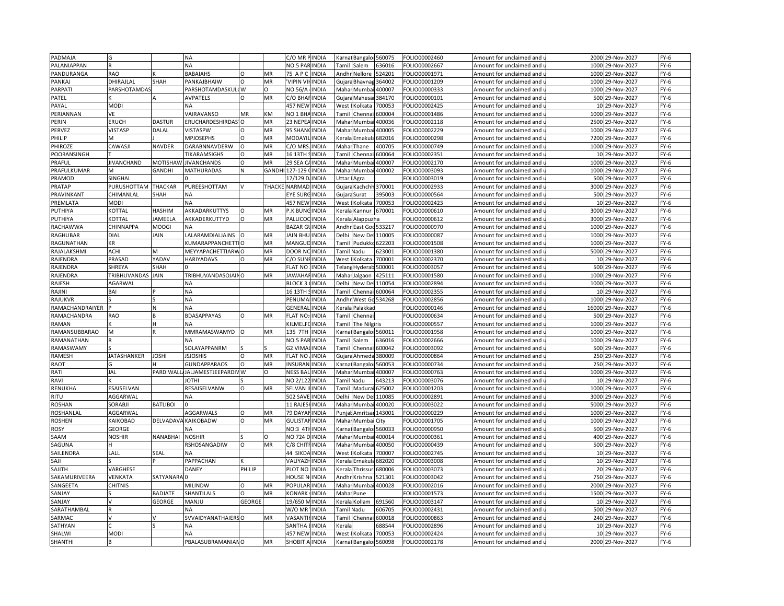| PADMAJA         |                              |                    | NA                             |               |           | C/O MR PINDIA        |              | Karna                                                                                                                                                    | Bangalor 560075        |                 | FOLIO00002460                  | Amount for unclaimed and                             | 2000  | 29-Nov-2027      | $FY-6$ |
|-----------------|------------------------------|--------------------|--------------------------------|---------------|-----------|----------------------|--------------|----------------------------------------------------------------------------------------------------------------------------------------------------------|------------------------|-----------------|--------------------------------|------------------------------------------------------|-------|------------------|--------|
| PALANIAPPAN     |                              |                    | <b>NA</b>                      |               |           | NO.5 PARINDIA        |              | Tamil                                                                                                                                                    | Salem                  | 536016          | OLIO00002667                   | Amount for unclaimed and                             |       | 1000 29-Nov-2027 | FY-6   |
| PANDURANGA      | <b>RAO</b>                   |                    | <b>BABAIAHS</b>                | $\Omega$      | MR        | 75 A P               | <b>INDIA</b> |                                                                                                                                                          | Andhr Nellore          | 524201          | FOLIO00001971                  | Amount for unclaimed and                             | 1000  | 29-Nov-2027      | $FY-6$ |
| PANKAJ          | DHIRAJLAL                    | SHAH               | PANKAJBHAIW                    | $\Omega$      | MR        | <b>VIPIN VI</b>      | <b>INDIA</b> |                                                                                                                                                          | Gujara Bhavnag         | 364002          | FOLIO00001209                  | Amount for unclaimed and                             | 1000  | 29-Nov-2027      | $FY-6$ |
| <b>PARPATI</b>  | PARSHOTAMDA!                 |                    | PARSHOTAMDASKULI W             |               | $\Omega$  | NO 56/A              | <b>INDIA</b> |                                                                                                                                                          | Mahar Mumba            | 400007          | FOLIO00000333                  | Amount for unclaimed and                             | 1000  | 29-Nov-2027      | $FY-6$ |
| PATEL           |                              |                    | AVPATELS                       | $\Omega$      | MR        | C/O BHA              | <b>INDIA</b> | Gujar                                                                                                                                                    | Mahesa                 | 384170          | FOLIO00000101                  | Amount for unclaimed and                             |       | 500 29-Nov-2027  | $FY-6$ |
| PAYAL           | MODI                         |                    | <b>NA</b>                      |               |           | 457 NEW              | <b>INDIA</b> | West                                                                                                                                                     | Kolkata                | 700053          | FOLIO00002425                  | Amount for unclaimed and                             |       | 10 29-Nov-2027   | $FY-6$ |
| PERIANNAN       | VE                           |                    | VAIRAVANSO                     | MR            | KM        | NO 1 BHA             | <b>INDIA</b> | Tami                                                                                                                                                     | Chennai                | 500004          | FOLIO00001486                  | Amount for unclaimed and                             | 1000  | 29-Nov-2027      | $FY-6$ |
| PERIN           | ERUCH                        | <b>DASTUR</b>      | ERUCHARDESHIRDAS'              | $\circ$       | MR        | 23 NEPEA             | <b>INDIA</b> | Mahar                                                                                                                                                    |                        | 400036          |                                |                                                      |       | 2500 29-Nov-2027 | $FY-6$ |
| PERVEZ          | <b>VISTASP</b>               | DALAL              | <b>VISTASPW</b>                | O             | MR        | 95 SHAN              | <b>INDIA</b> | Maha                                                                                                                                                     | Mumba<br>Mumb          | 400005          | FOLIO00002118<br>FOLIO00002229 | Amount for unclaimed and<br>Amount for unclaimed and | 1000  | 29-Nov-2027      | $FY-6$ |
|                 |                              |                    | <b>MPJOSEPHS</b>               | $\circ$       |           |                      |              |                                                                                                                                                          |                        |                 |                                |                                                      |       |                  |        |
| PHILIP          |                              |                    |                                |               | MR        | MODAYII              | <b>INDIA</b> | Kerala                                                                                                                                                   | Ernakula               | 582016          | OLIO00000298                   | Amount for unclaimed and u                           |       | 7200 29-Nov-2027 | $FY-6$ |
| PHIROZE         | CAWASJI                      | <b>NAVDER</b>      | DARABNNAVDERW                  | $\circ$       | MR        | C/O MR               | <b>INDIA</b> | Maha                                                                                                                                                     | Thane                  | 400705          | FOLIO00000749                  | Amount for unclaimed and                             | 1000  | 29-Nov-2027      | $FY-6$ |
| POORANSINGH     |                              |                    | TIKARAMSIGHS                   | $\circ$       | MR        | 16 13TH              | <b>INDIA</b> | Tamil                                                                                                                                                    | Chenna                 | 600064          | OLIO00002351                   | Amount for unclaimed and                             |       | 10 29-Nov-2027   | $FY-6$ |
| PRAFUL          | <b>JIVANCHAND</b>            | <b>MOTISHAV</b>    | <b>JIVANCHANDS</b>             | $\circ$       | MR        | 29 SEA 0             | <b>INDIA</b> | Maha                                                                                                                                                     | Mumb                   | 400007          | FOLIO00002170                  | Amount for unclaimed and                             | 1000  | 29-Nov-2027      | $FY-6$ |
| PRAFULKUMAR     |                              | GANDHI             | <b>MATHURADAS</b>              | N             | GANDH     | 127-129              | <b>INDIA</b> | Mahar                                                                                                                                                    | Mumbai                 | 400002          | FOLIO00003093                  | Amount for unclaimed and                             |       | 1000 29-Nov-2027 | $FY-6$ |
| PRAMOD          | SINGHAL                      |                    |                                |               |           | 17/129 D.            | <b>INDIA</b> | Uttar                                                                                                                                                    | Agra                   |                 | FOLIO00003019                  | Amount for unclaimed and                             |       | 500 29-Nov-2027  | $FY-6$ |
| PRATAP          | PURUSHOTTAM                  | <b>THACKAR</b>     | PUREESHOTTAM                   |               | THACK     | NARMAD               | <b>INDIA</b> | Gujara                                                                                                                                                   | Kachchh                | 370001          | FOLIO00002933                  | Amount for unclaimed and                             |       | 3000 29-Nov-2027 | $FY-6$ |
| PRAVINKANT      | CHIMANLAL                    | SHAH               | <b>NA</b>                      |               |           | EYE SUR              | <b>INDIA</b> | Gujar                                                                                                                                                    | Surat                  | 395003          | FOLIO00000564                  | Amount for unclaimed and                             |       | 500 29-Nov-2027  | $FY-6$ |
| PREMLATA        | <b>MODI</b>                  |                    | <b>NA</b>                      |               |           | 457 NEW              | <b>INDIA</b> | West                                                                                                                                                     | olkata)                | 700053          | FOLIO00002423                  | Amount for unclaimed and                             | 10    | 29-Nov-2027      | $FY-6$ |
| PUTHIYA         | <b>COTTAI</b>                | <b>HASHIM</b>      | AKKADARKUTTYS                  | $\Omega$      | MR        | P.K BUNGINDIA        |              | Kerala                                                                                                                                                   | Kannur <b>I</b>        | 670001          | FOLIO00000610                  | Amount for unclaimed and                             |       | 3000 29-Nov-2027 | $FY-6$ |
| PUTHIYA         | KOTTAL                       | <b>JAMEELA</b>     | AKKADERKUTTYD                  | $\Omega$      | MR        | PALLICO              | <b>INDIA</b> | Kerala                                                                                                                                                   | Alappuzha              |                 | FOLIO00000612                  | Amount for unclaimed and                             | 3000  | 29-Nov-2027      | $FY-6$ |
| RACHAWWA        | CHINNAPPA                    | MOOGI              | <b>NA</b>                      |               |           | <b>BAZAR GUINDIA</b> |              |                                                                                                                                                          | Andhr East God 533217  |                 | FOLIO00000970                  | Amount for unclaimed and u                           |       | 1000 29-Nov-2027 | FY-6   |
| RAGHUBAR        | DIAL                         | JAIN               | LALARAMDIALJAINS               | Io            | MR        | <b>JAIN BHL</b>      | <b>INDIA</b> | Delhi                                                                                                                                                    | New Del                | 110005          | FOLIO00000087                  | Amount for unclaimed and                             | 1000  | 29-Nov-2027      | FY-6   |
| RAGUNATHAN      | ΚR.                          |                    | KUMARAPPANCHETTIO              |               | MR        | MANGUD               | <b>INDIA</b> |                                                                                                                                                          | <b>Tamil Pudukko</b>   | 522203          | FOLIO00001508                  | Amount for unclaimed and                             | 1000  | 29-Nov-2027      | $FY-6$ |
| RAJALAKSHMI     | ACHI                         | M                  | MEYYAPACHETTIARWO              |               | MR        | DOOR NC              | <b>INDIA</b> |                                                                                                                                                          | Tamil Nadu             | 523001          | FOLIO00001380                  | Amount for unclaimed and                             | 5000  | 29-Nov-2027      | $FY-6$ |
| RAJENDRA        | PRASAD                       | YADAV              | HARIYADAVS                     | $\Omega$      | MR        | C/O SUN              | <b>INDIA</b> | West                                                                                                                                                     | Kolkata                | 700001          | FOLIO00002370                  | Amount for unclaimed and                             |       | 10 29-Nov-2027   | $FY-6$ |
| RAJENDRA        | SHREYA                       | SHAH               |                                |               |           | <b>FLAT NO</b>       | <b>INDIA</b> |                                                                                                                                                          | <b>Telang Hyderab</b>  | 500001          | FOLIO00003057                  | Amount for unclaimed and                             |       | 500 29-Nov-2027  | $FY-6$ |
| RAJENDRA        | TRIBHUVANDAS                 | JAIN               | TRIBHUVANDASOJAINO             |               | MR        | <b>AWAHA</b>         | INDIA        | Maha                                                                                                                                                     | algaon                 | 125111          | FOLIO00001580                  | Amount for unclaimed and                             | 1000  | 29-Nov-2027      | $FY-6$ |
| RAJESH          | AGARWAL                      |                    | NA                             |               |           | <b>BLOCK 3</b>       | <b>INDIA</b> | Delhi                                                                                                                                                    | <b>New Del</b>         | 110054          | FOLIO00002894                  | Amount for unclaimed and                             |       | 1000 29-Nov-2027 | $FY-6$ |
| RAJINI          | BAI                          |                    | <b>NA</b>                      |               |           | 16 13TH              | <b>INDIA</b> | Tami                                                                                                                                                     | Chenna                 | 500064          | FOLIO00002355                  | Amount for unclaimed and                             | 10    | 29-Nov-2027      | $FY-6$ |
| RAJUKVR         |                              |                    | <b>NA</b>                      |               |           | PENUMA               | <b>INDIA</b> |                                                                                                                                                          | Andhr West Go 534268   |                 | OLIO00002856                   | Amount for unclaimed and                             | 1000  | 29-Nov-2027      | FY-6   |
| RAMACHANDRAIYER |                              | N                  | <b>NA</b>                      |               |           | GENERA               | <b>INDIA</b> | Keral                                                                                                                                                    | Palakkad               |                 | FOLIO00000146                  | Amount for unclaimed and                             | 16000 | 29-Nov-2027      | $FY-6$ |
| RAMACHANDRA     | RAO                          |                    | <b>BDASAPPAYAS</b>             | $\Omega$      | MR        | FLAT NO:             | <b>INDIA</b> | Tamil                                                                                                                                                    | Chenna                 |                 | FOLIO00000634                  | Amount for unclaimed and                             | 500   | 29-Nov-2027      | $FY-6$ |
| RAMAN           |                              | H                  | <b>NA</b>                      |               |           | KILMELF              | <b>INDIA</b> | Tamil                                                                                                                                                    | The Nilgiris           |                 | FOLIO00000557                  |                                                      | 1000  | 29-Nov-2027      |        |
|                 | M                            |                    | MMRAMASWAMYD                   |               |           |                      |              |                                                                                                                                                          |                        |                 |                                | Amount for unclaimed and                             | 1000  |                  | $FY-6$ |
| RAMANSUBBARAO   |                              |                    |                                |               | MR        | 135 7TH              | <b>INDIA</b> | <arna< td=""><td></td><td>Bangaloi 560011</td><td>FOLIO00001958</td><td>Amount for unclaimed and</td><td></td><td>29-Nov-2027</td><td>FY-6</td></arna<>  |                        | Bangaloi 560011 | FOLIO00001958                  | Amount for unclaimed and                             |       | 29-Nov-2027      | FY-6   |
| RAMANATHAN      |                              |                    | <b>NA</b>                      |               |           | NO.5 PAR             | <b>INDIA</b> | <b>Tamil</b>                                                                                                                                             | Salem                  | 536016          | FOLIO00002666                  | Amount for unclaimed and                             |       | 1000 29-Nov-2027 | $FY-6$ |
| RAMASWAMY       |                              |                    | SOLAYAPPANRM                   |               |           | <b>G2 VIMA</b>       | <b>INDIA</b> | <b>Tami</b>                                                                                                                                              | Chenna                 | 500042          | OLIO00003092                   | Amount for unclaimed and                             | 500   | 29-Nov-2027      | FY-6   |
| RAMESH          | <b>IATASHANKER</b>           | <b>JOSHI</b>       | <b>ISJOSHIS</b>                | $\circ$       | MR        | <b>FLAT NO</b>       | <b>INDIA</b> | Gujara                                                                                                                                                   | Ahmeda                 | 380009          | FOLIO00000864                  | Amount for unclaimed and                             |       | 250 29-Nov-2027  | $FY-6$ |
| RAOT            |                              |                    | GUNDAPPARAOS                   | $\Omega$      | MR        | <b>INSURAN</b>       | <b>INDIA</b> |                                                                                                                                                          | Carnat Bangalo         | 560053          | OLIO00000734                   | Amount for unclaimed and                             |       | 250 29-Nov-2027  | $FY-6$ |
| RATI            | JAL                          |                    | PARDIWALL/JALJAMESTJEEPARDIV W |               | O         | NESS BAUINDIA        |              |                                                                                                                                                          | Mahai Mumbai 400007    |                 | OLIO00000763                   | Amount for unclaimed and                             |       | 1000 29-Nov-2027 | FY-6   |
| RAVI            |                              |                    | <b>IHTOL</b>                   |               |           | NO 2/122             | <b>INDIA</b> |                                                                                                                                                          | Tamil Nadu             | 643213          | FOLIO00003076                  | Amount for unclaimed and                             | 10    | 29-Nov-2027      | $FY-6$ |
| RENUKHA         | ESAISELVAN                   |                    | RESAISELVANW                   | $\Omega$      | MR        | SELVAN               | <b>INDIA</b> |                                                                                                                                                          | Tamil Madurai          | 625002          | FOLIO00001203                  | Amount for unclaimed and                             |       | 1000 29-Nov-2027 | $FY-6$ |
| <b>RITU</b>     | AGGARWAL                     |                    | <b>NA</b>                      |               |           | 502 SAVE             | <b>INDIA</b> | Delhi                                                                                                                                                    | New De                 | 110085          | FOLIO00002891                  | Amount for unclaimed and                             |       | 3000 29-Nov-2027 | $FY-6$ |
| <b>ROSHAN</b>   | SORABJI                      | <b>BATLIBOI</b>    |                                |               |           | 11 RAJES             | <b>INDIA</b> | Mahar                                                                                                                                                    |                        | Mumbai 400020   | FOLIO00003022                  | Amount for unclaimed and                             |       | 5000 29-Nov-2027 | $FY-6$ |
| ROSHANLAL       | AGGARWAL                     |                    | <b>AGGARWALS</b>               | O             | MR        | 79 DAYA              | <b>INDIA</b> | Punjał                                                                                                                                                   |                        | Amritsar 143001 | FOLIO00000229                  | Amount for unclaimed and                             |       | 1000 29-Nov-2027 | $FY-6$ |
| ROSHEN          | <b><i><u>AIKOBAD</u></i></b> | DELVADAV           | <b>KAIKOBADW</b>               | O             | MR        | GULISTA              | <b>INDIA</b> | Mahar                                                                                                                                                    | Mumbai City            |                 | OLIO00001705                   | Amount for unclaimed and                             |       | 1000 29-Nov-2027 | $FY-6$ |
| ROSY            | GEORGE                       |                    | NΑ                             |               |           | NO:3 4TH             | <b>INDIA</b> | Karna                                                                                                                                                    | Bangaloi 560033        |                 | FOLIO00000950                  | Amount for unclaimed and                             |       | 500 29-Nov-2027  | $FY-6$ |
| SAAM            | NOSHIR                       | <b>NANABHAI</b>    | <b>NOSHIR</b>                  |               | $\Omega$  | NO 724               | <b>INDIA</b> | Maha                                                                                                                                                     | Mumba                  | 400014          | FOLIO00000361                  | Amount for unclaimed and                             | 400   | 29-Nov-2027      | $FY-6$ |
| SAGUNA          |                              |                    | RSHOSANGADIW                   | $\circ$       | MR        | C/8 CHIT             | <b>INDIA</b> |                                                                                                                                                          | Mahar Mumbai 400050    |                 | OLIO00000439                   | Amount for unclaimed and u                           |       | 500 29-Nov-2027  | $FY-6$ |
| SAILENDRA       | LALL                         | SEAL               | <b>NA</b>                      |               |           | 44 SIKD              | <b>INDIA</b> | West                                                                                                                                                     | Kolkata                | 700007          | FOLIO00002745                  | Amount for unclaimed and                             |       | 10 29-Nov-2027   | $FY-6$ |
| SAJI            |                              |                    | PAPPACHAN                      |               |           | VALIYAZI             | <b>INDIA</b> | Kerala                                                                                                                                                   | Ernakula               | 582020          | FOLIO00003008                  | Amount for unclaimed and                             |       | 10 29-Nov-2027   | $FY-6$ |
| SAJITH          | VARGHESE                     |                    | <b>DANEY</b>                   | PHILIP        |           | PLOT NO              | <b>INDIA</b> | Kerala                                                                                                                                                   | Thrissur               | 580006          | FOLIO00003073                  | Amount for unclaimed and                             |       | 20 29-Nov-2027   | $FY-6$ |
| SAKAMURIVEERA   | VENKATA                      | <b>SATYANARAIO</b> |                                |               |           | HOUSE N              | <b>INDIA</b> | Andhi                                                                                                                                                    | Krishna                | 521301          | FOLIO00003042                  | Amount for unclaimed and                             |       | 750 29-Nov-2027  | $FY-6$ |
| SANGEETA        | CHITNIS                      |                    | MILINDW                        | O             | MR        | POPULAF              | <b>INDIA</b> | Maha                                                                                                                                                     | Mumbai                 | 400028          | FOLIO00002016                  | Amount for unclaimed and                             |       | 2000 29-Nov-2027 | $FY-6$ |
| SANJAY          |                              | BADJATE            | SHANTILALS                     |               | MR        | <b>CONARK</b>        | <b>INDIA</b> | Maha                                                                                                                                                     | Pune                   |                 | OLIO00001573                   | Amount for unclaimed and                             |       | 1500 29-Nov-2027 | $FY-6$ |
| SANJAY          |                              | GEORGE             | MANJU                          | <b>GEORGE</b> |           | 19/650 N             | <b>INDIA</b> |                                                                                                                                                          | Kerala Kollam          | 591560          | FOLIO00003147                  | Amount for unclaimed and                             |       | 10 29-Nov-2027   | $FY-6$ |
| SARATHAMBAL     |                              |                    | <b>NA</b>                      |               |           | W/O MR               | <b>INDIA</b> |                                                                                                                                                          | amil Nadu              | 506705          | FOLIO00002431                  | Amount for unclaimed and                             |       | 500 29-Nov-2027  | $FY-6$ |
| SARMAC          |                              |                    | SVVAIDYANATHAIERS O            |               | MR        | VASANT               |              |                                                                                                                                                          | Tamil Chennai 600018   |                 |                                |                                                      |       | 240 29-Nov-2027  | $FY-6$ |
|                 |                              |                    |                                |               |           | <b>SANTHA</b>        | <b>INDIA</b> |                                                                                                                                                          |                        | 588544          | FOLIO00000863                  | Amount for unclaimed and                             |       |                  |        |
| SATHYAN         |                              |                    | <b>NA</b>                      |               |           |                      | INDIA        | <eral< td=""><td></td><td></td><td>FOLIO00002896</td><td>Amount for unclaimed and</td><td></td><td>10 29-Nov-2027</td><td><math>FY-6</math></td></eral<> |                        |                 | FOLIO00002896                  | Amount for unclaimed and                             |       | 10 29-Nov-2027   | $FY-6$ |
| SHALWI          | MODI                         |                    | <b>NA</b>                      |               |           | <b>457 NEW INDIA</b> |              |                                                                                                                                                          | West Kolkata           | 700053          | FOLIO00002424                  | Amount for unclaimed and u                           |       | 10 29-Nov-2027   | $FY-6$ |
| <b>SHANTHI</b>  |                              |                    | PBALASUBRAMANIANO              |               | <b>MR</b> | SHOBIT A INDIA       |              |                                                                                                                                                          | Karnat Bangaloi 560098 |                 | FOLIO00002178                  | Amount for unclaimed and u                           |       | 2000 29-Nov-2027 | $FY-6$ |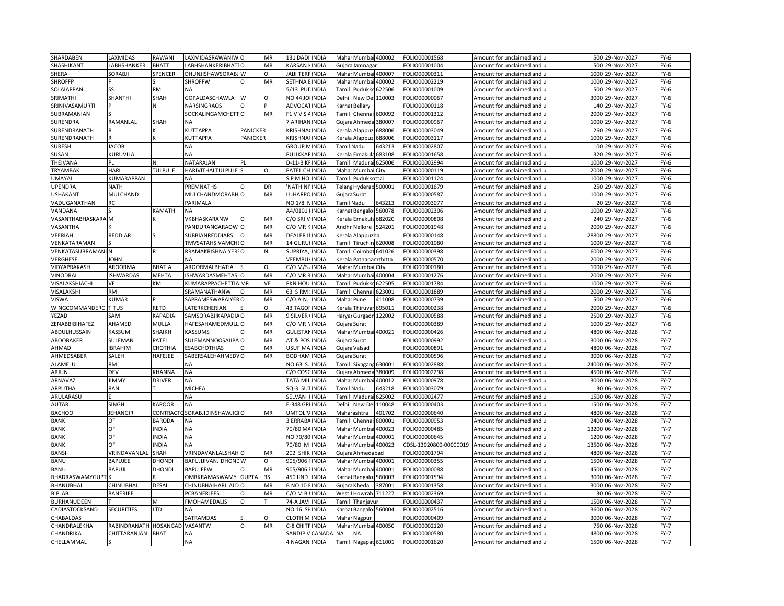| SHARDABEN          | AXMIDAS               | RAWANI         | LAXMIDASRAWANIWO            |                 | MR       | 131 DAD              | <b>INDIA</b> |                                                                                                                                                                          | Mahar Mumbai 400002    |        | FOLIO00001568          | Amount for unclaimed and   | 500   | 29-Nov-2027       | $FY-6$ |
|--------------------|-----------------------|----------------|-----------------------------|-----------------|----------|----------------------|--------------|--------------------------------------------------------------------------------------------------------------------------------------------------------------------------|------------------------|--------|------------------------|----------------------------|-------|-------------------|--------|
| SHASHIKANT         | ABHSHANKER            | <b>BHATT</b>   | LABHSHANKERIBHAT10          |                 | MR       | KARSAN HINDIA        |              |                                                                                                                                                                          | Gujara Jamnagar        |        | FOLIO00001004          | Amount for unclaimed and   |       | 500 29-Nov-2027   | $FY-6$ |
| SHERA              | <b>SORABJI</b>        | SPENCER        | DHUNJISHAWSORABJ W          |                 | O        | <b>JAIJI TERF</b>    | <b>INDIA</b> |                                                                                                                                                                          | Mahar Mumbai 400007    |        | FOLIO00000311          | Amount for unclaimed and   |       | 1000 29-Nov-2027  | $FY-6$ |
| <b>SHROFFP</b>     |                       |                | <b>SHROFFW</b>              | $\Omega$        | MR       | SETHNA               | <b>INDIA</b> | Mahar                                                                                                                                                                    | Mumbai 400002          |        | FOLIO00002219          | Amount for unclaimed and u | 1000  | 29-Nov-2027       | $FY-6$ |
| SOLAIAPPAN         | 22                    | <b>RM</b>      | <b>NA</b>                   |                 |          | 5/13 PU              | <b>INDIA</b> | Tami                                                                                                                                                                     | Pudukkc                | 522506 | FOLIO00001009          | Amount for unclaimed and   | 500   | 29-Nov-2027       | $FY-6$ |
| SRIMATHI           | SHANTHI               | SHAH           | GOPALDASCHAWLA              | W               | $\Omega$ | NO 44 JC             | <b>INDIA</b> | Delhi                                                                                                                                                                    | New De                 | 110003 | FOLIO00000067          | Amount for unclaimed and   | 3000  | 29-Nov-2027       | $FY-6$ |
| SRINIVASAMURTI     |                       | и              | <b>NARSINGRAOS</b>          | 0               |          | ADVOCA               | <b>INDIA</b> | Karna                                                                                                                                                                    | Bellary                |        | FOLIO00000118          | Amount for unclaimed and   |       | 140 29-Nov-2027   | $FY-6$ |
| SUBRAMANIAN        |                       |                |                             |                 | MR       | $-1$ V V S           |              |                                                                                                                                                                          |                        | 500092 |                        |                            | 2000  |                   | $FY-6$ |
|                    |                       |                | SOCKALINGAMCHETTO           |                 |          |                      | <b>INDIA</b> | Гаmі                                                                                                                                                                     | Chennai                |        | FOLIO00001312          | Amount for unclaimed and   |       | 29-Nov-2027       |        |
| SURENDRA           | RAMANLAL              | SHAH           | NA                          |                 |          | 7 ARIHAN             | <b>INDIA</b> |                                                                                                                                                                          | Gujara Ahmeda          | 380007 | FOLIO00000967          | Amount for unclaimed and u |       | 1000 29-Nov-2027  | $FY-6$ |
| SURENDRANATH       |                       |                | KUTTAPPA                    | <b>PANICKER</b> |          | <b>KRISHN</b>        | <b>INDIA</b> | Kerali                                                                                                                                                                   | Alappuz                | 588006 | FOLIO00003049          | Amount for unclaimed and   | 260   | 29-Nov-2027       | $FY-6$ |
| SURENDRANATH       |                       |                | KUTTAPPA                    | PANICKER        |          | KRISHNA              | <b>INDIA</b> |                                                                                                                                                                          | Cerala Alappuzl        | 588006 | FOLIO00003117          | Amount for unclaimed and   | 1000  | 29-Nov-2027       | FY-6   |
| <b>SURESH</b>      | <b>JACOB</b>          |                | <b>NA</b>                   |                 |          | <b>GROUP</b>         | <b>INDIA</b> | Tamil Nadu                                                                                                                                                               |                        | 643213 | FOLIO00002807          | Amount for unclaimed and   | 100   | 29-Nov-2027       | $FY-6$ |
| SUSAN              | KURUVILA              |                | <b>NA</b>                   |                 |          | PULIKKA              | <b>INDIA</b> |                                                                                                                                                                          | Kerala Ernakula 683108 |        | FOLIO00001658          | Amount for unclaimed and   |       | 320 29-Nov-2027   | FY-6   |
| THEIVANAI          | PL                    |                | NATARAJAN                   | PL              |          | $D-11-B$             | <b>INDIA</b> | Tamil                                                                                                                                                                    | Madurai 625006         |        | FOLIO00002994          | Amount for unclaimed and   | 1000  | 29-Nov-2027       | $FY-6$ |
| TRYAMBAK           | HARI                  | <b>TULPULE</b> | <b>HARIVITHALTULPULE</b>    |                 | O        | PATEL CI             | <b>INDIA</b> | Mahar                                                                                                                                                                    | Mumbai City            |        | FOLIO00000119          | Amount for unclaimed and   |       | 2000 29-Nov-2027  | $FY-6$ |
| UMAYAL             | <b>CUMARAPPAN</b>     |                | <b>NA</b>                   |                 |          | PM HO                | <b>INDIA</b> | <b>Tamil</b>                                                                                                                                                             | Pudukkottai            |        | FOLIO00001124          | Amount for unclaimed and   |       | 1000 29-Nov-2027  | $FY-6$ |
| UPENDRA            | <b>NATH</b>           |                | PREMNATHS                   | $\Omega$        | DR       | <b>NATH N</b>        | INDIA        |                                                                                                                                                                          | elang Hyderab 500001   |        | FOLIO00001679          | Amount for unclaimed and   | 250   | 29-Nov-2027       | $FY-6$ |
| <b>USHAKANT</b>    | MULCHAND              |                | MULCHANDMORABH O            |                 | MR       | <b>UHARPC</b>        | <b>INDIA</b> |                                                                                                                                                                          | Gujara Surat           |        | FOLIO00000587          | Amount for unclaimed and   |       | 1000 29-Nov-2027  | FY-6   |
| VADUGANATHAN       | RC.                   |                | PARIMALA                    |                 |          | NO 1/8               | <b>INDIA</b> |                                                                                                                                                                          | <b>Tamil Nadu</b>      | 643213 | FOLIO00003077          | Amount for unclaimed and   | 20    | 29-Nov-2027       | $FY-6$ |
| VANDANA            |                       | KAMATH         | <b>NA</b>                   |                 |          | A4/0101              | <b>INDIA</b> |                                                                                                                                                                          | Karnal Bangaloi 560078 |        | FOLIO00002306          | Amount for unclaimed and u |       | 1000 29-Nov-2027  | $FY-6$ |
| VASANTHABHASKARAIM |                       |                | VKBHASKARANW                | $\circ$         | MR       | c/o sri              | <b>INDIA</b> |                                                                                                                                                                          | Kerala Ernakula 682020 |        | FOLIO00000808          | Amount for unclaimed and   |       | 240 29-Nov-2027   | $FY-6$ |
| VASANTHA           |                       |                | PANDURANGARAOW O            |                 | MR       | C/O MR               | <b>INDIA</b> |                                                                                                                                                                          | Andhr Nellore 524201   |        | FOLIO00001948          | Amount for unclaimed and   | 2000  | 29-Nov-2027       | $FY-6$ |
| VEERIAH            | REDDIAR               |                | SUBBIANREDDIARS             | $\Omega$        | MR       | DEALER               | <b>INDIA</b> | Kerala                                                                                                                                                                   | Alappuzha              |        | FOLIO00000148          | Amount for unclaimed and   | 28800 | 29-Nov-2027       | $FY-6$ |
| VENKATARAMAN       |                       |                | TMVSATAHSIVAMCH             |                 | MR       | 14 GURl              | INDIA        | Tamil                                                                                                                                                                    | Tiruchira 620008       |        | OLIO00001080           | Amount for unclaimed and   | 1000  | 29-Nov-2027       | $FY-6$ |
| VENKATASUBRAMANI N |                       |                | RRAMAKRISHNAIYERSO          |                 | N        | <b>SUPRIYA</b>       | <b>INDIA</b> | Tamil                                                                                                                                                                    | Coimbat 641026         |        | FOLIO00000398          | Amount for unclaimed and   |       | 6000 29-Nov-2027  | $FY-6$ |
| VERGHESE           | <b>IOHN</b>           |                |                             |                 |          | VEEMBL               | <b>INDIA</b> | <erala< td=""><td>Pathanamthitta</td><td></td><td>OLIO00000570</td><td>Amount for unclaimed and</td><td>2000</td><td>29-Nov-2027</td><td><math>FY-6</math></td></erala<> | Pathanamthitta         |        | OLIO00000570           | Amount for unclaimed and   | 2000  | 29-Nov-2027       | $FY-6$ |
| VIDYAPRAKASH       | AROORMAL              | BHATIA         | AROORMALBHATIA              |                 | O        | C/O M/S              | <b>INDIA</b> |                                                                                                                                                                          | Mahar Mumbai City      |        | FOLIO00000180          | Amount for unclaimed and   |       | 1000 29-Nov-2027  | $FY-6$ |
| VINODRAI           | <b>ISHWARDAS</b>      | <b>MEHTA</b>   |                             |                 | MR       | C/O MR               | <b>INDIA</b> | Maha                                                                                                                                                                     | Mumbai 400004          |        |                        |                            | 2000  |                   | $FY-6$ |
|                    |                       |                | ISHWARDASMEHTAS             |                 |          |                      |              |                                                                                                                                                                          |                        |        | FOLIO00001276          | Amount for unclaimed and   |       | 29-Nov-2027       |        |
| VISALAKSHIACHI     | VE                    | KM             | KUMARAPPACHETTIA MR         |                 | VE       | PKN HOL              | <b>INDIA</b> | Tamil                                                                                                                                                                    | Pudukko 622505         |        | FOLIO00001784          | Amount for unclaimed and u |       | 1000 29-Nov-2027  | $FY-6$ |
| VISALAKSHI         | RM                    |                | SRAMANATHANW                | $\Omega$        | MR       | 63 S RM              | <b>INDIA</b> | Tamil                                                                                                                                                                    | Chenn                  | 523001 | FOLIO00001889          | Amount for unclaimed and   | 2000  | 29-Nov-2027       | $FY-6$ |
| VISWA              | KUMAR                 |                | SAPRAMESWARAIYER O          |                 | MR       | C/O.A.N.             | <b>INDIA</b> | Mahar                                                                                                                                                                    | Pune                   | 411008 | FOLIO00000739          | Amount for unclaimed and   |       | 500 29-Nov-2027   | $FY-6$ |
| WINGCOMMANDERC     | <b>TITUS</b>          | <b>RETD</b>    | LATERKCHERIAN               |                 | O        | 43 TAGO              | <b>INDIA</b> | Kerala                                                                                                                                                                   | Thiruvar               | 695011 | FOLIO00000238          | Amount for unclaimed and   | 2000  | 29-Nov-2027       | $FY-6$ |
| YEZAD              | SAM                   | KAPADIA        | SAMSORABJIKAPADIA O         |                 | MR       | <b>9 SILVER</b>      | <b>INDIA</b> | Haryar                                                                                                                                                                   | Gurgaon                | 122002 | FOLIO00000588          | Amount for unclaimed and   | 2500  | 29-Nov-2027       | $FY-6$ |
| ZENABBIBIHAFEZ     | AHAMED                | MULLA          | HAFESAHAMEDMULL O           |                 | MR       | C/O MR               | <b>INDIA</b> | Gujara                                                                                                                                                                   | Surat                  |        | FOLIO00000389          | Amount for unclaimed and   |       | 1000 29-Nov-2027  | $FY-6$ |
| ABDULHUSSAIN       | KASSUM                | SHAIKH         | KASSUMS                     |                 | MR       | GULISTA              | <b>INDIA</b> | Maha                                                                                                                                                                     | Mumba                  | 400021 | FOLIO00000426          | Amount for unclaimed and   | 4800  | 06-Nov-2028       | $FY-7$ |
| ABOOBAKER          | SULEMAN               | PATEL          | SULEMANNOOSAJIPA O          |                 | MR       | AT & POS             | <b>INDIA</b> |                                                                                                                                                                          | Gujara Surat           |        | FOLIO00000992          | Amount for unclaimed and u | 3000  | 06-Nov-2028       | $FY-7$ |
| AHMAD              | <b>IBRAHIM</b>        | СНОТНІА        | <b>ESABCHOTHIAS</b>         |                 | MR       | <b>JSUF M</b>        | <b>INDIA</b> | Gujara                                                                                                                                                                   | Valsad                 |        | FOLIO00000891          | Amount for unclaimed and   | 4800  | 06-Nov-2028       | $FY-7$ |
| AHMEDSABER         | SALEH                 | HAFEJEE        | SABERSALEHAHMEDVO           |                 | MR       | <b>BODHAN</b>        | <b>INDIA</b> |                                                                                                                                                                          | Gujara Surat           |        | FOLIO00000596          | Amount for unclaimed and u | 3000  | 06-Nov-2028       | $FY-7$ |
| ALAMELU            | RM                    |                | <b>NA</b>                   |                 |          | NO.63                | <b>INDIA</b> | Tamil                                                                                                                                                                    | Sivagan                | 530001 | FOLIO00002888          | Amount for unclaimed and   | 24000 | 06-Nov-2028       | $FY-7$ |
| ARJUN              | DEV                   | KHANNA         | <b>NA</b>                   |                 |          | C/O COS              | <b>INDIA</b> |                                                                                                                                                                          | Gujara Ahmeda          | 380009 | FOLIO00002298          | Amount for unclaimed and u | 4500  | 06-Nov-2028       | FY-7   |
| ARNAVAZ            | <b>IIMMY</b>          | <b>DRIVER</b>  | <b>NA</b>                   |                 |          | <b>TATA MI</b>       | <b>INDIA</b> |                                                                                                                                                                          | Mahar Mumb             | 400012 | FOLIO00000978          | Amount for unclaimed and   | 3000  | 06-Nov-2028       | $FY-7$ |
| ARPUTHA            | RANI                  |                | <b>MICHEAL</b>              |                 |          | SQ-3 SUT             | <b>INDIA</b> |                                                                                                                                                                          | <b>Tamil Nadu</b>      | 643218 | FOLIO00003079          | Amount for unclaimed and   | 30    | 06-Nov-2028       | $FY-7$ |
| ARULARASU          |                       |                | <b>NA</b>                   |                 |          | SELVAN               | <b>INDIA</b> |                                                                                                                                                                          | <b>Tamil Madur</b>     | 525002 | FOLIO00002477          | Amount for unclaimed and   | 1500  | 06-Nov-2028       | $FY-7$ |
| <b>AUTAR</b>       | <b>SINGH</b>          | KAPOOR         | <b>NA</b>                   |                 |          | -348 GF              | <b>INDIA</b> |                                                                                                                                                                          | Delhi New De           | 110048 | FOLIO00000403          | Amount for unclaimed and   | 1500  | 06-Nov-2028       | $FY-7$ |
| <b>BACHOO</b>      | JEHANGIR              | CONTRACT       | <b>CSORABJIDINSHAWJIGIO</b> |                 | MR       | <b>JMTOLP</b>        | <b>INDIA</b> |                                                                                                                                                                          | Maharashtra            | 401702 | FOLIO00000640          | Amount for unclaimed and   | 4800  | 06-Nov-2028       | $FY-7$ |
| BANK               | OF                    | <b>BARODA</b>  | NA                          |                 |          | <b>BERRAB</b>        | <b>INDIA</b> | Tamil                                                                                                                                                                    | Chenn                  | 500001 | FOLIO00000953          | Amount for unclaimed and   | 2400  | 06-Nov-2028       | $FY-7$ |
| BANK               | DF                    | INDIA          | NA                          |                 |          | 70/80 MAINDIA        |              |                                                                                                                                                                          | Mahar Mumbai           | 400023 | FOLIO00000485          | Amount for unclaimed and u |       | 13200 06-Nov-2028 | $FY-7$ |
| <b>BANK</b>        | OF                    | <b>INDIA</b>   | <b>NA</b>                   |                 |          | NO 70/8              | <b>INDIA</b> |                                                                                                                                                                          | Mahar Mumbai           | 400001 | FOLIO00000645          | Amount for unclaimed and   | 1200  | 06-Nov-2028       | $FY-7$ |
| <b>BANK</b>        | OF                    | <b>INDIA</b>   | <b>NA</b>                   |                 |          | 70/80 M INDIA        |              |                                                                                                                                                                          | Mahar Mumbai 400023    |        | CDSL-13020800-00000019 | Amount for unclaimed and u | 13500 | 06-Nov-2028       | $FY-7$ |
| <b>BANSI</b>       | VRINDAVANLAI          | SHAH           | VRINDAVANLALSHAHO           |                 | MR       | 202 SHII             | <b>INDIA</b> |                                                                                                                                                                          | Gujara Ahmedabad       |        | FOLIO00001794          | Amount for unclaimed and   | 4800  | 06-Nov-2028       | $FY-7$ |
| BANU               | BAPUJEE               | DHONDI         | BAPUJIJIVANJIDHONDW         |                 | Ω        | 905/906              | <b>INDIA</b> | Mahar                                                                                                                                                                    | <b>Mumbai</b> 400001   |        | FOLIO00000355          | Amount for unclaimed and   | 1500  | 06-Nov-2028       | $FY-7$ |
| BANU               | BAPUJI                | <b>DHONDI</b>  | <b>BAPUJEEW</b>             | $\Omega$        | MR       | 905/906              | <b>INDIA</b> |                                                                                                                                                                          | Mahar Mumbai           | 400001 | FOLIO00000088          |                            | 4500  | 06-Nov-2028       | FY-7   |
|                    |                       |                |                             |                 |          |                      |              |                                                                                                                                                                          |                        |        |                        | Amount for unclaimed and   |       |                   |        |
| BHADRASWAMYGUPT.   |                       |                | OMRKRAMASWAMY               | <b>GUPTA</b>    | 3S       | <b>450 IIND</b>      | <b>INDIA</b> | <b>Karna</b>                                                                                                                                                             | Bangalor               | 560003 | FOLIO00001594          | Amount for unclaimed and   | 3000  | 06-Nov-2028       | $FY-7$ |
| BHANUBHAI          | CHINUBHAI             | <b>DESAI</b>   | CHINUBHAIHARILALD O         |                 | MR       | <b>BNO 10</b>        | <b>INDIA</b> | Gujara                                                                                                                                                                   | Kheda                  | 387001 | FOLIO00001358          | Amount for unclaimed and   | 3000  | 06-Nov-2028       | $FY-7$ |
| <b>BIPLAB</b>      | BANERJEE              |                | PCBANERJEES                 |                 | MR       | C/OMB                | <b>INDIA</b> | West                                                                                                                                                                     | Howrah                 | 711227 | OLIO00002369           | Amount for unclaimed and   | 30    | 06-Nov-2028       | $FY-7$ |
| BURHANUDEEN        |                       | м              | FMOHAMEDALIS                | $\circ$         |          | 74-A JAV             | <b>INDIA</b> | Tamil                                                                                                                                                                    | Thanjavur              |        | FOLIO00000437          | Amount for unclaimed and   |       | 1500 06-Nov-2028  | FY-7   |
| CADIASTOCKSAND     | <b>SECURITIES</b>     | LTD            | <b>NA</b>                   |                 |          | NO 16 S              | <b>INDIA</b> | <arna< td=""><td>Bangalor 560004</td><td></td><td>FOLIO00002516</td><td>Amount for unclaimed and</td><td>3600</td><td>06-Nov-2028</td><td><math>FY-7</math></td></arna<> | Bangalor 560004        |        | FOLIO00002516          | Amount for unclaimed and   | 3600  | 06-Nov-2028       | $FY-7$ |
| CHABALDAS          |                       |                | SATRAMDAS                   |                 | $\Omega$ | CLOTH M              | <b>INDIA</b> |                                                                                                                                                                          | Mahar Nagpur           |        | FOLIO00000409          | Amount for unclaimed and u |       | 3000 06-Nov-2028  | $FY-7$ |
| CHANDRALEKHA       | RABINDRANATH HOSANGAD |                | <b>VASANTW</b>              | $\circ$         | MR       | C-8 CHI <sup>-</sup> | <b>INDIA</b> | Maha                                                                                                                                                                     | Mumbai 400050          |        | FOLIO00002120          | Amount for unclaimed and   | 750   | 06-Nov-2028       | $FY-7$ |
| CHANDRIKA          | CHITTARANJAN          | <b>BHAT</b>    | <b>NA</b>                   |                 |          | SANDIP               | CANADA       | <b>NA</b>                                                                                                                                                                | <b>NA</b>              |        | FOLIO00000580          | Amount for unclaimed and   |       | 4800 06-Nov-2028  | $FY-7$ |
| CHELLAMMAI         |                       |                | <b>NA</b>                   |                 |          | 4 NAGAN              | <b>INDIA</b> |                                                                                                                                                                          | Tamil Nagapat 611001   |        | FOLIO00001620          | Amount for unclaimed and   |       | 1500 06-Nov-2028  | $FY-7$ |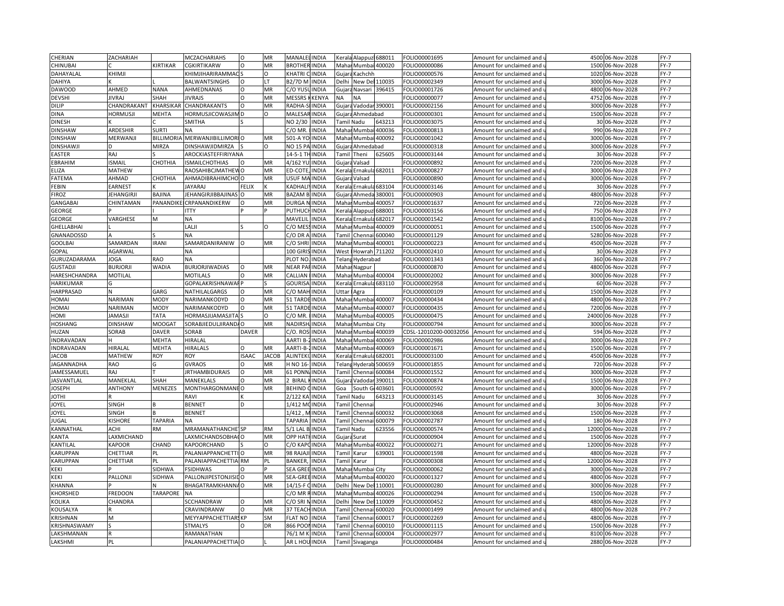| CHERIAN           | ZACHARIAH         |                   | <b>MCZACHARIAHS</b>       | $\Omega$     | MR           | <b>MANALELINDIA</b>  |              | Keral                                                                                                                                                                       | Alappuz 688011             |               | FOLIO00001695          | Amount for unclaimed and                          | 4500        | 06-Nov-2028      | $FY-7$ |
|-------------------|-------------------|-------------------|---------------------------|--------------|--------------|----------------------|--------------|-----------------------------------------------------------------------------------------------------------------------------------------------------------------------------|----------------------------|---------------|------------------------|---------------------------------------------------|-------------|------------------|--------|
| CHINUBAI          |                   | KIRTIKAR          | <b>CGKIRTIKARW</b>        | $\Omega$     | MR           | <b>BROTHER INDIA</b> |              |                                                                                                                                                                             | Mahar Mumbai 400020        |               | FOLIO00000086          | Amount for unclaimed and <b>u</b>                 | 1500        | 06-Nov-2028      | $FY-7$ |
| DAHAYALAL         | KHIMJI            |                   | KHIMJIHARIRAMMACS         |              | O            | KHATRI (             | <b>INDIA</b> | Gujara                                                                                                                                                                      | Kachchh                    |               | FOLIO00000576          | Amount for unclaimed and                          | 1020        | 06-Nov-2028      | $FY-7$ |
| DAHIYA            |                   |                   | <b>BALWANTSINGHS</b>      | $\Omega$     | LT           | <b>B2/7D M INDIA</b> |              | Delhi                                                                                                                                                                       | New Del                    | 110035        | FOLIO00002349          | Amount for unclaimed and <b>u</b>                 | 3000        | 06-Nov-2028      | $FY-7$ |
| <b>DAWOOD</b>     | AHMED             | <b>NANA</b>       | AHMEDNANAS                | $\Omega$     | MR           | C/O YUS              | <b>INDIA</b> | Gujara                                                                                                                                                                      | Navsari                    | 396415        | FOLIO00001726          | Amount for unclaimed and                          | 4800        | 06-Nov-2028      | $FY-7$ |
| <b>DEVSHI</b>     | <b>JIVRAJ</b>     | SHAH              | <b>JIVRAJS</b>            | $\Omega$     | MR           | <b>MESSRS</b>        | KENYA        | ΝA                                                                                                                                                                          | <b>NA</b>                  |               | FOLIO00000077          | Amount for unclaimed and                          | 4752        | 06-Nov-2028      | $FY-7$ |
| <b>DILIP</b>      | CHANDRAKANT       | KHARSIKAF         | CHANDRAKANTS              | O            | MR           | RADHA-               | <b>INDIA</b> |                                                                                                                                                                             | Gujara Vadodar 390001      |               | FOLIO00002156          | Amount for unclaimed and                          | 3000        | 06-Nov-2028      | $FY-7$ |
| <b>DINA</b>       | <b>HORMUSJI</b>   | MEHTA             | HORMUSJICOWASJIN          |              | $\Omega$     | MALESAF              | <b>INDIA</b> |                                                                                                                                                                             | Gujara Ahmedabad           |               | FOLIO00000301          | Amount for unclaimed and                          | 1500        | 06-Nov-2028      | $FY-7$ |
| <b>DINESH</b>     |                   |                   | SMITHA                    |              |              | NO 2/30              | <b>INDIA</b> |                                                                                                                                                                             | Tamil Nadu                 | 543213        | FOLIO00003075          | Amount for unclaimed and $\overline{\phantom{a}}$ |             | 30 06-Nov-2028   | $FY-7$ |
| <b>DINSHAW</b>    | <b>ARDESHIR</b>   | <b>SURTI</b>      | <b>NA</b>                 |              |              | C/O MR.              | <b>INDIA</b> |                                                                                                                                                                             | Mahar Mumb                 | 400036        | FOLIO00000813          | Amount for unclaimed and                          | 990         | 06-Nov-2028      | $FY-7$ |
| <b>DINSHAW</b>    | MERWANJI          | <b>BILLIMORIA</b> | MERWANJIBILLIMORI O       |              | MR           | 501-A YO INDIA       |              | Mahar                                                                                                                                                                       | Mumbai 400092              |               | FOLIO00001042          | Amount for unclaimed and u                        | 3000        | 06-Nov-2028      | $FY-7$ |
| <b>DINSHAWJ</b>   | D                 | <b>MIRZA</b>      | <b>DINSHAWJIDMIRZA</b>    |              | O            | NO 15 PA INDIA       |              |                                                                                                                                                                             | Gujara Ahmedabad           |               | FOLIO00000318          | Amount for unclaimed and                          | 3000        | 06-Nov-2028      | $FY-7$ |
| <b>EASTER</b>     | RAJ               |                   | AROCKIASTEFFIRIYANA       |              |              | 14-5-1 THINDIA       |              | Tamil                                                                                                                                                                       | Theni                      | 525605        | FOLIO00003144          | Amount for unclaimed and <b>u</b>                 |             | 30 06-Nov-2028   | $FY-7$ |
| EBRAHIM           | <b>ISMAIL</b>     | CHOTHIA           | <b>ISMAILCHOTHIAS</b>     | $\Omega$     | MR           | 4/162 YU             | <b>INDIA</b> | Gujar                                                                                                                                                                       | Valsad                     |               | FOLIO00000892          | Amount for unclaimed and                          | 7200        | 06-Nov-2028      | $FY-7$ |
| ELIZA             | MATHEW            |                   | RAOSAHIBCJMATHEV          |              | MR           | ED-COTE              | <b>INDIA</b> | <erala< td=""><td>Ernakula</td><td>582011</td><td>FOLIO00000827</td><td>Amount for unclaimed and i</td><td>3000</td><td>06-Nov-2028</td><td><math>FY-7</math></td></erala<> | Ernakula                   | 582011        | FOLIO00000827          | Amount for unclaimed and i                        | 3000        | 06-Nov-2028      | $FY-7$ |
| FATEMA            | AHMAD             | СНОТНІА           | AHMADIBRAHIMCHO           |              | MR           | USUF MAINDIA         |              | Gujara                                                                                                                                                                      | Valsad                     |               | FOLIO0000089C          | Amount for unclaimed and                          | 3000        | 06-Nov-2028      | FY-7   |
| FEBIN             | <b>EARNEST</b>    |                   | <b>JAYARAJ</b>            | <b>FELIX</b> |              | <b>ADHAL</b>         | <b>INDIA</b> | Kerala                                                                                                                                                                      | Ernakul                    | 683104        | FOLIO00003146          | Amount for unclaimed and                          | 30          | 06-Nov-2028      | FY-7   |
| FIROZ             | <b>JEHANGIRJI</b> | BAJINA            | JEHANGIRJIBBAJINAS        | $\Omega$     | MR           | <b>BAZAM BUNDIA</b>  |              |                                                                                                                                                                             | Gujara Ahmeda              | 380001        | FOLIO00000903          | Amount for unclaimed and $\overline{\phantom{a}}$ | 4800        | 06-Nov-2028      | FY-7   |
| <b>GANGABAI</b>   | CHINTAMAN         | PANANDII          | CRPANANDIKERW             | $\Omega$     | MR           | <b>DURGA</b>         | <b>INDIA</b> | Maha                                                                                                                                                                        | Mumba                      | 400057        | FOLIO00001637          | Amount for unclaimed and                          | 720         | 06-Nov-2028      | FY-7   |
| GEORGE            |                   |                   | <b>ITTY</b>               |              |              | PUTHUCHINDIA         |              |                                                                                                                                                                             |                            | 588001        | FOLIO00003156          | Amount for unclaimed and u                        | 750         | 06-Nov-2028      | $FY-7$ |
|                   |                   | M                 | <b>NA</b>                 |              |              | MAVELIL              | <b>INDIA</b> | Kerala                                                                                                                                                                      | Kerala Alappuzl<br>Ernakul | 582017        | FOLIO00001542          |                                                   | 8100        | 06-Nov-2028      | FY-7   |
| <b>GEORGE</b>     | VARGHESE          |                   |                           |              |              |                      |              |                                                                                                                                                                             |                            |               |                        | Amount for unclaimed and                          |             |                  |        |
| <b>GHELLABHAI</b> |                   |                   | LALJI                     |              | O            | C/O MES              | <b>INDIA</b> | Maha                                                                                                                                                                        | Mumbai                     | 400009        | FOLIO00000051          | Amount for unclaimed and <b>u</b>                 | 1500        | 06-Nov-2028      | $FY-7$ |
| GNANADOSSD        |                   |                   | <b>NA</b>                 |              |              | c/o dr .             | <b>INDIA</b> | Tami                                                                                                                                                                        | Chenna                     | 600040        | FOLIO00001129          | Amount for unclaimed and                          | 5280        | 06-Nov-2028      | $FY-7$ |
| <b>GOOLBAI</b>    | SAMARDAN          | <b>IRANI</b>      | SAMARDANIRANIW            |              | MR           | C/O SHRI             | <b>INDIA</b> | Maha                                                                                                                                                                        | Mumbai                     | 400001        | OLIO00000223           | Amount for unclaimed and                          | 4500        | 06-Nov-2028      | $FY-7$ |
| GOPAL             | AGARWAL           |                   | <b>NA</b>                 |              |              | 100 GIRIS INDIA      |              | West                                                                                                                                                                        | Howrah 711202              |               | FOLIO00002410          | Amount for unclaimed and                          | 30          | 06-Nov-2028      | FY-7   |
| GURUZADARAMA      | <b>JOGA</b>       | RAO               | ΝA                        |              |              | PLOT NO              | <b>INDIA</b> | Felan                                                                                                                                                                       | Hyderabad                  |               | FOLIO00001343          | Amount for unclaimed and                          | 360         | 06-Nov-2028      | $FY-7$ |
| <b>GUSTADJI</b>   | <b>BURJORJI</b>   | WADIA             | <b>BURJORJIWADIAS</b>     |              | MR           | NEAR PA              | <b>INDIA</b> |                                                                                                                                                                             | Mahar Nagpur               |               | FOLIO00000870          | Amount for unclaimed and                          | 4800        | 06-Nov-2028      | $FY-7$ |
| HARESHCHANDRA     | <b>MOTILAL</b>    |                   | <b>MOTILALS</b>           | $\Omega$     | MR           | CALLIAN              | <b>INDIA</b> | Maha                                                                                                                                                                        | Mumba                      | 400004        | FOLIO00002002          | Amount for unclaimed and                          | 3000        | 06-Nov-2028      | FY-7   |
| <b>HARIKUMAR</b>  |                   |                   | <b>GOPALAKRISHNAWAI P</b> |              |              | <b>GOURISA</b>       | <b>INDIA</b> |                                                                                                                                                                             | Kerala Ernakula 683110     |               | FOLIO00002958          | Amount for unclaimed and <b>u</b>                 |             | 60 06-Nov-2028   | $FY-7$ |
| HARPRASAD         | N                 | GARG              | NATHILALGARGS             | $\Omega$     | MR           | C/O MAH              | <b>INDIA</b> | Uttar                                                                                                                                                                       | Agra                       |               | FOLIO00000109          | Amount for unclaimed and                          | 1500        | 06-Nov-2028      | $FY-7$ |
| HOMAI             | <b>NARIMAN</b>    | <b>MODY</b>       | NARIMANKODYD              | $\Omega$     | MR           | 51 TARDI             | <b>INDIA</b> | Maha                                                                                                                                                                        | Mumbai                     | 400007        | FOLIO00000434          | Amount for unclaimed and u                        | 4800        | 06-Nov-2028      | FY-7   |
| HOMAI             | NARIMAN           | <b>MODY</b>       | NARIMANKODYD              | $\Omega$     | MR           | 51 TARD              | <b>INDIA</b> | Maha                                                                                                                                                                        | Mumbai                     | 400007        | FOLIO00000435          | Amount for unclaimed and                          | 7200        | 06-Nov-2028      | $FY-7$ |
| IMOH              | <b>JAMASJI</b>    | <b>TATA</b>       | HORMASJIJAMASJIT.         |              |              | $2/0$ MR             | <b>INDIA</b> | Maha                                                                                                                                                                        |                            | Mumbai 400005 | OLIO00000475           | Amount for unclaimed and u                        | 24000       | 06-Nov-2028      | $FY-7$ |
| HOSHANG           | <b>DINSHAW</b>    | MOOGA1            | SORABJIEDULJIRAND/O       |              | MR           | NADIRSH              | <b>INDIA</b> | Mahar                                                                                                                                                                       | Mumbai City                |               | FOLIO00000794          | Amount for unclaimed and                          | 3000        | 06-Nov-2028      | FY-7   |
| HUZAN             | SORAB             | <b>DAVER</b>      | SORAB                     | <b>DAVER</b> |              | $C/O.$ ROS           | <b>INDIA</b> | Maha                                                                                                                                                                        | Mumbai                     | 400039        | CDSL-12010200-00032056 | Amount for unclaimed and                          | 594         | 06-Nov-2028      | $FY-7$ |
| INDRAVADAN        | Н                 | <b>MEHTA</b>      | HIRALAL                   |              |              | AARTI B              | <b>INDIA</b> |                                                                                                                                                                             | Mahar Mumbai 400069        |               | OLIO00002986           | Amount for unclaimed and i                        | 3000        | 06-Nov-2028      | $FY-7$ |
| INDRAVADAN        | <b>HIRALAL</b>    | <b>MEHTA</b>      | <b>HIRALALS</b>           | $\Omega$     | MR           | AARTI-B-             | <b>INDIA</b> | Maha                                                                                                                                                                        | Mumb                       | 400069        | FOLIO00001671          | Amount for unclaimed and                          | 1500        | 06-Nov-2028      | $FY-7$ |
| <b>JACOB</b>      | <b>MATHEW</b>     | ROY               | ROY                       | <b>ISAAC</b> | <b>JACOB</b> | ALINTEKI) INDIA      |              |                                                                                                                                                                             | Kerala Ernakula            | 582001        | FOLIO00003100          | Amount for unclaimed and u                        | 4500        | 06-Nov-2028      | $FY-7$ |
| JAGANNADHA        | <b>RAO</b>        | G                 | <b>GVRAOS</b>             | $\Omega$     | MR           | H NO 16-             | <b>INDIA</b> | Telang                                                                                                                                                                      | Hyderal                    | 500659        | FOLIO00001855          | Amount for unclaimed and                          | 720         | 06-Nov-2028      | $FY-7$ |
| JAMESSAMUEL       | RAJ               |                   | <b>JRTHAMBIDURAIS</b>     | $\Omega$     | MR           | 61 PONN INDIA        |              | Tamil                                                                                                                                                                       | Chennai                    | 500084        | FOLIO00001552          | Amount for unclaimed and u                        | 3000        | 06-Nov-2028      | $FY-7$ |
| <b>JASVANTLAL</b> | MANEKLAL          | SHAH              | MANEKLALS                 | O            | MR           | 2 BIRAL              | <b>INDIA</b> | Gujar                                                                                                                                                                       | Vadodar                    | 390011        | FOLIO00000874          | Amount for unclaimed and (                        | 1500        | 06-Nov-2028      | $FY-7$ |
| JOSEPH            | <b>ANTHONY</b>    | MENEZES           | MONTHARGONMANE            |              | MR           | BEHIND               | <b>INDIA</b> | Goa                                                                                                                                                                         | South                      | 103601        | OLIO00000592           | Amount for unclaimed and i                        | 3000        | 06-Nov-2028      | $FY-7$ |
| <b>JOTHI</b>      |                   |                   | RAVI                      |              |              | 2/122 KA             | <b>INDIA</b> | <b>Tamil Nadu</b>                                                                                                                                                           |                            | 543213        | FOLIO00003145          | Amount for unclaimed and                          | 30          | 06-Nov-2028      | FY-7   |
| JOYEL             | SINGH             |                   | <b>BENNET</b>             | D            |              | 1/412 MO             | <b>INDIA</b> | <b>Tamil</b>                                                                                                                                                                | Chenna                     |               | FOLIO00002946          | Amount for unclaimed and                          | 30          | 06-Nov-2028      | $FY-7$ |
| <b>IOYEL</b>      | SINGH             |                   | <b>BENNET</b>             |              |              | I/412, MINDIA        |              |                                                                                                                                                                             | <b>Tamil Chennai</b>       | 600032        | FOLIO00003068          | Amount for unclaimed and u                        | 1500        | 06-Nov-2028      | $FY-7$ |
| JUGAL             | <b>KISHORE</b>    | <b>TAPARIA</b>    | <b>NA</b>                 |              |              | TAPARIA              | <b>INDIA</b> | Tamil                                                                                                                                                                       | Chenn                      | 600079        | FOLIO00002787          | Amount for unclaimed and                          | 180         | 06-Nov-2028      | $FY-7$ |
| KANNATHAL         | ACHI              | <b>RM</b>         | <b>MRAMANATHANCHE</b> SP  |              | <b>RM</b>    | 5/1 LAL B. INDIA     |              | Tamil Nadu                                                                                                                                                                  |                            | 523556        | FOLIO00000574          | Amount for unclaimed and u                        | 12000       | 06-Nov-2028      | $FY-7$ |
| <b>KANTA</b>      | LAXMICHAND        |                   | LAXMICHANDSOBHAIO         |              | MR           | OPP HATI INDIA       |              | Gujara Surat                                                                                                                                                                |                            |               | FOLIO00000904          | Amount for unclaimed and                          | 1500        | 06-Nov-2028      | $FY-7$ |
| KANTILAL          | KAPOOR            | CHAND             | KAPOORCHAND               |              | $\Omega$     | C/O KAPOINDIA        |              | Mahar                                                                                                                                                                       | Mumbai                     | 400022        | FOLIO00000271          | Amount for unclaimed and <b>u</b>                 | 12000       | 06-Nov-2028      | $FY-7$ |
| KARUPPAN          | CHETTIAR          | PL                | PALANIAPPANCHETTIO        |              | MR           | 98 RAJAJ             | <b>INDIA</b> | Tami                                                                                                                                                                        | Karur                      | 539001        | FOLIO00001598          | Amount for unclaimed and                          | 4800        | 06-Nov-2028      | $FY-7$ |
| KARUPPAN          | CHETTIAR          | PL                | PALANIAPPACHETTIA RM      |              | PL           | <b>BANKER</b>        | <b>INDIA</b> | Tamil                                                                                                                                                                       | Karur                      |               | OLIO00000308           | Amount for unclaimed and u                        | 12000       | 06-Nov-2028      | $FY-7$ |
| KEKI              |                   | SIDHWA            | <b>FSIDHWAS</b>           |              |              | SEA GREEINDIA        |              |                                                                                                                                                                             | Mahar Mumbai City          |               | FOLIO00000062          | Amount for unclaimed and                          | 3000        | 06-Nov-2028      | $FY-7$ |
| KEKI              | PALLONJI          | SIDHWA            | PALLONJIPESTONJISII       |              | MR           | SEA-GRE              | <b>INDIA</b> | Maha                                                                                                                                                                        | Mumba                      | 400020        | FOLIO00001327          | Amount for unclaimed and                          | 480         | 06-Nov-2028      | $FY-7$ |
| KHANNA            |                   |                   | BHAGATRAMKHANNAO          |              | MR           | 14/15-F CINDIA       |              | Delhi                                                                                                                                                                       | New Del                    | 110001        | FOLIO00000280          | Amount for unclaimed and $\overline{\phantom{a}}$ | 3000        | 06-Nov-2028      | $FY-7$ |
| KHORSHED          | <b>FREDOON</b>    | <b>TARAPORE</b>   | <b>NA</b>                 |              |              | C/O MR               | INDIA        | Maha                                                                                                                                                                        | Mumb                       | 400026        | FOLIO00000294          | Amount for unclaimed and                          | 1500        | 06-Nov-2028      | $FY-7$ |
| KOLIKA            | CHANDRA           |                   | SCCHANDRAW                | $\Omega$     | MR           | C/O SRI NINDIA       |              | Delhi                                                                                                                                                                       | New De                     | 110009        | FOLIO00000452          | Amount for unclaimed and u                        | 4800        | 06-Nov-2028      | $FY-7$ |
| KOUSALYA          |                   |                   | CRAVINDRANW               | $\circ$      | <b>MR</b>    | 37 TEACH             | INDIA        | Tami                                                                                                                                                                        | Chenn                      | 500020        | FOLIO00001499          | Amount for unclaimed and                          | <b>4800</b> | 06-Nov-2028      | $FY-7$ |
| <b>KRISHNAN</b>   | M                 |                   | MEYYAPPACHETTIARS KP      |              | <b>SM</b>    | <b>FLAT NO</b>       | <b>INDIA</b> | Tamil                                                                                                                                                                       | Chennai                    | 500017        | FOLIO00002269          | Amount for unclaimed and u                        | 4800        | 06-Nov-2028      | $FY-7$ |
| KRISHNASWAMY      |                   |                   | <b>STMALYS</b>            | $\Omega$     | DR           | 866 POO              | INDIA        | Tami                                                                                                                                                                        | Chenna                     | 500010        | FOLIO00001115          | Amount for unclaimed and                          | 1500        | 06-Nov-2028      | $FY-7$ |
| LAKSHMANAN        |                   |                   | RAMANATHAN                |              |              | 76/1 M I             | <b>INDIA</b> | <b>Tami</b>                                                                                                                                                                 | Chennai                    | 600004        | FOLIO00002977          | Amount for unclaimed and i                        | 8100        | 06-Nov-2028      | $FY-7$ |
| LAKSHMI           | PL                |                   | PALANIAPPACHETTIA O       |              |              | AR L HOU INDIA       |              | Tamil                                                                                                                                                                       | Sivaganga                  |               | FOLIO00000484          | Amount for unclaimed and                          |             | 2880 06-Nov-2028 | $FY-7$ |
|                   |                   |                   |                           |              |              |                      |              |                                                                                                                                                                             |                            |               |                        |                                                   |             |                  |        |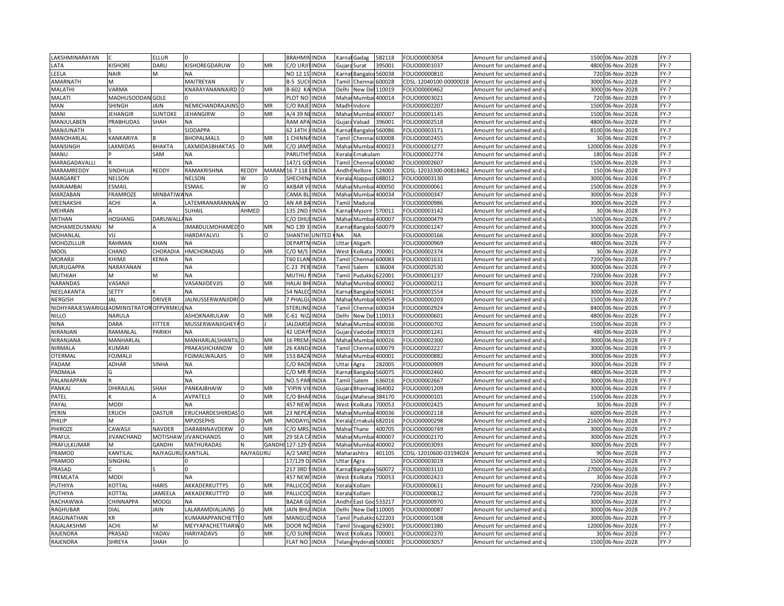| LAKSHMINARAYAN                           |                         | <b>ELLUR</b>   |                                 |           |              | <b>BRAHMININDIA</b>  |               | Karna                                                                                                                                                                  | Gadag                                                                                                                                                     | 582118 | FOLIO00003054                  | Amount for unclaimed and                        |       | 1500 06-Nov-2028           | $FY-7$ |
|------------------------------------------|-------------------------|----------------|---------------------------------|-----------|--------------|----------------------|---------------|------------------------------------------------------------------------------------------------------------------------------------------------------------------------|-----------------------------------------------------------------------------------------------------------------------------------------------------------|--------|--------------------------------|-------------------------------------------------|-------|----------------------------|--------|
| LATA                                     | <b>ISHORE</b>           | DARU           | KISHOREGDARUW                   | Ω         | MR           | C/O URJI             | <b>INDIA</b>  |                                                                                                                                                                        | Gujara Surat                                                                                                                                              | 395001 | OLIO00001037                   | Amount for unclaimed and u                      |       | 4800 06-Nov-2028           | $FY-7$ |
| LEELA                                    | NAIR                    | M              | <b>NA</b>                       |           |              | NO 12 19             | <b>INDIA</b>  |                                                                                                                                                                        | Karnai Bangaloi                                                                                                                                           | 560038 | FOLIO00000810                  | Amount for unclaimed and                        | 720   | 06-Nov-2028                | $FY-7$ |
| AMARNATH                                 | M                       |                | MAITREYAN                       |           |              | <b>B-5 SUCHINDIA</b> |               |                                                                                                                                                                        | Tamil Chennai                                                                                                                                             | 600028 |                                | CDSL-12040100-00000018 Amount for unclaimed and | 3000  | 06-Nov-2028                | $FY-7$ |
| MALATHI                                  | VARMA                   |                | KNARAYANANNAIRD O               |           | MR           | B-602 KA             | <b>INDIA</b>  | Delhi                                                                                                                                                                  | New De                                                                                                                                                    | 110019 | FOLIO00000462                  | Amount for unclaimed and                        | 3000  | 06-Nov-2028                | $FY-7$ |
| MALATI                                   | MADHUSOODAN GOLE        |                |                                 |           |              | PLOT NO              | <b>INDIA</b>  | Maha                                                                                                                                                                   | Mumbai                                                                                                                                                    | 400014 | FOLIO00003021                  | Amount for unclaimed and                        | 720   | 06-Nov-2028                | $FY-7$ |
| MAN                                      | SHINGH                  | JAIN           | NEMICHANDRAJAINS O              |           | MR           | C/O RAJI             | <b>INDIA</b>  | Madh                                                                                                                                                                   | Indore                                                                                                                                                    |        | FOLIO00002207                  |                                                 |       | 1500 06-Nov-2028           | FY-7   |
|                                          |                         |                |                                 |           |              |                      |               |                                                                                                                                                                        |                                                                                                                                                           |        |                                | Amount for unclaimed and                        |       |                            | $FY-7$ |
| MANI                                     | JEHANGIR                | <b>SUNTOKE</b> | <b>JEHANGIRW</b>                | O         | MR           | A/4 39 N             | <b>INDIA</b>  | Maha                                                                                                                                                                   | Mumbai                                                                                                                                                    | 400007 | FOLIO00001145                  | Amount for unclaimed and                        |       | 1500 06-Nov-2028           |        |
| MANJULABEN                               | PRABHUDAS               | <b>SHAH</b>    | <b>NA</b>                       |           |              | RAM APA INDIA        |               | Gujara                                                                                                                                                                 | Valsad                                                                                                                                                    | 396001 | FOLIO00002518                  | Amount for unclaimed and                        |       | 4800 06-Nov-2028           | $FY-7$ |
| MANJUNATH                                |                         |                | SIDDAPPA                        |           |              | 52 14TH              | <b>INDIA</b>  | (arn:                                                                                                                                                                  | Bangalo                                                                                                                                                   | 560086 | FOLIO00003171                  | Amount for unclaimed and                        | 8100  | 06-Nov-2028                | $FY-7$ |
| MANOHARLAL                               | <b><i>KANKARIYA</i></b> |                | <b>BHOPALMALS</b>               |           | MR           | <b>CHINNA</b>        | <b>INDIA</b>  | Tamil                                                                                                                                                                  | Chennai                                                                                                                                                   | 600008 | FOLIO00002455                  | Amount for unclaimed and u                      |       | 30 06-Nov-2028             | $FY-7$ |
| MANSINGH                                 | <b>AXMIDAS</b>          | <b>BHAKTA</b>  | LAXMIDASBHAKTAS                 | $\circ$   | MR           | C/O JAM              | <b>INDIA</b>  |                                                                                                                                                                        | Mahar Mumbai 400023                                                                                                                                       |        | FOLIO00001277                  | Amount for unclaimed and                        | 12000 | 06-Nov-2028                | $FY-7$ |
| MANU                                     |                         | SAM            | <b>NA</b>                       |           |              | PARUTHIY             | <b>INDIA</b>  |                                                                                                                                                                        | Kerala Ernakulam                                                                                                                                          |        | FOLIO00002774                  | Amount for unclaimed and u                      |       | 180 06-Nov-2028            | $FY-7$ |
| MARAGADAVALLI                            |                         |                | <b>NA</b>                       |           |              | 147/1 G              | <b>INDIA</b>  | Tamil                                                                                                                                                                  | Chennai 600040                                                                                                                                            |        | FOLIO00002607                  | Amount for unclaimed and                        | 1500  | 06-Nov-2028                | $FY-7$ |
| MARAMREDDY                               | SINDHUJA                | REDDY          | RAMAKRISHNA                     | REDDY     | <b>MARAN</b> | 16 7 118             | <b>INDIA</b>  | Andhi                                                                                                                                                                  | Nellore                                                                                                                                                   | 524003 | CDSL-12033300-00818462         | Amount for unclaimed and                        |       | 150 06-Nov-2028            | $FY-7$ |
| MARGARET                                 | NELSON                  |                | <b>NELSON</b>                   | W         |              | SHECHIN              | <b>INDIA</b>  | Kerala                                                                                                                                                                 | Alappu:                                                                                                                                                   | 588012 | FOLIO00003130                  | Amount for unclaimed and                        |       | 3000 06-Nov-2028           | $FY-7$ |
| MARIAMBAI                                | ESMAIL                  |                | ESMAIL                          | W         | O            | AKBAR <sup>I</sup>   | <b>INDIA</b>  | Maha                                                                                                                                                                   | Mumbai                                                                                                                                                    | 400050 | FOLIO00000061                  | Amount for unclaimed and                        |       | 1500 06-Nov-2028           | $FY-7$ |
| MARZABAN                                 | FRAMROZE                | MINBATIWANA    |                                 |           |              | CAMA BI              | <b>INDIA</b>  | Maha                                                                                                                                                                   | Mumbai                                                                                                                                                    | 400034 | FOLIO00000347                  | Amount for unclaimed and                        | 3000  | 06-Nov-2028                | $FY-7$ |
| MEENAKSHI                                | ACHI                    |                | ATEMRANARANNAN W                |           |              | AN AR B              | <b>INDIA</b>  | <b>Tami</b>                                                                                                                                                            | Madura                                                                                                                                                    |        | FOLIO00000986                  | Amount for unclaimed and                        | 3000  | 06-Nov-2028                | $FY-7$ |
| MEHRAN                                   |                         |                | SUHAIL                          | AHMED     |              | 135 2ND              | <b>INDIA</b>  |                                                                                                                                                                        | Karnal Mysore                                                                                                                                             | 570011 | FOLIO00003142                  | Amount for unclaimed and u                      |       | 30 06-Nov-2028             | $FY-7$ |
| MITHAN                                   | HOSHANG                 | DARUWALL/NA    |                                 |           |              | C/O DH               | <b>INDIA</b>  |                                                                                                                                                                        | Mahar Mumbai 400007                                                                                                                                       |        | FOLIO00000479                  | Amount for unclaimed and                        | 1500  | 06-Nov-2028                | $FY-7$ |
| MOHAMEDUSMANJ                            |                         |                | JMABDULMOHAMED: O               |           | MR           | NO 1393              | <b>INDIA</b>  |                                                                                                                                                                        | Karnat Bangalor 560079                                                                                                                                    |        | FOLIO00001247                  | Amount for unclaimed and u                      | 3000  | 06-Nov-2028                | $FY-7$ |
| MOHANLAL                                 | VIJ                     |                | HARDAYALVIJ                     |           | $\Omega$     | SHANTH               | <b>UNITED</b> | <b>NA</b>                                                                                                                                                              | <b>NA</b>                                                                                                                                                 |        | FOLIO00000166                  | Amount for unclaimed and                        | 3000  | 06-Nov-2028                | $FY-7$ |
| <b>MOHDZILLUR</b>                        | RAHMAN                  | KHAN           | <b>NA</b>                       |           |              | DEPARTN              | <b>INDIA</b>  | Jttar                                                                                                                                                                  | Aligarh                                                                                                                                                   |        | FOLIO00000969                  | Amount for unclaimed and                        | 4800  | 06-Nov-2028                | $FY-7$ |
| <b>MOOL</b>                              | CHAND                   | CHORADIA       | <b>HMCHORADIAS</b>              | O         | MR           | C/O M/S              | <b>INDIA</b>  | West                                                                                                                                                                   | Kolkata                                                                                                                                                   | 700001 | FOLIO00002374                  | Amount for unclaimed and                        |       | 30 06-Nov-2028             | $FY-7$ |
| MORARJI                                  | KHIMJI                  | KENIA          | <b>NA</b>                       |           |              | T60 ELAN             | <b>INDIA</b>  | <b>Tamil</b>                                                                                                                                                           | Chennai                                                                                                                                                   | 500083 | FOLIO00001631                  | Amount for unclaimed and                        |       | 7200 06-Nov-2028           | $FY-7$ |
| MURUGAPPA                                | NARAYANAN               |                | <b>NA</b>                       |           |              | C-23 PER INDIA       |               | Tamil                                                                                                                                                                  | Salem                                                                                                                                                     | 536004 | FOLIO00002530                  | Amount for unclaimed and u                      |       | 3000 06-Nov-2028           | $FY-7$ |
| MUTHIAH                                  | M                       | M              | <b>NA</b>                       |           |              | MUTHU                | <b>INDIA</b>  | 'ami                                                                                                                                                                   | Puduk                                                                                                                                                     | 622001 | FOLIO00001237                  | Amount for unclaimed and                        | 7200  | 06-Nov-2028                | $FY-7$ |
| NARANDAS                                 | VASANJI                 |                | VASANJIDEVJIS                   | $\Omega$  | MR           | HALAI BH             | <b>INDIA</b>  |                                                                                                                                                                        | Mahar Mumbai 400002                                                                                                                                       |        | FOLIO00000211                  | Amount for unclaimed and u                      |       | 3000 06-Nov-2028           | $FY-7$ |
| NEELAKANTA                               | SETTY                   |                | <b>NA</b>                       |           |              | 54 NALE              | <b>INDIA</b>  |                                                                                                                                                                        |                                                                                                                                                           | 560041 | FOLIO00001554                  |                                                 | 3000  | 06-Nov-2028                | $FY-7$ |
| NERGISH                                  | JAL                     | <b>DRIVER</b>  | JALNUSSERWANJIDRI O             |           | MR           | 7 PHALGI             | <b>INDIA</b>  | Karna<br>Mahar                                                                                                                                                         | Bangalor<br>Mumbai                                                                                                                                        | 400054 | FOLIO00000203                  | Amount for unclaimed and                        | 1500  | 06-Nov-2028                | $FY-7$ |
| NIDHYARAJESWARIGU ADMINISTRATOR OFPVRMKL |                         |                | <b>LNA</b>                      |           |              | STERLIN              | <b>INDIA</b>  | Tami                                                                                                                                                                   |                                                                                                                                                           | 500034 |                                | Amount for unclaimed and u                      | 8400  |                            | $FY-7$ |
|                                          | NARULA                  |                |                                 |           |              | $-61$ NIZ            |               |                                                                                                                                                                        | Chenn                                                                                                                                                     |        | FOLIO00002924                  | Amount for unclaimed and                        |       | 06-Nov-2028                | $FY-7$ |
| <b>NILLO</b>                             |                         |                | ASHOKNARULAW                    |           | MR           |                      | <b>INDIA</b>  | Delhi                                                                                                                                                                  | New De                                                                                                                                                    | 110013 | FOLIO00000601                  | Amount for unclaimed and                        | 4800  | 06-Nov-2028                |        |
| <b>NINA</b>                              | DARA                    | <b>FITTER</b>  | MUSSERWANJIGHEYA O              |           |              | <b>JALDARS</b>       | <b>INDIA</b>  | Maha                                                                                                                                                                   | Mumba                                                                                                                                                     | 400036 | FOLIO00000702                  | Amount for unclaimed and                        | 1500  | 06-Nov-2028                | $FY-7$ |
| NIRANJAN                                 | RAMANLAL                | PARIKH         | <b>NA</b>                       |           |              | 42 UDAY              | <b>INDIA</b>  | Gujar                                                                                                                                                                  | Vadoda                                                                                                                                                    | 390019 | FOLIO00001241                  | Amount for unclaimed and                        | 480   | 06-Nov-2028                | $FY-7$ |
| NIRANJANA                                | MANHARLAL               |                | MANHARLALSHANTIL O              |           | ΜR           | 16 PREM              | <b>INDIA</b>  | Maha                                                                                                                                                                   | Mumb                                                                                                                                                      | 400026 | FOLIO00002300                  | Amount for unclaimed and                        | 3000  | 06-Nov-2028                | $FY-7$ |
| NIRMALA                                  | KUMARI                  |                | PRAKASHCHANDW                   |           | MR           | 26 KAND              | <b>INDIA</b>  | Гаmі                                                                                                                                                                   | Chenn                                                                                                                                                     | 500079 | FOLIO00002227                  | Amount for unclaimed and                        | 3000  | 06-Nov-2028                | $FY-7$ |
| <b>OTERMAL</b>                           | FOJMALJI                |                | <b>FOJMALWALAJIS</b>            | Ω         | MR           | 153 BAZA             | <b>INDIA</b>  |                                                                                                                                                                        | Mahar Mumbai                                                                                                                                              | 400001 | FOLIO00000882                  | Amount for unclaimed and u                      |       | 3000 06-Nov-2028           | $FY-7$ |
| PADAM                                    | ADHAR                   | <b>SINHA</b>   | <b>NA</b>                       |           |              | C/O RAD              | <b>INDIA</b>  | <b>Jttar</b>                                                                                                                                                           | Agra                                                                                                                                                      | 282005 | FOLIO00000909                  | Amount for unclaimed and                        | 3000  | 06-Nov-2028                | $FY-7$ |
| PADMAJA                                  |                         |                | NΑ                              |           |              | C/O MR I             | PINDIA        |                                                                                                                                                                        | Carnat Bangalor                                                                                                                                           | 560075 | OLIO00002460                   | Amount for unclaimed and u                      | 4800  | 06-Nov-2028                | FY-7   |
| PALANIAPPAN                              |                         |                | <b>NA</b>                       |           |              | <b>NO.5 PA</b>       | <b>INDIA</b>  | Tamil                                                                                                                                                                  | Salem                                                                                                                                                     | 636016 | FOLIO00002667                  | Amount for unclaimed and                        | 3000  | 06-Nov-2028                | $FY-7$ |
| PANKAJ                                   | DHIRAJLAL               | SHAH           | PANKAJBHAIW                     | $\Omega$  | MR           | <b>VIPIN VI</b>      | <b>INDIA</b>  | Gujara                                                                                                                                                                 | Bhavnag                                                                                                                                                   | 364002 | FOLIO00001209                  | Amount for unclaimed and                        | 3000  | 06-Nov-2028                | $FY-7$ |
| PATEL                                    |                         |                | <b>AVPATELS</b>                 | O         | MR           | C/O BHA              | <b>INDIA</b>  | Gujar                                                                                                                                                                  | Mahesa                                                                                                                                                    | 384170 | FOLIO00000101                  | Amount for unclaimed and                        | 1500  | 06-Nov-2028                | $FY-7$ |
| PAYAL                                    | <b>MODI</b>             |                |                                 |           |              | 457 NEW              | <b>INDIA</b>  | West                                                                                                                                                                   | <olkata< td=""><td>700053</td><td>FOLIO00002425</td><td>Amount for unclaimed and</td><td></td><td>30 06-Nov-2028</td><td><math>FY-7</math></td></olkata<> | 700053 | FOLIO00002425                  | Amount for unclaimed and                        |       | 30 06-Nov-2028             | $FY-7$ |
| PERIN                                    | <b>ERUCH</b>            | <b>DASTUR</b>  | ERUCHARDESHIRDAS <sup>1</sup> O |           | MR           | 23 NEPEA             | <b>INDIA</b>  | Maha                                                                                                                                                                   | Mumba                                                                                                                                                     | 400036 | FOLIO00002118                  | Amount for unclaimed and                        | 6000  | 06-Nov-2028                | $FY-7$ |
| PHILIP                                   | M                       |                | <b>MPJOSEPHS</b>                |           | MR           | MODAY                | <b>INDIA</b>  | <eral< td=""><td>Ernaku</td><td>682016</td><td>FOLIO00000298</td><td>Amount for unclaimed and</td><td>21600</td><td>06-Nov-2028</td><td><math>FY-7</math></td></eral<> | Ernaku                                                                                                                                                    | 682016 | FOLIO00000298                  | Amount for unclaimed and                        | 21600 | 06-Nov-2028                | $FY-7$ |
| PHIROZE                                  | CAWASJI                 | NAVDER         | DARABNNAVDERW                   | $\Omega$  | MR           | C/O MRS              | <b>INDIA</b>  | Mahar                                                                                                                                                                  | Thane                                                                                                                                                     | 400705 | FOLIO00000749                  | Amount for unclaimed and                        |       | 3000 06-Nov-2028           | FY-7   |
| PRAFUL                                   | <b>IIVANCHAND</b>       | MOTISHAV       | <b>JIVANCHANDS</b>              | $\Omega$  | MR           | 29 SEA 0             | <b>INDIA</b>  |                                                                                                                                                                        | Mahar Mumb                                                                                                                                                | 400007 | FOLIO00002170                  | Amount for unclaimed and                        | 3000  | 06-Nov-2028                | $FY-7$ |
| PRAFULKUMAR                              | V.                      | GANDHI         | <b>MATHURADAS</b>               |           | <b>GANDH</b> | 127-129              | <b>INDIA</b>  |                                                                                                                                                                        | Mahar Mumbai                                                                                                                                              | 400002 | OLIO00003093                   | Amount for unclaimed and                        |       | 3000 06-Nov-2028           | $FY-7$ |
| PRAMOD                                   | KANTILAL                | RAJYAGURI      | KANTILAL                        | RAJYAGURU |              | A/2 SARI             | <b>INDIA</b>  |                                                                                                                                                                        | Maharashtra                                                                                                                                               | 401105 | CDSL-12010600-03194024         | Amount for unclaimed and                        | 90    | 06-Nov-2028                | $FY-7$ |
| PRAMOD                                   | SINGHAL                 |                |                                 |           |              | 17/129 D/INDIA       |               | Uttar                                                                                                                                                                  | <b>Agra</b>                                                                                                                                               |        | FOLIO00003019                  | Amount for unclaimed and                        | 1500  | 06-Nov-2028                | $FY-7$ |
| PRASAD                                   |                         |                |                                 |           |              | 217 3RD              | <b>INDIA</b>  |                                                                                                                                                                        | Karnai Bangaloi 560072                                                                                                                                    |        | FOLIO00003110                  | Amount for unclaimed and                        |       | 27000 06-Nov-2028          | FY-7   |
| PREMLATA                                 | MODI                    |                |                                 |           |              | 457 NEW              | <b>INDIA</b>  | West                                                                                                                                                                   | Kolkata                                                                                                                                                   | 700053 | FOLIO00002423                  | Amount for unclaimed and                        |       | 30 06-Nov-2028             | $FY-7$ |
| PUTHIYA                                  | <b>COTTAI</b>           | <b>HARIS</b>   | AKKADERKUTTYS                   | $\Omega$  | MR           | PALLICOC             | <b>INDIA</b>  | Kerala                                                                                                                                                                 | Kollam                                                                                                                                                    |        | FOLIO00000611                  | Amount for unclaimed and                        |       | 7200 06-Nov-2028           | $FY-7$ |
| PUTHIYA                                  | <b>COTTAI</b>           | JAMEELA        | AKKADERKUTTYD                   | $\Omega$  | MR           | PALLICO              | INDIA         | erala                                                                                                                                                                  | ollam)                                                                                                                                                    |        | FOLIO00000612                  | Amount for unclaimed and                        | 7200  | 06-Nov-2028                | $FY-7$ |
| RACHAWWA                                 | CHINNAPPA               | <b>MOOGI</b>   | NA                              |           |              | <b>BAZAR GUINDIA</b> |               | Andhr                                                                                                                                                                  | East God 533217                                                                                                                                           |        | FOLIO00000970                  |                                                 |       | 3000 06-Nov-2028           | $FY-7$ |
| RAGHUBAR                                 | DIAL                    | <b>JAIN</b>    | LALARAMDIALJAINS                | $\Omega$  | MR           | <b>JAIN BH</b>       | <b>INDIA</b>  | Delhi                                                                                                                                                                  | New De                                                                                                                                                    | 110005 |                                | Amount for unclaimed and                        | 3000  | 06-Nov-2028                | $FY-7$ |
| RAGUNATHAN                               | ΚR.                     |                | KUMARAPPANCHETTIO               |           | MR           | <b>MANGUDINDIA</b>   |               |                                                                                                                                                                        | Tamil Pudukko 622203                                                                                                                                      |        | FOLIO00000087<br>FOLIO00001508 | Amount for unclaimed and                        | 3000  |                            | $FY-7$ |
|                                          | ACHI                    | M              | MEYYAPACHETTIARWO               |           | MR           | DOOR N               | <b>INDIA</b>  |                                                                                                                                                                        |                                                                                                                                                           | 523001 | FOLIO00001380                  | Amount for unclaimed and                        | 12000 | 06-Nov-2028<br>06-Nov-2028 | $FY-7$ |
| RAJALAKSHMI                              |                         |                |                                 |           | MR           |                      |               | Tami                                                                                                                                                                   | Sivagaı                                                                                                                                                   |        |                                | Amount for unclaimed and                        |       |                            |        |
| RAJENDRA                                 | PRASAD                  | YADAV          | <b>HARIYADAVS</b>               |           |              | C/O SUN              | <b>INDIA</b>  | West                                                                                                                                                                   | olkata)                                                                                                                                                   | 700001 | FOLIO00002370                  | Amount for unclaimed and                        |       | 30 06-Nov-2028             | $FY-7$ |
| RAJENDRA                                 | SHREYA                  | <b>SHAH</b>    |                                 |           |              | <b>FLAT NO</b>       | <b>INDIA</b>  |                                                                                                                                                                        | Telang Hyderab 500001                                                                                                                                     |        | FOLIO00003057                  | Amount for unclaimed and                        |       | 1500 06-Nov-2028           | $FY-7$ |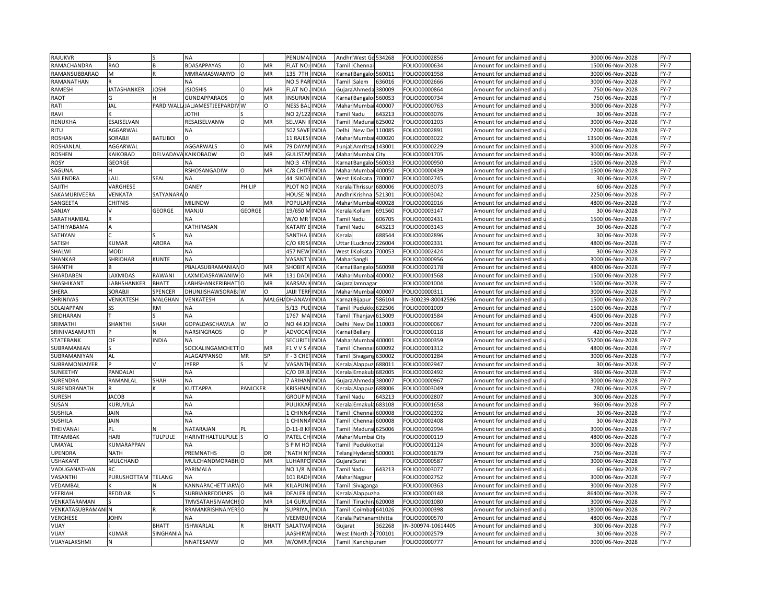| RAJUKVR         |                              |                          | NA                             |                 |              | PENUMALINDIA        |              |                                                                                                                                                                                            | Andhr West Go 534268   |        | FOLIO00002856      | Amount for unclaimed and                          | 3000  | 06-Nov-2028      | $FY-7$ |
|-----------------|------------------------------|--------------------------|--------------------------------|-----------------|--------------|---------------------|--------------|--------------------------------------------------------------------------------------------------------------------------------------------------------------------------------------------|------------------------|--------|--------------------|---------------------------------------------------|-------|------------------|--------|
| RAMACHANDRA     | <b>RAO</b>                   |                          | <b>BDASAPPAYAS</b>             |                 | MR           | FLAT NO:            | <b>INDIA</b> |                                                                                                                                                                                            | Tamil Chennai          |        | OLIO00000634       | Amount for unclaimed and $\overline{\phantom{a}}$ |       | 1500 06-Nov-2028 | $FY-7$ |
| RAMANSUBBARAO   | M                            |                          | MMRAMASWAMYD                   | $\circ$         | MR           | 135 7TH             | <b>INDIA</b> |                                                                                                                                                                                            | Karnat Bangaloi 560011 |        | OLIO00001958       | Amount for unclaimed and                          | 3000  | 06-Nov-2028      | $FY-7$ |
| RAMANATHAN      |                              |                          | <b>NA</b>                      |                 |              | NO.5 PARINDIA       |              |                                                                                                                                                                                            | Tamil Salem            | 636016 | OLIO00002666       | Amount for unclaimed and u                        |       | 3000 06-Nov-2028 | $FY-7$ |
| RAMESH          | <b>JATASHANKER</b>           | JOSHI                    | <b>JSJOSHIS</b>                | $\circ$         | MR           | <b>FLAT NO</b>      | <b>INDIA</b> |                                                                                                                                                                                            | Gujara Ahmeda          | 380009 | OLIO00000864       | Amount for unclaimed and                          | 750   | 06-Nov-2028      | $FY-7$ |
| RAOT            |                              |                          | GUNDAPPARAOS                   | $\Omega$        | MR           | INSURAN             | <b>INDIA</b> |                                                                                                                                                                                            |                        | 560053 | OLIO00000734       |                                                   | 750   | 06-Nov-2028      | $FY-7$ |
|                 |                              |                          |                                |                 |              |                     |              |                                                                                                                                                                                            | (arnat Bangalo         |        |                    | Amount for unclaimed and $\overline{\phantom{a}}$ |       |                  |        |
| RATI            | JAL                          | PARDIWAL                 | JALJAMESTJEEPARDIV W           |                 | $\Omega$     | <b>NESS BA</b>      | <b>INDIA</b> |                                                                                                                                                                                            | Mahar Mumba            | 400007 | OLIO00000763       | Amount for unclaimed and                          | 3000  | 06-Nov-2028      | FY-7   |
| RAVI            |                              |                          | <b>IHTOI</b>                   |                 |              | NO 2/12             | <b>INDIA</b> |                                                                                                                                                                                            | Tamil Nadu             | 543213 | OLIO00003076       | Amount for unclaimed and $\iota$                  | 30    | 06-Nov-2028      | $FY-7$ |
| RENUKHA         | ESAISELVAN                   |                          | RESAISELVANW                   | $\Omega$        | <b>MR</b>    | SELVAN              | <b>INDIA</b> |                                                                                                                                                                                            | Tamil Madura           | 625002 | FOLIO00001203      | Amount for unclaimed and                          | 3000  | 06-Nov-2028      | $FY-7$ |
| RITU            | AGGARWAL                     |                          | NA                             |                 |              | 502 SAVI            | <b>INDIA</b> | Delhi                                                                                                                                                                                      | New De                 | 110085 | OLIO00002891       | Amount for unclaimed and                          | 7200  | 06-Nov-2028      | $FY-7$ |
| <b>ROSHAN</b>   | SORABJI                      | <b>BATLIBOI</b>          |                                |                 |              | 11 RAJES            | <b>INDIA</b> |                                                                                                                                                                                            | Mahar Mumbai           | 400020 | OLIO00003022       | Amount for unclaimed and เ                        | 13500 | 06-Nov-2028      | $FY-7$ |
| ROSHANLAL       | AGGARWAL                     |                          | <b>AGGARWALS</b>               | $\circ$         | MR           | 79 DAYA             | <b>INDIA</b> | Punjal                                                                                                                                                                                     | Amritsar 143001        |        | OLIO00000229       | Amount for unclaimed and                          | 3000  | 06-Nov-2028      | $FY-7$ |
| <b>ROSHEN</b>   | <b><i><u>AIKOBAD</u></i></b> |                          | DELVADAVA KAIKOBADW            | $\circ$         | MR           | <b>GULISTAM</b>     | <b>INDIA</b> |                                                                                                                                                                                            | Mahar Mumbai City      |        | OLIO00001705       | Amount for unclaimed and u                        | 3000  | 06-Nov-2028      | FY-7   |
| <b>ROSY</b>     | GEORGE                       |                          | <b>NA</b>                      |                 |              | <b>NO:3 4TI</b>     | <b>INDIA</b> |                                                                                                                                                                                            | Karnal Bangaloi 560033 |        | FOLIO00000950      | Amount for unclaimed and                          | 1500  | 06-Nov-2028      | $FY-7$ |
| SAGUNA          |                              |                          | RSHOSANGADIW                   | $\circ$         | MR           | C/8 CHITF           | <b>INDIA</b> | Maha                                                                                                                                                                                       | Mumbai                 | 400050 | OLIO00000439       | Amount for unclaimed and u                        | 1500  | 06-Nov-2028      | $FY-7$ |
| SAILENDRA       | LALL                         | SEAL                     | <b>NA</b>                      |                 |              | 44 SIKDA INDIA      |              | West                                                                                                                                                                                       | Kolkata                | 700007 | FOLIO00002745      | Amount for unclaimed and                          |       | 30 06-Nov-2028   | $FY-7$ |
| SAJITH          | VARGHESE                     |                          | DANEY                          | PHILIP          |              | PLOT NO             | <b>INDIA</b> | <erala< td=""><td>Thrissur</td><td>680006</td><td>OLIO00003073</td><td>Amount for unclaimed and <math>\iota</math></td><td>60</td><td>06-Nov-2028</td><td><math>FY-7</math></td></erala<>  | Thrissur               | 680006 | OLIO00003073       | Amount for unclaimed and $\iota$                  | 60    | 06-Nov-2028      | $FY-7$ |
| SAKAMURIVEERA   | VENKATA                      | SATYANARA <sup>I</sup> C |                                |                 |              | <b>HOUSE N</b>      | <b>INDIA</b> | Andhi                                                                                                                                                                                      | Krishna                | 521301 | FOLIO00003042      | Amount for unclaimed and                          | 2250  | 06-Nov-2028      | $FY-7$ |
| SANGEETA        | <b>CHITNIS</b>               |                          | <b>MILINDW</b>                 |                 | MR           | POPULAI             | <b>INDIA</b> | Maha                                                                                                                                                                                       | Mumba                  | 400028 | OLIO00002016       | Amount for unclaimed and                          | 4800  | 06-Nov-2028      | $FY-7$ |
|                 |                              | GEORGE                   | MANJU                          | <b>GEORGE</b>   |              | 19/650 N            |              |                                                                                                                                                                                            | Kerala Kollam          |        | OLIO00003147       |                                                   |       |                  | $FY-7$ |
| SANJAY          |                              |                          |                                |                 |              |                     | <b>INDIA</b> |                                                                                                                                                                                            |                        | 691560 |                    | Amount for unclaimed and u                        |       | 30 06-Nov-2028   |        |
| SARATHAMBAI     |                              |                          | <b>NA</b>                      |                 |              | W/O MF              | <b>INDIA</b> |                                                                                                                                                                                            | Tamil Nadu             | 606705 | OLIO00002431       | Amount for unclaimed and                          | 1500  | 06-Nov-2028      | $FY-7$ |
| SATHIYABAMA     |                              |                          | KATHIRASAN                     |                 |              | KATARY              | <b>INDIA</b> |                                                                                                                                                                                            | Tamil Nadu             | 643213 | OLIO00003143       | Amount for unclaimed and u                        |       | 30 06-Nov-2028   | $FY-7$ |
| SATHYAN         |                              |                          | <b>NA</b>                      |                 |              | SANTHA              | <b>INDIA</b> | Kerala                                                                                                                                                                                     |                        | 688544 | FOLIO00002896      | Amount for unclaimed and                          |       | 30 06-Nov-2028   | $FY-7$ |
| SATISH          | KUMAR                        | <b>ARORA</b>             | <b>NA</b>                      |                 |              | C/O KRIS            | <b>INDIA</b> | Uttar                                                                                                                                                                                      | Lucknoy                | 226004 | OLIO00002331       | Amount for unclaimed and u                        |       | 4800 06-Nov-2028 | $FY-7$ |
| SHALWI          | MODI                         |                          | <b>NA</b>                      |                 |              | <b>457 NEW</b>      | <b>INDIA</b> | West                                                                                                                                                                                       | Kolkata                | 700053 | FOLIO00002424      | Amount for unclaimed and                          |       | 30 06-Nov-2028   | $FY-7$ |
| SHANKAR         | SHRIDHAR                     | KUNTE                    | <b>NA</b>                      |                 |              | VASANT              | <b>INDIA</b> | Mahar                                                                                                                                                                                      | Sangli                 |        | FOLIO00000956      | Amount for unclaimed and <b>u</b>                 | 3000  | 06-Nov-2028      | $FY-7$ |
| SHANTHI         |                              |                          | PBALASUBRAMANIANO              |                 | MR           | SHOBIT              | <b>INDIA</b> | (arna                                                                                                                                                                                      | Bangaloi 560098        |        | FOLIO00002178      | Amount for unclaimed and                          | 4800  | 06-Nov-2028      | $FY-7$ |
| SHARDABEN       | LAXMIDAS                     | RAWANI                   | LAXMIDASRAWANIWO               |                 | MR           | 131 DAI             | INDIA        | Maha                                                                                                                                                                                       | Mumbai                 | 400002 | OLIO00001568       | Amount for unclaimed and                          | 1500  | 06-Nov-2028      | $FY-7$ |
| SHASHIKANT      | <b>ABHSHANKER</b>            | <b>BHATT</b>             | LABHSHANKERIBHAT10             |                 | MR           | KARSAN              | <b>INDIA</b> |                                                                                                                                                                                            | Gujara Jamnagar        |        | OLIO00001004       | Amount for unclaimed and $\overline{\phantom{a}}$ | 1500  | 06-Nov-2028      | $FY-7$ |
| SHERA           | SORABJI                      | SPENCER                  | DHUNJISHAWSORABJ W             |                 | $\Omega$     | JAIJI TEF           | <b>INDIA</b> |                                                                                                                                                                                            | Mahar Mumbai 400007    |        | OLIO00000311       | Amount for unclaimed and                          | 3000  | 06-Nov-2028      | $FY-7$ |
| SHRINIVAS       | VENKATESH                    | MALGHAN                  | VENKATESH                      |                 |              | MALGH/DHANAV        | <b>INDIA</b> |                                                                                                                                                                                            | arnal Bijapur          | 586104 | N-300239-80042596  | Amount for unclaimed and <code>u</code>           | 1500  | 06-Nov-2028      | $FY-7$ |
| SOLAIAPPAN      | SS                           | <b>RM</b>                | <b>NA</b>                      |                 |              | 5/13 Pl             | <b>INDIA</b> | Tami                                                                                                                                                                                       | Pudukko                | 622506 | FOLIO00001009      | Amount for unclaimed and                          | 1500  | 06-Nov-2028      | $FY-7$ |
| SRIDHARAN       |                              |                          | <b>NA</b>                      |                 |              | 1767 MA             | <b>INDIA</b> | Tamil                                                                                                                                                                                      | Thanjavı               | 613009 | OLIO00001584       | Amount for unclaimed and u                        | 4500  | 06-Nov-2028      | $FY-7$ |
| SRIMATHI        | SHANTHI                      | <b>SHAH</b>              | GOPALDASCHAWLA                 | W               | $\Omega$     | NO 44 JC            | <b>INDIA</b> | Delhi                                                                                                                                                                                      | New Del                | 110003 | FOLIO00000067      | Amount for unclaimed and                          | 7200  | 06-Nov-2028      | $FY-7$ |
| SRINIVASAMURTI  |                              |                          | NARSINGRAOS                    | $\Omega$        |              | ADVOCA              | <b>INDIA</b> | Karna                                                                                                                                                                                      | Bellary                |        | FOLIO00000118      | Amount for unclaimed and                          | 420   | 06-Nov-2028      | $FY-7$ |
|                 |                              | <b>INDIA</b>             |                                |                 |              | <b>SECURIT</b>      |              |                                                                                                                                                                                            |                        |        |                    |                                                   | 55200 |                  | $FY-7$ |
| STATEBANK       | OF                           |                          | NA                             |                 |              |                     | INDIA        | Maha                                                                                                                                                                                       | Mumbai                 | 400001 | FOLIO00000359      | Amount for unclaimed and                          |       | 06-Nov-2028      |        |
| SUBRAMANIAN     |                              |                          | SOCKALINGAMCHETTO              |                 | MR           | <b>F1 V V S</b>     | INDIA        | Tami                                                                                                                                                                                       | Chennai                | 600092 | OLIO00001312       | Amount for unclaimed and                          | 4800  | 06-Nov-2028      | $FY-7$ |
| SUBRAMANIYAN    | AL                           |                          | ALAGAPPANSO                    | MR              | SP           | F - 3 CHE           | <b>INDIA</b> | Tamil                                                                                                                                                                                      | Sivagang               | 530002 | OLIO00001284       | Amount for unclaimed and $\overline{\phantom{a}}$ | 3000  | 06-Nov-2028      | FY-7   |
| SUBRAMONIAIYER  |                              |                          | <b>IYERP</b>                   |                 |              | VASANT              | <b>INDIA</b> | <erala< td=""><td>Alappuz</td><td>688011</td><td>OLIO00002947</td><td>Amount for unclaimed and</td><td>30</td><td>06-Nov-2028</td><td><math>FY-7</math></td></erala<>                      | Alappuz                | 688011 | OLIO00002947       | Amount for unclaimed and                          | 30    | 06-Nov-2028      | $FY-7$ |
| SUNEETHY        | PANDALAI                     |                          | NΑ                             |                 |              | C/O DR.B            | <b>INDIA</b> | <b>Cerala</b>                                                                                                                                                                              | Ernakula               | 682005 | OLIO00002492       | Amount for unclaimed and u                        | 960   | 06-Nov-2028      | FY-7   |
| SURENDRA        | RAMANLAL                     | SHAH                     | <b>NA</b>                      |                 |              | <b>7 ARIHAI</b>     | <b>INDIA</b> |                                                                                                                                                                                            | Gujara Ahmeda          | 380007 | FOLIO00000967      | Amount for unclaimed and                          | 3000  | 06-Nov-2028      | $FY-7$ |
| SURENDRANATH    |                              |                          | <b>KUTTAPPA</b>                | <b>PANICKER</b> |              | <b>KRISHNA</b>      | <b>INDIA</b> |                                                                                                                                                                                            | Cerala Alappuz         | 688006 | OLIO00003049       | Amount for unclaimed and $\iota$                  | 780   | 06-Nov-2028      | $FY-7$ |
| <b>SURESH</b>   | <b>JACOB</b>                 |                          | <b>NA</b>                      |                 |              | GROUP               | <b>INDIA</b> |                                                                                                                                                                                            | Tamil Nadu             | 543213 | OLIO00002807       | Amount for unclaimed and                          | 300   | 06-Nov-2028      | $FY-7$ |
| SUSAN           | KURUVILA                     |                          | <b>NA</b>                      |                 |              | PULIKK/             | INDIA        | <erala< td=""><td>Ernakula</td><td>683108</td><td>OLIO00001658</td><td>Amount for unclaimed and <math>\iota</math></td><td>960</td><td>06-Nov-2028</td><td><math>FY-7</math></td></erala<> | Ernakula               | 683108 | OLIO00001658       | Amount for unclaimed and $\iota$                  | 960   | 06-Nov-2028      | $FY-7$ |
| <b>SUSHILA</b>  | JAIN                         |                          | NA                             |                 |              | 1 CHINN             | <b>INDIA</b> | Tamil                                                                                                                                                                                      | Chennai                | 600008 | OLIO00002392       | Amount for unclaimed and                          |       | 30 06-Nov-2028   | $FY-7$ |
| SUSHILA         | JAIN                         |                          | NΑ                             |                 |              | L CHINN             | INDIA        | Tami                                                                                                                                                                                       | Chennai                | 600008 | OLIO00002408       | Amount for unclaimed and                          | 30    | 06-Nov-2028      | $FY-7$ |
| THEIVANAI       | PL                           |                          | NATARAJAN                      | P               |              | D-11-B K            | <b>INDIA</b> | Tamil                                                                                                                                                                                      | Madurai 625006         |        | OLIO00002994       | Amount for unclaimed and                          |       | 3000 06-Nov-2028 | FY-7   |
| TRYAMBAK        | HARI                         | <b>TULPULE</b>           | HARIVITHALTULPULE <sup>S</sup> |                 | $\circ$      | PATEL CI            | <b>INDIA</b> |                                                                                                                                                                                            | Mahar Mumbai City      |        | OLIO00000119       | Amount for unclaimed and                          | 4800  | 06-Nov-2028      | $FY-7$ |
| UMAYAL          | <b>CUMARAPPAN</b>            |                          | <b>NA</b>                      |                 |              | SPMHO               | <b>INDIA</b> |                                                                                                                                                                                            | Tamil Pudukkottai      |        | OLIO00001124       | Amount for unclaimed and u                        | 3000  | 06-Nov-2028      | $FY-7$ |
| <b>UPENDRA</b>  | <b>NATH</b>                  |                          | PREMNATHS                      | $\circ$         | DR           | <b>NATH N</b>       | <b>INDIA</b> |                                                                                                                                                                                            | Telang Hyderab 500001  |        | FOLIO00001679      | Amount for unclaimed and                          | 750   | 06-Nov-2028      | $FY-7$ |
| USHAKANT        | MULCHAND                     |                          | MULCHANDMORABH O               |                 | MR           | LUHARPO             | INDIA        |                                                                                                                                                                                            | Gujara Surat           |        | OLIO00000587       | Amount for unclaimed and $\iota$                  | 3000  | 06-Nov-2028      | $FY-7$ |
|                 |                              |                          |                                |                 |              |                     |              |                                                                                                                                                                                            |                        |        |                    |                                                   |       |                  |        |
| VADUGANATHAN    | RC                           |                          | PARIMALA                       |                 |              | NO 1/8              | <b>INDIA</b> |                                                                                                                                                                                            | Tamil Nadu             | 643213 | FOLIO00003077      | Amount for unclaimed and                          | 60    | 06-Nov-2028      | FY-7   |
| VASANTHI        | PURUSHOTTAM TELANG           |                          | <b>NA</b>                      |                 |              | <b>101 RAD</b>      | <b>INDIA</b> |                                                                                                                                                                                            | Mahar Nagpur           |        | FOLIO00002752      | Amount for unclaimed and <b>u</b>                 | 3000  | 06-Nov-2028      | $FY-7$ |
| VEDAMBAL        |                              |                          | KANNAPACHETTIARWO              |                 | MR           | KILAPUN             | <b>INDIA</b> |                                                                                                                                                                                            | Tamil Sivaganga        |        | FOLIO00000363      | Amount for unclaimed and                          | 3000  | 06-Nov-2028      | $FY-7$ |
| VEERIAH         | REDDIAR                      |                          | SUBBIANREDDIARS                |                 | MR           | DEALER              | <b>INDIA</b> | <erala< td=""><td>Alappuzha</td><td></td><td>OLIO00000148</td><td>Amount for unclaimed and</td><td>86400</td><td>06-Nov-2028</td><td><math>FY-7</math></td></erala<>                       | Alappuzha              |        | OLIO00000148       | Amount for unclaimed and                          | 86400 | 06-Nov-2028      | $FY-7$ |
| VENKATARAMAN    |                              |                          | TMVSATAHSIVAMCHI O             |                 | MR           | 14 GURL             | <b>INDIA</b> | Tamil                                                                                                                                                                                      | Tiruchira 620008       |        | FOLIO00001080      | Amount for unclaimed and                          | 3000  | 06-Nov-2028      | FY-7   |
| VENKATASUBRAMAN |                              |                          | RRAMAKRISHNAIYERSO             |                 | N            | <b>SUPRIY</b>       | <b>INDIA</b> | Tamil                                                                                                                                                                                      | Coimbat 641026         |        | OLIO00000398       | Amount for unclaimed and                          | 18000 | 06-Nov-2028      | $FY-7$ |
| VERGHESE        | JOHN                         |                          | NΑ                             |                 |              | <b>VEEMBUHINDIA</b> |              |                                                                                                                                                                                            | Kerala Pathanamthitta  |        | OLIO00000570       | Amount for unclaimed and $\mathfrak t$            | 4800  | 06-Nov-2028      | $FY-7$ |
| VIJAY           |                              | <b>BHATT</b>             | <b>ISHWARLAL</b>               | R               | <b>BHATT</b> | SALATW.             | <b>INDIA</b> | Gujarat                                                                                                                                                                                    |                        | 362268 | IN-300974-10614405 | Amount for unclaimed and                          | 300   | 06-Nov-2028      | $FY-7$ |
| VIJAY           | KUMAR                        | <b>SINGHANIA</b>         | <b>NA</b>                      |                 |              | AASHIRW INDIA       |              |                                                                                                                                                                                            | West I North 24700101  |        | FOLIO00002579      | Amount for unclaimed and $\iota$                  |       | 30 06-Nov-2028   | $FY-7$ |
| VIJAYALAKSHMI   |                              |                          | NNATESANW                      | O               | MR           | W/OMR.              | <b>INDIA</b> |                                                                                                                                                                                            | Tamil Kanchipuram      |        | FOLIO00000777      | Amount for unclaimed and                          |       | 3000 06-Nov-2028 | $FY-7$ |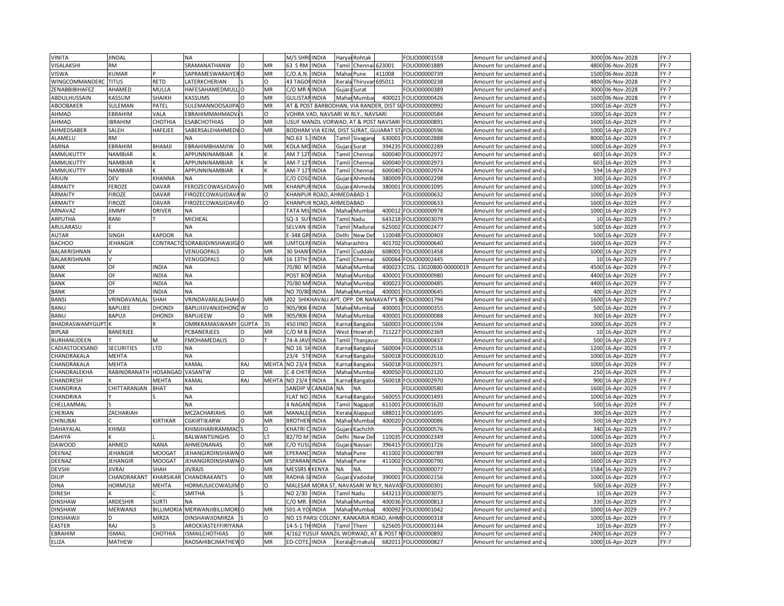| VINITA                | <b>JINDAL</b>     |                | <b>NA</b>                |              |              | M/S SHRI             | <b>INDIA</b>                       | Harya     | Rohtak               |                                         | FOLIO00001558                                       | Amount for unclaimed and                               | 3000 | 06-Nov-2028      | $FY-7$ |
|-----------------------|-------------------|----------------|--------------------------|--------------|--------------|----------------------|------------------------------------|-----------|----------------------|-----------------------------------------|-----------------------------------------------------|--------------------------------------------------------|------|------------------|--------|
| VISALAKSHI            | <b>RM</b>         |                | SRAMANATHANW             |              | MR           | 63 S RM              | <b>INDIA</b>                       |           | Tamil Chennai 623001 |                                         | FOLIO00001889                                       | Amount for unclaimed and u                             | 4800 | 06-Nov-2028      | $FY-7$ |
| <b>VISWA</b>          | <b>KUMAR</b>      |                | SAPRAMESWARAIYER O       |              | MR           | C/O.A.N.             | <b>INDIA</b>                       |           | Mahar Pune           | 411008                                  | FOLIO00000739                                       | Amount for unclaimed and i                             |      | 1500 06-Nov-2028 | $FY-7$ |
| WINGCOMMANDERC        | <b>TITUS</b>      | RETD           | ATERKCHERIAN             |              | $\Omega$     | <b>43 TAGOFINDIA</b> |                                    | Kerala    | Thiruvar             | 695011                                  | OLIO00000238                                        | Amount for unclaimed and <b>u</b>                      | 4800 | 06-Nov-2028      | $FY-7$ |
| <b>ZENABBIBIHAFEZ</b> | AHAMED            | MULLA          | HAFESAHAMEDMULLO         |              | MR           | C/O MR <sup>N</sup>  | <b>INDIA</b>                       | Guiara    | Surat                |                                         | FOLIO00000389                                       | Amount for unclaimed and i                             | 3000 | 06-Nov-2028      | $FY-7$ |
| ABDULHUSSAIN          | KASSUM            | SHAIKH         | <b><i>ASSUMS</i></b>     |              | MR           | <b>GULISTANINDIA</b> |                                    |           | Mahar Mumba          | 40002                                   | OLIO00000426                                        | Amount for unclaimed and                               | 1600 | 06-Nov-2028      | $FY-7$ |
| ABOOBAKER             | SULEMAN           | PATEL          | SULEMANNOOSAJIPA O       |              | MR           |                      |                                    |           |                      | AT & POST BARBODHAN, VIA RANDER, DIST S | FOLIO00000992                                       | Amount for unclaimed and                               |      | 1000 16-Apr-2029 | $FY-7$ |
| AHMAD                 | EBRAHIM           | VALA           |                          |              | $\Omega$     |                      | VOHRA VAD, NAVSARI W.RLY., NAVSARI |           |                      |                                         |                                                     |                                                        |      |                  | $FY-7$ |
|                       |                   |                | <b>EBRAHIMMAHMAD\</b>    |              |              |                      |                                    |           |                      |                                         | OLIO00000584                                        | Amount for unclaimed and                               | 1000 | 16-Apr-2029      |        |
| AHMAD                 | <b>BRAHIM</b>     | <b>СНОТНІА</b> | <b>SABCHOTHIAS</b>       | O            | MR           |                      |                                    |           |                      | USUF MANZIL VORWAD, AT & POST NAVSARI   | OLIO00000891                                        | Amount for unclaimed and $\overline{\phantom{a}}$      |      | 1600 16-Apr-2029 | $FY-7$ |
| AHMEDSABER            | SALEH             | HAFEJEE        | SABERSALEHAHMEDVO        |              | MR           |                      |                                    |           |                      | BODHAM VIA KEIM, DIST SURAT, GUJARAT ST | FOLIO00000596                                       | Amount for unclaimed and                               | 1000 | 16-Apr-2029      | $FY-7$ |
| ALAMELU               | ٨M                |                | NА                       |              |              | NO.63 S.             | <b>INDIA</b>                       |           | Tamil Sivagan        | 630001                                  | FOLIO00002888                                       | Amount for unclaimed and                               |      | 8000 16-Apr-2029 | $FY-7$ |
| AMINA                 | EBRAHIM           | BHAMJI         | EBRAHIMBHAMJIW           | $\Omega$     | MR           | KOLA MO INDIA        |                                    |           | Gujara Surat         | 394235                                  | FOLIO00002289                                       | Amount for unclaimed and                               |      | 1000 16-Apr-2029 | $FY-7$ |
| AMMUKUTTY             | NAMBIAR           |                | APPUNNINAMBIAR           |              |              | AM 7 12T INDIA       |                                    |           | Tamil Chennai        | 600040                                  | FOLIO00002972                                       | Amount for unclaimed and u                             |      | 603 16-Apr-2029  | $FY-7$ |
| AMMUKUTTY             | NAMBIAR           |                | APPUNNINAMBIAR           |              | K            | AM-7 121             | <b>INDIA</b>                       | Tamil     | Chenna               | 600040                                  | FOLIO00002973                                       | Amount for unclaimed and                               | 603  | 16-Apr-2029      | $FY-7$ |
| AMMUKUTTY             | <b>NAMBIAR</b>    |                | APPUNNINAMBIAR           |              |              | AM-7 121             | <b>INDIA</b>                       | Tamil     | Chenna               | 600040                                  | FOLIO00002974                                       | Amount for unclaimed and i                             |      | 594 16-Apr-2029  | $FY-7$ |
| ARJUN                 | DEV               | KHANNA         | NΑ                       |              |              | C/O COSCINDIA        |                                    |           | Gujara Ahmeda        | 380009                                  | FOLIO00002298                                       | Amount for unclaimed and                               |      | 300 16-Apr-2029  | $FY-7$ |
| ARMAITY               | FEROZE            | DAVAR          | EROZECOWASJIDAV.O        |              | <b>MR</b>    | <b>KHANPUFINDIA</b>  |                                    |           | Gujara Ahmeda        | 380001                                  | OLIO00001095                                        | Amount for unclaimed and                               |      | 1000 16-Apr-2029 | $FY-7$ |
| ARMAITY               | <b>IROZE</b>      | DAVAR          | FIROZECOWASJIDAVA W      |              | O            |                      | KHANPUR ROAD, AHMEDABAD-1          |           |                      |                                         | OLIO00000632                                        | Amount for unclaimed and i                             |      | 1000 16-Apr-2029 | $FY-7$ |
| <b>ARMAITY</b>        | <b>FIROZE</b>     | DAVAR          | FIROZECOWASJIDAVA D      |              | $\Omega$     |                      | KHANPUR ROAD, AHMEDABAD            |           |                      |                                         | OLIO00000633                                        | Amount for unclaimed and                               | 1600 | 16-Apr-2029      | $FY-7$ |
| ARNAVAZ               | <b>IIMMY</b>      | <b>DRIVER</b>  | NΑ                       |              |              | TATA MILINDIA        |                                    |           | Mahar Mumba          | 400012                                  | FOLIO00000978                                       | Amount for unclaimed and u                             |      | 1000 16-Apr-2029 | $FY-7$ |
| ARPUTHA               | RANI              |                | MICHEAL                  |              |              | SQ-3 SUT             | <b>INDIA</b>                       |           | Tamil Nadu           | 643218                                  | FOLIO00003079                                       | Amount for unclaimed and                               |      | 10 16-Apr-2029   | $FY-7$ |
| ARULARASU             |                   |                | NA                       |              |              | SELVAN II            | <b>IINDIA</b>                      |           | Tamil Madurai        | 625002                                  | FOLIO00002477                                       | Amount for unclaimed and                               |      | 500 16-Apr-2029  | $FY-7$ |
| <b>AUTAR</b>          | SINGH             | <b>KAPOOR</b>  | <b>NA</b>                |              |              | E-348 GF             | <b>INDIA</b>                       |           | Delhi New De         | 110048                                  | FOLIO00000403                                       | Amount for unclaimed and i                             |      | 500 16-Apr-2029  | $FY-7$ |
| <b>BACHOO</b>         | <b>JEHANGIR</b>   | CONTRACT       | SORABJIDINSHAWJIG        |              | MR           | <b>UMTOLP</b>        | <b>INDIA</b>                       |           | Maharashtra          | 401702                                  | FOLIO00000640                                       | Amount for unclaimed and                               |      | 1600 16-Apr-2029 | $FY-7$ |
| BALAKRISHNAN          |                   |                | VENUGOPALS               | 0            | MR           | 30 SHAN              | <b>INDIA</b>                       |           | Tamil Cuddald        | 608001                                  | FOLIO00001458                                       | Amount for unclaimed and                               |      | 1000 16-Apr-2029 | $FY-7$ |
| BALAKRISHNAN          |                   |                | VENUGOPALS               | $\Omega$     | MR           | 16 13TH              | <b>INDIA</b>                       | Tamil     | Chennai              | 600064                                  | OLIO00002445                                        | Amount for unclaimed and i                             |      | 10 16-Apr-2029   | $FY-7$ |
| <b>BANK</b>           | OF                | <b>NDIA</b>    | NA                       |              |              | 70/80 M              | <b>INDIA</b>                       |           | Mahar Mumbai         | 400023                                  | CDSL-13020800-00000019                              | Amount for unclaimed and i                             |      | 4500 16-Apr-2029 | $FY-7$ |
| <b>BANK</b>           | OF                | <b>NDIA</b>    | NА                       |              |              | POST BO              | <b>INDIA</b>                       | Maha      | Mumba                | 400001                                  | OLIO00000980                                        | Amount for unclaimed and                               | 4400 | 16-Apr-2029      | $FY-7$ |
| <b>BANK</b>           | OF                | <b>NDIA</b>    | NА                       |              |              | 70/80 MAINDIA        |                                    |           | Mahar Mumbai         | 400023                                  | OLIO00000485                                        | Amount for unclaimed and u                             |      | 4400 16-Apr-2029 | $FY-7$ |
| <b>BANK</b>           | OF                | <b>NDIA</b>    | NA                       |              |              | NO 70/80 INDIA       |                                    |           | Mahar Mumbai         | 400001                                  | FOLIO00000645                                       |                                                        | 400  | 16-Apr-2029      | $FY-7$ |
| <b>BANSI</b>          | VRINDAVANLAL      | SHAH           | VRINDAVANLALSHAHO        |              | MR           |                      | 202 SHIKHAVALI APT, OPP. DR.NAN,   |           |                      | AVATY'S B                               | FOLIO00001794                                       | Amount for unclaimed and<br>Amount for unclaimed and u |      | 1600 16-Apr-2029 | $FY-7$ |
| <b>BANU</b>           | BAPUJEE           | DHONDI         | BAPUJIJIVANJIDHONE W     |              | O            | 905/906              | <b>INDIA</b>                       |           |                      | 400001                                  | FOLIO00000355                                       |                                                        | 500  |                  | $FY-7$ |
|                       |                   |                |                          |              |              |                      |                                    |           | Mahar Mumba          |                                         |                                                     | Amount for unclaimed and                               |      | 16-Apr-2029      |        |
| <b>BANU</b>           | BAPUJI            | DHONDI         | <b>BAPUJEEW</b>          |              | MR           | 905/906              | <b>INDIA</b>                       | Maha      | Mumba                | 400001                                  | FOLIO00000088                                       | Amount for unclaimed and u                             |      | 300 16-Apr-2029  | $FY-7$ |
| BHADRASWAMYGUPT       |                   |                | <b>OMRKRAMASWAMY</b>     | <b>GUPTA</b> | 3S           | 450 IIND             | <b>INDIA</b>                       | Karna     | Bangalo              | 560003                                  | FOLIO00001594                                       | Amount for unclaimed and                               |      | 1000 16-Apr-2029 | $FY-7$ |
| <b>BIPLAB</b>         | BANERJEE          |                | <b>CBANERJEES</b>        | $\Omega$     | MR           | C/O M B              | <b>INDIA</b>                       | West      | Howrah               | 711227                                  | FOLIO00002369                                       | Amount for unclaimed and i                             |      | 10 16-Apr-2029   | $FY-7$ |
| BURHANUDEEN           |                   | M              | FMOHAMEDALIS             | O            |              | 74-A JAV             | <b>INDIA</b>                       | Tamil     | Thanjavur            |                                         | OLIO00000437                                        | Amount for unclaimed and                               |      | 500 16-Apr-2029  | $FY-7$ |
| CADIASTOCKSAND        | <b>SECURITIES</b> | LTD            | N٨                       |              |              | NO 16 S              | INDIA                              | (arna     | Bangalo              | 560004                                  | OLIO00002516                                        | Amount for unclaimed and                               | 1200 | 16-Apr-2029      | $FY-7$ |
| CHANDRAKALA           | MEHTA             |                | NΑ                       |              |              | 23/4 5T              | <b>INDIA</b>                       | Karna     | Bangalo              | 560018                                  | FOLIO00002610                                       | Amount for unclaimed and i                             |      | 1000 16-Apr-2029 | $FY-7$ |
| CHANDRAKALA           | MEHTA             |                | KAMAL                    | RAJ          | MEHT/        | <b>NO 23/4</b>       | <b>INDIA</b>                       | Karna     | Bangalo              | 560018                                  | FOLIO00002971                                       | Amount for unclaimed and                               |      | 1000 16-Apr-2029 | $FY-7$ |
| CHANDRALEKHA          | RABINDRANATH      | HOSANGAD       | VASANTW                  | $\circ$      | MR           | C-8 CHIT             | INDIA                              |           | Mahar Mumbai         | 400050                                  | FOLIO00002120                                       | Amount for unclaimed and u                             |      | 250 16-Apr-2029  | $FY-7$ |
| CHANDRESH             |                   | MEHTA          | KAMAL                    | RAJ          | <b>MEHTA</b> | <b>NO 23/4</b>       | <b>INDIA</b>                       | Karna     | Bangalo              | 560018                                  | FOLIO00002970                                       | Amount for unclaimed and                               |      | 900 16-Apr-2029  | $FY-7$ |
| CHANDRIKA             | CHITTARANJAN      | <b>BHAT</b>    | NА                       |              |              | SANDIP               | CANADA                             | NΑ        | <b>NA</b>            |                                         | OLIO00000580                                        | Amount for unclaimed and u                             |      | 1600 16-Apr-2029 | $FY-7$ |
| CHANDRIKA             |                   |                | NΑ                       |              |              | <b>FLAT NO</b>       | INDIA                              | Karna     | Bangalo              | 560055                                  | FOLIO00001493                                       | Amount for unclaimed and                               |      | 1000 16-Apr-2029 | $FY-7$ |
| CHELLAMMAL            |                   |                | NA                       |              |              | 4 NAGAN              | <b>INDIA</b>                       | Tamil     | Nagapat              | 611001                                  | FOLIO00001620                                       | Amount for unclaimed and u                             |      | 500 16-Apr-2029  | $FY-7$ |
| CHERIAN               | ZACHARIAH         |                | MCZACHARIAHS             | $\circ$      | MR           | MANALEI              | <b>INDIA</b>                       | Kerala    | Alappuz              | 688011                                  | FOLIO00001695                                       | Amount for unclaimed and i                             |      | 300 16-Apr-2029  | $FY-7$ |
| CHINUBAI              |                   | KIRTIKAR       | <b><i>GKIRTIKARW</i></b> |              | MR           | <b>BROTHER</b>       | <b>INDIA</b>                       | Maha      | Mumba                | 400020                                  | OLIO00000086                                        | Amount for unclaimed and                               |      | 500 16-Apr-2029  | $FY-7$ |
| DAHAYALAL             | KHIMJI            |                | <b>CHIMJIHARIRAMMAC</b>  |              | $\Omega$     | KHATRI               | <b>INDIA</b>                       | Gujara    | Kachchh              |                                         | OLIO00000576                                        | Amount for unclaimed and                               |      | 340 16-Apr-2029  | $FY-7$ |
| DAHIYA                |                   |                | BALWANTSINGHS            | $\circ$      | LT           | <b>B2/7DM</b>        | <b>INDIA</b>                       | Delhi     | New De               | 110035                                  | OLIO00002349                                        | Amount for unclaimed and                               |      | 1000 16-Apr-2029 | $FY-7$ |
| <b>DAWOOD</b>         | AHMED             | <b>NANA</b>    | AHMEDNANAS               | $\circ$      | MR           | C/O YUSI             | <b>INDIA</b>                       |           | Gujara Navsari       | 396415                                  | FOLIO00001726                                       | Amount for unclaimed and u                             |      | 1600 16-Apr-2029 | $FY-7$ |
| DEENAZ                | <b>JEHANGIR</b>   | <b>MOOGAT</b>  | JEHANGIRDINSHAWN O       |              | MR           | EPERAN               | <b>INDIA</b>                       |           | Mahar Pune           | 411002                                  | FOLIO00000789                                       | Amount for unclaimed and                               | 1600 | 16-Apr-2029      | $FY-7$ |
| DEENAZ                | <b>IEHANGIR</b>   | <b>MOOGAT</b>  | JEHANGIRDINSHAWN O       |              | MR           | <b>ESPARAN</b>       | <b>INDIA</b>                       |           | Mahar Pune           | 411002                                  | FOLIO00000790                                       | Amount for unclaimed and u                             |      | 1600 16-Apr-2029 | $FY-7$ |
| <b>DEVSHI</b>         | <b>IIVRAJ</b>     | SHAH           | <b>JIVRAJS</b>           | $\Omega$     | MR           | <b>MESSRS</b>        | KENYA                              | <b>NA</b> | <b>NA</b>            |                                         | OLIO00000077                                        | Amount for unclaimed and i                             |      | 1584 16-Apr-2029 | $FY-7$ |
| DILIP                 | CHANDRAKANT       | KHARSIKAF      | CHANDRAKANTS             | $\Omega$     | MR           | RADHA-               | <b>INDIA</b>                       |           | Gujara Vadodar       | 390001                                  | FOLIO00002156                                       | Amount for unclaimed and u                             |      | 1000 16-Apr-2029 | $FY-7$ |
| <b>DINA</b>           | HORMUSJI          | MEHTA          | <b>ORMUSJICOWASJIM D</b> |              | O            |                      | MALESAR MORA ST                    |           |                      | NAVASARI W RLY, NAVAS                   | OLIO00000301                                        | Amount for unclaimed and                               |      | 500 16-Apr-2029  | $FY-7$ |
| <b>DINESH</b>         |                   |                | SMITHA                   |              |              | NO 2/30              | <b>INDIA</b>                       |           | Tamil Nadu           | 643213                                  | OLIO00003075                                        | Amount for unclaimed and                               |      | 10 16-Apr-2029   | $FY-7$ |
| <b>DINSHAW</b>        | ARDESHIR          | <b>SURTI</b>   | NΑ                       |              |              | C/O MR. IINDIA       |                                    |           | Mahar Mumba          | 400036                                  | FOLIO00000813                                       | Amount for unclaimed and                               |      | 330 16-Apr-2029  | $FY-7$ |
| <b>DINSHAW</b>        | MERWANJI          | BILLIMORI      | MERWANJIBILLIMORI O      |              | MR           | 501-A YO INDIA       |                                    |           | Mahar Mumba          | 400092                                  | OLIO00001042                                        | Amount for unclaimed and                               |      | 1000 16-Apr-2029 | $FY-7$ |
|                       |                   | <b>MIRZA</b>   |                          |              | O            |                      |                                    |           |                      |                                         |                                                     |                                                        |      |                  |        |
| <b>DINSHAWJI</b>      |                   |                | DINSHAWJIDMIRZA          |              |              |                      |                                    |           |                      | NO 15 PARSI COLONY, KANKARIA ROAD, AHM  | OLIO00000318                                        | Amount for unclaimed and u                             |      | 1000 16-Apr-2029 | $FY-7$ |
| <b>EASTER</b>         | RAJ               |                | AROCKIASTEFFIRIYANA      |              |              | 14-5-1 THINDIA       |                                    |           | Tamil Theni          | 62560                                   | OLIO00003144                                        | Amount for unclaimed and                               | 10   | 16-Apr-2029      | $FY-7$ |
| <b>EBRAHIM</b>        | SMAIL             | СНОТНІА        | SMAILCHOTHIAS            | O            | MR           |                      |                                    |           |                      |                                         | 4/162 YUSUF MANZIL WORWAD, AT & POST NFOLIO00000892 | Amount for unclaimed and u                             |      | 2400 16-Apr-2029 | $FY-7$ |
| <b>ELIZA</b>          | <b>MATHEW</b>     |                | RAOSAHIBCJMATHEW O       |              | MR           | ED-COTE, INDIA       |                                    |           | Kerala Ernakula      |                                         | 682011 FOLIO00000827                                | Amount for unclaimed and u                             |      | 1000 16-Apr-2029 | $FY-7$ |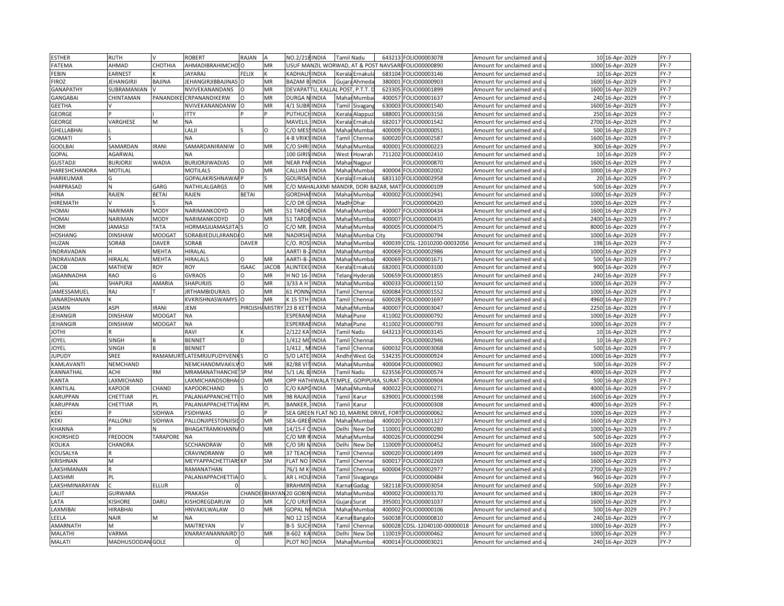| <b>ESTHER</b>      | RUTH                |                 | <b>ROBERT</b>            | RAJAN           |              | NO.2/218 INDIA              |                               | <b>Tamil Nadu</b> |                   | 643213                                   | FOLIO00003078          | Amount for unclaimed and                               |      | 10 16-Apr-2029   | $FY-7$      |
|--------------------|---------------------|-----------------|--------------------------|-----------------|--------------|-----------------------------|-------------------------------|-------------------|-------------------|------------------------------------------|------------------------|--------------------------------------------------------|------|------------------|-------------|
| FATEMA             | AHMAD               | CHOTHIA         | AHMADIBRAHIMCHO          |                 | MR           |                             | USUF MANZIL WORWAD, AT & POST |                   |                   | <b>NAVSAR</b>                            | FOLIO00000890          | Amount for unclaimed and                               |      | 1000 16-Apr-2029 | $FY-7$      |
| FEBIN              | EARNES <sub>1</sub> |                 | JAYARAJ                  | FELIX           |              | KADHALIYINDIA               |                               |                   | Kerala Ernakula   | 683104                                   | FOLIO00003146          | Amount for unclaimed and                               |      | 10 16-Apr-2029   | FY-7        |
| <b>FIROZ</b>       | JEHANGIRJI          | BAJINA          | EHANGIRJIBBAJINAS        |                 | MR           | <b>BAZAM BUNDIA</b>         |                               |                   | Gujara Ahmeda     | 380001                                   | FOLIO00000903          | Amount for unclaimed and                               |      | 1600 16-Apr-2029 | $FY-7$      |
| GANAPATHY          | SUBRAMANIAN         |                 | <b>NVIVEKANANDANS</b>    | $\Omega$        | MR           |                             | DEVAPATTU, KALLAL POST        |                   | . P.T.T. D        | 623305                                   | FOLIO00001899          | Amount for unclaimed and                               |      | 1600 16-Apr-2029 | $FY-7$      |
| GANGABAI           | CHINTAMAN           | PANANDIK        | CRPANANDIKERW            |                 | MR           | DURGA N                     | <b>INDIA</b>                  | Maha              | Mumba             | 400057                                   | FOLIO00001637          | Amount for unclaimed and                               | 240  | 16-Apr-2029      | $FY-7$      |
| <b>GEETHA</b>      |                     |                 | NVIVEKANANDANW           | $\Omega$        | MR           | $\overline{4/1}$ SUBR INDIA |                               | Tamil             | Sivagan           | 630003                                   | FOLIO00001540          | Amount for unclaimed and u                             |      | 1600 16-Apr-2029 | $FY-7$      |
| <b>GEORGE</b>      |                     |                 | <b>ITTY</b>              |                 |              | PUTHUCH INDIA               |                               | Keral             | Alappu:           | 688001                                   | FOLIO00003156          | Amount for unclaimed and                               |      | 250 16-Apr-2029  | $FY-7$      |
| <b>GEORGE</b>      | VARGHESE            | M               | <b>NA</b>                |                 |              | MAVELIL                     | <b>INDIA</b>                  |                   | Kerala Ernakul    | 682017                                   | FOLIO00001542          | Amount for unclaimed and u                             |      | 2700 16-Apr-2029 | $FY-7$      |
| <b>GHELLABHAI</b>  |                     |                 | LALII                    |                 | O            | C/O MES                     | <b>INDIA</b>                  | Maha              | Mumba             | 400009                                   | FOLIO00000051          | Amount for unclaimed and                               |      | 500 16-Apr-2029  | $FY-7$      |
| <b>GOMATI</b>      |                     |                 | <b>NA</b>                |                 |              | 4-B VRIK                    | <b>INDIA</b>                  | Tamil             | Chenna            | 600020                                   | FOLIO00002587          | Amount for unclaimed and                               |      | 1600 16-Apr-2029 | $FY-7$      |
| GOOLBA             | SAMARDAN            | <b>IRANI</b>    | SAMARDANIRANIW           | $\Omega$        | MR           | C/O SHRI                    | <b>INDIA</b>                  | Maha              | Mumba             | 400001                                   | FOLIO00000223          | Amount for unclaimed and                               |      | 300 16-Apr-2029  | $FY-7$      |
| GOPAL              | AGARWAL             |                 | <b>NA</b>                |                 |              | 100 GIRIS                   | <b>INDIA</b>                  | West              | Howrah            | 711202                                   | FOLIO00002410          | Amount for unclaimed and                               |      | 10 16-Apr-2029   | $FY-7$      |
| <b>GUSTADJI</b>    | <b>BURJORJI</b>     | <b>WADIA</b>    | <b>BURJORJIWADIAS</b>    | O               | MR           | NEAR PA                     | <b>INDIA</b>                  | Mahar             | Nagpur            |                                          | FOLIO00000870          | Amount for unclaimed and                               |      | 1600 16-Apr-2029 | $FY-7$      |
| HARESHCHANDRA      | MOTILAL             |                 | <b>MOTILALS</b>          |                 | MR           | CALLIAN                     | <b>INDIA</b>                  | Maha              | Mumba             | 400004                                   | FOLIO00002002          | Amount for unclaimed and                               | 1000 | 16-Apr-2029      | $FY-7$      |
| <b>HARIKUMAR</b>   |                     |                 | GOPALAKRISHNAWAI P       |                 |              | <b>GOURISA INDIA</b>        |                               |                   | Kerala Ernakul    | 683110                                   | FOLIO00002958          | Amount for unclaimed and u                             |      | 20 16-Apr-2029   | $FY-7$      |
| <b>HARPRASAD</b>   |                     | GARG            | NATHILALGARGS            |                 | MR           |                             |                               |                   |                   | C/O MAHALAXMI MANDIR, DORI BAZAR, MAT    | FOLIO00000109          | Amount for unclaimed and                               |      | 500 16-Apr-2029  | $FY-7$      |
|                    | RAJEN               | <b>BETAI</b>    | RAJEN                    | <b>BETAI</b>    |              | <b>GORDHAI INDIA</b>        |                               |                   | Mahar Mumba       | 400002                                   | FOLIO00002941          |                                                        |      | 1000 16-Apr-2029 | $FY-7$      |
| HINA<br>HIREMATH   |                     |                 | <b>NA</b>                |                 |              | C/ODR                       | <b>INDIA</b>                  | Madh              | Dhar              |                                          | FOLIO00000420          | Amount for unclaimed and u<br>Amount for unclaimed and | 1000 | 16-Apr-2029      | $FY-7$      |
|                    |                     | <b>MODY</b>     |                          |                 | MR           |                             |                               |                   |                   |                                          |                        |                                                        |      |                  | $FY-7$      |
| HOMAI              | NARIMAN             |                 | NARIMANKODYD             | $\Omega$        |              | 51 TARDE                    | <b>INDIA</b>                  | Mahar             | Mumba             | 400007                                   | FOLIO00000434          | Amount for unclaimed and                               |      | 1600 16-Apr-2029 |             |
| <b>HOMAI</b>       | NARIMAN             | <b>MODY</b>     | NARIMANKODYD             | $\Omega$        | MR           | 51 TARDI                    | <b>INDIA</b>                  | Maha              | Mumba             | 400007                                   | FOLIO00000435          | Amount for unclaimed and                               | 2400 | 16-Apr-2029      | $FY-7$      |
| <b>HOMI</b>        | <b>AMASJI</b>       | <b>TATA</b>     | <b>HORMASJIJAMASJITA</b> |                 | O            | C/O MR.                     | <b>INDIA</b>                  | Maha              | Mumbai            | 400005                                   | FOLIO00000475          | Amount for unclaimed and u                             |      | 8000 16-Apr-2029 | $FY-7$      |
| HOSHANG            | <b>DINSHAW</b>      | MOOGA1          | SORABJIEDULJIRANDA O     |                 | MR           | NADIRSH                     | <b>INDIA</b>                  | Maha              | Mumbai            | City                                     | FOLIO00000794          | Amount for unclaimed and                               | 1000 | 16-Apr-2029      | $FY-7$      |
| HUZAN              | SORAB               | <b>DAVER</b>    | SORAB                    | <b>DAVER</b>    |              | C/O. RO:                    | <b>INDIA</b>                  | Maha              | Литba             | 400039                                   | CDSL-12010200-00032056 | Amount for unclaimed and                               | 198  | 16-Apr-2029      | $FY-7$      |
| <b>INDRAVADAN</b>  |                     | MEHTA           | HIRALAL                  |                 |              | AARTI B-                    | <b>INDIA</b>                  | Maha              | Mumba             | 400069                                   | FOLIO00002986          | Amount for unclaimed and                               |      | 1000 16-Apr-2029 | $FY-7$      |
| <b>INDRAVADAN</b>  | HIRALAL             | MEHTA           | HIRALALS                 |                 | MR           | AARTI-B                     | <b>INDIA</b>                  | Maha              | Mumba             | 400069                                   | FOLIO00001671          | Amount for unclaimed and                               |      | 500 16-Apr-2029  | $FY-7$      |
| <b>JACOB</b>       | MATHEW              | ROY             | ROY                      | <b>ISAAC</b>    | <b>JACOB</b> | <b>ALINTEKI</b>             | <b>INDIA</b>                  | Kerala            | Ernakul           | 682001                                   | FOLIO00003100          | Amount for unclaimed and                               |      | 900 16-Apr-2029  | $FY-7$      |
| <b>JAGANNADHA</b>  | RAO                 |                 | <b>GVRAOS</b>            | $\Omega$        | MR           | H NO 16-                    | <b>INDIA</b>                  | Telan             | Hyderal           | 500659                                   | FOLIO00001855          | Amount for unclaimed and                               |      | 240 16-Apr-2029  | $FY-7$      |
| JAL                | SHAPURJI            | AMARIA          | <b>SHAPURJIS</b>         | $\Omega$        | MR           | 3/33 A H                    | <b>INDIA</b>                  | Maha              | Mumba             | 400033                                   | FOLIO00001150          | Amount for unclaimed and                               |      | 1000 16-Apr-2029 | $FY-7$      |
| IAMESSAMUEL        | RAJ                 |                 | <b>IRTHAMBIDURAIS</b>    | $\Omega$        | MR           | 61 PONN/INDIA               |                               | Tamil             | Chenna            | 600084                                   | FOLIO00001552          | Amount for unclaimed and                               |      | 1000 16-Apr-2029 | $FY-7$      |
| <b>JANARDHANAN</b> |                     |                 | KVKRISHNASWAMYS          | $\Omega$        | MR           | < 15 5TH                    | <b>INDIA</b>                  | <b>Tamil</b>      | Chenna            | 600028                                   | FOLIO00001697          | Amount for unclaimed and                               |      | 4960 16-Apr-2029 | $FY-7$      |
| <b>JASMIN</b>      | ASPI                | <b>IRANI</b>    | <b>JEMI</b>              | PIROJSH/ MISTRY |              | 23 B KET                    | <b>INDIA</b>                  | Maha              | Mumba             | 400007                                   | FOLIO00003047          | Amount for unclaimed and                               |      | 2250 16-Apr-2029 | FY-7        |
| <b>EHANGIR</b>     | <b>DINSHAW</b>      | MOOGAT          | <b>NA</b>                |                 |              | ESPERAN                     | <b>INDIA</b>                  | Mahar             | Pune              | 411002                                   | FOLIO00000792          | Amount for unclaimed and                               |      | 1000 16-Apr-2029 | $FY-7$      |
| <b>IEHANGIR</b>    | DINSHAW             | <b>MOOGAT</b>   | <b>NA</b>                |                 |              | ESPERRA                     | <b>INDIA</b>                  | Mahar Pune        |                   | 411002                                   | FOLIO00000793          | Amount for unclaimed and                               |      | 1000 16-Apr-2029 | $FY-7$      |
| <b>IHTOI</b>       |                     |                 | RAVI                     |                 |              | 2/122 KA                    | <b>INDIA</b>                  |                   | <b>Tamil Nadu</b> | 643213                                   | FOLIO00003145          | Amount for unclaimed and                               |      | 10 16-Apr-2029   | $FY-7$      |
| <b>IOYEL</b>       | <b>SINGH</b>        |                 | <b>BENNET</b>            | D               |              | 1/412 MCINDIA               |                               |                   | Tamil Chenna      |                                          | OLIO00002946           | Amount for unclaimed and u                             |      | 10 16-Apr-2029   | $FY-7$      |
| <b>OYEL</b>        | <b>SINGH</b>        |                 | <b>BENNET</b>            |                 |              | 1/412                       | <b>INDIA</b>                  | Tami              | Chenna            | 600032                                   | FOLIO00003068          | Amount for unclaimed and                               |      | 500 16-Apr-2029  | $FY-7$      |
| <b>IUPUDY</b>      | SREE                | <b>RAMAMUR</b>  | LATEMRJUPUDYVENK!        |                 | O            | /O LATE                     | <b>INDIA</b>                  |                   | Andhr West Go     | 534235                                   | FOLIO00000924          | Amount for unclaimed and u                             |      | 1000 16-Apr-2029 | $FY-7$      |
| KAMLAVANTI         | NEMCHAND            |                 | NEMCHANDMVAKILVO         |                 | MR           | 82/88 VIT                   | <b>INDIA</b>                  |                   | Mahar Mumba       | 400004                                   | FOLIO00000902          | Amount for unclaimed and                               |      | 500 16-Apr-2029  | $FY-7$      |
| KANNATHAL          | ACHI                | <b>RM</b>       | <b>MRAMANATHANCHE</b> SP |                 | <b>RM</b>    | 5/1 LAL B. INDIA            |                               | Tamil Nadu        |                   | 623556                                   | FOLIO00000574          | Amount for unclaimed and u                             |      | 4000 16-Apr-2029 | $FY-7$      |
| <b>KANTA</b>       | LAXMICHAND          |                 | LAXMICHANDSOBHACO        |                 | MR           |                             |                               |                   |                   | OPP HATHIWALA TEMPLE, GOPIPURA, SURAT    | FOLIO00000904          | Amount for unclaimed and                               | 500  | 16-Apr-2029      | $FY-7$      |
| KANTILAL           | KAPOOR              | CHAND           | KAPOORCHAND              |                 | O            | C/O KAPCINDIA               |                               | Mahar             | Mumba             | 400022                                   | FOLIO00000271          | Amount for unclaimed and                               |      | 4000 16-Apr-2029 | $FY-7$      |
| KARUPPAN           | CHETTIAR            | PL              | PALANIAPPANCHETTI O      |                 | MR           | 98 RAJAJ                    | <b>INDIA</b>                  | Tamil             | Karur             | 639001                                   | FOLIO00001598          | Amount for unclaimed and                               |      | 1600 16-Apr-2029 | $FY-7$      |
| KARUPPAN           | CHETTIAR            | PL              | PALANIAPPACHETTIA RM     |                 | PL           | BANKER,                     | <b>INDIA</b>                  | Tamil             | Karur             |                                          | FOLIO00000308          | Amount for unclaimed and                               |      | 4000 16-Apr-2029 | $FY-7$      |
| <b>KEKI</b>        |                     | SIDHWA          | <b>FSIDHWAS</b>          |                 |              |                             |                               |                   |                   | SEA GREEN FLAT NO 10, MARINE DRIVE, FORT | FOLIO00000062          | Amount for unclaimed and u                             |      | 1000 16-Apr-2029 | $FY-7$      |
| <b>KEKI</b>        | PALLONJI            | SIDHWA          | PALLONJIPESTONJISILO     |                 | MR           | SEA-GREEINDIA               |                               | Maha              | Mumba             | 400020                                   | FOLIO00001327          | Amount for unclaimed and                               | 1600 | 16-Apr-2029      | $FY-7$      |
| KHANNA             |                     |                 | BHAGATRAMKHANNA O        |                 | MR           | 14/15-F CINDIA              |                               | Delhi             | New De            | 110001                                   | FOLIO00000280          | Amount for unclaimed and u                             |      | 1000 16-Apr-2029 | $FY-7$      |
| KHORSHED           | FREDOON             | <b>TARAPORE</b> | <b>NA</b>                |                 |              | C/O MR                      | INDIA                         | Maha              | Mumba             | 400026                                   | FOLIO00000294          | Amount for unclaimed and                               |      | 500 16-Apr-2029  | $FY-7$      |
| KOLIKA             | CHANDRA             |                 | SCCHANDRAW               | $\Omega$        | MR           | C/O SRI N                   | <b>INDIA</b>                  | Delhi             | New De            | 110009                                   | FOLIO00000452          | Amount for unclaimed and u                             |      | 1600 16-Apr-2029 | $FY-7$      |
| KOUSALYA           |                     |                 | CRAVINDRANW              | $\circ$         | MR           | 37 TEAC                     | <b>INDIA</b>                  | Tami              | Chenna            | 600020                                   | FOLIO00001499          | Amount for unclaimed and                               | 1600 | 16-Apr-2029      | $FY-7$      |
| KRISHNAN           | M                   |                 | MEYYAPPACHETTIARS KP     |                 | <b>SM</b>    | <b>FLAT NO</b>              | <b>INDIA</b>                  | Tamil             | Chenna            | 600017                                   | FOLIO00002269          | Amount for unclaimed and                               |      | 1600 16-Apr-2029 | $FY-7$      |
| LAKSHMANAN         |                     |                 | RAMANATHAN               |                 |              | 76/1 M                      | <b>INDIA</b>                  | Tamil             | Chenna            | 600004                                   | FOLIO00002977          | Amount for unclaimed and                               |      | 2700 16-Apr-2029 | FY-7        |
| LAKSHMI            | PL                  |                 | PALANIAPPACHETTIA O      |                 |              | AR L HOI                    | <b>INDIA</b>                  | <b>Tamil</b>      | ivaganga          |                                          | FOLIO00000484          | Amount for unclaimed and                               |      | 960 16-Apr-2029  | $FY-7$      |
| LAKSHMINARAYAN     |                     | <b>ELLUR</b>    |                          |                 |              | <b>BRAHMII</b>              | <b>INDIA</b>                  | Karna             | Gadag             | 582118                                   | FOLIO00003054          | Amount for unclaimed and                               |      | 500 16-Apr-2029  | $FY-7$      |
| LALIT              | GURWARA             |                 | PRAKASH                  | CHANDE BHAYA    |              | 20 GOBII                    | <b>INDIA</b>                  | Maha              | Mumbi             | 400002                                   | FOLIO00003170          | Amount for unclaimed and                               | 1800 | 16-Apr-2029      | $FY-7$      |
| LATA               | <b>ISHORE</b>       | DARU            | KISHOREGDARUW            |                 | MR           | c/o urji                    | <b>INDIA</b>                  | Gujara            | Surat             | 395001                                   | FOLIO00001037          | Amount for unclaimed and                               |      | 1600 16-Apr-2029 | $FY-7$      |
| LAXMIBA            | HIRABHAI            |                 | HNVAKILWALAW             | $\Omega$        | MR           | <b>GOPAL N</b>              | <b>INDIA</b>                  | Maha              | Mumb              | 400002                                   | FOLIO00000106          | Amount for unclaimed and                               |      | 500 16-Apr-2029  | $FY-7$      |
| LEELA              | <b>NAIR</b>         | M               | <b>NA</b>                |                 |              | NO 12 15 INDIA              |                               |                   |                   | 560038                                   | FOLIO00000810          | Amount for unclaimed and u                             |      |                  | $FY-7$      |
|                    | M                   |                 |                          |                 |              |                             |                               |                   | Karnal Bangalo    |                                          |                        |                                                        |      | 240 16-Apr-2029  |             |
| AMARNATH           |                     |                 | MAITREYAN                |                 |              | B-5 SUCI                    | <b>INDIA</b>                  | Tamil             | Chenna            | 600028                                   | CDSL-12040100-00000018 | Amount for unclaimed and                               | 1000 | 16-Apr-2029      | $FY-7$      |
| MALATHI            | VARMA               |                 | KNARAYANANNAIRD O        |                 | MR           | 3-602                       | <b>KAINDIA</b>                | Delhi             | New De            | 110019                                   | FOLIO00000462          | Amount for unclaimed and                               |      | 1000 16-Apr-2029 | $FY-7$      |
| <b>MALATI</b>      | MADHUSOODAN GOLE    |                 |                          |                 |              | PLOT NO INDIA               |                               |                   | Mahar Mumba       | 400014                                   | FOLIO00003021          | Amount for unclaimed and                               |      | 240 16-Apr-2029  | <b>FY-7</b> |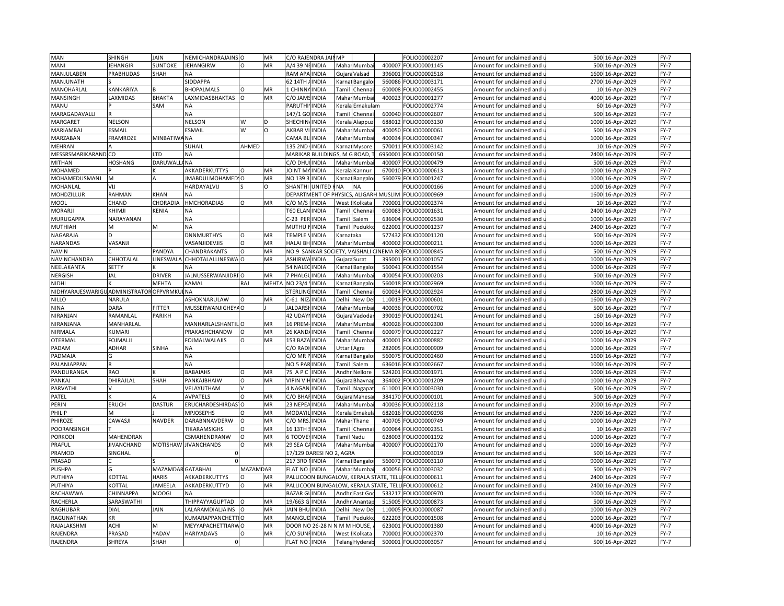| MAN                                     | SHINGH            | <b>JAIN</b>              | NEMICHANDRAJAINS O        |                 | MR             | C/O RAJENDRA JAIN                       | MP               |                       |         | FOLIO00002207                 | Amount for unclaimed and                             |      | 500 16-Apr-2029  | $FY-7$ |
|-----------------------------------------|-------------------|--------------------------|---------------------------|-----------------|----------------|-----------------------------------------|------------------|-----------------------|---------|-------------------------------|------------------------------------------------------|------|------------------|--------|
| MANI                                    | <b>IEHANGIR</b>   | SUNTOKE                  | JEHANGIRW                 | $\Omega$        | MR             | A/4 39 NEINDIA                          | Mahai            | Mumba                 | 400007  | FOLIO00001145                 | Amount for unclaimed and                             |      | 500 16-Apr-2029  | $FY-7$ |
| MANJULABEN                              | PRABHUDAS         | SHAH                     | NА                        |                 |                | <b>RAM APA</b><br><b>INDIA</b>          | Gujar            | Valsad                | 396001  | FOLIO00002518                 | Amount for unclaimed and                             |      | 1600 16-Apr-2029 | FY-7   |
| MANJUNATH                               |                   |                          | SIDDAPPA                  |                 |                | 62 14TH<br>INDIA                        | Karna            | Bangalo               | 560086  | OLIO00003171                  | Amount for unclaimed and i                           |      | 2700 16-Apr-2029 | $FY-7$ |
| MANOHARLAL                              | KANKARIYA         |                          | <b>BHOPALMALS</b>         | O               | MR             | 1 CHINN<br>INDIA                        | Tamil            | Chennai               | 600008  | FOLIO00002455                 | Amount for unclaimed and                             |      | 10 16-Apr-2029   | $FY-7$ |
| MANSINGH                                | <b>AXMIDAS</b>    | <b>BHAKTA</b>            | LAXMIDASBHAKTAS           |                 | MR             | INDIA<br>C/O JAN                        | Maha             | Mumba                 | 400023  | OLIO00001277                  | Amount for unclaimed and                             | 4000 | 16-Apr-2029      | $FY-7$ |
| MANU                                    |                   | SAM                      | NА                        |                 |                | PARUTHI<br><b>INDIA</b>                 | Kerala           | Ernakulam             |         | OLIO00002774                  | Amount for unclaimed and u                           |      | 60 16-Apr-2029   | $FY-7$ |
| MARAGADAVALLI                           |                   |                          | NA                        |                 |                | 147/1 GO<br><b>INDIA</b>                | Tamil            | Chenna                | 600040  | FOLIO00002607                 | Amount for unclaimed and                             | 500  | 16-Apr-2029      | $FY-7$ |
| MARGARET                                | <b>NELSON</b>     |                          | <b>NELSON</b>             | W               | D              | <b>SHECHINA</b><br><b>INDIA</b>         |                  | Kerala Alappuz        | 688012  | FOLIO00003130                 | Amount for unclaimed and u                           |      | 1000 16-Apr-2029 | $FY-7$ |
| MARIAMBAI                               | <b>ESMAIL</b>     |                          | ESMAIL                    | W               | O              | <b>AKBAR \</b><br><b>INDIA</b>          | Mahai            | Mumba                 | 400050  | FOLIO00000061                 | Amount for unclaimed and                             |      | 500 16-Apr-2029  | $FY-7$ |
| MARZABAN                                | <b>FRAMROZE</b>   | MINBATIW                 | NA                        |                 |                | CAMA BLI<br><b>INDIA</b>                | Mahar            | Mumba                 | 400034  | OLIO00000347                  | Amount for unclaimed and u                           |      | 1000 16-Apr-2029 | $FY-7$ |
| <b>MEHRAN</b>                           |                   |                          | SUHAIL                    | AHMED           |                | 135 2ND<br><b>INDIA</b>                 |                  | Karnal Mysore         | 570011  | FOLIO00003142                 | Amount for unclaimed and                             |      | 10 16-Apr-2029   | $FY-7$ |
| MESSRSMARIKARAND CO                     |                   | LTD                      | NA                        |                 |                | MARIKAR BUILDINGS, M G ROAD,            |                  |                       | 6950001 | FOLIO00000150                 | Amount for unclaimed and u                           |      | 2400 16-Apr-2029 | $FY-7$ |
|                                         | <b>HOSHANG</b>    | DARUWALI                 | <b>NA</b>                 |                 |                | C/O DHUI INDIA                          |                  |                       | 400007  |                               |                                                      |      | 500 16-Apr-2029  | $FY-7$ |
| <b>MITHAN</b><br>MOHAMED                |                   |                          | AKKADERKUTTYS             |                 | MR             | <b>JOINT M</b><br><b>INDIA</b>          | Keral            | Mahar Mumba           | 670010  | FOLIO00000479<br>OLIO00000613 | Amount for unclaimed and<br>Amount for unclaimed and | 1000 | 16-Apr-2029      | $FY-7$ |
|                                         | M                 |                          |                           |                 |                |                                         |                  | (annur                |         |                               |                                                      |      |                  |        |
| MOHAMEDUSMANJ                           |                   |                          | JMABDULMOHAMED! O         |                 | MR<br>$\Omega$ | NO 1393<br><b>INDIA</b>                 |                  | Karnai Bangalo        | 560079  | FOLIO00001247                 | Amount for unclaimed and u                           |      | 1000 16-Apr-2029 | $FY-7$ |
| MOHANLAL                                | VIJ               |                          | HARDAYALVIJ               |                 |                | <b>SHANTHI</b><br><b>UNITED</b>         | <b>NA</b>        | <b>NA</b>             |         | OLIO00000166                  | Amount for unclaimed and                             | 1000 | 16-Apr-2029      | $FY-7$ |
| MOHDZILLUR                              | RAHMAN            | KHAN                     | N٨                        |                 |                | DEPARTMENT OF PHYSICS, ALIGARH MUSLIM   |                  |                       |         | FOLIO00000969                 | Amount for unclaimed and u                           |      | 1600 16-Apr-2029 | $FY-7$ |
| <b>MOOL</b>                             | CHAND             | CHORADIA                 | HMCHORADIAS               | O               | MR             | <b>INDIA</b><br>C/O M/S                 | West             | Kolkata               | 70000   | FOLIO00002374                 | Amount for unclaimed and                             | 10   | 16-Apr-2029      | $FY-7$ |
| <b>MORARJI</b>                          | KHIMJI            | KENIA                    | NA                        |                 |                | <b>T60 ELAN INDIA</b>                   |                  | Tamil Chenna          | 600083  | OLIO00001631                  | Amount for unclaimed and u                           |      | 2400 16-Apr-2029 | $FY-7$ |
| MURUGAPPA                               | NARAYANAN         |                          | <b>ΝA</b>                 |                 |                | C-23 PER INDIA                          | Tamil            | Salem                 | 636004  | FOLIO00002530                 | Amount for unclaimed and                             | 1000 | 16-Apr-2029      | $FY-7$ |
| <b>MUTHIAH</b>                          | M                 | M                        | NA                        |                 |                | <b>MUTHU</b><br><b>INDIA</b>            |                  | <b>Tamil Pudukko</b>  | 622001  | FOLIO00001237                 | Amount for unclaimed and u                           |      | 2400 16-Apr-2029 | $FY-7$ |
| NAGARAJA                                |                   |                          | <b>DNNMURTHYS</b>         | $\Omega$        | MR             | TEMPLE<br>INDIA                         | <b>Carnataka</b> |                       | 577432  | FOLIO00001120                 | Amount for unclaimed and                             |      | 500 16-Apr-2029  | $FY-7$ |
| NARANDAS                                | VASANJI           |                          | VASANJIDEVJIS             | $\Omega$        | MR             | HALAI BH INDIA                          |                  | Mahar Mumba           | 400002  | OLIO00000211                  | Amount for unclaimed and                             | 1000 | 16-Apr-2029      | $FY-7$ |
| <b>NAVIN</b>                            |                   | <b>PANDYA</b>            | CHANDRAKANTS              | $\circ$         | MR             | NO.9 SANKAR SOCIETY, VAISHALI CINEMA RO |                  |                       |         | OLIO00000845                  | Amount for unclaimed and i                           |      | 500 16-Apr-2029  | $FY-7$ |
| NAVINCHANDRA                            | CHHOTALAL         | INESWAL                  | CHHOTALALLINESWA          |                 | MR             | <b>ASHIRWA</b><br><b>INDIA</b>          |                  | Gujara Surat          | 39500   | OLIO00001057                  | Amount for unclaimed and                             | 1000 | 16-Apr-2029      | $FY-7$ |
| NEELAKANTA                              | <b>SETTY</b>      |                          | NA                        |                 |                | 54 NALEO<br><b>INDIA</b>                |                  | Karnai Bangalo        | 560041  | FOLIO00001554                 | Amount for unclaimed and $\,$                        |      | 1000 16-Apr-2029 | $FY-7$ |
| <b>NERGISH</b>                          | JAL               | <b>DRIVER</b>            | JALNUSSERWANJIDRI O       |                 | MR             | 7 PHALG<br><b>INDIA</b>                 | Mahai            | Mumba                 | 400054  | OLIO00000203                  | Amount for unclaimed and                             | 500  | 16-Apr-2029      | $FY-7$ |
| <b>NIDHI</b>                            |                   | MEHTA                    | KAMAL                     | RAJ             | MEHTA          | NO 23/4<br><b>INDIA</b>                 | Karnat           | Bangalo               | 560018  | FOLIO00002969                 | Amount for unclaimed and                             |      | 1000 16-Apr-2029 | $FY-7$ |
| NIDHYARAJESWARIGU ADMINISTRATOR OFPVRMK |                   |                          | <b>NA</b>                 |                 |                | <b>STERLIN</b><br><b>INDIA</b>          | Tamil            | Chenna                | 600034  | FOLIO00002924                 | Amount for unclaimed and                             |      | 2800 16-Apr-2029 | $FY-7$ |
| <b>NILLO</b>                            | NARULA            |                          | ASHOKNARULAW              | $\Omega$        | MR             | C-61 NIZ<br><b>INDIA</b>                | Delhi            | New De                | 110013  | OLIO00000601                  | Amount for unclaimed and                             |      | 1600 16-Apr-2029 | $FY-7$ |
| <b>NINA</b>                             | DARA              | FITTER                   | MUSSERWANJIGHEYA O        |                 |                | <b>JALDARS</b><br>INDIA                 | Maha             | Mumba                 | 400036  | FOLIO00000702                 | Amount for unclaimed and                             | 500  | 16-Apr-2029      | FY-7   |
| NIRANJAN                                | RAMANLAL          | PARIKH                   | NА                        |                 |                | 42 UDAY<br><b>INDIA</b>                 | Gujar            | <b>Jadoda</b>         | 390019  | FOLIO00001241                 | Amount for unclaimed and                             |      | 160 16-Apr-2029  | $FY-7$ |
| NIRANJANA                               | MANHARLAL         |                          | <b>MANHARLALSHANTIL</b> O |                 | MR             | 16 PREN<br><b>INDIA</b>                 | Maha             | Mumba                 | 400026  | FOLIO00002300                 | Amount for unclaimed and                             |      | 1000 16-Apr-2029 | $FY-7$ |
| NIRMALA                                 | KUMARI            |                          | PRAKASHCHANDW             | $\Omega$        | MR             | 26 KAND<br><b>INDIA</b>                 | Tami             | Chenna                | 600079  | FOLIO00002227                 | Amount for unclaimed and                             |      | 1000 16-Apr-2029 | $FY-7$ |
| OTERMAL                                 | OJMALJI           |                          | FOJMALWALAJIS             | O               | MR             | 153 BAZA<br><b>INDIA</b>                |                  | Mahar Mumba           | 400001  | FOLIO00000882                 | Amount for unclaimed and u                           |      | 1000 16-Apr-2029 | $FY-7$ |
| PADAM                                   | ADHAR             | SINHA                    | NА                        |                 |                | C/O RAD<br><b>INDIA</b>                 | Uttar            | Agra                  | 282005  | FOLIO00000909                 | Amount for unclaimed and                             | 1000 | 16-Apr-2029      | $FY-7$ |
| PADMAJA                                 |                   |                          | NА                        |                 |                | C/O MR PINDIA                           | Karna            | <b>Bangalo</b>        | 560075  | OLIO00002460                  | Amount for unclaimed and u                           |      | 1600 16-Apr-2029 | $FY-7$ |
| PALANIAPPAN                             |                   |                          | <b>NA</b>                 |                 |                | NO.5 PAR<br><b>INDIA</b>                | Tamil            | Salem                 | 636016  | OLIO00002667                  | Amount for unclaimed and                             | 1000 | 16-Apr-2029      | $FY-7$ |
| PANDURANGA                              | <b>RAO</b>        |                          | <b>BABAIAHS</b>           | O               | MR             | 75 A P 0<br><b>INDIA</b>                | Andhr            | Nellore               | 524201  | FOLIO00001971                 | Amount for unclaimed and u                           |      | 1000 16-Apr-2029 | $FY-7$ |
| PANKAJ                                  |                   | SHAH                     | PANKAJBHAIW               | $\circ$         | MR             | <b>VIPIN VII</b><br><b>INDIA</b>        |                  |                       | 364002  | FOLIO00001209                 |                                                      | 1000 |                  | $FY-7$ |
|                                         | DHIRAJLAL         |                          |                           |                 |                |                                         | Gujar            | Bhavna                |         |                               | Amount for unclaimed and                             |      | 16-Apr-2029      |        |
| PARVATHI                                |                   |                          | <b>JELAYUTHAM</b>         |                 |                | 4 NAGAN<br><b>INDIA</b>                 | Tamil            | Nagapat               | 611001  | FOLIO00003030                 | Amount for unclaimed and                             |      | 500 16-Apr-2029  | $FY-7$ |
| PATEL                                   |                   |                          | <b>AVPATELS</b>           | $\circ$         | MR             | <b>INDIA</b><br>C/O BHA                 | Gujara           | Mahesa                | 384170  | FOLIO00000101                 | Amount for unclaimed and                             |      | 500 16-Apr-2029  | $FY-7$ |
| PERIN                                   | <b>ERUCH</b>      | DASTUR                   | ERUCHARDESHIRDAS          | $\circ$         | <b>MR</b>      | 23 NEPE<br><b>INDIA</b>                 | Maha             | Mumba                 | 400036  | OLIO00002118                  | Amount for unclaimed and                             |      | 2000 16-Apr-2029 | $FY-7$ |
| PHILIP                                  | M                 |                          | <b>MPJOSEPHS</b>          | $\circ$         | MR             | MODAYI<br>INDIA                         |                  | Kerala Ernakul        | 682016  | FOLIO00000298                 | Amount for unclaimed and $\iota$                     |      | 7200 16-Apr-2029 | $FY-7$ |
| PHIROZE                                 | CAWASJI           | VAVDER                   | <b>DARABNNAVDERW</b>      | $\Omega$        | MR             | INDIA<br>C/O MR                         | Mahar            | Thane                 | 400705  | OLIO00000749                  | Amount for unclaimed and i                           | 1000 | 16-Apr-2029      | $FY-7$ |
| POORANSINGH                             |                   |                          | <b>TIKARAMSIGHS</b>       | $\circ$         | MR             | 16 13TH<br><b>INDIA</b>                 |                  | Tamil Chenna          | 600064  | FOLIO00002351                 | Amount for unclaimed and u                           |      | 10 16-Apr-2029   | $FY-7$ |
| <b>PORKODI</b>                          | MAHENDRAN         |                          | CSMAHENDRANW              | $\Omega$        | MR             | 6 TOOVE<br><b>INDIA</b>                 |                  | Tamil Nadu            | 628003  | OLIO00001192                  | Amount for unclaimed and                             |      | 1000 16-Apr-2029 | $FY-7$ |
| PRAFUL                                  | <b>IIVANCHAND</b> |                          | MOTISHAW JIVANCHANDS      | $\circ$         | MR             | 29 SEA C<br><b>INDIA</b>                |                  | Mahar Mumbai          | 400007  | FOLIO00002170                 | Amount for unclaimed and u                           |      | 1000 16-Apr-2029 | $FY-7$ |
| PRAMOD                                  | SINGHAL           |                          |                           |                 |                | 17/129 DARESI NO 2, AGRA                |                  |                       |         | OLIO00003019                  | Amount for unclaimed and                             | 500  | 16-Apr-2029      | $FY-7$ |
| PRASAD                                  |                   |                          |                           |                 |                | 217 3RD INDIA                           |                  | Karnat Bangalo        | 560072  | OLIO00003110                  | Amount for unclaimed and u                           |      | 9000 16-Apr-2029 | $FY-7$ |
| <b>PUSHPA</b>                           |                   | <b>MAZAMDAR GATABHAI</b> |                           | <b>MAZAMDAR</b> |                | <b>FLAT NO</b><br><b>INDIA</b>          |                  | Mahar Mumbai          | 400056  | FOLIO00003032                 | Amount for unclaimed and                             |      | 500 16-Apr-2029  | FY-7   |
| PUTHIYA                                 | KOTTAI            | <b>HARIS</b>             | AKKADERKUTTYS             |                 | <b>MR</b>      | PALLICOON BUNGALOW, KERALA STATE, TELL  |                  |                       |         | FOLIO00000611                 | Amount for unclaimed and                             |      | 2400 16-Apr-2029 | $FY-7$ |
| PUTHIYA                                 | <b>COTTAL</b>     | <b>IAMEELA</b>           | AKKADERKUTTYD             | O               | MR             | PALLICOON BUNGALOW, KERALA STATE, TELL  |                  |                       |         | OLIO00000612                  | Amount for unclaimed and i                           |      | 2400 16-Apr-2029 | $FY-7$ |
| RACHAWWA                                | CHINNAPPA         | MOOGI                    | NА                        |                 |                | <b>BAZAR GI</b><br><b>INDIA</b>         | Andhi            | East Goo              | 533217  | OLIO00000970                  | Amount for unclaimed and                             | 1000 | 16-Apr-2029      | $FY-7$ |
| RACHERLA                                | SARASWATHI        |                          | THIPPAYYAGUPTAD           |                 | MR             | 19/663 G INDIA                          |                  | Andhr Anantap         | 515005  | OLIO00000873                  | Amount for unclaimed and i                           |      | 500 16-Apr-2029  | $FY-7$ |
| RAGHUBAR                                | <b>DIAL</b>       | <b>JAIN</b>              | ALARAMDIALJAINS           | $\circ$         | MR             | <b>JAIN BHL</b><br><b>INDIA</b>         | Delhi            | New De                | 110005  | OLIO00000087                  | Amount for unclaimed and                             | 1000 | 16-Apr-2029      | $FY-7$ |
| RAGUNATHAN                              | KR                |                          | <b>CUMARAPPANCHETTIO</b>  |                 | MR             | <b>MANGUDINDIA</b>                      |                  | Tamil Pudukko         | 622203  | FOLIO00001508                 | Amount for unclaimed and u                           |      | 1000 16-Apr-2029 | $FY-7$ |
| RAJALAKSHM                              | ACHI              | M                        | MEYYAPACHETTIARWO         |                 | MR             | DOOR NO 26-28 N N M M HOUSE             |                  |                       | 623001  | FOLIO00001380                 | Amount for unclaimed and                             | 4000 | 16-Apr-2029      | $FY-7$ |
| RAJENDRA                                | PRASAD            | YADAV                    | HARIYADAVS                |                 | MR             | C/O SUNFINDIA                           | West             | Kolkata               | 700001  | FOLIO00002370                 | Amount for unclaimed and u                           |      | 10 16-Apr-2029   | $FY-7$ |
| RAJENDRA                                | SHREYA            | SHAH                     | $\Omega$                  |                 |                | <b>FLAT NO:</b><br><b>INDIA</b>         |                  | <b>Telang Hyderab</b> |         | 500001 FOLIO00003057          | Amount for unclaimed and                             |      | 500 16-Apr-2029  | FY-7   |
|                                         |                   |                          |                           |                 |                |                                         |                  |                       |         |                               |                                                      |      |                  |        |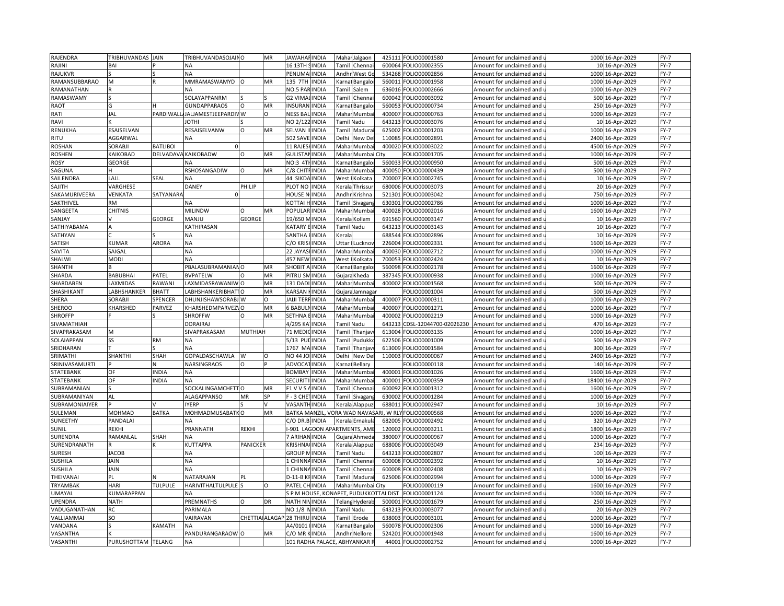| RAJENDRA       | TRIBHUVANDAS JAIN  |                  | TRIBHUVANDASOJAINO             |                | MR            | <b>JAWAHAF</b><br><b>INDIA</b>          | Mahar        | Jalgaon                                                                                                                                                    | 425111 | FOLIO00001580          | Amount for unclaimed and                          |       | 1000 16-Apr-2029 | $FY-7$ |
|----------------|--------------------|------------------|--------------------------------|----------------|---------------|-----------------------------------------|--------------|------------------------------------------------------------------------------------------------------------------------------------------------------------|--------|------------------------|---------------------------------------------------|-------|------------------|--------|
| RAJINI         | BAI                |                  | NA                             |                |               | 16 13TH<br><b>INDIA</b>                 |              | Tamil Chenna                                                                                                                                               | 600064 | FOLIO00002355          | Amount for unclaimed and u                        |       | 10 16-Apr-2029   | $FY-7$ |
| RAJUKVR        |                    |                  | NA                             |                |               | PENUMA<br><b>INDIA</b>                  |              | Andhr West Go                                                                                                                                              | 534268 | FOLIO00002856          | Amount for unclaimed and                          | 1000  | 16-Apr-2029      | $FY-7$ |
| RAMANSUBBARAO  | M                  |                  | <b>MMRAMASWAMYD</b>            |                | MR            | 135 7TH<br><b>INDIA</b>                 |              | Karnai Bangalo                                                                                                                                             | 560011 | FOLIO00001958          | Amount for unclaimed and u                        |       | 1000 16-Apr-2029 | $FY-7$ |
| RAMANATHAN     |                    |                  | NΑ                             |                |               | NO.5 PAF<br><b>INDIA</b>                | Tamil        | Salem                                                                                                                                                      | 636016 | FOLIO00002666          | Amount for unclaimed and                          |       | 1000 16-Apr-2029 | $FY-7$ |
| RAMASWAMY      |                    |                  | SOLAYAPPANRM                   |                |               | G2 VIMA<br><b>INDIA</b>                 | Tamil        | Chenna                                                                                                                                                     | 600042 | OLIO00003092           | Amount for unclaimed and                          |       | 500 16-Apr-2029  | $FY-7$ |
| <b>RAOT</b>    |                    |                  | <b>GUNDAPPARAOS</b>            | $\circ$        | MR            | INSURAI<br><b>INDIA</b>                 | arna)        |                                                                                                                                                            | 560053 | FOLIO00000734          | Amount for unclaimed and                          |       | 250 16-Apr-2029  | FY-7   |
|                | JAL                | PARDIWAL         |                                |                | $\Omega$      |                                         |              | Bangalo                                                                                                                                                    |        |                        |                                                   |       |                  |        |
| RATI           |                    |                  | <b>ALJAMESTJEEPARDI</b>        | I <sub>W</sub> |               | <b>NESS BA</b><br>INDIA                 | Mahar        | Mumba                                                                                                                                                      | 400007 | FOLIO00000763          | Amount for unclaimed and i                        |       | 1000 16-Apr-2029 | $FY-7$ |
| RAVI           |                    |                  | <b>IHTOI</b>                   |                |               | NO 2/12<br><b>INDIA</b>                 |              | Tamil Nadu                                                                                                                                                 | 643213 | FOLIO00003076          | Amount for unclaimed and                          |       | 10 16-Apr-2029   | $FY-7$ |
| RENUKHA        | ESAISELVAN         |                  | RESAISELVANW                   | $\Omega$       | MR            | <b>INDIA</b><br>SELVAN                  | Tamil        | Madura                                                                                                                                                     | 625002 | OLIO00001203           | Amount for unclaimed and                          | 1000  | 16-Apr-2029      | $FY-7$ |
| RITU           | AGGARWAL           |                  | NA                             |                |               | <b>502 SAVE</b><br><b>INDIA</b>         | Delhi        | New De                                                                                                                                                     | 110085 | OLIO00002891           | Amount for unclaimed and u                        |       | 2400 16-Apr-2029 | $FY-7$ |
| <b>ROSHAN</b>  | SORABJI            | <b>BATLIBOI</b>  |                                |                |               | 11 RAJES<br><b>INDIA</b>                | Mahai        | Mumbai                                                                                                                                                     | 400020 | FOLIO00003022          | Amount for unclaimed and                          |       | 4500 16-Apr-2029 | $FY-7$ |
| <b>ROSHEN</b>  | KAIKOBAD           |                  | DELVADAVA KAIKOBADW            | $\circ$        | MR            | <b>GULISTAI</b><br><b>INDIA</b>         |              | Mahar Mumbai City                                                                                                                                          |        | OLIO00001705           | Amount for unclaimed and u                        |       | 1000 16-Apr-2029 | $FY-7$ |
| <b>ROSY</b>    | GEORGE             |                  | <b>NA</b>                      |                |               | <b>NO:3 4TI</b><br><b>INDIA</b>         | Karna        | Bangalo                                                                                                                                                    | 560033 | FOLIO00000950          | Amount for unclaimed and                          |       | 500 16-Apr-2029  | $FY-7$ |
| SAGUNA         |                    |                  | RSHOSANGADIW                   | O              | MR            | C/8 CHITF<br><b>INDIA</b>               | Maha         | Mumba                                                                                                                                                      | 400050 | FOLIO00000439          | Amount for unclaimed and u                        |       | 500 16-Apr-2029  | $FY-7$ |
| SAILENDRA      | LALL               | SEAL             | NA                             |                |               | 44 SIKDA INDIA                          | West         | olkata                                                                                                                                                     | 700007 | FOLIO00002745          | Amount for unclaimed and                          |       | 10 16-Apr-2029   | $FY-7$ |
| SAJITH         | VARGHESE           |                  | DANEY                          | PHILIP         |               | PLOT NO<br><b>INDIA</b>                 | Kerala       | Thrissur                                                                                                                                                   | 680006 | FOLIO00003073          | Amount for unclaimed and i                        |       | 20 16-Apr-2029   | $FY-7$ |
| SAKAMURIVEERA  | VENKATA            | <b>SATYANARA</b> |                                |                |               | HOUSE I<br>INDIA                        | Andh         | <rishna< td=""><td>521301</td><td>FOLIO00003042</td><td>Amount for unclaimed and</td><td></td><td>750 16-Apr-2029</td><td><math>FY-7</math></td></rishna<> | 521301 | FOLIO00003042          | Amount for unclaimed and                          |       | 750 16-Apr-2029  | $FY-7$ |
| SAKTHIVEL      | <b>RM</b>          |                  | <b>ΝA</b>                      |                |               | <b>INDIA</b><br>KOTTAI                  | Tami         | Sivagan                                                                                                                                                    | 630301 | FOLIO00002786          | Amount for unclaimed and                          |       | 1000 16-Apr-2029 | $FY-7$ |
| SANGEETA       | <b>CHITNIS</b>     |                  | <b>MILINDW</b>                 |                | MR            | POPULAR<br><b>INDIA</b>                 | Mahai        | Mumba                                                                                                                                                      | 400028 | FOLIO00002016          | Amount for unclaimed and u                        |       | 1600 16-Apr-2029 | $FY-7$ |
| SANJAY         |                    | GEORGE           | ULIANM                         | <b>GEORGI</b>  |               | 19/650<br><b>INDIA</b>                  | Kerala       | Kollam                                                                                                                                                     | 691560 | FOLIO00003147          | Amount for unclaimed and                          |       | 10 16-Apr-2029   | $FY-7$ |
| SATHIYABAMA    |                    |                  | KATHIRASAN                     |                |               | <b><i>KATARY</i></b><br><b>INDIA</b>    |              | Tamil Nadu                                                                                                                                                 | 643213 | FOLIO00003143          | Amount for unclaimed and i                        |       | 10 16-Apr-2029   | $FY-7$ |
| SATHYAN        |                    |                  | <b>NA</b>                      |                |               | SANTHA<br><b>INDIA</b>                  | Kerala       |                                                                                                                                                            |        | 688544 FOLIO00002896   | Amount for unclaimed and (                        |       | 10 16-Apr-2029   | $FY-7$ |
| <b>SATISH</b>  | KUMAR              | ARORA            | NA                             |                |               | C/O KRIS<br><b>INDIA</b>                | <b>Jttar</b> | Lucknoy                                                                                                                                                    | 226004 | FOLIO00002331          | Amount for unclaimed and u                        |       | 1600 16-Apr-2029 | $FY-7$ |
| SAVITA         | SAIGAL             |                  | <b>ΝA</b>                      |                |               | <b>INDIA</b><br>22 JAYAS                | Mahai        | Mumba                                                                                                                                                      | 400030 | FOLIO00002712          | Amount for unclaimed and                          |       | 1000 16-Apr-2029 | $FY-7$ |
| SHALWI         | <b>MODI</b>        |                  |                                |                |               | 457 NEW<br><b>INDIA</b>                 |              | olkata                                                                                                                                                     |        | FOLIO00002424          |                                                   |       |                  | $FY-7$ |
|                |                    |                  | NA                             |                |               |                                         | West         |                                                                                                                                                            | 700053 |                        | Amount for unclaimed and u                        |       | 10 16-Apr-2029   |        |
| SHANTHI        |                    |                  | PBALASUBRAMANIANO              |                | MR            | SHOBIT<br><b>INDIA</b>                  | Karna        | Bangalo                                                                                                                                                    | 560098 | FOLIO00002178          | Amount for unclaimed and i                        |       | 1600 16-Apr-2029 | $FY-7$ |
| SHARDA         | <b>BABUBHAI</b>    | PATEL            | <b>BVPATELW</b>                |                | MR            | PITRU SI<br>INDIA                       | Gujar        | heda                                                                                                                                                       | 387345 | OLIO00000938           | Amount for unclaimed and                          | 1000  | 16-Apr-2029      | $FY-7$ |
| SHARDABEN      | <b>AXMIDAS</b>     | RAWANI           | AXMIDASRAWANIW O               |                | MR            | 131 DADI<br><b>INDIA</b>                | Mahar        | Mumbai                                                                                                                                                     | 400002 | FOLIO00001568          | Amount for unclaimed and u                        |       | 500 16-Apr-2029  | $FY-7$ |
| SHASHIKANT     | ABHSHANKER         | BHATT            | ABHSHANKERIBHAT                | $\circ$        | MR            | <b>KARSAN</b><br><b>INDIA</b>           | Gujara       | Jamnaga                                                                                                                                                    |        | OLIO00001004           | Amount for unclaimed and                          |       | 500 16-Apr-2029  | $FY-7$ |
| SHERA          | SORABJI            | SPENCER          | DHUNJISHAWSORABJ W             |                | O             | <b>JAIJI TER</b><br><b>INDIA</b>        |              | Mahar Mumbai                                                                                                                                               | 400007 | FOLIO00000311          | Amount for unclaimed and u                        |       | 1000 16-Apr-2029 | $FY-7$ |
| <b>SHEROO</b>  | KHARSHED           | PARVEZ           | KHARSHEDMPARVEZ\O              |                | MR            | 6 BABU<br><b>INDIA</b>                  |              | Mahar Mumba                                                                                                                                                | 400007 | FOLIO00001271          | Amount for unclaimed and                          |       | 1000 16-Apr-2029 | $FY-7$ |
| <b>SHROFFP</b> |                    |                  | <b>SHROFFW</b>                 | $\Omega$       | MR            | SETHNA<br><b>INDIA</b>                  |              | Mahar Mumba                                                                                                                                                | 400002 | FOLIO00002219          | Amount for unclaimed and u                        |       | 1000 16-Apr-2029 | $FY-7$ |
| SIVAMATHIAH    |                    |                  | DORAIRAJ                       |                |               | 4/295K<br><b>INDIA</b>                  |              | Tamil Nadu                                                                                                                                                 | 643213 | CDSL-12044700-02026230 | Amount for unclaimed and                          |       | 470 16-Apr-2029  | $FY-7$ |
| SIVAPRAKASAM   | M                  |                  | SIVAPRAKASAM                   | <b>MUTHIAH</b> |               | 71 MEDI<br><b>INDIA</b>                 | Tamil        | Thanjav                                                                                                                                                    | 613004 | FOLIO00003135          | Amount for unclaimed and i                        |       | 1000 16-Apr-2029 | $FY-7$ |
| SOLAIAPPAN     | SS                 | RM               | ΝA                             |                |               | 5/13 PL<br>INDIA                        | Tamil        | Pudukko                                                                                                                                                    | 622506 | FOLIO00001009          | Amount for unclaimed and $\,$                     |       | 500 16-Apr-2029  | $FY-7$ |
| SRIDHARAN      |                    |                  | NA                             |                |               | 1767 M.<br><b>INDIA</b>                 | Tami         | Thanjay                                                                                                                                                    | 613009 | FOLIO00001584          | Amount for unclaimed and                          | 300   | 16-Apr-2029      | $FY-7$ |
| SRIMATHI       | SHANTHI            | <b>SHAH</b>      | <b>GOPALDASCHAWLA</b>          | W              | O             | <b>NO 44 JC</b><br><b>INDIA</b>         | Delhi        | New De                                                                                                                                                     | 110003 | FOLIO00000067          | Amount for unclaimed and u                        |       | 2400 16-Apr-2029 | $FY-7$ |
| SRINIVASAMURTI |                    |                  | NARSINGRAOS                    | $\circ$        |               | ADVOCA<br><b>INDIA</b>                  | Karna        | Bellary                                                                                                                                                    |        | OLIO00000118           | Amount for unclaimed and                          |       | 140 16-Apr-2029  | $FY-7$ |
| STATEBANK      | OF                 | <b>NDIA</b>      | NΑ                             |                |               | <b>BOMBA</b><br><b>INDIA</b>            | Mahar        | Mumbai                                                                                                                                                     | 400001 | FOLIO00001026          | Amount for unclaimed and u                        |       | 1600 16-Apr-2029 | $FY-7$ |
| STATEBANK      | OF                 | <b>NDIA</b>      | <b>NA</b>                      |                |               | INDIA<br><b>SECURI</b>                  | Mahai        | Mumba                                                                                                                                                      | 400001 | FOLIO00000359          | Amount for unclaimed and                          | 18400 | 16-Apr-2029      | $FY-7$ |
| SUBRAMANIAN    |                    |                  | SOCKALINGAMCHETTO              |                | MR            | <b>INDIA</b><br>F1 V V S                | Tamil        | Chennai                                                                                                                                                    | 600092 | OLIO00001312           | Amount for unclaimed and u                        |       | 1600 16-Apr-2029 | $FY-7$ |
| SUBRAMANIYAN   | AL                 |                  | <b>ALAGAPPANSO</b>             | MR             | SP            | $F - 3$ CHE<br><b>INDIA</b>             | Tamil        | Sivagan                                                                                                                                                    | 630002 | FOLIO00001284          | Amount for unclaimed and                          | 1000  | 16-Apr-2029      | $FY-7$ |
| SUBRAMONIAIYER |                    |                  | YERP                           |                | $\mathcal{U}$ | <b>VASANTHINDIA</b>                     |              | Kerala Alappuz                                                                                                                                             | 688011 | FOLIO00002947          | Amount for unclaimed and i                        |       | 10 16-Apr-2029   | $FY-7$ |
| SULEMAN        | MOHMAD             | <b>BATKA</b>     | MOHMADMUSABATKO                |                | MR            | BATKA MANZIL, VORA WAD NAVASARI, W RLY  |              |                                                                                                                                                            |        | FOLIO00000568          | Amount for unclaimed and i                        |       | 1000 16-Apr-2029 | $FY-7$ |
| SUNEETHY       | PANDALAI           |                  | NA                             |                |               | C/O DR.B INDIA                          |              | Kerala Ernakul                                                                                                                                             | 682005 | OLIO00002492           | Amount for unclaimed and $\overline{\phantom{a}}$ |       | 320 16-Apr-2029  | $FY-7$ |
| SUNIL          | REKHI              |                  | PRANNATH                       | <b>REKHI</b>   |               | -901 LAGOON APARTMENTS, AMI             |              |                                                                                                                                                            | 120002 | FOLIO00003211          | Amount for unclaimed and i                        |       | 1800 16-Apr-2029 | $FY-7$ |
| SURENDRA       | RAMANLAL           | SHAH             | NA                             |                |               | 7 ARIHAN INDIA                          |              | Gujara Ahmeda                                                                                                                                              | 380007 | OLIO00000967           | Amount for unclaimed and                          |       | 1000 16-Apr-2029 | $FY-7$ |
| SURENDRANATH   |                    |                  | <b>KUTTAPPA</b>                | PANICKER       |               | <b>INDIA</b><br><b>KRISHNA</b>          |              | Kerala Alappuz                                                                                                                                             |        | 688006 FOLIO00003049   | Amount for unclaimed and u                        |       | 234 16-Apr-2029  | $FY-7$ |
|                |                    |                  |                                |                |               |                                         |              |                                                                                                                                                            |        |                        |                                                   |       |                  |        |
| SURESH         | <b>JACOB</b>       |                  | <b>ΝA</b>                      |                |               | <b>INDIA</b><br><b>GROUP N</b>          |              | Tamil Nadu                                                                                                                                                 | 643213 | FOLIO00002807          | Amount for unclaimed and                          |       | 100 16-Apr-2029  | $FY-7$ |
| <b>SUSHILA</b> | <b>JAIN</b>        |                  | NA                             |                |               | 1 CHINNA<br><b>INDIA</b>                |              | Tamil Chennai                                                                                                                                              | 600008 | FOLIO00002392          | Amount for unclaimed and u                        |       | 10 16-Apr-2029   | $FY-7$ |
| <b>SUSHILA</b> | JAIN               |                  | NΑ                             |                |               | 1 CHINN<br><b>INDIA</b>                 | Tamil        | Chenna                                                                                                                                                     | 600008 | FOLIO00002408          | Amount for unclaimed and i                        |       | 10 16-Apr-2029   | FY-7   |
| THEIVANAI      | PL                 |                  | VATARAJAN                      | PL             |               | <b>INDIA</b><br>D-11-B K                |              | Tamil Madurai                                                                                                                                              | 625006 | FOLIO00002994          | Amount for unclaimed and u                        |       | 1000 16-Apr-2029 | $FY-7$ |
| TRYAMBAK       | HARI               | <b>TULPULE</b>   | HARIVITHALTULPULE <sup>S</sup> |                | $\Omega$      | PATEL CH<br><b>INDIA</b>                |              | Mahar Mumbai City                                                                                                                                          |        | OLIO00000119           | Amount for unclaimed and                          |       | 1600 16-Apr-2029 | $FY-7$ |
| UMAYAL         | KUMARAPPAN         |                  | <b>NV</b>                      |                |               | S P M HOUSE, KONAPET, PUDUKKOTTAI DIST  |              |                                                                                                                                                            |        | OLIO00001124           | Amount for unclaimed and i                        |       | 1000 16-Apr-2029 | $FY-7$ |
| <b>UPENDRA</b> | <b>NATH</b>        |                  | PREMNATHS                      | O              | DR            | NATH NIVINDIA                           |              | Telang Hyderab                                                                                                                                             | 500001 | FOLIO00001679          | Amount for unclaimed and i                        |       | 250 16-Apr-2029  | $FY-7$ |
| VADUGANATHAN   | RC                 |                  | <b>PARIMALA</b>                |                |               | <b>NO 1/8</b><br><b>INDIA</b>           |              | Tamil Nadu                                                                                                                                                 | 643213 | OLIO00003077           | Amount for unclaimed and                          |       | 20 16-Apr-2029   | $FY-7$ |
| VALLIAMMAI     | SO.                |                  | VAIRAVAN                       |                |               | CHETTIA ALAGAP 28 THIRU<br><b>INDIA</b> |              | Tamil Erode                                                                                                                                                | 638003 | FOLIO00003101          | Amount for unclaimed and u                        |       | 1000 16-Apr-2029 | $FY-7$ |
| VANDANA        |                    | KAMATH           | <b>NA</b>                      |                |               | <b>INDIA</b><br>A4/0101                 |              | Karnat Bangalo                                                                                                                                             | 560078 | FOLIO00002306          | Amount for unclaimed and                          |       | 1000 16-Apr-2029 | $FY-7$ |
| VASANTHA       |                    |                  | PANDURANGARAOW O               |                | MR            | C/O MR KINDIA                           |              | Andhr Nellore                                                                                                                                              | 524201 | FOLIO00001948          | Amount for unclaimed and u                        |       | 1600 16-Apr-2029 | $FY-7$ |
| VASANTHI       | PURUSHOTTAM TELANG |                  | NA                             |                |               | 101 RADHA PALACE, ABHYANKAR             |              |                                                                                                                                                            |        | 44001 FOLIO00002752    | Amount for unclaimed and u                        |       | 1000 16-Apr-2029 | $FY-7$ |